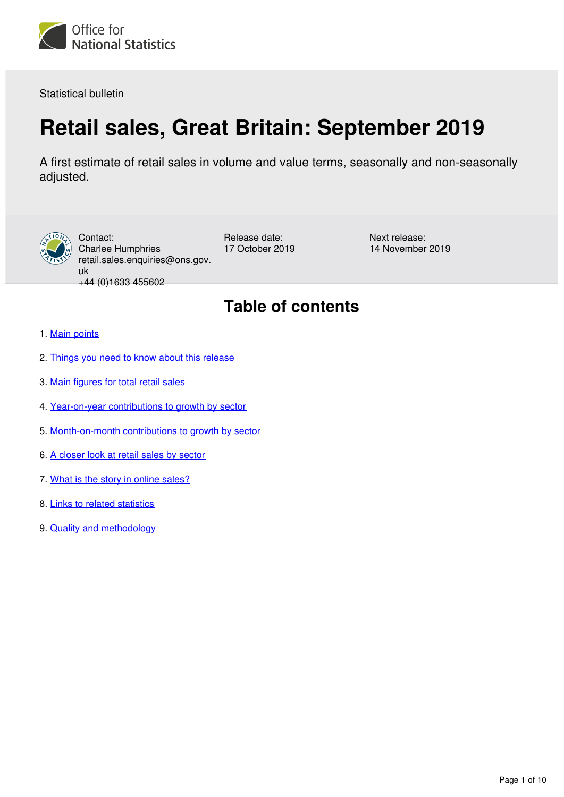<span id="page-0-0"></span>

Statistical bulletin

# **Retail sales, Great Britain: September 2019**

A first estimate of retail sales in volume and value terms, seasonally and non-seasonally adjusted.



Contact: Charlee Humphries retail.sales.enquiries@ons.gov. uk +44 (0)1633 455602

Release date: 17 October 2019 Next release: 14 November 2019

# **Table of contents**

- 1. [Main points](#page-1-0)
- 2. [Things you need to know about this release](#page-1-1)
- 3. [Main figures for total retail sales](#page-2-0)
- 4. [Year-on-year contributions to growth by sector](#page-4-0)
- 5. [Month-on-month contributions to growth by sector](#page-5-0)
- 6. [A closer look at retail sales by sector](#page-6-0)
- 7. [What is the story in online sales?](#page-8-0)
- 8. [Links to related statistics](#page-8-1)
- 9. [Quality and methodology](#page-9-0)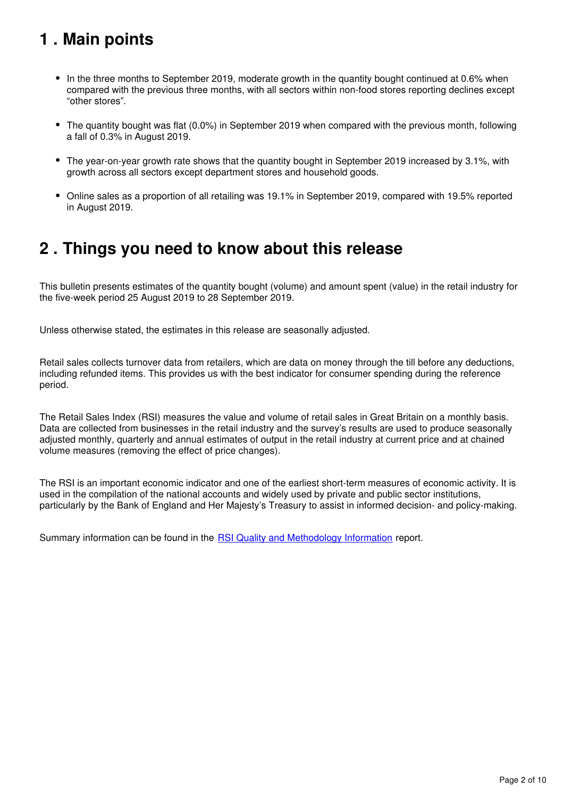# <span id="page-1-0"></span>**1 . Main points**

- In the three months to September 2019, moderate growth in the quantity bought continued at 0.6% when compared with the previous three months, with all sectors within non-food stores reporting declines except "other stores".
- The quantity bought was flat (0.0%) in September 2019 when compared with the previous month, following a fall of 0.3% in August 2019.
- The year-on-year growth rate shows that the quantity bought in September 2019 increased by 3.1%, with growth across all sectors except department stores and household goods.
- Online sales as a proportion of all retailing was 19.1% in September 2019, compared with 19.5% reported in August 2019.

## <span id="page-1-1"></span>**2 . Things you need to know about this release**

This bulletin presents estimates of the quantity bought (volume) and amount spent (value) in the retail industry for the five-week period 25 August 2019 to 28 September 2019.

Unless otherwise stated, the estimates in this release are seasonally adjusted.

Retail sales collects turnover data from retailers, which are data on money through the till before any deductions, including refunded items. This provides us with the best indicator for consumer spending during the reference period.

The Retail Sales Index (RSI) measures the value and volume of retail sales in Great Britain on a monthly basis. Data are collected from businesses in the retail industry and the survey's results are used to produce seasonally adjusted monthly, quarterly and annual estimates of output in the retail industry at current price and at chained volume measures (removing the effect of price changes).

The RSI is an important economic indicator and one of the earliest short-term measures of economic activity. It is used in the compilation of the national accounts and widely used by private and public sector institutions, particularly by the Bank of England and Her Majesty's Treasury to assist in informed decision- and policy-making.

Summary information can be found in the **RSI Quality and Methodology Information** report.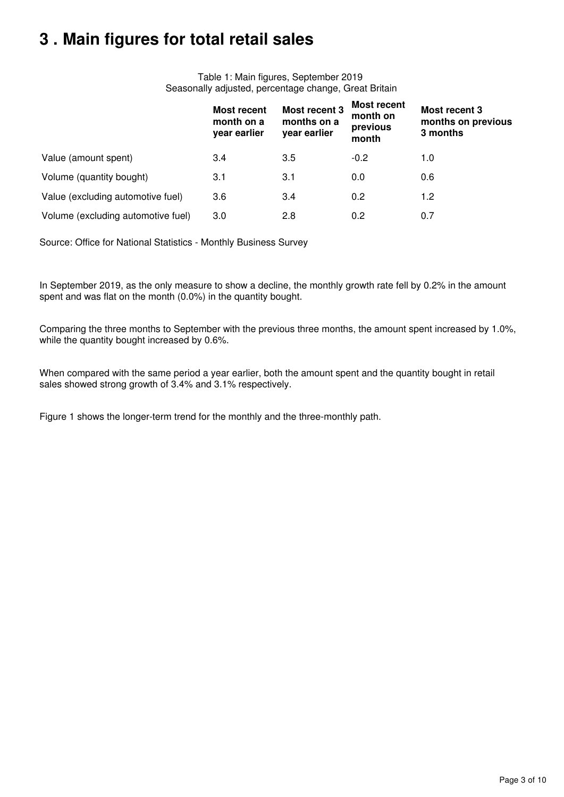# <span id="page-2-0"></span>**3 . Main figures for total retail sales**

Table 1: Main figures, September 2019 Seasonally adjusted, percentage change, Great Britain

|                                    | <b>Most recent</b><br>month on a<br>year earlier | <b>Most recent 3</b><br>months on a<br>year earlier | Most recent<br>month on<br>previous<br>month | Most recent 3<br>months on previous<br>3 months |
|------------------------------------|--------------------------------------------------|-----------------------------------------------------|----------------------------------------------|-------------------------------------------------|
| Value (amount spent)               | 3.4                                              | 3.5                                                 | $-0.2$                                       | 1.0                                             |
| Volume (quantity bought)           | 3.1                                              | 3.1                                                 | 0.0                                          | 0.6                                             |
| Value (excluding automotive fuel)  | 3.6                                              | 3.4                                                 | 0.2                                          | 1.2                                             |
| Volume (excluding automotive fuel) | 3.0                                              | 2.8                                                 | 0.2                                          | 0.7                                             |

Source: Office for National Statistics - Monthly Business Survey

In September 2019, as the only measure to show a decline, the monthly growth rate fell by 0.2% in the amount spent and was flat on the month (0.0%) in the quantity bought.

Comparing the three months to September with the previous three months, the amount spent increased by 1.0%, while the quantity bought increased by 0.6%.

When compared with the same period a year earlier, both the amount spent and the quantity bought in retail sales showed strong growth of 3.4% and 3.1% respectively.

Figure 1 shows the longer-term trend for the monthly and the three-monthly path.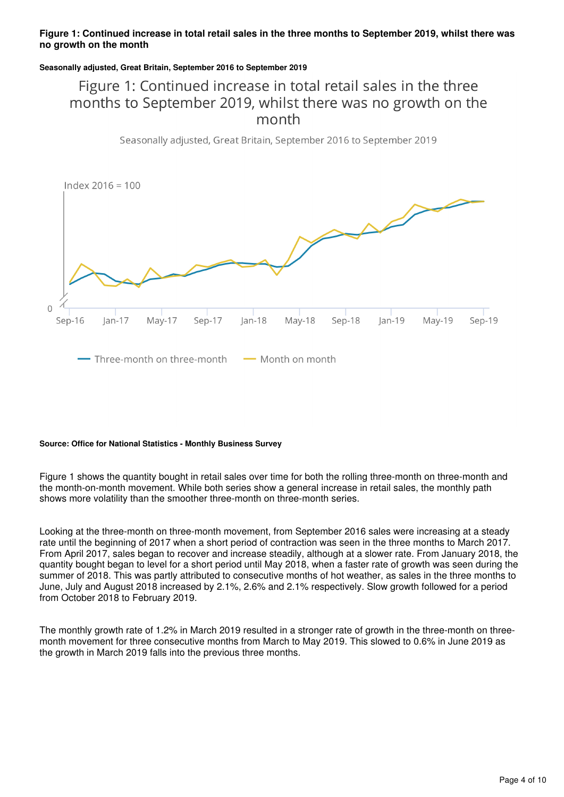### **Figure 1: Continued increase in total retail sales in the three months to September 2019, whilst there was no growth on the month**

### **Seasonally adjusted, Great Britain, September 2016 to September 2019**

### Figure 1: Continued increase in total retail sales in the three months to September 2019, whilst there was no growth on the month

Seasonally adjusted, Great Britain, September 2016 to September 2019



#### **Source: Office for National Statistics - Monthly Business Survey**

Figure 1 shows the quantity bought in retail sales over time for both the rolling three-month on three-month and the month-on-month movement. While both series show a general increase in retail sales, the monthly path shows more volatility than the smoother three-month on three-month series.

Looking at the three-month on three-month movement, from September 2016 sales were increasing at a steady rate until the beginning of 2017 when a short period of contraction was seen in the three months to March 2017. From April 2017, sales began to recover and increase steadily, although at a slower rate. From January 2018, the quantity bought began to level for a short period until May 2018, when a faster rate of growth was seen during the summer of 2018. This was partly attributed to consecutive months of hot weather, as sales in the three months to June, July and August 2018 increased by 2.1%, 2.6% and 2.1% respectively. Slow growth followed for a period from October 2018 to February 2019.

The monthly growth rate of 1.2% in March 2019 resulted in a stronger rate of growth in the three-month on threemonth movement for three consecutive months from March to May 2019. This slowed to 0.6% in June 2019 as the growth in March 2019 falls into the previous three months.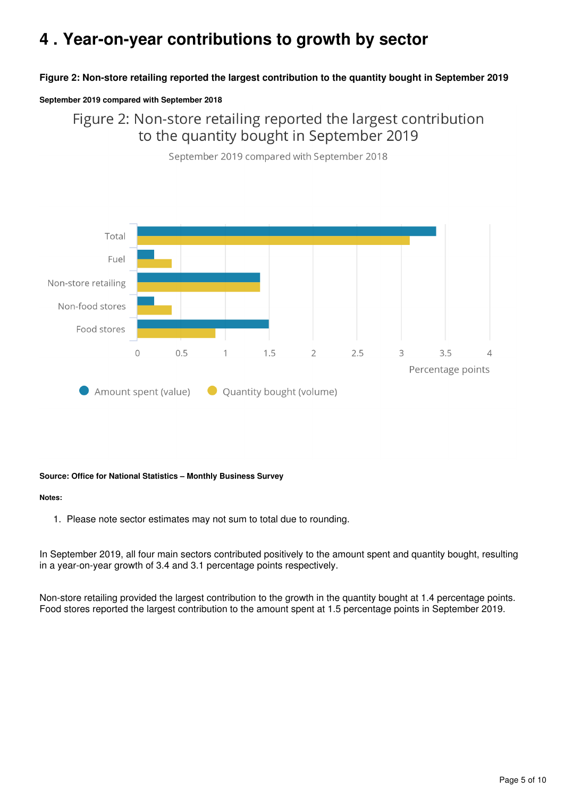# <span id="page-4-0"></span>**4 . Year-on-year contributions to growth by sector**

### **Figure 2: Non-store retailing reported the largest contribution to the quantity bought in September 2019**

#### **September 2019 compared with September 2018**

Figure 2: Non-store retailing reported the largest contribution to the quantity bought in September 2019



September 2019 compared with September 2018

### **Source: Office for National Statistics – Monthly Business Survey**

#### **Notes:**

1. Please note sector estimates may not sum to total due to rounding.

In September 2019, all four main sectors contributed positively to the amount spent and quantity bought, resulting in a year-on-year growth of 3.4 and 3.1 percentage points respectively.

Non-store retailing provided the largest contribution to the growth in the quantity bought at 1.4 percentage points. Food stores reported the largest contribution to the amount spent at 1.5 percentage points in September 2019.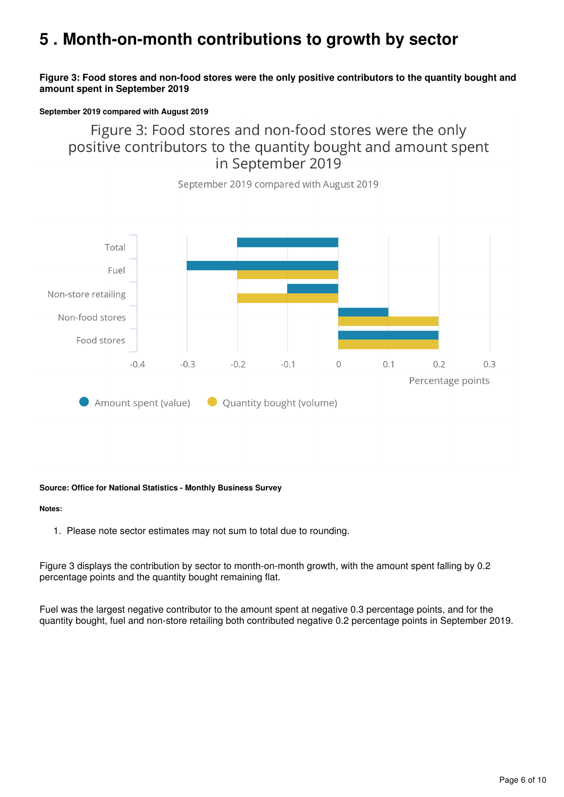# <span id="page-5-0"></span>**5 . Month-on-month contributions to growth by sector**

### **Figure 3: Food stores and non-food stores were the only positive contributors to the quantity bought and amount spent in September 2019**

#### **September 2019 compared with August 2019**

Figure 3: Food stores and non-food stores were the only positive contributors to the quantity bought and amount spent in September 2019

September 2019 compared with August 2019



#### **Source: Office for National Statistics - Monthly Business Survey**

#### **Notes:**

1. Please note sector estimates may not sum to total due to rounding.

Figure 3 displays the contribution by sector to month-on-month growth, with the amount spent falling by 0.2 percentage points and the quantity bought remaining flat.

Fuel was the largest negative contributor to the amount spent at negative 0.3 percentage points, and for the quantity bought, fuel and non-store retailing both contributed negative 0.2 percentage points in September 2019.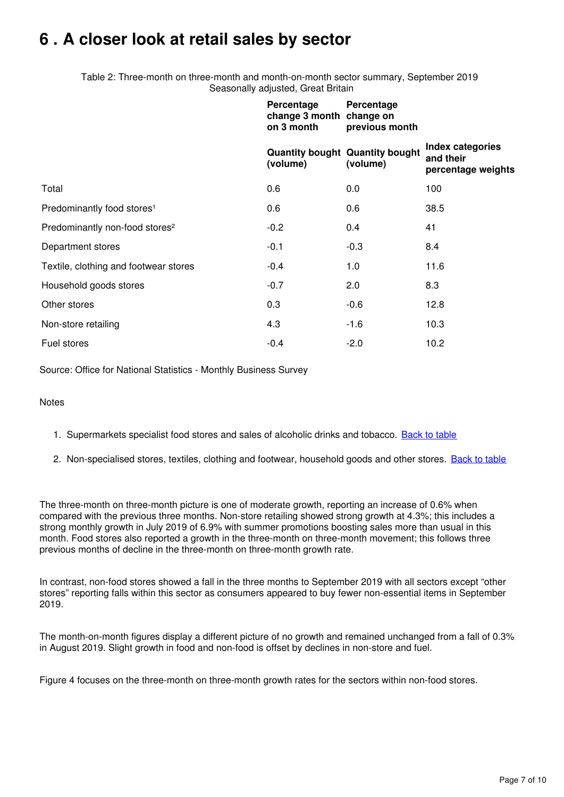# <span id="page-6-0"></span>**6 . A closer look at retail sales by sector**

Table 2: Three-month on three-month and month-on-month sector summary, September 2019 Seasonally adjusted, Great Britain

|                                            | Percentage<br>change 3 month change on<br>on 3 month | Percentage<br>previous month                       |                                                            |
|--------------------------------------------|------------------------------------------------------|----------------------------------------------------|------------------------------------------------------------|
|                                            | (volume)                                             | <b>Quantity bought Quantity bought</b><br>(volume) | <b>Index categories</b><br>and their<br>percentage weights |
| Total                                      | 0.6                                                  | 0.0                                                | 100                                                        |
| Predominantly food stores <sup>1</sup>     | 0.6                                                  | 0.6                                                | 38.5                                                       |
| Predominantly non-food stores <sup>2</sup> | $-0.2$                                               | 0.4                                                | 41                                                         |
| Department stores                          | $-0.1$                                               | $-0.3$                                             | 8.4                                                        |
| Textile, clothing and footwear stores      | $-0.4$                                               | 1.0                                                | 11.6                                                       |
| Household goods stores                     | $-0.7$                                               | 2.0                                                | 8.3                                                        |
| Other stores                               | 0.3                                                  | $-0.6$                                             | 12.8                                                       |
| Non-store retailing                        | 4.3                                                  | $-1.6$                                             | 10.3                                                       |
| Fuel stores                                | $-0.4$                                               | $-2.0$                                             | 10.2                                                       |

Source: Office for National Statistics - Monthly Business Survey

**Notes** 

- 1. Supermarkets specialist food stores and sales of alcoholic drinks and tobacco. [Back to table](#page-0-0)
- 2. Non-specialised stores, textiles, clothing and footwear, household goods and other stores. [Back to table](#page-0-0)

The three-month on three-month picture is one of moderate growth, reporting an increase of 0.6% when compared with the previous three months. Non-store retailing showed strong growth at 4.3%; this includes a strong monthly growth in July 2019 of 6.9% with summer promotions boosting sales more than usual in this month. Food stores also reported a growth in the three-month on three-month movement; this follows three previous months of decline in the three-month on three-month growth rate.

In contrast, non-food stores showed a fall in the three months to September 2019 with all sectors except "other stores" reporting falls within this sector as consumers appeared to buy fewer non-essential items in September 2019.

The month-on-month figures display a different picture of no growth and remained unchanged from a fall of 0.3% in August 2019. Slight growth in food and non-food is offset by declines in non-store and fuel.

Figure 4 focuses on the three-month on three-month growth rates for the sectors within non-food stores.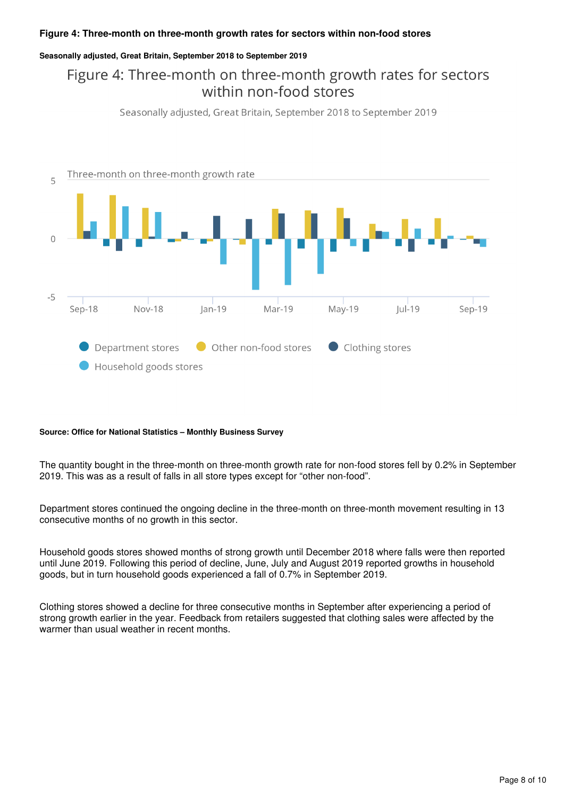### **Figure 4: Three-month on three-month growth rates for sectors within non-food stores**

### **Seasonally adjusted, Great Britain, September 2018 to September 2019**

### Figure 4: Three-month on three-month growth rates for sectors within non-food stores

Seasonally adjusted, Great Britain, September 2018 to September 2019



#### **Source: Office for National Statistics – Monthly Business Survey**

The quantity bought in the three-month on three-month growth rate for non-food stores fell by 0.2% in September 2019. This was as a result of falls in all store types except for "other non-food".

Department stores continued the ongoing decline in the three-month on three-month movement resulting in 13 consecutive months of no growth in this sector.

Household goods stores showed months of strong growth until December 2018 where falls were then reported until June 2019. Following this period of decline, June, July and August 2019 reported growths in household goods, but in turn household goods experienced a fall of 0.7% in September 2019.

Clothing stores showed a decline for three consecutive months in September after experiencing a period of strong growth earlier in the year. Feedback from retailers suggested that clothing sales were affected by the warmer than usual weather in recent months.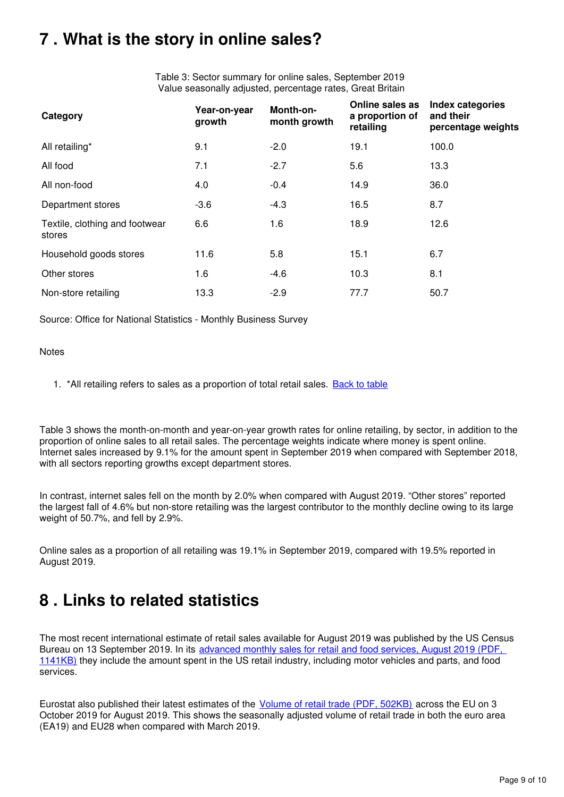# <span id="page-8-0"></span>**7 . What is the story in online sales?**

Table 3: Sector summary for online sales, September 2019 Value seasonally adjusted, percentage rates, Great Britain

| Category                                 | Year-on-year<br>growth | Month-on-<br>month growth | Online sales as<br>a proportion of<br>retailing | <b>Index categories</b><br>and their<br>percentage weights |
|------------------------------------------|------------------------|---------------------------|-------------------------------------------------|------------------------------------------------------------|
| All retailing*                           | 9.1                    | $-2.0$                    | 19.1                                            | 100.0                                                      |
| All food                                 | 7.1                    | $-2.7$                    | 5.6                                             | 13.3                                                       |
| All non-food                             | 4.0                    | $-0.4$                    | 14.9                                            | 36.0                                                       |
| Department stores                        | $-3.6$                 | $-4.3$                    | 16.5                                            | 8.7                                                        |
| Textile, clothing and footwear<br>stores | 6.6                    | 1.6                       | 18.9                                            | 12.6                                                       |
| Household goods stores                   | 11.6                   | 5.8                       | 15.1                                            | 6.7                                                        |
| Other stores                             | 1.6                    | $-4.6$                    | 10.3                                            | 8.1                                                        |
| Non-store retailing                      | 13.3                   | $-2.9$                    | 77.7                                            | 50.7                                                       |

Source: Office for National Statistics - Monthly Business Survey

### **Notes**

1. \*All retailing refers to sales as a proportion of total retail sales. **[Back to table](#page-0-0)** 

Table 3 shows the month-on-month and year-on-year growth rates for online retailing, by sector, in addition to the proportion of online sales to all retail sales. The percentage weights indicate where money is spent online. Internet sales increased by 9.1% for the amount spent in September 2019 when compared with September 2018, with all sectors reporting growths except department stores.

In contrast, internet sales fell on the month by 2.0% when compared with August 2019. "Other stores" reported the largest fall of 4.6% but non-store retailing was the largest contributor to the monthly decline owing to its large weight of 50.7%, and fell by 2.9%.

Online sales as a proportion of all retailing was 19.1% in September 2019, compared with 19.5% reported in August 2019.

## <span id="page-8-1"></span>**8 . Links to related statistics**

The most recent international estimate of retail sales available for August 2019 was published by the US Census Bureau on 13 September 2019. In its advanced monthly sales for retail and food services, August 2019 (PDF, [1141KB\)](https://www.census.gov/retail/marts/www/marts_current.pdf) they include the amount spent in the US retail industry, including motor vehicles and parts, and food services.

Eurostat also published their latest estimates of the *[Volume of retail trade \(PDF, 502KB\)](https://ec.europa.eu/eurostat/documents/2995521/10064479/4-03102019-BP-EN.pdf/49288a28-e0e0-c3e4-0fd5-50925cda04a4)* across the EU on 3 October 2019 for August 2019. This shows the seasonally adjusted volume of retail trade in both the euro area (EA19) and EU28 when compared with March 2019.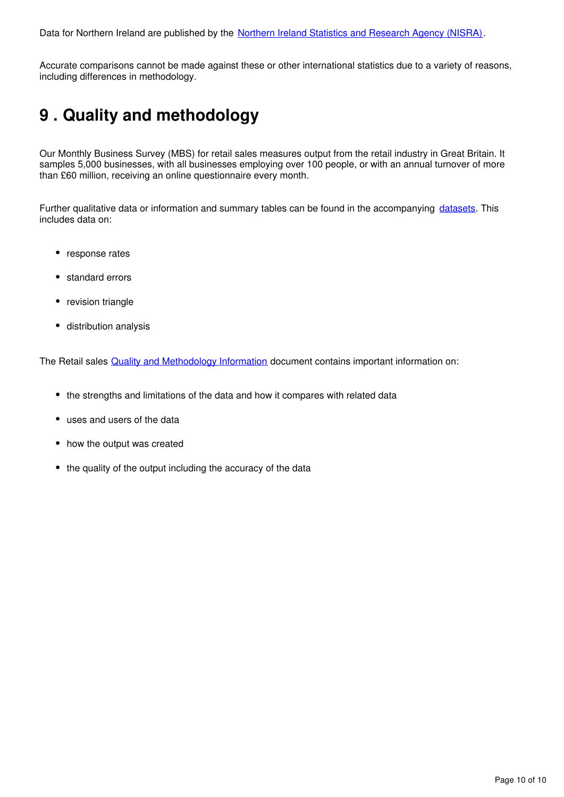Data for Northern Ireland are published by the [Northern Ireland Statistics and Research Agency \(NISRA\)](http://www.nisra.gov.uk/).

Accurate comparisons cannot be made against these or other international statistics due to a variety of reasons, including differences in methodology.

# <span id="page-9-0"></span>**9 . Quality and methodology**

Our Monthly Business Survey (MBS) for retail sales measures output from the retail industry in Great Britain. It samples 5,000 businesses, with all businesses employing over 100 people, or with an annual turnover of more than £60 million, receiving an online questionnaire every month.

Further qualitative data or information and summary tables can be found in the accompanying [datasets](https://www.ons.gov.uk/businessindustryandtrade/retailindustry/bulletins/retailsales/november2018/relateddata). This includes data on:

- response rates
- standard errors
- revision triangle
- distribution analysis

The Retail sales **Quality and Methodology Information** document contains important information on:

- the strengths and limitations of the data and how it compares with related data
- uses and users of the data
- how the output was created
- the quality of the output including the accuracy of the data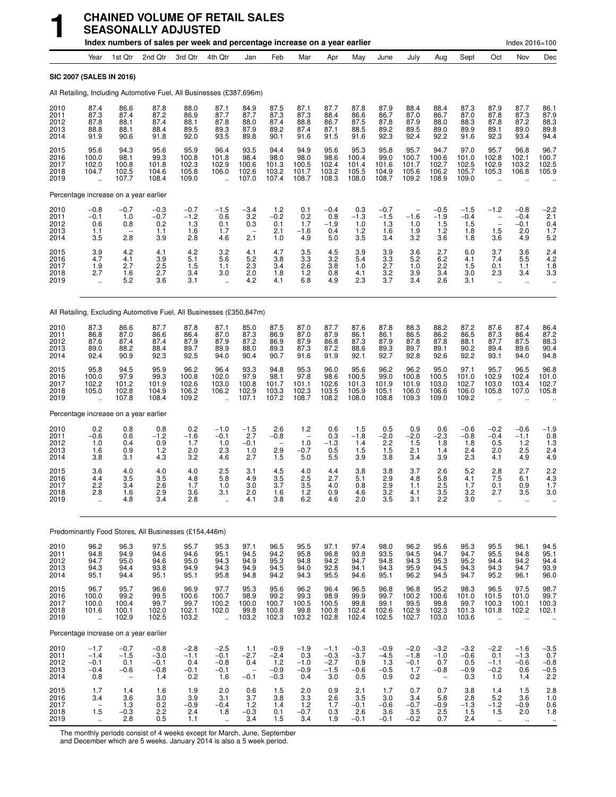|                                      |                                                                      |                                         | Index numbers of sales per week and percentage increase on a year earlier |                                          |                                                         |                                         |                                             |                                                                |                                             |                                          |                                          |                                                  |                                                               |                                          |                                                             | Index 2016=100                                          |                                          |
|--------------------------------------|----------------------------------------------------------------------|-----------------------------------------|---------------------------------------------------------------------------|------------------------------------------|---------------------------------------------------------|-----------------------------------------|---------------------------------------------|----------------------------------------------------------------|---------------------------------------------|------------------------------------------|------------------------------------------|--------------------------------------------------|---------------------------------------------------------------|------------------------------------------|-------------------------------------------------------------|---------------------------------------------------------|------------------------------------------|
|                                      | Year                                                                 | 1st Qtr                                 | 2nd Qtr                                                                   | 3rd Qtr                                  | 4th Qtr                                                 | Jan                                     | Feb                                         | Mar                                                            | Apr                                         | May                                      | June                                     | July                                             | Aug                                                           | Sept                                     | Oct                                                         | Nov                                                     | Dec                                      |
|                                      | SIC 2007 (SALES IN 2016)                                             |                                         |                                                                           |                                          |                                                         |                                         |                                             |                                                                |                                             |                                          |                                          |                                                  |                                                               |                                          |                                                             |                                                         |                                          |
|                                      | All Retailing, Including Automotive Fuel, All Businesses (£387,696m) |                                         |                                                                           |                                          |                                                         |                                         |                                             |                                                                |                                             |                                          |                                          |                                                  |                                                               |                                          |                                                             |                                                         |                                          |
| 2010<br>2011<br>2012<br>2013<br>2014 | 87.4<br>87.3<br>87.8<br>88.8<br>91.9                                 | 86.6<br>87.4<br>88.1<br>88.1<br>90.6    | 87.8<br>87.2<br>87.4<br>88.4<br>91.8                                      | 88.0<br>86.9<br>88.1<br>89.5<br>92.0     | 87.1<br>87.7<br>87.8<br>89.3<br>93.5                    | 84.9<br>87.7<br>88.0<br>87.9<br>89.8    | 87.5<br>87.3<br>87.4<br>89.2<br>90.1        | 87.1<br>87.3<br>88.8<br>87.4<br>91.6                           | 87.7<br>88.4<br>86.7<br>87.1<br>91.5        | 87.8<br>86.6<br>87.5<br>88.5<br>91.6     | 87.9<br>86.7<br>87.8<br>89.2<br>92.3     | 88.4<br>87.0<br>87.9<br>89.5<br>92.4             | 88.4<br>86.7<br>88.0<br>89.0<br>92.2                          | 87.3<br>87.0<br>88.3<br>89.9<br>91.6     | 87.9<br>87.8<br>87.8<br>89.1<br>92.3                        | 87.7<br>87.3<br>87.2<br>89.0<br>93.4                    | 86.1<br>87.9<br>88.3<br>89.8<br>94.4     |
| 2015<br>2016<br>2017<br>2018<br>2019 | 95.6<br>100.0<br>102.0<br>104.7                                      | 94.3<br>98.1<br>100.8<br>102.5<br>107.7 | 95.6<br>99.3<br>101.8<br>104.6<br>108.4                                   | 95.9<br>100.8<br>102.3<br>105.8<br>109.0 | 96.4<br>101.8<br>102.9<br>106.0<br>$\ddot{\phantom{a}}$ | 93.5<br>98.4<br>100.6<br>102.6<br>107.0 | 94.4<br>98.0<br>101.3<br>103.2<br>107.4     | 94.9<br>98.0<br>100.5<br>101.7<br>108.7                        | 95.6<br>98.6<br>102.4<br>103.2<br>108.3     | 95.3<br>100.4<br>101.4<br>105.5<br>108.0 | 95.8<br>99.0<br>101.6<br>104.9<br>108.7  | 95.7<br>100.7<br>101.7<br>105.6<br>109.2         | 94.7<br>100.6<br>102.7<br>106.2<br>108.9                      | 97.0<br>101.0<br>102.5<br>105.7<br>109.0 | 95.7<br>102.8<br>102.9<br>105.3                             | 96.8<br>102.1<br>103.2<br>106.8                         | 96.7<br>100.7<br>102.5<br>105.9          |
|                                      | Percentage increase on a year earlier                                |                                         |                                                                           |                                          |                                                         |                                         |                                             |                                                                |                                             |                                          |                                          |                                                  |                                                               |                                          |                                                             |                                                         |                                          |
| 2010<br>2011<br>2012<br>2013<br>2014 | $-0.8$<br>$-0.1$<br>0.6<br>1.1<br>3.5                                | $-0.7$<br>1.0<br>0.8<br>2.8             | $-0.3$<br>$-0.7$<br>0.2<br>1.1<br>3.9                                     | $-0.7$<br>$-1.2$<br>1.3<br>1.6<br>2.8    | $-1.5$<br>0.6<br>0.1<br>1.7<br>4.6                      | $-3.4$<br>3.2<br>0.3<br>2.1             | 1.2<br>$-0.2$<br>0.1<br>2.1<br>1.0          | 0.1<br>0.2<br>1.7<br>$-1.6$<br>4.9                             | $-0.4$<br>0.8<br>$-1.9$<br>0.4<br>5.0       | 0.3<br>$-1.3$<br>1.0<br>1.2<br>3.5       | $-0.7$<br>$-1.5$<br>1.3<br>1.6<br>3.4    | $\qquad \qquad -$<br>$-1.6$<br>1.0<br>1.9<br>3.2 | $-0.5$<br>$-1.9$<br>1.5<br>1.2<br>3.6                         | $-1.5$<br>$-0.4$<br>1.5<br>1.8<br>1.8    | $-1.2$<br>$\qquad \qquad -$<br>$\overline{a}$<br>1.5<br>3.6 | $-0.8$<br>$-0.4$<br>$-0.1$<br>2.0<br>4.9                | $-2.2$<br>2.1<br>0.4<br>1.7<br>5.2       |
| 2015<br>2016<br>2017<br>2018<br>2019 | $3.9$<br>4.7<br>1.9<br>2.7<br>$\ddotsc$                              | 4.2<br>4.1<br>2.7<br>1.6<br>5.2         | 4.1<br>3.9<br>2.5<br>2.7<br>3.6                                           | $\frac{4.2}{5.1}$<br>1.5<br>3.4<br>3.1   | 3.2<br>5.6<br>1.1<br>3.0<br>$\ddot{\phantom{a}}$        | 4.1<br>5.2<br>2.3<br>2.0<br>4.2         | 4.7<br>3.8<br>3.4<br>1.8<br>4.1             | 3.5<br>3.3<br>2.6<br>$1.2$<br>6.8                              | 4.5<br>3.2<br>3.8<br>0.8<br>4.9             | 3.9<br>5.4<br>1.0<br>4.1<br>2.3          | 3.9<br>3.3<br>2.7<br>$\frac{3.2}{3.7}$   | 3.6<br>5.2<br>1.0<br>3.9<br>3.4                  | 2.7<br>6.2<br>2.2<br>3.4<br>2.6                               | 6.0<br>4.1<br>1.5<br>3.0<br>3.1          | 3.7<br>7.4<br>0.1<br>2.3<br>ä.                              | 3.6<br>5.5<br>1.1<br>3.4<br>$\ddot{\phantom{1}}$        | 2.4<br>4.2<br>1.8<br>3.3                 |
|                                      | All Retailing, Excluding Automotive Fuel, All Businesses (£350,847m) |                                         |                                                                           |                                          |                                                         |                                         |                                             |                                                                |                                             |                                          |                                          |                                                  |                                                               |                                          |                                                             |                                                         |                                          |
| 2010<br>2011<br>2012<br>2013<br>2014 | 87.3<br>86.8<br>87.6<br>89.0<br>92.4                                 | 86.6<br>87.0<br>87.4<br>88.2<br>90.9    | 87.7<br>86.6<br>87.4<br>88.4<br>92.3                                      | 87.8<br>86.4<br>87.9<br>89.7<br>92.5     | 87.1<br>87.0<br>87.9<br>89.9<br>94.0                    | 85.0<br>87.3<br>87.2<br>88.0<br>90.4    | 87.5<br>86.9<br>86.9<br>89.3<br>90.7        | 87.0<br>87.0<br>87.9<br>87.3<br>91.6                           | 87.7<br>87.9<br>86.8<br>87.2<br>91.9        | 87.6<br>86.1<br>87.3<br>88.6<br>92.1     | 87.8<br>86.1<br>87.9<br>89.3<br>92.7     | 88.3<br>86.5<br>87.8<br>89.7<br>92.8             | 88.2<br>86.2<br>87.8<br>89.1<br>92.6                          | 87.2<br>86.5<br>88.1<br>90.2<br>92.2     | 87.6<br>87.3<br>87.7<br>89.4<br>93.1                        | 87.4<br>86.4<br>87.5<br>89.6<br>94.0                    | 86.4<br>87.2<br>88.3<br>90.4<br>94.8     |
| 2015<br>2016<br>2017<br>2018<br>2019 | 95.8<br>100.0<br>102.2<br>105.0                                      | 94.5<br>97.9<br>101.2<br>102.8<br>107.8 | 95.9<br>99.3<br>101.9<br>104.9<br>108.4                                   | 96.2<br>100.8<br>102.6<br>106.2<br>109.2 | 96.4<br>102.0<br>103.0<br>106.2<br>$\ddot{\phantom{a}}$ | 93.3<br>97.9<br>100.8<br>102.9<br>107.1 | 94.8<br>98.1<br>101.7<br>103.3<br>107.2     | 95.3<br>97.8<br>101.1<br>102.3<br>108.7                        | 96.0<br>98.6<br>102.6<br>103.5<br>108.2     | 95.6<br>100.5<br>101.3<br>105.9<br>108.0 | 96.2<br>99.0<br>101.9<br>105.1<br>108.8  | 96.2<br>100.8<br>101.9<br>106.0<br>109.3         | 95.0<br>100.5<br>103.0<br>106.6<br>109.0                      | 97.1<br>101.0<br>102.7<br>106.0<br>109.2 | 95.7<br>102.9<br>103.0<br>105.8                             | 96.5<br>102.4<br>103.4<br>107.0                         | 96.8<br>101.0<br>102.7<br>105.8          |
|                                      | Percentage increase on a year earlier                                |                                         |                                                                           |                                          |                                                         |                                         |                                             |                                                                |                                             |                                          |                                          |                                                  |                                                               |                                          |                                                             |                                                         |                                          |
| 2010<br>2011<br>2012<br>2013<br>2014 | 0.2<br>$-0.6$<br>1.0<br>1.6<br>3.8                                   | 0.8<br>0.6<br>0.4<br>0.9<br>3.1         | 0.8<br>$-1.2$<br>0.9<br>$1.2$<br>4.3                                      | 0.2<br>$-1.6$<br>1.7<br>2.0<br>3.2       | $-1.0$<br>$-0.1$<br>1.0<br>2.3<br>4.6                   | $-1.5$<br>2.7<br>$-0.1$<br>1.0<br>2.7   | 2.6<br>$-0.8$<br>2.9<br>1.5                 | 1.2<br>1.0<br>$-0.7$<br>5.0                                    | 0.6<br>0.3<br>$-1.3$<br>0.5<br>5.5          | 1.5<br>$-1.8$<br>1.4<br>1.5<br>3.9       | 0.5<br>$-2.0$<br>2.2<br>1.5<br>3.8       | 0.9<br>$-2.0$<br>1.5<br>2.1<br>3.4               | 0.6<br>$-2.3$<br>1.8<br>1.4<br>3.9                            | $-0.6$<br>$-0.8$<br>1.8<br>2.4<br>2.3    | $-0.2$<br>$-0.4$<br>0.5<br>2.0<br>4.1                       | $-0.6$<br>$-1.1$<br>1.2<br>2.5<br>4.9                   | $-1.9$<br>0.8<br>1.3<br>2.4<br>4.9       |
| 2015<br>2016<br>2017<br>2018<br>2019 | 3.6<br>4.4<br>2.2<br>2.8                                             | 4.0<br>3.5<br>3.4<br>1.6<br>4.8         | 4.0<br>3.5<br>2.6<br>$\frac{2.9}{3.4}$                                    | 4.0<br>4.8<br>1.7<br>3.6<br>2.8          | 2.5<br>5.8<br>1.0<br>3.1                                | 3.1<br>4.9<br>3.0<br>$^{2.0}_{4.1}$     | 4.5<br>3.5<br>3.7<br>1.6<br>3.8             | 4.0<br>2.5<br>3.5<br>$\begin{array}{c} 1.2 \\ 6.2 \end{array}$ | 4.4<br>2.7<br>4.0<br>0.9<br>4.6             | 3.8<br>5.1<br>0.8<br>$\frac{4.6}{2.0}$   | 3.8<br>2.9<br>2.9<br>$\frac{3.2}{3.5}$   | 3.7<br>4.8<br>1.1<br>4.1<br>3.1                  | 2.6<br>5.8<br>2.5<br>$\frac{3.5}{2.2}$                        | 5.2<br>4.1<br>1.7<br>$\frac{3.2}{3.0}$   | 2.8<br>7.5<br>0.1<br>2.7                                    | 2.7<br>6.1<br>0.9<br>3.5                                | 2.2<br>4.3<br>1.7<br>3.0                 |
|                                      | Predominantly Food Stores, All Businesses (£154,446m)                |                                         |                                                                           |                                          |                                                         |                                         |                                             |                                                                |                                             |                                          |                                          |                                                  |                                                               |                                          |                                                             |                                                         |                                          |
| 2010                                 | 96.2                                                                 | 96.3                                    | 97.5                                                                      | 95.7                                     | 95.3                                                    | 97.1                                    | 96.5                                        | 95.5                                                           | 97.1                                        | 97.4                                     | 98.0                                     | 96.2                                             | 95.6                                                          | 95.3                                     | 95.5                                                        | 96.1                                                    |                                          |
| 2011<br>2012<br>2013<br>2014         | $\frac{94.8}{94.7}$<br>94.3<br>95.1                                  | 94.9<br>95.0<br>94.4<br>94.4            | 94.6<br>94.6<br>93.8<br>95.1                                              | 94.6<br>95.0<br>94.9<br>95.1             | 95.1<br>94.3<br>94.3<br>95.8                            | 94.5<br>94.9<br>94.9<br>94.8            | $\frac{94.2}{95.3}$<br>94.5<br>94.2         | 95.8<br>94.8<br>94.0<br>94.3                                   | 96.8<br>94.2<br>92.8<br>95.5                | 93.8<br>94.7<br>94.1<br>94.6             | 93.5<br>94.8<br>94.3<br>95.1             | 94.5<br>94.3<br>95.9<br>96.2                     | 94.7<br>95.3<br>94.5<br>94.5                                  | 94.7<br>95.2<br>94.3<br>94.7             | 95.5<br>94.4<br>94.3<br>95.2                                | 94.8<br>94.2<br>94.7<br>96.1                            | 94.5<br>95.1<br>94.4<br>93.9<br>96.0     |
| 2015<br>2016<br>2017<br>2018<br>2019 | 96.7<br>100.0<br>100.0<br>101.6<br>$\ddot{\phantom{a}}$              | 95.7<br>99.2<br>100.4<br>100.1<br>102.9 | 96.6<br>99.5<br>99.7<br>102.0<br>102.5                                    | 96.9<br>100.6<br>99.7<br>102.1<br>103.2  | 97.7<br>100.7<br>100.2<br>102.0<br>$\ddot{\phantom{1}}$ | 95.3<br>98.9<br>100.0<br>99.8<br>103.2  | 95.6<br>99.2<br>100.7<br>100.8<br>102.3     | 96.2<br>99.3<br>100.5<br>99.8<br>103.2                         | 96.4<br>98.9<br>100.5<br>100.8<br>102.8     | 96.5<br>99.9<br>99.8<br>102.4<br>102.4   | 96.8<br>99.7<br>99.1<br>102.6<br>102.5   | 96.8<br>100.2<br>99.5<br>102.9<br>102.7          | 95.2<br>100.6<br>99.8<br>102.3<br>103.0                       | 98.3<br>101.0<br>99.7<br>101.3<br>103.6  | 96.5<br>101.5<br>100.3<br>101.8<br>$\ddot{\phantom{a}}$     | 97.5<br>101.0<br>100.1<br>102.2<br>$\ddot{\phantom{a}}$ | 98.7<br>99.7<br>100.3<br>102.1           |
|                                      | Percentage increase on a year earlier                                |                                         |                                                                           |                                          |                                                         |                                         |                                             |                                                                |                                             |                                          |                                          |                                                  |                                                               |                                          |                                                             |                                                         |                                          |
| 2010<br>2011<br>2012<br>2013<br>2014 | $-1.7$<br>$-1.4$<br>$-0.1$<br>$-0.4$<br>0.8                          | $-0.7$<br>$-1.5$<br>0.1<br>$-0.6$       | $-0.8$<br>$-3.0$<br>$-0.1$<br>$-0.8$<br>1.4                               | $-2.8$<br>$-1.1$<br>0.4<br>$-0.1$<br>0.2 | $-2.5$<br>$-0.1$<br>$-0.8$<br>$-0.1$<br>1.6             | 1.1<br>$-2.7$<br>0.4<br>$-0.1$          | $-0.9$<br>$-2.4$<br>1.2<br>$-0.9$<br>$-0.3$ | $-1.9$<br>0.3<br>$-1.0$<br>$-0.9$<br>0.4                       | $-1.1$<br>$-0.3$<br>$-2.7$<br>$-1.5$<br>3.0 | $-0.3$<br>$-3.7$<br>0.9<br>$-0.6$<br>0.5 | $-0.9$<br>$-4.5$<br>1.3<br>$-0.5$<br>0.9 | $-2.0$<br>$-1.8$<br>$-0.1$<br>1.7<br>0.2         | $-3.2$<br>$-1.0$<br>0.7<br>$-0.8$<br>$\overline{\phantom{a}}$ | $-3.2$<br>$-0.6$<br>0.5<br>$-0.9$<br>0.3 | $-2.2$<br>0.1<br>$-1.1$<br>$-0.2$<br>1.0                    | $-1.6$<br>$-1.3$<br>$-0.6$<br>0.6<br>1.4                | $-3.5$<br>0.7<br>$-0.8$<br>$-0.5$<br>2.2 |
| 2015<br>2016<br>2017<br>2018<br>2019 | 1.7<br>3.4<br>$\overline{\phantom{a}}$<br>1.5<br>$\ddotsc$           | 1.4<br>3.6<br>1.3<br>$-0.3$<br>2.8      | 1.6<br>3.0<br>0.2<br>2.2<br>0.5                                           | 1.9<br>3.9<br>$-0.9$<br>2.4<br>1.1       | 2.0<br>3.1<br>$-0.4$<br>1.8<br>$\ddotsc$                | 0.6<br>3.7<br>1.2<br>$-0.3$<br>3.4      | 1.5<br>3.8<br>1.4<br>0.1<br>1.5             | 2.0<br>3.3<br>$\frac{1.2}{-0.7}$<br>3.4                        | 0.9<br>2.6<br>1.7<br>0.3<br>1.9             | 2.1<br>3.5<br>$-0.1$<br>2.6<br>$-0.1$    | 1.7<br>3.0<br>$-0.6$<br>3.6<br>$-0.1$    | 0.7<br>$3.4 - 0.7$<br>3.5<br>$-0.2$              | 0.7<br>5.8<br>$-0.9$<br>2.5<br>0.7                            | 3.8<br>2.8<br>$-1.3$<br>1.5<br>2.4       | 1.4<br>5.2<br>$-1.2$<br>1.5<br>$\mathcal{L}_{\mathcal{F}}$  | 1.5<br>3.6<br>$-0.9$<br>2.0<br>$\sim$                   | $2.8$<br>1.0<br>0.6<br>1.8<br>$\ddotsc$  |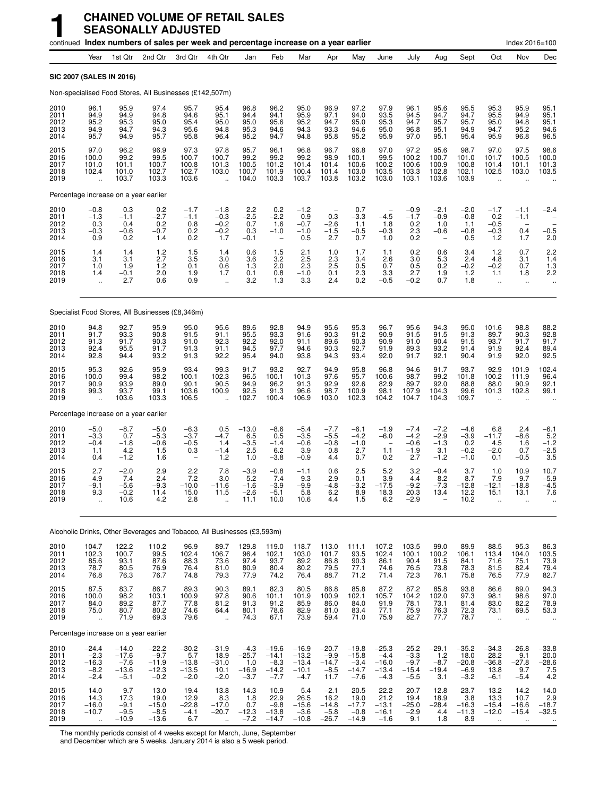|                                      |                                                       |                                                   | continued Index numbers of sales per week and percentage increase on a year earlier |                                                |                                                         |                                               |                                                          |                                                    |                                                |                                                   |                                                   |                                                                   |                                             |                                                |                                                      | Index 2016=100                                  |                                          |
|--------------------------------------|-------------------------------------------------------|---------------------------------------------------|-------------------------------------------------------------------------------------|------------------------------------------------|---------------------------------------------------------|-----------------------------------------------|----------------------------------------------------------|----------------------------------------------------|------------------------------------------------|---------------------------------------------------|---------------------------------------------------|-------------------------------------------------------------------|---------------------------------------------|------------------------------------------------|------------------------------------------------------|-------------------------------------------------|------------------------------------------|
|                                      | Year                                                  | 1st Qtr                                           | 2nd Qtr                                                                             | 3rd Qtr                                        | 4th Qtr                                                 | Jan                                           | Feb                                                      | Mar                                                | Apr                                            | May                                               | June                                              | July                                                              | Aug                                         | Sept                                           | Oct                                                  | Nov                                             | Dec                                      |
|                                      | SIC 2007 (SALES IN 2016)                              |                                                   |                                                                                     |                                                |                                                         |                                               |                                                          |                                                    |                                                |                                                   |                                                   |                                                                   |                                             |                                                |                                                      |                                                 |                                          |
|                                      |                                                       |                                                   | Non-specialised Food Stores, All Businesses (£142,507m)                             |                                                |                                                         |                                               |                                                          |                                                    |                                                |                                                   |                                                   |                                                                   |                                             |                                                |                                                      |                                                 |                                          |
| 2010<br>2011<br>2012<br>2013<br>2014 | 96.1<br>94.9<br>95.2<br>94.9<br>95.7                  | 95.9<br>94.9<br>95.3<br>94.7<br>94.9              | 97.4<br>94.8<br>95.0<br>94.3<br>95.7                                                | 95.7<br>94.6<br>95.4<br>95.6<br>95.8           | 95.4<br>95.1<br>95.0<br>94.8<br>96.4                    | 96.8<br>94.4<br>95.0<br>95.3<br>95.2          | 96.2<br>94.1<br>95.6<br>94.6<br>94.7                     | 95.0<br>95.9<br>95.2<br>94.3<br>94.8               | 96.9<br>97.1<br>94.7<br>93.3<br>95.8           | 97.2<br>94.0<br>95.0<br>94.6<br>95.2              | 97.9<br>93.5<br>95.3<br>95.0<br>95.9              | 96.1<br>94.5<br>94.7<br>96.8<br>97.0                              | 95.6<br>94.7<br>95.7<br>95.1<br>95.1        | 95.5<br>94.7<br>95.7<br>94.9<br>95.4           | 95.3<br>95.5<br>95.0<br>94.7<br>95.9                 | 95.9<br>94.9<br>94.8<br>95.2<br>96.8            | 95.1<br>95.1<br>95.1<br>94.6<br>96.5     |
| 2015<br>2016<br>2017<br>2018<br>2019 | 97.0<br>100.0<br>101.0<br>102.4                       | 96.2<br>99.2<br>101.1<br>101.0<br>103.7           | 96.9<br>99.5<br>100.7<br>102.7<br>103.3                                             | 97.3<br>100.7<br>100.8<br>102.7<br>103.6       | 97.8<br>100.7<br>101.3<br>103.0<br>$\ddot{\phantom{a}}$ | 95.7<br>99.2<br>100.5<br>100.7<br>104.0       | 96.1<br>99.2<br>101.2<br>101.9<br>103.3                  | 96.8<br>99.2<br>101.4<br>100.4<br>103.7            | 96.7<br>98.9<br>101.4<br>101.4<br>103.8        | 96.8<br>100.1<br>100.6<br>103.0<br>103.2          | 97.0<br>99.5<br>100.2<br>103.5<br>103.0           | 97.2<br>100.2<br>100.6<br>103.3<br>103.1                          | 95.6<br>100.7<br>100.9<br>102.8<br>103.6    | 98.7<br>101.0<br>100.8<br>102.1<br>103.9       | 97.0<br>101.7<br>101.4<br>102.5                      | 97.5<br>100.5<br>101.1<br>103.0                 | 98.6<br>100.0<br>101.3<br>103.5          |
|                                      | Percentage increase on a year earlier                 |                                                   |                                                                                     |                                                |                                                         |                                               |                                                          |                                                    |                                                |                                                   |                                                   |                                                                   |                                             |                                                |                                                      |                                                 |                                          |
| 2010<br>2011<br>2012<br>2013<br>2014 | $-0.8$<br>$-1.3$<br>0.3<br>$-0.3$<br>0.9              | 0.3<br>$-1.1$<br>0.4<br>$-0.6$<br>0.2             | $^{0.2}_{-2.7}$<br>0.2<br>$-0.7$<br>1.4                                             | $-1.7$<br>$-1.1$<br>0.8<br>0.2<br>0.2          | $-1.8$<br>$-0.3$<br>$-0.2$<br>$-0.2$<br>1.7             | $^{2.2}_{-2.5}$<br>0.7<br>0.3<br>$-0.1$       | $0.2 - 2.2$<br>1.6<br>$-1.0$<br>$\overline{\phantom{a}}$ | $-1.2$<br>0.9<br>$-0.7$<br>$-1.0$<br>0.5           | 0.3<br>$-2.6$<br>$-1.5$<br>2.7                 | 0.7<br>$-3.3$<br>1.1<br>$-0.5$<br>0.7             | $-4.5$<br>1.8<br>$-0.3$<br>1.0                    | $-0.9$<br>$-1.7$<br>0.2<br>2.3<br>0.2                             | $-2.1$<br>$-0.9$<br>1.0<br>$-0.6$           | $-2.0$<br>$-0.8$<br>1.1<br>$-0.8$<br>0.5       | $-1.7$<br>0.2<br>$-0.5$<br>$-0.3$<br>1.2             | $-1.1$<br>$-1.1$<br>0.4<br>1.7                  | $-2.4$<br>$-0.5$<br>2.0                  |
| 2015<br>2016<br>2017<br>2018<br>2019 | $1.4$<br>3.1<br>1.0<br>1.4<br>$\ddot{\phantom{a}}$    | 1.4<br>3.1<br>1.9<br>$-0.1$<br>2.7                | $^{1.2}_{2.7}$<br>1.2<br>2.0<br>0.6                                                 | $\frac{1.5}{3.5}$<br>0.1<br>1.9<br>0.9         | $\frac{1.4}{3.0}$<br>0.6<br>1.7<br>$\ddot{\phantom{a}}$ | 0.6<br>3.6<br>1.3<br>0.1<br>3.2               | $\frac{1.5}{3.2}$<br>2.0<br>0.8<br>1.3                   | 2.1<br>2.5<br>2.3<br>$-1.0$<br>3.3                 | $\frac{1.0}{2.3}$<br>2.5<br>0.1<br>2.4         | 1.7<br>3.4<br>0.5<br>2.3<br>0.2                   | 1.1<br>2.6<br>0.7<br>3.3<br>$-0.5$                | $\begin{array}{c} 0.2 \\ 3.0 \end{array}$<br>0.5<br>2.7<br>$-0.2$ | 0.6<br>5.3<br>0.2<br>1.9<br>0.7             | 3.4<br>2.4<br>$-0.2$<br>1.2<br>1.8             | 1.2<br>4.8<br>$-0.2$<br>1.1<br>ä,                    | 0.7<br>3.1<br>0.7<br>1.8<br>ä.                  | 2.2<br>1.4<br>1.3<br>2.2<br>             |
|                                      |                                                       |                                                   | Specialist Food Stores, All Businesses (£8,346m)                                    |                                                |                                                         |                                               |                                                          |                                                    |                                                |                                                   |                                                   |                                                                   |                                             |                                                |                                                      |                                                 |                                          |
| 2010<br>2011<br>2012<br>2013<br>2014 | 94.8<br>91.7<br>91.3<br>92.4<br>92.8                  | 92.7<br>93.3<br>91.7<br>95.5<br>94.4              | 95.9<br>90.8<br>90.3<br>91.7<br>93.2                                                | 95.0<br>91.5<br>91.0<br>91.3<br>91.3           | 95.6<br>91.1<br>92.3<br>91.1<br>92.2                    | 89.6<br>95.5<br>92.2<br>94.5<br>95.4          | 92.8<br>93.3<br>92.0<br>97.7<br>94.0                     | 94.9<br>91.6<br>91.1<br>94.6<br>93.8               | 95.6<br>90.3<br>89.6<br>90.3<br>94.3           | 95.3<br>91.2<br>90.3<br>92.7<br>93.4              | 96.7<br>90.9<br>90.9<br>91.9<br>92.0              | 95.6<br>91.5<br>91.0<br>89.3<br>91.7                              | 94.3<br>91.5<br>90.4<br>93.2<br>92.1        | 95.0<br>91.3<br>91.5<br>91.4<br>90.4           | 101.6<br>89.7<br>93.7<br>91.9<br>91.9                | 98.8<br>90.3<br>91.7<br>92.4<br>92.0            | 88.2<br>92.8<br>91.7<br>89.4<br>92.5     |
| 2015<br>2016<br>2017<br>2018<br>2019 | 95.3<br>100.0<br>90.9<br>99.3<br>$\ddotsc$            | 92.6<br>99.4<br>93.9<br>93.7<br>103.6             | 95.9<br>98.2<br>89.0<br>99.1<br>103.3                                               | 93.4<br>100.1<br>90.1<br>103.6<br>106.5        | 99.3<br>102.3<br>90.5<br>100.9                          | 91.7<br>96.5<br>94.9<br>92.5<br>102.7         | 93.2<br>100.1<br>96.2<br>91.3<br>100.4                   | 92.7<br>101.3<br>91.3<br>96.6<br>106.9             | 94.9<br>97.6<br>92.9<br>98.7<br>103.0          | 95.8<br>95.7<br>92.6<br>100.9<br>102.3            | 96.8<br>100.6<br>82.9<br>98.1<br>104.2            | 94.6<br>98.7<br>89.7<br>107.9<br>104.7                            | 91.7<br>99.2<br>92.0<br>104.3<br>104.3      | 93.7<br>101.8<br>88.8<br>99.6<br>109.7         | 92.9<br>100.2<br>88.0<br>101.3                       | 101.9<br>111.9<br>90.9<br>102.8                 | 102.4<br>96.4<br>92.1<br>99.1            |
|                                      | Percentage increase on a year earlier                 |                                                   |                                                                                     |                                                |                                                         |                                               |                                                          |                                                    |                                                |                                                   |                                                   |                                                                   |                                             |                                                |                                                      |                                                 |                                          |
| 2010<br>2011<br>2012<br>2013<br>2014 | $-5.0$<br>$-3.3$<br>$-0.4$<br>1.1<br>0.4              | $-8.7$<br>0.7<br>$-1.8$<br>4.2<br>$-1.2$          | $-5.0$<br>$-5.3$<br>$-0.6$<br>1.5<br>1.6                                            | $-6.3$<br>$-3.7$<br>$-0.5$<br>0.3              | 0.5<br>$-4.7$<br>1.4<br>$-1.4$<br>1.2                   | $-13.0$<br>6.5<br>$-3.5$<br>2.5<br>1.0        | $-8.6$<br>0.5<br>$-1.4$<br>6.2<br>$-3.8$                 | $-5.4$<br>$-3.5$<br>$-0.6$<br>3.9<br>$-0.9$        | $-7.7$<br>$-5.5$<br>$-0.8$<br>0.8<br>4.4       | $-6.1$<br>$-4.2$<br>$-1.0$<br>2.7<br>0.7          | $-1.9$<br>$-6.0$<br>1.1<br>0.2                    | $-7.4$<br>$-4.2$<br>$-0.6$<br>$-1.9$<br>2.7                       | $-7.2$<br>$-2.9$<br>$-1.3$<br>3.1<br>$-1.2$ | $-4.6$<br>$-3.9$<br>0.2<br>$-0.2$<br>$-1.0$    | 6.8<br>$-11.7$<br>4.5<br>$-2.0$<br>0.1               | 2.4<br>$-8.6$<br>1.6<br>0.7<br>$-0.5$           | $-6.1$<br>5.2<br>$-1.2$<br>$-2.5$<br>3.5 |
| 2015<br>2016<br>2017<br>2018<br>2019 | 2.7<br>4.9<br>$-9.1$<br>9.3                           | $-2.0$<br>7.4<br>$-5.6$<br>$-0.2$<br>10.6         | 2.9<br>2.4<br>$-9.3$<br>11.4<br>4.2                                                 | 2.2<br>7.2<br>$-10.0$<br>15.0<br>2.8           | 7.8<br>3.0<br>$-11.6$<br>11.5                           | $-3.9$<br>5.2<br>$-1.6$<br>$-2.6$<br>11.1     | $-0.8$<br>7.4<br>$-3.9$<br>-5.1<br>10.0                  | $-1.1$<br>9.3<br>$-9.9$<br>5.8<br>10.6             | 0.6<br>2.9<br>$-4.8$<br>6.2<br>4.4             | 2.5<br>$-0.1$<br>$-3.2$<br>8.9<br>1.5             | 5.2<br>3.9<br>$-17.5$<br>18.3<br>6.2              | 3.2<br>4.4<br>$-9.2$<br>20.3<br>$-2.9$                            | $-0.4$<br>8.2<br>$-7.3$<br>13.4             | 3.7<br>8.7<br>$-12.8$<br>12.2<br>10.2          | 1.0<br>7.9<br>$-12.1$<br>15.1                        | 10.9<br>9.7<br>$-18.8$<br>13.1                  | 10.7<br>$-5.9$<br>$-4.5$<br>7.6          |
|                                      |                                                       |                                                   | Alcoholic Drinks, Other Beverages and Tobacco, All Businesses (£3,593m)             |                                                |                                                         |                                               |                                                          |                                                    |                                                |                                                   |                                                   |                                                                   |                                             |                                                |                                                      |                                                 |                                          |
| 2010<br>2011<br>2012<br>2013<br>2014 | 104.7<br>102.3<br>85.6<br>78.7<br>76.8                | 122.2<br>$\frac{100.7}{93.1}$<br>80.5<br>76.3     | 110.2<br>99.5<br>87.6<br>76.9<br>76.7                                               | 96.9<br>102.4<br>88.3<br>76.4<br>74.8          | 89.7<br>106.7<br>73.6<br>81.0<br>79.3                   | 129.8<br>96.4<br>97.4<br>80.9<br>77.9         | 119.0<br>102.1<br>93.7<br>80.4<br>74.2                   | 118.7<br>103.0<br>89.2<br>80.2<br>76.4             | 113.0<br>101.7<br>86.8<br>79.5<br>88.7         | 111.1<br>93.5<br>90.3<br>77.1<br>71.2             | 107.2<br>102.4<br>86.1<br>74.6<br>71.4            | 103.5<br>100.1<br>90.4<br>76.5<br>72.3                            | 99.0<br>100.2<br>91.5<br>73.8<br>76.1       | 89.9<br>106.1<br>84.1<br>78.3<br>75.8          | 88.5<br>113.4<br>71.6<br>81.5<br>76.5                | 95.3<br>104.0<br>75.1<br>82.4<br>77.9           | 86.3<br>103.5<br>73.9<br>79.4<br>82.7    |
| 2015<br>2016<br>2017<br>2018<br>2019 | 87.5<br>100.0<br>84.0<br>75.0<br>$\ddot{\phantom{1}}$ | 83.7<br>98.2<br>89.2<br>80.7<br>71.9              | 86.7<br>103.1<br>87.7<br>80.2<br>69.3                                               | 89.3<br>100.9<br>77.8<br>74.6<br>79.6          | 90.3<br>97.8<br>81.2<br>64.4<br>$\mathbf{r}$            | 89.1<br>90.6<br>91.3<br>80.1<br>74.3          | 82.3<br>101.1<br>91.2<br>78.6<br>67.1                    | 80.5<br>101.9<br>85.9<br>82.9<br>73.9              | 86.8<br>100.9<br>86.0<br>81.0<br>59.4          | 85.8<br>102.1<br>84.0<br>83.4<br>71.0             | 87.2<br>105.7<br>91.9<br>77.1<br>75.9             | 87.2<br>104.2<br>78.1<br>75.9<br>82.7                             | 85.8<br>102.0<br>73.1<br>76.3<br>77.7       | 93.8<br>97.3<br>81.4<br>72.3<br>78.7           | 86.6<br>98.1<br>83.0<br>73.1<br>$\ddot{\phantom{a}}$ | 89.0<br>98.6<br>82.2<br>69.5<br>$\ddotsc$       | $94.3$<br>$97.0$<br>78.9<br>53.3         |
|                                      | Percentage increase on a year earlier                 |                                                   |                                                                                     |                                                |                                                         |                                               |                                                          |                                                    |                                                |                                                   |                                                   |                                                                   |                                             |                                                |                                                      |                                                 |                                          |
| 2010<br>2011<br>2012<br>2013<br>2014 | $-24.4$<br>$-2.3$<br>$-16.3$<br>$-8.2$<br>$-2.4$      | $-14.0$<br>$-17.6$<br>$-7.6$<br>$-13.6$<br>$-5.1$ | $-22.2$<br>$-9.7$<br>$-11.9$<br>$-12.3$<br>$-0.2$                                   | $-30.2$<br>5.7<br>$-13.8$<br>$-13.5$<br>$-2.0$ | $-31.9$<br>18.9<br>$-31.0$<br>10.1<br>$-2.0$            | $-4.3$<br>$-25.7$<br>1.0<br>$-16.9$<br>$-3.7$ | $-19.6$<br>$-14.1$<br>$-8.3$<br>$-14.2$<br>$-7.7$        | $-16.9$<br>$-13.2$<br>$-13.4$<br>$-10.1$<br>$-4.7$ | $-20.7$<br>$-9.9$<br>$-14.7$<br>$-8.5$<br>11.7 | $-19.8$<br>$-15.8$<br>$-3.4$<br>$-14.7$<br>$-7.6$ | $-25.3$<br>$-4.4$<br>$-16.0$<br>$-13.4$<br>$-4.3$ | $-25.2$<br>$-3.3$<br>$-9.7$<br>$-15.4$<br>$-5.5$                  | $-29.1$<br>1.2<br>$-8.7$<br>$-19.4$<br>3.1  | $-35.2$<br>18.0<br>$-20.8$<br>$-6.9$<br>$-3.2$ | $-34.3$<br>28.2<br>$-36.8$<br>13.8<br>$-6.1$         | $-26.8$<br>9.1<br>$-27.8$<br>9.7<br>$-5.4$      | $-33.8$<br>20.0<br>$-28.6$<br>7.5<br>4.2 |
| 2015<br>2016<br>2017<br>2018<br>2019 | 14.0<br>14.3<br>$-16.0$<br>$-10.7$<br>$\ddotsc$       | 9.7<br>17.3<br>$-9.1$<br>$-9.5$<br>$-10.9$        | 13.0<br>19.0<br>$-15.0$<br>$-8.5$<br>$-13.6$                                        | 19.4<br>12.9<br>$-22.8$<br>$-4.1$<br>6.7       | 13.8<br>8.3<br>$-17.0$<br>$-20.7$                       | 14.3<br>1.8<br>0.7<br>$-12.3$<br>$-7.2$       | 10.9<br>22.9<br>$-9.8$<br>$-13.8$<br>$-14.7$             | 5.4<br>26.5<br>$-15.6$<br>$-3.6$<br>$-10.8$        | $-2.1$<br>16.2<br>$-14.8$<br>$-5.8$<br>$-26.7$ | 20.5<br>19.0<br>$-17.7$<br>$-0.8$<br>$-14.9$      | 22.2<br>21.2<br>$-13.1$<br>$-16.1$<br>$-1.6$      | 20.7<br>19.4<br>$-25.0$<br>$-2.9$<br>9.1                          | 12.8<br>18.9<br>$-28.4$<br>4.4<br>1.8       | 23.7<br>3.8<br>$-16.3$<br>$-11.3$<br>8.9       | 13.2<br>13.3<br>$-15.4$<br>$-12.0$<br>$\cdot$ .      | 14.2<br>10.7<br>$-16.6$<br>$-15.4$<br>$\ddotsc$ | 14.0<br>2.9<br>$-18.7$<br>$-32.5$        |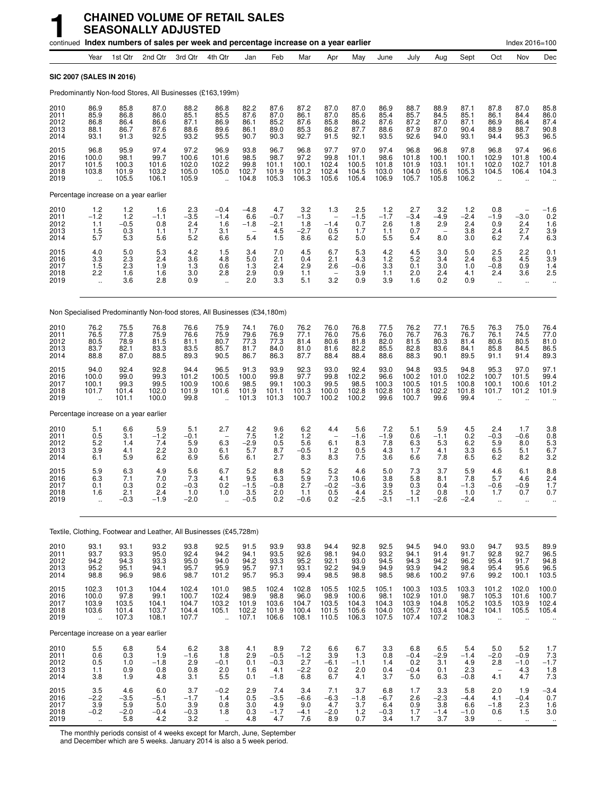|                                      |                                                                |                                                                       |                                          | continued Index numbers of sales per week and percentage increase on a year earlier |                                                            |                                                                      |                                               |                                                   |                                                             |                                                                          |                                          |                                           |                                           |                                          |                                                          | Index 2016=100                        |                                                                     |
|--------------------------------------|----------------------------------------------------------------|-----------------------------------------------------------------------|------------------------------------------|-------------------------------------------------------------------------------------|------------------------------------------------------------|----------------------------------------------------------------------|-----------------------------------------------|---------------------------------------------------|-------------------------------------------------------------|--------------------------------------------------------------------------|------------------------------------------|-------------------------------------------|-------------------------------------------|------------------------------------------|----------------------------------------------------------|---------------------------------------|---------------------------------------------------------------------|
|                                      | Year                                                           | 1st Qtr                                                               | 2nd Qtr                                  | 3rd Qtr                                                                             | 4th Qtr                                                    | Jan                                                                  | Feb                                           | Mar                                               | Apr                                                         | May                                                                      | June                                     | July                                      | Aug                                       | Sept                                     | Oct                                                      | Nov                                   | Dec                                                                 |
|                                      | SIC 2007 (SALES IN 2016)                                       |                                                                       |                                          |                                                                                     |                                                            |                                                                      |                                               |                                                   |                                                             |                                                                          |                                          |                                           |                                           |                                          |                                                          |                                       |                                                                     |
|                                      |                                                                |                                                                       |                                          | Predominantly Non-food Stores, All Businesses (£163,199m)                           |                                                            |                                                                      |                                               |                                                   |                                                             |                                                                          |                                          |                                           |                                           |                                          |                                                          |                                       |                                                                     |
| 2010<br>2011<br>2012<br>2013<br>2014 | 86.9<br>85.9<br>86.8<br>88.1<br>93.1                           | 85.8<br>86.8<br>86.4<br>86.7<br>91.3                                  | 87.0<br>86.0<br>86.6<br>87.6<br>92.5     | 88.2<br>85.1<br>87.1<br>88.6<br>93.2                                                | 86.8<br>85.5<br>86.9<br>89.6<br>95.5                       | 82.2<br>87.6<br>86.1<br>86.1<br>90.7                                 | 87.6<br>87.0<br>85.2<br>89.0<br>90.3          | 87.2<br>86.1<br>87.6<br>$85.\overline{3}$<br>92.7 | 87.0<br>87.0<br>85.8<br>86.2<br>91.5                        | 87.0<br>85.6<br>86.2<br>87.7<br>92.1                                     | 86.9<br>85.4<br>87.6<br>88.6<br>93.5     | 88.7<br>85.7<br>87.2<br>87.9<br>92.6      | 88.9<br>84.5<br>87.0<br>87.0<br>94.0      | 87.1<br>85.1<br>87.1<br>90.4<br>93.1     | 87.8<br>86.1<br>86.9<br>88.9<br>94.4                     | 87.0<br>84.4<br>86.4<br>88.7<br>95.3  | 85.8<br>86.0<br>87.4<br>90.8<br>96.5                                |
| 2015<br>2016<br>2017<br>2018<br>2019 | 96.8<br>100.0<br>101.5<br>103.8                                | 95.9<br>98.1<br>100.3<br>101.9<br>105.5                               | 97.4<br>99.7<br>101.6<br>103.2<br>106.1  | 97.2<br>100.6<br>102.0<br>105.0<br>105.9                                            | 96.9<br>101.6<br>102.2<br>105.0<br>$\ddot{\phantom{a}}$    | 93.8<br>98.5<br>99.8<br>102.7<br>104.8                               | 96.7<br>98.7<br>101.1<br>101.9<br>105.3       | 96.8<br>97.2<br>100.1<br>101.2<br>106.3           | 97.7<br>99.8<br>102.4<br>102.4<br>105.6                     | 97.0<br>101.1<br>100.5<br>104.5<br>105.4                                 | 97.4<br>98.6<br>101.8<br>103.0<br>106.9  | 96.8<br>101.8<br>101.9<br>104.0<br>105.7  | 96.8<br>100.1<br>103.1<br>105.6<br>105.8  | 97.8<br>100.1<br>101.1<br>105.3<br>106.2 | 96.8<br>102.9<br>102.0<br>104.5<br>$\sim$                | 97.4<br>101.8<br>102.7<br>106.4       | 96.6<br>100.4<br>101.8<br>104.3                                     |
|                                      | Percentage increase on a year earlier                          |                                                                       |                                          |                                                                                     |                                                            |                                                                      |                                               |                                                   |                                                             |                                                                          |                                          |                                           |                                           |                                          |                                                          |                                       |                                                                     |
| 2010<br>2011<br>2012<br>2013<br>2014 | $1.2 - 1.2$<br>1.1<br>$\frac{1.5}{5.7}$                        | $1.2$<br>$1.2$<br>$-0.5$<br>$\begin{array}{c} 0.3 \\ 5.3 \end{array}$ | 1.6<br>$-1.1$<br>0.8<br>1.1<br>5.6       | $\frac{2.3}{-3.5}$<br>2.4<br>1.7<br>5.2                                             | $-0.4$<br>$-1.4$<br>1.6<br>3.1<br>6.6                      | $-4.8$<br>6.6<br>$-1.8$<br>5.4                                       | 4.7<br>$-0.7$<br>$-2.1$<br>$\frac{4.5}{1.5}$  | $3.2 - 1.3$<br>1.8<br>$-2.7$<br>8.6               | 1.3<br>$\overline{\phantom{a}}$<br>$-1.4$<br>$0.5$<br>$6.2$ | $^{2.5}_{-1.5}$<br>0.7<br>1.7<br>5.0                                     | $\frac{1.2}{-1.7}$<br>2.6<br>1.1<br>5.5  | $^{2.7}_{-3.4}$<br>1.8<br>0.7<br>5.4      | $\frac{3.2}{-4.9}$<br>2.9<br>8.0          | $1.2 - 2.4$<br>2.4<br>3.8<br>3.0         | 0.8<br>$-1.9$<br>0.9<br>2.4<br>6.2                       | $-3.0$<br>2.4<br>2.7<br>7.4           | $^{-1.6}_{0.2}$<br>1.6<br>$\begin{array}{c} 3.9 \\ 6.3 \end{array}$ |
| 2015<br>2016<br>2017<br>2018<br>2019 | $\frac{4.0}{3.3}$<br>1.5<br>2.2<br>$\ddot{\phantom{1}}$        | $\frac{5.0}{2.3}$<br>2.3<br>1.6<br>3.6                                | 5.3<br>2.4<br>1.9<br>1.6<br>2.8          | $\frac{4.2}{3.6}$<br>1.3<br>3.0<br>0.9                                              | $\frac{1.5}{4.8}$<br>0.6<br>2.8<br>ă,                      | $\frac{3.4}{5.0}$<br>1.3<br>2.9<br>2.0                               | $\frac{7.0}{2.1}$<br>2.4<br>$\frac{0.9}{3.3}$ | 4.5<br>0.4<br>2.9<br>1.1<br>5.1                   | 6.7<br>2.1<br>2.6<br>3.2                                    | $\frac{5.3}{4.3}$<br>$-0.6$<br>$\begin{array}{c} 3.9 \\ 0.9 \end{array}$ | $^{4.2}_{1.2}$<br>3.3<br>1.1<br>3.9      | $\frac{4.5}{5.2}$<br>0.1<br>2.0<br>1.6    | 3.0<br>3.4<br>3.0<br>2.4<br>0.2           | 5.0<br>2.4<br>1.0<br>4.1<br>0.9          | $^{2.5}_{6.3}$<br>$-0.8$<br>2.4                          | $^{2.2}_{4.5}$<br>0.9<br>3.6<br>ä.    | $\frac{0.1}{3.9}$<br>1.4<br>2.5                                     |
|                                      |                                                                |                                                                       |                                          | Non Specialised Predominantly Non-food stores, All Businesses (£34,180m)            |                                                            |                                                                      |                                               |                                                   |                                                             |                                                                          |                                          |                                           |                                           |                                          |                                                          |                                       |                                                                     |
| 2010<br>2011<br>2012<br>2013<br>2014 | 76.2<br>76.5<br>80.5<br>83.7<br>88.8                           | 75.5<br>77.8<br>78.9<br>82.1<br>87.0                                  | 76.8<br>75.9<br>81.5<br>83.3<br>88.5     | 76.6<br>76.6<br>81.1<br>83.5<br>89.3                                                | 75.9<br>75.9<br>80.7<br>85.7<br>90.5                       | 74.1<br>79.6<br>77.3<br>81.7<br>86.7                                 | 76.0<br>76.9<br>77.3<br>84.0<br>86.3          | 76.2<br>77.1<br>81.4<br>81.0<br>87.7              | 76.0<br>76.0<br>80.6<br>81.6<br>88.4                        | 76.8<br>75.6<br>81.8<br>82.2<br>88.4                                     | 77.5<br>76.0<br>82.0<br>85.5<br>88.6     | 76.2<br>76.7<br>81.5<br>82.8<br>88.3      | 77.1<br>76.3<br>80.3<br>83.6<br>90.1      | 76.5<br>76.7<br>81.4<br>84.1<br>89.5     | 76.3<br>76.1<br>80.6<br>85.8<br>91.1                     | 75.0<br>74.5<br>80.5<br>84.5<br>91.4  | 76.4<br>77.0<br>81.0<br>86.5<br>89.3                                |
| 2015<br>2016<br>2017<br>2018<br>2019 | 94.0<br>100.0<br>100.1<br>101.7                                | 92.4<br>99.0<br>99.3<br>101.4<br>101.1                                | 92.8<br>99.3<br>99.5<br>102.0<br>100.0   | 94.4<br>101.2<br>100.9<br>101.9<br>99.8                                             | 96.5<br>100.5<br>100.6<br>101.6                            | 91.3<br>100.0<br>98.5<br>101.9<br>101.3                              | 93.9<br>99.8<br>99.1<br>101.1<br>101.3        | 92.3<br>97.7<br>100.3<br>101.3<br>100.7           | 93.0<br>99.8<br>99.5<br>100.0<br>100.2                      | 92.4<br>102.2<br>98.5<br>102.8<br>100.2                                  | 93.0<br>96.6<br>100.3<br>102.8<br>99.6   | 94.8<br>100.2<br>100.5<br>101.8<br>100.7  | 93.5<br>101.0<br>101.5<br>102.2<br>99.6   | 94.8<br>102.2<br>100.8<br>101.8<br>99.4  | 95.3<br>100.7<br>100.1<br>101.7                          | 97.0<br>101.5<br>100.6<br>101.2       | 97.1<br>99.4<br>101.2<br>101.9                                      |
|                                      | Percentage increase on a year earlier                          |                                                                       |                                          |                                                                                     |                                                            |                                                                      |                                               |                                                   |                                                             |                                                                          |                                          |                                           |                                           |                                          |                                                          |                                       |                                                                     |
| 2010<br>2011<br>2012<br>2013<br>2014 | 5.1<br>$\begin{array}{c} 0.5 \\ 5.2 \end{array}$<br>3.9<br>6.1 | 6.6<br>3.1<br>1.4<br>4.1<br>5.9                                       | 5.9<br>$-1.2$<br>7.4<br>2.2<br>6.2       | 5.1<br>$-0.1$<br>5.9<br>3.0<br>6.9                                                  | 2.7<br>6.3<br>6.1<br>5.6                                   | 4.2<br>$7.5 - 2.9$<br>5.7<br>6.1                                     | 9.6<br>$^{1.2}_{0.5}$<br>8.7<br>2.7           | 6.2<br>1.2<br>$5.\overline{6}$<br>$-0.5$<br>8.3   | 4.4<br>6.1<br>1.2<br>8.3                                    | 5.6<br>$-1.6$<br>8.3<br>0.5<br>7.5                                       | 7.2<br>$-1.9$<br>7.8<br>4.3<br>3.6       | 5.1<br>0.6<br>6.3<br>1.7<br>6.6           | 5.9<br>$-1.1$<br>5.3<br>4.1<br>7.8        | 4.5<br>0.2<br>6.2<br>3.3<br>6.5          | 2.4<br>$-0.3$<br>5.9<br>6.5<br>6.2                       | 1.7<br>$-0.6$<br>8.0<br>5.1<br>8.2    | 3.8<br>$0.8$<br>5.3<br>6.7<br>3.2                                   |
| 2015<br>2016<br>2017<br>2018<br>2019 | 5.9<br>6.3<br>0.1<br>1.6<br>Ξ.                                 | 6.3<br>7.1<br>0.3<br>2.1<br>$-0.3$                                    | 4.9<br>7.0<br>0.2<br>2.4<br>$-1.9$       | 5.6<br>$\frac{7.3}{-0.3}$<br>1.0<br>$-2.0$                                          | 6.7<br>4.1<br>0.2<br>1.0                                   | 5.2<br>9.5<br>$-1.5$<br>3.5<br>$-0.5$                                | 8.8<br>6.3<br>$-0.8$<br>2.0<br>0.2            | 5.2<br>$\frac{5.9}{2.7}$<br>1.1<br>$-0.6$         | 5.2<br>$7.3 - 0.2$<br>0.5<br>0.2                            | 4.6<br>10.6<br>$-3.6$<br>4.4<br>$-2.5$                                   | 5.0<br>3.8<br>3.9<br>2.5<br>$-3.1$       | 7.3<br>5.8<br>0.3<br>1.2<br>$-1.1$        | 3.7<br>8.1<br>0.4<br>0.8<br>$-2.6$        | 5.9<br>7.8<br>$-1.3$<br>1.0<br>$-2.4$    | 4.6<br>5.7<br>$-0.6$<br>1.7<br>ä.                        | 6.1<br>4.6<br>$-0.9$<br>0.7           | 8.8<br>2.4<br>1.7<br>0.7                                            |
|                                      |                                                                |                                                                       |                                          | Textile, Clothing, Footwear and Leather, All Businesses (£45,728m)                  |                                                            |                                                                      |                                               |                                                   |                                                             |                                                                          |                                          |                                           |                                           |                                          |                                                          |                                       |                                                                     |
| 2010<br>2011<br>2012<br>2013<br>2014 | 93.1<br>93.7<br>94.2<br>95.2<br>98.8                           | 93.1<br>93.3<br>94.3<br>95.1<br>96.9                                  | 93.2<br>95.0<br>93.3<br>94.1<br>98.6     | 93.8<br>92.4<br>95.0<br>95.7<br>98.7                                                | 92.5<br>94.2<br>94.0<br>95.9<br>101.2                      | 91.5<br>94.1<br>94.2<br>95.7<br>95.7                                 | 93.9<br>93.5<br>93.3<br>97.1<br>95.3          | 93.8<br>92.6<br>95.2<br>93.1<br>99.4              | 94.4<br>98.1<br>92.1<br>92.2<br>98.5                        | 92.8<br>94.0<br>93.0<br>94.9<br>98.8                                     | 92.5<br>93.2<br>94.5<br>94.9<br>98.5     | 94.5<br>94.1<br>94.3<br>93.9<br>98.6      | 94.0<br>91.4<br>94.2<br>94.2<br>100.2     | 93.0<br>91.7<br>96.2<br>98.4<br>97.6     | 94.7<br>92.8<br>95.4<br>95.4<br>99.2                     | 93.5<br>92.7<br>91.7<br>95.6<br>100.1 | 89.9<br>96.5<br>94.8<br>96.5<br>103.5                               |
| 2015<br>2016<br>2017<br>2018<br>2019 | 102.3<br>100.0<br>103.9<br>103.6<br>÷.                         | 101.3<br>97.8<br>103.5<br>101.4<br>107.3                              | 104.4<br>99.1<br>104.1<br>103.7<br>108.1 | 102.4<br>100.7<br>104.7<br>104.4<br>107.7                                           | 101.0<br>102.4<br>103.2<br>105.1<br>÷.                     | 98.5<br>98.9<br>101.9<br>102.2<br>107.1                              | 102.4<br>98.8<br>103.6<br>101.9<br>106.6      | 102.8<br>96.0<br>104.7<br>100.4<br>108.1          | 105.5<br>98.9<br>103.5<br>101.5<br>110.5                    | 102.5<br>100.6<br>104.3<br>105.6<br>106.3                                | 105.1<br>98.1<br>104.3<br>104.0<br>107.5 | 100.3<br>102.9<br>103.9<br>105.7<br>107.4 | 103.5<br>101.0<br>104.8<br>103.4<br>107.2 | 103.3<br>98.7<br>105.2<br>104.2<br>108.3 | 101.2<br>105.3<br>103.5<br>104.1<br>$\ddot{\phantom{a}}$ | 102.0<br>101.6<br>103.9<br>105.5      | 100.0<br>100.7<br>102.4<br>105.4                                    |
|                                      | Percentage increase on a year earlier                          |                                                                       |                                          |                                                                                     |                                                            |                                                                      |                                               |                                                   |                                                             |                                                                          |                                          |                                           |                                           |                                          |                                                          |                                       |                                                                     |
| 2010<br>2011<br>2012<br>2013<br>2014 | $5.5\,$<br>0.6<br>$0.5$<br>1.1<br>3.8                          | 6.8<br>0.3<br>1.0<br>0.9<br>1.9                                       | 5.4<br>1.9<br>$-1.8$<br>0.8<br>4.8       | 6.2<br>-1.6<br>$^{2.9}_{0.8}$<br>3.1                                                | 3.8<br>1.8<br>$-0.1$<br>2.0<br>5.5                         | 4.1<br>2.9<br>0.1<br>1.6<br>0.1                                      | 8.9<br>$-0.5$<br>$-0.3$<br>4.1<br>$-1.8$      | 7.2<br>$-1.2$<br>$2.7 - 2.2$<br>6.8               | 6.6<br>3.9<br>$-6.1$<br>0.2<br>6.7                          | 6.7<br>1.3<br>$-1.1$<br>2.0<br>4.1                                       | 3.3<br>0.8<br>1.4<br>0.4<br>3.7          | 6.8<br>$-0.4$<br>0.2<br>$-0.4$<br>5.0     | 6.5<br>$-2.9$<br>3.1<br>0.1<br>6.3        | 5.4<br>$-1.4$<br>4.9<br>2.3<br>$-0.8$    | 5.0<br>$-2.0$<br>2.8<br>$\overline{\phantom{a}}$<br>4.1  | 5.2<br>$-0.9$<br>$-1.0$<br>4.3<br>4.7 | 1.7<br>7.3<br>$-1.7$<br>1.8<br>7.3                                  |
| 2015<br>2016<br>2017<br>2018<br>2019 | 3.5<br>$-2.2$<br>$3.9 - 0.2$<br>$\sim$                         | 4.6<br>$-3.5$<br>$\frac{5.9}{-2.0}$<br>5.8                            | 6.0<br>$-5.1$<br>5.0<br>$-0.4$<br>4.2    | 3.7<br>$-1.7$<br>$\frac{3.9}{-0.3}$<br>3.2                                          | $-0.2$<br>1.4<br>$\begin{array}{c} 0.8 \\ 1.8 \end{array}$ | 2.9<br>0.5<br>$\!\!\!\begin{array}{c} 3.0 \\ 0.3 \end{array}$<br>4.8 | 7.4<br>$-3.5$<br>$4.9 - 1.7$<br>4.7           | 3.4<br>$-6.6$<br>9.0<br>$-4.1$<br>7.6             | 7.1<br>$-6.3$<br>4.7<br>$-2.0$<br>8.9                       | 3.7<br>$-1.8$<br>3.7<br>1.2<br>0.7                                       | 6.8<br>$-6.7$<br>6.4<br>$-0.3$<br>3.4    | 1.7<br>2.6<br>0.9<br>1.7<br>1.7           | 3.3<br>$-2.3$<br>3.8<br>$-1.4$<br>3.7     | 5.8<br>$-4.4$<br>6.6<br>$-1.0$<br>3.9    | 2.0<br>4.1<br>$-1.8$<br>0.6<br>$\sim$                    | 1.9<br>$-0.4$<br>$^{2.3}_{1.5}$       | $-3.4$<br>0.7<br>1.6<br>3.0                                         |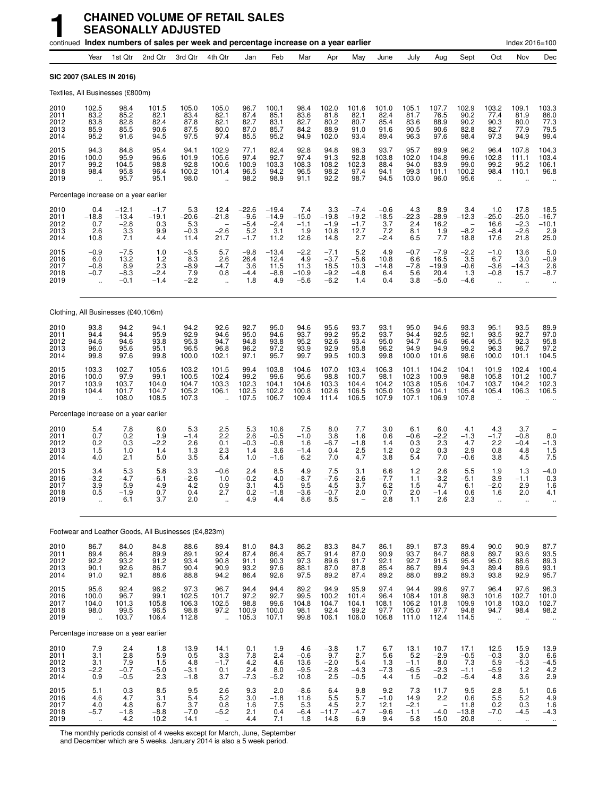|                                      |                                                          |                                            | continued Index numbers of sales per week and percentage increase on a year earlier |                                           |                                                          |                                              |                                             |                                            |                                                     |                                            |                                           |                                           |                                                           |                                           |                                                           | Index 2016=100                              |                                           |
|--------------------------------------|----------------------------------------------------------|--------------------------------------------|-------------------------------------------------------------------------------------|-------------------------------------------|----------------------------------------------------------|----------------------------------------------|---------------------------------------------|--------------------------------------------|-----------------------------------------------------|--------------------------------------------|-------------------------------------------|-------------------------------------------|-----------------------------------------------------------|-------------------------------------------|-----------------------------------------------------------|---------------------------------------------|-------------------------------------------|
|                                      | Year                                                     | 1st Qtr                                    | 2nd Qtr                                                                             | 3rd Qtr                                   | 4th Qtr                                                  | Jan                                          | Feb                                         | Mar                                        | Apr                                                 | May                                        | June                                      | July                                      | Aug                                                       | Sept                                      | Oct                                                       | Nov                                         | Dec                                       |
| SIC 2007 (SALES IN 2016)             |                                                          |                                            |                                                                                     |                                           |                                                          |                                              |                                             |                                            |                                                     |                                            |                                           |                                           |                                                           |                                           |                                                           |                                             |                                           |
|                                      |                                                          | Textiles, All Businesses (£800m)           |                                                                                     |                                           |                                                          |                                              |                                             |                                            |                                                     |                                            |                                           |                                           |                                                           |                                           |                                                           |                                             |                                           |
| 2010<br>2011<br>2012<br>2013<br>2014 | 102.5<br>83.2<br>83.8<br>85.9<br>95.2                    | 98.4<br>85.2<br>82.8<br>85.5<br>91.6       | 101.5<br>82.1<br>82.4<br>90.6<br>94.5                                               | 105.0<br>83.4<br>87.8<br>87.5<br>97.5     | 105.0<br>82.1<br>82.1<br>80.0<br>97.4                    | 96.7<br>87.4<br>82.7<br>87.0<br>85.5         | 100.1<br>85.1<br>83.1<br>85.7<br>95.2       | 98.4<br>83.6<br>82.7<br>84.2<br>94.9       | 102.0<br>81.8<br>80.2<br>88.9<br>102.0              | 101.6<br>82.1<br>80.7<br>91.0<br>93.4      | 101.0<br>82.4<br>85.4<br>91.6<br>89.4     | 105.1<br>81.7<br>83.6<br>90.5<br>96.3     | 107.7<br>76.5<br>88.9<br>90.6<br>97.6                     | 102.9<br>90.2<br>90.2<br>82.8<br>98.4     | 103.2<br>77.4<br>90.3<br>82.7<br>97.3                     | 109.1<br>81.9<br>80.0<br>77.9<br>94.9       | 103.3<br>86.0<br>77.3<br>79.5<br>99.4     |
| 2015<br>2016<br>2017<br>2018<br>2019 | 94.3<br>100.0<br>99.2<br>98.4<br>$\ddot{\phantom{a}}$    | 84.8<br>95.9<br>104.5<br>95.8<br>95.7      | 95.4<br>96.6<br>98.8<br>96.4<br>95.1                                                | 94.1<br>101.9<br>92.8<br>100.2<br>98.0    | 102.9<br>105.6<br>100.6<br>101.4                         | 77.1<br>97.4<br>100.9<br>96.5<br>98.2        | 82.4<br>92.7<br>103.3<br>94.2<br>98.9       | 92.8<br>97.4<br>108.3<br>96.5<br>91.1      | 94.8<br>91.3<br>108.2<br>98.2<br>92.2               | 98.3<br>92.8<br>102.3<br>97.4<br>98.7      | 93.7<br>103.8<br>88.4<br>94.1<br>94.5     | 95.7<br>102.0<br>94.0<br>99.3<br>103.0    | 89.9<br>104.8<br>83.9<br>101.1<br>96.0                    | 96.2<br>99.6<br>99.0<br>100.2<br>95.6     | 96.4<br>102.8<br>99.2<br>98.4                             | 107.8<br>111.1<br>95.2<br>110.1             | 104.3<br>103.4<br>106.1<br>96.8           |
|                                      |                                                          | Percentage increase on a year earlier      |                                                                                     |                                           |                                                          |                                              |                                             |                                            |                                                     |                                            |                                           |                                           |                                                           |                                           |                                                           |                                             |                                           |
| 2010<br>2011<br>2012<br>2013<br>2014 | 0.4<br>$-18.8$<br>0.7<br>2.6<br>10.8                     | $-12.1$<br>$-13.4$<br>$-2.8$<br>3.3<br>7.1 | $-1.7$<br>$-19.1$<br>0.3<br>9.9<br>4.4                                              | 5.3<br>$-20.6$<br>5.3<br>$-0.3$<br>11.4   | 12.4<br>$-21.8$<br>$-2.6$<br>21.7                        | $-22.6$<br>$-9.6$<br>$-5.4$<br>5.2<br>$-1.7$ | $-19.4$<br>$-14.9$<br>$-2.4$<br>3.1<br>11.2 | 7.4<br>$-15.0$<br>$-1.1$<br>1.9<br>12.6    | 3.3<br>$-19.8$<br>$-1.9$<br>10.8<br>14.8            | $-7.4$<br>$-19.2$<br>$-1.7$<br>12.7<br>2.7 | $-0.6$<br>$-18.5$<br>3.7<br>7.2<br>$-2.4$ | 4.3<br>$-22.3$<br>2.4<br>8.1<br>6.5       | 8.9<br>$-28.9$<br>16.2<br>1.9<br>7.7                      | 3.4<br>$-12.3$<br>$-8.2$<br>18.8          | 1.0<br>$-25.0$<br>16.6<br>$-8.4$<br>17.6                  | 17.8<br>$-25.0$<br>$-2.3$<br>$-2.6$<br>21.8 | 18.5<br>$-16.7$<br>$-10.1$<br>2.9<br>25.0 |
| 2015<br>2016<br>2017<br>2018<br>2019 | $-0.9$<br>6.0<br>$-0.8$<br>$-0.7$                        | $-7.5$<br>13.2<br>8.9<br>$-8.3$<br>$-0.1$  | 1.0<br>1.2<br>2.3<br>$-2.4$<br>$-1.4$                                               | $-3.5$<br>8.3<br>$-8.9$<br>7.9<br>$-2.2$  | 5.7<br>2.6<br>$-4.7$<br>0.8<br>÷.                        | $-9.8$<br>26.4<br>3.6<br>$-4.4$<br>1.8       | $-13.4$<br>12.4<br>11.5<br>$-8.8$<br>4.9    | $-2.2$<br>4.9<br>11.3<br>$-10.9$<br>$-5.6$ | $-7.1$<br>$-3.7$<br>18.5<br>$-9.2$<br>$-6.2$        | 5.2<br>$-5.6$<br>10.3<br>$-4.8$<br>1.4     | 4.9<br>10.8<br>$-14.8$<br>6.4<br>0.4      | $-0.7$<br>6.6<br>$-7.8$<br>5.6<br>3.8     | $-7.9$<br>16.5<br>$-19.9$<br>20.4<br>$-5.0$               | $-2.2$<br>3.5<br>$-0.6$<br>1.3<br>$-4.6$  | $-1.0$<br>6.7<br>$-3.6$<br>$-0.8$<br>$\ddot{\phantom{a}}$ | 13.6<br>3.0<br>$-14.3$<br>15.7<br>$\ddotsc$ | 5.0<br>$-0.9$<br>2.6<br>$-8.7$            |
|                                      |                                                          | Clothing, All Businesses (£40,106m)        |                                                                                     |                                           |                                                          |                                              |                                             |                                            |                                                     |                                            |                                           |                                           |                                                           |                                           |                                                           |                                             |                                           |
| 2010<br>2011<br>2012<br>2013<br>2014 | 93.8<br>94.4<br>94.6<br>96.0<br>99.8                     | 94.2<br>94.4<br>94.6<br>95.6<br>97.6       | 94.1<br>95.9<br>93.8<br>95.1<br>99.8                                                | 94.2<br>92.9<br>95.3<br>96.5<br>100.0     | 92.6<br>94.6<br>94.7<br>96.8<br>102.1                    | 92.7<br>95.0<br>94.8<br>96.2<br>97.1         | 95.0<br>94.6<br>93.8<br>97.2<br>95.7        | 94.6<br>93.7<br>95.2<br>93.9<br>99.7       | 95.6<br>99.2<br>92.6<br>92.9<br>99.5                | 93.7<br>95.2<br>93.4<br>95.8<br>100.3      | 93.1<br>93.7<br>95.0<br>96.2<br>99.8      | 95.0<br>94.4<br>94.7<br>94.9<br>100.0     | 94.6<br>92.5<br>94.6<br>94.9<br>101.6                     | 93.3<br>92.1<br>96.4<br>99.2<br>98.6      | 95.1<br>93.5<br>95.5<br>96.3<br>100.0                     | 93.5<br>92.7<br>92.3<br>96.7<br>101.1       | 89.9<br>97.0<br>95.8<br>97.2<br>104.5     |
| 2015<br>2016<br>2017<br>2018<br>2019 | 103.3<br>100.0<br>103.9<br>104.4<br>$\ddot{\phantom{1}}$ | 102.7<br>97.9<br>103.7<br>101.7<br>108.0   | 105.6<br>99.1<br>104.0<br>104.7<br>108.5                                            | 103.2<br>100.5<br>104.7<br>105.2<br>107.3 | 101.5<br>102.4<br>103.3<br>106.1<br>$\ddot{\phantom{a}}$ | 99.4<br>99.2<br>102.3<br>102.5<br>107.5      | 103.8<br>99.6<br>104.1<br>102.2<br>106.7    | 104.6<br>95.6<br>104.6<br>100.8<br>109.4   | 107.0<br>98.8<br>103.3<br>102.6<br>111.4            | 103.4<br>100.7<br>104.4<br>106.5<br>106.5  | 106.3<br>98.1<br>104.2<br>105.0<br>107.9  | 101.1<br>102.3<br>103.8<br>105.9<br>107.1 | 104.2<br>100.9<br>105.6<br>104.1<br>106.9                 | 104.1<br>98.8<br>104.7<br>105.4<br>107.8  | 101.9<br>105.8<br>103.7<br>105.4                          | 102.4<br>101.2<br>104.2<br>106.3            | 100.4<br>100.7<br>102.3<br>106.5          |
|                                      |                                                          | Percentage increase on a year earlier      |                                                                                     |                                           |                                                          |                                              |                                             |                                            |                                                     |                                            |                                           |                                           |                                                           |                                           |                                                           |                                             |                                           |
| 2010<br>2011<br>2012<br>2013<br>2014 | 5.4<br>0.7<br>0.2<br>1.5<br>4.0                          | 7.8<br>0.2<br>0.3<br>1.0<br>2.1            | 6.0<br>1.9<br>$-2.2$<br>1.4<br>5.0                                                  | 5.3<br>$-1.4$<br>2.6<br>1.3<br>3.5        | $^{2.5}_{2.2}$<br>0.1<br>2.3<br>5.4                      | 5.3<br>2.6<br>$-0.3$<br>1.4<br>1.0           | 10.6<br>$-0.5$<br>$-0.8$<br>3.6<br>$-1.6$   | 7.5<br>$-1.0$<br>1.6<br>$-1.4$<br>6.2      | 8.0<br>3.8<br>$-6.7$<br>0.4<br>7.0                  | 7.7<br>1.6<br>$-1.8$<br>2.5<br>4.7         | 3.0<br>0.6<br>1.4<br>1.2<br>3.8           | 6.1<br>$-0.6$<br>0.3<br>0.2<br>5.4        | 6.0<br>$-2.2$<br>2.3<br>0.3<br>7.0                        | 4.1<br>$-1.3$<br>4.7<br>2.9<br>$-0.6$     | 4.3<br>$-1.7$<br>2.2<br>0.8<br>3.8                        | 3.7<br>$-0.8$<br>$-0.4$<br>4.8<br>4.5       | $8.0 - 1.3$<br>1.5<br>7.5                 |
| 2015<br>2016<br>2017<br>2018<br>2019 | 3.4<br>$-3.2$<br>3.9<br>0.5<br>ä,                        | 5.3<br>$-4.7$<br>5.9<br>$-1.9$<br>6.1      | 5.8<br>$-6.1$<br>4.9<br>0.7<br>3.7                                                  | 3.3<br>$-2.6$<br>4.2<br>0.4<br>2.0        | $-0.6$<br>1.0<br>0.9<br>2.7<br>$\ddotsc$                 | 2.4<br>$-0.2$<br>3.1<br>0.2<br>4.9           | 8.5<br>$-4.0$<br>4.5<br>$-1.8$<br>4.4       | 4.9<br>$-8.7$<br>9.5<br>$-3.6$<br>8.6      | 7.5<br>$-7.6$<br>4.5<br>$-0.7$<br>8.5               | 3.1<br>$-2.6$<br>3.7<br>2.0                | 6.6<br>$-7.7$<br>6.2<br>0.7<br>2.8        | 1.2<br>1.1<br>1.5<br>2.0<br>1.1           | 2.6<br>$-3.2$<br>4.7<br>$-1.4$<br>2.6                     | 5.5<br>$-5.1$<br>6.1<br>0.6<br>2.3        | 1.9<br>3.9<br>$-2.0$<br>1.6<br>$\ddot{\phantom{a}}$       | 1.3<br>$-1.1$<br>2.9<br>2.0<br>$\ddotsc$    | $-4.0$<br>0.3<br>1.6<br>4.1               |
|                                      |                                                          |                                            | Footwear and Leather Goods, All Businesses (£4,823m)                                |                                           |                                                          |                                              |                                             |                                            |                                                     |                                            |                                           |                                           |                                                           |                                           |                                                           |                                             |                                           |
| 2010<br>2011<br>2012<br>2013<br>2014 | 86.7<br>89.4<br>92.2<br>90.1<br>91.0                     | 84.0<br>86.4<br>93.2<br>92.6<br>92.1       | 84.8<br>89.9<br>91.2<br>86.7<br>88.6                                                | 88.6<br>89.1<br>93.4<br>90.4<br>88.8      | 89.4<br>92.4<br>90.8<br>90.9<br>94.2                     | 81.0<br>87.4<br>91.1<br>93.2<br>86.4         | 84.3<br>86.4<br>90.3<br>97.6<br>92.6        | 86.2<br>85.7<br>97.3<br>88.1<br>97.5       | 83.3<br>91.4<br>89.6<br>87.0<br>89.2                | 84.7<br>87.0<br>91.7<br>87.8<br>87.4       | 86.1<br>90.9<br>92.1<br>85.4<br>89.2      | 89.1<br>93.7<br>92.7<br>86.7<br>88.0      | 87.3<br>84.7<br>91.5<br>89.4<br>89.2                      | 89.4<br>88.9<br>95.4<br>94.3<br>89.3      | 90.0<br>89.7<br>95.0<br>89.4<br>93.8                      | 90.9<br>93.6<br>88.6<br>89.6<br>92.9        | 87.7<br>93.5<br>89.3<br>93.1<br>95.7      |
| 2015<br>2016<br>2017<br>2018<br>2019 | 95.6<br>100.0<br>104.0<br>98.0                           | 92.4<br>96.7<br>101.3<br>99.5<br>103.7     | 96.2<br>99.1<br>105.8<br>96.5<br>106.4                                              | 97.3<br>102.5<br>106.3<br>98.8<br>112.8   | 96.7<br>101.7<br>102.5<br>97.2<br>$\ddot{\phantom{a}}$   | 94.4<br>97.2<br>98.8<br>100.9<br>105.3       | 94.4<br>92.7<br>99.6<br>100.0<br>107.1      | 89.2<br>99.5<br>104.8<br>98.1<br>99.8      | 94.9<br>100.2<br>104.7<br>92.4<br>106.1             | 95.9<br>101.4<br>104.1<br>99.2<br>106.0    | 97.4<br>96.4<br>108.1<br>97.7<br>106.8    | 94.4<br>108.4<br>106.2<br>105.0<br>111.0  | 99.6<br>101.8<br>101.8<br>97.7<br>112.4                   | 97.7<br>98.3<br>109.9<br>94.8<br>114.5    | 96.4<br>101.6<br>101.8<br>94.7<br>$\ddot{\phantom{a}}$    | 97.6<br>102.7<br>103.0<br>98.4<br>ä.        | 96.3<br>101.0<br>102.7<br>98.2            |
|                                      |                                                          | Percentage increase on a year earlier      |                                                                                     |                                           |                                                          |                                              |                                             |                                            |                                                     |                                            |                                           |                                           |                                                           |                                           |                                                           |                                             |                                           |
| 2010<br>2011<br>2012<br>2013<br>2014 | 7.9<br>3.1<br>3.1<br>$-2.2$<br>0.9                       | 2.4<br>2.8<br>7.9<br>$-0.7$<br>$-0.5$      | 1.8<br>5.9<br>1.5<br>$-5.0$<br>2.3                                                  | 13.9<br>0.5<br>4.8<br>$-3.1$<br>$-1.8$    | 14.1<br>$3.3 - 1.7$<br>0.1<br>3.7                        | 0.1<br>7.8<br>4.2<br>2.4<br>$-7.3$           | 1.9<br>2.4<br>4.6<br>8.0<br>$-5.2$          | 4.6<br>$-0.6$<br>13.6<br>$-9.5$<br>10.8    | $-3.8$<br>9.7<br>$-2.0$<br>$-2.\overline{8}$<br>2.5 | 1.7<br>2.7<br>5.4<br>$-4.3$<br>$-0.5$      | 6.7<br>5.6<br>1.3<br>$-7.3$<br>4.4        | 13.1<br>5.2<br>$-1.1$<br>$-6.5$<br>1.5    | 10.7<br>$-2.9$<br>8.0<br>$-2.3$<br>$-0.2$                 | 17.1<br>$-0.5$<br>7.3<br>$-1.1$<br>$-5.4$ | 12.5<br>$-0.3$<br>5.9<br>$-5.9$<br>4.8                    | 15.9<br>3.0<br>$-5.3$<br>$1.2$<br>3.6       | 13.9<br>$6.6 - 4.5$<br>4.2<br>2.9         |
| 2015<br>2016<br>2017<br>2018<br>2019 | 5.1<br>4.6<br>4.0<br>-5.7<br>÷.                          | 0.3<br>4.7<br>4.8<br>$-1.8$<br>4.2         | 8.5<br>3.1<br>6.7<br>$-8.8$<br>10.2                                                 | 9.5<br>5.4<br>3.7<br>$-7.0$<br>14.1       | 2.6<br>$5.2\,$<br>0.8<br>$-5.2$<br>$\mathbf{u}$          | 9.3<br>3.0<br>1.6<br>2.1<br>4.4              | 2.0<br>$-1.8$<br>7.5<br>0.4<br>7.1          | $-8.6$<br>11.6<br>5.3<br>$-6.4$<br>1.8     | 6.4<br>5.5<br>4.5<br>$-11.7$<br>14.8                | 9.8<br>5.7<br>2.7<br>$-4.7$<br>6.9         | 9.2<br>$-1.0$<br>12.1<br>$-9.6$<br>9.4    | 7.3<br>14.9<br>$-2.1$<br>$-1.1$<br>5.8    | 11.7<br>2.2<br>$\overline{\phantom{0}}$<br>$-4.0$<br>15.0 | 9.5<br>0.6<br>11.8<br>$-13.8$<br>20.8     | 2.8<br>5.5<br>0.2<br>$-7.0$<br>$\ddot{\phantom{1}}$       | 5.1<br>5.2<br>0.3<br>$-4.5$<br>$\ddotsc$    | 0.6<br>4.9<br>1.6<br>$-4.3$<br>$\ddotsc$  |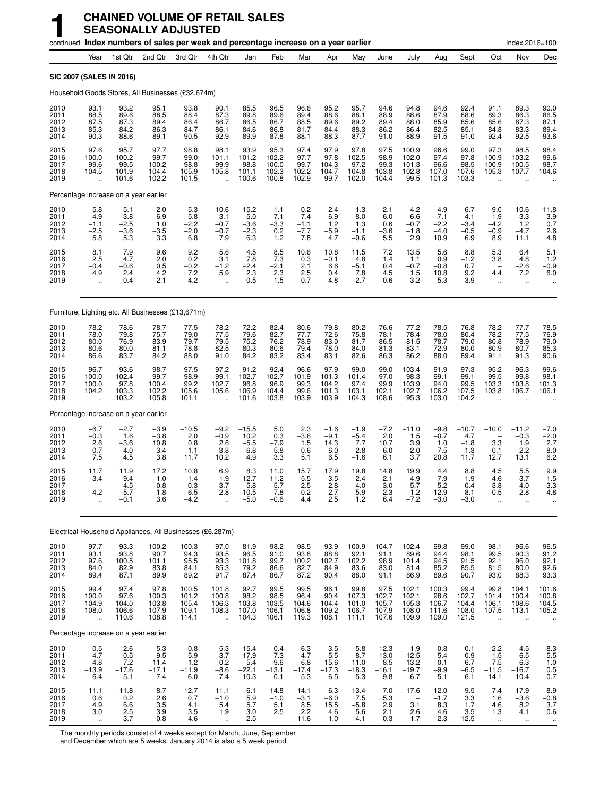|                                      |                                                 |                                                      | continued Index numbers of sales per week and percentage increase on a year earlier |                                                     |                                                        |                                           |                                           |                                          |                                            |                                               |                                          |                                                    |                                           |                                             |                                                         | Index 2016=100                                       |                                                                 |
|--------------------------------------|-------------------------------------------------|------------------------------------------------------|-------------------------------------------------------------------------------------|-----------------------------------------------------|--------------------------------------------------------|-------------------------------------------|-------------------------------------------|------------------------------------------|--------------------------------------------|-----------------------------------------------|------------------------------------------|----------------------------------------------------|-------------------------------------------|---------------------------------------------|---------------------------------------------------------|------------------------------------------------------|-----------------------------------------------------------------|
|                                      | Year                                            | 1st Qtr                                              | 2nd Qtr                                                                             | 3rd Qtr                                             | 4th Qtr                                                | Jan                                       | Feb                                       | Mar                                      | Apr                                        | May                                           | June                                     | July                                               | Aug                                       | Sept                                        | Oct                                                     | Nov                                                  | Dec                                                             |
|                                      |                                                 | SIC 2007 (SALES IN 2016)                             |                                                                                     |                                                     |                                                        |                                           |                                           |                                          |                                            |                                               |                                          |                                                    |                                           |                                             |                                                         |                                                      |                                                                 |
|                                      |                                                 |                                                      | Household Goods Stores, All Businesses (£32,674m)                                   |                                                     |                                                        |                                           |                                           |                                          |                                            |                                               |                                          |                                                    |                                           |                                             |                                                         |                                                      |                                                                 |
| 2010<br>2011<br>2012<br>2013<br>2014 | 93.1<br>88.5<br>87.5<br>85.3<br>90.3            | 93.2<br>89.6<br>87.3<br>84.2<br>88.6                 | 95.1<br>88.5<br>89.4<br>86.3<br>89.1                                                | 93.8<br>88.4<br>86.4<br>84.7<br>90.5                | 90.1<br>87.3<br>86.7<br>86.1<br>92.9                   | 85.5<br>89.8<br>86.5<br>84.6<br>89.9      | 96.5<br>89.6<br>86.7<br>86.8<br>87.8      | 96.6<br>89.4<br>88.5<br>81.7<br>88.1     | 95.2<br>88.6<br>89.6<br>84.4<br>88.3       | 95.7<br>88.1<br>89.2<br>88.3<br>87.7          | 94.6<br>88.9<br>89.4<br>86.2<br>91.0     | 94.8<br>88.6<br>88.0<br>86.4<br>88.9               | 94.6<br>87.9<br>85.9<br>82.5<br>91.5      | 92.4<br>88.6<br>85.6<br>85.1<br>91.0        | 91.1<br>89.3<br>85.6<br>84.8<br>92.4                    | 89.3<br>86.3<br>87.3<br>83.3<br>92.5                 | 90.0<br>86.5<br>87.1<br>89.4<br>93.6                            |
| 2015<br>2016<br>2017<br>2018<br>2019 | 97.6<br>100.0<br>99.6<br>104.5                  | 95.7<br>100.2<br>99.5<br>101.9<br>101.6              | 97.7<br>99.7<br>100.2<br>104.4<br>102.2                                             | 98.8<br>99.0<br>98.8<br>105.9<br>101.5              | 98.1<br>101.1<br>99.9<br>105.8<br>$\ddot{\phantom{a}}$ | 93.9<br>101.2<br>98.8<br>101.1<br>100.6   | 95.3<br>102.2<br>100.0<br>102.3<br>100.8  | 97.4<br>97.7<br>99.7<br>102.2<br>102.9   | 97.9<br>97.8<br>104.3<br>104.7<br>99.7     | 97.8<br>102.5<br>97.2<br>104.8<br>102.0       | 97.5<br>98.9<br>99.3<br>103.8<br>104.4   | 100.9<br>102.0<br>101.3<br>102.8<br>99.5           | 96.6<br>97.4<br>96.6<br>107.0<br>101.3    | 99.0<br>97.8<br>98.5<br>107.6<br>103.3      | 97.3<br>100.9<br>100.9<br>105.3                         | 98.5<br>103.2<br>100.5<br>107.7                      | 98.4<br>99.6<br>98.7<br>104.6                                   |
|                                      |                                                 | Percentage increase on a year earlier                |                                                                                     |                                                     |                                                        |                                           |                                           |                                          |                                            |                                               |                                          |                                                    |                                           |                                             |                                                         |                                                      |                                                                 |
| 2010<br>2011<br>2012<br>2013<br>2014 | $-5.8$<br>$-4.9$<br>$-1.1$<br>$-2.5$<br>5.8     | $-5.1$<br>$-3.8$<br>$-2.5$<br>$-3.6$<br>5.3          | $-2.0$<br>$-6.9$<br>1.0<br>$-3.5$<br>3.3                                            | $-5.3$<br>$-5.8$<br>$-2.2$<br>$-2.0$<br>6.8         | $-10.6$<br>$-3.1$<br>$-0.7$<br>$-0.7$<br>7.9           | $-15.2$<br>5.0<br>$-3.6$<br>$-2.3$<br>6.3 | $-1.1$<br>$-7.1$<br>$-3.3$<br>0.2<br>1.2  | 0.2<br>$-7.4$<br>$-1.1$<br>$-7.7$<br>7.8 | $-2.4$<br>$-6.9$<br>1.2<br>$-5.9$<br>4.7   | $-1.3$<br>$-8.0$<br>1.3<br>$-1.1$<br>$-0.6$   | $-2.1$<br>$-6.0$<br>0.6<br>$-3.6$<br>5.5 | $-4.2$<br>$-6.6$<br>$-0.7$<br>$-1.8$<br>2.9        | $-4.9 - 7.1$<br>$-2.2$<br>$-4.0$<br>10.9  | $-6.7$<br>$-4.1$<br>$-3.4$<br>$-0.5$<br>6.9 | $-9.0$<br>$-1.9$<br>$-4.2$<br>$-0.9$<br>8.9             | $-10.6$<br>$-3.3$<br>1.2<br>$-4.7$<br>11.1           | $-11.8$<br>$-3.9$<br>0.7<br>$\frac{2.6}{4.8}$                   |
| 2015<br>2016<br>2017<br>2018<br>2019 | 8.1<br>2.5<br>$-0.4$<br>4.9                     | 7.9<br>4.7<br>$-0.6$<br>2.4<br>$-0.4$                | 9.6<br>2.0<br>0.5<br>4.2<br>$-2.1$                                                  | 9.2<br>0.2<br>$-0.2$<br>7.2<br>$-4.2$               | 5.6<br>3.1<br>$-1.2$<br>5.9                            | 4.5<br>7.8<br>$-2.4$<br>2.3<br>$-0.5$     | 8.5<br>7.3<br>$-2.1$<br>2.3<br>$-1.5$     | 10.6<br>0.3<br>2.1<br>2.5<br>0.7         | 10.8<br>$-0.1$<br>6.6<br>0.4<br>$-4.8$     | 11.5<br>4.8<br>$-5.1$<br>7.8<br>$-2.7$        | 7.2<br>1.4<br>0.4<br>4.5<br>0.6          | 13.5<br>1.1<br>$-0.7$<br>1.5<br>$-3.2$             | 5.6<br>0.9<br>$-0.8$<br>10.8<br>$-5.3$    | 8.8<br>$-1.2$<br>0.7<br>9.2<br>$-3.9$       | 5.3<br>3.8<br>4.4<br>$\ddot{\phantom{a}}$               | 6.4<br>4.8<br>$-2.6$<br>7.2<br>$\ddot{\phantom{a}}$  | $\frac{5.1}{1.2}$<br>$-0.9$<br>6.0                              |
|                                      |                                                 |                                                      | Furniture, Lighting etc. All Businesses (£13,671m)                                  |                                                     |                                                        |                                           |                                           |                                          |                                            |                                               |                                          |                                                    |                                           |                                             |                                                         |                                                      |                                                                 |
| 2010<br>2011<br>2012<br>2013<br>2014 | 78.2<br>78.0<br>80.0<br>80.6<br>86.6            | 78.6<br>79.8<br>76.9<br>80.0<br>83.7                 | 78.7<br>75.7<br>83.9<br>81.1<br>84.2                                                | 77.5<br>79.0<br>79.7<br>78.8<br>88.0                | 78.2<br>77.5<br>79.5<br>82.5<br>91.0                   | 72.2<br>79.6<br>75.2<br>80.3<br>84.2      | 82.4<br>82.7<br>76.2<br>80.6<br>83.2      | 80.6<br>77.7<br>78.9<br>79.4<br>83.4     | 79.8<br>72.6<br>83.0<br>78.0<br>83.1       | 80.2<br>75.8<br>81.7<br>84.0<br>82.6          | 76.6<br>78.1<br>86.5<br>81.3<br>86.3     | 77.2<br>78.4<br>81.5<br>83.1<br>86.2               | 78.5<br>78.0<br>78.7<br>72.9<br>88.0      | 76.8<br>80.4<br>79.0<br>80.0<br>89.4        | 78.2<br>78.2<br>80.8<br>80.9<br>91.1                    | $77.7$<br>$77.5$<br>78.9<br>80.7<br>91.3             | 78.5<br>76.9<br>79.0<br>85.3<br>90.6                            |
| 2015<br>2016<br>2017<br>2018<br>2019 | 96.7<br>100.0<br>100.0<br>104.2<br>ă,           | 93.6<br>102.4<br>97.8<br>103.3<br>103.2              | 98.7<br>99.7<br>100.4<br>102.2<br>105.8                                             | 97.5<br>98.9<br>99.2<br>105.6<br>101.1              | 97.2<br>99.1<br>102.7<br>105.6                         | 91.2<br>102.7<br>96.8<br>106.9<br>101.6   | 92.4<br>102.7<br>96.9<br>104.4<br>103.8   | 96.6<br>101.9<br>99.3<br>99.6<br>103.9   | 97.9<br>101.3<br>104.2<br>101.3<br>103.9   | 99.0<br>101.4<br>97.4<br>103.1<br>104.3       | 99.0<br>97.0<br>99.9<br>102.1<br>108.6   | 103.4<br>98.3<br>103.9<br>102.7<br>95.3            | 91.9<br>99.1<br>94.0<br>106.2<br>103.0    | 97.3<br>99.1<br>99.5<br>107.5<br>104.2      | 95.2<br>99.5<br>103.3<br>103.8                          | 96.3<br>99.8<br>103.8<br>106.7                       | 99.6<br>98.1<br>101.3<br>106.1                                  |
|                                      |                                                 | Percentage increase on a year earlier                |                                                                                     |                                                     |                                                        |                                           |                                           |                                          |                                            |                                               |                                          |                                                    |                                           |                                             |                                                         |                                                      |                                                                 |
| 2010<br>2011<br>2012<br>2013<br>2014 | $-6.7$<br>$-0.3$<br>2.6<br>0.7<br>7.5           | $-2.7$<br>1.6<br>$-3.6$<br>4.0<br>4.5                | $-3.9$<br>$-3.8$<br>10.8<br>$-3.4$<br>3.8                                           | $-10.5$<br>2.0<br>0.8<br>$-1.1$<br>11.7             | $-9.2$<br>$-0.9$<br>2.6<br>3.8<br>10.2                 | $-15.5$<br>10.2<br>$-5.5$<br>6.8<br>4.9   | 5.0<br>0.3<br>$-7.9$<br>5.8<br>3.3        | 2.3<br>$-3.6$<br>1.5<br>0.6<br>5.1       | $-1.6$<br>$-9.1$<br>14.3<br>$-6.0$<br>6.5  | $-1.9$<br>$-5.4$<br>7.7<br>2.8<br>$-1.6$      | $-7.2$<br>2.0<br>10.7<br>$-6.0$<br>6.1   | $-11.0$<br>1.5<br>3.9<br>2.0<br>3.7                | $-9.8$<br>$-0.7$<br>1.0<br>$-7.5$<br>20.8 | $-10.7$<br>4.7<br>$-1.8$<br>1.3<br>11.7     | $-10.0$<br>3.3<br>0.1<br>12.7                           | $-11.2$<br>$-0.3$<br>1.9<br>2.2<br>13.1              | $-7.0$<br>$-2.0$<br>2.7<br>$_{6.2}^{8.0}$                       |
| 2015<br>2016<br>2017<br>2018<br>2019 | 11.7<br>3.4<br>4.2                              | 11.9<br>9.4<br>$-4.5$<br>5.7<br>$-0.1$               | 17.2<br>1.0<br>0.8<br>1.8<br>3.6                                                    | 10.8<br>1.4<br>0.3<br>6.5<br>$-4.2$                 | 6.9<br>1.9<br>3.7<br>2.8                               | 8.3<br>12.7<br>$-5.8$<br>10.5<br>$-5.0$   | 11.0<br>11.2<br>$-5.7$<br>7.8<br>$-0.6$   | 15.7<br>5.5<br>$-2.5$<br>0.2<br>4.4      | 17.9<br>3.5<br>2.8<br>$-2.7$<br>2.5        | 19.8<br>2.4<br>$-4.0$<br>$\frac{5.9}{1.2}$    | 14.8<br>$-2.1$<br>3.0<br>2.3<br>6.4      | 19.9<br>$-4.9$<br>5.7<br>$-1.2$<br>$-7.2$          | 4.4<br>7.9<br>$-5.2$<br>12.9<br>$-3.0$    | 8.8<br>1.9<br>0.4<br>8.1<br>$-3.0$          | 4.5<br>4.6<br>3.8<br>0.5                                | 5.5<br>3.7<br>4.0<br>2.8                             | 9.9<br>$-1.5$<br>3.3<br>4.8                                     |
|                                      |                                                 |                                                      | Electrical Household Appliances, All Businesses (£6,287m)                           |                                                     |                                                        |                                           |                                           |                                          |                                            |                                               |                                          |                                                    |                                           |                                             |                                                         |                                                      |                                                                 |
| 2010<br>2011<br>2012<br>2013<br>2014 | 97.7<br>93.1<br>97.6<br>84.0<br>89.4            | 93.3<br>93.8<br>100.5<br>82.9<br>87.1                | 100.2<br>90.7<br>101.1<br>83.8<br>89.9                                              | 100.3<br>$94.3$<br>$95.5$<br>84.1<br>89.2           | 97.0<br>$\frac{93.5}{93.3}$<br>85.3<br>91.7            | 81.9<br>96.5<br>101.8<br>79.2<br>87.4     | 98.2<br>91.0<br>99.7<br>86.6<br>86.7      | 98.5<br>93.8<br>100.2<br>82.7<br>87.2    | 93.9<br>88.8<br>102.7<br>84.9<br>90.4      | 100.9<br>$\frac{92.1}{102.2}$<br>83.6<br>88.0 | 104.7<br>91.1<br>98.9<br>83.0<br>91.1    | 102.4<br>89.6<br>101.4<br>81.4<br>86.9             | 99.8<br>94.4<br>94.5<br>85.2<br>89.6      | 99.0<br>98.1<br>91.5<br>85.5<br>90.7        | 98.1<br>99.5<br>92.1<br>81.5<br>93.0                    | 96.6<br>90.3<br>96.0<br>80.0<br>88.3                 | 96.5<br>91.2<br>92.1<br>92.6<br>93.3                            |
| 2015<br>2016<br>2017<br>2018<br>2019 | 99.4<br>100.0<br>104.9<br>108.0<br>ă,           | 97.4<br>97.6<br>104.0<br>106.6<br>110.6              | 97.8<br>100.3<br>103.8<br>107.9<br>108.8                                            | 100.5<br>101.2<br>105.4<br>109.1<br>114.1           | 101.8<br>100.8<br>106.3<br>108.3<br>$\ddotsc$          | 92.7<br>98.2<br>103.8<br>107.0<br>104.3   | 99.5<br>98.5<br>103.5<br>106.1<br>106.1   | 99.5<br>96.4<br>104.6<br>106.8<br>119.3  | 96.1<br>90.4<br>104.4<br>109.2<br>108.1    | 99.8<br>107.3<br>101.0<br>106.7<br>111.1      | 97.5<br>102.7<br>105.7<br>107.9<br>107.6 | 102.1<br>$102.1$<br>$105.3$<br>108.0<br>109.9      | 100.3<br>98.6<br>106.7<br>111.6<br>109.0  | 99.4<br>102.7<br>104.4<br>108.0<br>121.5    | 99.8<br>101.4<br>106.1<br>107.5<br>$\ddot{\phantom{a}}$ | 104.1<br>100.4<br>108.6<br>113.1                     | $\begin{array}{c} 101.6 \\ 100.8 \\ 104.5 \end{array}$<br>105.2 |
|                                      |                                                 | Percentage increase on a year earlier                |                                                                                     |                                                     |                                                        |                                           |                                           |                                          |                                            |                                               |                                          |                                                    |                                           |                                             |                                                         |                                                      |                                                                 |
| 2010<br>2011<br>2012<br>2013<br>2014 | $-0.5$<br>$-4.7$<br>4.8<br>$-13.9$<br>6.4       | $^{-2.6}_{0.5}$<br>$-17.8$<br>5.1                    | 5.3<br>$-9.5$<br>11.4<br>$-17.1$<br>7.4                                             | 0.8<br>$-5.9$<br>$\overline{1.2}$<br>$-11.9$<br>6.0 | $-5.3$<br>$-3.7$<br>$-0.2$<br>$-8.6$<br>7.4            | $-15.4$<br>17.9<br>5.4<br>$-22.1$<br>10.3 | $-0.4$<br>$-7.3$<br>9.6<br>$-13.1$<br>0.1 | 6.3<br>$-4.7$<br>$-17.4$<br>5.3          | $-3.5$<br>$-5.5$<br>15.6<br>$-17.3$<br>6.5 | 5.8<br>$-8.7$<br>11.0<br>$-18.3$<br>5.3       | 12.3<br>$-13.0$<br>8.5<br>$-16.1$<br>9.8 | 1.9<br>$-12.5$<br>13.2<br>$-19.7$<br>6.7           | 0.8<br>$-5.4$<br>0.1<br>$-9.9$<br>5.1     | $-0.1$<br>$-0.9$<br>$-6.7$<br>$-6.5$<br>6.1 | $-2.2$<br>1.5<br>$-7.5$<br>$-11.5$<br>14.1              | $-4.5$<br>$-6.5$<br>6.3<br>$-16.7$<br>10.4           | $-8.3$<br>$-5.5$<br>$1.0$<br>0.5<br>0.7                         |
| 2015<br>2016<br>2017<br>2018<br>2019 | 11.1<br>0.6<br>4.9<br>3.0<br>$\bar{\mathbf{a}}$ | 11.8<br>0.2<br>$6.\overline{6}$<br>$\frac{2.5}{3.7}$ | 8.7<br>2.6<br>$3.5\,$<br>3.9<br>0.8                                                 | 12.7<br>0.7<br>4.1<br>3.5<br>4.6                    | 11.1<br>$-1.0$<br>5.4<br>1.9<br>$\ddot{\phantom{1}}$   | 6.1<br>5.9<br>5.7<br>3.0<br>$-2.5$        | 14.8<br>$-1.0$<br>5.1<br>2.5              | 14.1<br>$-3.1$<br>$8.5$<br>2.2<br>11.6   | 6.3<br>$-6.0$<br>15.5<br>4.6<br>$-1.0$     | 13.4<br>$7.5 - 5.8$<br>5.6<br>4.1             | 7.0<br>5.3<br>2.9<br>2.1<br>$-0.3$       | 17.6<br>$\qquad \qquad -$<br>3.1<br>$^{2.6}_{1.7}$ | 12.0<br>$-1.7$<br>8.3<br>4.6<br>$-2.3$    | 9.5<br>3.3<br>1.7<br>3.5<br>12.5            | 7.4<br>1.6<br>4.6<br>1.3<br>$\bar{\Omega}$              | 17.9<br>$-3.6$<br>8.2<br>4.1<br>$\ddot{\phantom{1}}$ | $8.9 - 0.8 - 3.7$<br>0.6<br>$\ddot{\phantom{1}}$                |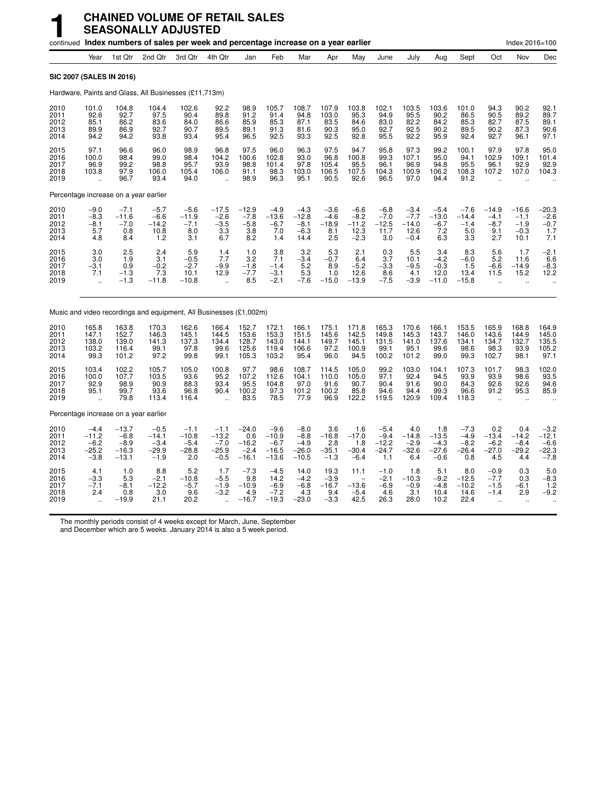|                                      |                                                  |                                                   | <b>CHAINED VOLUME OF RETAIL SALES</b><br><b>SEASONALLY ADJUSTED</b>                 |                                               |                                                                          |                                                |                                                   |                                                  |                                            |                                               |                                               |                                               |                                               |                                              |                                                              |                                                     |                                                  |
|--------------------------------------|--------------------------------------------------|---------------------------------------------------|-------------------------------------------------------------------------------------|-----------------------------------------------|--------------------------------------------------------------------------|------------------------------------------------|---------------------------------------------------|--------------------------------------------------|--------------------------------------------|-----------------------------------------------|-----------------------------------------------|-----------------------------------------------|-----------------------------------------------|----------------------------------------------|--------------------------------------------------------------|-----------------------------------------------------|--------------------------------------------------|
|                                      |                                                  |                                                   | continued Index numbers of sales per week and percentage increase on a year earlier |                                               |                                                                          |                                                |                                                   |                                                  |                                            |                                               |                                               |                                               |                                               |                                              |                                                              | Index 2016=100                                      |                                                  |
|                                      | Year                                             | 1st Qtr                                           | 2nd Qtr                                                                             | 3rd Qtr                                       | 4th Qtr                                                                  | Jan                                            | Feb                                               | Mar                                              | Apr                                        | May                                           | June                                          | July                                          | Aua                                           | Sept                                         | Oct                                                          | Nov                                                 | Dec                                              |
| SIC 2007 (SALES IN 2016)             |                                                  |                                                   |                                                                                     |                                               |                                                                          |                                                |                                                   |                                                  |                                            |                                               |                                               |                                               |                                               |                                              |                                                              |                                                     |                                                  |
|                                      |                                                  |                                                   | Hardware, Paints and Glass, All Businesses (£11,713m)                               |                                               |                                                                          |                                                |                                                   |                                                  |                                            |                                               |                                               |                                               |                                               |                                              |                                                              |                                                     |                                                  |
| 2010<br>2011<br>2012<br>2013<br>2014 | 101.0<br>92.6<br>85.1<br>89.9<br>94.2            | 104.8<br>92.7<br>86.2<br>86.9<br>94.2             | 104.4<br>97.5<br>83.6<br>92.7<br>93.8                                               | 102.6<br>90.4<br>84.0<br>90.7<br>93.4         | 92.2<br>89.8<br>86.6<br>89.5<br>95.4                                     | 98.9<br>91.2<br>85.9<br>89.1<br>96.5           | 105.7<br>91.4<br>85.3<br>91.3<br>92.5             | 108.7<br>94.8<br>87.1<br>81.6<br>93.3            | 107.9<br>103.0<br>83.5<br>90.3<br>92.5     | 103.8<br>95.3<br>84.6<br>95.0<br>92.8         | 102.1<br>94.9<br>83.0<br>92.7<br>95.5         | 103.5<br>95.5<br>82.2<br>92.5<br>92.2         | 103.6<br>90.2<br>84.2<br>90.2<br>95.9         | 101.0<br>86.5<br>85.3<br>89.5<br>92.4        | 94.3<br>90.5<br>82.7<br>90.2<br>92.7                         | 90.2<br>89.2<br>87.5<br>87.3<br>96.1                | 92.1<br>89.7<br>89.1<br>90.6<br>97.1             |
| 2015<br>2016<br>2017<br>2018<br>2019 | 97.1<br>100.0<br>96.9<br>103.8                   | 96.6<br>98.4<br>99.2<br>97.9<br>96.7              | 96.0<br>99.0<br>98.8<br>106.0<br>93.4                                               | 98.9<br>98.4<br>95.7<br>105.4<br>94.0         | 96.8<br>104.2<br>93.9<br>106.0                                           | 97.5<br>100.6<br>98.8<br>91.1<br>98.9          | 96.0<br>102.8<br>101.4<br>98.3<br>96.3            | 96.3<br>93.0<br>97.8<br>103.0<br>95.1            | 97.5<br>96.8<br>105.4<br>106.5<br>90.5     | 94.7<br>100.8<br>95.5<br>107.5<br>92.6        | 95.8<br>99.3<br>96.1<br>104.3<br>96.5         | 97.3<br>107.1<br>96.9<br>100.9<br>97.0        | 99.2<br>95.0<br>94.8<br>106.2<br>94.4         | 100.1<br>94.1<br>95.5<br>108.3<br>91.2       | 97.9<br>102.9<br>96.1<br>107.2                               | 97.8<br>109.1<br>92.9<br>107.0                      | 95.0<br>101.4<br>92.9<br>104.3                   |
|                                      |                                                  | Percentage increase on a year earlier             |                                                                                     |                                               |                                                                          |                                                |                                                   |                                                  |                                            |                                               |                                               |                                               |                                               |                                              |                                                              |                                                     |                                                  |
| 2010<br>2011<br>2012<br>2013<br>2014 | $-9.0$<br>$-8.3$<br>$-8.1$<br>5.7<br>4.8         | $-7.1$<br>$-11.6$<br>$-7.0$<br>0.8<br>8.4         | $-5.7$<br>$-6.6$<br>$-14.2$<br>10.8<br>1.2                                          | $-5.6$<br>$-11.9$<br>$-7.1$<br>8.0<br>3.1     | $-17.5$<br>$-2.6$<br>$-3.5$<br>$\begin{array}{c} 3.3 \\ 6.7 \end{array}$ | $-12.9$<br>$-7.8$<br>$-5.8$<br>3.8<br>8.2      | $-4.9$<br>$-13.6$<br>$-6.7$<br>7.0<br>1.4         | $-4.3$<br>$-12.8$<br>$-8.1$<br>$-6.3$<br>14.4    | $-3.6$<br>$-4.6$<br>$-18.9$<br>8.1<br>2.5  | $-6.6$<br>$-8.2$<br>$-11.2$<br>12.3<br>$-2.3$ | $-6.8$<br>$-7.0$<br>$-12.5$<br>11.7<br>3.0    | $-3.4$<br>$-7.7$<br>$-14.0$<br>12.6<br>$-0.4$ | $-5.4$<br>$-13.0$<br>$-6.7$<br>7.2<br>6.3     | $-7.6$<br>$-14.4$<br>$-1.4$<br>5.0<br>3.3    | $-14.9$<br>$-4.1$<br>$-8.7$<br>9.1<br>2.7                    | $-16.6$<br>$-1.1$<br>$-1.9$<br>$-0.3$<br>10.1       | $-20.3$<br>$-2.6$<br>$-0.7$<br>1.7<br>7.1        |
| 2015<br>2016<br>2017<br>2018<br>2019 | 3.0<br>3.0<br>$-3.1$<br>7.1                      | 2.5<br>1.9<br>0.9<br>$^{-1.3}_{-1.3}$             | 2.4<br>3.1<br>$-0.2$<br>7.3<br>$-11.8$                                              | 5.9<br>$-0.5$<br>$-2.7$<br>10.1<br>$-10.8$    | 1.4<br>7.7<br>$-9.9$<br>12.9<br>$\ddot{\phantom{a}}$                     | 1.0<br>3.2<br>$-1.8$<br>$-7.7$<br>8.5          | 3.8<br>7.1<br>$-1.4$<br>$-3.1$<br>$-2.1$          | 3.2<br>$-3.4$<br>5.2<br>5.3<br>$-7.6$            | 5.3<br>-0.7<br>8.9<br>1.0<br>$-15.0$       | 2.1<br>6.4<br>$-5.2$<br>12.6<br>$-13.9$       | 0.3<br>3.7<br>$-3.3$<br>8.6<br>$-7.5$         | 5.5<br>10.1<br>$-9.5$<br>4.1<br>-3.9          | 3.4<br>$-4.2$<br>$-0.3$<br>12.0<br>$-11.0$    | 8.3<br>$-6.0$<br>1.5<br>13.4<br>$-15.8$      | 5.6<br>5.2<br>$-6.6$<br>11.5<br>$\ddot{\phantom{a}}$         | 1.7<br>11.6<br>$-14.9$<br>15.2<br>ä.                | $-2.1$<br>6.6<br>$-8.3$<br>12.2                  |
|                                      |                                                  |                                                   | Music and video recordings and equipment, All Businesses (£1,002m)                  |                                               |                                                                          |                                                |                                                   |                                                  |                                            |                                               |                                               |                                               |                                               |                                              |                                                              |                                                     |                                                  |
| 2010<br>2011<br>2012<br>2013<br>2014 | 165.8<br>147.1<br>138.0<br>103.2<br>99.3         | 163.8<br>152.7<br>139.0<br>116.4<br>101.2         | 170.3<br>146.3<br>141.3<br>99.1<br>97.2                                             | 162.6<br>145.1<br>137.3<br>97.8<br>99.8       | 166.4<br>144.5<br>134.4<br>99.6<br>99.1                                  | 152.7<br>153.6<br>128.7<br>125.6<br>105.3      | 172.1<br>153.3<br>143.0<br>119.4<br>103.2         | 166.1<br>151.5<br>144.1<br>106.6<br>95.4         | 175.1<br>145.6<br>149.7<br>97.2<br>96.0    | 171.8<br>142.5<br>145.1<br>100.9<br>94.5      | 165.3<br>149.8<br>131.5<br>99.1<br>100.2      | 170.6<br>145.3<br>141.0<br>95.1<br>101.2      | 166.1<br>143.7<br>137.6<br>99.6<br>99.0       | 153.5<br>146.0<br>134.1<br>98.6<br>99.3      | 165.9<br>143.6<br>134.7<br>98.3<br>102.7                     | 168.8<br>144.9<br>132.7<br>93.9<br>98.1             | 164.9<br>145.0<br>135.5<br>105.2<br>97.1         |
| 2015<br>2016<br>2017<br>2018<br>2019 | 103.4<br>100.0<br>92.9<br>95.1                   | 102.2<br>107.7<br>98.9<br>99.7<br>79.8            | 105.7<br>103.5<br>90.9<br>93.6<br>113.4                                             | 105.0<br>93.6<br>88.3<br>96.8<br>116.4        | 100.8<br>95.2<br>93.4<br>90.4                                            | 97.7<br>107.2<br>95.5<br>100.2<br>83.5         | 98.6<br>112.6<br>104.8<br>97.3<br>78.5            | 108.7<br>104.1<br>97.0<br>101.2<br>77.9          | 114.5<br>110.0<br>91.6<br>100.2<br>96.9    | 105.0<br>105.0<br>90.7<br>85.8<br>122.2       | 99.2<br>97.1<br>90.4<br>94.6<br>119.5         | 103.0<br>92.4<br>91.6<br>94.4<br>120.9        | 104.1<br>94.5<br>90.0<br>99.3<br>109.4        | 107.3<br>93.9<br>84.3<br>96.6<br>118.3       | 101.7<br>93.9<br>92.6<br>91.2<br>$\ddot{\phantom{a}}$        | 98.3<br>98.6<br>92.6<br>95.3                        | 102.0<br>93.5<br>94.6<br>85.9                    |
|                                      |                                                  | Percentage increase on a year earlier             |                                                                                     |                                               |                                                                          |                                                |                                                   |                                                  |                                            |                                               |                                               |                                               |                                               |                                              |                                                              |                                                     |                                                  |
| 2010<br>2011<br>2012<br>2013<br>2014 | $-4.4$<br>$-11.2$<br>$-6.2$<br>$-25.2$<br>$-3.8$ | $-13.7$<br>$-6.8$<br>$-8.9$<br>$-16.3$<br>$-13.1$ | $-0.5$<br>$-14.1$<br>$-3.4$<br>$-29.9$<br>$-1.9$                                    | $-1.1$<br>$-10.8$<br>$-5.4$<br>$-28.8$<br>2.0 | $-1.1$<br>$-13.2$<br>$-7.0$<br>$-25.9$<br>$-0.5$                         | $-24.0$<br>0.6<br>$-16.2$<br>$-2.4$<br>$-16.1$ | $-9.6$<br>$-10.9$<br>$-6.7$<br>$-16.5$<br>$-13.6$ | $-8.0$<br>$-8.8$<br>$-4.9$<br>$-26.0$<br>$-10.5$ | 3.6<br>$-16.8$<br>2.8<br>$-35.1$<br>$-1.3$ | 1.6<br>$-17.0$<br>1.8<br>$-30.4$<br>$-6.4$    | $-5.4$<br>$-9.4$<br>$-12.2$<br>$-24.7$<br>1.1 | 4.0<br>$-14.8$<br>$-2.9$<br>$-32.6$<br>6.4    | 1.8<br>$-13.5$<br>$-4.3$<br>$-27.6$<br>$-0.6$ | $-7.3$<br>$-4.9$<br>$-8.2$<br>$-26.4$<br>0.8 | 0.2<br>$-13.4$<br>$-6.2$<br>$-27.0$<br>4.5                   | 0.4<br>$-14.2$<br>$-8.4$<br>$-29.2$<br>4.4          | $-3.2$<br>$-12.1$<br>$-6.6$<br>$-22.3$<br>$-7.8$ |
| 2015<br>2016<br>2017<br>2018<br>2019 | 4.1<br>$-3.3$<br>$-7.1$<br>2.4                   | 1.0<br>$\frac{5.3}{-8.1}$<br>0.8<br>$-19.9$       | 8.8<br>$-2.1$<br>$-12.2$<br>3.0<br>21.1                                             | 5.2<br>$-10.8$<br>$-5.7$<br>9.6<br>20.2       | 1.7<br>$-5.5$<br>$-1.9$<br>$-3.2$                                        | $-7.3$<br>9.8<br>$-10.9$<br>4.9<br>$-16.7$     | $-4.5$<br>14.2<br>$-6.9$<br>$-7.2$<br>$-19.3$     | 14.0<br>$-4.2$<br>$-6.8$<br>4.3<br>$-23.0$       | 19.3<br>$-3.9$<br>$-16.7$<br>9.4<br>$-3.3$ | 11.1<br>$-13.6$<br>$-5.4$<br>42.5             | $-1.0$<br>$-2.1$<br>$-6.9$<br>4.6<br>26.3     | 1.8<br>$-10.3$<br>$-0.9$<br>3.1<br>28.0       | 5.1<br>$-9.2$<br>$-4.8$<br>10.4<br>10.2       | 8.0<br>$-12.5$<br>$-10.2$<br>14.6<br>22.4    | $-0.9$<br>$-7.7$<br>$-1.5$<br>$-1.4$<br>$\ddot{\phantom{a}}$ | 0.3<br>0.3<br>$-6.1$<br>2.9<br>$\ddot{\phantom{a}}$ | 5.0<br>$-8.3$<br>1.2<br>$-9.2$                   |

The monthly periods consist of 4 weeks except for March, June, September

and December which are 5 weeks. January 2014 is also a 5 week period.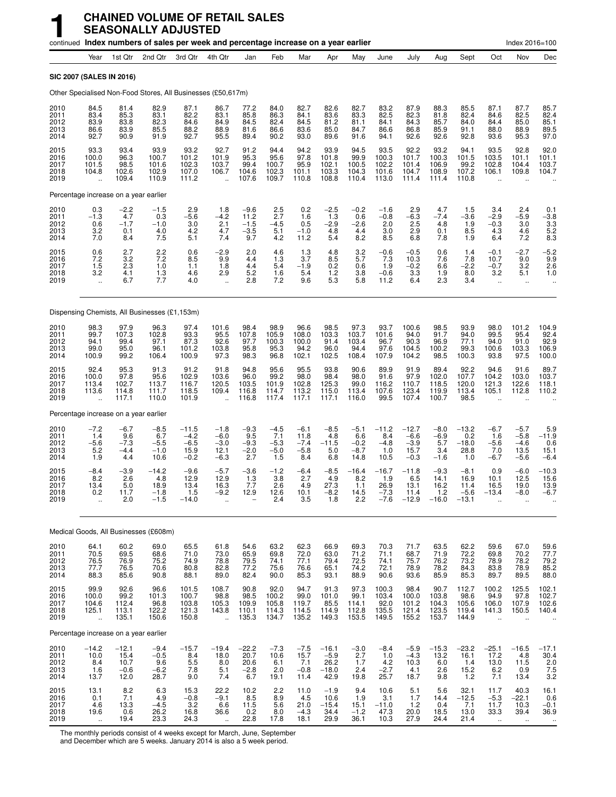|                                      |                                                         |                                           | continued Index numbers of sales per week and percentage increase on a year earlier |                                               |                                                         |                                           |                                          |                                           |                                              |                                           |                                            |                                               |                                            |                                             |                                              | Index 2016=100                               |                                             |
|--------------------------------------|---------------------------------------------------------|-------------------------------------------|-------------------------------------------------------------------------------------|-----------------------------------------------|---------------------------------------------------------|-------------------------------------------|------------------------------------------|-------------------------------------------|----------------------------------------------|-------------------------------------------|--------------------------------------------|-----------------------------------------------|--------------------------------------------|---------------------------------------------|----------------------------------------------|----------------------------------------------|---------------------------------------------|
|                                      | Year                                                    | 1st Qtr                                   | 2nd Qtr                                                                             | 3rd Qtr                                       | 4th Qtr                                                 | Jan                                       | Feb                                      | Mar                                       | Apr                                          | May                                       | June                                       | July                                          | Aug                                        | Sept                                        | Oct                                          | Nov                                          | Dec                                         |
|                                      |                                                         | SIC 2007 (SALES IN 2016)                  |                                                                                     |                                               |                                                         |                                           |                                          |                                           |                                              |                                           |                                            |                                               |                                            |                                             |                                              |                                              |                                             |
|                                      |                                                         |                                           | Other Specialised Non-Food Stores, All Businesses (£50,617m)                        |                                               |                                                         |                                           |                                          |                                           |                                              |                                           |                                            |                                               |                                            |                                             |                                              |                                              |                                             |
| 2010<br>2011<br>2012<br>2013<br>2014 | 84.5<br>83.4<br>83.9<br>86.6<br>92.7                    | 81.4<br>85.3<br>83.8<br>83.9<br>90.9      | 82.9<br>83.1<br>82.3<br>85.5<br>91.9                                                | 87.1<br>82.2<br>84.6<br>88.2<br>92.7          | 86.7<br>83.1<br>84.9<br>88.9<br>95.5                    | 77.2<br>85.8<br>84.5<br>81.6<br>89.4      | 84.0<br>86.3<br>82.4<br>86.6<br>90.2     | 82.7<br>84.1<br>84.5<br>83.6<br>93.0      | 82.6<br>83.6<br>81.2<br>85.0<br>89.6         | 82.7<br>83.3<br>81.1<br>84.7<br>91.6      | 83.2<br>82.5<br>84.1<br>86.6<br>94.1       | 87.9<br>82.3<br>84.3<br>86.8<br>92.6          | 88.3<br>81.8<br>85.7<br>85.9<br>92.6       | 85.5<br>82.4<br>84.0<br>91.1<br>92.8        | 87.1<br>84.6<br>84.4<br>88.0<br>93.6         | 87.7<br>82.5<br>85.0<br>88.9<br>95.3         | 85.7<br>82.4<br>85.1<br>89.5<br>97.0        |
| 2015<br>2016<br>2017<br>2018<br>2019 | 93.3<br>100.0<br>101.5<br>104.8<br>$\ddotsc$            | 93.4<br>96.3<br>98.5<br>102.6<br>109.4    | 93.9<br>100.7<br>101.6<br>102.9<br>110.9                                            | 93.2<br>101.2<br>102.3<br>107.0<br>111.2      | 92.7<br>101.9<br>103.7<br>106.7<br>$\ddot{\phantom{a}}$ | 91.2<br>95.3<br>99.4<br>104.6<br>107.6    | 94.4<br>95.6<br>100.7<br>102.3<br>109.7  | 94.2<br>97.8<br>95.9<br>101.1<br>110.8    | 93.9<br>101.8<br>102.1<br>103.3<br>108.8     | 94.5<br>99.9<br>100.5<br>104.3<br>110.4   | 93.5<br>100.3<br>102.2<br>101.6<br>113.0   | 92.2<br>101.7<br>101.4<br>104.7<br>111.4      | 93.2<br>100.3<br>106.9<br>108.9<br>111.4   | 94.1<br>101.5<br>99.2<br>107.2<br>110.8     | 93.5<br>103.5<br>102.8<br>106.1              | 92.8<br>101.1<br>104.4<br>109.8              | 92.0<br>101.1<br>103.7<br>104.7             |
|                                      |                                                         | Percentage increase on a year earlier     |                                                                                     |                                               |                                                         |                                           |                                          |                                           |                                              |                                           |                                            |                                               |                                            |                                             |                                              |                                              |                                             |
| 2010<br>2011<br>2012<br>2013<br>2014 | $0.3 - 1.3$<br>0.6<br>3.2<br>7.0                        | $-2.2$<br>4.7<br>$-1.7$<br>0.1<br>8.4     | $-1.5$<br>0.3<br>$-1.0$<br>4.0<br>7.5                                               | 2.9<br>$-5.6$<br>3.0<br>4.2<br>5.1            | 1.8<br>$-4.2$<br>2.1<br>4.7<br>7.4                      | $-9.6$<br>11.2<br>$-1.5$<br>$-3.5$<br>9.7 | 2.5<br>2.7<br>$-4.5$<br>5.1<br>4.2       | 0.2<br>1.6<br>0.5<br>$-1.0$<br>11.2       | $-2.5$<br>1.3<br>$-2.9$<br>4.8<br>5.4        | $-0.2$<br>0.6<br>$-2.6$<br>4.4<br>8.2     | $-1.6$<br>$-0.8$<br>2.0<br>3.0<br>8.5      | 2.9<br>$-6.3$<br>2.5<br>2.9<br>6.8            | 4.7<br>$-7.4$<br>4.8<br>0.1<br>7.8         | 1.5<br>$-3.6$<br>1.9<br>8.5<br>1.9          | 3.4<br>$-2.9$<br>$-0.3$<br>4.3<br>6.4        | 2.4<br>$-5.9$<br>3.0<br>4.6<br>7.2           | 0.1<br>$-3.8$<br>3.3<br>$\frac{5.2}{8.3}$   |
| 2015<br>2016<br>2017<br>2018<br>2019 | 0.6<br>7.2<br>1.5<br>3.2<br>$\ddotsc$                   | 2.7<br>3.2<br>2.3<br>4.1<br>6.7           | 2.2<br>7.2<br>1.0<br>1.3<br>7.7                                                     | 0.6<br>8.5<br>1.1<br>4.6<br>4.0               | $-2.9$<br>9.9<br>1.8<br>2.9<br>$\ddot{\phantom{1}}$     | 2.0<br>4.4<br>4.4<br>5.2<br>2.8           | 4.6<br>1.3<br>5.4<br>1.6<br>7.2          | 1.3<br>3.7<br>$-1.9$<br>5.4<br>9.6        | 4.8<br>8.5<br>0.2<br>1.2<br>5.3              | 3.2<br>5.7<br>0.6<br>3.8<br>5.8           | $-0.6$<br>7.3<br>1.9<br>$-0.6$<br>11.2     | $-0.5$<br>10.3<br>$-0.2$<br>3.3<br>6.4        | 0.6<br>7.6<br>6.6<br>1.9<br>2.3            | 1.4<br>7.8<br>$-2.2$<br>8.0<br>3.4          | $-0.1$<br>10.7<br>$-0.7$<br>3.2<br>$\ddotsc$ | $-2.7$<br>9.0<br>3.2<br>5.1<br>$\ddotsc$     | $-5.2$<br>9.9<br>2.6<br>1.0<br>$\ddotsc$    |
|                                      |                                                         |                                           | Dispensing Chemists, All Businesses (£1,153m)                                       |                                               |                                                         |                                           |                                          |                                           |                                              |                                           |                                            |                                               |                                            |                                             |                                              |                                              |                                             |
| 2010<br>2011<br>2012<br>2013<br>2014 | 98.3<br>99.7<br>94.1<br>99.0<br>100.9                   | 97.9<br>107.3<br>99.4<br>95.0<br>99.2     | 96.3<br>102.8<br>97.1<br>96.1<br>106.4                                              | 97.4<br>93.3<br>87.3<br>101.2<br>100.9        | 101.6<br>95.5<br>92.6<br>103.8<br>97.3                  | 98.4<br>107.8<br>97.7<br>95.8<br>98.3     | 98.9<br>105.9<br>100.3<br>95.3<br>96.8   | 96.6<br>108.0<br>100.0<br>94.2<br>102.1   | 98.5<br>103.3<br>91.4<br>96.0<br>102.5       | 97.3<br>103.7<br>103.4<br>94.4<br>108.4   | 93.7<br>101.6<br>96.7<br>97.6<br>107.9     | 100.6<br>94.0<br>90.3<br>104.5<br>104.2       | 98.5<br>91.7<br>96.9<br>100.2<br>98.5      | 93.9<br>94.0<br>77.1<br>99.3<br>100.3       | 98.0<br>99.5<br>94.0<br>100.6<br>93.8        | 101.2<br>95.4<br>91.0<br>103.3<br>97.5       | 104.9<br>92.4<br>92.9<br>106.9<br>100.0     |
| 2015<br>2016<br>2017<br>2018<br>2019 | 92.4<br>100.0<br>113.4<br>113.6<br>$\ddot{\phantom{a}}$ | 95.3<br>97.8<br>102.7<br>114.8<br>117.1   | 91.3<br>95.6<br>113.7<br>111.7<br>110.0                                             | 91.2<br>102.9<br>116.7<br>118.5<br>101.9      | 91.8<br>103.6<br>120.5<br>109.4<br>$\ddot{\phantom{a}}$ | 94.8<br>96.0<br>103.5<br>116.8<br>116.8   | 95.6<br>99.2<br>101.9<br>114.7<br>117.4  | 95.5<br>98.0<br>102.8<br>113.2<br>117.1   | 93.8<br>98.4<br>125.3<br>115.0<br>117.1      | 90.6<br>98.0<br>99.0<br>113.4<br>116.0    | 89.9<br>91.6<br>116.2<br>107.6<br>99.5     | 91.9<br>97.9<br>110.7<br>123.4<br>107.4       | 89.4<br>102.0<br>118.5<br>119.9<br>100.7   | 92.2<br>107.7<br>120.0<br>113.4<br>98.5     | 94.6<br>104.2<br>121.3<br>105.1              | 91.6<br>103.0<br>122.6<br>112.8              | 89.7<br>103.7<br>118.1<br>110.2             |
|                                      |                                                         | Percentage increase on a year earlier     |                                                                                     |                                               |                                                         |                                           |                                          |                                           |                                              |                                           |                                            |                                               |                                            |                                             |                                              |                                              |                                             |
| 2010<br>2011<br>2012<br>2013<br>2014 | $-7.2$<br>1.4<br>$-5.6$<br>5.2<br>1.9                   | $-6.7$<br>9.6<br>$-7.3$<br>$-4.4$<br>4.4  | $-8.5$<br>6.7<br>$-5.5$<br>$-1.0$<br>10.6                                           | $-11.5$<br>$-4.2$<br>$-6.5$<br>15.9<br>$-0.2$ | $-1.8$<br>$-6.0$<br>$-3.0$<br>12.1<br>$-6.3$            | $-9.3$<br>9.5<br>$-9.3$<br>$-2.0$<br>2.7  | $-4.5$<br>7.1<br>$-5.3$<br>$-5.0$<br>1.5 | $-6.1$<br>11.8<br>$-7.4$<br>$-5.8$<br>8.4 | $-8.5$<br>4.8<br>$-11.5$<br>5.0<br>6.8       | $-5.1$<br>6.6<br>$-0.2$<br>$-8.7$<br>14.8 | $-11.2$<br>8.4<br>$-4.8$<br>1.0<br>10.5    | $-12.7$<br>$-6.6$<br>$-3.9$<br>15.7<br>$-0.3$ | $-8.0$<br>$-6.9$<br>5.7<br>3.4<br>$-1.6$   | $-13.2$<br>0.2<br>$-18.0$<br>28.8<br>1.0    | $-6.7$<br>1.6<br>$-5.6$<br>7.0<br>$-6.7$     | $-5.7$<br>$-5.8$<br>$-4.6$<br>13.5<br>$-5.6$ | 5.9<br>-11.9<br>0.6<br>15.1<br>$-6.4$       |
| 2015<br>2016<br>2017<br>2018<br>2019 | $-8.4$<br>8.2<br>13.4<br>0.2<br>$\ddot{\phantom{a}}$    | $-3.9$<br>2.6<br>5.0<br>11.7<br>2.0       | $-14.2$<br>4.8<br>18.9<br>$-1.8$<br>$-1.5$                                          | $-9.6$<br>12.9<br>13.4<br>1.5<br>$-14.0$      | $-5.7$<br>12.9<br>16.3<br>$-9.2$                        | $-3.6$<br>1.3<br>7.7<br>12.9              | $-1.2$<br>3.8<br>2.6<br>12.6<br>2.4      | $-6.4$<br>2.7<br>4.9<br>10.1<br>3.5       | $-8.5$<br>4.9<br>27.3<br>$-8.2$<br>1.8       | $-16.4$<br>8.2<br>1.1<br>14.5<br>2.2      | $-16.7$<br>1.9<br>26.9<br>$-7.3$<br>$-7.6$ | $-11.8$<br>6.5<br>13.1<br>11.4<br>$-12.9$     | $-9.3$<br>14.1<br>16.2<br>$1.2$<br>$-16.0$ | $-8.1$<br>16.9<br>11.4<br>$-5.6$<br>$-13.1$ | 0.9<br>10.1<br>16.5<br>$-13.4$               | $-6.0$<br>12.5<br>19.0<br>-8.0               | $-10.3$<br>15.6<br>13.9<br>-6.7             |
|                                      |                                                         |                                           | Medical Goods, All Businesses (£608m)                                               |                                               |                                                         |                                           |                                          |                                           |                                              |                                           |                                            |                                               |                                            |                                             |                                              |                                              |                                             |
| 2010<br>2011<br>2012<br>2013<br>2014 | 64.1<br>70.5<br>76.5<br>77.7<br>88.3                    | 60.2<br>69.5<br>76.9<br>76.5<br>85.6      | 69.0<br>68.6<br>75.2<br>70.6<br>90.8                                                | 65.5<br>71.0<br>74.9<br>80.8<br>88.1          | 61.8<br>73.0<br>78.8<br>82.8<br>89.0                    | 54.6<br>65.9<br>79.5<br>77.2<br>82.4      | 63.2<br>69.8<br>74.1<br>75.6<br>90.0     | 62.3<br>72.0<br>77.1<br>76.6<br>85.3      | 66.9<br>63.0<br>79.4<br>65.1<br>93.1         | 69.3<br>71.2<br>72.5<br>74.2<br>88.9      | 70.3<br>71.1<br>74.1<br>72.1<br>90.6       | 71.7<br>68.7<br>75.7<br>78.9<br>93.6          | 63.5<br>71.9<br>76.2<br>78.2<br>85.9       | 62.2<br>72.2<br>73.2<br>84.3<br>85.3        | 59.6<br>69.8<br>78.9<br>83.8<br>89.7         | 67.0<br>70.2<br>78.2<br>78.9<br>89.5         | 59.6<br>77.7<br>79.2<br>85.2<br>88.0        |
| 2015<br>2016<br>2017<br>2018<br>2019 | 99.9<br>100.0<br>104.6<br>125.1<br>$\ddotsc$            | 92.6<br>99.2<br>112.4<br>113.1<br>135.1   | 96.6<br>101.3<br>96.8<br>122.2<br>150.6                                             | 101.5<br>100.7<br>103.8<br>121.3<br>150.8     | 108.7<br>98.8<br>105.3<br>143.8<br>u,                   | 90.8<br>98.5<br>109.9<br>110.1<br>135.3   | 92.0<br>100.2<br>105.8<br>114.3<br>134.7 | 94.7<br>99.0<br>119.7<br>114.5<br>135.2   | 91.3<br>101.0<br>85.5<br>114.9<br>149.3      | 97.3<br>99.1<br>114.1<br>112.8<br>153.5   | 100.3<br>103.4<br>92.0<br>135.5<br>149.5   | 98.4<br>100.0<br>101.2<br>121.4<br>155.2      | 90.7<br>103.8<br>104.3<br>123.5<br>153.7   | 112.7<br>98.6<br>105.6<br>119.4<br>144.9    | 100.2<br>94.9<br>106.0<br>141.3              | 125.5<br>97.8<br>107.9<br>150.5              | 102.1<br>102.7<br>102.6<br>140.4            |
|                                      |                                                         | Percentage increase on a year earlier     |                                                                                     |                                               |                                                         |                                           |                                          |                                           |                                              |                                           |                                            |                                               |                                            |                                             |                                              |                                              |                                             |
| 2010<br>2011<br>2012<br>2013<br>2014 | $-14.2$<br>10.0<br>8.4<br>1.6<br>13.7                   | $-12.1$<br>15.4<br>10.7<br>$-0.6$<br>12.0 | $-9.4$<br>$-0.5$<br>9.6<br>$-6.2$<br>28.7                                           | $-15.7$<br>8.4<br>5.5<br>7.8<br>9.0           | $-19.4$<br>18.0<br>8.0<br>5.1<br>7.4                    | $-22.2$<br>20.7<br>20.6<br>$-2.8$<br>6.7  | $-7.3$<br>10.6<br>6.1<br>2.0<br>19.1     | $-7.5$<br>15.7<br>7.1<br>$-0.8$<br>11.4   | $-16.1$<br>$-5.9$<br>26.2<br>$-18.0$<br>42.9 | $-3.0$<br>2.7<br>1.7<br>2.4<br>19.8       | $-8.4$<br>1.0<br>$4.2 - 2.7$<br>25.7       | $-5.9$<br>$-4.3$<br>10.3<br>4.1<br>18.7       | $-15.3$<br>13.2<br>6.0<br>2.6<br>9.8       | $-23.2$<br>16.1<br>1.4<br>15.2<br>$1.2$     | $-25.1$<br>17.2<br>13.0<br>6.2<br>7.1        | $-16.5$<br>4.8<br>11.5<br>0.9<br>13.4        | $-17.1$<br>30.4<br>$\frac{2.0}{7.5}$<br>3.2 |
| 2015<br>2016<br>2017<br>2018<br>2019 | 13.1<br>0.1<br>4.6<br>19.6<br>$\mathbf{u}$              | 8.2<br>7.1<br>13.3<br>0.6<br>19.4         | 6.3<br>4.9<br>$-4.5$<br>26.2<br>23.3                                                | 15.3<br>$-0.8$<br>3.2<br>16.8<br>24.3         | 22.2<br>$-9.1$<br>6.6<br>36.6                           | 10.2<br>8.5<br>11.5<br>0.2<br>22.8        | 2.2<br>8.9<br>5.6<br>8.0<br>17.8         | 11.0<br>4.5<br>21.0<br>$-4.3$<br>18.1     | $-1.9$<br>10.6<br>$-15.4$<br>34.4<br>29.9    | 9.4<br>1.9<br>15.1<br>$-1.2$<br>36.1      | 10.6<br>3.1<br>$-11.0$<br>47.3<br>10.3     | 5.1<br>1.7<br>$1.2$<br>20.0<br>27.9           | 5.6<br>14.4<br>0.4<br>18.5<br>24.4         | 32.1<br>$-12.5$<br>7.1<br>13.0<br>21.4      | 11.7<br>$-5.3$<br>11.7<br>33.3<br>$\ldots$   | 40.3<br>$-22.1$<br>10.3<br>39.4<br>$\sim$    | 16.1<br>0.6<br>$-0.1$<br>36.9               |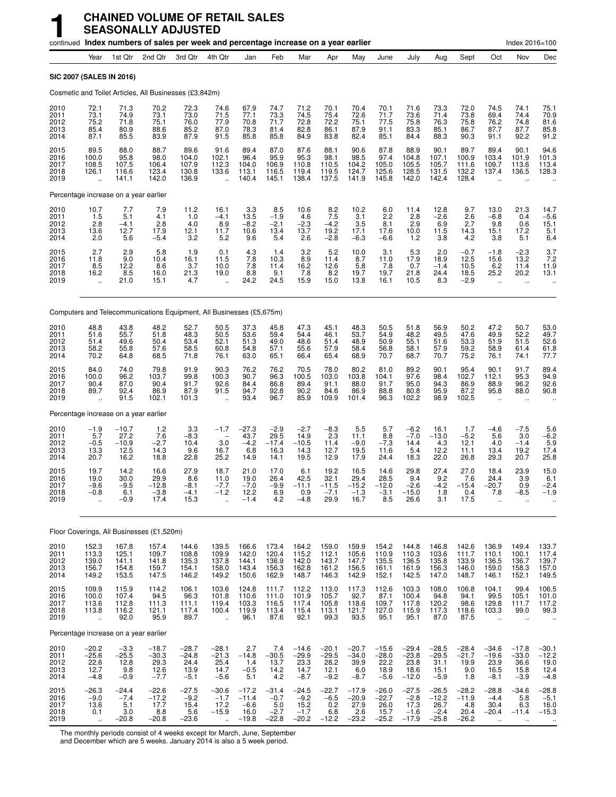|                                      |                                                    |                                                         | continued Index numbers of sales per week and percentage increase on a year earlier |                                              |                                                |                                                 |                                                    |                                              |                                               |                                              |                                               |                                                |                                               |                                              |                                                              | Index 2016=100                                           |                                                              |
|--------------------------------------|----------------------------------------------------|---------------------------------------------------------|-------------------------------------------------------------------------------------|----------------------------------------------|------------------------------------------------|-------------------------------------------------|----------------------------------------------------|----------------------------------------------|-----------------------------------------------|----------------------------------------------|-----------------------------------------------|------------------------------------------------|-----------------------------------------------|----------------------------------------------|--------------------------------------------------------------|----------------------------------------------------------|--------------------------------------------------------------|
|                                      | Year                                               | 1st Qtr                                                 | 2nd Qtr                                                                             | 3rd Qtr                                      | 4th Qtr                                        | Jan                                             | Feb                                                | Mar                                          | Apr                                           | May                                          | June                                          | July                                           | Aug                                           | Sept                                         | Oct                                                          | Nov                                                      | Dec                                                          |
| <b>SIC 2007 (SALES IN 2016)</b>      |                                                    |                                                         |                                                                                     |                                              |                                                |                                                 |                                                    |                                              |                                               |                                              |                                               |                                                |                                               |                                              |                                                              |                                                          |                                                              |
|                                      |                                                    |                                                         | Cosmetic and Toilet Articles, All Businesses (£3,842m)                              |                                              |                                                |                                                 |                                                    |                                              |                                               |                                              |                                               |                                                |                                               |                                              |                                                              |                                                          |                                                              |
| 2010<br>2011<br>2012<br>2013<br>2014 | 72.1<br>73.1<br>75.2<br>85.4<br>87.1               | 71.3<br>74.9<br>71.8<br>80.9<br>85.5                    | 70.2<br>73.1<br>75.1<br>88.6<br>83.9                                                | 72.3<br>73.0<br>76.0<br>85.2<br>87.9         | 74.6<br>71.5<br>77.9<br>87.0<br>91.5           | 67.9<br>77.1<br>70.8<br>78.3<br>85.8            | 74.7<br>73.3<br>71.7<br>81.4<br>85.8               | 71.2<br>74.5<br>72.8<br>82.8<br>84.9         | 70.1<br>75.4<br>72.2<br>86.1<br>83.8          | 70.4<br>72.6<br>75.1<br>87.9<br>82.4         | 70.1<br>71.7<br>77.5<br>91.1<br>85.1          | 71.6<br>73.6<br>75.8<br>83.3<br>84.4           | 73.3<br>71.4<br>76.3<br>85.1<br>88.3          | 72.0<br>73.8<br>75.8<br>86.7<br>90.3         | 74.5<br>69.4<br>76.2<br>87.7<br>91.1                         | 74.1<br>74.4<br>74.8<br>87.7<br>92.2                     | 75.1<br>70.9<br>81.6<br>85.8<br>91.2                         |
| 2015<br>2016<br>2017<br>2018<br>2019 | 89.5<br>100.0<br>108.5<br>126.1                    | 88.0<br>95.8<br>107.5<br>116.6<br>141.1                 | 88.7<br>98.0<br>106.4<br>123.4<br>142.0                                             | 89.6<br>104.0<br>107.9<br>130.8<br>136.9     | 91.6<br>102.1<br>112.3<br>133.6                | 89.4<br>96.4<br>104.0<br>113.1<br>140.4         | 87.0<br>95.9<br>106.9<br>116.5<br>145.1            | 87.6<br>95.3<br>110.8<br>119.4<br>138.4      | 88.1<br>98.1<br>110.5<br>119.5<br>137.5       | 90.6<br>98.5<br>104.2<br>124.7<br>141.9      | 87.8<br>97.4<br>105.0<br>125.6<br>145.8       | 88.9<br>104.8<br>105.5<br>128.5<br>142.0       | 90.1<br>107.1<br>105.7<br>131.5<br>142.4      | 89.7<br>100.9<br>111.6<br>132.2<br>128.4     | 89.4<br>103.4<br>109.7<br>137.4                              | 90.1<br>101.9<br>113.6<br>136.5                          | 94.6<br>101.3<br>113.4<br>128.3                              |
|                                      |                                                    | Percentage increase on a year earlier                   |                                                                                     |                                              |                                                |                                                 |                                                    |                                              |                                               |                                              |                                               |                                                |                                               |                                              |                                                              |                                                          |                                                              |
| 2010<br>2011<br>2012<br>2013<br>2014 | $10.7$<br>1.5<br>2.8<br>13.6<br>2.0                | 7.7<br>5.1<br>$-4.1$<br>12.7<br>5.6                     | 7.9<br>4.1<br>2.8<br>17.9<br>$-5.4$                                                 | $\frac{11.2}{1.0}$<br>4.0<br>12.1<br>3.2     | 16.1<br>$-4.1$<br>8.9<br>11.7<br>5.2           | $3.3$<br>13.5<br>$-8.2$<br>10.6<br>9.6          | $8.5 - 1.9$<br>$-2.1$<br>13.4<br>5.4               | 10.6<br>4.6<br>$-2.3$<br>13.7<br>2.6         | $\frac{8.2}{7.5}$<br>$-4.2$<br>19.2<br>$-2.8$ | 10.2<br>3.1<br>3.5<br>17.1<br>$-6.3$         | 6.0<br>2.2<br>8.1<br>17.6<br>$-6.6$           | 11.4<br>2.8<br>2.9<br>10.0<br>1.2              | 12.8<br>$-2.6$<br>6.9<br>11.5<br>3.8          | 9.7<br>2.6<br>2.7<br>14.3<br>4.2             | 13.0<br>$-6.8$<br>9.8<br>15.1<br>3.8                         | 21.3<br>0.4<br>0.6<br>17.2<br>5.1                        | 14.7<br>$-5.6$<br>15.1<br>5.1<br>6.4                         |
| 2015<br>2016<br>2017<br>2018<br>2019 | 2.7<br>11.8<br>8.5<br>16.2<br>$\ddot{\phantom{a}}$ | 2.9<br>9.0<br>12.2<br>8.5<br>21.0                       | $\frac{5.8}{10.4}$<br>8.6<br>16.0<br>15.1                                           | $1.9$<br>16.1<br>3.7<br>$^{21.3}_{4.7}$      | 0.1<br>11.5<br>10.0<br>19.0<br>$\ddotsc$       | $\frac{4.3}{7.8}$<br>7.8<br>8.8<br>24.2         | 1.4<br>10.3<br>11.4<br>9.1<br>24.5                 | $\frac{3.2}{8.9}$<br>16.2<br>7.8<br>15.9     | $5.2$<br>11.4<br>12.6<br>$8.2$<br>15.0        | 10.0<br>8.7<br>5.8<br>19.7<br>13.8           | 3.1<br>11.0<br>7.8<br>19.7<br>16.1            | $\frac{5.3}{17.9}$<br>0.7<br>21.8<br>10.5      | 2.0<br>18.9<br>$-1.4$<br>24.4<br>8.3          | $-0.7$<br>12.5<br>10.5<br>18.5<br>$-2.9$     | $-1.8$<br>15.6<br>6.2<br>25.2<br>$\ddot{\phantom{a}}$        | $-2.3$<br>13.2<br>11.4<br>20.2<br>÷.                     | $\frac{3.7}{7.2}$<br>11.9<br>13.1                            |
|                                      |                                                    |                                                         | Computers and Telecommunications Equipment, All Businesses (£5,675m)                |                                              |                                                |                                                 |                                                    |                                              |                                               |                                              |                                               |                                                |                                               |                                              |                                                              |                                                          |                                                              |
| 2010<br>2011<br>2012<br>2013<br>2014 | 48.8<br>51.6<br>51.4<br>58.2<br>70.2               | 43.8<br>55.7<br>49.6<br>55.8<br>64.8                    | 48.2<br>51.8<br>50.4<br>57.6<br>68.5                                                | 52.7<br>48.3<br>53.4<br>58.5<br>71.8         | 50.5<br>50.5<br>52.1<br>60.8<br>76.1           | 37.3<br>53.6<br>51.3<br>54.8<br>63.0            | 45.8<br>59.4<br>49.0<br>57.1<br>65.1               | 47.3<br>54.4<br>48.6<br>55.6<br>66.4         | 45.1<br>46.1<br>51.4<br>57.9<br>65.4          | 48.3<br>53.7<br>48.9<br>58.4<br>68.9         | 50.5<br>54.9<br>50.9<br>56.8<br>70.7          | 51.8<br>48.2<br>55.1<br>58.1<br>68.7           | 56.9<br>49.5<br>51.6<br>57.9<br>70.7          | 50.2<br>47.6<br>53.3<br>59.2<br>75.2         | 47.2<br>49.9<br>51.9<br>58.9<br>76.1                         | 50.7<br>52.2<br>51.5<br>61.4<br>74.1                     | 53.0<br>49.7<br>52.6<br>61.8<br>77.7                         |
| 2015<br>2016<br>2017<br>2018<br>2019 | 84.0<br>100.0<br>90.4<br>89.7                      | 74.0<br>96.2<br>87.0<br>92.4<br>91.5                    | 79.8<br>103.7<br>90.4<br>86.9<br>102.1                                              | 91.9<br>99.8<br>91.7<br>87.9<br>101.3        | 90.3<br>100.3<br>92.6<br>91.5                  | 76.2<br>90.7<br>84.4<br>94.7<br>93.4            | 76.2<br>96.3<br>86.8<br>92.8<br>96.7               | 70.5<br>100.5<br>89.4<br>90.2<br>85.9        | 78.0<br>103.0<br>91.1<br>84.6<br>109.9        | 80.2<br>103.8<br>88.0<br>86.9<br>101.4       | 81.0<br>104.1<br>91.7<br>88.8<br>96.3         | 89.2<br>97.6<br>95.0<br>80.8<br>102.2          | 90.1<br>98.4<br>94.3<br>95.9<br>98.9          | 95.4<br>102.7<br>86.9<br>87.2<br>102.5       | 90.1<br>112.1<br>88.9<br>95.8<br>$\ddot{\phantom{a}}$        | 91.7<br>95.3<br>96.2<br>88.0<br>$\ddot{\phantom{a}}$     | 89.4<br>94.9<br>92.6<br>90.8                                 |
|                                      |                                                    | Percentage increase on a year earlier                   |                                                                                     |                                              |                                                |                                                 |                                                    |                                              |                                               |                                              |                                               |                                                |                                               |                                              |                                                              |                                                          |                                                              |
| 2010<br>2011<br>2012<br>2013<br>2014 | $-1.9$<br>5.7<br>$-0.5$<br>13.3<br>20.7            | $-10.7$<br>27.2<br>$-10.9$<br>12.5<br>16.2              | $1.2$<br>7.6<br>$-2.7$<br>14.3<br>18.8                                              | 3.3<br>$-8.3$<br>10.4<br>9.6<br>22.8         | $-1.7$<br>3.0<br>16.7<br>25.2                  | $-27.3$<br>43.7<br>$-4.2$<br>6.8<br>14.9        | $-2.9$<br>29.5<br>$-17.4$<br>16.3<br>14.1          | $-2.7$<br>14.9<br>$-10.5$<br>14.3<br>19.5    | $-8.3$<br>2.3<br>11.4<br>12.7<br>12.9         | 5.5<br>11.1<br>$-9.0$<br>19.5<br>17.9        | 5.7<br>8.8<br>$-7.3$<br>11.6<br>24.4          | $-6.2$<br>$-7.0$<br>14.4<br>5.4<br>18.3        | 16.1<br>$-13.0$<br>4.3<br>12.2<br>22.0        | 1.7<br>$-5.2$<br>12.1<br>11.1<br>26.8        | $-4.6$<br>5.6<br>4.0<br>13.4<br>29.3                         | $-7.5$<br>3.0<br>$-1.4$<br>19.2<br>20.7                  | 5.6<br>$-6.2$<br>5.9<br>17.4<br>25.8                         |
| 2015<br>2016<br>2017<br>2018<br>2019 | 19.7<br>19.0<br>$-9.6$<br>-0.8                     | 14.2<br>30.0<br>$-9.5$<br>6.1<br>$-0.9$                 | 16.6<br>29.9<br>$-12.8$<br>-3.8<br>17.4                                             | 27.9<br>8.6<br>$-8.1$<br>$-4.1$<br>15.3      | 18.7<br>11.0<br>$-7.7$<br>-1.2                 | 21.0<br>19.0<br>$-7.0$<br>12.2<br>$-1.4$        | 17.0<br>26.4<br>$-9.9$<br>6.9<br>4.2               | 6.1<br>42.5<br>$-11.1$<br>0.9<br>$-4.8$      | 19.2<br>32.1<br>$-11.5$<br>$-7.1$<br>29.9     | 16.5<br>29.4<br>$-15.2$<br>-1.3<br>16.7      | 14.6<br>28.5<br>$-12.0$<br>-3.1<br>8.5        | 29.8<br>9.4<br>$-2.6$<br>$-15.0$<br>26.6       | 27.4<br>9.2<br>$-4.2$<br>1.8<br>3.1           | 27.0<br>7.6<br>$-15.4$<br>0.4<br>17.5        | 18.4<br>24.4<br>$-20.7$<br>7.8<br>ä.                         | 23.9<br>3.9<br>0.9<br>–8.5<br>ä.                         | 15.0<br>6.1<br>$-2.4$<br>-1.9                                |
|                                      |                                                    |                                                         | Floor Coverings, All Businesses (£1,520m)                                           |                                              |                                                |                                                 |                                                    |                                              |                                               |                                              |                                               |                                                |                                               |                                              |                                                              |                                                          |                                                              |
| 2010<br>2011<br>2012<br>2013<br>2014 | 152.3<br>113.3<br>139.0<br>156.7<br>149.2          | 167.8<br>125.1<br>141.1<br>154.8<br>153.5               | 157.4<br>109.7<br>141.8<br>159.7<br>147.5                                           | 144.6<br>108.8<br>135.3<br>154.1<br>146.2    | 139.5<br>109.9<br>137.8<br>158.0<br>149.2      | 166.6<br>142.0<br>144.1<br>143.4<br>150.6       | 173.4<br>120.4<br>136.9<br>156.3<br>162.9          | 164.2<br>115.2<br>142.0<br>162.8<br>148.7    | 159.0<br>112.1<br>143.7<br>161.2<br>146.3     | 159.9<br>105.6<br>147.7<br>156.5<br>142.9    | 154.2<br>110.9<br>135.5<br>161.1<br>152.1     | 144.8<br>110.3<br>136.5<br>161.9<br>142.5      | 146.8<br>103.6<br>135.8<br>156.3<br>147.0     | 142.6<br>111.7<br>133.9<br>146.0<br>148.7    | 136.9<br>110.1<br>136.5<br>159.0<br>146.1                    | 149.4<br>100.1<br>136.7<br>158.3<br>152.1                | 133.7<br>117.4<br>139.7<br>157.0<br>149.5                    |
| 2015<br>2016<br>2017<br>2018<br>2019 | 109.9<br>100.0<br>113.6<br>113.8<br>÷.             | 115.9<br>107.4<br>112.8<br>116.2<br>92.0                | 114.2<br>94.5<br>111.3<br>121.1<br>95.9                                             | 106.1<br>96.3<br>111.1<br>117.4<br>89.7      | 103.6<br>101.8<br>119.4<br>100.4<br>à.         | 124.8<br>110.6<br>103.3<br>119.9<br>96.1        | 111.7<br>111.0<br>116.5<br>113.4<br>87.6           | 112.2<br>101.9<br>117.4<br>115.4<br>92.1     | 113.0<br>105.7<br>105.8<br>113.1<br>99.3      | 117.3<br>92.7<br>118.6<br>121.7<br>93.5      | 112.6<br>87.1<br>109.7<br>127.0<br>95.1       | 103.3<br>100.4<br>117.8<br>115.9<br>95.1       | 108.0<br>94.8<br>120.2<br>117.3<br>87.0       | 106.8<br>94.1<br>98.6<br>118.6<br>87.5       | 104.1<br>99.5<br>129.8<br>103.3<br>à.                        | 99.4<br>105.1<br>111.7<br>99.0<br>$\ddot{\phantom{a}}$   | 106.5<br>101.0<br>117.2<br>99.3<br>÷.                        |
|                                      |                                                    | Percentage increase on a year earlier                   |                                                                                     |                                              |                                                |                                                 |                                                    |                                              |                                               |                                              |                                               |                                                |                                               |                                              |                                                              |                                                          |                                                              |
| 2010<br>2011<br>2012<br>2013<br>2014 | $-20.2$<br>$-25.6$<br>22.6<br>12.7<br>$-4.8$       | $-3.3$<br>$-25.5$<br>12.8<br>$9.\overline{8}$<br>$-0.9$ | $-18.7$<br>$-30.3$<br>29.3<br>12.6<br>$-7.7$                                        | $-28.7$<br>$-24.8$<br>24.4<br>13.9<br>$-5.1$ | $-28.1$<br>$-21.3$<br>$25.4$<br>14.7<br>$-5.6$ | 2.7<br>$-14.8$<br>1.4<br>$-0.5$<br>5.1          | 7.4<br>$-30.5$<br>13.7<br>14.2<br>4.2              | $-14.6$<br>$-29.9$<br>23.3<br>14.7<br>$-8.7$ | $-20.1$<br>$-29.5$<br>28.2<br>12.1<br>$-9.2$  | $-20.7$<br>$-34.0$<br>39.9<br>6.0<br>$-8.7$  | $-15.6$<br>$-28.0$<br>22.2<br>18.9<br>$-5.6$  | $-29.4$<br>$-23.8$<br>23.8<br>18.6<br>$-12.0$  | $-28.5$<br>$-29.5$<br>31.1<br>15.1<br>$-5.9$  | $-28.4$<br>$-21.7$<br>19.9<br>9.0<br>1.8     | $-34.6$<br>$-19.6$<br>23.9<br>16.5<br>$-8.1$                 | $-17.8$<br>$-33.0$<br>36.6<br>15.8<br>$-3.9$             | $-30.1$<br>$-12.2$<br>19.0<br>12.4<br>$-4.8$                 |
| 2015<br>2016<br>2017<br>2018<br>2019 | $-26.3$<br>$-9.0$<br>13.6<br>0.1<br>$\ddotsc$      | $-24.4$<br>$-7.4$<br>5.1<br>3.0<br>$-20.8$              | $-22.6$<br>$-17.2$<br>17.7<br>8.8<br>$-20.8$                                        | $-27.5$<br>$-9.2$<br>15.4<br>5.6<br>$-23.6$  | $-30.6$<br>$-1.7$<br>17.2<br>$-15.9$<br>u,     | $-17.2$<br>$-11.4$<br>$-6.6$<br>16.0<br>$-19.8$ | $-31.4$<br>$-0.7$<br>$\frac{5.0}{-2.7}$<br>$-22.8$ | $-24.5$<br>$-9.2$<br>$15.2 - 1.7$<br>$-20.2$ | $-22.7$<br>$-6.5$<br>0.2<br>6.8<br>$-12.2$    | $-17.9$<br>$-20.9$<br>27.9<br>2.6<br>$-23.2$ | $-26.0$<br>$-22.7$<br>26.0<br>15.7<br>$-25.2$ | $-27.5$<br>$-2.8$<br>17.3<br>$-1.6$<br>$-17.9$ | $-26.5$<br>$-12.2$<br>$26.7 - 2.4$<br>$-25.8$ | $-28.2$<br>$-11.9$<br>4.8<br>20.4<br>$-26.2$ | $-28.8$<br>$-4.4$<br>30.4<br>$-20.4$<br>$\ddot{\phantom{1}}$ | $-34.6$<br>5.8<br>6.3<br>$-11.4$<br>$\ddot{\phantom{1}}$ | $-28.8$<br>$-5.1$<br>16.0<br>$-15.3$<br>$\ddot{\phantom{0}}$ |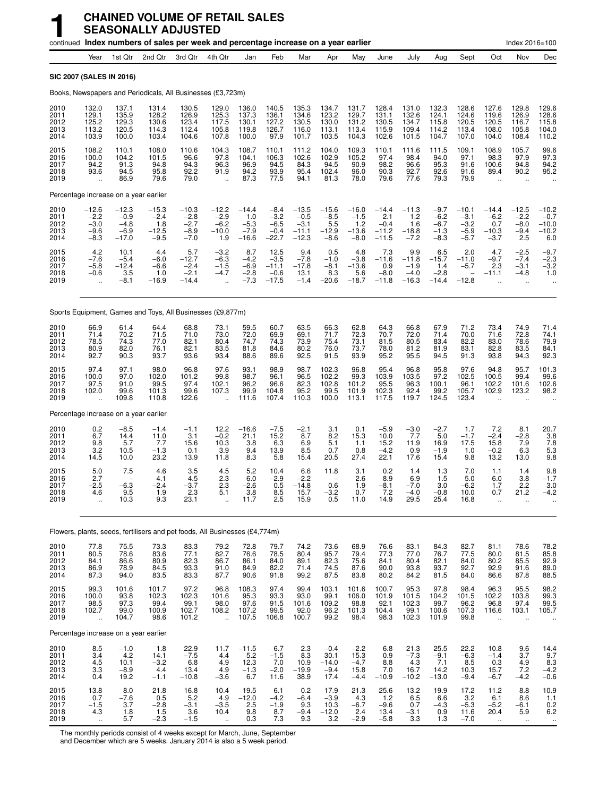|                                      |                                                        |                                                  | continued Index numbers of sales per week and percentage increase on a year earlier |                                                 |                                                       |                                               |                                                 |                                                   |                                               |                                               |                                                |                                               |                                                |                                                 |                                                         | Index 2016=100                                |                                                                      |
|--------------------------------------|--------------------------------------------------------|--------------------------------------------------|-------------------------------------------------------------------------------------|-------------------------------------------------|-------------------------------------------------------|-----------------------------------------------|-------------------------------------------------|---------------------------------------------------|-----------------------------------------------|-----------------------------------------------|------------------------------------------------|-----------------------------------------------|------------------------------------------------|-------------------------------------------------|---------------------------------------------------------|-----------------------------------------------|----------------------------------------------------------------------|
|                                      | Year                                                   | 1st Qtr                                          | 2nd Qtr                                                                             | 3rd Qtr                                         | 4th Qtr                                               | Jan                                           | Feb                                             | Mar                                               | Apr                                           | May                                           | June                                           | July                                          | Aug                                            | Sept                                            | Oct                                                     | Nov                                           | Dec                                                                  |
|                                      |                                                        | SIC 2007 (SALES IN 2016)                         |                                                                                     |                                                 |                                                       |                                               |                                                 |                                                   |                                               |                                               |                                                |                                               |                                                |                                                 |                                                         |                                               |                                                                      |
|                                      |                                                        |                                                  | Books, Newspapers and Periodicals, All Businesses (£3,723m)                         |                                                 |                                                       |                                               |                                                 |                                                   |                                               |                                               |                                                |                                               |                                                |                                                 |                                                         |                                               |                                                                      |
| 2010<br>2011<br>2012<br>2013<br>2014 | 132.0<br>129.1<br>125.2<br>113.2<br>103.9              | 137.1<br>135.9<br>129.3<br>120.5<br>100.0        | 131.4<br>128.2<br>130.6<br>114.3<br>103.4                                           | 130.5<br>126.9<br>123.4<br>112.4<br>104.6       | 129.0<br>125.3<br>117.5<br>105.8<br>107.8             | 136.0<br>137.3<br>130.1<br>119.8<br>100.0     | 140.5<br>136.1<br>127.2<br>126.7<br>97.9        | 135.3<br>134.6<br>130.5<br>116.0<br>101.7         | 134.7<br>123.2<br>130.0<br>113.1<br>103.5     | 131.7<br>129.7<br>131.2<br>113.4<br>104.3     | 128.4<br>131.1<br>130.5<br>115.9<br>102.6      | 131.0<br>132.6<br>134.7<br>109.4<br>101.5     | 132.3<br>124.1<br>115.8<br>114.2<br>104.7      | 128.6<br>124.6<br>120.5<br>113.4<br>107.0       | 127.6<br>119.6<br>120.5<br>108.0<br>104.0               | 129.8<br>126.9<br>116.7<br>105.8<br>108.4     | 129.6<br>128.6<br>115.8<br>104.0<br>110.2                            |
| 2015<br>2016<br>2017<br>2018<br>2019 | 108.2<br>100.0<br>94.2<br>93.6<br>$\ddot{\phantom{a}}$ | 110.1<br>104.2<br>91.3<br>94.5<br>86.9           | 108.0<br>101.5<br>94.8<br>95.8<br>79.6                                              | 110.6<br>96.6<br>94.3<br>92.2<br>79.0           | 104.3<br>97.8<br>96.3<br>91.9<br>$\ddot{\phantom{a}}$ | 108.7<br>104.1<br>96.9<br>94.2<br>87.3        | 110.1<br>106.3<br>94.5<br>93.9<br>77.5          | 111.2<br>102.6<br>84.3<br>95.4<br>94.1            | 104.0<br>102.9<br>94.5<br>102.4<br>81.3       | 109.3<br>105.2<br>90.9<br>96.0<br>78.0        | 110.1<br>97.4<br>98.2<br>90.3<br>79.6          | 111.6<br>98.4<br>96.6<br>92.7<br>77.6         | 111.5<br>94.0<br>95.3<br>92.6<br>79.3          | 109.1<br>97.1<br>91.6<br>91.6<br>79.9           | 108.9<br>98.3<br>100.6<br>89.4<br>$\ddotsc$             | 105.7<br>97.9<br>94.8<br>90.2                 | 99.6<br>97.3<br>94.2<br>95.2                                         |
|                                      |                                                        | Percentage increase on a year earlier            |                                                                                     |                                                 |                                                       |                                               |                                                 |                                                   |                                               |                                               |                                                |                                               |                                                |                                                 |                                                         |                                               |                                                                      |
| 2010<br>2011<br>2012<br>2013<br>2014 | $-12.6$<br>$-2.2$<br>$-3.0$<br>-9.6<br>-8.3            | $-12.3$<br>$-0.9$<br>$-4.8$<br>$-6.9$<br>$-17.0$ | $-15.3$<br>$-2.4$<br>1.8<br>$-12.5$<br>$-9.5$                                       | $-10.3$<br>$-2.8$<br>$-2.7$<br>$-8.9$<br>$-7.0$ | $-12.2$<br>$-2.9$<br>$-6.2$<br>$-10.0$<br>1.9         | $-14.4$<br>1.0<br>$-5.3$<br>$-7.9$<br>$-16.6$ | $-8.4$<br>$-3.2$<br>$-6.5$<br>$-0.4$<br>$-22.7$ | $-13.5$<br>$-0.5$<br>$-3.1$<br>$-11.1$<br>$-12.3$ | $-15.6$<br>$-8.5$<br>5.5<br>$-12.9$<br>$-8.6$ | $-16.0$<br>$-1.5$<br>1.2<br>$-13.6$<br>$-8.0$ | $-14.4$<br>2.1<br>$-0.4$<br>$-11.2$<br>$-11.5$ | $-11.3$<br>1.2<br>1.6<br>$-18.8$<br>$-7.2$    | $-9.7$<br>$-6.2$<br>$-6.7$<br>$-1.3$<br>$-8.3$ | $-10.1$<br>$-3.1$<br>$-3.2$<br>$-5.9$<br>$-5.7$ | $-14.4$<br>$-6.2$<br>0.7<br>$-10.3$<br>$-3.7$           | $-12.5$<br>$-2.2$<br>$-8.0$<br>$-9.4$<br>2.5  | $-10.2$<br>$-0.7$<br>$-10.0$<br>$-10.2$<br>6.0                       |
| 2015<br>2016<br>2017<br>2018<br>2019 | 4.2<br>$-7.6$<br>$-5.8$<br>$-0.6$                      | 10.1<br>$-5.4$<br>$-12.4$<br>3.5<br>$-8.1$       | 4.4<br>$-6.0$<br>$-6.6$<br>1.0<br>$-16.9$                                           | 5.7<br>$-12.7$<br>$-2.4$<br>$-2.1$<br>$-14.4$   | $-3.2$<br>$-6.3$<br>$-1.5$<br>$-4.7$                  | 8.7<br>$-4.2$<br>$-6.9$<br>$-2.8$<br>$-7.3$   | 12.5<br>$-3.5$<br>$-11.1$<br>$-0.6$<br>$-17.5$  | 9.4<br>$-7.8$<br>$-17.8$<br>13.1<br>$-1.4$        | 0.5<br>$-1.0$<br>$-8.1$<br>8.3<br>$-20.6$     | 4.8<br>$-3.8$<br>$-13.6$<br>5.6<br>$-18.7$    | 7.3<br>$-11.6$<br>0.9<br>$-8.0$<br>$-11.8$     | 9.9<br>$-11.8$<br>$-1.9$<br>$-4.0$<br>$-16.3$ | 6.5<br>$-15.7$<br>1.4<br>$-2.8$<br>$-14.4$     | 2.0<br>$-11.0$<br>$-5.7$<br>$-12.8$             | 4.7<br>$-9.7$<br>2.3<br>$-11.1$<br>$\ddot{\phantom{a}}$ | $-2.5 - 7.4$<br>$-3.1$<br>$-4.8$<br>$\ddotsc$ | $-9.7$<br>$-2.3$<br>$-3.2$<br>1.0                                    |
|                                      |                                                        |                                                  | Sports Equipment, Games and Toys, All Businesses (£9,877m)                          |                                                 |                                                       |                                               |                                                 |                                                   |                                               |                                               |                                                |                                               |                                                |                                                 |                                                         |                                               |                                                                      |
| 2010<br>2011<br>2012<br>2013<br>2014 | 66.9<br>71.4<br>78.5<br>80.9<br>92.7                   | 61.4<br>70.2<br>74.3<br>82.0<br>90.3             | 64.4<br>71.5<br>77.0<br>76.1<br>93.7                                                | 68.8<br>71.0<br>82.1<br>82.1<br>93.6            | 73.1<br>73.0<br>80.4<br>83.5<br>93.4                  | 59.5<br>72.0<br>74.7<br>81.8<br>88.6          | 60.7<br>69.9<br>74.3<br>84.6<br>89.6            | 63.5<br>69.1<br>73.9<br>80.2<br>92.5              | 66.3<br>71.7<br>75.4<br>76.0<br>91.5          | 62.8<br>72.3<br>73.1<br>73.7<br>93.9          | 64.3<br>70.7<br>81.5<br>78.0<br>95.2           | 66.8<br>72.0<br>80.5<br>81.2<br>95.5          | 67.9<br>71.4<br>83.4<br>81.9<br>94.5           | 71.2<br>70.0<br>82.2<br>83.1<br>91.3            | 73.4<br>71.6<br>83.0<br>82.8<br>93.8                    | 74.9<br>72.8<br>78.6<br>83.5<br>94.3          | 71.4<br>74.1<br>79.9<br>84.1<br>92.3                                 |
| 2015<br>2016<br>2017<br>2018<br>2019 | 97.4<br>100.0<br>97.5<br>102.0<br>$\ddot{\phantom{a}}$ | 97.1<br>97.0<br>91.0<br>99.6<br>109.8            | 98.0<br>102.0<br>99.5<br>101.3<br>110.8                                             | 96.8<br>101.2<br>97.4<br>99.6<br>122.6          | 97.6<br>99.8<br>102.1<br>107.3                        | 93.1<br>98.7<br>96.2<br>99.9<br>111.6         | 98.9<br>96.1<br>96.6<br>104.8<br>107.4          | 98.7<br>96.5<br>82.3<br>95.2<br>110.3             | 102.3<br>102.2<br>102.8<br>99.5<br>100.0      | 96.8<br>99.3<br>101.2<br>101.9<br>113.1       | 95.4<br>103.9<br>95.5<br>102.3<br>117.5        | 96.8<br>103.5<br>96.3<br>92.4<br>119.7        | 95.8<br>97.2<br>100.1<br>99.2<br>124.5         | 97.6<br>102.5<br>96.1<br>105.7<br>123.4         | 94.8<br>100.5<br>102.2<br>102.9                         | 95.7<br>99.4<br>101.6<br>123.2                | 101.3<br>99.6<br>102.6<br>98.2                                       |
|                                      |                                                        | Percentage increase on a year earlier            |                                                                                     |                                                 |                                                       |                                               |                                                 |                                                   |                                               |                                               |                                                |                                               |                                                |                                                 |                                                         |                                               |                                                                      |
| 2010<br>2011<br>2012<br>2013<br>2014 | 0.2<br>6.7<br>9.8<br>3.2<br>14.5                       | $-8.5$<br>14.4<br>5.7<br>10.5<br>10.0            | $-1.4$<br>11.0<br>7.7<br>$-1.3$<br>23.2                                             | $-1.1$<br>3.1<br>15.6<br>0.1<br>13.9            | 12.2<br>$-0.2$<br>10.3<br>3.9<br>11.8                 | $-16.6$<br>21.1<br>3.8<br>9.4<br>8.3          | $-7.5$<br>15.2<br>6.3<br>13.9<br>5.8            | $-2.1$<br>8.7<br>6.9<br>8.5<br>15.4               | 3.1<br>8.2<br>5.1<br>0.7<br>20.5              | 0.1<br>15.3<br>1.1<br>0.8<br>27.4             | $-5.9$<br>10.0<br>15.2<br>$-4.2$<br>22.1       | $-3.0$<br>7.7<br>11.9<br>0.9<br>17.6          | $-2.7$<br>5.0<br>16.9<br>$-1.9$<br>15.4        | 1.7<br>$-1.7$<br>17.5<br>1.0<br>9.8             | 7.2<br>$-2.\overline{4}$<br>15.8<br>$-0.2$<br>13.2      | 8.1<br>$-2.8$<br>7.9<br>6.3<br>13.0           | 20.7<br>$\frac{3.8}{7.8}$<br>5.3<br>9.8                              |
| 2015<br>2016<br>2017<br>2018<br>2019 | 5.0<br>2.7<br>$-2.5$<br>4.6                            | 7.5<br>$-6.3$<br>9.5<br>10.3                     | 4.6<br>4.1<br>$-2.4$<br>1.9<br>9.3                                                  | 3.5<br>4.5<br>$-3.7$<br>2.3<br>23.1             | 4.5<br>2.3<br>2.3<br>5.1                              | 5.2<br>6.0<br>$-2.6$<br>3.8<br>11.7           | 10.4<br>$-2.9$<br>0.5<br>$\frac{8.5}{2.5}$      | 6.6<br>$-2.2$<br>$-14.8$<br>15.7<br>15.9          | 11.8<br>0.6<br>$-3.2$<br>0.5                  | 3.1<br>2.6<br>1.9<br>0.7<br>11.0              | 0.2<br>8.9<br>$-8.1$<br>$7.2$<br>14.9          | 1.4<br>6.9<br>$-7.0$<br>$-4.0$<br>29.5        | 1.3<br>1.5<br>3.0<br>$-0.8$<br>25.4            | 7.0<br>5.0<br>$-6.2$<br>10.0<br>16.8            | 1.1<br>6.0<br>1.7<br>0.7                                | 1.4<br>3.8<br>2.2<br>21.2                     | 9.8<br>$-1.7$<br>3.0<br>-4.2                                         |
|                                      |                                                        |                                                  | Flowers, plants, seeds, fertilisers and pet foods, All Businesses (£4,774m)         |                                                 |                                                       |                                               |                                                 |                                                   |                                               |                                               |                                                |                                               |                                                |                                                 |                                                         |                                               |                                                                      |
| 2010<br>2011<br>2012<br>2013<br>2014 | 77.8<br>80.5<br>84.1<br>86.9<br>87.3                   | 75.5<br>78.6<br>86.6<br>78.9<br>94.0             | 73.3<br>83.6<br>80.9<br>84.5<br>83.5                                                | 83.3<br>77.1<br>82.3<br>93.3<br>83.3            | 79.2<br>82.7<br>86.7<br>91.0<br>87.7                  | 72.8<br>76.6<br>86.1<br>84.9<br>90.6          | 79.7<br>78.5<br>84.0<br>82.2<br>91.8            | 74.2<br>80.4<br>89.1<br>71.4<br>99.2              | 73.6<br>95.7<br>82.3<br>74.5<br>87.5          | 68.9<br>79.4<br>75.6<br>87.6<br>83.8          | 76.6<br>77.3<br>84.1<br>90.0<br>80.2           | 83.1<br>77.0<br>80.4<br>93.8<br>84.2          | 84.3<br>76.7<br>82.1<br>93.7<br>81.5           | 82.7<br>77.5<br>84.0<br>92.7<br>84.0            | 81.1<br>80.0<br>80.2<br>92.9<br>86.6                    | 78.6<br>81.5<br>85.5<br>91.6<br>87.8          | 78.2<br>85.8<br>92.9<br>89.0<br>88.5                                 |
| 2015<br>2016<br>2017<br>2018<br>2019 | 99.3<br>100.0<br>98.5<br>102.7<br>$\ddot{\phantom{a}}$ | 101.6<br>93.8<br>97.3<br>99.0<br>104.7           | 101.7<br>102.3<br>99.4<br>100.9<br>98.6                                             | 97.2<br>102.3<br>99.1<br>102.7<br>101.2         | 96.8<br>101.6<br>98.0<br>108.2<br>ă,                  | 108.3<br>95.3<br>97.6<br>107.2<br>107.5       | 97.4<br>93.3<br>91.5<br>99.5<br>106.8           | 99.4<br>93.0<br>101.6<br>92.0<br>100.7            | 103.1<br>99.1<br>109.2<br>96.2<br>99.2        | 101.6<br>106.0<br>98.8<br>101.3<br>98.4       | 100.7<br>101.9<br>92.1<br>104.4<br>98.3        | 95.3<br>101.5<br>102.3<br>99.1<br>102.3       | 97.8<br>104.2<br>99.7<br>100.6<br>101.9        | 98.4<br>101.5<br>96.2<br>107.3<br>99.8          | 96.3<br>102.2<br>96.8<br>116.6<br>$\ddot{\phantom{a}}$  | 95.5<br>103.8<br>97.4<br>103.1                | 98.2<br>99.3<br>99.5<br>105.7                                        |
|                                      |                                                        | Percentage increase on a year earlier            |                                                                                     |                                                 |                                                       |                                               |                                                 |                                                   |                                               |                                               |                                                |                                               |                                                |                                                 |                                                         |                                               |                                                                      |
| 2010<br>2011<br>2012<br>2013<br>2014 | $\frac{8.5}{3.4}$<br>4.5<br>3.3<br>0.4                 | $-1.0$<br>4.2<br>10.1<br>$-8.9$<br>19.2          | 1.8<br>14.1<br>$-3.2$<br>4.4<br>$-1.1$                                              | 22.9<br>$-7.5$<br>6.8<br>13.4<br>$-10.8$        | 11.7<br>4.4<br>4.9<br>4.9<br>$-3.6$                   | $-11.5$<br>5.2<br>12.3<br>$-1.3$<br>6.7       | 6.7<br>$-1.5$<br>7.0<br>$-2.0$<br>11.6          | 2.3<br>8.3<br>10.9<br>$-19.9$<br>38.9             | $-0.4$<br>30.1<br>$-14.0$<br>$-9.4$<br>17.4   | $-2.2$<br>15.3<br>$-4.7$<br>15.8<br>$-4.4$    | 6.8<br>0.9<br>8.8<br>7.0<br>$-10.9$            | 21.3<br>$-7.3$<br>4.3<br>16.7<br>$-10.2$      | 25.5<br>$-9.1$<br>7.1<br>14.2<br>$-13.0$       | 22.2<br>$-6.3$<br>8.5<br>10.3<br>$-9.4$         | 10.8<br>$-1.4$<br>0.3<br>15.7<br>$-6.7$                 | 9.6<br>3.7<br>4.9<br>7.2<br>$-4.2$            | 14.4<br>9.7<br>$\frac{8.3}{-4.2}$<br>$-0.6$                          |
| 2015<br>2016<br>2017<br>2018<br>2019 | 13.8<br>0.7<br>$-1.5$<br>4.3<br>$\ddotsc$              | 8.0<br>$-7.6$<br>3.7<br>1.8<br>5.7               | 21.8<br>0.5<br>$-2.8$<br>1.5<br>$-2.3$                                              | 16.8<br>$\frac{5.2}{-3.1}$<br>3.6<br>$-1.5$     | 10.4<br>4.9<br>$-3.5$<br>10.4                         | 19.5<br>$-12.0$<br>2.5<br>9.8<br>0.3          | 6.1<br>$-4.2$<br>$-1.9$<br>8.7<br>7.3           | 0.2<br>$-6.4$<br>9.3<br>$-9.4$<br>9.3             | 17.9<br>$-3.9$<br>10.3<br>$-12.0$<br>3.2      | 21.3<br>4.3<br>$-6.7$<br>2.4<br>$-2.9$        | 25.6<br>1.2<br>$-9.6$<br>13.4<br>$-5.8$        | 13.2<br>6.5<br>0.7<br>$-3.1$<br>3.3           | 19.9<br>6.6<br>$-4.3$<br>0.9<br>1.3            | 17.2<br>3.2<br>$-5.3$<br>11.6<br>$-7.0$         | 11.2<br>6.1<br>$-5.2$<br>20.4                           | 8.8<br>8.6<br>-6.1<br>5.9<br>$\ddotsc$        | 10.9<br>$\begin{array}{c} 1.1 \\ 0.2 \\ 6.2 \end{array}$<br>$\ldots$ |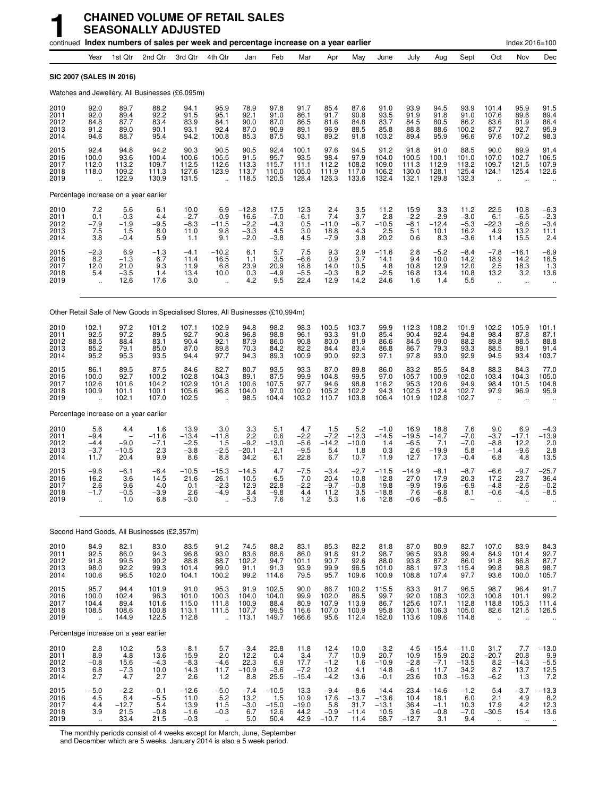|                                      | continued Index numbers of sales per week and percentage increase on a year earlier |                                          |                                           |                                             |                                                          |                                                               |                                                    |                                           |                                             |                                              |                                             |                                            |                                              |                                               |                                                        | Index 2016=100                                         |                                                 |
|--------------------------------------|-------------------------------------------------------------------------------------|------------------------------------------|-------------------------------------------|---------------------------------------------|----------------------------------------------------------|---------------------------------------------------------------|----------------------------------------------------|-------------------------------------------|---------------------------------------------|----------------------------------------------|---------------------------------------------|--------------------------------------------|----------------------------------------------|-----------------------------------------------|--------------------------------------------------------|--------------------------------------------------------|-------------------------------------------------|
|                                      | Year                                                                                | 1st Qtr                                  | 2nd Qtr                                   | 3rd Otr                                     | 4th Qtr                                                  | Jan                                                           | Feb                                                | Mar                                       | Apr                                         | May                                          | June                                        | July                                       | Aug                                          | Sept                                          | Oct                                                    | Nov                                                    | Dec                                             |
|                                      | SIC 2007 (SALES IN 2016)                                                            |                                          |                                           |                                             |                                                          |                                                               |                                                    |                                           |                                             |                                              |                                             |                                            |                                              |                                               |                                                        |                                                        |                                                 |
|                                      | Watches and Jewellery, All Businesses (£6,095m)                                     |                                          |                                           |                                             |                                                          |                                                               |                                                    |                                           |                                             |                                              |                                             |                                            |                                              |                                               |                                                        |                                                        |                                                 |
| 2010<br>2011<br>2012<br>2013<br>2014 | 92.0<br>92.0<br>84.8<br>91.2<br>94.6                                                | 89.7<br>89.4<br>87.7<br>89.0<br>88.7     | 88.2<br>92.2<br>83.4<br>90.1<br>95.4      | 94.1<br>91.5<br>83.9<br>93.1<br>94.2        | 95.9<br>95.1<br>84.1<br>92.4<br>100.8                    | 78.9<br>92.1<br>90.0<br>87.0<br>85.3                          | 97.8<br>91.0<br>87.0<br>90.9<br>87.5               | 91.7<br>86.1<br>86.5<br>89.1<br>93.1      | 85.4<br>91.7<br>81.6<br>96.9<br>89.2        | 87.6<br>90.8<br>84.8<br>88.5<br>91.8         | 91.0<br>93.5<br>83.7<br>85.8<br>103.2       | 93.9<br>91.9<br>84.5<br>88.8<br>89.4       | 94.5<br>91.8<br>80.5<br>88.6<br>95.9         | 93.9<br>91.0<br>86.2<br>100.2<br>96.6         | 101.4<br>107.6<br>83.6<br>87.7<br>97.6                 | 95.9<br>89.6<br>81.9<br>92.7<br>107.2                  | 91.5<br>89.4<br>86.4<br>95.9<br>98.3            |
| 2015<br>2016<br>2017<br>2018<br>2019 | 92.4<br>100.0<br>112.0<br>118.0<br>$\ddot{\phantom{a}}$                             | 94.8<br>93.6<br>113.2<br>109.2<br>122.9  | 94.2<br>100.4<br>109.7<br>111.3<br>130.9  | 90.3<br>100.6<br>112.5<br>127.6<br>131.5    | 90.5<br>105.5<br>112.6<br>123.9<br>$\ddot{\phantom{a}}$  | 90.5<br>91.5<br>113.3<br>113.7<br>118.5                       | 92.4<br>95.7<br>115.7<br>110.0<br>120.5            | 100.1<br>93.5<br>111.1<br>105.0<br>128.4  | 97.6<br>98.4<br>112.2<br>111.9<br>126.3     | 94.5<br>97.9<br>108.2<br>117.0<br>133.6      | 91.2<br>104.0<br>109.0<br>106.2<br>132.4    | 91.8<br>100.5<br>111.3<br>130.0<br>132.1   | 91.0<br>100.1<br>112.9<br>128.1<br>129.8     | 88.5<br>101.0<br>113.2<br>125.4<br>132.3      | 90.0<br>107.0<br>109.7<br>124.1<br>$\sim$              | 89.9<br>102.7<br>121.5<br>125.4                        | 91.4<br>106.5<br>107.9<br>122.6                 |
|                                      | Percentage increase on a year earlier                                               |                                          |                                           |                                             |                                                          |                                                               |                                                    |                                           |                                             |                                              |                                             |                                            |                                              |                                               |                                                        |                                                        |                                                 |
| 2010<br>2011<br>2012<br>2013<br>2014 | $7.2$<br>$0.1$<br>$-7.9$<br>$\frac{7.5}{3.8}$                                       | $5.6 - 0.3$<br>$-1.9$<br>1.5<br>$-0.4$   | 6.1<br>4.4<br>$-9.5$<br>8.0<br>5.9        | $10.0 - 2.7$<br>$-8.3$<br>11.0<br>1.1       | $^{6.9}_{-0.9}$<br>$-11.5$<br>9.8<br>9.1                 | $-12.8$<br>16.6<br>$-2.2$<br>$-3.3$<br>$-2.0$                 | $17.5 - 7.0$<br>$-4.3$<br>4.5<br>$-3.\overline{8}$ | $12.3 - 6.1$<br>0.5<br>3.0<br>4.5         | $^{2.4}_{7.4}$<br>$-11.0$<br>18.8<br>$-7.9$ | $\frac{3.5}{3.7}$<br>$-6.7$<br>4.3<br>3.8    | 11.2<br>2.8<br>$-10.5$<br>2.5<br>20.2       | $15.9 - 2.2$<br>$-8.1$<br>5.1<br>0.6       | $\frac{3.3}{-2.9}$<br>$-12.4$<br>10.1<br>8.3 | 11.2<br>$-3.0$<br>$-5.3$<br>16.2<br>$-3.6$    | 22.5<br>6.1<br>$-22.3$<br>4.9<br>11.4                  | 10.8<br>$-6.5$<br>$-8.6$<br>13.2<br>15.5               | $-6.3$<br>$-2.3$<br>$-3.4$<br>$^{11.1}_{2.4}$   |
| 2015<br>2016<br>2017<br>2018<br>2019 | $-2.3$<br>8.2<br>12.0<br>5.4<br>$\ddotsc$                                           | $6.9 - 1.3$<br>21.0<br>$-3.5$<br>12.6    | $-1.3$<br>6.7<br>9.3<br>1.4<br>17.6       | $-4.1$<br>11.4<br>11.9<br>13.4<br>3.0       | $^{-10.2}_{16.5}$<br>6.8<br>10.0<br>$\ddot{\phantom{a}}$ | 6.1<br>1.1<br>23.9<br>$0.3$<br>4.2                            | 5.7<br>3.5<br>20.9<br>$-4.9$<br>9.5                | $7.5 - 6.6$<br>18.8<br>$-5.5$<br>22.4     | $^{9.3}_{0.9}$<br>14.0<br>$-0.3$<br>12.9    | $\frac{2.9}{3.7}$<br>10.5<br>$8.2$<br>14.2   | $-11.6$<br>14.1<br>4.8<br>$-2.5$<br>24.6    | 2.8<br>9.4<br>10.8<br>16.8<br>1.6          | $-5.2$<br>10.0<br>12.9<br>13.4<br>1.4        | $-8.4$<br>14.2<br>12.0<br>10.8<br>5.5         | $-7.8$<br>18.9<br>2.5<br>13.2<br>$\ddot{\phantom{a}}$  | $-16.1$<br>14.2<br>18.3<br>3.2<br>$\ddot{\phantom{a}}$ | $-6.9$<br>16.5<br>1.3<br>13.6                   |
|                                      | Other Retail Sale of New Goods in Specialised Stores, All Businesses (£10,994m)     |                                          |                                           |                                             |                                                          |                                                               |                                                    |                                           |                                             |                                              |                                             |                                            |                                              |                                               |                                                        |                                                        |                                                 |
| 2010<br>2011<br>2012<br>2013<br>2014 | 102.1<br>92.5<br>88.5<br>85.2<br>95.2                                               | 97.2<br>97.2<br>88.4<br>79.1<br>95.3     | 101.2<br>89.5<br>83.1<br>85.0<br>93.5     | 107.1<br>92.7<br>90.4<br>87.0<br>94.4       | 102.9<br>90.8<br>92.1<br>89.8<br>97.7                    | 94.8<br>96.8<br>87.9<br>70.3<br>94.3                          | 98.2<br>98.8<br>86.0<br>84.2<br>89.3               | 98.3<br>96.1<br>90.8<br>82.2<br>100.9     | 100.5<br>93.3<br>80.0<br>84.4<br>90.0       | 103.7<br>91.0<br>81.9<br>83.4<br>92.3        | 99.9<br>85.4<br>86.6<br>86.8<br>97.1        | 112.3<br>90.4<br>84.5<br>86.7<br>97.8      | 108.2<br>92.4<br>99.0<br>79.3<br>93.0        | 101.9<br>94.8<br>88.2<br>93.3<br>92.9         | 102.2<br>98.4<br>89.8<br>88.5<br>94.5                  | 105.9<br>87.8<br>98.5<br>89.1<br>93.4                  | $\frac{101.1}{87.1}$<br>88.8<br>91.4<br>103.7   |
| 2015<br>2016<br>2017<br>2018<br>2019 | 86.1<br>100.0<br>102.6<br>100.9<br>$\ddot{\phantom{a}}$                             | 89.5<br>92.7<br>101.6<br>101.1<br>102.1  | 87.5<br>100.2<br>104.2<br>100.1<br>107.0  | 84.6<br>102.8<br>102.9<br>105.6<br>102.5    | 82.7<br>104.3<br>101.8<br>96.8                           | 80.7<br>89.1<br>100.6<br>104.0<br>98.5                        | 93.5<br>87.5<br>107.5<br>97.0<br>104.4             | 93.3<br>99.9<br>97.7<br>102.0<br>103.2    | 87.0<br>104.8<br>94.6<br>105.2<br>110.7     | 89.8<br>99.5<br>98.8<br>102.2<br>103.8       | 86.0<br>97.0<br>116.2<br>94.3<br>106.4      | 83.2<br>105.7<br>95.3<br>102.5<br>101.9    | 85.5<br>100.9<br>120.6<br>112.4<br>102.8     | 84.8<br>102.0<br>94.9<br>102.7<br>102.7       | 88.3<br>103.4<br>98.4<br>97.9                          | 84.3<br>104.3<br>101.5<br>96.9                         | 77.0<br>105.0<br>104.8<br>95.9                  |
|                                      | Percentage increase on a year earlier                                               |                                          |                                           |                                             |                                                          |                                                               |                                                    |                                           |                                             |                                              |                                             |                                            |                                              |                                               |                                                        |                                                        |                                                 |
| 2010<br>2011<br>2012<br>2013<br>2014 | 5.6<br>$-9.4$<br>$-4.4$<br>$-3.7$<br>11.7                                           | 4.4<br>$-9.0$<br>$-10.5$<br>20.4         | 1.6<br>$-11.6$<br>$-7.1$<br>2.3<br>9.9    | 13.9<br>$-13.4$<br>$-2.5$<br>$-3.8$<br>8.6  | 3.0<br>$-11.8$<br>1.5<br>$-2.5$<br>8.8                   | 3.3<br>2.2<br>$-\overline{9}.\overline{2}$<br>$-20.1$<br>34.2 | 5.1<br>0.6<br>$-13.0$<br>$-2.1$<br>6.1             | 4.7<br>$-2.2$<br>$-5.6$<br>$-9.5$<br>22.8 | 1.5<br>$-7.2$<br>-14.2<br>5.4<br>6.7        | 5.2<br>$-12.3$<br>$-10.0$<br>1.8<br>10.7     | $-1.0$<br>$-14.5$<br>1.4<br>0.3<br>11.9     | 16.9<br>$-19.5$<br>$-6.5$<br>2.6<br>12.7   | 18.8<br>$-14.7$<br>7.1<br>$-19.9$<br>17.3    | 7.6<br>$-7.0$<br>$-7.0$<br>5.8<br>$-0.4$      | 9.0<br>$-3.7$<br>$-8.8$<br>$-1.4$<br>6.8               | 6.9<br>$-17.1$<br>12.2<br>$-9.6$<br>4.8                | $-4.3$<br>$-13.9$<br>2.0<br>2.8<br>13.5         |
| 2015<br>2016<br>2017<br>2018<br>2019 | -9.6<br>16.2<br>2.6<br>-1.7                                                         | $-6.1$<br>3.6<br>9.6<br>-0.5<br>1.0      | $-6.4$<br>14.5<br>4.0<br>-3.9<br>6.8      | $-10.5$<br>21.6<br>0.1<br>2.6<br>$-3.0$     | $-15.3$<br>26.1<br>$-2.3$<br>-4.9                        | $-14.5$<br>10.5<br>12.9<br>3.4<br>$-5.3$                      | 4.7<br>$-6.5$<br>22.8<br>$-9.8$<br>7.6             | $-7.5$<br>7.0<br>$-2.2$<br>4.4<br>1.2     | $-3.4$<br>20.4<br>$-9.7$<br>11.2<br>5.3     | $-2.7$<br>10.8<br>$-0.8$<br>3.5<br>1.6       | $-11.5$<br>12.8<br>19.8<br>$-18.8$<br>12.8  | $-14.9$<br>27.0<br>$-9.9$<br>7.6<br>$-0.6$ | $-8.1$<br>17.9<br>19.6<br>$-6.8$<br>$-8.5$   | $-8.7$<br>20.3<br>$-6.9$<br>8.1               | $-6.6$<br>17.2<br>-4.8<br>-0.6                         | $-9.7$<br>23.7<br>$-2.6$<br>-4.5                       | $-25.7$<br>36.4<br>$-0.2$<br>-8.5               |
|                                      | Second Hand Goods, All Businesses (£2,357m)                                         |                                          |                                           |                                             |                                                          |                                                               |                                                    |                                           |                                             |                                              |                                             |                                            |                                              |                                               |                                                        |                                                        |                                                 |
| 2010<br>2011<br>2012<br>2013<br>2014 | 84.9<br>92.5<br>91.8<br>98.0<br>100.6                                               | 82.1<br>86.0<br>99.5<br>92.2<br>96.5     | 83.0<br>94.3<br>90.2<br>99.3<br>102.0     | 83.5<br>96.8<br>88.8<br>101.4<br>104.1      | 91.2<br>93.0<br>88.7<br>99.0<br>100.2                    | 74.5<br>$83.6$<br>102.2<br>91.1<br>99.2                       | 88.2<br>88.6<br>94.7<br>91.3<br>114.6              | 83.1<br>86.0<br>101.1<br>93.9<br>79.5     | 85.3<br>91.8<br>90.7<br>99.9<br>95.7        | 82.2<br>91.2<br>92.6<br>96.5<br>109.6        | 81.8<br>98.7<br>88.0<br>101.0<br>100.9      | 87.0<br>96.5<br>93.8<br>88.1<br>108.8      | 80.9<br>93.8<br>87.2<br>97.3<br>107.4        | 82.7<br>99.4<br>86.0<br>115.4<br>97.7         | 107.0<br>84.9<br>91.8<br>99.8<br>93.6                  | 83.9<br>101.4<br>86.8<br>98.8<br>100.0                 | 84.3<br>92.7<br>87.7<br>98.7<br>105.7           |
| 2015<br>2016<br>2017<br>2018<br>2019 | 95.7<br>100.0<br>104.4<br>108.5<br>$\ddot{\phantom{a}}$                             | 94.4<br>102.4<br>89.4<br>108.6<br>144.9  | 101.9<br>96.3<br>101.6<br>100.8<br>122.5  | 91.0<br>101.0<br>115.0<br>113.1<br>112.8    | 95.3<br>100.3<br>111.8<br>111.5<br>÷.                    | 91.9<br>104.0<br>100.9<br>107.7<br>113.1                      | 102.5<br>104.0<br>88.4<br>99.5<br>149.7            | 90.0<br>99.9<br>80.9<br>116.6<br>166.6    | 86.7<br>102.0<br>107.9<br>107.0<br>95.6     | 100.2<br>86.5<br>113.9<br>100.9<br>112.4     | 115.5<br>99.7<br>86.7<br>95.8<br>152.0      | 83.3<br>92.0<br>125.6<br>130.1<br>113.6    | 91.7<br>108.3<br>107.1<br>106.3<br>109.6     | 96.5<br>102.3<br>112.8<br>105.0<br>114.8      | 98.7<br>100.8<br>118.8<br>82.6<br>$\ddot{\phantom{a}}$ | 96.4<br>101.1<br>105.3<br>121.5                        | 91.7<br>$99.2$<br>111.4<br>126.5                |
|                                      | Percentage increase on a year earlier                                               |                                          |                                           |                                             |                                                          |                                                               |                                                    |                                           |                                             |                                              |                                             |                                            |                                              |                                               |                                                        |                                                        |                                                 |
| 2010<br>2011<br>2012<br>2013<br>2014 | 2.8<br>8.9<br>$-0.8$<br>6.8<br>2.7                                                  | 10.2<br>4.8<br>$15.6 - 7.3$<br>4.7       | 5.3<br>13.6<br>$-4.3$<br>10.0<br>2.7      | $-8.1$<br>15.9<br>$-8.3$<br>14.3<br>2.6     | 5.7<br>2.0<br>$-4.6$<br>11.7<br>$1.2$                    | $-3.4$<br>12.2<br>$22.3 - 10.9$<br>8.8                        | 22.8<br>0.4<br>6.9<br>$-3.6$<br>25.5               | 11.8<br>3.4<br>17.7<br>$-7.2$<br>$-15.4$  | 12.4<br>7.7<br>$-1.2$<br>10.2<br>$-4.2$     | 10.0<br>10.9<br>1.6<br>4.1<br>13.6           | $-3.2$<br>20.7<br>$-10.9$<br>14.8<br>$-0.1$ | 4.5<br>10.9<br>$-2.8$<br>$-6.1$<br>23.6    | $-15.4$<br>15.9<br>$-7.1$<br>11.7<br>10.3    | $-11.0$<br>20.2<br>$-13.5$<br>34.2<br>$-15.3$ | 31.7<br>$-20.7$<br>$8.2$<br>$8.7$<br>$-6.2$            | 7.7<br>20.8<br>$-14.3$<br>13.7<br>1.3                  | $-13.0$<br>9.9<br>$-5.5$<br>12.5<br>7.2         |
| 2015<br>2016<br>2017<br>2018<br>2019 | $-5.0$<br>4.5<br>4.4<br>3.9<br>$\ddot{\phantom{a}}$                                 | $-2.2$<br>8.4<br>$-12.7$<br>21.5<br>33.4 | $-0.1$<br>$-5.5$<br>5.4<br>$-0.8$<br>21.5 | $-12.6$<br>11.0<br>13.9<br>$-1.6$<br>$-0.3$ | $-5.0$<br>5.2<br>$11.5 - 0.3$<br>$\ddotsc$               | $-7.4$<br>13.2<br>$-3.0$<br>6.7<br>5.0                        | $-10.5$<br>1.5<br>$-15.0$<br>12.6<br>50.4          | 13.3<br>10.9<br>$-19.0$<br>44.2<br>42.9   | $-9.4$<br>17.6<br>5.8<br>$-0.9$<br>$-10.7$  | $-8.6$<br>$-13.7$<br>31.7<br>$-11.4$<br>11.4 | 14.4<br>$-13.6$<br>$-13.1$<br>10.5<br>58.7  | $-23.4$<br>10.4<br>36.4<br>3.6<br>$-12.7$  | $-14.6$<br>18.1<br>$-1.1$<br>$-0.8$<br>3.1   | $-1.2$<br>6.0<br>10.3<br>$-7.0$<br>9.4        | 5.4<br>2.1<br>17.9<br>$-30.5$<br>$\ddotsc$             | $-3.7$<br>4.9<br>4.2<br>15.4<br>$\ddotsc$              | $-13.3$<br>8.2<br>$12.3$<br>$13.6$<br>$\ddotsc$ |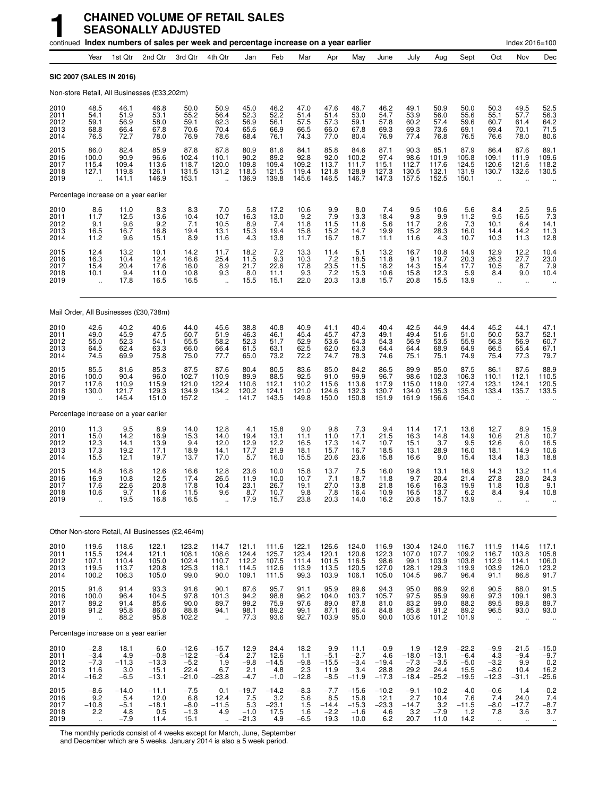|                                      |                                                         |                                           | continued Index numbers of sales per week and percentage increase on a year earlier |                                                 |                                            |                                                                  |                                           |                                          |                                            |                                                                    |                                             |                                             |                                                 |                                                |                                                         | Index 2016=100                                     |                                                    |
|--------------------------------------|---------------------------------------------------------|-------------------------------------------|-------------------------------------------------------------------------------------|-------------------------------------------------|--------------------------------------------|------------------------------------------------------------------|-------------------------------------------|------------------------------------------|--------------------------------------------|--------------------------------------------------------------------|---------------------------------------------|---------------------------------------------|-------------------------------------------------|------------------------------------------------|---------------------------------------------------------|----------------------------------------------------|----------------------------------------------------|
|                                      | Year                                                    | 1st Qtr                                   | 2nd Qtr                                                                             | 3rd Qtr                                         | 4th Qtr                                    | Jan                                                              | Feb                                       | Mar                                      | Apr                                        | May                                                                | June                                        | July                                        | Aug                                             | Sept                                           | Oct                                                     | Nov                                                | Dec                                                |
|                                      | SIC 2007 (SALES IN 2016)                                |                                           |                                                                                     |                                                 |                                            |                                                                  |                                           |                                          |                                            |                                                                    |                                             |                                             |                                                 |                                                |                                                         |                                                    |                                                    |
|                                      |                                                         |                                           | Non-store Retail, All Businesses (£33,202m)                                         |                                                 |                                            |                                                                  |                                           |                                          |                                            |                                                                    |                                             |                                             |                                                 |                                                |                                                         |                                                    |                                                    |
| 2010<br>2011<br>2012<br>2013<br>2014 | 48.5<br>54.1<br>59.1<br>68.8<br>76.5                    | 46.1<br>51.9<br>56.9<br>66.4<br>72.7      | 46.8<br>53.1<br>58.0<br>67.8<br>78.0                                                | 50.0<br>55.2<br>59.1<br>70.6<br>76.9            | 50.9<br>56.4<br>62.3<br>70.4<br>78.6       | 45.0<br>52.3<br>56.9<br>65.6<br>68.4                             | 46.2<br>52.2<br>56.1<br>66.9<br>76.1      | 47.0<br>51.4<br>57.5<br>66.5<br>74.3     | 47.6<br>51.4<br>57.3<br>66.0<br>77.0       | 46.7<br>53.0<br>59.1<br>67.8<br>80.4                               | 46.2<br>54.7<br>57.8<br>69.3<br>76.9        | 49.1<br>53.9<br>60.2<br>69.3<br>77.4        | 50.9<br>56.0<br>57.4<br>73.6<br>76.8            | 50.0<br>55.6<br>59.6<br>69.1<br>76.5           | 50.3<br>55.1<br>60.7<br>69.4<br>76.6                    | 49.5<br>57.7<br>61.4<br>70.1<br>78.0               | 52.5<br>56.3<br>64.2<br>71.5<br>80.6               |
| 2015<br>2016<br>2017<br>2018<br>2019 | 86.0<br>100.0<br>115.4<br>127.1<br>$\ddot{\phantom{a}}$ | 82.4<br>90.9<br>109.4<br>119.8<br>141.1   | 85.9<br>96.6<br>113.6<br>126.1<br>146.9                                             | 87.8<br>102.4<br>118.7<br>131.5<br>153.1        | 87.8<br>110.1<br>120.0<br>131.2<br>u.      | 80.9<br>90.2<br>109.8<br>118.5<br>136.9                          | 81.6<br>89.2<br>109.4<br>121.5<br>139.8   | 84.1<br>92.8<br>109.2<br>119.4<br>145.6  | 85.8<br>92.0<br>113.7<br>121.8<br>146.5    | 84.6<br>100.2<br>111.7<br>128.9<br>146.7                           | 87.1<br>97.4<br>115.1<br>127.3<br>147.3     | 90.3<br>98.6<br>112.7<br>130.5<br>157.5     | 85.1<br>101.9<br>117.6<br>132.1<br>152.5        | 87.9<br>105.8<br>124.5<br>131.9<br>150.1       | 86.4<br>109.1<br>120.6<br>130.7                         | 87.6<br>111.9<br>121.6<br>132.6                    | 89.1<br>109.6<br>118.2<br>130.5                    |
|                                      |                                                         | Percentage increase on a year earlier     |                                                                                     |                                                 |                                            |                                                                  |                                           |                                          |                                            |                                                                    |                                             |                                             |                                                 |                                                |                                                         |                                                    |                                                    |
| 2010<br>2011<br>2012<br>2013<br>2014 | $8.6$<br>11.7<br>9.1<br>16.5<br>11.2                    | $11.0$<br>12.5<br>9.6<br>16.7<br>9.6      | 8.3<br>13.6<br>9.2<br>16.8<br>15.1                                                  | 8.3<br>10.4<br>7.1<br>19.4<br>8.9               | $7.0$<br>10.7<br>10.5<br>13.1<br>11.6      | $\begin{array}{c} 5.8 \\ 16.3 \end{array}$<br>8.9<br>15.3<br>4.3 | 17.2<br>13.0<br>7.4<br>19.4<br>13.8       | 10.6<br>9.2<br>11.8<br>15.8<br>11.7      | $\frac{9.9}{7.9}$<br>11.5<br>15.2<br>16.7  | $\begin{array}{c} 8.0 \\ 13.3 \end{array}$<br>11.6<br>14.7<br>18.7 | 7.4<br>18.4<br>5.6<br>19.9<br>11.1          | $\frac{9.5}{9.8}$<br>11.7<br>15.2<br>11.6   | 10.6<br>9.9<br>2.6<br>28.3<br>4.3               | 5.6<br>11.2<br>7.3<br>16.0<br>10.7             | $8.4$<br>9.5<br>10.1<br>14.4<br>10.3                    | 2.5<br>16.5<br>6.4<br>14.2<br>11.3                 | $\frac{9.6}{7.3}$<br>14.1<br>11.3<br>12.8          |
| 2015<br>2016<br>2017<br>2018<br>2019 | 12.4<br>16.3<br>15.4<br>10.1                            | 13.2<br>10.4<br>20.4<br>9.4<br>17.8       | 10.1<br>12.4<br>17.6<br>11.0<br>16.5                                                | 14.2<br>16.6<br>16.0<br>10.8<br>16.5            | $11.7$<br>25.4<br>8.9<br>9.3               | 18.2<br>11.5<br>21.7<br>8.0<br>15.5                              | $7.2$<br>9.3<br>22.6<br>11.1<br>15.1      | 13.3<br>10.3<br>17.8<br>9.3<br>22.0      | 11.4<br>7.2<br>23.5<br>7.2<br>20.3         | 5.1<br>18.5<br>11.5<br>15.3<br>13.8                                | 13.2<br>11.8<br>18.2<br>10.6<br>15.7        | 16.7<br>9.1<br>14.3<br>15.8<br>20.8         | 10.8<br>19.7<br>15.4<br>12.3<br>15.5            | 14.9<br>20.3<br>17.7<br>5.9<br>13.9            | 12.9<br>26.3<br>10.5<br>8.4                             | 12.2<br>27.7<br>8.7<br>9.0<br>$\ddot{\phantom{a}}$ | 10.4<br>23.0<br>7.9<br>10.4                        |
|                                      |                                                         | Mail Order, All Businesses (£30,738m)     |                                                                                     |                                                 |                                            |                                                                  |                                           |                                          |                                            |                                                                    |                                             |                                             |                                                 |                                                |                                                         |                                                    |                                                    |
| 2010<br>2011<br>2012<br>2013<br>2014 | 42.6<br>49.0<br>55.0<br>64.5<br>74.5                    | 40.2<br>45.9<br>52.3<br>62.4<br>69.9      | 40.6<br>47.5<br>54.1<br>63.3<br>75.8                                                | 44.0<br>50.7<br>55.5<br>66.0<br>75.0            | 45.6<br>51.9<br>58.2<br>66.4<br>77.7       | 38.8<br>46.3<br>52.3<br>61.5<br>65.0                             | 40.8<br>46.1<br>51.7<br>63.1<br>73.2      | 40.9<br>45.4<br>52.9<br>62.5<br>72.2     | 41.1<br>45.7<br>53.6<br>62.0<br>74.7       | 40.4<br>47.3<br>54.3<br>63.3<br>78.3                               | 40.4<br>49.1<br>54.3<br>64.4<br>74.6        | 42.5<br>49.4<br>56.9<br>64.4<br>75.1        | 44.9<br>51.6<br>53.5<br>68.9<br>75.1            | 44.4<br>51.0<br>55.9<br>64.9<br>74.9           | 45.2<br>50.0<br>56.3<br>66.5<br>75.4                    | 44.1<br>53.7<br>56.9<br>65.4<br>77.3               | 47.1<br>52.1<br>60.7<br>67.1<br>79.7               |
| 2015<br>2016<br>2017<br>2018<br>2019 | 85.5<br>100.0<br>117.6<br>130.0                         | 81.6<br>90.4<br>110.9<br>121.7<br>145.4   | 85.3<br>96.0<br>115.9<br>129.3<br>151.0                                             | 87.5<br>102.7<br>121.0<br>134.9<br>157.2        | 87.6<br>110.9<br>122.4<br>134.2            | 80.4<br>89.9<br>110.6<br>120.2<br>141.7                          | 80.5<br>88.5<br>112.1<br>124.1<br>143.5   | 83.6<br>92.5<br>110.2<br>121.0<br>149.8  | 85.0<br>91.0<br>115.6<br>124.6<br>150.0    | 84.2<br>99.9<br>113.6<br>132.3<br>150.8                            | 86.5<br>96.7<br>117.9<br>130.7<br>151.9     | 89.9<br>98.6<br>115.0<br>134.0<br>161.9     | 85.0<br>102.3<br>119.0<br>135.3<br>156.6        | 87.5<br>106.3<br>127.4<br>135.3<br>154.0       | 86.1<br>110.1<br>123.1<br>133.4                         | 87.6<br>112.1<br>124.1<br>135.7                    | 88.9<br>110.5<br>120.5<br>133.5                    |
|                                      |                                                         | Percentage increase on a year earlier     |                                                                                     |                                                 |                                            |                                                                  |                                           |                                          |                                            |                                                                    |                                             |                                             |                                                 |                                                |                                                         |                                                    |                                                    |
| 2010<br>2011<br>2012<br>2013<br>2014 | 11.3<br>15.0<br>12.3<br>17.3<br>15.5                    | 9.5<br>14.2<br>14.1<br>19.2<br>12.1       | 8.9<br>16.9<br>13.9<br>17.1<br>19.7                                                 | 14.0<br>15.3<br>9.4<br>18.9<br>13.7             | 12.8<br>14.0<br>12.0<br>14.1<br>17.0       | 4.1<br>19.4<br>12.9<br>17.7<br>5.7                               | 15.8<br>13.1<br>12.2<br>21.9<br>16.0      | 9.0<br>11.1<br>16.5<br>18.1<br>15.5      | 9.8<br>11.0<br>17.3<br>15.7<br>20.6        | 7.3<br>17.1<br>14.7<br>16.7<br>23.6                                | 9.4<br>21.5<br>10.7<br>18.5<br>15.8         | 11.4<br>16.3<br>15.1<br>13.1<br>16.6        | 17.1<br>14.8<br>3.7<br>28.9<br>9.0              | 13.6<br>14.9<br>9.5<br>16.0<br>15.4            | 12.7<br>10.6<br>12.6<br>18.1<br>13.4                    | 8.9<br>21.8<br>6.0<br>14.9<br>18.3                 | 15.9<br>10.7<br>16.5<br>10.6<br>18.8               |
| 2015<br>2016<br>2017<br>2018<br>2019 | 14.8<br>16.9<br>17.6<br>10.6                            | 16.8<br>10.8<br>22.6<br>9.7<br>19.5       | 12.6<br>12.5<br>20.8<br>11.6<br>16.8                                                | 16.6<br>17.4<br>17.8<br>11.5<br>16.5            | 12.8<br>26.5<br>10.4<br>9.6                | 23.6<br>11.9<br>23.1<br>8.7<br>17.9                              | 10.0<br>10.0<br>26.7<br>10.7<br>15.7      | 15.8<br>10.7<br>19.1<br>9.8<br>23.8      | 13.7<br>7.1<br>27.0<br>7.8<br>20.3         | 7.5<br>18.7<br>13.8<br>16.4<br>14.0                                | 16.0<br>11.8<br>21.8<br>10.9<br>16.2        | 19.8<br>9.7<br>16.6<br>16.5<br>20.8         | 13.1<br>20.4<br>16.3<br>13.7<br>15.7            | 16.9<br>21.4<br>19.9<br>6.2<br>13.9            | 14.3<br>27.8<br>11.8<br>8.4                             | 13.2<br>28.0<br>10.8<br>9.4                        | 11.4<br>24.3<br>9.1<br>10.8                        |
|                                      |                                                         |                                           | Other Non-store Retail, All Businesses (£2,464m)                                    |                                                 |                                            |                                                                  |                                           |                                          |                                            |                                                                    |                                             |                                             |                                                 |                                                |                                                         |                                                    |                                                    |
| 2010<br>2011<br>2012<br>2013<br>2014 | 119.6<br>115.5<br>107.1<br>119.5<br>100.2               | 118.6<br>124.4<br>110.4<br>113.7<br>106.3 | 122.1<br>121.1<br>105.0<br>120.8<br>105.0                                           | 123.2<br>108.1<br>102.4<br>125.3<br>99.0        | 114.7<br>108.6<br>110.7<br>118.1<br>90.0   | 121.1<br>124.4<br>112.2<br>114.5<br>109.1                        | 111.6<br>125.7<br>107.5<br>112.6<br>111.5 | 122.1<br>123.4<br>111.4<br>113.9<br>99.3 | 126.6<br>120.1<br>101.5<br>113.5<br>103.9  | 124.0<br>120.6<br>116.5<br>120.5<br>106.1                          | 116.9<br>122.3<br>98.6<br>127.0<br>105.0    | 130.4<br>107.0<br>99.1<br>128.1<br>104.5    | 124.0<br>107.7<br>103.9<br>129.3<br>96.7        | 116.7<br>109.2<br>103.8<br>119.9<br>96.4       | 111.9<br>116.7<br>112.9<br>103.9<br>91.1                | 114.6<br>103.8<br>114.1<br>126.0<br>86.8           | 117.1<br>105.8<br>106.0<br>123.2<br>91.7           |
| 2015<br>2016<br>2017<br>2018<br>2019 | 91.6<br>100.0<br>89.2<br>91.2<br>$\mathbf{u}$           | 91.4<br>96.4<br>91.4<br>95.8<br>88.2      | 93.3<br>104.5<br>85.6<br>86.0<br>95.8                                               | 91.6<br>97.8<br>90.0<br>88.8<br>102.2           | 90.1<br>101.3<br>89.7<br>94.1<br>$\ddotsc$ | 87.6<br>94.2<br>99.2<br>98.1<br>77.3                             | 95.7<br>98.8<br>75.9<br>89.2<br>93.6      | 91.1<br>96.2<br>97.6<br>99.1<br>92.7     | 95.9<br>104.0<br>89.0<br>87.1<br>103.9     | 89.6<br>103.7<br>87.8<br>86.4<br>95.0                              | 94.3<br>105.7<br>81.0<br>84.8<br>90.0       | 95.0<br>97.5<br>83.2<br>85.8<br>103.6       | 86.9<br>95.9<br>99.0<br>91.2<br>101.2           | 92.6<br>99.6<br>88.2<br>89.2<br>101.9          | 90.5<br>97.3<br>89.5<br>96.5<br>$\ddotsc$               | 88.0<br>109.1<br>89.8<br>93.0<br>$\ddotsc$         | 91.5<br>98.3<br>89.7<br>93.0                       |
|                                      |                                                         | Percentage increase on a year earlier     |                                                                                     |                                                 |                                            |                                                                  |                                           |                                          |                                            |                                                                    |                                             |                                             |                                                 |                                                |                                                         |                                                    |                                                    |
| 2010<br>2011<br>2012<br>2013<br>2014 | $-2.8$<br>$-3.4$<br>$-7.3$<br>11.6<br>$-16.2$           | 18.1<br>4.9<br>$-11.3$<br>3.0<br>$-6.5$   | 6.0<br>$-0.8$<br>$-13.3$<br>15.1<br>$-13.1$                                         | $-12.6$<br>$-12.2$<br>$-5.2$<br>22.4<br>$-21.0$ | $-15.7$<br>$-5.4$<br>1.9<br>6.7<br>$-23.8$ | 12.9<br>2.7<br>$-9.8$<br>2.1<br>$-4.7$                           | 24.4<br>12.6<br>$-14.5$<br>4.8<br>$-1.0$  | 18.2<br>1.1<br>$-9.8$<br>2.3<br>$-12.8$  | 9.9<br>$-5.1$<br>$-15.5$<br>11.9<br>$-8.5$ | 11.1<br>$-2.7$<br>$-3.4$<br>3.4<br>$-11.9$                         | $-0.9$<br>4.6<br>$-19.4$<br>28.8<br>$-17.3$ | 1.9<br>$-18.0$<br>$-7.3$<br>29.2<br>$-18.4$ | $-12.9$<br>$-13.1$<br>$-3.5$<br>24.4<br>$-25.2$ | $-22.2$<br>$-6.4$<br>$-5.0$<br>15.5<br>$-19.5$ | $-9.9$<br>4.3<br>$-3.\overline{2}$<br>$-8.0$<br>$-12.3$ | $-21.5$<br>$-9.4$<br>9.9<br>10.4<br>$-31.1$        | $-15.0$<br>$-9.7$<br>$\frac{0.2}{16.2}$<br>$-25.6$ |
| 2015<br>2016<br>2017<br>2018<br>2019 | $-8.6$<br>9.2<br>$-10.8$<br>2.2<br>$\ddot{\phantom{1}}$ | $-14.0$<br>5.4<br>$-5.1$<br>4.8<br>$-7.9$ | $-11.1$<br>12.0<br>$-18.1$<br>0.5<br>11.4                                           | $-7.5$<br>6.8<br>$-8.0$<br>$-1.3$<br>15.1       | 0.1<br>12.4<br>$-11.5$<br>4.9<br>u,        | $-19.7$<br>7.5<br>5.3<br>$-1.0$<br>$-21.3$                       | $-14.2$<br>3.2<br>$-23.1$<br>17.5<br>4.9  | $-8.3$<br>5.6<br>1.5<br>1.6<br>$-6.5$    | $-7.7$<br>8.5<br>$-14.4$<br>$-2.2$<br>19.3 | $-15.6$<br>15.8<br>$-15.3$<br>$-1.6$<br>10.0                       | $-10.2$<br>12.1<br>$-23.3$<br>4.6<br>6.2    | $-9.1$<br>2.7<br>$-14.7$<br>3.2<br>20.7     | $-10.2$<br>10.4<br>3.2<br>$-7.9$<br>11.0        | $-4.0$<br>7.6<br>$-11.5$<br>1.2<br>14.2        | $-0.6$<br>7.4<br>$-8.0$<br>7.8<br>$\sim$                | 1.4<br>24.0<br>$-17.7$<br>3.6<br>$\bullet\bullet$  | $-0.2$<br>7.4<br>$-8.7$<br>3.7<br>$\cdot\cdot$     |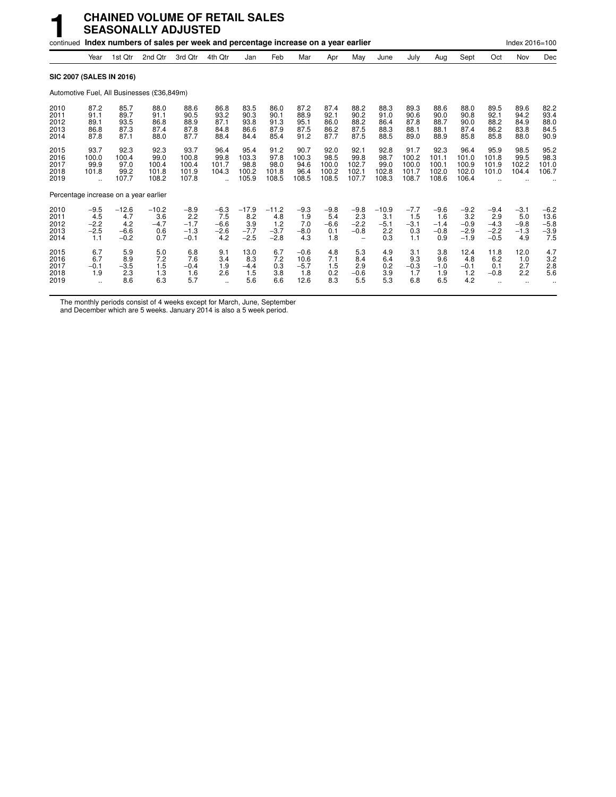|                                       |                                          |                                           | <b>CHAINED VOLUME OF RETAIL SALES</b><br><b>SEASONALLY ADJUSTED</b>                 |                                             |                                          |                                           |                                           |                                         |                                         |                                         |                                        |                                          |                                          |                                             |                                             |                                          |                                           |
|---------------------------------------|------------------------------------------|-------------------------------------------|-------------------------------------------------------------------------------------|---------------------------------------------|------------------------------------------|-------------------------------------------|-------------------------------------------|-----------------------------------------|-----------------------------------------|-----------------------------------------|----------------------------------------|------------------------------------------|------------------------------------------|---------------------------------------------|---------------------------------------------|------------------------------------------|-------------------------------------------|
|                                       |                                          |                                           | continued Index numbers of sales per week and percentage increase on a year earlier |                                             |                                          |                                           |                                           |                                         |                                         |                                         |                                        |                                          |                                          |                                             |                                             | Index 2016=100                           |                                           |
|                                       | Year                                     | 1st Qtr                                   | 2nd Qtr                                                                             | 3rd Qtr                                     | 4th Qtr                                  | Jan                                       | Feb                                       | Mar                                     | Apr                                     | May                                     | June                                   | July                                     | Aug                                      | Sept                                        | Oct                                         | Nov                                      | Dec                                       |
| SIC 2007 (SALES IN 2016)              |                                          |                                           |                                                                                     |                                             |                                          |                                           |                                           |                                         |                                         |                                         |                                        |                                          |                                          |                                             |                                             |                                          |                                           |
|                                       |                                          |                                           | Automotive Fuel, All Businesses (£36,849m)                                          |                                             |                                          |                                           |                                           |                                         |                                         |                                         |                                        |                                          |                                          |                                             |                                             |                                          |                                           |
| 2010<br>2011<br>2012<br>2013<br>2014  | 87.2<br>91.1<br>89.1<br>86.8<br>87.8     | 85.7<br>89.7<br>93.5<br>87.3<br>87.1      | 88.0<br>91.1<br>86.8<br>87.4<br>88.0                                                | 88.6<br>90.5<br>88.9<br>87.8<br>87.7        | 86.8<br>93.2<br>87.1<br>84.8<br>88.4     | 83.5<br>90.3<br>93.8<br>86.6<br>84.4      | 86.0<br>90.1<br>91.3<br>87.9<br>85.4      | 87.2<br>88.9<br>95.1<br>87.5<br>91.2    | 87.4<br>92.1<br>86.0<br>86.2<br>87.7    | 88.2<br>90.2<br>88.2<br>87.5<br>87.5    | 88.3<br>91.0<br>86.4<br>88.3<br>88.5   | 89.3<br>90.6<br>87.8<br>88.1<br>89.0     | 88.6<br>90.0<br>88.7<br>88.1<br>88.9     | 88.0<br>90.8<br>90.0<br>87.4<br>85.8        | 89.5<br>92.1<br>88.2<br>86.2<br>85.8        | 89.6<br>94.2<br>84.9<br>83.8<br>88.0     | 82.2<br>93.4<br>88.0<br>84.5<br>90.9      |
| 2015<br>2016<br>2017<br>2018<br>2019  | 93.7<br>100.0<br>99.9<br>101.8           | 92.3<br>100.4<br>97.0<br>99.2<br>107.7    | 92.3<br>99.0<br>100.4<br>101.8<br>108.2                                             | 93.7<br>100.8<br>100.4<br>101.9<br>107.8    | 96.4<br>99.8<br>101.7<br>104.3           | 95.4<br>103.3<br>98.8<br>100.2<br>105.9   | 91.2<br>97.8<br>98.0<br>101.8<br>108.5    | 90.7<br>100.3<br>94.6<br>96.4<br>108.5  | 92.0<br>98.5<br>100.0<br>100.2<br>108.5 | 92.1<br>99.8<br>102.7<br>102.1<br>107.7 | 92.8<br>98.7<br>99.0<br>102.8<br>108.3 | 91.7<br>100.2<br>100.0<br>101.7<br>108.7 | 92.3<br>101.1<br>100.1<br>102.0<br>108.6 | 96.4<br>101.0<br>100.9<br>102.0<br>106.4    | 95.9<br>101.8<br>101.9<br>101.0             | 98.5<br>99.5<br>102.2<br>104.4           | 95.2<br>98.3<br>101.0<br>106.7            |
| Percentage increase on a year earlier |                                          |                                           |                                                                                     |                                             |                                          |                                           |                                           |                                         |                                         |                                         |                                        |                                          |                                          |                                             |                                             |                                          |                                           |
| 2010<br>2011<br>2012<br>2013<br>2014  | $-9.5$<br>4.5<br>$-2.2$<br>$-2.5$<br>1.1 | $-12.6$<br>4.7<br>4.2<br>$-6.6$<br>$-0.2$ | $-10.2$<br>3.6<br>$-4.7$<br>0.6<br>0.7                                              | $-8.9$<br>2.2<br>$-1.7$<br>$-1.3$<br>$-0.1$ | $-6.3$<br>7.5<br>$-6.6$<br>$-2.6$<br>4.2 | $-17.9$<br>8.2<br>3.9<br>$-7.7$<br>$-2.5$ | $-11.2$<br>4.8<br>1.2<br>$-3.7$<br>$-2.8$ | $-9.3$<br>1.9<br>7.0<br>$-8.0$<br>4.3   | $-9.8$<br>5.4<br>$-6.6$<br>0.1<br>1.8   | $-9.8$<br>2.3<br>$-2.2$<br>$-0.8$       | $-10.9$<br>3.1<br>$-5.1$<br>2.2<br>0.3 | $-7.7$<br>1.5<br>$-3.1$<br>0.3<br>1.1    | $-9.6$<br>1.6<br>$-1.4$<br>$-0.8$<br>0.9 | $-9.2$<br>3.2<br>$-0.9$<br>$-2.9$<br>$-1.9$ | $-9.4$<br>2.9<br>$-4.3$<br>$-2.2$<br>$-0.5$ | $-3.1$<br>5.0<br>$-9.8$<br>$-1.3$<br>4.9 | $-6.2$<br>13.6<br>$-5.8$<br>$-3.9$<br>7.5 |
| 2015<br>2016<br>2017<br>2018<br>2019  | 6.7<br>6.7<br>$-0.1$<br>1.9<br>$\ddotsc$ | 5.9<br>8.9<br>$-3.5$<br>2.3<br>8.6        | 5.0<br>7.2<br>1.5<br>1.3<br>6.3                                                     | 6.8<br>7.6<br>$-0.4$<br>1.6<br>5.7          | 9.1<br>3.4<br>1.9<br>2.6<br>$\ddotsc$    | 13.0<br>8.3<br>$-4.4$<br>1.5<br>5.6       | 6.7<br>7.2<br>0.3<br>3.8<br>6.6           | $-0.6$<br>10.6<br>$-5.7$<br>1.8<br>12.6 | 4.8<br>7.1<br>1.5<br>0.2<br>8.3         | 5.3<br>8.4<br>2.9<br>$-0.6$<br>5.5      | 4.9<br>6.4<br>0.2<br>3.9<br>5.3        | 3.1<br>9.3<br>$-0.3$<br>1.7<br>6.8       | 3.8<br>9.6<br>$-1.0$<br>1.9<br>6.5       | 12.4<br>4.8<br>$-0.1$<br>1.2<br>4.2         | 11.8<br>6.2<br>0.1<br>$-0.8$                | 12.0<br>1.0<br>2.7<br>2.2                | 4.7<br>3.2<br>2.8<br>5.6                  |

The monthly periods consist of 4 weeks except for March, June, September

and December which are 5 weeks. January 2014 is also a 5 week period.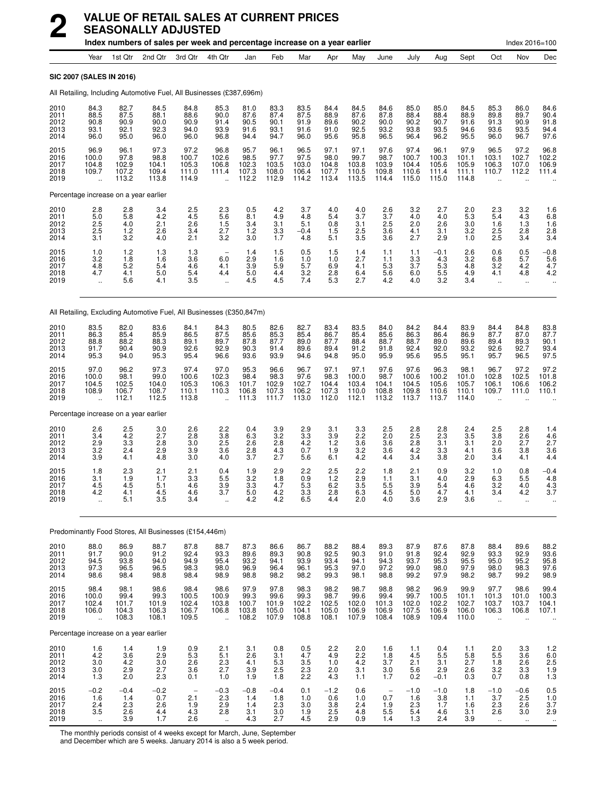|                                      |                                                         |                                         | index numbers of sales per week and percentage increase on a year earlier |                                                      |                                                         |                                         |                                         |                                         |                                         |                                          |                                                      |                                          |                                          |                                          |                                                  | $Index 2016 = 100$                           |                                                                       |
|--------------------------------------|---------------------------------------------------------|-----------------------------------------|---------------------------------------------------------------------------|------------------------------------------------------|---------------------------------------------------------|-----------------------------------------|-----------------------------------------|-----------------------------------------|-----------------------------------------|------------------------------------------|------------------------------------------------------|------------------------------------------|------------------------------------------|------------------------------------------|--------------------------------------------------|----------------------------------------------|-----------------------------------------------------------------------|
|                                      | Year                                                    | 1st Qtr                                 | 2nd Qtr                                                                   | 3rd Qtr                                              | 4th Qtr                                                 | Jan                                     | Feb                                     | Mar                                     | Apr                                     | May                                      | June                                                 | July                                     | Aug                                      | Sept                                     | Oct                                              | Nov                                          | Dec                                                                   |
|                                      | <b>SIC 2007 (SALES IN 2016)</b>                         |                                         |                                                                           |                                                      |                                                         |                                         |                                         |                                         |                                         |                                          |                                                      |                                          |                                          |                                          |                                                  |                                              |                                                                       |
|                                      |                                                         |                                         | All Retailing, Including Automotive Fuel, All Businesses (£387,696m)      |                                                      |                                                         |                                         |                                         |                                         |                                         |                                          |                                                      |                                          |                                          |                                          |                                                  |                                              |                                                                       |
| 2010<br>2011<br>2012<br>2013<br>2014 | 84.3<br>88.5<br>90.8<br>93.1<br>96.0                    | 82.7<br>87.5<br>90.9<br>92.1<br>95.0    | 84.5<br>88.1<br>90.0<br>92.3<br>96.0                                      | 84.8<br>88.6<br>90.9<br>94.0<br>96.0                 | 85.3<br>90.0<br>91.4<br>93.9<br>96.8                    | 81.0<br>87.6<br>90.5<br>91.6<br>94.4    | 83.3<br>87.4<br>90.1<br>93.1<br>94.7    | 83.5<br>87.5<br>91.9<br>91.6<br>96.0    | 84.4<br>88.9<br>89.6<br>91.0<br>95.6    | 84.5<br>87.6<br>90.2<br>92.5<br>95.8     | 84.6<br>87.8<br>90.0<br>93.2<br>96.5                 | 85.0<br>88.4<br>90.2<br>93.8<br>96.4     | 85.0<br>88.4<br>90.7<br>93.5<br>96.2     | 84.5<br>88.9<br>91.6<br>94.6<br>95.5     | 85.3<br>89.8<br>91.3<br>93.6<br>96.0             | 86.0<br>89.7<br>90.9<br>93.5<br>96.7         | 84.6<br>90.4<br>91.8<br>94.4<br>97.6                                  |
| 2015<br>2016<br>2017<br>2018<br>2019 | 96.9<br>100.0<br>104.8<br>109.7<br>ă,                   | 96.1<br>97.8<br>102.9<br>107.2<br>113.2 | 97.3<br>98.8<br>104.1<br>109.4<br>113.8                                   | 97.2<br>100.7<br>105.3<br>111.0<br>114.9             | 96.8<br>102.6<br>106.8<br>111.4<br>                     | 95.7<br>98.5<br>102.3<br>107.3<br>112.2 | 96.1<br>97.7<br>103.5<br>108.0<br>112.9 | 96.5<br>97.5<br>103.0<br>106.4<br>114.2 | 97.1<br>98.0<br>104.8<br>107.7<br>113.4 | 97.1<br>99.7<br>103.8<br>110.5<br>113.5  | 97.6<br>98.7<br>103.9<br>109.8<br>114.4              | 97.4<br>100.7<br>104.4<br>110.6<br>115.0 | 96.1<br>100.3<br>105.6<br>111.4<br>115.0 | 97.9<br>101.1<br>105.9<br>111.1<br>114.8 | 96.5<br>103.1<br>106.3<br>110.7<br>ä,            | 97.2<br>102.7<br>107.0<br>112.2              | 96.8<br>102.2<br>106.9<br>111.4                                       |
|                                      | Percentage increase on a year earlier                   |                                         |                                                                           |                                                      |                                                         |                                         |                                         |                                         |                                         |                                          |                                                      |                                          |                                          |                                          |                                                  |                                              |                                                                       |
| 2010<br>2011<br>2012<br>2013<br>2014 | 2.8<br>5.0<br>2.5<br>2.5<br>3.1                         | 2.8<br>5.8<br>4.0<br>1.2<br>3.2         | 3.4<br>4.2<br>2.1<br>2.6<br>4.0                                           | 2.5<br>4.5<br>2.6<br>3.4<br>2.1                      | $\frac{2.3}{5.6}$<br>1.5<br>2.7<br>3.2                  | 0.5<br>8.1<br>3.4<br>1.2<br>3.0         | 4.2<br>4.9<br>3.1<br>$3.3$<br>$1.7$     | 3.7<br>4.8<br>5.1<br>$-0.4$<br>4.8      | 4.0<br>5.4<br>0.8<br>1.5<br>5.1         | 4.0<br>3.7<br>3.1<br>$\frac{2.5}{3.5}$   | 2.6<br>3.7<br>2.5<br>3.6<br>3.6                      | 3.2<br>4.0<br>2.0<br>4.1<br>2.7          | 2.7<br>4.0<br>2.6<br>3.1<br>2.9          | 2.0<br>5.3<br>3.0<br>3.2<br>1.0          | 2.3<br>5.4<br>1.6<br>2.5<br>2.5                  | $\frac{3.2}{4.3}$<br>1.3<br>2.8<br>3.4       | $\begin{array}{c} 1.6 \\ 6.8 \end{array}$<br>1.6<br>$\frac{2.8}{3.4}$ |
| 2015<br>2016<br>2017<br>2018<br>2019 | 1.0<br>3.2<br>4.8<br>4.7<br>$\ddotsc$                   | 1.2<br>1.8<br>5.2<br>4.1<br>5.6         | 1.3<br>1.6<br>5.4<br>5.0<br>4.1                                           | 1.3<br>3.6<br>4.6<br>5.4<br>3.5                      | 6.0<br>4.1<br>4.4<br>$\ddot{\phantom{a}}$               | 1.4<br>2.9<br>3.9<br>5.0<br>4.5         | 1.5<br>1.6<br>5.9<br>4.4<br>4.5         | 0.5<br>1.0<br>5.7<br>3.2<br>7.4         | 1.5<br>1.0<br>6.9<br>2.8<br>5.3         | 1.4<br>2.7<br>4.1<br>6.4<br>2.7          | 1.1<br>1.1<br>5.3<br>5.6<br>4.2                      | 1.1<br>3.3<br>3.7<br>6.0<br>4.0          | $-0.1$<br>4.3<br>5.3<br>5.5<br>3.2       | 2.6<br>3.2<br>4.8<br>4.9<br>3.4          | 0.6<br>6.8<br>3.2<br>4.1<br>$\ddot{\phantom{1}}$ | $\frac{0.5}{5.7}$<br>4.2<br>4.8<br>ä.        | $^{-0.8}_{5.6}$<br>4.7<br>4.2                                         |
|                                      |                                                         |                                         | All Retailing, Excluding Automotive Fuel, All Businesses (£350,847m)      |                                                      |                                                         |                                         |                                         |                                         |                                         |                                          |                                                      |                                          |                                          |                                          |                                                  |                                              |                                                                       |
| 2010<br>2011<br>2012<br>2013<br>2014 | 83.5<br>86.3<br>88.8<br>91.7<br>95.3                    | 82.0<br>85.4<br>88.2<br>90.4<br>94.0    | 83.6<br>85.9<br>88.3<br>90.9<br>95.3                                      | 84.1<br>86.5<br>89.1<br>92.6<br>95.4                 | 84.3<br>87.5<br>89.7<br>92.9<br>96.6                    | 80.5<br>85.6<br>87.8<br>90.3<br>93.6    | 82.6<br>85.3<br>87.7<br>91.4<br>93.9    | 82.7<br>85.4<br>89.0<br>89.6<br>94.6    | 83.4<br>86.7<br>87.7<br>89.4<br>94.8    | 83.5<br>85.4<br>88.4<br>91.2<br>95.0     | 84.0<br>85.6<br>88.7<br>91.8<br>95.9                 | 84.2<br>86.3<br>88.7<br>92.4<br>95.6     | 84.4<br>86.4<br>89.0<br>92.0<br>95.5     | 83.9<br>86.9<br>89.6<br>93.2<br>95.1     | 84.4<br>87.7<br>89.4<br>92.6<br>95.7             | 84.8<br>87.0<br>89.3<br>92.7<br>96.5         | 83.8<br>87.7<br>90.1<br>93.4<br>97.5                                  |
| 2015<br>2016<br>2017<br>2018<br>2019 | 97.0<br>100.0<br>104.5<br>108.9<br>$\ddot{\phantom{a}}$ | 96.2<br>98.1<br>102.5<br>106.7<br>112.1 | 97.3<br>99.0<br>104.0<br>108.7<br>112.5                                   | 97.4<br>100.6<br>105.3<br>110.1<br>113.8             | 97.0<br>102.3<br>106.3<br>110.3                         | 95.3<br>98.4<br>101.7<br>106.8<br>111.3 | 96.6<br>98.3<br>102.9<br>107.3<br>111.7 | 96.7<br>97.6<br>102.7<br>106.2<br>113.0 | 97.1<br>98.3<br>104.4<br>107.3<br>112.0 | 97.1<br>100.0<br>103.4<br>110.0<br>112.1 | 97.6<br>98.7<br>104.1<br>108.8<br>113.2              | 97.6<br>100.6<br>104.5<br>109.8<br>113.7 | 96.3<br>100.2<br>105.6<br>110.6<br>113.7 | 98.1<br>101.0<br>105.7<br>110.1<br>114.0 | 96.7<br>102.8<br>106.1<br>109.7                  | 97.2<br>102.5<br>106.6<br>111.0              | $97.2$<br>101.8<br>106.2<br>110.1                                     |
|                                      | Percentage increase on a year earlier                   |                                         |                                                                           |                                                      |                                                         |                                         |                                         |                                         |                                         |                                          |                                                      |                                          |                                          |                                          |                                                  |                                              |                                                                       |
| 2010<br>2011<br>2012<br>2013<br>2014 | 2.6<br>3.4<br>2.9<br>3.2<br>3.9                         | 2.5<br>$\frac{4.2}{3.3}$<br>2.4<br>4.1  | 3.0<br>2.7<br>2.8<br>2.9<br>4.8                                           | 2.6<br>2.8<br>3.0<br>3.9<br>3.0                      | 2.2<br>$\frac{3.8}{2.5}$<br>3.6<br>4.0                  | 0.4<br>6.3<br>2.6<br>2.8<br>3.7         | 3.9<br>3.2<br>2.8<br>4.3<br>2.7         | 2.9<br>3.3<br>4.2<br>0.7<br>5.6         | 3.1<br>3.9<br>1.2<br>1.9<br>6.1         | 3.3<br>2.2<br>3.6<br>3.2<br>4.2          | 2.5<br>2.0<br>3.6<br>3.6<br>4.4                      | 2.8<br>2.5<br>2.8<br>4.2<br>3.4          | 2.8<br>2.3<br>3.1<br>3.3<br>3.8          | 2.4<br>3.5<br>3.1<br>4.1<br>2.0          | 2.5<br>3.8<br>2.0<br>3.6<br>3.4                  | 2.8<br>$^{2.6}_{2.7}$<br>3.8<br>4.1          | 1.4<br>$\frac{4.6}{2.7}$<br>3.6<br>4.4                                |
| 2015<br>2016<br>2017<br>2018<br>2019 | 1.8<br>3.1<br>4.5<br>4.2                                | 2.3<br>1.9<br>4.5<br>4.1<br>5.1         | 2.1<br>1.7<br>5.1<br>4.5<br>3.5                                           | 2.1<br>3.3<br>4.6<br>4.6<br>3.4                      | 0.4<br>5.5<br>3.9<br>37                                 | 1.9<br>3.2<br>3.3<br>5.0<br>4.2         | 2.9<br>1.8<br>4.7<br>4.2<br>4.2         | 2.2<br>0.9<br>5.3<br>3.3<br>6.5         | 2.5<br>1.2<br>6.2<br>2.8<br>4.4         | 2.2<br>2.9<br>3.5<br>6.3<br>2.0          | 1.8<br>1.1<br>5.5<br>4.5<br>4.0                      | 2.1<br>3.1<br>3.9<br>5.0<br>$3.6\,$      | 0.9<br>4.0<br>5.4<br>4.7<br>2.9          | 3.2<br>2.9<br>4.6<br>4.1<br>3.6          | 1.0<br>6.3<br>3.2<br>34                          | 0.8<br>5.5<br>4.0<br>4.2                     | $-0.4$<br>4.8<br>4.3<br>37                                            |
|                                      |                                                         |                                         | Predominantly Food Stores, All Businesses (£154,446m)                     |                                                      |                                                         |                                         |                                         |                                         |                                         |                                          |                                                      |                                          |                                          |                                          |                                                  |                                              |                                                                       |
| 2010<br>2011<br>2012<br>2013<br>2014 | 88.0<br>91.7<br>94.5<br>97.3<br>98.6                    | 86.9<br>90.0<br>93.8<br>96.5<br>98.4    | 88.7<br>91.2<br>94.0<br>96.5<br>98.8                                      | 87.8<br>92.4<br>94.9<br>98.3<br>98.4                 | 88.7<br>93.3<br>95.4<br>98.0<br>98.9                    | 87.3<br>89.6<br>93.2<br>96.9<br>98.8    | 86.6<br>89.3<br>94.1<br>96.4<br>98.2    | 86.7<br>90.8<br>93.9<br>96.1<br>98.2    | 88.2<br>92.5<br>93.4<br>95.3<br>99.3    | 88.4<br>90.3<br>94.1<br>97.0<br>98.1     | 89.3<br>91.0<br>94.3<br>97.2<br>98.8                 | 87.9<br>91.8<br>93.7<br>99.0<br>99.2     | 87.6<br>92.4<br>95.3<br>98.0<br>97.9     | 87.8<br>92.9<br>95.5<br>97.9<br>98.2     | 88.4<br>93.3<br>95.0<br>98.0<br>98.7             | 89.6<br>92.9<br>95.2<br>98.3<br>99.2         | 88.2<br>93.6<br>95.8<br>97.6<br>98.9                                  |
| 2015<br>2016<br>2017<br>2018<br>2019 | 98.4<br>100.0<br>102.4<br>106.0<br>                     | 98.1<br>99.4<br>101.7<br>104.3<br>108.3 | 98.6<br>99.3<br>101.9<br>106.3<br>108.1                                   | 98.4<br>100.5<br>102.4<br>106.7<br>109.5             | 98.6<br>100.9<br>103.8<br>106.8<br>$\ddot{\phantom{a}}$ | 97.9<br>99.3<br>100.7<br>103.8<br>108.2 | 97.8<br>99.6<br>101.9<br>105.0<br>107.9 | 98.3<br>99.3<br>102.2<br>104.1<br>108.8 | 98.2<br>98.7<br>102.5<br>105.0<br>108.1 | 98.7<br>99.6<br>102.0<br>106.9<br>107.9  | 98.8<br>99.4<br>101.3<br>106.9<br>108.4              | 98.2<br>99.7<br>102.0<br>107.5<br>108.9  | 96.9<br>100.5<br>102.2<br>106.9<br>109.4 | 99.9<br>101.1<br>102.7<br>106.0<br>110.0 | 97.7<br>101.3<br>103.7<br>106.3<br>$\ddotsc$     | 98.6<br>101.0<br>103.7<br>106.8<br>$\ddotsc$ | 99.4<br>100.3<br>104.1<br>107.1                                       |
|                                      | Percentage increase on a year earlier                   |                                         |                                                                           |                                                      |                                                         |                                         |                                         |                                         |                                         |                                          |                                                      |                                          |                                          |                                          |                                                  |                                              |                                                                       |
| 2010<br>2011<br>2012<br>2013<br>2014 | 1.6<br>$4.2\,$<br>3.0<br>3.0<br>1.3                     | 1.4<br>$3.6\,$<br>4.2<br>2.9<br>2.0     | 1.9<br>2.9<br>3.0<br>2.7<br>2.3                                           | 0.9<br>5.3<br>2.6<br>3.6<br>0.1                      | 2.1<br>5.1<br>$2.3$<br>2.7<br>1.0                       | 3.1<br>2.6<br>4.1<br>3.9<br>1.9         | 0.8<br>3.1<br>$\frac{5.3}{2.5}$<br>1.8  | 0.5<br>4.7<br>$\frac{3.5}{2.3}$<br>2.2  | 2.2<br>4.9<br>1.0<br>2.0<br>4.3         | 2.0<br>2.2<br>4.2<br>3.1<br>1.1          | 1.6<br>1.8<br>3.7<br>3.0<br>1.7                      | 1.1<br>4.5<br>2.1<br>5.6<br>0.2          | 0.4<br>5.5<br>3.1<br>2.9<br>$-0.1$       | 1.1<br>5.8<br>2.7<br>2.6<br>0.3          | 2.0<br>5.5<br>$\frac{1.8}{3.2}$<br>0.7           | 3.3<br>3.6<br>2.6<br>3.3<br>0.8              | $1.2$<br>6.0<br>2.5<br>1.9<br>1.9<br>1.3                              |
| 2015<br>2016<br>2017<br>2018<br>2019 | $-0.2$<br>1.6<br>$\frac{2.4}{3.5}$<br>u,                | $-0.4$<br>1.4<br>2.3<br>2.6<br>3.9      | $-0.2$<br>0.7<br>2.6<br>4.4<br>1.7                                        | $\overline{\phantom{a}}$<br>2.1<br>1.9<br>4.3<br>2.6 | $-0.3$<br>2.3<br>2.9<br>2.8<br>$\ddot{\phantom{1}}$     | $-0.8$<br>1.4<br>1.4<br>3.1<br>4.3      | $-0.4$<br>1.8<br>2.3<br>3.0<br>2.7      | 0.1<br>1.0<br>3.0<br>1.9<br>4.5         | $-1.2$<br>0.6<br>3.8<br>2.5<br>2.9      | 0.6<br>1.0<br>2.4<br>4.8<br>0.9          | $\overline{\phantom{a}}$<br>0.7<br>1.9<br>5.5<br>1.4 | $-1.0$<br>1.6<br>2.3<br>5.4<br>1.3       | $-1.0$<br>3.8<br>1.7<br>4.6<br>2.4       | 1.8<br>1.1<br>1.6<br>3.1<br>3.9          | $-1.0$<br>3.7<br>2.3<br>2.6<br>$\ddotsc$         | $-0.6$<br>2.5<br>2.6<br>3.0<br>$\sim$        | $0.5$<br>$1.0$<br>$3.\overline{7}$<br>2.9<br>$\ddot{\phantom{1}}$     |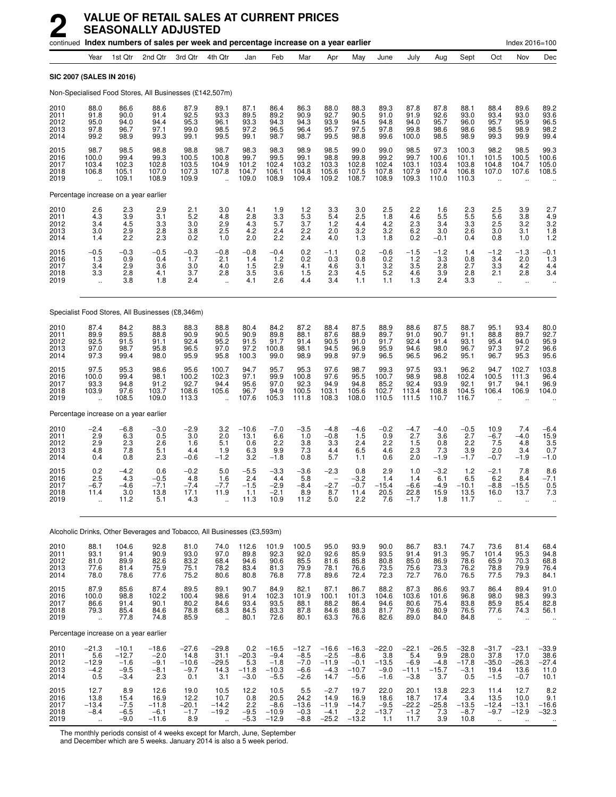|                                      |                                                       |                                                  | continued Index numbers of sales per week and percentage increase on a year earlier |                                             |                                                      |                                                               |                                                  |                                                 |                                                |                                                  |                                               |                                               |                                            |                                             |                                                           | Index 2016=100                                             |                                               |
|--------------------------------------|-------------------------------------------------------|--------------------------------------------------|-------------------------------------------------------------------------------------|---------------------------------------------|------------------------------------------------------|---------------------------------------------------------------|--------------------------------------------------|-------------------------------------------------|------------------------------------------------|--------------------------------------------------|-----------------------------------------------|-----------------------------------------------|--------------------------------------------|---------------------------------------------|-----------------------------------------------------------|------------------------------------------------------------|-----------------------------------------------|
|                                      | Year                                                  | 1st Qtr                                          | 2nd Qtr                                                                             | 3rd Otr                                     | 4th Qtr                                              | Jan                                                           | Feb                                              | Mar                                             | Apr                                            | May                                              | June                                          | July                                          | Aug                                        | Sept                                        | Oct                                                       | Nov                                                        | Dec                                           |
| SIC 2007 (SALES IN 2016)             |                                                       |                                                  |                                                                                     |                                             |                                                      |                                                               |                                                  |                                                 |                                                |                                                  |                                               |                                               |                                            |                                             |                                                           |                                                            |                                               |
|                                      |                                                       |                                                  | Non-Specialised Food Stores, All Businesses (£142,507m)                             |                                             |                                                      |                                                               |                                                  |                                                 |                                                |                                                  |                                               |                                               |                                            |                                             |                                                           |                                                            |                                               |
| 2010<br>2011<br>2012<br>2013<br>2014 | 88.0<br>91.8<br>95.0<br>97.8<br>99.2                  | 86.6<br>90.0<br>94.0<br>96.7<br>98.9             | 88.6<br>91.4<br>94.4<br>97.1<br>99.3                                                | 87.9<br>92.5<br>95.3<br>99.0<br>99.1        | 89.1<br>93.3<br>96.1<br>98.5<br>99.5                 | 87.1<br>89.5<br>93.3<br>97.2<br>99.1                          | 86.4<br>89.2<br>94.3<br>96.5<br>98.7             | 86.3<br>90.9<br>94.3<br>96.4<br>98.7            | 88.0<br>92.7<br>93.9<br>95.7<br>99.5           | 88.3<br>90.5<br>94.5<br>97.5<br>98.8             | 89.3<br>91.0<br>94.8<br>97.8<br>99.6          | 87.8<br>91.9<br>94.0<br>99.8<br>100.0         | 87.8<br>92.6<br>95.7<br>98.6<br>98.5       | 88.1<br>93.0<br>96.0<br>98.6<br>98.9        | 88.4<br>93.4<br>95.7<br>98.5<br>99.3                      | 89.6<br>93.0<br>95.9<br>98.9<br>99.9                       | 89.2<br>93.6<br>96.5<br>98.2<br>99.4          |
| 2015<br>2016<br>2017<br>2018<br>2019 | 98.7<br>100.0<br>103.4<br>106.8                       | 98.5<br>99.4<br>102.3<br>105.1<br>109.1          | 98.8<br>99.3<br>102.8<br>107.0<br>108.9                                             | 98.8<br>100.5<br>103.5<br>107.3<br>109.9    | 98.7<br>100.8<br>104.9<br>107.8                      | 98.3<br>99.7<br>101.2<br>104.7<br>109.0                       | 98.3<br>99.5<br>102.4<br>106.1<br>108.9          | 98.9<br>99.1<br>103.2<br>104.8<br>109.4         | 98.5<br>98.8<br>103.3<br>105.6<br>109.2        | 99.0<br>99.8<br>102.8<br>107.5<br>108.7          | 99.0<br>99.2<br>102.4<br>107.8<br>108.9       | 98.5<br>99.7<br>103.1<br>107.9<br>109.3       | 97.3<br>100.6<br>103.4<br>107.4<br>110.0   | 100.3<br>101.1<br>103.8<br>106.8<br>110.3   | 98.2<br>101.5<br>104.8<br>107.0                           | 98.5<br>100.5<br>104.7<br>107.6                            | 99.3<br>100.6<br>105.0<br>108.5               |
|                                      |                                                       | Percentage increase on a year earlier            |                                                                                     |                                             |                                                      |                                                               |                                                  |                                                 |                                                |                                                  |                                               |                                               |                                            |                                             |                                                           |                                                            |                                               |
| 2010<br>2011<br>2012<br>2013<br>2014 | $^{2.6}_{4.3}$<br>3.4<br>3.0<br>1.4                   | 2.3<br>3.9<br>4.5<br>2.9<br>2.2                  | 2.9<br>3.1<br>3.3<br>2.8<br>2.3                                                     | 2.1<br>5.2<br>3.0<br>3.8<br>0.2             | 3.0<br>4.8<br>2.9<br>2.5<br>1.0                      | 4.1<br>2.8<br>4.3<br>4.2<br>2.0                               | $\frac{1.9}{3.3}$<br>5.7<br>2.4<br>2.2           | $\frac{1.2}{5.3}$<br>3.7<br>2.2<br>2.4          | $\frac{3.3}{5.4}$<br>1.2<br>2.0<br>4.0         | 3.0<br>2.5<br>4.4<br>3.2<br>1.3                  | 2.5<br>1.8<br>4.2<br>$3.2\,$<br>1.8           | 2.2<br>4.6<br>2.3<br>6.2<br>0.2               | 1.6<br>5.5<br>3.4<br>3.0<br>$-0.1$         | $2.3$<br>5.5<br>3.3<br>2.6<br>0.4           | 2.5<br>5.6<br>2.5<br>3.0<br>0.8                           | 3.9<br>3.8<br>3.2<br>3.1<br>1.0                            | 2.7<br>4.9<br>3.2<br>1.8<br>1.2               |
| 2015<br>2016<br>2017<br>2018<br>2019 | $-0.5$<br>1.3<br>3.4<br>3.3                           | $-0.3$<br>0.9<br>2.9<br>2.8<br>3.8               | $-0.5$<br>0.4<br>3.6<br>4.1<br>1.8                                                  | $-0.3$<br>1.7<br>3.0<br>3.7<br>2.4          | $-0.8$<br>2.1<br>4.0<br>2.8<br>$\ddot{\phantom{a}}$  | $-0.8$<br>1.4<br>1.5<br>3.5<br>4.1                            | $-0.4$<br>1.2<br>2.9<br>3.6<br>2.6               | 0.2<br>0.2<br>4.1<br>1.5<br>4.4                 | $-1.1$<br>0.3<br>4.6<br>2.3<br>3.4             | 0.2<br>0.8<br>3.1<br>4.5<br>1.1                  | $-0.6$<br>0.2<br>3.2<br>$5.2\,$<br>1.1        | $-1.5$<br>1.2<br>3.5<br>4.6<br>1.3            | $-1.2$<br>3.3<br>2.8<br>3.9<br>2.4         | 1.4<br>0.8<br>2.7<br>2.8<br>3.3             | $-1.2$<br>3.4<br>3.3<br>2.1<br>$\ddot{\phantom{a}}$       | $-1.3$<br>2.0<br>4.2<br>2.8<br>u,                          | $-0.1$<br>1.3<br>4.4<br>3.4                   |
|                                      |                                                       |                                                  | Specialist Food Stores, All Businesses (£8,346m)                                    |                                             |                                                      |                                                               |                                                  |                                                 |                                                |                                                  |                                               |                                               |                                            |                                             |                                                           |                                                            |                                               |
| 2010<br>2011<br>2012<br>2013<br>2014 | 87.4<br>89.9<br>92.5<br>97.0<br>97.3                  | 84.2<br>89.5<br>91.5<br>98.7<br>99.4             | 88.3<br>88.8<br>91.1<br>95.8<br>98.0                                                | 88.3<br>90.9<br>92.4<br>96.5<br>95.9        | 88.8<br>90.5<br>95.2<br>97.0<br>95.8                 | 80.4<br>90.9<br>91.5<br>97.2<br>100.3                         | 84.2<br>89.8<br>91.7<br>100.8<br>99.0            | 87.2<br>88.1<br>91.4<br>98.1<br>98.9            | 88.4<br>87.6<br>90.5<br>94.5<br>99.8           | 87.5<br>88.9<br>91.0<br>96.9<br>97.9             | 88.9<br>89.7<br>91.7<br>95.9<br>96.5          | 88.6<br>91.0<br>92.4<br>94.6<br>96.5          | 87.5<br>90.7<br>91.4<br>98.0<br>96.2       | 88.7<br>91.1<br>93.1<br>96.7<br>95.1        | 95.1<br>88.8<br>95.4<br>97.3<br>96.7                      | 93.4<br>89.7<br>94.0<br>97.2<br>95.3                       | 80.0<br>92.7<br>95.9<br>96.6<br>95.6          |
| 2015<br>2016<br>2017<br>2018<br>2019 | 97.5<br>100.0<br>93.3<br>103.9                        | 95.3<br>99.4<br>94.8<br>97.6<br>108.5            | 98.6<br>98.1<br>91.2<br>103.7<br>109.0                                              | 95.6<br>100.2<br>92.7<br>108.6<br>113.3     | 100.7<br>102.3<br>94.4<br>105.6                      | 94.7<br>97.1<br>95.6<br>96.7<br>107.6                         | 95.7<br>99.9<br>97.0<br>94.9<br>105.3            | 95.3<br>100.8<br>92.3<br>100.5<br>111.8         | 97.6<br>97.6<br>94.9<br>103.1<br>108.3         | 98.7<br>95.5<br>94.8<br>105.6<br>108.0           | 99.3<br>100.7<br>85.2<br>102.7<br>110.5       | 97.5<br>98.9<br>92.4<br>113.4<br>111.5        | 93.1<br>98.8<br>93.9<br>108.8<br>110.7     | 96.2<br>102.4<br>92.1<br>104.5<br>116.7     | 94.7<br>100.5<br>91.7<br>106.4                            | 102.7<br>111.3<br>94.1<br>106.9                            | 103.8<br>96.4<br>96.9<br>104.0                |
|                                      |                                                       | Percentage increase on a year earlier            |                                                                                     |                                             |                                                      |                                                               |                                                  |                                                 |                                                |                                                  |                                               |                                               |                                            |                                             |                                                           |                                                            |                                               |
| 2010<br>2011<br>2012<br>2013<br>2014 | $-2.4$<br>2.9<br>2.9<br>4.8<br>0.4                    | $-6.8$<br>6.3<br>2.3<br>7.8<br>0.8               | $-3.0$<br>0.5<br>2.6<br>5.1<br>2.3                                                  | $-2.9$<br>3.0<br>1.6<br>4.4<br>$-0.6$       | 3.2<br>2.0<br>5.1<br>1.9<br>$-1.\overline{2}$        | $-10.6$<br>13.1<br>0.6<br>6.3<br>3.2                          | $-7.0$<br>6.6<br>2.2<br>9.9<br>$-1.8$            | $-3.5$<br>1.0<br>3.8<br>7.3<br>0.8              | $-4.8$<br>$-0.8$<br>3.3<br>4.4<br>5.7          | $-4.6$<br>1.5<br>2.4<br>6.5<br>1.1               | $-0.2$<br>0.9<br>2.2<br>4.6<br>0.6            | $-4.7$<br>2.7<br>1.5<br>2.3<br>2.0            | $-4.0$<br>3.6<br>0.8<br>7.3<br>$-1.9$      | $-0.5$<br>2.7<br>2.2<br>3.9<br>$-1.7$       | 10.9<br>$-6.7$<br>7.5<br>2.0<br>$-0.7$                    | 7.4<br>$-4.0$<br>4.8<br>3.4<br>$-1.9$                      | $-6.4$<br>15.9<br>3.5<br>0.7<br>$-1.0$        |
| 2015<br>2016<br>2017<br>2018<br>2019 | 0.2<br>2.5<br>$-6.7$<br>11.4                          | $-4.2$<br>4.3<br>$-4.6$<br>3.0<br>11.2           | 0.6<br>$-0.5$<br>$-7.1$<br>13.8<br>5.1                                              | $-0.2$<br>4.8<br>$-7.4$<br>17.1<br>4.3      | 5.0<br>1.6<br>$-7.7$<br>11.9                         | $-5.5$<br>2.4<br>$-1.5$<br>1.1<br>11.3                        | $-3.3$<br>4.4<br>$-2.9$<br>$-2.1$<br>10.9        | $-3.6$<br>5.8<br>$-8.4$<br>8.9<br>11.2          | $-2.3$<br>$-2.7$<br>8.7<br>5.0                 | 0.8<br>$-3.2$<br>$-0.7$<br>11.4<br>2.2           | 2.9<br>1.4<br>$-15.4$<br>20.5<br>7.6          | 1.0<br>1.4<br>$-6.6$<br>22.8<br>$-1.7$        | $-3.2$<br>6.1<br>$-4.9$<br>15.9<br>1.8     | 1.2<br>6.5<br>$-10.1$<br>13.5<br>11.7       | $-2.1$<br>6.2<br>$-8.8$<br>16.0                           | 7.8<br>8.4<br>$-15.5$<br>13.7                              | 8.6<br>$-7.1$<br>0.5<br>7.3                   |
|                                      |                                                       |                                                  | Alcoholic Drinks, Other Beverages and Tobacco, All Businesses (£3,593m)             |                                             |                                                      |                                                               |                                                  |                                                 |                                                |                                                  |                                               |                                               |                                            |                                             |                                                           |                                                            |                                               |
| 2010                                 | 88.1                                                  | 104.6<br>91.4                                    |                                                                                     | 81.0                                        | 74.0                                                 | 112.6                                                         | 101.9                                            | 100.5                                           | 95.0                                           | 93.9                                             | 90.0                                          | 86.7                                          | 83.1                                       | 74.7                                        | 73.6                                                      | 81.4                                                       |                                               |
| 2011<br>2012<br>2013<br>2014         | 93.1<br>81.0<br>77.6<br>78.0                          | 89.9<br>81.4<br>78.6                             | 92.8<br>90.9<br>82.6<br>75.9<br>77.6                                                | $\frac{93.0}{83.2}$<br>75.1<br>75.2         | 97.0<br>68.4<br>78.2<br>80.6                         | 89.8<br>94.6<br>83.4<br>80.8                                  | 92.3<br>90.6<br>81.3<br>76.8                     | 92.0<br>85.5<br>79.9<br>77.8                    | 92.6<br>81.6<br>78.1<br>89.6                   | 85.9<br>85.8<br>76.6<br>72.4                     | 93.5<br>80.8<br>73.5<br>72.3                  | 91.4<br>85.0<br>75.6<br>72.7                  | 91.3<br>86.9<br>73.3<br>76.0               | 95.7<br>78.6<br>76.2<br>76.5                | 101.4<br>65.9<br>78.8<br>77.5                             | 95.3<br>70.3<br>79.9<br>79.3                               | 68.4<br>94.8<br>68.8<br>76.4<br>84.1          |
| 2015<br>2016<br>2017<br>2018<br>2019 | 87.9<br>100.0<br>86.6<br>79.3<br>$\ddot{\phantom{a}}$ | 85.6<br>98.8<br>91.4<br>85.4<br>77.8             | 87.4<br>102.2<br>90.1<br>84.6<br>74.8                                               | 89.5<br>100.4<br>80.2<br>78.8<br>85.9       | 89.1<br>98.6<br>84.6<br>68.3<br>$\ddot{\phantom{a}}$ | 90.7<br>91.4<br>93.4<br>84.5<br>80.1                          | 84.9<br>102.3<br>93.5<br>83.3<br>72.6            | 82.1<br>101.9<br>88.1<br>87.8<br>80.1           | 87.1<br>100.1<br>88.2<br>84.6<br>63.3          | 86.7<br>101.3<br>86.4<br>88.3<br>76.6            | 88.2<br>104.6<br>94.6<br>81.7<br>82.6         | 87.3<br>103.6<br>80.6<br>79.6<br>89.0         | 86.6<br>101.6<br>75.4<br>80.9<br>84.0      | 93.7<br>96.8<br>83.8<br>76.5<br>84.8        | 86.4<br>98.0<br>85.9<br>77.6<br>$\ddot{\phantom{a}}$      | 89.4<br>98.3<br>85.4<br>74.3<br>ä.                         | 91.0<br>99.3<br>82.8<br>56.1                  |
|                                      |                                                       | Percentage increase on a year earlier            |                                                                                     |                                             |                                                      |                                                               |                                                  |                                                 |                                                |                                                  |                                               |                                               |                                            |                                             |                                                           |                                                            |                                               |
| 2010<br>2011<br>2012<br>2013<br>2014 | $-21.3$<br>5.6<br>$-12.9$<br>$-4.2$<br>0.5            | $-10.1$<br>$-12.7$<br>$-1.6$<br>$-9.5$<br>$-3.4$ | $-18.6$<br>$-2.0$<br>$-9.1$<br>$-8.1$<br>2.3                                        | $-27.6$<br>14.8<br>$-10.6$<br>$-9.7$<br>0.1 | $-29.8$<br>31.1<br>$-29.5$<br>14.3<br>3.1            | 0.2<br>$-20.3$<br>$5.\overline{3}$ <sub>-11.8</sub><br>$-3.0$ | $-16.5$<br>$-9.4$<br>$-1.8$<br>$-10.3$<br>$-5.5$ | $-12.7$<br>$-8.5$<br>$-7.0$<br>$-6.6$<br>$-2.6$ | $-16.6$<br>$-2.5$<br>$-11.9$<br>$-4.3$<br>14.7 | $-16.3$<br>$-8.6$<br>$-0.1$<br>$-10.7$<br>$-5.6$ | $-22.0$<br>3.8<br>$-13.5$<br>$-9.0$<br>$-1.6$ | $-22.1$<br>5.4<br>$-6.9$<br>$-11.1$<br>$-3.8$ | $-26.5$<br>9.9<br>$-4.8$<br>$-15.7$<br>3.7 | $-32.8$<br>28.0<br>$-17.8$<br>$-3.1$<br>0.5 | $-31.7$<br>37.8<br>$-35.0$<br>19.4<br>$-1.5$              | $-23.1$<br>17.0<br>$-26.3$<br>13.6<br>$-0.7$               | $-33.9$<br>$38.6 - 27.4$<br>11.0<br>10.1      |
| 2015<br>2016<br>2017<br>2018<br>2019 | 12.7<br>13.8<br>$-13.4$<br>$-8.4$<br>à.               | 8.9<br>15.4<br>$-7.5$<br>$-6.5$<br>$-9.0$        | 12.6<br>16.9<br>$-11.8$<br>$-6.1$<br>$-11.6$                                        | 19.0<br>12.2<br>$-20.1$<br>$-1.7$<br>8.9    | 10.5<br>10.7<br>$-14.2$<br>$-19.2$<br>$\ddotsc$      | 12.2<br>0.8<br>2.2<br>$-9.\overline{5}$<br>$-5.3$             | 10.5<br>20.5<br>$-8.6$<br>$-10.9$<br>$-12.9$     | 5.5<br>24.2<br>$-13.6$<br>$-0.3$<br>$-8.8$      | $-2.7$<br>14.9<br>$-11.9$<br>$-4.1$<br>$-25.2$ | 19.7<br>16.9<br>$-14.7$<br>2.2<br>$-13.2$        | 22.0<br>18.6<br>$-9.5$<br>$-13.7$<br>1.1      | 20.1<br>18.7<br>$-22.2$<br>$-1.2$<br>11.7     | 13.8<br>17.4<br>$-25.8$<br>7.3<br>3.9      | 22.3<br>3.4<br>$-13.5$<br>$-8.7$<br>10.8    | 11.4<br>13.5<br>$-12.4$<br>$-9.7$<br>$\ddot{\phantom{1}}$ | 12.7<br>10.0<br>$-13.1$<br>$-12.9$<br>$\ddot{\phantom{1}}$ | 8.2<br>9.1<br>$-16.6$<br>$-32.3$<br>$\ddotsc$ |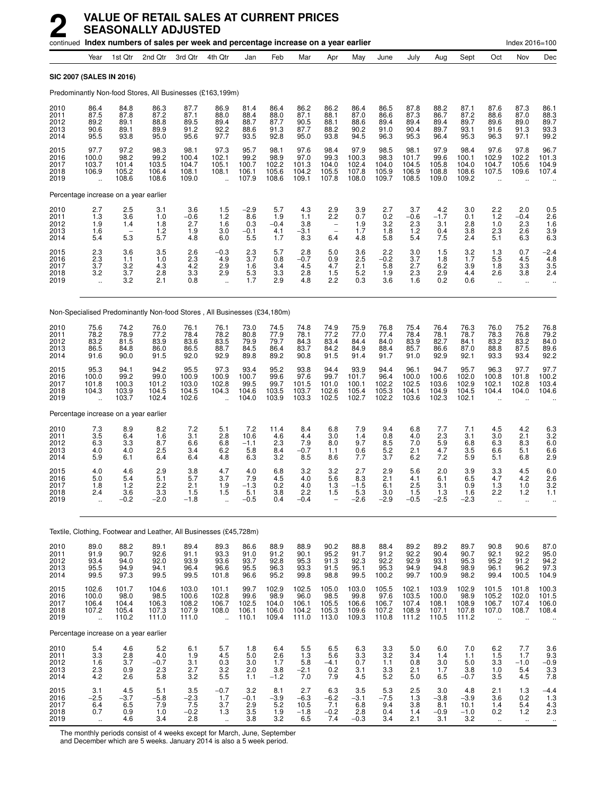|                                       |                                                         |                                          | continued Index numbers of sales per week and percentage increase on a year earlier |                                           |                                                     |                                                                |                                           |                                          |                                                     |                                           |                                                                         |                                           |                                           |                                          |                                                          | Index 2016=100                                           |                                                                    |
|---------------------------------------|---------------------------------------------------------|------------------------------------------|-------------------------------------------------------------------------------------|-------------------------------------------|-----------------------------------------------------|----------------------------------------------------------------|-------------------------------------------|------------------------------------------|-----------------------------------------------------|-------------------------------------------|-------------------------------------------------------------------------|-------------------------------------------|-------------------------------------------|------------------------------------------|----------------------------------------------------------|----------------------------------------------------------|--------------------------------------------------------------------|
|                                       | Year                                                    | 1st Qtr                                  | 2nd Qtr                                                                             | 3rd Qtr                                   | 4th Qtr                                             | Jan                                                            | Feb                                       | Mar                                      | Apr                                                 | May                                       | June                                                                    | July                                      | Aug                                       | Sept                                     | Oct                                                      | Nov                                                      | Dec                                                                |
| <b>SIC 2007 (SALES IN 2016)</b>       |                                                         |                                          |                                                                                     |                                           |                                                     |                                                                |                                           |                                          |                                                     |                                           |                                                                         |                                           |                                           |                                          |                                                          |                                                          |                                                                    |
|                                       |                                                         |                                          | Predominantly Non-food Stores, All Businesses (£163,199m)                           |                                           |                                                     |                                                                |                                           |                                          |                                                     |                                           |                                                                         |                                           |                                           |                                          |                                                          |                                                          |                                                                    |
| 2010<br>2011<br>2012<br>2013<br>2014  | 86.4<br>87.5<br>89.2<br>90.6<br>95.5                    | 84.8<br>87.8<br>89.1<br>89.1<br>93.8     | 86.3<br>87.2<br>88.8<br>89.9<br>95.0                                                | 87.7<br>87.1<br>89.5<br>91.2<br>95.6      | 86.9<br>88.0<br>89.4<br>92.2<br>97.7                | 81.4<br>88.4<br>88.7<br>88.6<br>93.5                           | 86.4<br>88.0<br>87.7<br>91.3<br>92.8      | 86.2<br>87.1<br>90.5<br>87.7<br>95.0     | 86.2<br>88.1<br>88.1<br>88.2<br>93.8                | 86.4<br>87.0<br>88.6<br>90.2<br>94.5      | 86.5<br>86.6<br>89.4<br>91.0<br>96.3                                    | 87.8<br>87.3<br>89.4<br>90.4<br>95.3      | 88.2<br>86.7<br>89.4<br>89.7<br>96.4      | 87.1<br>87.2<br>89.7<br>93.1<br>95.3     | 87.6<br>88.6<br>89.6<br>91.6<br>96.3                     | 87.3<br>87.0<br>89.0<br>91.3<br>97.1                     | 86.1<br>88.3<br>89.7<br>93.3<br>99.2                               |
| 2015<br>2016<br>2017<br>2018<br>2019  | 97.7<br>100.0<br>103.7<br>106.9<br>ă,                   | 97.2<br>98.2<br>101.4<br>105.2<br>108.6  | 98.3<br>99.2<br>103.5<br>106.4<br>108.6                                             | 98.1<br>100.4<br>104.7<br>108.1<br>109.0  | 97.3<br>102.1<br>105.1<br>108.1<br>÷.               | 95.7<br>99.2<br>100.7<br>106.1<br>107.9                        | 98.1<br>98.9<br>102.2<br>105.6<br>108.6   | 97.6<br>97.0<br>101.3<br>104.2<br>109.1  | 98.4<br>99.3<br>104.0<br>105.5<br>107.8             | 97.9<br>100.3<br>102.4<br>107.8<br>108.0  | 98.5<br>98.3<br>104.0<br>105.9<br>109.7                                 | 98.1<br>101.7<br>104.5<br>106.9<br>108.5  | 97.9<br>99.6<br>105.8<br>108.8<br>109.0   | 98.4<br>100.1<br>104.0<br>108.6<br>109.2 | 97.6<br>102.9<br>104.7<br>107.5                          | 97.8<br>102.2<br>105.6<br>109.6                          | 96.7<br>101.3<br>104.9<br>107.4                                    |
|                                       |                                                         | Percentage increase on a year earlier    |                                                                                     |                                           |                                                     |                                                                |                                           |                                          |                                                     |                                           |                                                                         |                                           |                                           |                                          |                                                          |                                                          |                                                                    |
| 2010<br>2011<br>2012<br>2013<br>2014  | 2.7<br>1.3<br>1.9<br>1.6<br>5.4                         | 2.5<br>$3.\overline{6}$<br>1.4<br>5.3    | 3.1<br>1.0<br>1.8<br>1.2<br>5.7                                                     | 3.6<br>$-0.6$<br>2.7<br>1.9<br>4.8        | 1.5<br>1.2<br>1.6<br>3.0<br>6.0                     | $-2.9$<br>8.6<br>0.3<br>$-0.1$<br>5.5                          | 5.7<br>1.9<br>$-0.4$<br>4.1<br>1.7        | 4.3<br>1.1<br>3.8<br>$-3.1$<br>8.3       | 2.9<br>$\overline{2.2}$<br>$\qquad \qquad -$<br>6.4 | $\frac{3.9}{0.7}$<br>1.9<br>1.7<br>4.8    | 2.7<br>0.2<br>3.2<br>1.8<br>5.8                                         | 3.7<br>$-0.6$<br>2.3<br>1.2<br>5.4        | 4.2<br>$-1.7$<br>3.1<br>0.4<br>7.5        | 3.0<br>0.1<br>2.8<br>3.8<br>2.4          | 2.2<br>1.2<br>1.0<br>2.3<br>5.1                          | 2.0<br>$-0.4$<br>2.3<br>2.6<br>6.3                       | $0.5$<br>$2.6$<br>1.6<br>$\begin{array}{c} 3.9 \\ 6.3 \end{array}$ |
| 2015<br>2016<br>2017<br>2018<br>2019  | $^{2.3}_{2.3}$<br>3.7<br>3.2<br>$\ddot{\phantom{a}}$    | 3.6<br>1.1<br>3.2<br>3.7<br>3.2          | 3.5<br>1.0<br>4.3<br>2.8<br>2.1                                                     | 2.6<br>2.3<br>4.2<br>3.3<br>0.8           | $-0.3$<br>4.9<br>2.9<br>2.9<br>$\ddot{\phantom{a}}$ | $\frac{2.3}{3.7}$<br>1.6<br>5.3<br>1.7                         | 5.7<br>0.8<br>3.4<br>3.3<br>2.9           | 2.8<br>$-0.7$<br>4.5<br>2.8<br>4.8       | 5.0<br>0.9<br>4.7<br>1.5<br>2.2                     | 3.6<br>2.5<br>2.1<br>5.2<br>0.3           | 2.2<br>$-0.2$<br>5.8<br>1.9<br>3.6                                      | 3.0<br>3.7<br>2.7<br>2.3<br>1.6           | 1.5<br>1.8<br>6.2<br>2.9<br>0.2           | $3.2$<br>$1.7$<br>3.9<br>4.4<br>0.6      | 1.3<br>5.5<br>1.8<br>2.6<br>$\ddot{\phantom{1}}$         | 0.7<br>4.5<br>3.3<br>3.8<br>$\ddotsc$                    | $-2.4$<br>4.8<br>3.5<br>2.4                                        |
|                                       |                                                         |                                          | Non-Specialised Predominantly Non-food Stores, All Businesses (£34,180m)            |                                           |                                                     |                                                                |                                           |                                          |                                                     |                                           |                                                                         |                                           |                                           |                                          |                                                          |                                                          |                                                                    |
| 2010<br>2011<br>2012<br>2013<br>2014  | 75.6<br>78.2<br>83.2<br>86.5<br>91.6                    | 74.2<br>78.9<br>81.5<br>84.8<br>90.0     | 76.0<br>77.2<br>83.9<br>86.0<br>91.5                                                | 76.1<br>78.4<br>83.6<br>86.5<br>92.0      | 76.1<br>78.2<br>83.5<br>88.7<br>92.9                | 73.0<br>80.8<br>79.9<br>84.5<br>89.8                           | 74.5<br>77.9<br>79.7<br>86.4<br>89.2      | 74.8<br>78.1<br>84.3<br>83.7<br>90.8     | 74.9<br>77.2<br>83.4<br>84.2<br>91.5                | 75.9<br>77.0<br>84.4<br>84.9<br>91.4      | 76.8<br>77.4<br>84.0<br>88.4<br>91.7                                    | 75.4<br>78.4<br>83.9<br>85.7<br>91.0      | 76.4<br>78.1<br>82.7<br>86.6<br>92.9      | 76.3<br>78.7<br>84.1<br>87.0<br>92.1     | 76.0<br>78.3<br>83.2<br>88.8<br>93.3                     | 75.2<br>76.8<br>83.2<br>87.5<br>93.4                     | 76.8<br>79.2<br>84.0<br>89.6<br>92.2                               |
| 2015<br>2016<br>2017<br>2018<br>2019  | 95.3<br>100.0<br>101.8<br>104.3                         | 94.1<br>99.2<br>100.3<br>103.9<br>103.7  | 94.2<br>99.0<br>101.2<br>104.5<br>102.4                                             | 95.5<br>100.9<br>103.0<br>104.5<br>102.6  | 97.3<br>100.9<br>102.8<br>104.3                     | 93.4<br>100.7<br>99.5<br>104.6<br>104.0                        | 95.2<br>99.6<br>99.7<br>103.5<br>103.9    | 93.8<br>97.6<br>101.5<br>103.7<br>103.3  | 94.4<br>99.7<br>101.0<br>102.6<br>102.5             | 93.9<br>101.7<br>100.1<br>105.4<br>102.7  | 94.4<br>96.4<br>102.2<br>105.3<br>102.2                                 | 96.1<br>100.0<br>102.5<br>104.1<br>103.6  | 94.7<br>100.6<br>103.6<br>104.9<br>102.3  | 95.7<br>102.0<br>102.9<br>104.5<br>102.1 | 96.3<br>100.8<br>102.1<br>104.4                          | 97.7<br>101.8<br>102.8<br>104.0                          | 97.7<br>100.2<br>103.4<br>104.6                                    |
| Percentage increase on a year earlier |                                                         |                                          |                                                                                     |                                           |                                                     |                                                                |                                           |                                          |                                                     |                                           |                                                                         |                                           |                                           |                                          |                                                          |                                                          |                                                                    |
| 2010<br>2011<br>2012<br>2013<br>2014  | 7.3<br>3.5<br>6.3<br>4.0<br>5.9                         | 8.9<br>6.4<br>3.3<br>4.0<br>6.1          | 8.2<br>1.6<br>8.7<br>2.5<br>6.4                                                     | 7.2<br>3.1<br>6.6<br>3.4<br>6.4           | 5.1<br>2.8<br>6.8<br>6.2<br>4.8                     | 7.2<br>10.6<br>$-1.1$<br>5.8<br>6.3                            | 11.4<br>4.6<br>2.3<br>8.4<br>3.2          | 8.4<br>4.4<br>7.9<br>$-0.7$<br>8.5       | 6.8<br>3.0<br>8.0<br>1.1<br>8.6                     | 7.9<br>1.4<br>9.7<br>0.6<br>7.7           | 9.4<br>0.8<br>8.5<br>5.2<br>3.7                                         | 6.8<br>4.0<br>7.0<br>2.1<br>6.2           | 7.7<br>2.3<br>5.9<br>4.7<br>7.2           | 7.1<br>3.1<br>6.8<br>3.5<br>5.9          | 4.5<br>3.0<br>6.3<br>6.6<br>5.1                          | 4.2<br>2.1<br>8.3<br>5.1<br>6.8                          | 6.3<br>$3.2$<br>$6.0$<br>6.6<br>2.9                                |
| 2015<br>2016<br>2017<br>2018<br>2019  | 4.0<br>5.0<br>1.8<br>2.4<br>ă,                          | 4.6<br>5.4<br>1.2<br>3.6<br>$-0.2$       | 2.9<br>5.1<br>2.2<br>3.3<br>$-2.0$                                                  | 3.8<br>5.7<br>2.1<br>1.5<br>$-1.8$        | 4.7<br>3.7<br>1.9<br>1.5                            | 4.0<br>7.9<br>$-1.3$<br>5.1<br>$-0.5$                          | 6.8<br>4.5<br>0.2<br>3.8<br>0.4           | 3.2<br>4.0<br>4.0<br>2.2<br>$-0.4$       | 3.2<br>5.6<br>1.3<br>1.5                            | 2.7<br>8.3<br>$-1.5$<br>5.3<br>$-2.6$     | 2.9<br>2.1<br>6.1<br>3.0<br>$-2.9$                                      | 5.6<br>4.1<br>2.5<br>1.5<br>$-0.5$        | 2.0<br>6.1<br>3.1<br>1.3<br>$-2.5$        | 3.9<br>6.5<br>0.9<br>1.6<br>$-2.3$       | 3.3<br>4.7<br>1.3<br>2.2<br>ä,                           | 4.5<br>4.2<br>1.0<br>1.2<br>$\ddotsc$                    | 6.0<br>2.6<br>3.2<br>1.1                                           |
|                                       |                                                         |                                          | Textile, Clothing, Footwear and Leather, All Businesses (£45,728m)                  |                                           |                                                     |                                                                |                                           |                                          |                                                     |                                           |                                                                         |                                           |                                           |                                          |                                                          |                                                          |                                                                    |
| 2010<br>2011<br>2012<br>2013<br>2014  | 89.0<br>91.9<br>93.4<br>95.5<br>99.5                    | 88.2<br>90.7<br>94.0<br>94.9<br>97.3     | 89.1<br>92.6<br>92.0<br>94.1<br>99.5                                                | 89.4<br>91.1<br>93.9<br>96.4<br>99.5      | 89.3<br>93.3<br>93.6<br>96.6<br>101.8               | 86.6<br>91.0<br>93.7<br>95.5<br>96.6                           | 88.9<br>91.2<br>92.8<br>96.3<br>95.2      | 88.9<br>90.1<br>95.3<br>93.3<br>99.8     | 90.2<br>95.2<br>91.3<br>91.5<br>98.8                | 88.8<br>91.7<br>92.3<br>95.1<br>99.5      | 88.4<br>91.2<br>92.2<br>95.3<br>100.2                                   | 89.2<br>92.2<br>92.9<br>94.9<br>99.7      | 89.2<br>90.4<br>93.1<br>94.8<br>100.9     | 89.7<br>90.7<br>95.3<br>98.9<br>98.2     | 90.8<br>92.1<br>95.2<br>96.1<br>99.4                     | 90.6<br>92.2<br>91.2<br>96.2<br>100.5                    | 87.0<br>95.0<br>94.2<br>$\frac{97.3}{104.9}$                       |
| 2015<br>2016<br>2017<br>2018<br>2019  | 102.6<br>100.0<br>106.4<br>107.2<br>ü.                  | 101.7<br>98.0<br>104.4<br>105.4<br>110.2 | 104.6<br>98.5<br>106.3<br>107.3<br>111.0                                            | 103.0<br>100.6<br>108.2<br>107.9<br>111.0 | 101.1<br>102.8<br>106.7<br>108.0<br>$\ddotsc$       | 99.7<br>99.6<br>102.5<br>106.1<br>110.1                        | 102.9<br>98.9<br>104.0<br>106.0<br>109.4  | 102.5<br>96.0<br>106.1<br>104.2<br>111.0 | 105.0<br>98.5<br>105.5<br>105.3<br>113.0            | 103.0<br>99.8<br>106.6<br>109.6<br>109.3  | 105.5<br>$\begin{array}{c} 97.6 \\ 106.7 \end{array}$<br>107.2<br>110.8 | 102.1<br>103.5<br>107.4<br>108.9<br>111.2 | 103.9<br>100.0<br>108.1<br>107.1<br>110.5 | 102.9<br>98.9<br>108.9<br>107.8<br>111.2 | 101.5<br>105.2<br>106.7<br>107.0<br>$\ddot{\phantom{a}}$ | 101.8<br>102.0<br>107.4<br>108.7<br>$\ddot{\phantom{a}}$ | 100.3<br>101.5<br>106.0<br>108.4                                   |
| Percentage increase on a year earlier |                                                         |                                          |                                                                                     |                                           |                                                     |                                                                |                                           |                                          |                                                     |                                           |                                                                         |                                           |                                           |                                          |                                                          |                                                          |                                                                    |
| 2010<br>2011<br>2012<br>2013<br>2014  | 5.4<br>3.3<br>1.6<br>$2.\overline{3}$<br>4.2            | 4.6<br>$2.8\,$<br>3.7<br>0.9<br>2.6      | 5.2<br>4.0<br>$-0.7$<br>2.3<br>5.8                                                  | 6.1<br>1.9<br>$\frac{3.1}{2.7}$<br>3.2    | 5.7<br>4.5<br>$\substack{0.3 \ 3.2}$<br>5.5         | 1.8<br>5.0<br>$\begin{array}{c} 3.0 \\ 2.0 \end{array}$<br>1.1 | 6.4<br>2.6<br>1.7<br>3.8<br>$-1.2$        | 5.5<br>1.3<br>5.8<br>$-2.1$<br>7.0       | 6.5<br>5.6<br>$-4.1$<br>0.2<br>7.9                  | 6.3<br>3.3<br>0.7<br>3.1<br>4.5           | 3.3<br>$3.2\,$<br>1.1<br>3.3<br>5.2                                     | 5.0<br>3.4<br>0.8<br>2.1<br>5.0           | 6.0<br>1.4<br>3.0<br>1.7<br>6.5           | 7.0<br>1.1<br>5.0<br>3.8<br>$-0.7$       | 6.2<br>1.5<br>3.3<br>1.0<br>3.5                          | 7.7<br>1.7<br>$-1.0$<br>5.4<br>4.5                       | $\frac{3.6}{9.3}$<br>$-0.9$<br>3.3<br>7.8                          |
| 2015<br>2016<br>2017<br>2018<br>2019  | 3.1<br>$-2.5$<br>$^{6.4}_{0.7}$<br>$\ddot{\phantom{1}}$ | 4.5<br>$-3.7$<br>6.5<br>0.9<br>4.6       | 5.1<br>$-5.8$<br>7.9<br>1.0<br>3.4                                                  | 3.5<br>$-2.3$<br>$7.5 - 0.2$<br>2.8       | $-0.7$<br>1.7<br>3.7<br>1.3<br>$\ddot{\phantom{1}}$ | 3.2<br>$-0.1$<br>$\frac{2.9}{3.5}$<br>3.8                      | 8.1<br>$-3.9$<br>$\frac{5.2}{1.9}$<br>3.2 | 2.7<br>$-6.3$<br>10.5<br>$-1.8$<br>6.5   | 6.3<br>$-6.2$<br>7.1<br>$-0.2$<br>7.4               | 3.5<br>$-3.1$<br>$6.8$<br>$2.8$<br>$-0.3$ | 5.3<br>$-7.5$<br>9.4<br>0.4<br>3.4                                      | 2.5<br>$1.3$<br>$3.8$<br>$1.4$<br>2.1     | 3.0<br>$-3.8$<br>8.1<br>$-0.9$<br>3.1     | 4.8<br>$-3.9$<br>10.1<br>$-1.0$<br>3.2   | 2.1<br>3.6<br>1.4<br>0.2<br>$\sim$                       | 1.3<br>0.2<br>5.4<br>1.2<br>$\ddot{\phantom{1}}$         | $-4.4$<br>1.3<br>$^{4.3}_{2.3}$<br>$\ddotsc$                       |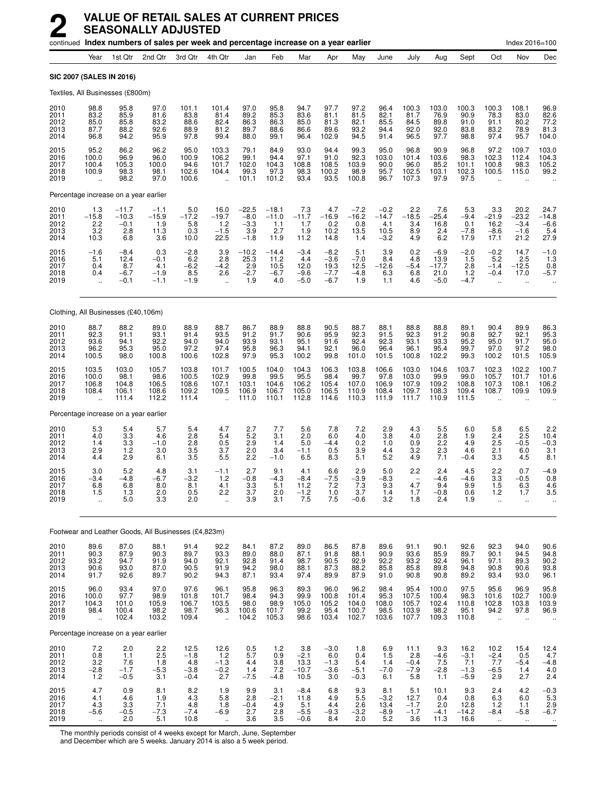|                                      | continued Index numbers of sales per week and percentage increase on a year earlier |                                                                |                                          |                                             |                                                          |                                                 |                                           |                                                |                                              |                                             |                                          |                                           |                                             |                                             |                                                | Index 2016=100                                          |                                                          |
|--------------------------------------|-------------------------------------------------------------------------------------|----------------------------------------------------------------|------------------------------------------|---------------------------------------------|----------------------------------------------------------|-------------------------------------------------|-------------------------------------------|------------------------------------------------|----------------------------------------------|---------------------------------------------|------------------------------------------|-------------------------------------------|---------------------------------------------|---------------------------------------------|------------------------------------------------|---------------------------------------------------------|----------------------------------------------------------|
|                                      | Year                                                                                | 1st Qtr                                                        | 2nd Qtr                                  | 3rd Qtr                                     | 4th Qtr                                                  | Jan                                             | Feb                                       | Mar                                            | Apr                                          | May                                         | June                                     | July                                      | Aug                                         | Sept                                        | Oct                                            | Nov                                                     | Dec                                                      |
|                                      | SIC 2007 (SALES IN 2016)                                                            |                                                                |                                          |                                             |                                                          |                                                 |                                           |                                                |                                              |                                             |                                          |                                           |                                             |                                             |                                                |                                                         |                                                          |
|                                      | Textiles, All Businesses (£800m)                                                    |                                                                |                                          |                                             |                                                          |                                                 |                                           |                                                |                                              |                                             |                                          |                                           |                                             |                                             |                                                |                                                         |                                                          |
| 2010<br>2011<br>2012<br>2013<br>2014 | 98.8<br>83.2<br>85.0<br>87.7<br>96.8                                                | 95.8<br>85.9<br>85.8<br>88.2<br>94.2                           | 97.0<br>81.6<br>83.2<br>92.6<br>95.9     | 101.1<br>83.8<br>88.6<br>88.9<br>97.8       | 101.4<br>81.4<br>82.4<br>81.2<br>99.4                    | 97.0<br>89.2<br>86.3<br>89.7<br>88.0            | 95.8<br>85.3<br>86.3<br>88.6<br>99.1      | 94.7<br>83.6<br>85.0<br>86.6<br>96.4           | 97.7<br>81.1<br>81.3<br>89.6<br>102.9        | 97.2<br>81.5<br>82.1<br>93.2<br>94.5        | 96.4<br>82.1<br>85.5<br>94.4<br>91.4     | 100.3<br>81.7<br>84.5<br>92.0<br>96.5     | 103.0<br>76.9<br>89.8<br>92.0<br>97.7       | 100.3<br>90.9<br>91.0<br>83.8<br>98.8       | 100.3<br>78.3<br>91.1<br>83.2<br>97.4          | 108.1<br>83.0<br>80.2<br>78.9<br>95.7                   | 96.9<br>82.6<br>77.2<br>81.3<br>104.0                    |
| 2015<br>2016<br>2017<br>2018<br>2019 | 95.2<br>100.0<br>100.4<br>100.9<br>u,                                               | 86.2<br>96.9<br>105.3<br>98.3<br>98.2                          | 96.2<br>96.0<br>100.0<br>98.1<br>97.0    | 95.0<br>100.9<br>94.6<br>102.6<br>100.6     | 103.3<br>106.2<br>101.7<br>104.4<br>$\ddot{\phantom{a}}$ | 79.1<br>99.1<br>102.0<br>99.3<br>101.1          | 84.9<br>94.4<br>104.3<br>97.3<br>101.2    | 93.0<br>97.1<br>108.8<br>98.3<br>93.4          | 94.4<br>91.0<br>108.5<br>100.2<br>93.5       | 99.3<br>92.3<br>103.9<br>98.9<br>100.8      | 95.0<br>103.0<br>90.0<br>95.7<br>96.7    | 96.8<br>101.4<br>96.0<br>102.5<br>107.3   | 90.9<br>103.6<br>85.2<br>103.1<br>97.9      | 96.8<br>98.3<br>101.1<br>102.3<br>97.5      | 97.2<br>102.3<br>100.8<br>100.5<br>$\sim$      | 109.7<br>112.4<br>98.3<br>115.0<br>$\ddot{\phantom{a}}$ | 103.0<br>104.3<br>105.2<br>99.2                          |
|                                      | Percentage increase on a year earlier                                               |                                                                |                                          |                                             |                                                          |                                                 |                                           |                                                |                                              |                                             |                                          |                                           |                                             |                                             |                                                |                                                         |                                                          |
| 2010<br>2011<br>2012<br>2013<br>2014 | $1.3 - 15.8$<br>2.2<br>3.2<br>10.3                                                  | $-11.7$<br>$-10.3$<br>$-0.1$<br>2.8<br>6.8                     | $-1.1$<br>$-15.9$<br>1.9<br>11.3<br>3.6  | $-17.2$<br>5.8<br>0.3<br>10.0               | $16.0 - 19.7$<br>1.2<br>$\frac{-1.5}{22.5}$              | $-22.5$<br>$-8.0$<br>$-3.3$<br>3.9<br>$-1.8$    | $-18.1$<br>$-11.0$<br>1.1<br>2.7<br>11.9  | $7.3 - 11.7$<br>1.7<br>1.9<br>11.2             | 4.7<br>$-16.9$<br>0.2<br>10.2<br>14.8        | $-7.2$<br>-16.2<br>0.8<br>13.5<br>1.4       | $-0.2$<br>-14.7<br>4.1<br>$10.5 - 3.2$   | $2.2 - 18.5$<br>3.4<br>8.9<br>4.9         | 7.6<br>$-25.4$<br>16.8<br>2.4<br>6.2        | $\frac{5.3}{-9.4}$<br>0.1<br>$-7.8$<br>17.9 | 3.3<br>$-21.9$<br>16.2<br>$-8.6$<br>17.1       | 20.2<br>$-\overline{23.2}$<br>$-3.4$<br>$-1.6$<br>21.2  | 24.7<br>$-14.8$<br>$-6.6$<br>5.4<br>27.9                 |
| 2015<br>2016<br>2017<br>2018<br>2019 | $-1.6$<br>5.1<br>0.4<br>0.4                                                         | $-8.4$<br>12.4<br>8.7<br>$-6.7$<br>$-0.1$                      | 0.3<br>$-0.1$<br>4.1<br>$-1.9$<br>$-1.1$ | $^{-2.8}_{-6.2}$<br>$-6.2$<br>8.5<br>$-1.9$ | $\frac{3.9}{2.8}$<br>$-4.2$<br>2.6<br>÷.                 | $-10.2$<br>25.3<br>2.9<br>$-2.7$<br>1.9         | $-14.4$<br>11.2<br>10.5<br>$-6.7$<br>4.0  | $-3.4$<br>4.4<br>12.0<br>$-9.6$<br>$-5.0$      | $-8.2$<br>$-3.6$<br>19.3<br>$-7.7$<br>$-6.7$ | $\frac{5.1}{-7.0}$<br>12.5<br>$-4.8$<br>1.9 | 3.9<br>8.4<br>$-12.6$<br>6.3<br>1.1      | 0.2<br>4.8<br>$-5.4$<br>6.8<br>4.6        | $-6.9$<br>13.9<br>$-17.7$<br>21.0<br>$-5.0$ | $-2.0$<br>1.5<br>2.8<br>1.2<br>$-4.7$       | $-0.2$<br>$5.\overline{2}$<br>$-1.4$<br>$-0.4$ | 14.7<br>2.5<br>$-12.5$<br>17.0                          | $^{-1.0}_{1.3}$<br>0.8<br>$-5.7$                         |
|                                      | Clothing, All Businesses (£40,106m)                                                 |                                                                |                                          |                                             |                                                          |                                                 |                                           |                                                |                                              |                                             |                                          |                                           |                                             |                                             |                                                |                                                         |                                                          |
| 2010<br>2011<br>2012<br>2013<br>2014 | 88.7<br>92.3<br>93.6<br>96.2<br>100.5                                               | 88.2<br>91.1<br>94.1<br>95.3<br>98.0                           | 89.0<br>93.1<br>92.2<br>95.0<br>100.8    | 88.9<br>91.4<br>94.0<br>97.2<br>100.6       | 88.7<br>93.5<br>94.0<br>97.4<br>102.8                    | 86.7<br>91.2<br>93.9<br>95.8<br>97.9            | 88.9<br>91.7<br>93.1<br>96.3<br>95.3      | $88.8$<br>90.6<br>95.1<br>94.1<br>100.2        | 90.5<br>95.9<br>91.6<br>92.1<br>99.8         | 88.7<br>92.3<br>92.4<br>96.0<br>101.0       | 88.1<br>91.5<br>92.3<br>96.4<br>101.5    | 88.8<br>92.3<br>93.1<br>96.1<br>100.8     | 88.8<br>91.2<br>93.3<br>95.4<br>102.2       | 89.1<br>90.8<br>95.2<br>99.7<br>99.3        | 90.4<br>92.7<br>95.0<br>97.0<br>100.2          | 89.9<br>92.1<br>91.7<br>97.2<br>101.5                   | 86.3<br>95.3<br>95.0<br>98.0<br>105.9                    |
| 2015<br>2016<br>2017<br>2018<br>2019 | 103.5<br>100.0<br>106.8<br>108.4<br>ä.                                              | 103.0<br>98.1<br>104.8<br>106.1<br>111.4                       | 105.7<br>98.6<br>106.5<br>108.6<br>112.2 | 103.8<br>100.5<br>108.6<br>109.2<br>111.4   | 101.7<br>102.9<br>107.1<br>109.5                         | 100.5<br>99.8<br>103.1<br>106.9<br>111.0        | 104.0<br>99.5<br>104.6<br>106.7<br>110.1  | 104.3<br>95.5<br>106.2<br>105.0<br>112.8       | 106.3<br>98.4<br>105.4<br>106.5<br>114.6     | 103.8<br>99.7<br>107.0<br>110.9<br>110.3    | 106.6<br>97.8<br>106.9<br>108.4<br>111.9 | 103.0<br>103.0<br>107.9<br>109.7<br>111.7 | 104.6<br>99.9<br>109.2<br>108.3<br>110.9    | 103.7<br>99.0<br>108.8<br>109.4<br>111.5    | 102.3<br>105.7<br>107.3<br>108.7               | 102.2<br>101.7<br>108.1<br>109.9                        | 100.7<br>101.6<br>106.2<br>109.9                         |
|                                      | Percentage increase on a year earlier                                               |                                                                |                                          |                                             |                                                          |                                                 |                                           |                                                |                                              |                                             |                                          |                                           |                                             |                                             |                                                |                                                         |                                                          |
| 2010<br>2011<br>2012<br>2013<br>2014 | 5.3<br>4.0<br>1.4<br>2.9<br>4.4                                                     | 5.4<br>$\begin{array}{c} 3.3 \\ 3.3 \end{array}$<br>1.2<br>2.9 | 5.7<br>4.6<br>$-1.0$<br>3.0<br>6.1       | 5.4<br>2.8<br>2.8<br>3.5<br>3.5             | 4.7<br>5.4<br>0.5<br>3.7<br>5.5                          | 2.7<br>5.2<br>2.9<br>2.0<br>2.2                 | 7.7<br>3.1<br>1.4<br>3.4<br>$-1.0$        | 5.6<br>2.0<br>5.0<br>$-1.1$<br>6.5             | 7.8<br>6.0<br>$-4.4$<br>0.5<br>8.3           | 7.2<br>4.0<br>0.2<br>3.9<br>5.1             | 2.9<br>3.8<br>1.0<br>4.4<br>5.2          | 4.3<br>4.0<br>0.9<br>3.2<br>4.9           | 5.5<br>2.8<br>2.2<br>2.3<br>7.1             | 6.0<br>1.9<br>4.9<br>4.6<br>$-0.4$          | 5.8<br>2.4<br>2.5<br>2.1<br>3.3                | 6.5<br>2.5<br>$-0.5$<br>6.0<br>4.5                      | 2.2<br>10.4<br>$-0.3$<br>3.1<br>8.1                      |
| 2015<br>2016<br>2017<br>2018<br>2019 | 3.0<br>-3.4<br>6.8<br>1.5<br>                                                       | 5.2<br>$-4.8$<br>6.8<br>1.3<br>5.0                             | 4.8<br>-6.7<br>8.0<br>2.0<br>3.3         | 3.1<br>$-3.2$<br>8.1<br>0.5<br>2.0          | $-1.1$<br>1.2<br>4.1<br>2.2                              | 2.7<br>$-0.8$<br>$3.\overline{3}$<br>3.7<br>3.9 | 9.1<br>$-4.3$<br>5.1<br>2.0<br>3.1        | 4.1<br>$-8.4$<br>11.2<br>$-1.2$<br>7.5         | 6.6<br>$-7.5$<br>7.2<br>1.0<br>7.5           | 2.9<br>$-3.9$<br>7.3<br>3.7<br>$-0.6$       | 5.0<br>$-8.3$<br>9.3<br>1.4<br>3.2       | 2.2<br>4.7<br>1.7<br>1.8                  | 2.4<br>$-4.6$<br>9.4<br>$-0.8$<br>2.4       | 4.5<br>$-4.6$<br>9.9<br>0.6<br>1.9          | 2.2<br>3.3<br>1.5<br>1.2<br>$\ddotsc$          | 0.7<br>$-0.5$<br>6.3<br>1.7<br>$\ddot{\phantom{a}}$     | $-4.9$<br>0.8<br>4.6<br>3.5                              |
|                                      | Footwear and Leather Goods, All Businesses (£4,823m)                                |                                                                |                                          |                                             |                                                          |                                                 |                                           |                                                |                                              |                                             |                                          |                                           |                                             |                                             |                                                |                                                         |                                                          |
| 2010<br>2011<br>2012<br>2013<br>2014 | 89.6<br>90.3<br>93.2<br>90.6<br>91.7                                                | 87.0<br>87.9<br>94.7<br>93.0<br>92.6                           | 88.1<br>90.3<br>91.9<br>87.0<br>89.7     | 91.4<br>89.7<br>94.0<br>90.5<br>90.2        | 92.2<br>93.3<br>92.1<br>91.9<br>94.3                     | 84.1<br>89.0<br>92.8<br>94.2<br>87.1            | 87.2<br>88.0<br>91.4<br>98.0<br>93.4      | 89.0<br>87.1<br>98.7<br>88.1<br>97.4           | 86.5<br>91.8<br>90.5<br>87.3<br>89.9         | 87.8<br>88.1<br>92.9<br>88.2<br>87.9        | 89.6<br>90.9<br>92.2<br>85.8<br>91.0     | 91.1<br>93.6<br>93.2<br>85.8<br>90.8      | 90.1<br>85.9<br>92.4<br>89.8<br>90.8        | 92.6<br>89.7<br>96.1<br>94.8<br>89.2        | 92.3<br>90.1<br>97.1<br>90.8<br>93.4           | 94.0<br>94.5<br>89.3<br>90.6<br>93.0                    | 90.6<br>94.8<br>90.2<br>93.8<br>96.1                     |
| 2015<br>2016<br>2017<br>2018<br>2019 | 96.0<br>100.0<br>104.3<br>98.4<br>$\ddotsc$                                         | 93.4<br>97.7<br>101.0<br>100.4<br>102.4                        | 97.0<br>98.9<br>105.9<br>98.2<br>103.2   | 97.6<br>101.8<br>106.7<br>98.7<br>109.4     | 96.1<br>101.7<br>103.5<br>96.3<br>÷.                     | 95.8<br>98.4<br>98.0<br>100.6<br>104.2          | 96.3<br>94.3<br>98.9<br>101.7<br>105.3    | 89.3<br>99.9<br>105.0<br>99.2<br>98.6          | 96.0<br>100.8<br>105.2<br>95.4<br>103.4      | 96.2<br>101.4<br>104.0<br>100.7<br>102.7    | 98.4<br>$95.3$<br>108.0<br>98.5<br>103.6 | 95.4<br>107.5<br>105.7<br>103.9<br>107.7  | 100.0<br>100.4<br>102.4<br>98.2<br>109.3    | 97.5<br>98.3<br>110.8<br>95.1<br>110.8      | 95.6<br>101.6<br>102.8<br>94.2<br>÷.           | 96.9<br>102.7<br>103.8<br>97.8<br>$\mathbf{r}$          | 95.8<br>100.9<br>103.9<br>96.9                           |
|                                      | Percentage increase on a year earlier                                               |                                                                |                                          |                                             |                                                          |                                                 |                                           |                                                |                                              |                                             |                                          |                                           |                                             |                                             |                                                |                                                         |                                                          |
| 2010<br>2011<br>2012<br>2013<br>2014 | 7.2<br>0.8<br>$\frac{3.2}{-2.8}$<br>1.2                                             | 2.0<br>1.1<br>$7.6 - 1.7$<br>$-0.5$                            | 2.2<br>2.5<br>1.8<br>$-5.3$<br>3.1       | 12.5<br>$-1.8$<br>4.8<br>$-3.8$<br>$-0.4$   | 12.6<br>$1.2$<br>$^{-1.3}_{-0.2}$<br>2.7                 | 0.5<br>5.7<br>4.4<br>1.4<br>$-7.5$              | 1.2<br>0.9<br>$\frac{3.8}{7.2}$<br>$-4.8$ | 3.8<br>$-2.1$<br>$13.3 - 10.7$<br>10.5         | $-3.0$<br>6.0<br>$-1.3$<br>$-3.6$<br>3.0     | 1.8<br>0.4<br>5.4<br>$-5.1$<br>$-0.3$       | 6.9<br>1.5<br>1.4<br>$-7.0$<br>6.1       | 11.1<br>2.8<br>$-0.4$<br>$-7.9$<br>5.8    | 9.3<br>$-4.6$<br>$7.5 - 2.8$<br>1.1         | 16.2<br>$-3.1$<br>$7.1 - 1.3$<br>$-5.9$     | 10.2<br>$-2.4$<br>$7.7 - 6.5$<br>2.9           | 15.4<br>0.5<br>-5.4<br>1.4<br>2.7                       | $\frac{12.4}{4.7}$<br>$-4.8$<br>4.0<br>2.4               |
| 2015<br>2016<br>2017<br>2018<br>2019 | 4.7<br>4.1<br>$4.3 - 5.6$<br>$\ddotsc$                                              | 0.9<br>4.6<br>$3.3 - 0.5$<br>2.0                               | 8.1<br>1.9<br>$7.1 - 7.3$<br>5.1         | 8.2<br>4.3<br>$^{4.8}_{-7.4}$<br>10.8       | 1.9<br>5.8<br>$1.8 - 6.9$<br>$\ddot{\phantom{1}}$        | 9.9<br>2.8<br>$-0.4$<br>2.7<br>3.6              | 3.1<br>$-2.1$<br>$^{4.9}_{2.8}$<br>3.5    | $-8.4$<br>11.8<br>$\frac{5.1}{-5.5}$<br>$-0.6$ | 6.8<br>4.9<br>$4.4 - 9.3$<br>8.4             | 9.3<br>5.5<br>$\frac{2.6}{-3.2}$<br>2.0     | 8.1<br>$-3.2$<br>13.4<br>$-8.9$<br>5.2   | 5.1<br>12.7<br>$-1.7 - 1.7$<br>3.6        | 10.1<br>0.4<br>2.0<br>$-4.1$<br>11.3        | 9.3<br>0.8<br>12.8<br>$-14.2$<br>16.6       | 2.4<br>6.3<br>1.2<br>$-8.4$<br>$\ddotsc$       | 4.2<br>6.0<br>1.1<br>$-5.8$<br>$\ddot{\phantom{1}}$     | $-0.3$<br>5.3<br>$^{2.9}_{-6.7}$<br>$\ddot{\phantom{1}}$ |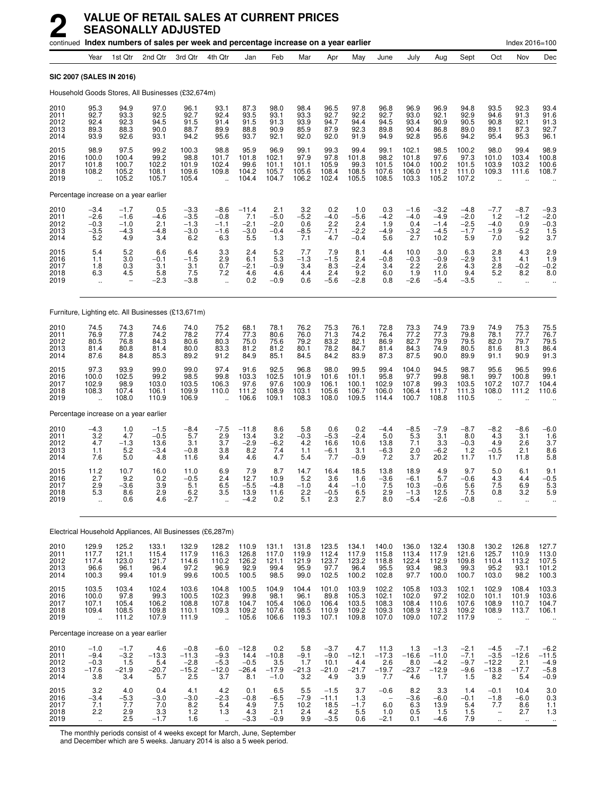|                                      |                                                         |                                          |                                                    | continued Index numbers of sales per week and percentage increase on a year earlier |                                                         |                                              |                                              |                                                                         |                                              |                                                     |                                           |                                            |                                              |                                             |                                                                             | Index 2016=100                            |                                                         |
|--------------------------------------|---------------------------------------------------------|------------------------------------------|----------------------------------------------------|-------------------------------------------------------------------------------------|---------------------------------------------------------|----------------------------------------------|----------------------------------------------|-------------------------------------------------------------------------|----------------------------------------------|-----------------------------------------------------|-------------------------------------------|--------------------------------------------|----------------------------------------------|---------------------------------------------|-----------------------------------------------------------------------------|-------------------------------------------|---------------------------------------------------------|
|                                      | Year                                                    | 1st Qtr                                  | 2nd Qtr                                            | 3rd Qtr                                                                             | 4th Qtr                                                 | Jan                                          | Feb                                          | Mar                                                                     | Apr                                          | May                                                 | June                                      | July                                       | Aug                                          | Sept                                        | Oct                                                                         | Nov                                       | Dec                                                     |
|                                      |                                                         | <b>SIC 2007 (SALES IN 2016)</b>          |                                                    |                                                                                     |                                                         |                                              |                                              |                                                                         |                                              |                                                     |                                           |                                            |                                              |                                             |                                                                             |                                           |                                                         |
|                                      |                                                         |                                          |                                                    | Household Goods Stores, All Businesses (£32,674m)                                   |                                                         |                                              |                                              |                                                                         |                                              |                                                     |                                           |                                            |                                              |                                             |                                                                             |                                           |                                                         |
| 2010<br>2011<br>2012<br>2013<br>2014 | 95.3<br>92.7<br>92.4<br>89.3<br>93.9                    | 94.9<br>93.3<br>92.3<br>88.3<br>92.6     | 97.0<br>92.5<br>94.5<br>90.0<br>93.1               | 96.1<br>92.7<br>91.5<br>88.7<br>94.2                                                | 93.1<br>92.4<br>91.4<br>89.9<br>95.6                    | 87.3<br>93.5<br>91.5<br>88.8<br>93.7         | 98.0<br>93.1<br>91.3<br>90.9<br>92.1         | 98.4<br>93.3<br>93.9<br>85.9<br>92.0                                    | 96.5<br>92.7<br>94.7<br>87.9<br>92.0         | 97.8<br>92.2<br>94.4<br>92.3<br>91.9                | 96.8<br>92.7<br>94.5<br>89.8<br>94.9      | 96.9<br>93.0<br>93.4<br>90.4<br>92.8       | 96.9<br>92.1<br>90.9<br>86.8<br>95.6         | 94.8<br>92.9<br>90.5<br>89.0<br>94.2        | 93.5<br>94.6<br>90.8<br>89.1<br>95.4                                        | 92.3<br>91.3<br>92.1<br>87.3<br>95.3      | 93.4<br>91.6<br>91.3<br>92.7<br>96.1                    |
| 2015<br>2016<br>2017<br>2018<br>2019 | 98.9<br>100.0<br>101.8<br>108.2<br>$\ddot{\phantom{a}}$ | 97.5<br>100.4<br>100.7<br>105.2<br>105.2 | 99.2<br>99.2<br>102.2<br>108.1<br>105.7            | 100.3<br>98.8<br>101.9<br>109.6<br>105.4                                            | 98.8<br>101.7<br>102.4<br>109.8<br>$\mathbf{r}$         | 95.9<br>101.8<br>99.6<br>104.2<br>104.4      | 96.9<br>102.1<br>101.1<br>105.7<br>104.7     | 99.1<br>97.9<br>101.1<br>105.6<br>106.2                                 | 99.3<br>97.8<br>105.9<br>108.4<br>102.4      | 99.4<br>101.8<br>99.3<br>108.5<br>105.5             | 99.1<br>98.2<br>101.5<br>107.6<br>108.5   | 102.1<br>101.8<br>104.0<br>106.0<br>103.3  | 98.5<br>97.6<br>100.2<br>111.2<br>105.2      | 100.2<br>97.3<br>101.5<br>111.0<br>107.2    | 98.0<br>101.0<br>103.9<br>109.3<br>$\ddot{\phantom{a}}$                     | 99.4<br>103.4<br>103.2<br>111.6           | 98.9<br>100.8<br>100.6<br>108.7                         |
|                                      |                                                         | Percentage increase on a year earlier    |                                                    |                                                                                     |                                                         |                                              |                                              |                                                                         |                                              |                                                     |                                           |                                            |                                              |                                             |                                                                             |                                           |                                                         |
| 2010<br>2011<br>2012<br>2013<br>2014 | $-3.4$<br>$-2.6$<br>$-0.3$<br>$-3.5$<br>5.2             | $-1.7 - 1.6$<br>$-1.0$<br>$-4.3$<br>4.9  | 0.5<br>$-4.6$<br>2.1<br>$-4.8$<br>3.4              | $-3.3$<br>$-3.5$<br>$-1.3$<br>$-3.0$<br>6.2                                         | $-8.6$<br>$-0.8$<br>$-1.1$<br>$-1.6$<br>6.3             | $-11.4$<br>7.1<br>$-2.1$<br>$-3.0$<br>5.5    | $^{2.1}_{-5.0}$<br>$-2.0$<br>$-0.4$<br>1.3   | $3.2 - 5.2$<br>0.6<br>$-8.5$<br>7.1                                     | $0.2 -4.0$<br>2.2<br>$-7.1$<br>4.7           | 1.0<br>$-5.\overline{6}$<br>2.4<br>$-2.2$<br>$-0.4$ | $0.3 - 4.2$<br>1.9<br>$-4.9$<br>5.6       | $-1.6$<br>$-4.0$<br>0.4<br>$-3.2$<br>2.7   | $-3.2$<br>$-4.9$<br>$-1.4$<br>$-4.5$<br>10.2 | $-4.8$<br>$-2.0$<br>$-2.5$<br>$-1.7$<br>5.9 | $-7.7$<br>1.2<br>$-4.0$<br>$-1.9$<br>7.0                                    | $-8.7$<br>$-1.2$<br>0.9<br>$-5.2$<br>9.2  | $-9.3$<br>$-2.0$<br>$-0.3$<br>$\frac{1.5}{3.7}$         |
| 2015<br>2016<br>2017<br>2018<br>2019 | $5.4$<br>$1.1$<br>1.8<br>6.3<br>$\ddot{\phantom{0}}$    | $\frac{5.2}{3.0}$<br>0.3<br>4.5          | 6.6<br>$-0.1$<br>3.1<br>5.8<br>$-2.3$              | $6.4 - 1.5$<br>3.1<br>7.5<br>$-3.8$                                                 | $\frac{3.3}{2.9}$<br>0.7<br>7.2<br>$\ddot{\phantom{a}}$ | 2.4<br>6.1<br>$-2.1$<br>4.6<br>0.2           | $\frac{5.2}{5.3}$<br>$-0.9$<br>4.6<br>$-0.9$ | 7.7<br>$-1.3$<br>3.4<br>4.4<br>0.6                                      | 7.9<br>$-1.5$<br>8.3<br>2.4<br>$-5.6$        | 8.1<br>2.4<br>$-2.4$<br>9.2<br>$-2.8$               | 4.4<br>$-0.8$<br>3.4<br>6.0<br>0.8        | 10.0<br>$-0.3$<br>2.2<br>1.9<br>$-2.6$     | 3.0<br>$-0.9$<br>2.6<br>11.0<br>$-5.4$       | $-6.3 - 2.9$<br>4.3<br>9.4<br>$-3.5$        | 2.8<br>3.1<br>2.8<br>5.2<br>$\ddot{\phantom{a}}$                            | 4.3<br>4.1<br>$-0.2$<br>8.2<br>ä.         | $^{2.9}_{1.9}$<br>$-0.2$<br>8.0                         |
|                                      |                                                         |                                          |                                                    | Furniture, Lighting etc. All Businesses (£13,671m)                                  |                                                         |                                              |                                              |                                                                         |                                              |                                                     |                                           |                                            |                                              |                                             |                                                                             |                                           |                                                         |
| 2010<br>2011<br>2012<br>2013<br>2014 | 74.5<br>76.9<br>80.5<br>81.4<br>87.6                    | 74.3<br>77.8<br>76.8<br>80.8<br>84.8     | 74.6<br>74.2<br>84.3<br>81.4<br>85.3               | 74.0<br>78.2<br>80.6<br>80.0<br>89.2                                                | 75.2<br>77.4<br>80.3<br>83.3<br>91.2                    | 68.1<br>77.3<br>75.0<br>81.2<br>84.9         | $78.1$<br>$80.6$<br>75.6<br>81.2<br>85.1     | 76.2<br>76.0<br>79.2<br>80.1<br>84.5                                    | 75.3<br>71.3<br>83.2<br>78.2<br>84.2         | 76.1<br>74.2<br>82.1<br>84.7<br>83.9                | 72.8<br>76.4<br>86.9<br>81.4<br>87.3      | 73.3<br>77.2<br>82.7<br>84.3<br>87.5       | 74.9<br>77.3<br>79.9<br>74.9<br>90.0         | 73.9<br>79.8<br>79.5<br>80.5<br>89.9        | 74.9<br>78.1<br>82.0<br>81.6<br>91.1                                        | 75.3<br>77.7<br>79.7<br>81.3<br>90.9      | 75.5<br>76.7<br>79.5<br>86.4<br>91.3                    |
| 2015<br>2016<br>2017<br>2018<br>2019 | 97.3<br>100.0<br>102.9<br>108.3<br>٠.                   | 93.9<br>102.5<br>98.9<br>107.4<br>108.0  | 99.0<br>99.2<br>103.0<br>106.1<br>110.9            | 99.0<br>98.5<br>103.5<br>109.9<br>106.9                                             | 97.4<br>99.8<br>106.3<br>110.0                          | 91.6<br>103.3<br>97.6<br>111.2<br>106.6      | 92.5<br>102.5<br>97.6<br>108.9<br>109.1      | 96.8<br>101.9<br>100.9<br>103.1<br>108.3                                | 98.0<br>101.6<br>106.1<br>105.6<br>108.0     | 99.5<br>101.1<br>100.1<br>106.7<br>109.5            | 99.4<br>95.8<br>102.9<br>106.0<br>114.4   | 104.0<br>97.7<br>107.8<br>106.4<br>100.7   | 94.5<br>99.8<br>99.3<br>111.7<br>108.8       | 98.7<br>98.1<br>103.5<br>111.3<br>110.5     | 95.6<br>99.7<br>107.2<br>108.0                                              | 96.5<br>100.8<br>107.7<br>111.2           | 99.6<br>99.1<br>104.4<br>110.6                          |
|                                      |                                                         | Percentage increase on a year earlier    |                                                    |                                                                                     |                                                         |                                              |                                              |                                                                         |                                              |                                                     |                                           |                                            |                                              |                                             |                                                                             |                                           |                                                         |
| 2010<br>2011<br>2012<br>2013<br>2014 | $-4.3$<br>$3.2$<br>4.7<br>1.1<br>7.6                    | 1.0<br>4.7<br>$-1.3$<br>5.2<br>5.0       | $-1.5$<br>$-0.5$<br>13.6<br>$-3.4$<br>4.8          | $-8.4$<br>5.7<br>3.1<br>$-0.8$<br>11.6                                              | $-7.5$<br>$\frac{2.9}{3.7}$<br>3.8<br>9.4               | $-11.8$<br>$13.4 - 2.9$<br>8.2<br>4.6        | 8.6<br>$3.2 - 6.2$<br>7.4<br>4.7             | 5.8<br>$-0.3$<br>4.2<br>1.1<br>5.4                                      | 0.6<br>$-5.3$<br>16.6<br>$-6.1$<br>7.7       | 0.2<br>$-2.4$<br>10.6<br>3.1<br>$-0.9$              | $-4.4$<br>5.0<br>13.8<br>$-6.3$<br>7.2    | $-8.5$<br>5.3<br>7.1<br>2.0<br>3.7         | $-7.9$<br>3.1<br>3.3<br>$-6.2$<br>20.2       | $-8.7$<br>8.0<br>$-0.3$<br>1.2<br>11.7      | $-8.2$<br>4.3<br>4.9<br>$-0.5$<br>11.7                                      | $-8.6$<br>3.1<br>2.6<br>2.1<br>11.8       | $-6.0$<br>$\frac{1.6}{3.7}$<br>8.6<br>5.8               |
| 2015<br>2016<br>2017<br>2018<br>2019 | 11.2<br>2.7<br>2.9<br>5.3<br>                           | 10.7<br>9.2<br>$-3.6$<br>8.6<br>0.6      | 16.0<br>0.2<br>3.9<br>2.9<br>4.6                   | 11.0<br>$-0.5$<br>5.1<br>$6.2 - 2.7$                                                | 6.9<br>2.4<br>6.5<br>3.5                                | 7.9<br>12.7<br>$-5.5$<br>13.9<br>$-4.2$      | 8.7<br>10.9<br>$-4.8$<br>11.6<br>0.2         | 14.7<br>5.2<br>$-1.0$<br>2.2<br>5.1                                     | 16.4<br>3.6<br>4.4<br>-0.5<br>2.3            | 18.5<br>1.6<br>$-1.0$<br>6.5<br>2.7                 | 13.8<br>$-3.6$<br>7.5<br>2.9<br>8.0       | 18.9<br>$-6.1$<br>10.3<br>$-1.3$<br>$-5.4$ | 4.9<br>5.7<br>$-0.6$<br>12.5<br>$-2.6$       | 9.7<br>$-0.6$<br>5.6<br>7.5<br>$-0.8$       | 5.0<br>4.3<br>7.5<br>0.8<br>ä,                                              | 6.1<br>4.4<br>6.9<br>3.2<br>Ω.            | 9.1<br>$-0.5$<br>5.3<br>5.9                             |
|                                      |                                                         |                                          |                                                    | Electrical Household Appliances, All Businesses (£6,287m)                           |                                                         |                                              |                                              |                                                                         |                                              |                                                     |                                           |                                            |                                              |                                             |                                                                             |                                           |                                                         |
| 2010<br>2011<br>2012<br>2013<br>2014 | 129.9<br>$117.7$<br>$117.4$<br>96.6<br>100.3            | 125.2<br>121.1<br>123.0<br>96.1<br>99.4  | 133.1<br>115.4<br>121.7<br>96.4<br>101.9           | 132.9<br>117.9<br>114.6<br>97.2<br>99.6                                             | 128.2<br>116.3<br>110.2<br>96.9<br>100.5                | 110.9<br>126.8<br>126.2<br>92.9<br>100.5     | 131.1<br>117.0<br>121.1<br>99.4<br>98.5      | 131.8<br>119.9<br>121.9<br>95.9<br>99.0                                 | 123.5<br>112.4<br>123.7<br>97.7<br>102.5     | 134.1<br>117.9<br>123.2<br>96.4<br>100.2            | 140.0<br>115.8<br>118.8<br>95.5<br>102.8  | 136.0<br>113.4<br>122.4<br>93.4<br>97.7    | 132.4<br>117.9<br>112.9<br>98.3<br>100.0     | 130.8<br>121.6<br>109.8<br>99.3<br>100.7    | 130.2<br>125.7<br>110.4<br>95.2<br>103.0                                    | 126.8<br>110.9<br>113.2<br>93.1<br>98.2   | 127.7<br>$\frac{113.0}{107.5}$<br>101.2<br>100.3        |
| 2015<br>2016<br>2017<br>2018<br>2019 | 103.5<br>100.0<br>107.1<br>109.4<br>$\ddotsc$           | 103.4<br>97.8<br>105.4<br>108.5<br>111.2 | 102.4<br>99.3<br>106.2<br>109.8<br>107.9           | 103.6<br>100.5<br>108.8<br>110.1<br>111.9                                           | 104.8<br>102.3<br>107.8<br>109.3<br>$\ddotsc$           | 100.5<br>99.8<br>104.7<br>109.2<br>105.6     | 104.9<br>98.1<br>105.4<br>107.6<br>106.6     | 104.4<br>$\begin{array}{c} 96.1 \\ 106.0 \end{array}$<br>108.5<br>119.3 | 101.0<br>89.8<br>106.4<br>110.9<br>107.1     | 103.9<br>105.3<br>103.5<br>109.2<br>109.8           | 102.2<br>102.1<br>108.3<br>109.3<br>107.0 | 105.8<br>102.0<br>108.4<br>108.9<br>109.0  | 103.3<br>97.2<br>110.6<br>112.3<br>107.2     | 102.1<br>102.0<br>107.6<br>109.2<br>117.9   | 102.9<br>101.1<br>108.9<br>108.9<br>$\ddot{\phantom{a}}$                    | 108.4<br>101.9<br>110.7<br>113.7          | 103.3<br>103.6<br>104.7<br>106.1                        |
|                                      |                                                         | Percentage increase on a year earlier    |                                                    |                                                                                     |                                                         |                                              |                                              |                                                                         |                                              |                                                     |                                           |                                            |                                              |                                             |                                                                             |                                           |                                                         |
| 2010<br>2011<br>2012<br>2013<br>2014 | $-1.0$<br>$-9.4$<br>$-0.3$<br>$-17.6$<br>3.8            | $-1.7$<br>$-3.2$<br>$1.5 - 21.9$<br>3.4  | 4.6<br>$-13.3$<br>$5.4 -20.7$<br>5.7               | $-0.8$<br>$-11.3$<br>$-2.8$<br>-15.2<br>2.5                                         | $-6.0$<br>$-9.3$<br>$-5.3$<br>$-12.0$<br>3.7            | $-12.8$<br>14.4<br>$-0.5$<br>$-26.4$<br>8.1  | 0.2<br>$-10.8$<br>$3.5 - 17.9$<br>$-1.0$     | 5.8<br>$-9.1$<br>1.7<br>$-21.3$<br>3.2                                  | $-3.7$<br>$-9.0$<br>10.1<br>$-21.0$<br>4.9   | 4.7<br>$-12.1$<br>$4.4 - 21.7$<br>3.9               | 11.3<br>$-17.3$<br>$-19.7$<br>7.7         | 1.3<br>$-16.6$<br>$8.0 - 23.7$<br>4.6      | $-1.3$<br>$-11.0$<br>$-4.2$<br>-12.9<br>1.7  | $-2.1$<br>$-7.1$<br>$-9.7$<br>$-9.6$<br>1.5 | $-4.5$<br>$-3.5$<br>$-12.2$<br>$-13.8$<br>8.2                               | $-7.1$<br>$-12.6$<br>$-17.7$<br>5.4       | $-6.2$<br>$-11.5$<br>$-4.9$<br>$-5.8$<br>$-0.9$         |
| 2015<br>2016<br>2017<br>2018<br>2019 | 3.2<br>$-3.4$<br>$^{7.1}_{2.2}$<br>$\ddotsc$            | 4.0<br>$-5.3$<br>7.7<br>2.9<br>2.5       | 0.4<br>$-3.0$<br>7.0<br>$3.\overline{3}$<br>$-1.7$ | 4.1<br>$-3.0$<br>$^{8.2}_{1.2}$<br>1.6                                              | 4.2<br>$-2.3$<br>5.4<br>1.3<br>$\ddotsc$                | 0.1<br>$-0.8$<br>$\frac{4.9}{4.3}$<br>$-3.3$ | 6.5<br>$-6.5$<br>$7.5$<br>2.1<br>$-0.9$      | 5.5<br>$-7.9$<br>10.2<br>2.4<br>9.9                                     | $-1.5$<br>$-11.1$<br>$18.5$<br>4.2<br>$-3.5$ | 3.7<br>1.3<br>$-1.7$<br>5.5<br>0.6                  | $-0.6$<br>6.0<br>1.0<br>$-2.1$            | 8.2<br>$-3.6$<br>$^{6.3}_{0.5}$<br>0.1     | 3.3<br>$-6.0$<br>13.9<br>1.5<br>$-4.6$       | 1.4<br>$-0.1$<br>$\frac{5.4}{1.5}$<br>7.9   | $-0.1$<br>$-1.8$<br>7.7<br>$\overline{\phantom{a}}$<br>$\ddot{\phantom{1}}$ | 10.4<br>$-6.0$<br>8.6<br>2.7<br>$\ddotsc$ | 3.0<br>0.3<br>$\frac{1.1}{1.3}$<br>$\ddot{\phantom{1}}$ |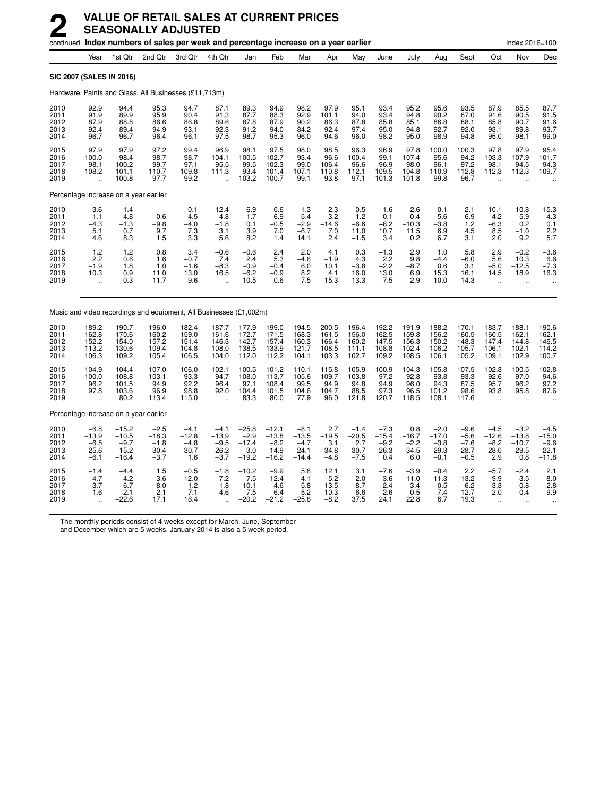|                                      |                                                      |                                                    | continued Index numbers of sales per week and percentage increase on a year earlier |                                                 |                                                         |                                                 |                                                    |                                                   |                                             |                                               |                                               |                                                      |                                                  |                                                    |                                                      | Index 2016=100                                            |                                                 |
|--------------------------------------|------------------------------------------------------|----------------------------------------------------|-------------------------------------------------------------------------------------|-------------------------------------------------|---------------------------------------------------------|-------------------------------------------------|----------------------------------------------------|---------------------------------------------------|---------------------------------------------|-----------------------------------------------|-----------------------------------------------|------------------------------------------------------|--------------------------------------------------|----------------------------------------------------|------------------------------------------------------|-----------------------------------------------------------|-------------------------------------------------|
|                                      | Year                                                 | 1st Qtr                                            | 2nd Qtr                                                                             | 3rd Qtr                                         | 4th Qtr                                                 | Jan                                             | Feb                                                | Mar                                               | Apr                                         | May                                           | June                                          | July                                                 | Aug                                              | Sept                                               | Oct                                                  | Nov                                                       | Dec                                             |
| SIC 2007 (SALES IN 2016)             |                                                      |                                                    |                                                                                     |                                                 |                                                         |                                                 |                                                    |                                                   |                                             |                                               |                                               |                                                      |                                                  |                                                    |                                                      |                                                           |                                                 |
|                                      |                                                      |                                                    | Hardware, Paints and Glass, All Businesses (£11,713m)                               |                                                 |                                                         |                                                 |                                                    |                                                   |                                             |                                               |                                               |                                                      |                                                  |                                                    |                                                      |                                                           |                                                 |
| 2010<br>2011<br>2012<br>2013<br>2014 | 92.9<br>91.9<br>87.9<br>92.4<br>96.7                 | 94.4<br>89.9<br>88.8<br>89.4<br>96.7               | 95.3<br>95.9<br>86.6<br>94.9<br>96.4                                                | 94.7<br>90.4<br>86.8<br>93.1<br>96.1            | 87.1<br>91.3<br>89.6<br>92.3<br>97.5                    | 89.3<br>87.7<br>87.8<br>91.2<br>98.7            | 94.9<br>88.3<br>87.9<br>94.0<br>95.3               | 98.2<br>92.9<br>90.2<br>84.2<br>96.0              | 97.9<br>101.1<br>86.3<br>92.4<br>94.6       | 95.1<br>94.0<br>87.8<br>97.4<br>96.0          | 93.4<br>93.4<br>85.8<br>95.0<br>98.2          | 95.2<br>94.8<br>85.1<br>94.8<br>95.0                 | 95.6<br>90.2<br>86.8<br>92.7<br>98.9             | 93.5<br>87.0<br>88.1<br>92.0<br>94.8               | 87.9<br>91.6<br>85.8<br>93.1<br>95.0                 | 85.5<br>90.5<br>90.7<br>89.8<br>98.1                      | 87.7<br>91.5<br>91.6<br>93.7<br>99.0            |
| 2015<br>2016<br>2017<br>2018<br>2019 | 97.9<br>100.0<br>98.1<br>108.2<br>ä,                 | 97.9<br>98.4<br>100.2<br>101.1<br>100.8            | 97.2<br>98.7<br>99.7<br>110.7<br>97.7                                               | 99.4<br>98.7<br>97.1<br>109.8<br>99.2           | 96.9<br>104.1<br>95.5<br>111.3                          | 98.1<br>100.5<br>99.5<br>93.4<br>103.2          | 97.5<br>102.7<br>102.3<br>101.4<br>100.7           | 98.0<br>93.4<br>99.0<br>107.1<br>99.1             | 98.5<br>96.6<br>106.4<br>110.8<br>93.8      | 96.3<br>100.4<br>96.6<br>112.1<br>97.1        | 96.9<br>99.1<br>96.9<br>109.5<br>101.3        | 97.8<br>107.4<br>98.0<br>104.8<br>101.8              | 100.0<br>95.6<br>96.1<br>110.9<br>99.8           | 100.3<br>94.2<br>97.2<br>112.8<br>96.7             | 97.8<br>103.3<br>98.1<br>112.3                       | 97.9<br>107.9<br>94.5<br>112.3                            | 95.4<br>101.7<br>94.3<br>109.7                  |
|                                      |                                                      | Percentage increase on a year earlier              |                                                                                     |                                                 |                                                         |                                                 |                                                    |                                                   |                                             |                                               |                                               |                                                      |                                                  |                                                    |                                                      |                                                           |                                                 |
| 2010<br>2011<br>2012<br>2013<br>2014 | $-3.6$<br>$-1.1$<br>$-4.3$<br>5.1<br>4.6             | $-1.4$<br>$-4.8$<br>$-1.3$<br>0.7<br>8.3           | 0.6<br>$-9.8$<br>9.7<br>1.5                                                         | $-0.1$<br>$-4.5$<br>$-4.0$<br>$\frac{7.3}{3.3}$ | $-12.4$<br>4.8<br>$-1.8$<br>3.1<br>5.6                  | $-6.9$<br>$-1.7$<br>0.1<br>3.9<br>8.2           | 0.6<br>$-6.9$<br>$-0.5$<br>7.0<br>1.4              | 1.3<br>$-5.4$<br>$-2.9$<br>$-6.7$<br>14.1         | 2.3<br>3.2<br>$-14.6$<br>7.0<br>2.4         | $-0.5$<br>$-1.2$<br>$-6.6$<br>11.0<br>$-1.5$  | $-1.6$<br>$-0.1$<br>$-8.2$<br>10.7<br>3.4     | 2.6<br>$-0.4$<br>$-10.3$<br>11.5<br>$0.\overline{2}$ | $-0.1$<br>$-5.6$<br>$-3.8$<br>6.96.7             | $-2.1$<br>$-6.9$<br>1.2<br>4.5<br>$3.\overline{1}$ | $-10.1$<br>4.2<br>$-6.3$<br>8.5<br>2.0               | $-10.8$<br>5.9<br>0.2<br>$-1.0$<br>9.2                    | $-15.3$<br>4.3<br>0.1<br>$2.2$<br>5.7           |
| 2015<br>2016<br>2017<br>2018<br>2019 | 1.2<br>2.2<br>$-1.9$<br>10.3<br>$\ddot{\phantom{a}}$ | 1.2<br>0.6<br>1.8<br>0.9<br>$-0.3$                 | 0.8<br>1.6<br>1.0<br>11.0<br>-11.7                                                  | 3.4<br>$-0.7$<br>$-1.6$<br>13.0<br>$-9.6$       | $-0.6$<br>7.4<br>$-8.3$<br>16.5<br>$\ddot{\phantom{a}}$ | $-0.6$<br>2.4<br>$-0.9$<br>$-6.2$<br>10.5       | 2.4<br>5.3<br>$-0.4$<br>$-0.9$<br>$-0.6$           | 2.0<br>$-4.6$<br>6.0<br>8.2<br>$-7.5$             | 4.1<br>$-1.9$<br>10.1<br>4.1<br>$-15.3$     | 0.3<br>4.3<br>$-3.8$<br>16.0<br>$-13.3$       | $-1.3$<br>2.2<br>$-2.2$<br>13.0<br>$-7.5$     | 2.9<br>9.8<br>$-8.7$<br>6.9<br>$-2.9$                | 1.0<br>$-4.4$<br>0.6<br>15.3<br>$-10.0$          | 5.8<br>$-6.0$<br>3.1<br>16.1<br>$-14.3$            | 2.9<br>5.6<br>$-5.0$<br>14.5<br>$\ddot{\phantom{a}}$ | $-0.2$<br>10.3<br>$-12.5$<br>18.9<br>$\ddot{\phantom{a}}$ | $-3.6$<br>6.6<br>$-7.3$<br>16.3                 |
|                                      |                                                      |                                                    | Music and video recordings and equipment, All Businesses (£1,002m)                  |                                                 |                                                         |                                                 |                                                    |                                                   |                                             |                                               |                                               |                                                      |                                                  |                                                    |                                                      |                                                           |                                                 |
| 2010<br>2011<br>2012<br>2013<br>2014 | 189.2<br>162.8<br>152.2<br>113.2<br>106.3            | 190.7<br>170.6<br>154.0<br>130.6<br>109.2          | 196.0<br>160.2<br>157.2<br>109.4<br>105.4                                           | 182.4<br>159.0<br>151.4<br>104.8<br>106.5       | 187.7<br>161.6<br>146.3<br>108.0<br>104.0               | 177.9<br>172.7<br>142.7<br>138.5<br>112.0       | 199.0<br>171.5<br>157.4<br>133.9<br>112.2          | 194.5<br>168.3<br>160.3<br>121.7<br>104.1         | 200.5<br>161.5<br>166.4<br>108.5<br>103.3   | 196.4<br>156.0<br>160.2<br>111.1<br>102.7     | 192.2<br>162.5<br>147.5<br>108.8<br>109.2     | 191.9<br>159.8<br>156.3<br>102.4<br>108.5            | 188.2<br>156.2<br>150.2<br>106.2<br>106.1        | 170.1<br>160.5<br>148.3<br>105.7<br>105.2          | 183.7<br>160.5<br>147.4<br>106.1<br>109.1            | 188.1<br>162.1<br>144.8<br>102.1<br>102.9                 | 190.6<br>162.1<br>146.5<br>114.2<br>100.7       |
| 2015<br>2016<br>2017<br>2018<br>2019 | 104.9<br>100.0<br>96.2<br>97.8                       | 104.4<br>108.8<br>101.5<br>103.6<br>80.2           | 107.0<br>103.1<br>94.9<br>96.9<br>113.4                                             | 106.0<br>93.3<br>92.2<br>98.8<br>115.0          | 102.1<br>94.7<br>96.4<br>92.0                           | 100.5<br>108.0<br>97.1<br>104.4<br>83.3         | 101.2<br>113.7<br>108.4<br>101.5<br>80.0           | 110.1<br>105.6<br>99.5<br>104.6<br>77.9           | 115.8<br>109.7<br>94.9<br>104.7<br>96.0     | 105.9<br>103.8<br>94.8<br>88.5<br>121.8       | 100.9<br>97.2<br>94.9<br>97.3<br>120.7        | 104.3<br>92.8<br>96.0<br>96.5<br>118.5               | 105.8<br>93.8<br>94.3<br>101.2<br>108.1          | 107.5<br>93.3<br>87.5<br>98.6<br>117.6             | 102.8<br>92.6<br>95.7<br>93.8                        | 100.5<br>97.0<br>96.2<br>95.8                             | 102.8<br>94.6<br>97.2<br>87.6                   |
|                                      |                                                      | Percentage increase on a year earlier              |                                                                                     |                                                 |                                                         |                                                 |                                                    |                                                   |                                             |                                               |                                               |                                                      |                                                  |                                                    |                                                      |                                                           |                                                 |
| 2010<br>2011<br>2012<br>2013<br>2014 | $-6.8$<br>$-13.9$<br>$-6.5$<br>$-25.6$<br>$-6.1$     | $-15.2$<br>$-10.5$<br>$-9.7$<br>$-15.2$<br>$-16.4$ | $-2.5$<br>$-18.3$<br>$-1.8$<br>$-30.4$<br>$-3.7$                                    | $-4.1$<br>$-12.8$<br>$-4.8$<br>$-30.7$<br>1.6   | $-4.1$<br>$-13.9$<br>$-9.5$<br>$-26.2$<br>$-3.7$        | $-25.8$<br>$-2.9$<br>-17.4<br>$-3.0$<br>$-19.2$ | $-12.1$<br>$-13.8$<br>$-8.2$<br>$-14.9$<br>$-16.2$ | $-8.1$<br>$-13.5$<br>$-4.7$<br>$-24.1$<br>$-14.4$ | 2.7<br>$-19.5$<br>3.1<br>$-34.8$<br>$-4.8$  | $-1.4$<br>$-20.5$<br>2.7<br>$-30.7$<br>$-7.5$ | $-7.3$<br>$-15.4$<br>$-9.2$<br>$-26.3$<br>0.4 | 0.8<br>$-16.7$<br>$-2.2$<br>$-34.5$<br>6.0           | $-2.0$<br>$-17.0$<br>$-3.8$<br>$-29.3$<br>$-0.1$ | $-9.6$<br>$-5.6$<br>$-7.6$<br>$-28.7$<br>$-0.5$    | $-4.5$<br>$-12.6$<br>$-8.2$<br>$-28.0$<br>2.9        | $-3.2$<br>$-13.8$<br>$-10.7$<br>$-29.5$<br>0.8            | $-4.5$<br>$-15.0$<br>$-9.6$<br>-22.1<br>$-11.8$ |
| 2015<br>2016<br>2017<br>2018<br>2019 | $-1.4$<br>$-4.7$<br>$-3.7$<br>1.6                    | $-4.4$<br>4.2<br>$-6.7$<br>2.1<br>$-22.6$          | 1.5<br>-3.6<br>$-8.0$<br>2.1<br>17.1                                                | $-0.5$<br>$-12.0$<br>$-1.2$<br>7.1<br>16.4      | $-1.8$<br>$-7.2$<br>1.8<br>$-4.6$                       | $-10.2$<br>7.5<br>$-10.1$<br>7.5<br>$-20.2$     | $-9.9$<br>12.4<br>$-4.6$<br>$-6.4$<br>$-21.2$      | 5.8<br>$-4.1$<br>$-5.8$<br>5.2<br>$-25.6$         | 12.1<br>$-5.2$<br>$-13.5$<br>10.3<br>$-8.2$ | 3.1<br>$-2.0$<br>$-8.7$<br>$-6.6$<br>37.5     | $-7.6$<br>$-3.6$<br>$-2.4$<br>2.6<br>24.1     | $-3.9$<br>$-11.0$<br>3.4<br>0.5<br>22.8              | $-0.4$<br>$-11.3$<br>0.5<br>7.4<br>6.7           | 2.2<br>$-13.2$<br>$-6.2$<br>12.7<br>19.3           | $-5.7$<br>$-9.9$<br>3.3<br>$-2.0$                    | $-2.4$<br>$-3.5$<br>$-0.8$<br>$-0.4$                      | 2.1<br>$-8.0$<br>2.8<br>$-9.9$                  |

The monthly periods consist of 4 weeks except for March, June, September

and December which are 5 weeks. January 2014 is also a 5 week period.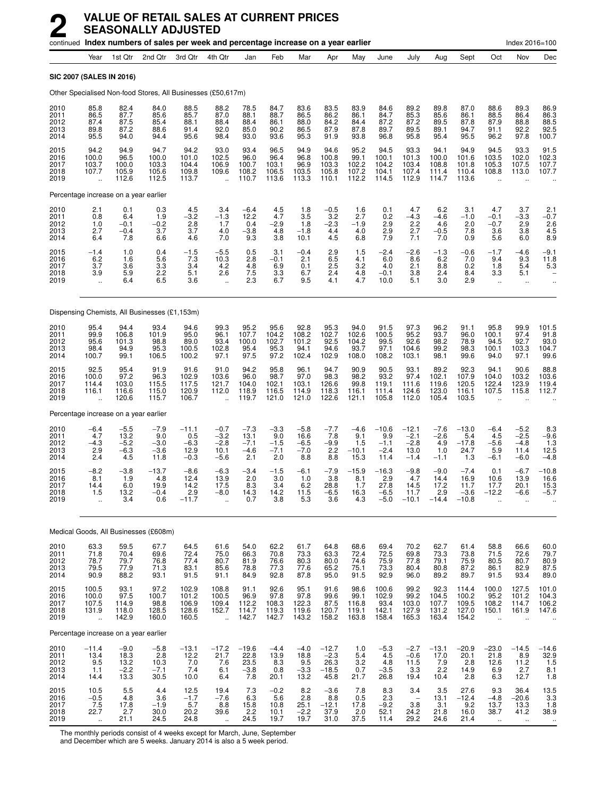|                                      |                                                               |                                           | continued Index numbers of sales per week and percentage increase on a year earlier |                                               |                                                          |                                           |                                                                     |                                              |                                            |                                         |                                            |                                                        |                                           |                                             |                                                         | Index 2016=100                                           |                                                               |
|--------------------------------------|---------------------------------------------------------------|-------------------------------------------|-------------------------------------------------------------------------------------|-----------------------------------------------|----------------------------------------------------------|-------------------------------------------|---------------------------------------------------------------------|----------------------------------------------|--------------------------------------------|-----------------------------------------|--------------------------------------------|--------------------------------------------------------|-------------------------------------------|---------------------------------------------|---------------------------------------------------------|----------------------------------------------------------|---------------------------------------------------------------|
|                                      | Year                                                          | 1st Qtr                                   | 2nd Qtr                                                                             | 3rd Qtr                                       | 4th Qtr                                                  | Jan                                       | Feb                                                                 | Mar                                          | Apr                                        | May                                     | June                                       | July                                                   | Aug                                       | Sept                                        | Oct                                                     | Nov                                                      | Dec                                                           |
|                                      |                                                               | SIC 2007 (SALES IN 2016)                  |                                                                                     |                                               |                                                          |                                           |                                                                     |                                              |                                            |                                         |                                            |                                                        |                                           |                                             |                                                         |                                                          |                                                               |
|                                      |                                                               |                                           | Other Specialised Non-food Stores, All Businesses (£50,617m)                        |                                               |                                                          |                                           |                                                                     |                                              |                                            |                                         |                                            |                                                        |                                           |                                             |                                                         |                                                          |                                                               |
| 2010<br>2011<br>2012<br>2013<br>2014 | 85.8<br>86.5<br>87.4<br>89.8<br>95.5                          | 82.4<br>87.7<br>87.5<br>87.2<br>94.0      | 84.0<br>85.6<br>85.4<br>88.6<br>94.4                                                | 88.5<br>85.7<br>88.1<br>91.4<br>95.6          | 88.2<br>87.0<br>88.4<br>92.0<br>98.4                     | 78.5<br>88.1<br>88.4<br>85.0<br>93.0      | 84.7<br>88.7<br>86.1<br>90.2<br>93.6                                | 83.6<br>86.5<br>88.0<br>86.5<br>95.3         | 83.5<br>86.2<br>84.2<br>87.9<br>91.9       | 83.9<br>86.1<br>84.4<br>87.8<br>93.8    | 84.6<br>84.7<br>87.2<br>89.7<br>96.8       | 89.2<br>85.3<br>87.2<br>89.5<br>95.8                   | 89.8<br>85.6<br>89.5<br>89.1<br>95.4      | 87.0<br>86.1<br>87.8<br>94.7<br>95.5        | 88.6<br>88.5<br>87.9<br>91.1<br>96.2                    | 89.3<br>86.4<br>88.8<br>92.2<br>97.8                     | 86.9<br>86.3<br>88.5<br>92.5<br>100.7                         |
| 2015<br>2016<br>2017<br>2018<br>2019 | 94.2<br>100.0<br>103.7<br>107.7<br>$\ddot{\phantom{a}}$       | 94.9<br>96.5<br>100.0<br>105.9<br>112.6   | 94.7<br>100.0<br>103.3<br>105.6<br>112.5                                            | 94.2<br>101.0<br>104.4<br>109.8<br>113.7      | 93.0<br>102.5<br>106.9<br>109.6<br>ä,                    | 93.4<br>96.0<br>100.7<br>108.2<br>110.7   | 96.5<br>96.4<br>103.1<br>106.5<br>113.6                             | 94.9<br>96.8<br>96.9<br>103.5<br>113.3       | 94.6<br>100.8<br>103.3<br>105.8<br>110.1   | 95.2<br>99.1<br>102.2<br>107.2<br>112.2 | 94.5<br>100.1<br>104.2<br>104.1<br>114.5   | 93.3<br>101.3<br>103.4<br>107.4<br>112.9               | 94.1<br>100.0<br>108.8<br>111.4<br>114.7  | 94.9<br>101.6<br>101.8<br>110.4<br>113.6    | 94.5<br>103.5<br>105.3<br>108.8                         | 93.3<br>102.0<br>107.5<br>113.0                          | 91.5<br>102.3<br>107.7<br>107.7                               |
|                                      |                                                               | Percentage increase on a year earlier     |                                                                                     |                                               |                                                          |                                           |                                                                     |                                              |                                            |                                         |                                            |                                                        |                                           |                                             |                                                         |                                                          |                                                               |
| 2010<br>2011<br>2012<br>2013<br>2014 | 2.1<br>0.8<br>1.0<br>2.7<br>6.4                               | 0.1<br>6.4<br>$-0.1$<br>$-0.4$<br>7.8     | 0.3<br>1.9<br>$-0.2$<br>3.7<br>6.6                                                  | 4.5<br>$-3.\overline{2}$<br>2.8<br>3.7<br>4.6 | 3.4<br>$-1.3$<br>1.7<br>4.0<br>7.0                       | $-6.4$<br>12.2<br>0.4<br>$-3.8$<br>9.3    | 4.5<br>4.7<br>$-2.9$<br>4.8<br>3.8                                  | 1.8<br>3.5<br>1.8<br>$-1.8$<br>10.1          | $-0.5$<br>3.2<br>$-2.3$<br>4.4<br>4.5      | 1.6<br>2.7<br>$-1.9$<br>4.0<br>6.8      | 0.1<br>0.2<br>2.9<br>2.9<br>7.9            | 4.7<br>$-4.3$<br>2.2<br>2.7<br>7.1                     | 6.2<br>$-4.6$<br>4.6<br>$-0.5$<br>7.0     | 3.1<br>$-1.0$<br>2.0<br>7.8<br>0.9          | 4.7<br>$-0.1$<br>$-0.7$<br>3.6<br>5.6                   | 3.7<br>-3.3<br>2.9<br>3.8<br>6.0                         | 2.1<br>$-0.7$<br>2.6<br>4.5<br>8.9                            |
| 2015<br>2016<br>2017<br>2018<br>2019 | $-1.4$<br>6.2<br>3.7<br>3.9<br>$\ddot{\phantom{1}}$           | 1.0<br>1.6<br>3.6<br>5.9<br>6.4           | 0.4<br>5.6<br>3.3<br>2.2<br>6.5                                                     | $-1.5$<br>7.3<br>3.4<br>5.1<br>3.6            | $-5.5$<br>10.3<br>4.2<br>2.6<br>$\ddot{\phantom{a}}$     | 0.5<br>2.8<br>4.8<br>7.5<br>2.3           | 3.1<br>$-0.1$<br>6.9<br>3.3<br>6.7                                  | $-0.4$<br>2.1<br>0.1<br>6.7<br>9.5           | 2.9<br>6.5<br>2.5<br>2.4<br>4.1            | 1.5<br>4.1<br>3.2<br>4.8<br>4.7         | $-2.4$<br>6.0<br>4.0<br>$-0.1$<br>10.0     | $-2.6$<br>8.6<br>2.1<br>3.8<br>5.1                     | $-1.3$<br>6.2<br>8.8<br>2.4<br>3.0        | $-0.6$<br>7.0<br>0.2<br>8.4<br>2.9          | $-1.7$<br>9.4<br>1.8<br>3.3<br>à.                       | $-4.6$<br>9.3<br>5.4<br>5.1<br>$\ddotsc$                 | $-9.1$<br>11.8<br>5.3<br>                                     |
|                                      |                                                               |                                           | Dispensing Chemists, All Businesses (£1,153m)                                       |                                               |                                                          |                                           |                                                                     |                                              |                                            |                                         |                                            |                                                        |                                           |                                             |                                                         |                                                          |                                                               |
| 2010<br>2011<br>2012<br>2013<br>2014 | 95.4<br>99.9<br>95.6<br>98.4<br>100.7                         | 94.4<br>106.8<br>101.3<br>94.9<br>99.1    | 93.4<br>101.9<br>98.8<br>95.3<br>106.5                                              | 94.6<br>95.0<br>89.0<br>100.5<br>100.2        | 99.3<br>96.1<br>93.4<br>102.8<br>97.1                    | 95.2<br>107.7<br>100.0<br>95.4<br>97.5    | 95.6<br>104.2<br>102.7<br>95.3<br>97.2                              | 92.8<br>108.2<br>101.2<br>94.1<br>102.4      | 95.3<br>102.7<br>92.5<br>94.6<br>102.9     | 94.0<br>102.6<br>104.2<br>93.7<br>108.0 | 91.5<br>100.5<br>99.5<br>97.1<br>108.2     | 97.3<br>95.2<br>92.6<br>104.6<br>103.1                 | 96.2<br>93.7<br>98.2<br>99.2<br>98.1      | 91.1<br>96.0<br>78.9<br>98.3<br>99.6        | 95.8<br>100.1<br>94.5<br>100.1<br>94.0                  | 99.9<br>97.4<br>92.7<br>103.3<br>97.1                    | 101.5<br>91.8<br>93.0<br>104.7<br>99.6                        |
| 2015<br>2016<br>2017<br>2018<br>2019 | 92.5<br>100.0<br>114.4<br>116.1                               | 95.4<br>97.2<br>103.0<br>116.6<br>120.6   | 91.9<br>96.3<br>115.5<br>115.0<br>115.7                                             | 91.6<br>102.9<br>117.5<br>120.9<br>106.7      | 91.0<br>103.6<br>121.7<br>112.0<br>$\ddot{\phantom{a}}$  | 94.2<br>96.0<br>104.0<br>118.9<br>119.7   | 95.8<br>98.7<br>102.1<br>116.5<br>121.0                             | 96.1<br>97.0<br>103.1<br>114.9<br>121.0      | 94.7<br>98.3<br>126.6<br>118.3<br>122.6    | 90.9<br>98.2<br>99.8<br>116.1<br>121.1  | 90.5<br>93.2<br>119.1<br>111.4<br>105.8    | 93.1<br>97.4<br>111.6<br>124.6<br>112.0                | 89.2<br>102.1<br>119.6<br>123.0<br>105.4  | 92.3<br>107.9<br>120.5<br>116.1<br>103.5    | 94.1<br>104.0<br>122.4<br>107.5                         | 90.6<br>103.2<br>123.9<br>115.8                          | 88.8<br>103.6<br>119.4<br>112.7                               |
|                                      |                                                               | Percentage increase on a year earlier     |                                                                                     |                                               |                                                          |                                           |                                                                     |                                              |                                            |                                         |                                            |                                                        |                                           |                                             |                                                         |                                                          |                                                               |
| 2010<br>2011<br>2012<br>2013<br>2014 | $-6.4$<br>4.7<br>$-4.3$<br>2.9<br>2.4                         | $-5.5$<br>13.2<br>$-5.2$<br>$-6.3$<br>4.5 | $-7.9$<br>9.0<br>$-3.0$<br>$-3.6$<br>11.8                                           | $-11.1$<br>0.5<br>$-6.3$<br>12.9<br>$-0.3$    | $-0.7$<br>$-3.2$<br>$-2.8$<br>10.1<br>$-5.6$             | $-7.3$<br>13.1<br>$-7.1$<br>$-4.6$<br>2.1 | $-3.3$<br>9.0<br>$-1.5$<br>$-7.1$<br>2.0                            | $-5.8$<br>16.6<br>$-6.5$<br>$-7.0$<br>8.8    | $-7.7$<br>7.8<br>$-9.9$<br>2.2<br>8.8      | $-4.6$<br>9.1<br>1.5<br>$-10.1$<br>15.3 | $-10.6$<br>9.9<br>$-1.1$<br>$-2.4$<br>11.4 | $-12.1$<br>$-2.1$<br>$-2.8$<br>13.0<br>$-1.4$          | $-7.6$<br>$-2.6$<br>4.9<br>1.0<br>$-1.1$  | $-13.0$<br>5.4<br>$-17.8$<br>24.7<br>1.3    | $-6.4$<br>4.5<br>$-5.6$<br>5.9<br>$-6.1$                | $-5.2$<br>$-2.5$<br>$-4.8$<br>11.4<br>$-6.0$             | 8.3<br>$-9.6$<br>1.3<br>12.5<br>$-4.8$                        |
| 2015<br>2016<br>2017<br>2018<br>2019 | $-8.2$<br>8.1<br>14.4<br>1.5<br>$\ddotsc$                     | $-3.8$<br>1.9<br>6.0<br>13.2<br>3.4       | $-13.7$<br>4.8<br>19.9<br>$-0.4$<br>0.6                                             | $-8.6$<br>12.4<br>14.2<br>2.9<br>$-11.7$      | $-6.3$<br>13.9<br>17.5<br>$-8.0$<br>$\ddot{\phantom{a}}$ | $-3.4$<br>2.0<br>8.3<br>14.3<br>0.7       | $-1.5$<br>3.0<br>3.4<br>14.2<br>3.8                                 | $-6.1$<br>1.0<br>6.2<br>11.5<br>5.3          | $-7.9$<br>3.8<br>28.8<br>$-6.5$<br>3.6     | $-15.9$<br>8.1<br>1.7<br>16.3<br>4.3    | $-16.3$<br>2.9<br>27.8<br>$-6.5$<br>$-5.0$ | $-9.8$<br>4.7<br>14.5<br>11.7<br>$-10.1$               | $-9.0$<br>14.4<br>17.2<br>2.9<br>$-14.4$  | $-7.4$<br>16.9<br>11.7<br>$-3.6$<br>$-10.8$ | 0.1<br>10.6<br>17.7<br>$-12.2$<br>$\ddot{\phantom{a}}$  | $-6.7$<br>13.9<br>20.1<br>$-6.6$<br>$\ddot{\phantom{a}}$ | $-10.8$<br>16.6<br>15.3<br>$-5.7$                             |
|                                      |                                                               |                                           | Medical Goods, All Businesses (£608m)                                               |                                               |                                                          |                                           |                                                                     |                                              |                                            |                                         |                                            |                                                        |                                           |                                             |                                                         |                                                          |                                                               |
| 2010<br>2011<br>2012<br>2013<br>2014 | 63.3<br>71.8<br>78.7<br>79.5<br>90.9                          | 59.5<br>70.4<br>79.7<br>77.9<br>88.2      | 67.7<br>69.6<br>76.8<br>71.3<br>93.1                                                | 64.5<br>72.4<br>77.4<br>83.1<br>91.5          | 61.6<br>75.0<br>80.7<br>85.6<br>91.1                     | 54.0<br>66.3<br>81.9<br>78.8<br>84.9      | 62.2<br>70.8<br>76.6<br>77.3<br>92.8                                | 61.7<br>73.3<br>80.3<br>77.6<br>87.8         | 64.8<br>63.3<br>80.0<br>65.2<br>95.0       | 68.6<br>72.4<br>74.6<br>75.1<br>91.5    | 69.4<br>72.5<br>75.9<br>73.3<br>92.9       | 70.2<br>69.8<br>77.8<br>80.4<br>96.0                   | 62.7<br>73.3<br>79.1<br>80.8<br>89.2      | 61.4<br>73.8<br>75.9<br>87.2<br>89.7        | 58.8<br>71.5<br>80.5<br>86.1<br>91.5                    | 66.6<br>72.6<br>80.7<br>82.9<br>93.4                     | 60.0<br>79.7<br>80.9<br>87.5<br>89.0                          |
| 2015<br>2016<br>2017<br>2018<br>2019 | 100.5<br>100.0<br>107.5<br>131.9                              | 93.1<br>97.5<br>114.9<br>118.0<br>142.9   | 97.2<br>100.7<br>98.8<br>128.5<br>160.0                                             | 102.9<br>101.2<br>106.9<br>128.6<br>160.5     | 108.8<br>100.5<br>109.4<br>152.7<br>$\ddotsc$            | 91.1<br>96.9<br>112.2<br>114.7<br>142.7   | 92.6<br>97.8<br>108.3<br>119.3<br>142.7                             | 95.1<br>97.8<br>122.3<br>119.6<br>143.2      | 91.6<br>99.6<br>87.5<br>120.7<br>158.2     | 98.6<br>99.1<br>116.8<br>119.1<br>163.8 | 100.6<br>102.9<br>93.4<br>142.1<br>158.4   | 99.2<br>99.2<br>103.0<br>127.9<br>165.3                | 92.3<br>104.5<br>107.7<br>131.2<br>163.4  | 114.4<br>100.2<br>109.5<br>127.0<br>154.2   | 100.0<br>95.2<br>108.2<br>150.1<br>$\ddot{\phantom{a}}$ | 127.5<br>101.2<br>114.7<br>161.9                         | 101.0<br>104.3<br>106.2<br>147.6                              |
|                                      |                                                               | Percentage increase on a year earlier     |                                                                                     |                                               |                                                          |                                           |                                                                     |                                              |                                            |                                         |                                            |                                                        |                                           |                                             |                                                         |                                                          |                                                               |
| 2010<br>2011<br>2012<br>2013<br>2014 | $-11.4$<br>13.4<br>9.5<br>1.1<br>14.4                         | $-9.0$<br>18.3<br>13.2<br>$-2.2$<br>13.3  | $-5.8$<br>2.8<br>10.3<br>$-7.1$<br>30.5                                             | $-13.1$<br>12.2<br>$7.0$<br>$7.4$<br>10.0     | $-17.2$<br>21.7<br>7.6<br>6.1<br>6.4                     | $-19.6$<br>22.8<br>$23.5 - 3.8$<br>7.8    | $-4.4$<br>13.9<br>$\begin{array}{c} 8.3 \\ 0.8 \end{array}$<br>20.1 | $-4.0$<br>18.8<br>$\frac{9.5}{-3.3}$<br>13.2 | $-12.7$<br>$-2.3$<br>$26.3 - 18.5$<br>45.8 | 1.0<br>5.4<br>3.2<br>0.7<br>21.7        | $-5.3$<br>4.5<br>4.8<br>$-3.5$<br>26.8     | $-2.7$<br>$-0.6$<br>11.5<br>3.3<br>19.4                | $-13.1$<br>17.0<br>$^{7.9}_{2.2}$<br>10.4 | $-20.9$<br>20.1<br>2.8<br>14.9<br>2.8       | $-23.0$<br>21.8<br>12.6<br>6.9<br>6.3                   | $-14.5$<br>8.9<br>11.2<br>2.7<br>12.7                    | $-14.6$<br>32.9<br>1.5<br>8.1<br>1.8                          |
| 2015<br>2016<br>2017<br>2018<br>2019 | 10.5<br>$-0.5$<br>$7.5$<br>22.7<br>$\mathcal{L}_{\mathbf{r}}$ | 5.5<br>4.8<br>17.8<br>2.7<br>21.1         | 4.4<br>3.6<br>$-1.9$<br>30.0<br>24.5                                                | 12.5<br>$-1.7$<br>$\frac{5.7}{20.2}$<br>24.8  | 19.4<br>$-7.6$<br>8.8<br>39.6<br>$\bar{\mathbf{a}}$      | $7.3$<br>6.3<br>15.8<br>2.2<br>24.5       | $-0.2$<br>5.6<br>10.8<br>10.1<br>19.7                               | 8.2<br>2.8<br>25.1<br>$-2.2$<br>19.7         | $-3.6$<br>8.8<br>$-12.1$<br>37.9<br>31.0   | 7.8<br>0.5<br>17.8<br>2.0<br>37.5       | 8.3<br>2.3<br>$-9.2$<br>52.1<br>11.4       | 3.4<br>$\overline{\phantom{m}}$<br>3.8<br>24.2<br>29.2 | 3.5<br>13.1<br>3.1<br>21.8<br>24.6        | 27.6<br>$-12.4$<br>9.2<br>16.0<br>21.4      | 9.3<br>$-4.8$<br>13.7<br>38.7<br>$\ddot{\phantom{1}}$   | 36.4<br>$-20.6$<br>13.3<br>41.2<br>$\ddot{\phantom{1}}$  | $\begin{array}{c} 13.5 \\ 3.3 \end{array}$<br>1.8<br>38.9<br> |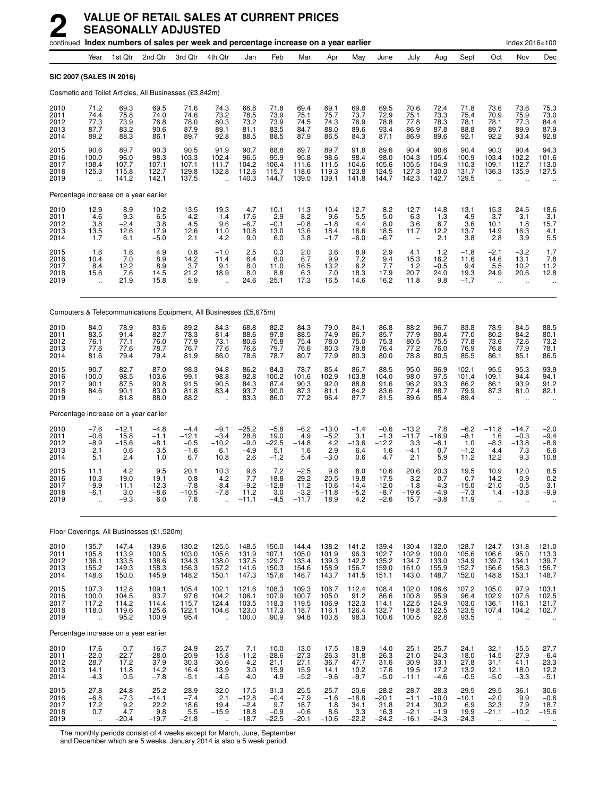|                                      |                                                                     |                                                   | continued Index numbers of sales per week and percentage increase on a year earlier |                                              |                                                           |                                                 |                                               |                                                |                                              |                                              |                                                  |                                                |                                                 |                                              |                                                          | Index 2016=100                               |                                                  |
|--------------------------------------|---------------------------------------------------------------------|---------------------------------------------------|-------------------------------------------------------------------------------------|----------------------------------------------|-----------------------------------------------------------|-------------------------------------------------|-----------------------------------------------|------------------------------------------------|----------------------------------------------|----------------------------------------------|--------------------------------------------------|------------------------------------------------|-------------------------------------------------|----------------------------------------------|----------------------------------------------------------|----------------------------------------------|--------------------------------------------------|
|                                      | Year                                                                | 1st Qtr                                           | 2nd Qtr                                                                             | 3rd Qtr                                      | 4th Qtr                                                   | Jan                                             | Feb                                           | Mar                                            | Apr                                          | May                                          | June                                             | July                                           | Aug                                             | Sept                                         | Oct                                                      | Nov                                          | Dec                                              |
|                                      | SIC 2007 (SALES IN 2016)                                            |                                                   |                                                                                     |                                              |                                                           |                                                 |                                               |                                                |                                              |                                              |                                                  |                                                |                                                 |                                              |                                                          |                                              |                                                  |
|                                      |                                                                     |                                                   | Cosmetic and Toilet Articles, All Businesses (£3,842m)                              |                                              |                                                           |                                                 |                                               |                                                |                                              |                                              |                                                  |                                                |                                                 |                                              |                                                          |                                              |                                                  |
| 2010<br>2011<br>2012<br>2013<br>2014 | 71.2<br>74.4<br>77.3<br>87.7<br>89.2                                | 69.3<br>75.8<br>73.9<br>83.2<br>88.3              | 69.5<br>74.0<br>76.8<br>90.6<br>86.1                                                | 71.6<br>74.6<br>78.0<br>87.9<br>89.7         | 74.3<br>73.2<br>80.3<br>89.1<br>92.8                      | 66.8<br>78.5<br>73.2<br>81.1<br>88.5            | 71.8<br>73.9<br>73.9<br>83.5<br>88.5          | 69.4<br>75.1<br>74.5<br>84.7<br>87.9           | 69.1<br>75.7<br>74.3<br>88.0<br>86.5         | 69.8<br>73.7<br>76.9<br>89.6<br>84.3         | 69.5<br>72.9<br>78.8<br>93.4<br>87.1             | 70.6<br>75.1<br>77.8<br>86.9<br>86.9           | 72.4<br>73.3<br>78.3<br>87.8<br>89.6            | 71.8<br>75.4<br>78.1<br>88.8<br>92.1         | 73.6<br>70.9<br>78.1<br>89.7<br>92.2                     | 73.6<br>75.9<br>77.3<br>89.9<br>93.4         | 75.3<br>73.0<br>84.4<br>87.9<br>92.8             |
| 2015<br>2016<br>2017<br>2018<br>2019 | 90.6<br>100.0<br>108.4<br>125.3<br>$\ddot{\phantom{a}}$             | 89.7<br>96.0<br>107.7<br>115.8<br>141.2           | 90.3<br>98.3<br>107.1<br>122.7<br>142.1                                             | 90.5<br>103.3<br>107.1<br>129.8<br>137.5     | 91.9<br>102.4<br>111.7<br>132.8<br>$\ddot{\phantom{a}}$   | 90.7<br>96.5<br>104.2<br>112.6<br>140.3         | 88.8<br>95.9<br>106.4<br>115.7<br>144.7       | 89.7<br>95.8<br>111.6<br>118.6<br>139.0        | 89.7<br>98.6<br>111.5<br>119.3<br>139.1      | 91.8<br>98.4<br>104.6<br>123.8<br>141.8      | 89.6<br>98.0<br>105.6<br>124.5<br>144.7          | 90.4<br>104.3<br>105.5<br>127.3<br>142.3       | 90.6<br>105.4<br>104.9<br>130.0<br>142.7        | 90.4<br>100.9<br>110.3<br>131.7<br>129.5     | 90.3<br>103.4<br>109.1<br>136.3                          | 90.4<br>102.2<br>112.7<br>135.9              | 94.3<br>101.6<br>113.0<br>127.5                  |
|                                      |                                                                     | Percentage increase on a year earlier             |                                                                                     |                                              |                                                           |                                                 |                                               |                                                |                                              |                                              |                                                  |                                                |                                                 |                                              |                                                          |                                              |                                                  |
| 2010<br>2011<br>2012<br>2013<br>2014 | 12.9<br>4.6<br>3.8<br>13.5<br>1.7                                   | 8.9<br>9.3<br>$-2.4$<br>12.6<br>6.1               | 10.2<br>6.5<br>3.8<br>17.9<br>$-5.0$                                                | $^{13.5}_{4.2}$<br>4.5<br>12.6<br>2.1        | 19.3<br>$-1.4$<br>9.6<br>11.0<br>4.2                      | 4.7<br>17.6<br>$-6.7$<br>10.8<br>9.0            | $^{10.1}_{2.9}$<br>$-0.1$<br>13.0<br>6.0      | 11.3<br>8.2<br>$-0.8$<br>13.6<br>3.8           | 10.4<br>9.6<br>$-1.8$<br>18.4<br>$-1.7$      | $^{12.7}_{5.5}$<br>4.4<br>16.6<br>$-6.0$     | $\substack{8.2 \\ 5.0}$<br>8.0<br>18.5<br>$-6.7$ | 12.7<br>6.3<br>3.6<br>11.7                     | 14.8<br>1.3<br>6.7<br>12.2<br>2.1               | 13.1<br>4.9<br>3.6<br>13.7<br>3.8            | $15.3 - 3.7$<br>10.1<br>14.9<br>2.8                      | 24.5<br>3.1<br>1.8<br>16.3<br>3.9            | 18.6<br>$-3.1$<br>15.7<br>4.1<br>5.5             |
| 2015<br>2016<br>2017<br>2018<br>2019 | 1.6<br>10.4<br>8.4<br>15.6                                          | $\frac{1.6}{7.0}$<br>12.2<br>7.6<br>21.9          | 4.9<br>8.9<br>8.9<br>14.5<br>15.8                                                   | 0.8<br>14.2<br>3.7<br>21.2<br>5.9            | $-1.0$<br>11.4<br>9.1<br>18.9                             | 2.5<br>6.4<br>8.0<br>8.0<br>24.6                | 0.3<br>8.0<br>11.0<br>8.8<br>25.1             | 2.0<br>6.7<br>16.5<br>6.3<br>17.3              | 3.6<br>9.9<br>13.2<br>7.0<br>16.5            | $\frac{8.9}{7.2}$<br>6.2<br>18.3<br>14.6     | 2.9<br>9.4<br>7.7<br>17.9<br>16.2                | 4.1<br>15.3<br>1.2<br>20.7<br>11.8             | $1.2$<br>16.2<br>$-0.5$<br>24.0<br>9.8          | $-1.8$<br>11.6<br>9.4<br>19.3<br>$-1.7$      | $-2.1$<br>14.6<br>5.5<br>24.9                            | $-3.2$<br>13.1<br>10.2<br>20.6<br>÷.         | $\frac{1.7}{7.8}$<br>11.2<br>12.8                |
|                                      |                                                                     |                                                   | Computers & Telecommunications Equipment, All Businesses (£5,675m)                  |                                              |                                                           |                                                 |                                               |                                                |                                              |                                              |                                                  |                                                |                                                 |                                              |                                                          |                                              |                                                  |
| 2010<br>2011<br>2012<br>2013<br>2014 | 84.0<br>83.5<br>76.1<br>77.6<br>81.6                                | 78.9<br>91.4<br>77.1<br>77.6<br>79.4              | 83.6<br>82.7<br>76.0<br>78.7<br>79.4                                                | 89.2<br>78.3<br>77.9<br>76.7<br>81.9         | 84.3<br>81.4<br>73.1<br>77.6<br>86.0                      | 68.8<br>88.6<br>80.6<br>76.6<br>78.6            | 82.2<br>97.8<br>75.8<br>79.7<br>78.7          | 84.3<br>88.5<br>75.4<br>76.6<br>80.7           | 79.0<br>74.9<br>78.0<br>80.3<br>77.9         | 84.1<br>86.7<br>75.0<br>79.8<br>80.3         | 86.8<br>85.7<br>75.3<br>76.4<br>80.0             | 88.2<br>77.9<br>80.5<br>77.2<br>78.8           | 96.7<br>80.4<br>75.5<br>76.0<br>80.5            | 83.8<br>77.0<br>77.8<br>76.9<br>85.5         | 78.9<br>80.2<br>73.6<br>76.8<br>86.1                     | 84.5<br>84.2<br>72.6<br>77.9<br>85.1         | 88.5<br>80.1<br>73.2<br>78.1<br>86.5             |
| 2015<br>2016<br>2017<br>2018<br>2019 | 90.7<br>100.0<br>90.1<br>84.6                                       | 82.7<br>98.5<br>87.5<br>90.1<br>81.8              | 87.0<br>103.6<br>90.8<br>83.0<br>88.0                                               | 98.3<br>99.1<br>91.5<br>81.8<br>88.2         | 94.8<br>98.8<br>90.5<br>83.4                              | 86.2<br>92.8<br>84.3<br>93.7<br>83.3            | 84.3<br>100.2<br>87.4<br>90.0<br>86.0         | 78.7<br>101.6<br>90.3<br>87.3<br>77.2          | 85.4<br>102.9<br>92.0<br>81.1<br>96.4        | 86.7<br>103.8<br>88.8<br>84.2<br>87.7        | 88.5<br>104.0<br>91.6<br>83.6<br>81.5            | 95.0<br>98.0<br>96.2<br>77.4<br>89.6           | 96.9<br>97.5<br>93.3<br>88.7<br>85.4            | 102.1<br>101.4<br>86.2<br>79.9<br>89.4       | 95.5<br>109.1<br>86.1<br>87.3                            | 95.3<br>94.4<br>93.9<br>81.0                 | 93.9<br>94.1<br>91.2<br>82.1                     |
|                                      |                                                                     | Percentage increase on a year earlier             |                                                                                     |                                              |                                                           |                                                 |                                               |                                                |                                              |                                              |                                                  |                                                |                                                 |                                              |                                                          |                                              |                                                  |
| 2010<br>2011<br>2012<br>2013<br>2014 | $-7.6$<br>$-0.6$<br>$-8.9$<br>2.1<br>5.1                            | $-12.1$<br>15.8<br>$-15.6$<br>0.6<br>2.4          | $-4.8$<br>$-1.1$<br>$-8.1$<br>3.5<br>1.0                                            | $-4.4$<br>$-12.1$<br>$-0.5$<br>$-1.6$<br>6.7 | $-9.1$<br>$-3.4$<br>$-10.2$<br>6.1<br>10.8                | $-25.2$<br>28.8<br>$-9.0$<br>$-4.9$<br>2.6      | $-5.8$<br>19.0<br>$-22.5$<br>5.1<br>$-1.2$    | $-6.2$<br>4.9<br>$-14.8$<br>1.6<br>5.4         | $-13.0$<br>$-5.2$<br>4.2<br>2.9<br>$-3.0$    | $-1.4$<br>3.1<br>$-13.6$<br>6.4<br>0.6       | $-0.6$<br>$-1.3$<br>$-12.2$<br>1.6<br>4.7        | $-13.2$<br>$-11.7$<br>3.3<br>$-4.1$<br>2.1     | 7.8<br>$-16.9$<br>$-6.1$<br>0.7<br>5.9          | $-6.2$<br>$-8.1$<br>1.0<br>$-1.2$<br>11.2    | $-11.8$<br>1.6<br>$-8.3$<br>4.4<br>12.2                  | $-14.7$<br>$-0.3$<br>$-13.8$<br>7.3<br>9.3   | $-2.0$<br>$-9.4$<br>$-8.6$<br>6.6<br>10.8        |
| 2015<br>2016<br>2017<br>2018<br>2019 | 11.1<br>10.3<br>$-9.9$<br>-6.1                                      | 4.2<br>19.0<br>$-11.1$<br>3.0<br>-9.3             | 9.5<br>19.1<br>$-12.3$<br>-8.6<br>6.0                                               | 20.1<br>0.8<br>-7.8<br>$-10.5$<br>7.8        | 10.3<br>4.2<br>$-8.4$<br>$-7.8$                           | 9.6<br>7.7<br>$-9.2$<br>11.2<br>$-11.1$         | 7.2<br>18.8<br>$-12.8$<br>3.0<br>$-4.5$       | $-2.5$<br>29.2<br>$-11.2$<br>$-3.2$<br>$-11.7$ | 9.6<br>20.5<br>$-10.6$<br>$-11.8$<br>18.9    | 8.0<br>19.8<br>$-14.4$<br>$-5.2$<br>4.2      | 10.6<br>17.5<br>$-12.0$<br>$-8.7$<br>$-2.6$      | 20.6<br>3.2<br>$-1.8$<br>-19.6<br>15.7         | 20.3<br>0.7<br>$-4.3$<br>$-4.9$<br>$-3.8$       | 19.5<br>$-0.7$<br>$-15.0$<br>$-7.3$<br>11.9  | 10.9<br>14.2<br>$-21.0$<br>1.4                           | 12.0<br>$-0.9$<br>$-0.5$<br>$-13.8$          | 8.5<br>0.2<br>$-3.1$<br>-9.9                     |
|                                      |                                                                     |                                                   | Floor Coverings, All Businesses (£1,520m)                                           |                                              |                                                           |                                                 |                                               |                                                |                                              |                                              |                                                  |                                                |                                                 |                                              |                                                          |                                              |                                                  |
| 2010<br>2011<br>2012<br>2013<br>2014 | 135.7<br>105.8<br>136.1<br>155.2<br>148.6                           | 147.4<br>113.9<br>133.5<br>149.3<br>150.0         | 139.6<br>100.5<br>138.6<br>158.3<br>145.9                                           | 130.2<br>103.0<br>134.3<br>156.3<br>148.2    | 125.5<br>105.6<br>138.0<br>157.2<br>150.1                 | 148.5<br>131.9<br>137.5<br>141.6<br>147.3       | 150.0<br>107.1<br>129.7<br>150.3<br>157.6     | 144.4<br>105.0<br>133.4<br>154.6<br>146.7      | 138.2<br>101.9<br>139.3<br>158.9<br>143.7    | 141.2<br>96.3<br>142.2<br>156.7<br>141.5     | 139.4<br>102.7<br>135.2<br>159.0<br>151.1        | 130.4<br>102.9<br>134.7<br>161.0<br>143.0      | 132.0<br>100.0<br>133.0<br>155.9<br>148.7       | 128.7<br>105.6<br>134.9<br>152.7<br>152.0    | 124.7<br>106.6<br>139.7<br>156.6<br>148.8                | 131.8<br>95.0<br>134.1<br>158.3<br>153.1     | 121.0<br>113.3<br>139.7<br>156.7<br>148.7        |
| 2015<br>2016<br>2017<br>2018<br>2019 | 107.3<br>100.0<br>117.2<br>118.0<br>$\bar{\mathbf{a}}$              | 112.8<br>104.5<br>114.2<br>119.6<br>95.2          | 109.1<br>93.7<br>114.4<br>125.6<br>100.9                                            | 105.4<br>97.6<br>115.7<br>122.1<br>95.4      | 102.1<br>104.2<br>124.4<br>104.6<br>$\ddot{\phantom{a}}$  | 121.6<br>106.1<br>103.5<br>123.0<br>100.0       | 108.3<br>107.9<br>118.3<br>117.3<br>90.9      | 109.3<br>100.7<br>119.5<br>118.7<br>94.8       | 106.7<br>105.0<br>106.9<br>116.1<br>103.8    | 112.4<br>91.2<br>122.3<br>126.4<br>98.3      | 108.4<br>86.6<br>114.1<br>132.7<br>100.6         | 102.0<br>100.8<br>122.5<br>119.8<br>100.5      | 106.6<br>95.9<br>124.9<br>122.5<br>92.8         | 107.2<br>96.4<br>103.0<br>123.5<br>93.5      | 105.0<br>102.9<br>136.1<br>107.4<br>$\ddot{\phantom{a}}$ | 97.9<br>107.6<br>116.1<br>104.2              | 103.1<br>102.5<br>121.7<br>102.7                 |
|                                      |                                                                     | Percentage increase on a year earlier             |                                                                                     |                                              |                                                           |                                                 |                                               |                                                |                                              |                                              |                                                  |                                                |                                                 |                                              |                                                          |                                              |                                                  |
| 2010<br>2011<br>2012<br>2013<br>2014 | $-17.6$<br>$-22.0$<br>28.7<br>14.1<br>$-4.3$                        | $-0.7$<br>$-22.7$<br>17.2<br>11.8<br>0.5          | $-16.7$<br>$-28.0$<br>37.9<br>14.2<br>$-7.8$                                        | $-24.9$<br>$-20.9$<br>30.3<br>16.4<br>$-5.1$ | $-25.7$<br>$-15.8$<br>30.6<br>13.9<br>$-4.5$              | 7.1<br>$-11.2$<br>4.2<br>3.0<br>4.0             | 10.0<br>$-28.6$<br>21.1<br>15.9<br>4.9        | $-13.0$<br>$-27.3$<br>27.1<br>15.9<br>$-5.2$   | $-17.5$<br>$-26.3$<br>36.7<br>14.1<br>$-9.6$ | $-18.9$<br>$-31.8$<br>47.7<br>10.2<br>$-9.7$ | $-14.0$<br>$-26.3$<br>31.6<br>17.6<br>$-5.0$     | $-25.1$<br>$-21.0$<br>30.9<br>19.5<br>$-11.1$  | $-25.7$<br>$-24.3$<br>33.1<br>17.2<br>$-4.6$    | $-24.1$<br>$-18.0$<br>27.8<br>13.2<br>$-0.5$ | $-32.1$<br>$-14.5$<br>31.1<br>12.1<br>$-5.0$             | $-15.5$<br>$-27.9$<br>41.1<br>18.0<br>$-3.3$ | $-27.7$<br>$-6.4$<br>23.3<br>12.2<br>$-5.1$      |
| 2015<br>2016<br>2017<br>2018<br>2019 | $-27.8$<br>$-6.8$<br>$^{17.2}_{0.7}$<br>$\mathcal{L}_{\mathcal{A}}$ | $-24.8$<br>$-7.3$<br>$\frac{9.2}{4.7}$<br>$-20.4$ | $-25.2$<br>$-14.1$<br>22.2<br>9.8<br>$-19.7$                                        | $-28.9$<br>$-7.4$<br>18.6<br>5.5<br>$-21.8$  | $-32.0$<br>2.1<br>19.4<br>$-15.9$<br>$\ddot{\phantom{1}}$ | $-17.5$<br>$-12.8$<br>$-2.4$<br>18.8<br>$-18.7$ | $-31.3$<br>$-0.4$<br>9.7<br>$-0.9$<br>$-22.5$ | $-25.5$<br>$-7.9$<br>18.7<br>$-0.6$<br>$-20.1$ | $-25.7$<br>$-1.6$<br>1.8<br>8.6<br>$-10.6$   | $-20.6$<br>$-18.8$<br>34.1<br>3.3<br>$-22.2$ | $-28.2$<br>$-20.1$<br>31.8<br>16.3<br>$-24.2$    | $-28.7$<br>$-1.1$<br>21.4<br>$-2.1$<br>$-16.1$ | $-28.3$<br>$-10.0$<br>30.2<br>$-1.9$<br>$-24.3$ | $-29.5$<br>$-10.1$<br>6.9<br>19.9<br>$-24.3$ | $-29.5$<br>$-2.0$<br>32.3<br>$-21.1$<br>$\ldots$         | $-36.1$<br>9.9<br>7.9<br>$-10.2$<br>$\ldots$ | $-30.6$<br>$-0.6$<br>18.7<br>$-15.6$<br>$\ldots$ |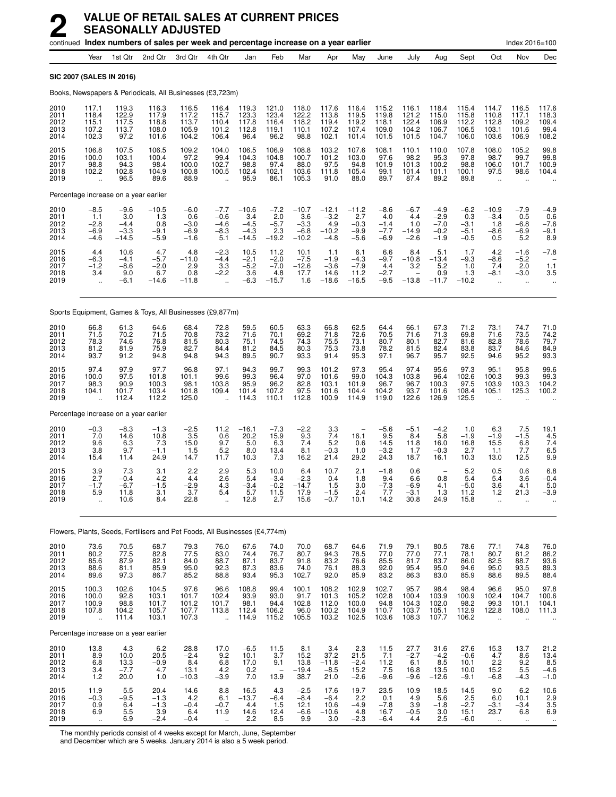|                                      | continued Index numbers of sales per week and percentage increase on a year earlier |                                              |                                           |                                             |                                                        |                                                   |                                            |                                               |                                               |                                              |                                             |                                           |                                                                         |                                             |                                                        | Index 2016=100                                                      |                                          |
|--------------------------------------|-------------------------------------------------------------------------------------|----------------------------------------------|-------------------------------------------|---------------------------------------------|--------------------------------------------------------|---------------------------------------------------|--------------------------------------------|-----------------------------------------------|-----------------------------------------------|----------------------------------------------|---------------------------------------------|-------------------------------------------|-------------------------------------------------------------------------|---------------------------------------------|--------------------------------------------------------|---------------------------------------------------------------------|------------------------------------------|
|                                      | Year                                                                                | 1st Qtr                                      | 2nd Qtr                                   | 3rd Qtr                                     | 4th Qtr                                                | Jan                                               | Feb                                        | Mar                                           | Apr                                           | May                                          | June                                        | July                                      | Aug                                                                     | Sept                                        | Oct                                                    | Nov                                                                 | Dec                                      |
|                                      | <b>SIC 2007 (SALES IN 2016)</b>                                                     |                                              |                                           |                                             |                                                        |                                                   |                                            |                                               |                                               |                                              |                                             |                                           |                                                                         |                                             |                                                        |                                                                     |                                          |
|                                      | Books, Newspapers & Periodicals, All Businesses (£3,723m)                           |                                              |                                           |                                             |                                                        |                                                   |                                            |                                               |                                               |                                              |                                             |                                           |                                                                         |                                             |                                                        |                                                                     |                                          |
| 2010<br>2011<br>2012<br>2013<br>2014 | 117.1<br>118.4<br>115.1<br>107.2<br>102.3                                           | 119.3<br>122.9<br>117.5<br>113.7<br>97.2     | 116.3<br>117.9<br>118.8<br>108.0<br>101.6 | 116.5<br>117.2<br>113.7<br>105.9<br>104.2   | 116.4<br>115.7<br>110.4<br>101.2<br>106.4              | 119.3<br>123.3<br>117.8<br>112.8<br>96.4          | 121.0<br>123.4<br>116.4<br>119.1<br>96.2   | 118.0<br>122.2<br>118.2<br>110.1<br>98.8      | 117.6<br>113.8<br>119.4<br>107.2<br>102.1     | 116.4<br>119.5<br>119.2<br>107.4<br>101.4    | 115.2<br>119.8<br>118.1<br>109.0<br>101.5   | 116.1<br>121.2<br>122.4<br>104.2<br>101.5 | 118.4<br>115.0<br>106.9<br>106.7<br>104.7                               | 115.4<br>115.8<br>112.2<br>106.5<br>106.0   | 114.7<br>110.8<br>112.8<br>103.1<br>103.6              | 116.5<br>117.1<br>109.2<br>101.6<br>106.9                           | 117.6<br>118.3<br>109.4<br>99.4<br>108.2 |
| 2015<br>2016<br>2017<br>2018<br>2019 | 106.8<br>100.0<br>98.8<br>102.2<br>$\ddot{\phantom{a}}$                             | 107.5<br>103.1<br>94.3<br>102.8<br>96.5      | 106.5<br>100.4<br>98.4<br>104.9<br>89.6   | 109.2<br>97.2<br>100.0<br>100.8<br>88.9     | 104.0<br>99.4<br>102.7<br>100.5                        | 106.5<br>104.3<br>98.8<br>102.4<br>95.9           | 106.9<br>104.8<br>97.4<br>102.1<br>86.1    | 108.8<br>100.7<br>88.0<br>103.6<br>105.3      | 103.2<br>101.2<br>97.5<br>111.8<br>91.0       | 107.6<br>103.0<br>94.8<br>105.4<br>88.0      | 108.1<br>97.6<br>101.9<br>99.1<br>89.7      | 110.1<br>98.2<br>101.3<br>101.4<br>87.4   | 110.0<br>95.3<br>100.2<br>101.1<br>89.2                                 | 107.8<br>97.8<br>98.8<br>100.1<br>89.8      | 108.0<br>98.7<br>106.0<br>97.5                         | 105.2<br>99.7<br>101.7<br>98.6                                      | 99.8<br>99.8<br>100.9<br>104.4           |
|                                      | Percentage increase on a year earlier                                               |                                              |                                           |                                             |                                                        |                                                   |                                            |                                               |                                               |                                              |                                             |                                           |                                                                         |                                             |                                                        |                                                                     |                                          |
| 2010<br>2011<br>2012<br>2013<br>2014 | $-8.5$<br>1.1<br>$-2.8$<br>$-6.9$<br>$-4.6$                                         | $-9.6$<br>3.0<br>$-4.4$<br>$-3.3$<br>$-14.5$ | $-10.5$<br>1.3<br>0.8<br>$-9.1$<br>$-5.9$ | $-6.0$<br>0.6<br>$-3.0$<br>$-6.9$<br>$-1.6$ | $-7.7$<br>$-0.6$<br>$-4.6$<br>$-8.3$<br>5.1            | $-10.6$<br>3.4<br>$-4.5$<br>$-4.3$<br>$-14.5$     | $-7.2$<br>2.0<br>$-5.7$<br>2.3<br>$-19.2$  | $-10.7$<br>3.6<br>$-3.3$<br>$-6.8$<br>$-10.2$ | $-12.1$<br>$-3.2$<br>4.9<br>$-10.2$<br>$-4.8$ | $-11.2$<br>2.7<br>$-0.3$<br>$-9.9$<br>$-5.6$ | $-8.6$<br>4.0<br>$-1.4$<br>$-7.7$<br>$-6.9$ | $-6.7$<br>4.4<br>1.0<br>$-14.9$<br>$-2.6$ | $-4.9$<br>$-2.9$<br>$-7.0$<br>$-0.2$<br>$-1.9$                          | $-6.2$<br>0.3<br>$-3.1$<br>$-5.1$<br>$-0.5$ | $-10.9$<br>$-3.4$<br>1.8<br>$-8.6$<br>0.5              | $-7.9$<br>0.5<br>-6.8<br>$-6.9$<br>5.2                              | $-4.9$<br>0.6<br>$-7.6$<br>$-9.1$<br>8.9 |
| 2015<br>2016<br>2017<br>2018<br>2019 | 4.4<br>$-6.3$<br>$-1.2$<br>3.4<br>ă,                                                | 10.6<br>$-4.1$<br>$-8.6$<br>9.0<br>$-6.1$    | 4.7<br>$-5.7$<br>$-2.0$<br>6.7<br>$-14.6$ | 4.8<br>$-11.0$<br>2.9<br>0.8<br>$-11.8$     | $-2.3$<br>$-4.4$<br>3.3<br>$-2.2$<br>ä,                | 10.5<br>$-2.1$<br>$-5.2$<br>3.6<br>$-6.3$         | 11.2<br>$-2.0$<br>$-7.0$<br>4.8<br>$-15.7$ | 10.1<br>$-7.5$<br>$-12.6$<br>17.7<br>1.6      | 1.1<br>$-1.9$<br>$-3.6$<br>14.6<br>$-18.6$    | 6.1<br>$-4.3$<br>$-7.9$<br>11.2<br>$-16.5$   | 6.6<br>$-9.7$<br>4.4<br>$-2.7$<br>$-9.5$    | 8.4<br>$-10.8$<br>3.2<br>$-13.8$          | 5.1<br>$-13.4$<br>5.2<br>0.9<br>$-11.7$                                 | 1.7<br>$-9.3$<br>1.0<br>1.3<br>$-10.2$      | 4.2<br>$-8.6$<br>7.4<br>$-8.1$<br>$\ddot{\phantom{a}}$ | $-1.6$<br>$-5.2$<br>2.0<br>$-3.0$<br>$\ddotsc$                      | $-7.8$<br>1.1<br>3.5                     |
|                                      | Sports Equipment, Games & Toys, All Businesses (£9,877m)                            |                                              |                                           |                                             |                                                        |                                                   |                                            |                                               |                                               |                                              |                                             |                                           |                                                                         |                                             |                                                        |                                                                     |                                          |
| 2010<br>2011<br>2012<br>2013<br>2014 | 66.8<br>71.5<br>78.3<br>81.2<br>93.7                                                | 61.3<br>70.2<br>74.6<br>81.9<br>91.2         | 64.6<br>71.5<br>76.8<br>75.9<br>94.8      | 68.4<br>70.8<br>81.5<br>82.7<br>94.8        | 72.8<br>73.2<br>80.3<br>84.4<br>94.3                   | 59.5<br>71.6<br>75.1<br>81.2<br>89.5              | 60.5<br>70.1<br>74.5<br>84.5<br>90.7       | 63.3<br>69.2<br>74.3<br>80.3<br>93.3          | 66.8<br>71.8<br>75.5<br>75.3<br>91.4          | 62.5<br>72.6<br>73.1<br>73.8<br>95.3         | 64.4<br>70.5<br>80.7<br>78.2<br>97.1        | 66.1<br>71.6<br>80.1<br>81.5<br>96.7      | 67.3<br>71.3<br>82.7<br>82.4<br>95.7                                    | 71.2<br>69.8<br>81.6<br>83.8<br>92.5        | 73.1<br>71.6<br>82.8<br>83.7<br>94.6                   | 74.7<br>73.5<br>78.6<br>84.6<br>95.2                                | 71.0<br>74.2<br>79.7<br>84.9<br>93.3     |
| 2015<br>2016<br>2017<br>2018<br>2019 | 97.4<br>100.0<br>98.3<br>104.1<br>$\ddotsc$                                         | 97.9<br>97.5<br>90.9<br>101.7<br>112.4       | 97.7<br>101.8<br>100.3<br>103.4<br>112.2  | 96.8<br>101.1<br>98.1<br>101.8<br>125.0     | 97.1<br>99.6<br>103.8<br>109.4<br>$\ddot{\phantom{a}}$ | 94.3<br>99.3<br>95.9<br>101.4<br>114.3            | 99.7<br>96.4<br>96.2<br>107.2<br>110.1     | 99.3<br>97.0<br>82.8<br>97.5<br>112.8         | 101.2<br>101.6<br>103.1<br>101.6<br>100.9     | 97.3<br>99.0<br>101.9<br>104.4<br>114.9      | 95.4<br>104.3<br>96.7<br>104.2<br>119.0     | 97.4<br>103.8<br>96.7<br>93.7<br>122.6    | 95.6<br>96.4<br>100.3<br>101.6<br>126.9                                 | 97.3<br>102.6<br>97.5<br>108.4<br>125.5     | 95.1<br>100.3<br>103.9<br>105.1                        | 95.8<br>99.3<br>103.3<br>125.3                                      | 99.6<br>99.3<br>104.2<br>100.2           |
|                                      | Percentage increase on a year earlier                                               |                                              |                                           |                                             |                                                        |                                                   |                                            |                                               |                                               |                                              |                                             |                                           |                                                                         |                                             |                                                        |                                                                     |                                          |
| 2010<br>2011<br>2012<br>2013<br>2014 | $-0.3$<br>7.0<br>9.6<br>3.8<br>15.4                                                 | $-8.3$<br>14.6<br>6.3<br>9.7<br>11.4         | $-1.3$<br>10.8<br>7.3<br>$-1.1$<br>24.9   | $-2.5$<br>3.5<br>15.0<br>1.5<br>14.7        | 11.2<br>0.6<br>9.7<br>5.2<br>11.7                      | $-16.1$<br>20.2<br>5.0<br>8.0<br>10.3             | $-7.3$<br>15.9<br>6.3<br>13.4<br>7.3       | $-2.2$<br>9.3<br>7.4<br>8.1<br>16.2           | 3.3<br>7.4<br>5.2<br>$-0.3$<br>21.4           | 16.1<br>0.6<br>1.0<br>29.2                   | $-5.6$<br>9.5<br>14.5<br>$-3.2$<br>24.3     | $-5.1$<br>8.4<br>11.8<br>1.7<br>18.7      | $-4.2$<br>5.8<br>16.0<br>$-0.3$<br>16.1                                 | 1.0<br>$-1.9$<br>16.8<br>2.7<br>10.3        | 6.3<br>$-1.9$<br>15.5<br>1.1<br>13.0                   | 7.5<br>$-1.5$<br>6.8<br>7.7<br>12.5                                 | 19.1<br>$\frac{4.5}{7.4}$<br>6.5<br>9.9  |
| 2015<br>2016<br>2017<br>2018<br>2019 | 3.9<br>2.7<br>$-1.7$<br>5.9<br>$\ddot{\phantom{a}}$                                 | 7.3<br>$-0.4$<br>$-6.7$<br>11.8<br>10.6      | 3.1<br>4.2<br>$-1.5$<br>3.1<br>8.4        | 2.2<br>4.4<br>$-2.9$<br>3.7<br>22.8         | 2.9<br>2.6<br>4.3<br>5.4                               | 5.3<br>5.4<br>$-3.4$<br>5.7<br>12.8               | 10.0<br>$-3.4$<br>$-0.2$<br>11.5<br>2.7    | 6.4<br>$-2.3$<br>$-14.7$<br>17.9<br>15.6      | 10.7<br>0.4<br>$1.5$<br>$-1.5$<br>$-0.7$      | 2.1<br>1.8<br>3.0<br>2.4<br>10.1             | $-1.8$<br>9.4<br>$-7.3$<br>7.7<br>14.2      | 0.6<br>6.6<br>-6.9<br>-3.1<br>30.8        | $\overline{\phantom{0}}$<br>0.8<br>4.1<br>1.3<br>24.9                   | 5.2<br>5.4<br>$-5.0$<br>11.2<br>15.8        | 0.5<br>5.4<br>3.6<br>$1.2$<br>$\ddot{\phantom{a}}$     | 0.6<br>3.6<br>4.1<br>21.3                                           | 6.8<br>$-0.4$<br>5.0<br>$-3.9$           |
|                                      | Flowers, Plants, Seeds, Fertilisers and Pet Foods, All Businesses (£4,774m)         |                                              |                                           |                                             |                                                        |                                                   |                                            |                                               |                                               |                                              |                                             |                                           |                                                                         |                                             |                                                        |                                                                     |                                          |
| 2010<br>2011<br>2012<br>2013<br>2014 | 73.6<br>80.2<br>85.6<br>88.6<br>89.6                                                | 70.5<br>77.5<br>87.9<br>81.1<br>97.3         | 68.7<br>82.8<br>82.1<br>85.9<br>86.7      | 79.3<br>$77.5$<br>84.0<br>95.0<br>85.2      | 76.0<br>83.0<br>88.7<br>92.3<br>88.8                   | 67.6<br>74.4<br>87.1<br>87.3<br>93.4              | 74.0<br>76.7<br>83.7<br>83.6<br>95.3       | 70.0<br>80.7<br>91.8<br>74.0<br>102.7         | 68.7<br>94.3<br>83.2<br>76.1<br>92.0          | 64.6<br>78.5<br>76.6<br>88.3<br>85.9         | 71.9<br>77.0<br>85.5<br>92.0<br>83.2        | 79.1<br>77.0<br>81.7<br>95.4<br>86.3      | 80.5<br>77.1<br>83.7<br>95.0<br>83.0                                    | 78.6<br>78.1<br>86.0<br>94.6<br>85.9        | 77.1<br>80.7<br>82.5<br>95.0<br>88.6                   | 74.8<br>$\begin{array}{c} 81.2 \\ 88.7 \end{array}$<br>93.5<br>89.5 | 76.0<br>86.2<br>93.6<br>89.3<br>88.4     |
| 2015<br>2016<br>2017<br>2018<br>2019 | 100.3<br>100.0<br>100.9<br>107.8<br>$\ddotsc$                                       | 102.6<br>92.8<br>98.8<br>104.2<br>111.4      | 104.5<br>103.1<br>101.7<br>105.7<br>103.1 | 97.6<br>101.7<br>101.2<br>107.7<br>107.3    | 96.6<br>102.4<br>101.7<br>113.8<br>$\bar{\mathbf{r}}$  | 108.8<br>93.9<br>98.1<br>112.4<br>114.9           | 99.4<br>93.0<br>94.4<br>106.2<br>115.2     | 100.1<br>91.7<br>102.8<br>96.0<br>105.5       | 108.2<br>101.3<br>112.0<br>100.2<br>103.2     | 102.9<br>105.2<br>100.0<br>104.9<br>102.5    | 102.7<br>102.8<br>94.8<br>110.7<br>103.6    | 95.7<br>100.4<br>104.3<br>103.7<br>108.3  | 98.4<br>103.9<br>102.0<br>105.1<br>107.7                                | 98.4<br>100.9<br>98.2<br>112.9<br>106.2     | 96.6<br>102.4<br>99.3<br>122.8<br>$\ddot{\phantom{a}}$ | 95.0<br>104.7<br>101.1<br>108.0                                     | 97.8<br>100.6<br>104.1<br>111.3          |
|                                      | Percentage increase on a year earlier                                               |                                              |                                           |                                             |                                                        |                                                   |                                            |                                               |                                               |                                              |                                             |                                           |                                                                         |                                             |                                                        |                                                                     |                                          |
| 2010<br>2011<br>2012<br>2013<br>2014 | 13.8<br>8.9<br>6.8<br>3.4<br>1.2                                                    | 4.3<br>10.0<br>$13.3 - 7.7$<br>20.0          | 6.2<br>20.5<br>$-0.9$<br>4.7<br>1.0       | 28.8<br>$-2.4$<br>8.4<br>13.1<br>$-10.3$    | 17.0<br>9.2<br>$6.8$<br>$4.2$<br>$-3.9$                | $-6.5$<br>10.1<br>17.0<br>$0.\overline{2}$<br>7.0 | 11.5<br>3.7<br>9.1<br>13.9                 | 8.1<br>15.2<br>13.8<br>$-19.4$<br>38.7        | 3.4<br>37.2<br>$-11.8$<br>$-8.5$<br>21.0      | 2.3<br>21.5<br>$-2.4$<br>15.2<br>$-2.6$      | 11.5<br>7.1<br>$^{11.2}_{7.5}$<br>$-9.6$    | 27.7<br>$-2.7$<br>6.1<br>16.8<br>$-9.6$   | 31.6<br>$-4.2$<br>$\begin{array}{c} 8.5 \\ 13.5 \end{array}$<br>$-12.6$ | 27.6<br>$-0.6$<br>10.1<br>10.0<br>$-9.1$    | 15.3<br>4.7<br>$2.2$<br>15.2<br>$-6.8$                 | 13.7<br>8.6<br>$\frac{9.2}{5.5}$<br>$-4.3$                          | 21.2<br>13.4<br>$8.5 - 4.6$<br>$-1.0$    |
| 2015<br>2016<br>2017<br>2018<br>2019 | 11.9<br>$-0.3$<br>0.9<br>6.9<br>$\sim$                                              | $5.5\,$<br>$-9.5$<br>$6.4$<br>5.5<br>6.9     | 20.4<br>$-1.3$<br>$-1.3$<br>3.9<br>$-2.4$ | 14.6<br>4.2<br>$-0.4$<br>6.4<br>$-0.4$      | 8.8<br>6.1<br>$-0.7$<br>11.9<br>à.                     | 16.5<br>$-13.7$<br>4.4<br>14.6<br>2.2             | 4.3<br>$-6.4$<br>1.5<br>12.4<br>8.5        | $-2.5$<br>$-8.4$<br>12.1<br>$-6.6$<br>9.9     | 17.6<br>$-6.4$<br>10.6<br>$-10.6$<br>3.0      | 19.7<br>2.2<br>$-4.9$<br>4.8<br>$-2.3$       | 23.5<br>0.1<br>$-7.8$<br>16.7<br>$-6.4$     | 10.9<br>4.9<br>$\frac{3.9}{-0.5}$<br>4.4  | 18.5<br>5.6<br>$-1.8$<br>3.0<br>2.5                                     | 14.5<br>2.5<br>$-2.7$<br>15.1<br>$-6.0$     | 9.0<br>6.0<br>$-3.1$<br>23.7<br>$\ddot{\phantom{1}}$   | 6.2<br>10.1<br>$-3.4$<br>6.8<br>$\ddot{\phantom{1}}$                | 10.6<br>2.9<br>3.5<br>6.9<br>$\ddotsc$   |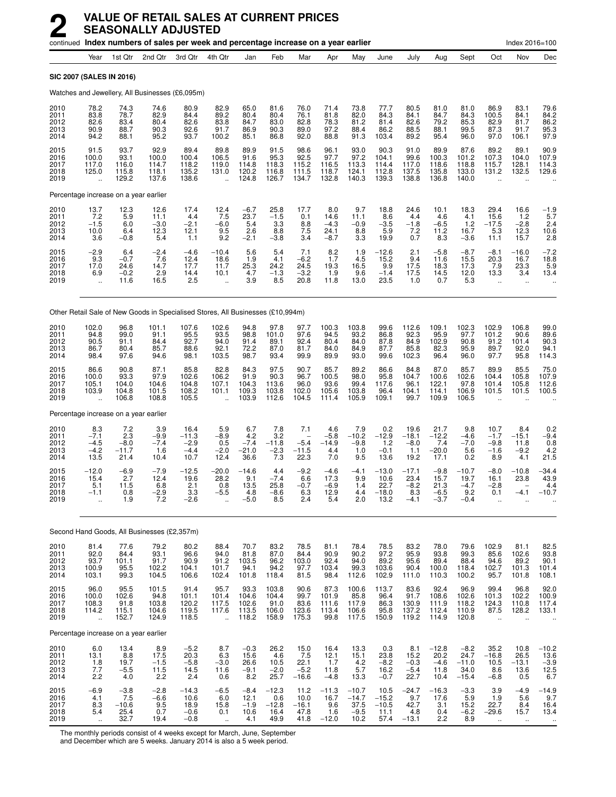| continued Index numbers of sales per week and percentage increase on a year earlier |                                                                                 |                                          |                                          |                                             |                                                         |                                          |                                                     |                                          |                                          |                                              |                                            |                                            | Index 2016=100                             |                                              |                                                       |                                                  |                                              |
|-------------------------------------------------------------------------------------|---------------------------------------------------------------------------------|------------------------------------------|------------------------------------------|---------------------------------------------|---------------------------------------------------------|------------------------------------------|-----------------------------------------------------|------------------------------------------|------------------------------------------|----------------------------------------------|--------------------------------------------|--------------------------------------------|--------------------------------------------|----------------------------------------------|-------------------------------------------------------|--------------------------------------------------|----------------------------------------------|
|                                                                                     | Year                                                                            | 1st Qtr                                  | 2nd Qtr                                  | 3rd Otr                                     | 4th Qtr                                                 | Jan                                      | Feb                                                 | Mar                                      | Apr                                      | May                                          | June                                       | July                                       | Aug                                        | Sept                                         | Oct                                                   | Nov                                              | Dec                                          |
|                                                                                     | SIC 2007 (SALES IN 2016)                                                        |                                          |                                          |                                             |                                                         |                                          |                                                     |                                          |                                          |                                              |                                            |                                            |                                            |                                              |                                                       |                                                  |                                              |
|                                                                                     | Watches and Jewellery, All Businesses (£6,095m)                                 |                                          |                                          |                                             |                                                         |                                          |                                                     |                                          |                                          |                                              |                                            |                                            |                                            |                                              |                                                       |                                                  |                                              |
| 2010<br>2011<br>2012<br>2013<br>2014                                                | 78.2<br>83.8<br>82.6<br>90.9<br>94.2                                            | 74.3<br>78.7<br>83.4<br>88.7<br>88.1     | 74.6<br>82.9<br>80.4<br>90.3<br>95.2     | 80.9<br>84.4<br>82.6<br>92.6<br>93.7        | 82.9<br>89.2<br>83.8<br>91.7<br>100.2                   | 65.0<br>80.4<br>84.7<br>86.9<br>85.1     | 81.6<br>80.4<br>83.0<br>90.3<br>86.8                | 76.0<br>76.1<br>82.8<br>89.0<br>92.0     | 71.4<br>81.8<br>78.3<br>97.2<br>88.8     | 73.8<br>82.0<br>81.2<br>88.4<br>91.3         | 77.7<br>84.3<br>81.4<br>86.2<br>103.4      | 80.5<br>84.1<br>82.6<br>88.5<br>89.2       | 81.0<br>84.7<br>79.2<br>88.1<br>95.4       | 81.0<br>84.3<br>85.3<br>99.5<br>96.0         | 86.9<br>100.5<br>82.9<br>87.3<br>97.0                 | 83.1<br>84.1<br>81.7<br>91.7<br>106.1            | 79.6<br>84.2<br>86.2<br>95.3<br>97.9         |
| 2015<br>2016<br>2017<br>2018<br>2019                                                | 91.5<br>100.0<br>117.0<br>125.0<br>$\ddot{\phantom{a}}$                         | 93.7<br>93.1<br>116.0<br>115.8<br>129.2  | 92.9<br>100.0<br>114.7<br>118.1<br>137.6 | 89.4<br>100.4<br>118.2<br>135.2<br>138.6    | 89.8<br>106.5<br>119.0<br>131.0<br>$\ddot{\phantom{a}}$ | 89.9<br>91.6<br>114.8<br>120.2<br>124.8  | 91.5<br>95.3<br>118.3<br>116.8<br>126.7             | 98.6<br>92.5<br>115.2<br>111.5<br>134.7  | 96.1<br>97.7<br>116.5<br>118.7<br>132.8  | 93.0<br>97.2<br>113.3<br>124.1<br>140.3      | 90.3<br>104.1<br>114.4<br>112.8<br>139.3   | 91.0<br>99.6<br>117.0<br>137.5<br>138.8    | 89.9<br>100.3<br>118.6<br>135.8<br>136.8   | 87.6<br>101.2<br>118.8<br>133.0<br>140.0     | 89.2<br>107.3<br>115.7<br>131.2                       | 89.1<br>104.0<br>128.1<br>132.5                  | 90.9<br>107.9<br>114.3<br>129.6              |
|                                                                                     | Percentage increase on a year earlier                                           |                                          |                                          |                                             |                                                         |                                          |                                                     |                                          |                                          |                                              |                                            |                                            |                                            |                                              |                                                       |                                                  |                                              |
| 2010<br>2011<br>2012<br>2013<br>2014                                                | 13.7<br>7.2<br>$-1.5$<br>10.0<br>3.6                                            | 12.3<br>5.9<br>6.0<br>6.4<br>$-0.8$      | 12.6<br>11.1<br>$-3.0$<br>12.3<br>5.4    | 17.4<br>4.4<br>$-2.1$<br>12.1<br>1.1        | $^{12.4}_{7.5}$<br>$-6.0$<br>9.5<br>9.2                 | $-6.7$<br>23.7<br>5.4<br>2.6<br>$-2.1$   | 25.8<br>$-1.5$<br>3.3<br>8.8<br>$-3.8$              | 17.7<br>0.1<br>8.8<br>7.5<br>3.4         | 8.0<br>14.6<br>$-4.3$<br>24.1<br>$-8.7$  | 9.7<br>11.1<br>$-0.9$<br>8.8<br>3.3          | 18.8<br>8.6<br>$-3.5$<br>5.9<br>19.9       | 24.6<br>4.4<br>$-1.8$<br>7.2<br>0.7        | 10.1<br>4.6<br>$-6.5$<br>11.2<br>8.3       | 18.3<br>4.1<br>1.2<br>16.7<br>$-3.6$         | 29.4<br>15.6<br>$-17.5$<br>5.3<br>11.1                | 16.6<br>1.2<br>$-2.8$<br>12.3<br>15.7            | $-1.9$<br>5.7<br>2.4<br>$\frac{10.6}{2.8}$   |
| 2015<br>2016<br>2017<br>2018<br>2019                                                | $-2.9$<br>9.3<br>17.0<br>6.9<br>$\ddot{\phantom{a}}$                            | 6.4<br>$-0.7$<br>24.6<br>$-0.2$<br>11.6  | $-2.4$<br>7.6<br>14.7<br>2.9<br>16.5     | $-4.6$<br>12.4<br>17.7<br>14.4<br>2.5       | $-10.4$<br>18.6<br>11.7<br>10.1<br>$\ddot{\phantom{a}}$ | 5.6<br>1.9<br>25.3<br>4.7<br>3.9         | 5.4<br>4.1<br>24.2<br>$-1.3$<br>8.5                 | 7.1<br>$-6.2$<br>24.5<br>$-3.2$<br>20.8  | $^{8.2}_{1.7}$<br>19.3<br>1.9<br>11.8    | $\frac{1.9}{4.5}$<br>16.5<br>9.6<br>13.0     | $-12.6$<br>15.2<br>9.9<br>$-1.4$<br>23.5   | 2.1<br>9.4<br>17.5<br>17.5<br>1.0          | $-5.8$<br>11.6<br>18.3<br>14.5<br>0.7      | $-8.7$<br>15.5<br>17.3<br>12.0<br>5.3        | $-8.1$<br>20.3<br>7.9<br>13.3<br>$\ddot{\phantom{a}}$ | $-16.0$<br>16.7<br>23.3<br>3.4<br>$\ddotsc$      | $-7.2$<br>18.8<br>5.9<br>13.4                |
|                                                                                     | Other Retail Sale of New Goods in Specialised Stores, All Businesses (£10,994m) |                                          |                                          |                                             |                                                         |                                          |                                                     |                                          |                                          |                                              |                                            |                                            |                                            |                                              |                                                       |                                                  |                                              |
| 2010<br>2011<br>2012<br>2013<br>2014                                                | 102.0<br>94.8<br>90.5<br>86.7<br>98.4                                           | 96.8<br>99.0<br>91.1<br>80.4<br>97.6     | 101.1<br>91.1<br>84.4<br>85.7<br>94.6    | 107.6<br>95.5<br>92.7<br>88.6<br>98.1       | 102.6<br>93.5<br>94.0<br>92.1<br>103.5                  | 94.8<br>98.8<br>91.4<br>72.2<br>98.7     | $97.8$<br>101.0<br>89.1<br>87.0<br>93.4             | 97.7<br>97.6<br>92.4<br>81.7<br>99.9     | 100.3<br>94.5<br>80.4<br>84.0<br>89.9    | 103.8<br>93.2<br>84.0<br>84.9<br>93.0        | 99.6<br>86.8<br>87.8<br>87.7<br>99.6       | 112.6<br>92.3<br>84.9<br>85.8<br>102.3     | 109.1<br>95.9<br>102.9<br>82.3<br>96.4     | 102.3<br>97.7<br>90.8<br>95.9<br>96.0        | 102.9<br>101.2<br>91.2<br>89.7<br>97.7                | 106.8<br>90.6<br>101.4<br>92.0<br>95.8           | 99.0<br>89.6<br>90.3<br>$94.1$<br>114.3      |
| 2015<br>2016<br>2017<br>2018<br>2019                                                | 86.6<br>100.0<br>105.1<br>103.9<br>$\ddotsc$                                    | 90.8<br>93.3<br>104.0<br>104.8<br>106.8  | 87.1<br>97.9<br>104.6<br>101.5<br>108.8  | 85.8<br>102.6<br>104.8<br>108.2<br>105.5    | 82.8<br>106.2<br>107.1<br>101.1                         | 84.3<br>91.9<br>104.3<br>109.3<br>103.9  | 97.5<br>90.3<br>113.6<br>103.8<br>112.6             | 90.7<br>96.7<br>96.0<br>102.0<br>104.5   | 85.7<br>100.5<br>93.6<br>105.6<br>111.4  | 89.2<br>98.0<br>99.4<br>103.8<br>105.9       | 86.6<br>95.8<br>117.6<br>96.4<br>109.1     | 84.8<br>104.7<br>96.1<br>104.1<br>99.7     | 87.0<br>100.6<br>122.1<br>114.1<br>109.9   | 85.7<br>102.6<br>97.8<br>106.9<br>106.5      | 89.9<br>104.4<br>101.4<br>101.5                       | 85.5<br>105.8<br>105.8<br>101.5                  | 75.0<br>107.9<br>112.6<br>100.5              |
|                                                                                     | Percentage increase on a year earlier                                           |                                          |                                          |                                             |                                                         |                                          |                                                     |                                          |                                          |                                              |                                            |                                            |                                            |                                              |                                                       |                                                  |                                              |
| 2010<br>2011<br>2012<br>2013<br>2014                                                | 8.3<br>$-7.1$<br>$-4.5$<br>$-4.2$<br>13.5                                       | 7.2<br>2.3<br>$-8.0$<br>$-11.7$<br>21.4  | 3.9<br>$-9.9$<br>$-7.4$<br>1.6<br>10.4   | 16.4<br>$-11.3$<br>$-2.9$<br>$-4.4$<br>10.7 | 5.9<br>$-8.9$<br>0.5<br>$-2.0$<br>12.4                  | 6.7<br>4.2<br>$-7.4$<br>$-21.0$<br>36.6  | 7.8<br>3.2<br>$-11.8$<br>$-2.3$<br>$7.\overline{3}$ | 7.1<br>$-5.4$<br>$-11.5$<br>22.3         | 4.6<br>$-5.8$<br>$-14.9$<br>4.4<br>7.0   | 7.9<br>$-10.2$<br>$-9.8$<br>1.0<br>9.5       | 0.2<br>$-12.9$<br>1.2<br>$-0.1$<br>13.6    | 19.6<br>$-18.1$<br>$-8.0$<br>1.1<br>19.2   | 21.7<br>$-12.2$<br>7.4<br>$-20.0$<br>17.1  | 9.8<br>$-4.6$<br>$-7.0$<br>5.6<br>0.2        | 10.7<br>$-1.7$<br>$-9.8$<br>$-1.6$<br>8.9             | 8.4<br>$-15.1$<br>11.8<br>$-9.2$<br>4.1          | 0.2<br>$-9.4$<br>0.8<br>4.2<br>21.5          |
| 2015<br>2016<br>2017<br>2018<br>2019                                                | $-12.0$<br>15.4<br>5.1<br>$-1.1$                                                | $-6.9$<br>2.7<br>11.5<br>0.8<br>1.9      | $-7.9$<br>12.4<br>6.8<br>$-2.9$<br>7.2   | $-12.5$<br>19.6<br>2.1<br>3.3<br>-2.6       | $-20.0$<br>28.2<br>0.8<br>$-5.5$                        | $-14.6$<br>9.1<br>13.5<br>4.8<br>$-5.0$  | 4.4<br>$-7.4$<br>25.8<br>$-8.6$<br>8.5              | $-9.2$<br>6.6<br>$-0.7$<br>6.3<br>2.4    | $-4.6$<br>17.3<br>$-6.9$<br>12.9<br>5.4  | $-4.1$<br>9.9<br>1.4<br>4.4<br>2.0           | $-13.0$<br>10.6<br>22.7<br>$-18.0$<br>13.2 | $-17.1$<br>23.4<br>$-8.2$<br>8.3<br>$-4.1$ | $-9.8$<br>15.7<br>21.3<br>$-6.5$<br>$-3.7$ | $-10.7$<br>19.7<br>$-4.7$<br>9.2<br>$-0.4$   | $-8.0$<br>16.1<br>$-2.8$<br>0.1                       | $-10.8$<br>23.8<br>$-4.1$                        | -34.4<br>43.9<br>4.4<br>$-10.7$              |
|                                                                                     | Second Hand Goods, All Businesses (£2,357m)                                     |                                          |                                          |                                             |                                                         |                                          |                                                     |                                          |                                          |                                              |                                            |                                            |                                            |                                              |                                                       |                                                  |                                              |
| 2010<br>2011<br>2012<br>2013<br>2014                                                | 81.4<br>92.0<br>93.7<br>100.9<br>103.1                                          | 77.6<br>84.4<br>101.1<br>95.5<br>99.3    | 79.2<br>93.1<br>91.7<br>102.2<br>104.5   | 80.2<br>96.6<br>90.9<br>104.1<br>106.6      | 88.4<br>94.0<br>91.2<br>101.7<br>102.4                  | 70.7<br>81.8<br>103.5<br>94.1<br>101.8   | 83.2<br>87.0<br>96.2<br>94.2<br>118.4               | 78.5<br>84.4<br>103.0<br>97.7<br>81.5    | 81.1<br>90.9<br>92.4<br>103.4<br>98.4    | 78.4<br>90.2<br>94.0<br>99.3<br>112.6        | 78.5<br>97.2<br>89.2<br>103.6<br>102.9     | 83.2<br>95.9<br>95.6<br>90.4<br>111.0      | 78.0<br>93.8<br>89.4<br>100.0<br>110.3     | 79.6<br>99.3<br>88.4<br>118.4<br>100.2       | 102.9<br>85.6<br>94.6<br>102.7<br>95.7                | 81.1<br>102.6<br>89.2<br>101.3<br>101.8          | 82.5<br>93.8<br>90.1<br>101.4<br>108.1       |
| 2015<br>2016<br>2017<br>2018<br>2019                                                | 96.0<br>100.0<br>108.3<br>114.2<br>$\ddot{\phantom{a}}$                         | 95.5<br>102.6<br>91.8<br>115.1<br>152.7  | 101.5<br>94.8<br>103.8<br>104.6<br>124.9 | 91.4<br>101.1<br>120.2<br>119.5<br>118.5    | 95.7<br>101.4<br>117.5<br>117.6                         | 93.3<br>104.6<br>102.6<br>113.5<br>118.2 | 103.8<br>104.4<br>91.0<br>106.0<br>158.9            | 90.6<br>99.7<br>83.6<br>123.6<br>175.3   | 87.3<br>101.9<br>111.6<br>113.4<br>99.8  | 100.6<br>85.8<br>117.9<br>106.6<br>117.5     | 113.7<br>96.4<br>86.3<br>95.8<br>150.9     | 83.6<br>91.7<br>130.9<br>137.2<br>119.2    | 92.4<br>108.6<br>111.9<br>112.4<br>114.9   | 96.9<br>102.6<br>118.2<br>110.9<br>120.8     | 99.4<br>101.3<br>124.3<br>87.5                        | 96.8<br>102.2<br>110.8<br>128.2                  | 92.0<br>100.9<br>117.4<br>133.1              |
|                                                                                     | Percentage increase on a year earlier                                           |                                          |                                          |                                             |                                                         |                                          |                                                     |                                          |                                          |                                              |                                            |                                            |                                            |                                              |                                                       |                                                  |                                              |
| 2010<br>2011<br>2012<br>2013<br>2014                                                | 6.0<br>13.1<br>$\frac{1.8}{7.7}$<br>2.2                                         | 13.4<br>8.8<br>19.7<br>$-5.5$<br>4.0     | 8.9<br>17.5<br>$-1.5$<br>11.5<br>2.2     | $-5.2$<br>20.3<br>$-5.8$<br>14.5<br>2.4     | 8.7<br>6.3<br>$-3.0$<br>11.6<br>0.6                     | $-0.3$<br>15.6<br>26.6<br>$-9.1$<br>8.2  | 26.2<br>4.6<br>10.5<br>$-2.0$<br>25.7               | 15.0<br>7.5<br>22.1<br>$-5.2$<br>$-16.6$ | 16.4<br>12.1<br>1.7<br>11.8<br>$-4.8$    | 13.3<br>15.1<br>$\frac{4.2}{5.7}$<br>13.3    | 0.3<br>23.8<br>$-8.2$<br>16.2<br>$-0.7$    | 8.1<br>15.2<br>$-0.3$<br>$-5.4$<br>22.7    | $-12.8$<br>20.2<br>$-4.6$<br>11.8<br>10.4  | $-8.2$<br>24.7<br>$-11.0$<br>34.0<br>$-15.4$ | 35.2<br>$-16.8$<br>10.5<br>8.6<br>$-6.8$              | 10.8<br>26.5<br>$-13.1$<br>13.6<br>0.5           | $-10.2$<br>$13.6 - 3.9 - 12.5 - 12.5$<br>6.7 |
| 2015<br>2016<br>2017<br>2018<br>2019                                                | $-6.9$<br>4.1<br>8.3<br>5.4<br>$\ddotsc$                                        | $-3.8$<br>7.5<br>$-10.6$<br>25.4<br>32.7 | $-2.8$<br>$-6.6$<br>9.5<br>0.7<br>19.4   | $-14.3$<br>10.6<br>18.9<br>$-0.6$<br>$-0.8$ | $-6.5$<br>6.0<br>15.8<br>0.1<br>$\ddotsc$               | $-8.4$<br>12.1<br>$-1.9$<br>10.6<br>4.1  | $-12.3$<br>0.6<br>$-12.8$<br>16.4<br>49.9           | 11.2<br>10.0<br>$-16.1$<br>47.8<br>41.8  | $-11.3$<br>16.7<br>9.6<br>1.6<br>$-12.0$ | $-10.7$<br>$-14.7$<br>37.5<br>$-9.5$<br>10.2 | 10.5<br>$-15.2$<br>$-10.5$<br>11.1<br>57.4 | $-24.7$<br>9.7<br>42.7<br>4.8<br>$-13.1$   | $-16.3$<br>17.6<br>3.1<br>0.4<br>2.2       | $-3.3$<br>5.9<br>15.2<br>$-6.2$<br>8.9       | 3.9<br>1.9<br>22.7<br>$-29.6$<br>$\bullet\bullet$     | $-4.9$<br>5.6<br>8.4<br>15.7<br>$\bullet\bullet$ | $-14.9$<br>9.7<br>16.4<br>13.4<br>$\ddotsc$  |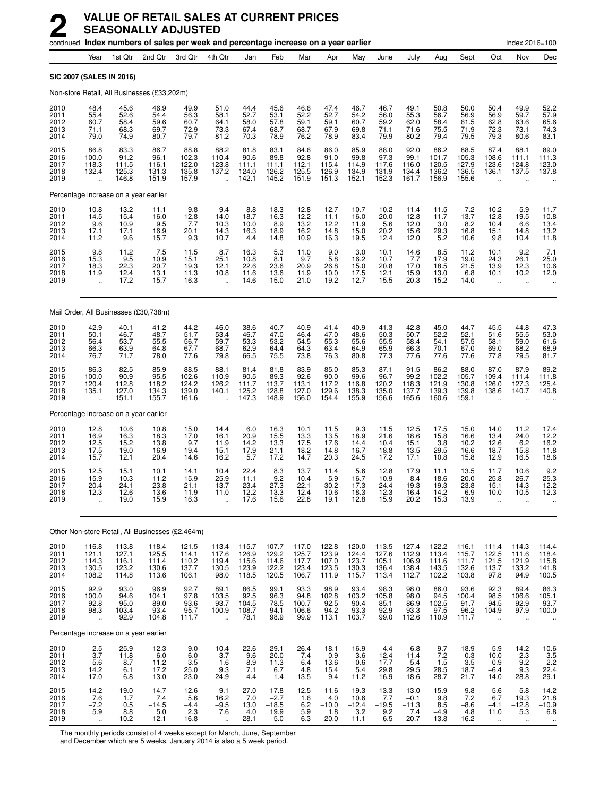|                                      | continued Index numbers of sales per week and percentage increase on a year earlier |                                                  |                                           |                                               |                                                         |                                           |                                             |                                           |                                           |                                           |                                           |                                             |                                               |                                                | Index 2016=100                                        |                                               |                                             |
|--------------------------------------|-------------------------------------------------------------------------------------|--------------------------------------------------|-------------------------------------------|-----------------------------------------------|---------------------------------------------------------|-------------------------------------------|---------------------------------------------|-------------------------------------------|-------------------------------------------|-------------------------------------------|-------------------------------------------|---------------------------------------------|-----------------------------------------------|------------------------------------------------|-------------------------------------------------------|-----------------------------------------------|---------------------------------------------|
|                                      | Year                                                                                | 1st Qtr                                          | 2nd Qtr                                   | 3rd Qtr                                       | 4th Qtr                                                 | Jan                                       | Feb                                         | Mar                                       | Apr                                       | May                                       | June                                      | July                                        | Aug                                           | Sept                                           | Oct                                                   | Nov                                           | Dec                                         |
| SIC 2007 (SALES IN 2016)             |                                                                                     |                                                  |                                           |                                               |                                                         |                                           |                                             |                                           |                                           |                                           |                                           |                                             |                                               |                                                |                                                       |                                               |                                             |
|                                      |                                                                                     | Non-store Retail, All Businesses (£33,202m)      |                                           |                                               |                                                         |                                           |                                             |                                           |                                           |                                           |                                           |                                             |                                               |                                                |                                                       |                                               |                                             |
| 2010<br>2011<br>2012<br>2013<br>2014 | 48.4<br>55.4<br>60.7<br>71.1<br>79.0                                                | 45.6<br>52.6<br>58.4<br>68.3<br>74.9             | 46.9<br>54.4<br>59.6<br>69.7<br>80.7      | 49.9<br>56.3<br>60.7<br>72.9<br>79.7          | 51.0<br>58.1<br>64.1<br>73.3<br>81.2                    | 44.4<br>52.7<br>58.0<br>67.4<br>70.3      | 45.6<br>53.1<br>57.8<br>68.7<br>78.9        | 46.6<br>52.2<br>59.1<br>68.7<br>76.2      | 47.4<br>52.7<br>59.1<br>67.9<br>78.9      | 46.7<br>54.2<br>60.7<br>69.8<br>83.4      | 46.7<br>56.0<br>59.2<br>71.1<br>79.9      | 49.1<br>55.3<br>62.0<br>71.6<br>80.2        | 50.8<br>56.7<br>58.4<br>75.5<br>79.4          | 50.0<br>56.9<br>61.5<br>71.9<br>79.5           | 50.4<br>56.9<br>62.8<br>72.3<br>79.3                  | 49.9<br>59.7<br>63.6<br>73.1<br>80.6          | 52.2<br>57.9<br>65.6<br>74.3<br>83.1        |
| 2015<br>2016<br>2017<br>2018<br>2019 | 86.8<br>100.0<br>118.3<br>132.4<br>ă,                                               | 83.3<br>91.2<br>111.5<br>125.3<br>146.8          | 86.7<br>96.1<br>116.1<br>131.3<br>151.9   | 88.8<br>102.3<br>122.0<br>135.8<br>157.9      | 88.2<br>110.4<br>123.8<br>137.2<br>$\ddot{\phantom{a}}$ | 81.8<br>90.6<br>111.1<br>124.0<br>142.1   | 83.1<br>89.8<br>111.1<br>126.2<br>145.2     | 84.6<br>92.8<br>112.1<br>125.5<br>151.9   | 86.0<br>91.0<br>115.4<br>126.9<br>151.3   | 85.9<br>99.8<br>114.9<br>134.9<br>152.1   | 88.0<br>97.3<br>117.6<br>131.9<br>152.3   | 92.0<br>99.1<br>116.0<br>134.4<br>161.7     | 86.2<br>101.7<br>120.5<br>136.2<br>156.9      | 88.5<br>105.3<br>127.9<br>136.5<br>155.6       | 87.4<br>108.6<br>123.6<br>136.1                       | 88.1<br>111.1<br>124.8<br>137.5               | 89.0<br>111.3<br>123.0<br>137.8             |
|                                      |                                                                                     | Percentage increase on a year earlier            |                                           |                                               |                                                         |                                           |                                             |                                           |                                           |                                           |                                           |                                             |                                               |                                                |                                                       |                                               |                                             |
| 2010<br>2011<br>2012<br>2013<br>2014 | 10.8<br>14.5<br>9.6<br>17.1<br>11.2                                                 | 13.2<br>15.4<br>10.9<br>17.1<br>9.6              | 11.1<br>16.0<br>9.5<br>16.9<br>15.7       | 9.8<br>12.8<br>7.7<br>20.1<br>9.3             | 9.4<br>14.0<br>10.3<br>14.3<br>10.7                     | 8.8<br>18.7<br>10.0<br>16.3<br>4.4        | 18.3<br>16.3<br>8.9<br>18.9<br>14.8         | 12.8<br>12.2<br>13.2<br>16.2<br>10.9      | $12.7$<br>$11.1$<br>12.2<br>14.8<br>16.3  | 10.7<br>16.0<br>11.9<br>15.0<br>19.5      | 10.2<br>20.0<br>5.6<br>20.2<br>12.4       | 11.4<br>12.8<br>12.0<br>15.6<br>12.0        | 11.5<br>11.7<br>3.0<br>29.3<br>5.2            | 7.2<br>13.7<br>8.2<br>16.8<br>10.6             | 10.2<br>12.8<br>10.4<br>15.1<br>9.8                   | 5.9<br>19.5<br>6.6<br>14.8<br>10.4            | 11.7<br>10.8<br>13.4<br>13.2<br>11.8        |
| 2015<br>2016<br>2017<br>2018<br>2019 | 9.8<br>15.3<br>18.3<br>11.9<br>$\ddot{\phantom{a}}$                                 | $^{11.2}_{9.5}$<br>22.3<br>12.4<br>17.2          | 7.5<br>10.9<br>20.7<br>13.1<br>15.7       | 11.5<br>15.1<br>19.3<br>11.3<br>16.3          | 8.7<br>25.1<br>12.1<br>10.8<br>$\ddot{\phantom{a}}$     | 16.3<br>10.8<br>22.6<br>11.6<br>14.6      | 5.3<br>8.1<br>23.6<br>13.6<br>15.0          | 11.0<br>9.7<br>20.9<br>11.9<br>21.0       | 9.0<br>5.8<br>26.8<br>10.0<br>19.2        | 3.0<br>16.2<br>15.0<br>17.5<br>12.7       | 10.1<br>10.7<br>20.8<br>12.1<br>15.5      | 14.6<br>7.7<br>17.0<br>15.9<br>20.3         | 8.5<br>17.9<br>18.5<br>13.0<br>15.2           | 11.2<br>19.0<br>21.5<br>6.8<br>14.0            | 10.1<br>24.3<br>13.9<br>10.1<br>$\ddot{\phantom{a}}$  | 9.2<br>26.1<br>12.3<br>10.2<br>$\ddotsc$      | $7.1$<br>25.0<br>10.6<br>12.0<br>           |
|                                      |                                                                                     | Mail Order, All Businesses (£30,738m)            |                                           |                                               |                                                         |                                           |                                             |                                           |                                           |                                           |                                           |                                             |                                               |                                                |                                                       |                                               |                                             |
| 2010<br>2011<br>2012<br>2013<br>2014 | 42.9<br>50.1<br>56.4<br>66.3<br>76.7                                                | 40.1<br>46.7<br>53.7<br>63.9<br>71.7             | 41.2<br>48.7<br>55.5<br>64.8<br>78.0      | 44.2<br>51.7<br>56.7<br>67.7<br>77.6          | 46.0<br>53.4<br>59.7<br>68.7<br>79.8                    | 38.6<br>46.7<br>53.3<br>62.9<br>66.5      | 40.7<br>47.0<br>53.2<br>64.4<br>75.5        | 40.9<br>46.4<br>54.5<br>64.3<br>73.8      | 41.4<br>47.0<br>55.3<br>63.4<br>76.3      | 40.9<br>48.6<br>55.6<br>64.9<br>80.8      | 41.3<br>50.3<br>55.5<br>65.9<br>77.3      | 42.8<br>50.7<br>58.4<br>66.3<br>77.6        | 45.0<br>52.2<br>54.1<br>70.1<br>77.6          | 44.7<br>52.1<br>57.5<br>67.0<br>77.6           | 45.5<br>51.6<br>58.1<br>69.0<br>77.8                  | 44.8<br>55.5<br>59.0<br>68.2<br>79.5          | 47.3<br>53.0<br>61.6<br>68.9<br>81.7        |
| 2015<br>2016<br>2017<br>2018<br>2019 | 86.3<br>100.0<br>120.4<br>135.1                                                     | 82.5<br>90.9<br>112.8<br>127.0<br>151.1          | 85.9<br>95.5<br>118.2<br>134.3<br>155.7   | 88.5<br>102.6<br>124.2<br>139.0<br>161.6      | 88.1<br>110.9<br>126.2<br>140.1                         | 81.4<br>90.5<br>111.7<br>125.2<br>147.3   | 81.8<br>89.3<br>113.7<br>128.8<br>148.9     | 83.9<br>92.6<br>113.1<br>127.0<br>156.0   | 85.0<br>90.0<br>117.2<br>129.6<br>154.4   | 85.3<br>99.6<br>116.8<br>138.3<br>155.9   | 87.1<br>96.7<br>120.2<br>135.0<br>156.6   | 91.5<br>99.2<br>118.3<br>137.7<br>165.6     | 86.2<br>102.2<br>121.9<br>139.3<br>160.6      | 88.0<br>105.7<br>130.8<br>139.8<br>159.1       | 87.0<br>109.4<br>126.0<br>138.6                       | 87.9<br>111.4<br>127.3<br>140.7               | 89.2<br>111.8<br>125.4<br>140.8             |
|                                      |                                                                                     | Percentage increase on a year earlier            |                                           |                                               |                                                         |                                           |                                             |                                           |                                           |                                           |                                           |                                             |                                               |                                                |                                                       |                                               |                                             |
| 2010<br>2011<br>2012<br>2013<br>2014 | 12.8<br>16.9<br>12.5<br>17.5<br>15.7                                                | 10.6<br>16.3<br>15.2<br>19.0<br>12.1             | 10.8<br>18.3<br>13.8<br>16.9<br>20.4      | 15.0<br>17.0<br>9.7<br>19.4<br>14.6           | 14.4<br>16.1<br>11.9<br>15.1<br>16.2                    | 6.0<br>20.9<br>14.2<br>17.9<br>5.7        | 16.3<br>15.5<br>13.3<br>21.1<br>17.2        | 10.1<br>13.3<br>17.5<br>18.2<br>14.7      | 11.5<br>13.5<br>17.6<br>14.8<br>20.3      | 9.3<br>18.9<br>14.4<br>16.7<br>24.5       | 11.5<br>21.6<br>10.4<br>18.8<br>17.2      | 12.5<br>18.6<br>15.1<br>13.5<br>17.1        | 17.5<br>15.8<br>3.8<br>29.5<br>10.8           | 15.0<br>16.6<br>10.2<br>16.6<br>15.8           | 14.0<br>13.4<br>12.6<br>18.7<br>12.9                  | 11.2<br>24.0<br>6.2<br>15.8<br>16.5           | 17.4<br>12.2<br>16.2<br>11.8<br>18.6        |
| 2015<br>2016<br>2017<br>2018<br>2019 | 12.5<br>15.9<br>20.4<br>12.3<br>ä,                                                  | 15.1<br>10.3<br>24.1<br>12.6<br>19.0             | 10.1<br>11.2<br>23.8<br>13.6<br>15.9      | 14.1<br>15.9<br>21.1<br>11.9<br>16.3          | 10.4<br>25.9<br>13.7<br>11.0<br>$\ddot{\phantom{a}}$    | 22.4<br>11.1<br>23.4<br>12.2<br>17.6      | 8.3<br>9.2<br>27.3<br>13.3<br>15.6          | 13.7<br>10.4<br>22.1<br>12.4<br>22.8      | 11.4<br>5.9<br>30.2<br>10.6<br>19.1       | 5.6<br>16.7<br>17.3<br>18.3<br>12.8       | 12.8<br>10.9<br>24.4<br>12.3<br>15.9      | 17.9<br>8.4<br>19.3<br>16.4<br>20.2         | 11.1<br>18.6<br>19.3<br>14.2<br>15.3          | 13.5<br>20.0<br>23.8<br>6.9<br>13.9            | 11.7<br>25.8<br>15.1<br>10.0<br>$\ddot{\phantom{a}}$  | 10.6<br>26.7<br>14.3<br>10.5                  | 9.2<br>25.3<br>12.2<br>12.3                 |
|                                      |                                                                                     | Other Non-store Retail, All Businesses (£2,464m) |                                           |                                               |                                                         |                                           |                                             |                                           |                                           |                                           |                                           |                                             |                                               |                                                |                                                       |                                               |                                             |
| 2010<br>2011<br>2012<br>2013<br>2014 | 116.8<br>121.1<br>114.3<br>130.5<br>108.2                                           | 113.8<br>127.1<br>116.1<br>123.2<br>114.8        | 118.4<br>125.5<br>111.4<br>130.6<br>113.6 | 121.5<br>114.1<br>110.2<br>137.7<br>106.1     | 113.4<br>117.6<br>119.4<br>130.5<br>98.0                | 115.7<br>126.9<br>115.6<br>123.9<br>118.5 | 107.7<br>129.2<br>114.6<br>122.2<br>120.5   | 117.0<br>125.7<br>117.7<br>123.4<br>106.7 | 122.8<br>123.9<br>107.0<br>123.5<br>111.9 | 120.0<br>124.4<br>123.7<br>130.3<br>115.7 | 113.5<br>127.6<br>105.1<br>136.4<br>113.4 | 127.4<br>112.9<br>106.9<br>138.4<br>112.7   | 122.2<br>113.4<br>111.6<br>143.5<br>102.2     | 116.1<br>115.7<br>111.7<br>132.6<br>103.8      | 111.4<br>122.5<br>121.5<br>113.7<br>97.8              | 114.3<br>111.6<br>121.9<br>133.2<br>94.9      | 114.4<br>118.4<br>115.8<br>141.8<br>100.5   |
| 2015<br>2016<br>2017<br>2018<br>2019 | 92.9<br>100.0<br>92.8<br>98.3<br>$\ddotsc$                                          | 93.0<br>94.6<br>95.0<br>103.4<br>92.9            | 96.9<br>104.1<br>89.0<br>93.4<br>104.8    | 92.7<br>97.8<br>93.6<br>95.7<br>111.7         | 89.1<br>103.5<br>93.7<br>100.9<br>$\ddot{\phantom{a}}$  | 86.5<br>92.5<br>104.5<br>108.7<br>78.1    | 99.1<br>96.3<br>78.5<br>94.1<br>98.9        | 93.3<br>94.8<br>100.7<br>106.6<br>99.9    | 98.9<br>102.8<br>92.5<br>94.2<br>113.1    | 93.4<br>103.2<br>90.4<br>93.3<br>103.7    | 98.3<br>105.8<br>85.1<br>92.9<br>99.0     | 98.0<br>98.0<br>86.9<br>93.3<br>112.6       | 86.0<br>94.5<br>102.5<br>97.5<br>110.9        | 93.6<br>100.4<br>91.7<br>96.2<br>111.7         | 92.3<br>98.5<br>94.5<br>104.9<br>$\ddot{\phantom{a}}$ | 89.4<br>106.6<br>92.9<br>97.9                 | 86.3<br>105.1<br>93.7<br>100.0              |
|                                      |                                                                                     | Percentage increase on a year earlier            |                                           |                                               |                                                         |                                           |                                             |                                           |                                           |                                           |                                           |                                             |                                               |                                                |                                                       |                                               |                                             |
| 2010<br>2011<br>2012<br>2013<br>2014 | $\frac{2.5}{3.7}$<br>$-5.6$<br>14.2<br>$-17.0$                                      | 25.9<br>11.8<br>$-8.7$<br>6.1<br>$-6.8$          | 12.3<br>6.0<br>$-11.2$<br>17.2<br>$-13.0$ | $-9.0$<br>$-6.0$<br>$-3.5$<br>25.0<br>$-23.0$ | $-10.4$<br>3.7<br>1.6<br>9.3<br>$-24.9$                 | 22.6<br>9.6<br>$-8.9$<br>7.1<br>$-4.4$    | 29.1<br>20.0<br>$-11.3$<br>6.7<br>$-1.4$    | 26.4<br>7.4<br>$-6.4$<br>4.8<br>$-13.5$   | 18.1<br>0.9<br>$-13.6$<br>15.4<br>$-9.4$  | 16.9<br>3.6<br>$-0.6$<br>5.4<br>$-11.2$   | 4.4<br>12.4<br>$-17.7$<br>29.8<br>$-16.9$ | 6.8<br>$-11.4$<br>$-5.4$<br>29.5<br>$-18.6$ | $-9.7$<br>$-7.2$<br>$-1.5$<br>28.5<br>$-28.7$ | $-18.9$<br>$-0.3$<br>$-3.5$<br>18.7<br>$-21.7$ | $-5.9$<br>10.0<br>$-0.9$<br>$-6.4$<br>$-14.0$         | $-14.2$<br>$-2.3$<br>9.2<br>9.3<br>$-28.8$    | $-10.6$<br>3.5<br>$-2.2$<br>22.4<br>$-29.1$ |
| 2015<br>2016<br>2017<br>2018<br>2019 | $-14.2$<br>7.6<br>$-7.2$<br>5.9<br>$\ddotsc$                                        | $-19.0$<br>1.7<br>0.5<br>8.8<br>$-10.2$          | $-14.7$<br>7.4<br>$-14.5$<br>5.0<br>12.1  | $-12.6$<br>5.6<br>$-4.4$<br>2.3<br>16.8       | $-9.1$<br>16.2<br>$-9.5$<br>7.6<br>$\ddot{\phantom{a}}$ | $-27.0$<br>7.0<br>13.0<br>4.0<br>$-28.1$  | $-17.8$<br>$-2.7$<br>$-18.5$<br>19.9<br>5.0 | $-12.5$<br>1.6<br>6.2<br>5.9<br>$-6.3$    | $-11.6$<br>4.0<br>$-10.0$<br>1.8<br>20.0  | $-19.3$<br>10.6<br>$-12.4$<br>3.2<br>11.1 | $-13.3$<br>7.7<br>$-19.5$<br>9.2<br>6.5   | $-13.0$<br>$-0.1$<br>$-11.3$<br>7.4<br>20.7 | $-15.9$<br>9.8<br>8.5<br>$-4.9$<br>13.8       | $-9.8$<br>7.2<br>$-8.6$<br>4.8<br>16.2         | $-5.6$<br>6.7<br>$-4.1$<br>11.0<br>$\ldots$           | $-5.8$<br>19.3<br>$-12.8$<br>5.3<br>$\ddotsc$ | $-14.2$<br>21.8<br>$-10.9$<br>6.8           |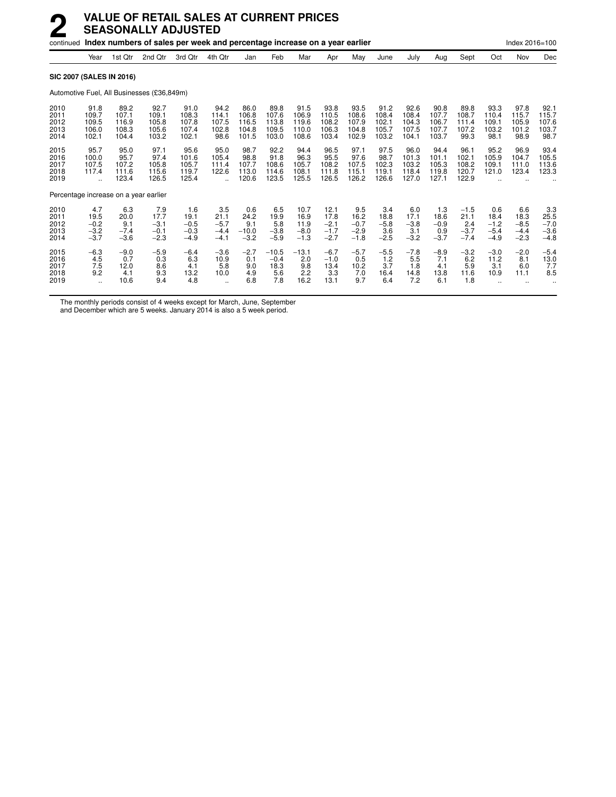|                                       |                                                     | continued Index numbers of sales per week and percentage increase on a year earlier |                                            |                                           |                                           |                                          |                                          |                                          |                                            |                                           |                                          |                                          |                                          |                                           |                                           | Index 2016=100                            |                                           |  |
|---------------------------------------|-----------------------------------------------------|-------------------------------------------------------------------------------------|--------------------------------------------|-------------------------------------------|-------------------------------------------|------------------------------------------|------------------------------------------|------------------------------------------|--------------------------------------------|-------------------------------------------|------------------------------------------|------------------------------------------|------------------------------------------|-------------------------------------------|-------------------------------------------|-------------------------------------------|-------------------------------------------|--|
|                                       | Year                                                | 1st Qtr                                                                             | 2nd Qtr                                    | 3rd Otr                                   | 4th Qtr                                   | Jan                                      | Feb                                      | Mar                                      | Apr                                        | May                                       | June                                     | July                                     | Aug                                      | Sept                                      | Oct                                       | Nov                                       | Dec                                       |  |
| <b>SIC 2007 (SALES IN 2016)</b>       |                                                     |                                                                                     |                                            |                                           |                                           |                                          |                                          |                                          |                                            |                                           |                                          |                                          |                                          |                                           |                                           |                                           |                                           |  |
|                                       |                                                     |                                                                                     | Automotive Fuel, All Businesses (£36,849m) |                                           |                                           |                                          |                                          |                                          |                                            |                                           |                                          |                                          |                                          |                                           |                                           |                                           |                                           |  |
| 2010<br>2011<br>2012<br>2013<br>2014  | 91.8<br>109.7<br>109.5<br>106.0<br>102.1            | 89.2<br>107.1<br>116.9<br>108.3<br>104.4                                            | 92.7<br>109.1<br>105.8<br>105.6<br>103.2   | 91.0<br>108.3<br>107.8<br>107.4<br>102.1  | 94.2<br>114.1<br>107.5<br>102.8<br>98.6   | 86.0<br>106.8<br>116.5<br>104.8<br>101.5 | 89.8<br>107.6<br>113.8<br>109.5<br>103.0 | 91.5<br>106.9<br>119.6<br>110.0<br>108.6 | 93.8<br>110.5<br>108.2<br>106.3<br>103.4   | 93.5<br>108.6<br>107.9<br>104.8<br>102.9  | 91.2<br>108.4<br>102.1<br>105.7<br>103.2 | 92.6<br>108.4<br>104.3<br>107.5<br>104.1 | 90.8<br>107.7<br>106.7<br>107.7<br>103.7 | 89.8<br>108.7<br>111.4<br>107.2<br>99.3   | 93.3<br>110.4<br>109.1<br>103.2<br>98.1   | 97.8<br>115.7<br>105.9<br>101.2<br>98.9   | 92.1<br>115.7<br>107.6<br>103.7<br>98.7   |  |
| 2015<br>2016<br>2017<br>2018<br>2019  | 95.7<br>100.0<br>107.5<br>117.4                     | 95.0<br>95.7<br>107.2<br>111.6<br>123.4                                             | 97.1<br>97.4<br>105.8<br>115.6<br>126.5    | 95.6<br>101.6<br>105.7<br>119.7<br>125.4  | 95.0<br>105.4<br>111.4<br>122.6           | 98.7<br>98.8<br>107.7<br>113.0<br>120.6  | 92.2<br>91.8<br>108.6<br>114.6<br>123.5  | 94.4<br>96.3<br>105.7<br>108.1<br>125.5  | 96.5<br>95.5<br>108.2<br>111.8<br>126.5    | 97.1<br>97.6<br>107.5<br>115.1<br>126.2   | 97.5<br>98.7<br>102.3<br>119.1<br>126.6  | 96.0<br>101.3<br>103.2<br>118.4<br>127.0 | 94.4<br>101.1<br>105.3<br>119.8<br>127.1 | 96.1<br>102.1<br>108.2<br>120.7<br>122.9  | 95.2<br>105.9<br>109.1<br>121.0           | 96.9<br>104.7<br>111.0<br>123.4           | 93.4<br>105.5<br>113.6<br>123.3           |  |
| Percentage increase on a year earlier |                                                     |                                                                                     |                                            |                                           |                                           |                                          |                                          |                                          |                                            |                                           |                                          |                                          |                                          |                                           |                                           |                                           |                                           |  |
| 2010<br>2011<br>2012<br>2013<br>2014  | 4.7<br>19.5<br>$-0.2$<br>$-3.2$<br>$-3.7$           | 6.3<br>20.0<br>9.1<br>$-7.4$<br>$-3.6$                                              | 7.9<br>17.7<br>$-3.1$<br>$-0.1$<br>$-2.3$  | 1.6<br>19.1<br>$-0.5$<br>$-0.3$<br>$-4.9$ | 3.5<br>21.1<br>$-5.7$<br>$-4.4$<br>$-4.1$ | 0.6<br>24.2<br>9.1<br>$-10.0$<br>$-3.2$  | 6.5<br>19.9<br>5.8<br>$-3.8$<br>$-5.9$   | 10.7<br>16.9<br>11.9<br>$-8.0$<br>$-1.3$ | 12.1<br>17.8<br>$-2.1$<br>$-1.7$<br>$-2.7$ | 9.5<br>16.2<br>$-0.7$<br>$-2.9$<br>$-1.8$ | 3.4<br>18.8<br>$-5.8$<br>3.6<br>$-2.5$   | 6.0<br>17.1<br>$-3.8$<br>3.1<br>$-3.2$   | 1.3<br>18.6<br>$-0.9$<br>0.9<br>$-3.7$   | $-1.5$<br>21.1<br>2.4<br>$-3.7$<br>$-7.4$ | 0.6<br>18.4<br>$-1.2$<br>$-5.4$<br>$-4.9$ | 6.6<br>18.3<br>$-8.5$<br>$-4.4$<br>$-2.3$ | 3.3<br>25.5<br>$-7.0$<br>$-3.6$<br>$-4.8$ |  |
| 2015<br>2016<br>2017<br>2018<br>2019  | $-6.3$<br>4.5<br>7.5<br>9.2<br>$\ddot{\phantom{a}}$ | $-9.0$<br>0.7<br>12.0<br>4.1<br>10.6                                                | $-5.9$<br>0.3<br>8.6<br>9.3<br>9.4         | $-6.4$<br>6.3<br>4.1<br>13.2<br>4.8       | $-3.6$<br>10.9<br>5.8<br>10.0             | $-2.7$<br>0.1<br>9.0<br>4.9<br>6.8       | $-10.5$<br>$-0.4$<br>18.3<br>5.6<br>7.8  | $-13.1$<br>2.0<br>9.8<br>2.2<br>16.2     | $-6.7$<br>$-1.0$<br>13.4<br>3.3<br>13.1    | $-5.7$<br>0.5<br>10.2<br>7.0<br>9.7       | $-5.5$<br>1.2<br>3.7<br>16.4<br>6.4      | $-7.8$<br>5.5<br>1.8<br>14.8<br>7.2      | $-8.9$<br>7.1<br>4.1<br>13.8<br>6.1      | $-3.2$<br>6.2<br>5.9<br>11.6<br>1.8       | $-3.0$<br>11.2<br>3.1<br>10.9             | $-2.0$<br>8.1<br>6.0<br>11.1              | $-5.4$<br>13.0<br>7.7<br>8.5              |  |

The monthly periods consist of 4 weeks except for March, June, September

and December which are 5 weeks. January 2014 is also a 5 week period.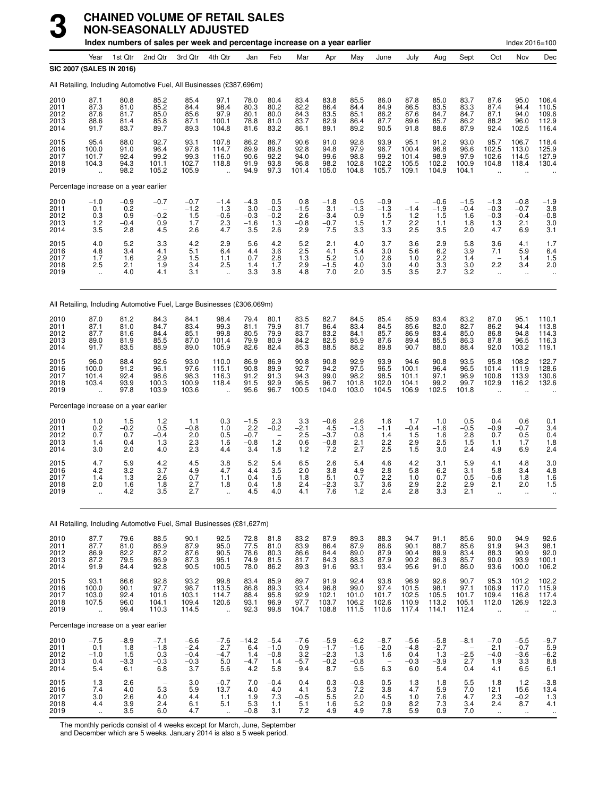|                                      |                                                            |                                         | Index numbers of sales per week and percentage increase on a year earlier |                                             |                                                          |                                          |                                                         |                                         |                                             |                                          |                                         |                                          |                                          |                                         |                                                         | Index 2016=100                                           |                                                      |
|--------------------------------------|------------------------------------------------------------|-----------------------------------------|---------------------------------------------------------------------------|---------------------------------------------|----------------------------------------------------------|------------------------------------------|---------------------------------------------------------|-----------------------------------------|---------------------------------------------|------------------------------------------|-----------------------------------------|------------------------------------------|------------------------------------------|-----------------------------------------|---------------------------------------------------------|----------------------------------------------------------|------------------------------------------------------|
|                                      | Year<br>SIC 2007 (SALES IN 2016)                           | 1st Qtr                                 | 2nd Otr                                                                   | 3rd Qtr                                     | 4th Qtr                                                  | Jan                                      | Feb                                                     | Mar                                     | Apr                                         | May                                      | June                                    | July                                     | Aug                                      | Sept                                    | Oct                                                     | Nov                                                      | Dec                                                  |
|                                      |                                                            |                                         | All Retailing, Including Automotive Fuel, All Businesses (£387,696m)      |                                             |                                                          |                                          |                                                         |                                         |                                             |                                          |                                         |                                          |                                          |                                         |                                                         |                                                          |                                                      |
| 2010<br>2011<br>2012<br>2013<br>2014 | 87.1<br>87.3<br>87.6<br>88.6<br>91.7                       | 80.8<br>81.0<br>81.7<br>81.4<br>83.7    | 85.2<br>85.2<br>85.0<br>85.8<br>89.7                                      | 85.4<br>84.4<br>85.6<br>87.1<br>89.3        | 97.1<br>98.4<br>97.9<br>100.1<br>104.8                   | 78.0<br>80.3<br>80.1<br>78.8<br>81.6     | 80.4<br>80.2<br>80.0<br>81.0<br>83.2                    | 83.4<br>82.2<br>84.3<br>83.7<br>86.1    | 83.8<br>86.4<br>83.5<br>82.9<br>89.1        | 85.5<br>84.4<br>85.1<br>86.4<br>89.2     | 86.0<br>84.9<br>86.2<br>87.7<br>90.5    | 87.8<br>86.5<br>87.6<br>89.6<br>91.8     | 85.0<br>83.5<br>84.7<br>85.7<br>88.6     | 83.7<br>83.3<br>84.7<br>86.2<br>87.9    | 87.6<br>87.4<br>87.1<br>88.2<br>92.4                    | 95.0<br>94.4<br>94.0<br>96.0<br>102.5                    | 106.4<br>110.5<br>109.6<br>112.9<br>116.4            |
| 2015<br>2016<br>2017<br>2018<br>2019 | 95.4<br>100.0<br>101.7<br>104.3                            | 88.0<br>91.0<br>92.4<br>94.3<br>98.2    | 92.7<br>96.4<br>99.2<br>101.1<br>105.2                                    | 93.1<br>97.8<br>99.3<br>102.7<br>105.9      | 107.8<br>114.7<br>116.0<br>118.8                         | 86.2<br>89.9<br>90.6<br>91.9<br>94.9     | 86.7<br>89.8<br>92.2<br>93.8<br>97.3                    | 90.6<br>92.8<br>94.0<br>96.8<br>101.4   | 91.0<br>94.8<br>99.6<br>98.2<br>105.0       | 92.8<br>97.9<br>98.8<br>102.8<br>104.8   | 93.9<br>96.7<br>99.2<br>102.2<br>105.7  | 95.1<br>100.4<br>101.4<br>105.5<br>109.1 | 91.2<br>96.8<br>98.9<br>102.2<br>104.9   | 93.0<br>96.6<br>97.9<br>100.9<br>104.1  | 95.7<br>102.5<br>102.6<br>104.8                         | 106.7<br>113.0<br>114.5<br>118.4                         | 118.4<br>125.9<br>127.9<br>130.4                     |
|                                      | Percentage increase on a year earlier                      |                                         |                                                                           |                                             |                                                          |                                          |                                                         |                                         |                                             |                                          |                                         |                                          |                                          |                                         |                                                         |                                                          |                                                      |
| 2010<br>2011<br>2012<br>2013<br>2014 | $-1.0$<br>0.1<br>0.3<br>1.2<br>3.5                         | $-0.9$<br>0.2<br>0.9<br>$-0.4$<br>2.8   | $-0.7$<br>$-0.2$<br>0.9<br>4.5                                            | $-0.7$<br>$-1.2$<br>1.5<br>1.7<br>2.6       | $-1.4$<br>1.3<br>$-0.6$<br>2.3<br>4.7                    | $-4.3$<br>3.0<br>$-0.3$<br>$-1.6$<br>3.5 | 0.5<br>$-0.3$<br>$-0.2$<br>1.3<br>2.6                   | 0.8<br>$-1.5$<br>2.6<br>$-0.8$<br>2.9   | $-1.8$<br>3.1<br>$-3.4$<br>$-0.7$<br>7.5    | 0.5<br>$-1.3$<br>0.9<br>1.5<br>3.3       | $-0.9$<br>$-1.3$<br>1.5<br>1.7<br>3.3   | ÷<br>$-1.4$<br>$1.2$<br>2.2<br>2.5       | $-0.6$<br>$-1.9$<br>1.5<br>1.1<br>3.5    | $-1.5$<br>$-0.4$<br>1.6<br>1.8<br>2.0   | $-1.3$<br>$-0.3$<br>$-0.3$<br>1.3<br>4.7                | $-0.8$<br>$-0.7$<br>$-0.4$<br>2.1<br>6.9                 | $-1.9$<br>3.8<br>$-0.8$<br>3.0<br>3.1                |
| 2015<br>2016<br>2017<br>2018<br>2019 | 4.0<br>4.8<br>1.7<br>2.5                                   | 5.2<br>3.4<br>1.6<br>2.1<br>4.0         | 3.3<br>4.1<br>2.9<br>1.9<br>4.1                                           | 4.2<br>5.1<br>1.5<br>3.4<br>3.1             | 2.9<br>6.4<br>1.1<br>2.5<br>$\ddot{\phantom{a}}$         | 5.6<br>4.4<br>0.7<br>1.4<br>3.3          | 4.2<br>3.6<br>2.8<br>1.7<br>3.8                         | 5.2<br>2.5<br>1.3<br>2.9<br>4.8         | 2.1<br>4.1<br>5.2<br>$-1.5$<br>7.0          | 4.0<br>5.4<br>1.0<br>4.0<br>2.0          | 3.7<br>3.0<br>2.6<br>3.0<br>3.5         | 3.6<br>5.6<br>1.0<br>4.0<br>3.5          | 2.9<br>6.2<br>2.2<br>3.3<br>2.7          | 5.8<br>3.9<br>1.4<br>3.0<br>3.2         | 3.6<br>7.1<br>2.2<br>$\ddot{\phantom{1}}$               | 4.1<br>5.9<br>1.4<br>3.4<br>$\ddotsc$                    | 1.7<br>6.4<br>1.5<br>2.0                             |
|                                      |                                                            |                                         | All Retailing, Including Automotive Fuel, Large Businesses (£306,069m)    |                                             |                                                          |                                          |                                                         |                                         |                                             |                                          |                                         |                                          |                                          |                                         |                                                         |                                                          |                                                      |
| 2010<br>2011<br>2012<br>2013<br>2014 | 87.0<br>87.1<br>87.7<br>89.0<br>91.7                       | 81.2<br>81.0<br>81.6<br>81.9<br>83.5    | 84.3<br>84.7<br>84.4<br>85.5<br>88.9                                      | 84.1<br>83.4<br>85.1<br>87.0<br>89.0        | 98.4<br>99.3<br>99.8<br>101.4<br>105.9                   | 79.4<br>81.1<br>80.5<br>79.9<br>82.6     | 80.1<br>79.9<br>79.9<br>80.9<br>82.4                    | 83.5<br>81.7<br>83.7<br>84.2<br>85.3    | 82.7<br>86.4<br>83.2<br>82.5<br>88.5        | 84.5<br>83.4<br>84.1<br>85.9<br>88.2     | 85.4<br>84.5<br>85.7<br>87.6<br>89.8    | 85.9<br>85.6<br>86.9<br>89.4<br>90.7     | 83.4<br>82.0<br>83.4<br>85.5<br>88.0     | 83.2<br>82.7<br>85.0<br>86.3<br>88.4    | 87.0<br>86.2<br>86.8<br>87.8<br>92.0                    | 95.1<br>94.4<br>94.8<br>96.5<br>103.2                    | 110.1<br>113.8<br>114.3<br>116.3<br>119.1            |
| 2015<br>2016<br>2017<br>2018<br>2019 | 96.0<br>100.0<br>101.4<br>103.4                            | 88.4<br>91.2<br>92.4<br>93.9<br>97.8    | 92.6<br>96.1<br>98.6<br>100.3<br>103.9                                    | 93.0<br>97.6<br>98.3<br>100.9<br>103.6      | 110.0<br>115.1<br>116.3<br>118.4<br>$\ddot{\phantom{a}}$ | 86.9<br>90.8<br>91.2<br>91.5<br>95.6     | 86.9<br>89.9<br>91.3<br>92.9<br>96.7                    | 90.8<br>92.7<br>94.3<br>96.5<br>100.5   | 90.8<br>94.2<br>99.0<br>96.7<br>104.0       | 92.9<br>97.5<br>98.2<br>101.8<br>103.0   | 93.9<br>96.5<br>98.5<br>102.0<br>104.5  | 94.6<br>100.1<br>101.1<br>104.1<br>106.9 | 90.8<br>96.4<br>97.1<br>99.2<br>102.5    | 93.5<br>96.5<br>96.9<br>99.7<br>101.8   | 95.8<br>101.4<br>100.8<br>102.9                         | 108.2<br>111.9<br>113.9<br>116.2<br>$\ddot{\phantom{a}}$ | 122.7<br>128.6<br>130.6<br>132.6                     |
|                                      | Percentage increase on a year earlier                      |                                         |                                                                           |                                             |                                                          |                                          |                                                         |                                         |                                             |                                          |                                         |                                          |                                          |                                         |                                                         |                                                          |                                                      |
| 2010<br>2011<br>2012<br>2013<br>2014 | 1.0<br>$0.2 \ 0.7$<br>1.4<br>3.0                           | $1.5 - 0.2$<br>0.7<br>0.4<br>2.0        | $1.2$<br>0.5<br>$-0.4$<br>1.3<br>4.0                                      | 1.1<br>$-0.8$<br>2.0<br>2.3<br>2.3          | 0.3<br>1.0<br>0.5<br>1.6<br>4.4                          | $-1.5$<br>2.2<br>$-0.7$<br>$-0.8$<br>3.4 | 2.3<br>$-0.2$<br>$\overline{\phantom{a}}$<br>1.2<br>1.8 | 3.3<br>$\frac{-2.1}{2.5}$<br>0.6<br>1.2 | $-0.6$<br>4.5<br>$-3.7$<br>$-0.8$<br>7.2    | 2.6<br>$-1.3$<br>0.8<br>2.1<br>2.7       | 1.6<br>$-1.1$<br>1.4<br>2.2<br>2.5      | 1.7<br>$-0.4$<br>1.5<br>2.9<br>1.5       | 1.0<br>$-1.6$<br>1.6<br>2.5<br>3.0       | 0.5<br>$-0.5$<br>2.8<br>1.5<br>2.4      | 0.4<br>$-0.9$<br>0.7<br>1.1<br>4.9                      | 0.6<br>$-0.7$<br>0.5<br>1.7<br>6.9                       | $\frac{0.1}{3.4}$<br>0.4<br>1.8<br>2.4               |
| 2015<br>2016<br>2017<br>2018<br>2019 | 4.7<br>4.2<br>1.4<br>2.0                                   | 5.9<br>3.2<br>1.3<br>1.6<br>4.2         | 4.2<br>3.7<br>2.6<br>1.8<br>3.5                                           | 4.5<br>4.9<br>0.7<br>2.7                    | 3.8<br>4.7<br>1.1<br>1.8                                 | 5.2<br>4.4<br>0.4<br>0.4                 | 5.4<br>3.5<br>1.6<br>1.8<br>4.0                         | 6.5<br>2.0<br>1.8<br>2.4                | 2.6<br>3.8<br>5.1<br>$-2.3$                 | 5.4<br>4.9<br>0.7<br>3.7<br>1.2          | 4.6<br>2.8<br>2.2<br>3.6<br>2.4         | 4.2<br>5.8<br>1.0<br>2.9<br>2.8          | 3.1<br>6.2<br>0.7<br>2.2                 | 5.9<br>3.1<br>0.5<br>2.9                | 4.1<br>5.8<br>$-0.6$<br>2.1                             | 4.8<br>3.4<br>1.8<br>2.0                                 | $3.0$<br>$4.8$<br>1.6<br>1.5                         |
|                                      |                                                            |                                         | All Retailing, Including Automotive Fuel, Small Businesses (£81,627m)     |                                             |                                                          |                                          |                                                         |                                         |                                             |                                          |                                         |                                          |                                          |                                         |                                                         |                                                          |                                                      |
| 2010<br>2011<br>2012<br>2013<br>2014 | 87.7<br>$\frac{87.7}{86.9}$<br>87.2<br>91.9                | 79.6<br>81.0<br>82.2<br>79.5<br>84.4    | 88.5<br>86.9<br>87.2<br>86.9<br>92.8                                      | 90.1<br>87.9<br>87.6<br>87.3<br>90.5        | 92.5<br>95.0<br>90.5<br>95.1<br>100.5                    | 72.8<br>77.5<br>78.6<br>74.9<br>78.0     | 81.8<br>81.0<br>80.3<br>81.5<br>86.2                    | 83.2<br>83.9<br>86.6<br>81.7<br>89.3    | 87.9<br>86.4<br>84.4<br>84.3<br>91.6        | 89.3<br>87.9<br>89.0<br>88.3<br>93.1     | 88.3<br>86.6<br>87.9<br>87.9<br>93.4    | 94.7<br>90.1<br>90.4<br>90.2<br>95.6     | 91.1<br>88.7<br>89.9<br>86.3<br>91.0     | 85.6<br>85.6<br>83.4<br>85.7<br>86.0    | 90.0<br>91.9<br>88.3<br>90.0<br>93.6                    | 94.9<br>94.3<br>90.9<br>93.9<br>100.0                    | 92.6<br>98.1<br>92.0<br>$100.1$<br>106.2             |
| 2015<br>2016<br>2017<br>2018<br>2019 | 93.1<br>100.0<br>103.0<br>107.5                            | 86.6<br>90.1<br>92.4<br>96.0<br>99.4    | 92.8<br>97.7<br>101.6<br>104.1<br>110.3                                   | 93.2<br>98.7<br>103.1<br>109.4<br>114.5     | 99.8<br>113.5<br>114.7<br>120.6<br>$\ddot{\phantom{a}}$  | 83.4<br>86.8<br>88.4<br>93.1<br>92.3     | 85.9<br>89.3<br>95.8<br>96.9<br>99.8                    | 89.7<br>93.4<br>92.9<br>97.7<br>104.7   | 91.9<br>96.8<br>102.1<br>103.7<br>108.8     | 92.4<br>99.0<br>101.0<br>106.2<br>111.5  | 93.8<br>97.4<br>101.7<br>102.6<br>110.6 | 96.9<br>101.5<br>102.5<br>110.9<br>117.4 | 92.6<br>98.1<br>105.5<br>113.2<br>114.1  | 90.7<br>97.1<br>101.7<br>105.1<br>112.4 | 95.3<br>106.9<br>109.4<br>112.0<br>$\ddot{\phantom{a}}$ | 101.2<br>117.0<br>116.8<br>126.9                         | 102.2<br>$115.9$<br>$117.4$<br>122.3                 |
|                                      | Percentage increase on a year earlier                      |                                         |                                                                           |                                             |                                                          |                                          |                                                         |                                         |                                             |                                          |                                         |                                          |                                          |                                         |                                                         |                                                          |                                                      |
| 2010<br>2011<br>2012<br>2013<br>2014 | $-7.5$<br>0.1<br>$-1.0$<br>0.4<br>5.4                      | $-8.9$<br>1.8<br>$1.5$<br>$-3.3$<br>6.1 | $-7.1$<br>$-1.8$<br>0.3<br>$-0.3$<br>6.8                                  | $-6.6$<br>$-2.4$<br>$-0.4$<br>$-0.3$<br>3.7 | $-7.6$<br>2.7<br>$-4.7$<br>5.0<br>5.6                    | $-14.2$<br>6.4<br>1.4<br>$-4.7$<br>4.2   | $-5.4$<br>$-1.0$<br>$-0.8$<br>1.4<br>5.8                | $-7.6$<br>0.9<br>3.2<br>$-5.7$<br>9.4   | $-5.9$<br>$-1.7$<br>$-2.3$<br>$-0.2$<br>8.7 | $-6.2$<br>$-1.6$<br>1.3<br>$-0.8$<br>5.5 | $-8.7$<br>$-2.0$<br>1.6<br>6.3          | $-5.6$<br>$-4.8$<br>0.4<br>$-0.3$<br>6.0 | $-5.8$<br>$-2.7$<br>1.3<br>$-3.9$<br>5.4 | $-8.1$<br>$-2.5$<br>2.7<br>0.4          | $-7.0$<br>2.1<br>$-4.0$<br>1.9<br>4.1                   | $-5.5$<br>$-0.7$<br>$-3.6$<br>3.3<br>6.5                 | $-9.7$<br>$\frac{5.9}{-6.2}$<br>$8.8$<br>$6.1$       |
| 2015<br>2016<br>2017<br>2018<br>2019 | 1.3<br>7.4<br>$3.0\,$<br>4.4<br>$\mathcal{L}_{\mathbf{r}}$ | 2.6<br>4.0<br>2.6<br>3.9<br>3.5         | $\overline{\phantom{a}}$<br>5.3<br>4.0<br>2.4<br>6.0                      | 3.0<br>5.9<br>4.4<br>6.1<br>4.7             | $-0.7$<br>13.7<br>1.1<br>5.1<br>$\bar{a}$                | 7.0<br>4.0<br>1.9<br>5.3<br>$-0.8$       | $-0.4$<br>$4.0\,$<br>7.3<br>1.1<br>3.1                  | 0.4<br>4.1<br>$-0.5$<br>5.1<br>7.2      | 0.3<br>$\frac{5.3}{5.5}$<br>1.6<br>4.9      | $-0.8$<br>7.2<br>$^{2.0}_{5.2}$<br>4.9   | 0.5<br>3.8<br>4.5<br>0.9<br>7.8         | 1.3<br>4.7<br>1.0<br>8.2<br>5.9          | 1.8<br>5.9<br>7.6<br>7.3<br>0.9          | 5.5<br>7.0<br>4.7<br>3.4<br>7.0         | 1.8<br>12.1<br>2.3<br>2.4<br>$\ddot{\phantom{1}}$       | 1.2<br>15.6<br>$-0.2$<br>8.7<br>$\ddot{\phantom{1}}$     | $-3.8$<br>13.4<br>1.3<br>4.1<br>$\ddot{\phantom{1}}$ |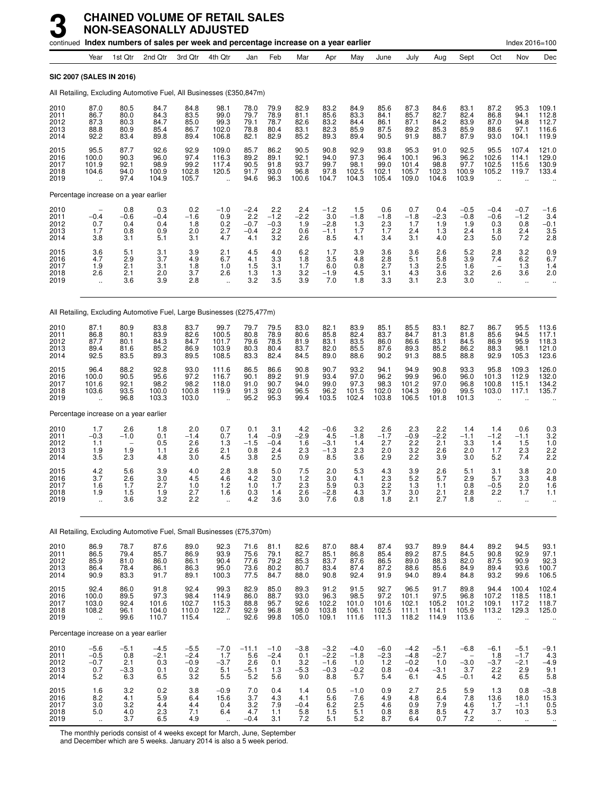|                                      |                                                         |                                            | continued Index numbers of sales per week and percentage increase on a year earlier |                                               |                                                         |                                          |                                              |                                               |                                             |                                                     |                                                                                            |                                             |                                                     |                                                               |                                                          | Index 2016=100                                                       |                                                             |
|--------------------------------------|---------------------------------------------------------|--------------------------------------------|-------------------------------------------------------------------------------------|-----------------------------------------------|---------------------------------------------------------|------------------------------------------|----------------------------------------------|-----------------------------------------------|---------------------------------------------|-----------------------------------------------------|--------------------------------------------------------------------------------------------|---------------------------------------------|-----------------------------------------------------|---------------------------------------------------------------|----------------------------------------------------------|----------------------------------------------------------------------|-------------------------------------------------------------|
|                                      | Year                                                    | 1st Qtr                                    | 2nd Qtr                                                                             | 3rd Qtr                                       | 4th Qtr                                                 | Jan                                      | Feb                                          | Mar                                           | Apr                                         | May                                                 | June                                                                                       | July                                        | Aug                                                 | Sept                                                          | Oct                                                      | Nov                                                                  | Dec                                                         |
|                                      | <b>SIC 2007 (SALES IN 2016)</b>                         |                                            |                                                                                     |                                               |                                                         |                                          |                                              |                                               |                                             |                                                     |                                                                                            |                                             |                                                     |                                                               |                                                          |                                                                      |                                                             |
|                                      |                                                         |                                            | All Retailing, Excluding Automotive Fuel, All Businesses (£350,847m)                |                                               |                                                         |                                          |                                              |                                               |                                             |                                                     |                                                                                            |                                             |                                                     |                                                               |                                                          |                                                                      |                                                             |
| 2010<br>2011<br>2012<br>2013<br>2014 | 87.0<br>86.7<br>87.3<br>88.8<br>92.2                    | 80.5<br>80.0<br>80.3<br>80.9<br>83.4       | 84.7<br>84.3<br>84.7<br>85.4<br>89.8                                                | 84.8<br>83.5<br>85.0<br>86.7<br>89.4          | 98.1<br>99.0<br>99.3<br>102.0<br>106.8                  | 78.0<br>79.7<br>79.1<br>78.8<br>82.1     | 79.9<br>78.9<br>78.7<br>80.4<br>82.9         | 82.9<br>81.1<br>82.6<br>83.1<br>85.2          | 83.2<br>85.6<br>83.2<br>82.3<br>89.3        | 84.9<br>83.3<br>84.4<br>85.9<br>89.4                | 85.6<br>84.1<br>86.1<br>87.5<br>90.5                                                       | 87.3<br>85.7<br>87.1<br>89.2<br>91.9        | 84.6<br>82.7<br>84.2<br>85.3<br>88.7                | 83.1<br>82.4<br>83.9<br>85.9<br>87.9                          | 87.2<br>86.8<br>87.0<br>88.6<br>93.0                     | 95.3<br>94.1<br>94.8<br>97.1<br>104.1                                | 109.1<br>112.8<br>112.7<br>116.6<br>119.9                   |
| 2015<br>2016<br>2017<br>2018<br>2019 | 95.5<br>100.0<br>101.9<br>104.6                         | 87.7<br>90.3<br>92.1<br>94.0<br>97.4       | 92.6<br>96.0<br>98.9<br>100.9<br>104.9                                              | 92.9<br>97.4<br>99.2<br>102.8<br>105.7        | 109.0<br>116.3<br>117.4<br>120.5<br>$\ddotsc$           | 85.7<br>89.2<br>90.5<br>91.7<br>94.6     | 86.2<br>89.1<br>91.8<br>93.0<br>96.3         | 90.5<br>92.1<br>93.7<br>96.8<br>100.6         | 90.8<br>94.0<br>99.7<br>97.8<br>104.7       | 92.9<br>97.3<br>98.1<br>102.5<br>104.3              | 93.8<br>96.4<br>99.0<br>102.1<br>105.4                                                     | 95.3<br>100.1<br>101.4<br>105.7<br>109.0    | 91.0<br>96.3<br>98.8<br>102.3<br>104.6              | 92.5<br>96.2<br>97.7<br>100.9<br>103.9                        | 95.5<br>102.6<br>102.5<br>105.2<br>$\ddot{\phantom{a}}$  | 107.4<br>114.1<br>115.6<br>119.7<br>$\ddot{\phantom{a}}$             | 121.0<br>129.0<br>130.9<br>133.4                            |
|                                      |                                                         | Percentage increase on a year earlier      |                                                                                     |                                               |                                                         |                                          |                                              |                                               |                                             |                                                     |                                                                                            |                                             |                                                     |                                                               |                                                          |                                                                      |                                                             |
| 2010<br>2011<br>2012<br>2013<br>2014 | $-0.4$<br>0.7<br>1.7<br>3.8                             | 0.8<br>$-0.6$<br>0.4<br>0.8<br>3.1         | 0.3<br>$-0.4$<br>0.4<br>0.9<br>5.1                                                  | 0.2<br>$-1.\overline{6}$<br>1.8<br>2.0<br>3.1 | $-1.0$<br>0.9<br>0.2<br>2.7<br>4.7                      | $-2.4$<br>2.2<br>$-0.7$<br>$-0.4$<br>4.1 | $2.2 - 1.2$<br>$-0.3$<br>2.2<br>3.2          | 2.4<br>$-\overline{2.2}$<br>1.9<br>0.6<br>2.6 | $-1.2$<br>3.0<br>$-2.8$<br>$-1.1$<br>8.5    | 1.5<br>$-1.8$<br>1.3<br>1.7<br>4.1                  | 0.6<br>$-1.8$<br>2.3<br>1.7<br>3.4                                                         | 0.7<br>$-1.8$<br>1.7<br>2.4<br>3.1          | 0.4<br>$-2.3$<br>1.9<br>1.3<br>4.0                  | $-0.5$<br>$-0.8$<br>1.9<br>2.4<br>2.3                         | $-0.4$<br>$-0.6$<br>0.3<br>1.8<br>5.0                    | $-0.7$<br>$-1.2$<br>0.8<br>2.4<br>7.2                                | $-1.6$<br>3.4<br>$-0.1$<br>$\frac{3.5}{2.8}$                |
| 2015<br>2016<br>2017<br>2018<br>2019 | $\frac{3.6}{4.7}$<br>1.9<br>2.6<br>$\ddotsc$            | $\frac{5.1}{2.9}$<br>2.1<br>2.1<br>3.6     | $\frac{3.1}{3.7}$<br>3.1<br>2.0<br>3.9                                              | $3.9$<br>4.9<br>1.8<br>3.7<br>2.8             | $^{2.1}_{6.7}$<br>1.0<br>2.6<br>$\ddot{\phantom{a}}$    | $\frac{4.5}{4.1}$<br>1.5<br>1.3<br>3.2   | 4.0<br>$3.\overline{3}$<br>3.1<br>1.3<br>3.5 | $^{6.2}_{1.8}$<br>1.7<br>3.2<br>3.9           | 1.7<br>3.5<br>6.0<br>$-1.9$<br>7.0          | $\frac{3.9}{4.8}$<br>0.8<br>4.5<br>1.8              | 3.6<br>2.8<br>2.7<br>3.1<br>3.3                                                            | $\frac{3.6}{5.1}$<br>1.3<br>4.3<br>3.1      | $\frac{2.6}{5.8}$<br>2.5<br>3.6<br>2.3              | $\frac{5.2}{3.9}$<br>1.6<br>3.2<br>3.0                        | 2.8<br>7.4<br>2.6<br>÷.                                  | $\begin{array}{c} 3.2 \\ 6.2 \end{array}$<br>1.3<br>3.6<br>$\ddotsc$ | 0.96.7<br>1.4<br>2.0                                        |
|                                      |                                                         |                                            | All Retailing, Excluding Automotive Fuel, Large Businesses (£275,477m)              |                                               |                                                         |                                          |                                              |                                               |                                             |                                                     |                                                                                            |                                             |                                                     |                                                               |                                                          |                                                                      |                                                             |
| 2010<br>2011<br>2012<br>2013<br>2014 | 87.1<br>86.8<br>87.7<br>89.4<br>92.5                    | 80.9<br>80.1<br>80.1<br>81.6<br>83.5       | 83.8<br>83.9<br>84.3<br>85.2<br>89.3                                                | 83.7<br>82.6<br>84.7<br>86.9<br>89.5          | 99.7<br>100.5<br>101.7<br>103.9<br>108.5                | 79.7<br>80.8<br>79.6<br>80.3<br>83.3     | 79.5<br>78.9<br>78.5<br>80.4<br>82.4         | 83.0<br>80.6<br>81.9<br>83.7<br>84.5          | 82.1<br>85.8<br>83.1<br>82.0<br>89.0        | 83.9<br>82.4<br>83.5<br>85.5<br>88.6                | 85.1<br>83.7<br>86.0<br>87.6<br>90.2                                                       | 85.5<br>84.7<br>86.6<br>89.3<br>91.3        | $83.1$<br>$81.3$<br>83.1<br>85.2<br>88.5            | 82.781.8<br>84.5<br>86.2<br>88.8                              | 86.7<br>85.6<br>86.9<br>88.3<br>92.9                     | 95.5<br>94.5<br>95.9<br>98.1<br>105.3                                | 113.6<br>117.1<br>118.3<br>121.0<br>123.6                   |
| 2015<br>2016<br>2017<br>2018<br>2019 | 96.4<br>100.0<br>101.6<br>103.6                         | 88.2<br>90.5<br>92.1<br>93.5<br>96.8       | 92.8<br>95.6<br>98.2<br>100.0<br>103.3                                              | 93.0<br>97.2<br>98.2<br>100.8<br>103.0        | 111.6<br>116.7<br>118.0<br>119.9                        | 86.5<br>90.1<br>91.0<br>91.3<br>95.2     | 86.6<br>89.2<br>90.7<br>92.0<br>95.3         | 90.8<br>91.9<br>94.0<br>96.5<br>99.4          | 90.7<br>93.4<br>99.0<br>96.2<br>103.5       | 93.2<br>97.0<br>97.3<br>101.5<br>102.4              | 94.1<br>96.2<br>98.3<br>102.0<br>103.8                                                     | 94.9<br>99.9<br>101.2<br>104.3<br>106.5     | 90.8<br>96.0<br>97.0<br>99.0<br>101.8               | 93.3<br>96.0<br>96.8<br>99.5<br>101.3                         | 95.8<br>101.3<br>100.8<br>103.0                          | 109.3<br>112.9<br>115.1<br>117.1                                     | 126.0<br>132.0<br>134.2<br>135.7                            |
|                                      |                                                         | Percentage increase on a year earlier      |                                                                                     |                                               |                                                         |                                          |                                              |                                               |                                             |                                                     |                                                                                            |                                             |                                                     |                                                               |                                                          |                                                                      |                                                             |
| 2010<br>2011<br>2012<br>2013<br>2014 | 1.7<br>$-0.3$<br>1.1<br>1.9<br>3.5                      | 2.6<br>$-1.0$<br>1.9<br>2.3                | 1.8<br>0.1<br>0.5<br>1.1<br>4.8                                                     | 2.0<br>$-1.4$<br>2.6<br>2.6<br>3.0            | 0.7<br>0.7<br>1.3<br>2.1<br>4.5                         | 0.1<br>1.4<br>$-1.5$<br>0.8<br>3.8       | 3.1<br>$-0.9$<br>$-0.4$<br>2.4<br>2.5        | 4.2<br>$-2.9$<br>1.6<br>2.3<br>0.9            | $-0.6$<br>4.5<br>$-3.1$<br>$-1.3$<br>8.5    | 3.2<br>$-1.8$<br>1.4<br>2.3<br>3.6                  | 2.6<br>$-1.7$<br>2.7<br>2.0<br>2.9                                                         | 2.3<br>$-0.9$<br>2.2<br>3.2<br>2.2          | 2.2<br>$-2.2$<br>2.1<br>2.6<br>3.9                  | 1.4<br>$-1.1$<br>3.3<br>2.0<br>3.0                            | 1.4<br>$-1.2$<br>1.4<br>1.7<br>5.2                       | 0.6<br>$-1.1$<br>1.5<br>2.3<br>7.4                                   | 0.3<br>$3.2$<br>$1.0$<br>2.2<br>2.2                         |
| 2015<br>2016<br>2017<br>2018<br>2019 | 4.2<br>3.7<br>1.6<br>1.9<br>ä,                          | 5.6<br>2.6<br>1.7<br>1.5<br>3.6            | 3.9<br>3.0<br>2.7<br>1.9<br>3.2                                                     | 4.0<br>4.5<br>1.0<br>2.7<br>2.2               | 2.8<br>4.6<br>1.2<br>1.6<br>ä,                          | 3.8<br>4.2<br>1.0<br>0.3<br>4.2          | 5.0<br>3.0<br>1.7<br>1.4<br>3.6              | 7.5<br>1.2<br>2.3<br>2.6<br>3.0               | 2.0<br>3.0<br>5.9<br>$^{-2.8}_{7.6}$        | 5.3<br>4.1<br>0.3<br>4.3<br>0.8                     | 4.3<br>2.3<br>2.2<br>3.7<br>1.8                                                            | 3.9<br>5.2<br>1.3<br>3.0<br>2.1             | 2.6<br>5.7<br>1.1<br>2.1<br>2.7                     | 5.1<br>2.9<br>0.8<br>2.8<br>1.8                               | 3.1<br>5.7<br>$-0.5$<br>2.2<br>$\ddotsc$                 | 3.8<br>3.3<br>2.0<br>1.7<br>$\ddotsc$                                | 2.0<br>4.8<br>1.6<br>1.1                                    |
|                                      |                                                         |                                            | All Retailing, Excluding Automotive Fuel, Small Businesses (£75,370m)               |                                               |                                                         |                                          |                                              |                                               |                                             |                                                     |                                                                                            |                                             |                                                     |                                                               |                                                          |                                                                      |                                                             |
| 2010<br>2011<br>2012<br>2013<br>2014 | 86.9<br>86.5<br>85.9<br>86.4<br>90.9                    | 78.7<br>79.4<br>81.0<br>78.4<br>83.3       | 87.6<br>85.7<br>86.0<br>86.1<br>91.7                                                | 89.0<br>86.9<br>86.1<br>86.3<br>89.1          | 92.3<br>93.9<br>90.4<br>95.0<br>100.3                   | 71.6<br>75.6<br>77.6<br>73.6<br>77.5     | 81.1<br>79.1<br>79.2<br>80.2<br>84.7         | 82.6<br>82.7<br>85.3<br>80.7<br>88.0          | 87.0<br>85.1<br>83.7<br>83.4<br>90.8        | 88.4<br>86.8<br>87.6<br>87.4<br>92.4                | 87.4<br>85.4<br>86.5<br>87.2<br>91.9                                                       | 93.7<br>89.2<br>89.0<br>88.6<br>94.0        | 89.9<br>87.5<br>88.3<br>85.6<br>89.4                | 84.4<br>84.5<br>82.0<br>84.9<br>84.8                          | 89.2<br>90.8<br>87.5<br>89.4<br>93.2                     | 94.5<br>92.9<br>90.9<br>93.6<br>99.6                                 | 93.1<br>97.1<br>92.3<br>100.7<br>106.5                      |
| 2015<br>2016<br>2017<br>2018<br>2019 | 92.4<br>100.0<br>103.0<br>108.2<br>$\ddot{\phantom{a}}$ | 86.0<br>89.5<br>92.4<br>96.1<br>99.6       | 91.8<br>97.3<br>101.6<br>104.0<br>110.7                                             | 92.4<br>98.4<br>102.7<br>110.0<br>115.4       | 99.3<br>114.9<br>115.3<br>122.7<br>$\ddot{\phantom{1}}$ | 82.9<br>86.0<br>88.8<br>92.9<br>92.6     | 85.0<br>88.7<br>95.7<br>96.8<br>99.8         | 89.3<br>93.0<br>92.6<br>98.0<br>105.0         | 91.2<br>96.3<br>102.2<br>103.8<br>109.1     | 91.5<br>98.5<br>101.0<br>106.1<br>111.6             | 92.7<br>$\begin{array}{c} 97.2 \\ 101.6 \end{array}$<br>102.5<br>111.3                     | 96.5<br>101.1<br>102.1<br>111.1<br>118.2    | 91.7<br>$97.5$<br>105.2<br>114.1<br>114.9           | 89.8<br>96.8<br>101.2<br>105.9<br>113.6                       | 94.4<br>107.2<br>109.1<br>113.2<br>$\ddot{\phantom{1}}$  | 100.4<br>118.5<br>117.2<br>129.3<br>$\ddot{\phantom{a}}$             | 102.4<br>118.1<br>118.7<br>125.0                            |
|                                      |                                                         | Percentage increase on a year earlier      |                                                                                     |                                               |                                                         |                                          |                                              |                                               |                                             |                                                     |                                                                                            |                                             |                                                     |                                                               |                                                          |                                                                      |                                                             |
| 2010<br>2011<br>2012<br>2013<br>2014 | $-5.6$<br>$-0.5$<br>$^{-0.7}_{0.7}$<br>5.2              | $-5.1$<br>0.8<br>$\frac{2.1}{-3.3}$<br>6.3 | $-4.5$<br>$-2.1$<br>$\begin{matrix} 0.3 \\ 0.1 \end{matrix}$<br>6.5                 | $-5.5$<br>$-2.4$<br>$-0.9$<br>0.2<br>3.2      | $-7.0$<br>1.7<br>$-3.7$<br>5.1<br>5.5                   | $-11.1$<br>5.6<br>$^{2.6}_{-5.1}$<br>5.2 | $-1.0$<br>$-2.4$<br>0.1<br>1.3<br>5.6        | $-3.8$<br>0.1<br>$3.2 - 5.3$<br>9.0           | $-3.2$<br>$-2.2$<br>$-1.6$<br>$-0.3$<br>8.8 | $-4.0$<br>$-1.8$<br>1.0<br>$-0.\overline{2}$<br>5.7 | $-6.0$<br>$-2.3$<br>$\!\!\!\!\begin{array}{c} 1.2 \\ 0.8 \end{array}\!\!\!\!\!\!\!$<br>5.4 | $-4.2$<br>$-4.8$<br>$-0.2$<br>$-0.4$<br>6.1 | $-5.1$<br>$-2.7$<br>1.0<br>$-3.\overline{1}$<br>4.5 | $-6.8$<br>$\overline{\phantom{0}}$<br>$-3.0$<br>3.7<br>$-0.1$ | $-6.1$<br>1.8<br>$-3.7$<br>2.2<br>4.2                    | $-5.1$<br>$-1.7$<br>$-2.1$<br>2.9<br>6.5                             | $-9.1$<br>4.3<br>$-4.9$<br>9.1<br>5.8                       |
| 2015<br>2016<br>2017<br>2018<br>2019 | 1.6<br>8.2<br>$\substack{3.0\\5.0}$<br>$\ddotsc$        | 3.2<br>4.1<br>$3.2$<br>$4.0$<br>3.7        | 0.2<br>5.9<br>$^{4.4}_{2.3}$<br>6.5                                                 | 3.8<br>6.4<br>$\frac{4.4}{7.1}$<br>4.9        | $-0.9$<br>15.6<br>0.4<br>6.4<br>$\ddotsc$               | 7.0<br>3.7<br>$3.2$<br>4.7<br>$-0.4$     | 0.4<br>4.3<br>7.9<br>1.1<br>3.1              | 1.4<br>4.1<br>$-0.4$<br>5.8<br>7.2            | 0.5<br>5.6<br>$6.2$<br>1.5<br>5.1           | $-1.0$<br>7.6<br>$^{2.5}_{5.1}$<br>5.2              | 0.9<br>4.9<br>4.6<br>$0.\overline{8}$<br>8.7                                               | 2.7<br>4.8<br>$\substack{0.9\\ 8.8}$<br>6.4 | 2.5<br>6.4<br>$7.9$<br>$8.5$<br>0.7                 | 5.9<br>7.8<br>$^{4.6}_{4.7}$<br>7.2                           | 1.3<br>13.6<br>$\frac{1.7}{3.7}$<br>$\ddot{\phantom{1}}$ | 0.8<br>18.0<br>$-1.1$<br>10.3<br>$\ddot{\phantom{1}}$                | $-3.8$<br>15.3<br>$\begin{array}{c} 0.5 \\ 5.3 \end{array}$ |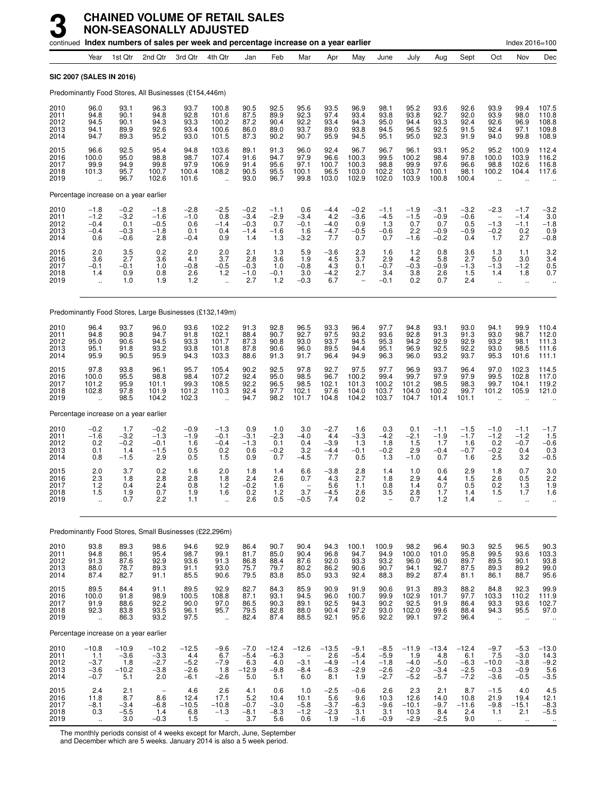|                                      |                                                     |                                             | continued Index numbers of sales per week and percentage increase on a year earlier |                                              |                                                       |                                             |                                           |                                          |                                           |                                             |                                                |                                              |                                              |                                              |                                                               | Index 2016=100                                        |                                             |
|--------------------------------------|-----------------------------------------------------|---------------------------------------------|-------------------------------------------------------------------------------------|----------------------------------------------|-------------------------------------------------------|---------------------------------------------|-------------------------------------------|------------------------------------------|-------------------------------------------|---------------------------------------------|------------------------------------------------|----------------------------------------------|----------------------------------------------|----------------------------------------------|---------------------------------------------------------------|-------------------------------------------------------|---------------------------------------------|
|                                      | Year                                                | 1st Qtr                                     | 2nd Qtr                                                                             | 3rd Qtr                                      | 4th Qtr                                               | Jan                                         | Feb                                       | Mar                                      | Apr                                       | May                                         | June                                           | July                                         | Aug                                          | Sept                                         | Oct                                                           | Nov                                                   | Dec                                         |
| SIC 2007 (SALES IN 2016)             |                                                     |                                             |                                                                                     |                                              |                                                       |                                             |                                           |                                          |                                           |                                             |                                                |                                              |                                              |                                              |                                                               |                                                       |                                             |
|                                      |                                                     |                                             | Predominantly Food Stores, All Businesses (£154,446m)                               |                                              |                                                       |                                             |                                           |                                          |                                           |                                             |                                                |                                              |                                              |                                              |                                                               |                                                       |                                             |
| 2010<br>2011<br>2012<br>2013<br>2014 | 96.0<br>94.8<br>94.5<br>94.1<br>94.7                | 93.1<br>90.1<br>90.1<br>89.9<br>89.3        | 96.3<br>94.8<br>94.3<br>92.6<br>95.2                                                | 93.7<br>92.8<br>93.3<br>93.4<br>93.0         | 100.8<br>101.6<br>100.2<br>100.6<br>101.5             | 90.5<br>87.5<br>87.2<br>86.0<br>87.3        | 92.5<br>89.9<br>90.4<br>89.0<br>90.2      | 95.6<br>92.3<br>92.2<br>93.7<br>90.7     | 93.5<br>97.4<br>93.4<br>89.0<br>95.9      | 96.9<br>93.4<br>94.3<br>93.8<br>94.5        | 98.1<br>93.8<br>95.0<br>94.5<br>95.1           | 95.2<br>93.8<br>94.4<br>96.5<br>95.0         | 93.6<br>92.7<br>93.3<br>92.5<br>92.3         | 92.6<br>92.0<br>92.4<br>91.5<br>91.9         | 93.9<br>93.9<br>92.6<br>92.4<br>94.0                          | 99.4<br>98.0<br>96.9<br>97.1<br>99.8                  | 107.5<br>110.8<br>108.8<br>109.8<br>108.9   |
| 2015<br>2016<br>2017<br>2018<br>2019 | 96.6<br>100.0<br>99.9<br>101.3                      | 92.5<br>95.0<br>94.9<br>95.7<br>96.7        | 95.4<br>98.8<br>99.8<br>100.7<br>102.6                                              | 94.8<br>98.7<br>97.9<br>100.4<br>101.6       | 103.6<br>107.4<br>106.9<br>108.2<br>$\ddotsc$         | 89.1<br>91.6<br>91.4<br>90.5<br>93.0        | 91.3<br>94.7<br>95.6<br>95.5<br>96.7      | 96.0<br>97.9<br>97.1<br>100.1<br>99.8    | 92.4<br>96.6<br>100.7<br>96.5<br>103.0    | 96.7<br>100.3<br>100.3<br>103.0<br>102.9    | 96.7<br>99.5<br>98.8<br>102.2<br>102.0         | 96.1<br>100.2<br>99.9<br>103.7<br>103.9      | 93.1<br>98.4<br>97.6<br>100.1<br>100.8       | 95.2<br>97.8<br>96.6<br>98.1<br>100.4        | 95.2<br>100.0<br>98.8<br>100.2                                | 100.9<br>103.9<br>102.6<br>104.4                      | 112.4<br>116.2<br>116.8<br>117.6            |
|                                      |                                                     | Percentage increase on a year earlier       |                                                                                     |                                              |                                                       |                                             |                                           |                                          |                                           |                                             |                                                |                                              |                                              |                                              |                                                               |                                                       |                                             |
| 2010<br>2011<br>2012<br>2013<br>2014 | $-1.8$<br>$-1.2$<br>$-0.4$<br>$-0.4$<br>0.6         | $-0.2$<br>$-3.2$<br>0.1<br>$-0.3$<br>$-0.6$ | $-1.8$<br>$-1.6$<br>$-0.5$<br>$-1.8$<br>2.8                                         | $-2.8$<br>$-1.0$<br>0.6<br>0.1<br>$-0.4$     | $-2.5$<br>0.8<br>$-1.4$<br>0.4<br>0.9                 | $-0.2$<br>$-3.4$<br>$-0.3$<br>$-1.4$<br>1.4 | $-1.1$<br>$-2.9$<br>0.7<br>$-1.6$<br>1.3  | 0.6<br>$-3.4$<br>$-0.1$<br>1.6<br>$-3.2$ | $-4.4$<br>4.2<br>$-4.0$<br>$-4.7$<br>7.7  | $-0.2$<br>$-3.6$<br>0.9<br>$-0.5$<br>0.7    | $-1.1$<br>$-4.5$<br>1.3<br>$-0.6$<br>0.7       | $-1.9$<br>$-1.5$<br>0.7<br>2.2<br>$-1.6$     | $-3.1$<br>$-0.9$<br>0.7<br>$-0.9$<br>$-0.2$  | $-3.2$<br>$-0.6$<br>0.5<br>$-0.9$<br>0.4     | $-2.3$<br>$\overline{\phantom{m}}$<br>$-1.3$<br>$-0.2$<br>1.7 | $-1.7$<br>$-1.4$<br>$-1.1$<br>0.2<br>2.7              | $-3.2$<br>3.0<br>$-1.8$<br>0.9<br>$-0.8$    |
| 2015<br>2016<br>2017<br>2018<br>2019 | 2.0<br>3.6<br>$-0.1$<br>1.4<br>$\ddot{\phantom{a}}$ | $\frac{3.5}{2.7}$<br>$-0.1$<br>0.9<br>1.0   | 0.2<br>3.6<br>1.0<br>0.8<br>1.9                                                     | 2.0<br>4.1<br>$-0.8$<br>2.6<br>1.2           | 2.0<br>3.7<br>$-0.5$<br>1.2<br>$\ddot{\phantom{a}}$   | 2.1<br>2.8<br>$-0.3$<br>$-1.0$<br>2.7       | 1.3<br>3.6<br>1.0<br>$-0.1$<br>1.2        | 5.9<br>1.9<br>$-0.8$<br>3.0<br>$-0.3$    | $-3.6$<br>4.5<br>4.3<br>$-4.2$<br>6.7     | $\frac{2.3}{3.7}$<br>0.1<br>2.7             | 1.6<br>2.9<br>$-0.7$<br>3.4<br>$-0.1$          | $1.2$<br>4.2<br>$-0.3$<br>3.8<br>0.2         | 0.8<br>5.8<br>$-0.9$<br>2.6<br>0.7           | 3.6<br>2.7<br>$-1.3$<br>1.5<br>2.4           | $1.3$<br>5.0<br>$-1.3$<br>1.4<br>$\ddot{\phantom{a}}$         | 1.1<br>3.0<br>$-1.2$<br>1.8<br>$\ddot{\phantom{1}}$   | 3.2<br>3.4<br>0.5<br>0.7                    |
|                                      |                                                     |                                             | Predominantly Food Stores, Large Businesses (£132,149m)                             |                                              |                                                       |                                             |                                           |                                          |                                           |                                             |                                                |                                              |                                              |                                              |                                                               |                                                       |                                             |
| 2010<br>2011<br>2012<br>2013<br>2014 | 96.4<br>94.8<br>95.0<br>95.1<br>95.9                | 93.7<br>90.8<br>90.6<br>91.8<br>90.5        | 96.0<br>94.7<br>94.5<br>93.2<br>95.9                                                | 93.6<br>91.8<br>93.3<br>93.8<br>94.3         | 102.2<br>102.1<br>101.7<br>101.8<br>103.3             | 91.3<br>88.4<br>87.3<br>87.8<br>88.6        | 92.8<br>90.7<br>90.8<br>90.6<br>91.3      | 96.5<br>92.7<br>93.0<br>96.0<br>91.7     | 93.3<br>97.5<br>93.7<br>89.5<br>96.4      | 96.4<br>93.2<br>94.5<br>94.4<br>94.9        | 97.7<br>93.6<br>95.3<br>95.1<br>96.3           | 94.8<br>92.8<br>94.2<br>96.9<br>96.0         | 93.1<br>91.3<br>92.9<br>92.5<br>93.2         | 93.0<br>91.3<br>92.9<br>92.2<br>93.7         | 94.1<br>93.0<br>93.2<br>93.0<br>95.3                          | 99.9<br>98.7<br>98.1<br>98.5<br>101.6                 | 110.4<br>112.0<br>111.3<br>111.6<br>111.1   |
| 2015<br>2016<br>2017<br>2018<br>2019 | 97.8<br>100.0<br>101.2<br>102.8                     | 93.8<br>95.5<br>95.9<br>97.8<br>98.5        | 96.1<br>98.8<br>101.1<br>101.9<br>104.2                                             | 95.7<br>98.4<br>99.3<br>101.2<br>102.3       | 105.4<br>107.2<br>108.5<br>110.3                      | 90.2<br>92.4<br>92.2<br>92.4<br>94.7        | 92.5<br>95.0<br>96.5<br>97.7<br>98.2      | 97.8<br>98.5<br>98.5<br>102.1<br>101.7   | 92.7<br>96.7<br>102.1<br>97.6<br>104.8    | 97.5<br>100.2<br>101.3<br>104.0<br>104.2    | 97.7<br>99.4<br>100.2<br>103.7<br>103.7        | 96.9<br>99.7<br>101.2<br>104.0<br>104.7      | 93.7<br>97.9<br>98.5<br>100.2<br>101.4       | 96.4<br>97.9<br>98.3<br>99.7<br>101.1        | 97.0<br>99.5<br>99.7<br>101.2                                 | 102.3<br>102.8<br>104.1<br>105.9                      | 114.5<br>117.0<br>119.2<br>121.0            |
|                                      |                                                     | Percentage increase on a year earlier       |                                                                                     |                                              |                                                       |                                             |                                           |                                          |                                           |                                             |                                                |                                              |                                              |                                              |                                                               |                                                       |                                             |
| 2010<br>2011<br>2012<br>2013<br>2014 | $-0.2$<br>$-1.6$<br>0.2<br>0.1<br>0.8               | 1.7<br>$-3.2$<br>$-0.2$<br>1.4<br>$-1.5$    | $-0.2$<br>$-1.3$<br>$-0.1$<br>$-1.5$<br>2.9                                         | $-0.9$<br>$-1.9$<br>1.6<br>0.5<br>0.5        | $-1.3$<br>$-0.1$<br>$-0.4$<br>0.2<br>1.5              | 0.9<br>$-3.1$<br>$-1.3$<br>0.6<br>0.9       | 1.0<br>$-2.3$<br>0.1<br>$-0.2$<br>0.7     | 3.0<br>$-4.0$<br>0.4<br>3.2<br>$-4.5$    | $-2.7$<br>4.4<br>$-3.9$<br>$-4.4$<br>7.7  | 1.6<br>$-3.3$<br>1.3<br>$-0.1$<br>0.5       | 0.3<br>$-4.2$<br>1.8<br>$-0.2$<br>1.3          | 0.1<br>$-2.1$<br>1.5<br>2.9<br>$-1.0$        | $-1.1$<br>$-1.9$<br>1.7<br>$-0.4$<br>0.7     | $-1.5$<br>$-1.7$<br>1.6<br>$-0.7$<br>1.6     | $-1.0$<br>$-1.2$<br>0.2<br>$-0.2$<br>2.5                      | $-1.1$<br>$-1.2$<br>$-0.7$<br>0.4<br>3.2              | $-1.7$<br>1.5<br>$-0.6$<br>0.3<br>$-0.5$    |
| 2015<br>2016<br>2017<br>2018<br>2019 | 2.0<br>2.3<br>1.2<br>1.5<br>Ţ,                      | 3.7<br>1.8<br>0.4<br>1.9<br>0.7             | 0.2<br>2.8<br>2.4<br>0.7<br>2.2                                                     | 1.6<br>2.8<br>0.8<br>1.9<br>1.1              | 2.0<br>1.8<br>1.2<br>1.6                              | 1.8<br>2.4<br>$-0.2$<br>0.2<br>2.6          | 1.4<br>2.6<br>1.6<br>$\frac{1.2}{0.5}$    | 6.6<br>0.7<br>3.7<br>$-0.5$              | $-3.8$<br>4.3<br>5.6<br>$-4.5$<br>7.4     | 2.8<br>2.7<br>1.1<br>2.6<br>0.2             | 1.4<br>1.8<br>0.8<br>3.5                       | 1.0<br>2.9<br>1.4<br>2.8<br>0.7              | 0.6<br>4.4<br>0.7<br>1.7<br>1.2              | 2.9<br>1.5<br>0.5<br>1.4<br>1.4              | 1.8<br>2.6<br>0.2<br>1.5<br>$\ddotsc$                         | 0.7<br>0.5<br>1.3<br>1.7                              | 3.0<br>2.2<br>1.9<br>1.6                    |
|                                      |                                                     |                                             | Predominantly Food Stores, Small Businesses (£22,296m)                              |                                              |                                                       |                                             |                                           |                                          |                                           |                                             |                                                |                                              |                                              |                                              |                                                               |                                                       |                                             |
| 2010<br>2011<br>2012<br>2013<br>2014 | 93.8<br>94.8<br>91.3<br>88.0<br>87.4                | 89.3<br>86.1<br>87.6<br>78.7<br>82.7        | 98.6<br>95.4<br>92.9<br>89.3<br>91.1                                                | 94.6<br>98.7<br>93.6<br>91.1<br>85.5         | 92.9<br>99.1<br>91.3<br>93.0<br>90.6                  | 86.4<br>81.7<br>86.8<br>75.7<br>79.5        | 90.7<br>85.0<br>88.4<br>79.7<br>83.8      | 90.4<br>90.4<br>87.6<br>80.2<br>85.0     | 94.3<br>96.8<br>92.0<br>86.2<br>93.3      | 100.1<br>94.7<br>93.3<br>90.6<br>92.4       | 100.9<br>94.9<br>93.2<br>90.7<br>88.3          | 98.2<br>100.0<br>96.0<br>94.1<br>89.2        | 96.4<br>101.0<br>96.0<br>92.7<br>87.4        | 90.3<br>95.8<br>89.7<br>87.5<br>81.1         | 92.5<br>99.5<br>89.5<br>89.3<br>86.1                          | 96.5<br>93.6<br>90.1<br>89.2<br>88.7                  | $90.3$<br>$103.3$<br>$93.8$<br>99.0<br>95.6 |
| 2015<br>2016<br>2017<br>2018<br>2019 | 89.5<br>100.0<br>91.9<br>92.3<br>÷.                 | 84.4<br>91.8<br>88.6<br>83.8<br>86.3        | 91.1<br>98.9<br>92.2<br>93.5<br>93.2                                                | 89.5<br>100.5<br>90.0<br>96.1<br>97.5        | 92.9<br>108.8<br>97.0<br>95.7<br>$\ddot{\phantom{a}}$ | 82.7<br>87.1<br>86.5<br>79.5<br>82.4        | 84.3<br>93.1<br>90.3<br>82.8<br>87.4      | 85.9<br>94.5<br>89.1<br>88.0<br>88.5     | 90.9<br>96.0<br>92.5<br>90.4<br>92.1      | 91.9<br>100.7<br>94.3<br>97.2<br>95.6       | 90.6<br>99.9<br>90.2<br>93.0<br>92.2           | 91.3<br>102.9<br>92.5<br>102.0<br>99.1       | 89.3<br>101.7<br>91.9<br>99.6<br>97.2        | 88.2<br>97.7<br>86.4<br>88.4<br>96.4         | 84.8<br>103.3<br>93.3<br>94.3<br>$\ddot{\phantom{a}}$         | 92.3<br>110.2<br>93.6<br>95.5<br>$\ddot{\phantom{a}}$ | 99.9<br>111.9<br>102.7<br>97.0              |
|                                      |                                                     | Percentage increase on a year earlier       |                                                                                     |                                              |                                                       |                                             |                                           |                                          |                                           |                                             |                                                |                                              |                                              |                                              |                                                               |                                                       |                                             |
| 2010<br>2011<br>2012<br>2013<br>2014 | $-10.8$<br>1.1<br>$-3.7$<br>$-3.6$<br>$-0.7$        | $-10.9$<br>$-3.6$<br>1.8<br>$-10.2$<br>5.1  | $-10.2$<br>$-3.3$<br>$-2.7$<br>$-3.8$<br>2.0                                        | $-12.5$<br>4.4<br>$-5.2$<br>$-2.6$<br>$-6.1$ | $-9.6$<br>6.7<br>$-7.9$<br>1.8<br>$-2.6$              | $-7.0$<br>$-5.4$<br>6.3<br>$-12.9$<br>5.0   | $-12.4$<br>$-6.3$<br>4.0<br>$-9.8$<br>5.1 | $-12.6$<br>$-3.1$<br>$-8.4$<br>6.0       | $-13.5$<br>2.6<br>$-4.9$<br>$-6.3$<br>8.1 | $-9.1$<br>$-5.4$<br>$-1.4$<br>$-2.9$<br>1.9 | $-8.5$<br>$-5.9$<br>$-1.8$<br>$-2.6$<br>$-2.7$ | $-11.9$<br>1.9<br>$-4.0$<br>$-2.0$<br>$-5.2$ | $-13.4$<br>4.8<br>$-5.0$<br>$-3.4$<br>$-5.7$ | $-12.4$<br>6.1<br>$-6.3$<br>$-2.5$<br>$-7.2$ | $-9.7$<br>7.5<br>$-10.0$<br>$-0.3$<br>$-3.6$                  | $-5.3$<br>$-3.0$<br>$-3.8$<br>$-0.9$<br>$-0.5$        | $-13.0$<br>14.3<br>$-9.2$<br>5.6<br>$-3.5$  |
| 2015<br>2016<br>2017<br>2018<br>2019 | 2.4<br>11.8<br>$^{-8.1}_{-0.3}$                     | 2.1<br>8.7<br>$-3.4$<br>$-5.5$<br>3.0       | $\qquad \qquad -$<br>8.6<br>$-6.8$<br>1.4<br>$-0.3$                                 | 4.6<br>12.4<br>$-10.5$<br>$6.8$<br>1.5       | 2.6<br>17.1<br>$-10.8$<br>$-1.3$                      | 4.1<br>5.2<br>$-0.7$<br>$-8.1$<br>3.7       | 0.6<br>10.4<br>$-3.0$<br>$-8.3$<br>5.6    | 1.0<br>10.1<br>$-5.8$<br>$-1.2$<br>0.6   | $-2.5$<br>5.6<br>$-3.7$<br>$-2.3$<br>1.9  | $-0.6$<br>9.6<br>$-6.3$<br>3.1<br>$-1.6$    | 2.6<br>10.3<br>$-9.6$<br>3.1<br>$-0.9$         | 2.3<br>12.6<br>$-10.1$<br>10.3<br>$-2.9$     | 2.1<br>14.0<br>$-9.7$<br>8.4<br>$-2.5$       | 8.7<br>10.8<br>$-11.6$<br>2.4<br>9.0         | $-1.5$<br>21.9<br>$-9.8$<br>1.1<br>$\ddot{\phantom{a}}$       | 4.0<br>19.4<br>$-15.1$<br>2.1                         | 4.5<br>12.1<br>$-8.3$<br>$-5.5$             |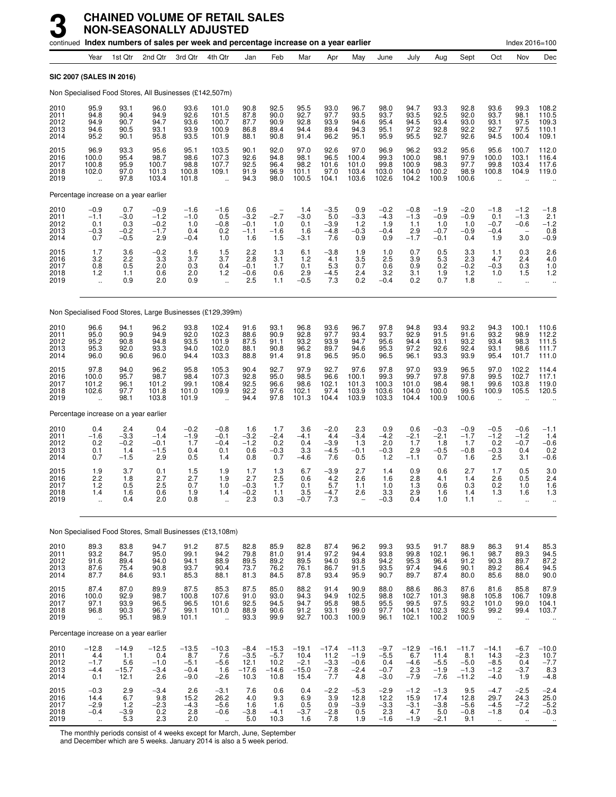|                                      |                                                         | continued Index numbers of sales per week and percentage increase on a year earlier |                                             |                                              |                                                          |                                             |                                              |                                              |                                            |                                              |                                             |                                           |                                               |                                               |                                                        | Index 2016=100                               |                                                                         |
|--------------------------------------|---------------------------------------------------------|-------------------------------------------------------------------------------------|---------------------------------------------|----------------------------------------------|----------------------------------------------------------|---------------------------------------------|----------------------------------------------|----------------------------------------------|--------------------------------------------|----------------------------------------------|---------------------------------------------|-------------------------------------------|-----------------------------------------------|-----------------------------------------------|--------------------------------------------------------|----------------------------------------------|-------------------------------------------------------------------------|
|                                      | Year                                                    | 1st Qtr                                                                             | 2nd Qtr                                     | 3rd Qtr                                      | 4th Qtr                                                  | Jan                                         | Feb                                          | Mar                                          | Apr                                        | May                                          | June                                        | July                                      | Aug                                           | Sept                                          | Oct                                                    | Nov                                          | Dec                                                                     |
|                                      |                                                         | <b>SIC 2007 (SALES IN 2016)</b>                                                     |                                             |                                              |                                                          |                                             |                                              |                                              |                                            |                                              |                                             |                                           |                                               |                                               |                                                        |                                              |                                                                         |
|                                      |                                                         | Non Specialised Food Stores, All Businesses (£142,507m)                             |                                             |                                              |                                                          |                                             |                                              |                                              |                                            |                                              |                                             |                                           |                                               |                                               |                                                        |                                              |                                                                         |
| 2010<br>2011<br>2012<br>2013<br>2014 | 95.9<br>94.8<br>94.9<br>94.6<br>95.2                    | 93.1<br>90.4<br>90.7<br>90.5<br>90.1                                                | 96.0<br>94.9<br>94.7<br>93.1<br>95.8        | 93.6<br>92.6<br>93.6<br>93.9<br>93.5         | 101.0<br>101.5<br>100.7<br>100.9<br>101.9                | 90.8<br>87.8<br>87.7<br>86.8<br>88.1        | 92.5<br>90.0<br>90.9<br>89.4<br>90.8         | 95.5<br>92.7<br>92.8<br>94.4<br>91.4         | 93.0<br>97.7<br>93.9<br>89.4<br>96.2       | 96.7<br>93.5<br>94.6<br>94.3<br>95.1         | 98.0<br>93.7<br>95.4<br>95.1<br>95.9        | 94.7<br>93.5<br>94.5<br>97.2<br>95.5      | 93.3<br>92.5<br>93.4<br>92.8<br>92.7          | 92.8<br>92.0<br>93.0<br>92.2<br>92.6          | 93.6<br>93.7<br>93.1<br>92.7<br>94.5                   | 99.3<br>98.1<br>97.5<br>97.5<br>100.4        | 108.2<br>110.5<br>109.3<br>110.1<br>109.1                               |
| 2015<br>2016<br>2017<br>2018<br>2019 | 96.9<br>100.0<br>100.8<br>102.0<br>$\ddot{\phantom{a}}$ | 93.3<br>95.4<br>95.9<br>97.0<br>97.8                                                | 95.6<br>98.7<br>100.7<br>101.3<br>103.4     | 95.1<br>98.6<br>98.8<br>100.8<br>101.8       | 103.5<br>107.3<br>107.7<br>109.1<br>$\ddot{\phantom{a}}$ | 90.1<br>92.6<br>92.5<br>91.9<br>94.3        | 92.0<br>94.8<br>96.4<br>96.9<br>98.0         | 97.0<br>98.1<br>98.2<br>101.1<br>100.5       | 92.6<br>96.5<br>101.6<br>97.0<br>104.1     | 97.0<br>100.4<br>101.0<br>103.4<br>103.6     | 96.9<br>99.3<br>99.8<br>103.0<br>102.6      | 96.2<br>100.0<br>100.9<br>104.0<br>104.2  | 93.2<br>98.1<br>98.3<br>100.2<br>100.9        | 95.6<br>97.9<br>97.7<br>98.9<br>100.6         | 95.6<br>100.0<br>99.8<br>100.8                         | 100.7<br>103.1<br>103.4<br>104.9             | 112.0<br>116.4<br>117.6<br>119.0                                        |
|                                      |                                                         | Percentage increase on a year earlier                                               |                                             |                                              |                                                          |                                             |                                              |                                              |                                            |                                              |                                             |                                           |                                               |                                               |                                                        |                                              |                                                                         |
| 2010<br>2011<br>2012<br>2013<br>2014 | $-0.9$<br>$-1.1$<br>0.1<br>$-0.3$<br>0.7                | 0.7<br>$-3.0$<br>0.3<br>$-0.2$<br>$-0.5$                                            | $-0.9$<br>$-1.2$<br>$-0.2$<br>$-1.7$<br>2.9 | $-1.6$<br>$-1.0$<br>1.0<br>0.4<br>$-0.4$     | $-1.6$<br>0.5<br>$-0.8$<br>0.2<br>1.0                    | 0.6<br>$-3.2$<br>$-0.1$<br>$-1.1$<br>1.6    | $-2.7$<br>1.0<br>$-1.6$<br>1.5               | 1.4<br>$-3.0$<br>0.1<br>1.6<br>$-3.1$        | $-3.5$<br>5.0<br>$-3.9$<br>$-4.8$<br>7.6   | 0.9<br>$-3.3$<br>1.2<br>$-0.3$<br>0.9        | $-0.2$<br>$-4.3$<br>1.9<br>$-0.4$<br>0.9    | $-0.8$<br>$-1.3$<br>1.1<br>2.9<br>$-1.7$  | $-1.9$<br>$-0.9$<br>1.0<br>$-0.7$<br>$-0.1$   | $-2.0$<br>$-0.9$<br>1.0<br>$-0.9$<br>0.4      | $-1.8$<br>0.1<br>$-0.7$<br>$-0.4$<br>1.9               | $-1.2$<br>$-1.3$<br>$-0.6$<br>3.0            | $-1.8$<br>2.1<br>$-1.2$<br>0.8<br>$-0.9$                                |
| 2015<br>2016<br>2017<br>2018<br>2019 | 1.7<br>3.2<br>0.8<br>1.2<br>$\ddot{\phantom{a}}$        | 3.6<br>2.2<br>0.5<br>1.1<br>0.9                                                     | $-0.2$<br>3.3<br>2.0<br>0.6<br>2.0          | 1.6<br>3.7<br>0.3<br>2.0<br>0.9              | $\frac{1.5}{3.7}$<br>0.4<br>1.2<br>$\ddot{\phantom{a}}$  | 2.2<br>2.8<br>$-0.1$<br>$-0.6$<br>2.5       | 1.3<br>3.1<br>1.7<br>0.6<br>1.1              | 6.1<br>1.2<br>0.1<br>2.9<br>$-0.5$           | $-3.8$<br>4.1<br>5.3<br>$-4.5$<br>7.3      | 1.9<br>3.5<br>0.7<br>2.4<br>0.2              | 1.0<br>2.5<br>0.6<br>3.2<br>$-0.4$          | 0.7<br>3.9<br>0.9<br>3.1<br>0.2           | 0.5<br>5.3<br>0.2<br>1.9<br>0.7               | 3.3<br>2.3<br>$-0.2$<br>1.2<br>1.8            | 1.1<br>4.7<br>$-0.3$<br>1.0<br>$\ddot{\phantom{1}}$    | 0.3<br>2.4<br>0.3<br>1.5<br>$\ddotsc$        | $^{2.6}_{4.0}$<br>1.0<br>1.2<br>$\ddot{\phantom{1}}$                    |
|                                      |                                                         | Non Specialised Food Stores, Large Businesses (£129,399m)                           |                                             |                                              |                                                          |                                             |                                              |                                              |                                            |                                              |                                             |                                           |                                               |                                               |                                                        |                                              |                                                                         |
| 2010<br>2011<br>2012<br>2013<br>2014 | 96.6<br>95.0<br>95.2<br>95.3<br>96.0                    | 94.1<br>90.9<br>90.8<br>92.0<br>90.6                                                | 96.2<br>94.9<br>94.8<br>93.3<br>96.0        | 93.8<br>92.0<br>93.5<br>94.0<br>94.4         | 102.4<br>102.3<br>101.9<br>102.0<br>103.3                | 91.6<br>88.6<br>87.5<br>88.1<br>88.8        | 93.1<br>90.9<br>91.1<br>90.8<br>91.4         | 96.8<br>92.8<br>93.2<br>96.2<br>91.8         | 93.6<br>97.7<br>93.9<br>89.7<br>96.5       | 96.7<br>93.4<br>94.7<br>94.6<br>95.0         | 97.8<br>93.7<br>95.6<br>95.3<br>96.5        | 94.8<br>92.9<br>94.4<br>97.2<br>96.1      | 93.4<br>91.5<br>93.1<br>92.6<br>93.3          | 93.2<br>91.6<br>93.2<br>92.4<br>93.9          | 94.3<br>93.2<br>93.4<br>93.1<br>95.4                   | 100.1<br>98.9<br>98.3<br>98.6<br>101.7       | 110.6<br>112.2<br>111.5<br>111.7<br>111.0                               |
| 2015<br>2016<br>2017<br>2018<br>2019 | 97.8<br>100.0<br>101.2<br>102.6                         | 94.0<br>95.7<br>96.1<br>97.7<br>98.1                                                | 96.2<br>98.7<br>101.2<br>101.8<br>103.8     | 95.8<br>98.4<br>99.1<br>101.0<br>101.9       | 105.3<br>107.3<br>108.4<br>109.9                         | 90.4<br>92.8<br>92.5<br>92.2<br>94.4        | 92.7<br>95.0<br>96.6<br>97.6<br>97.8         | 97.9<br>98.5<br>98.6<br>102.1<br>101.3       | 92.7<br>96.6<br>102.1<br>97.4<br>104.4     | 97.6<br>100.1<br>101.3<br>103.9<br>103.9     | 97.8<br>99.3<br>100.3<br>103.6<br>103.3     | 97.0<br>99.7<br>101.0<br>104.0<br>104.4   | 93.9<br>97.8<br>98.4<br>100.0<br>100.9        | 96.5<br>97.8<br>98.1<br>99.5<br>100.6         | 97.0<br>99.5<br>99.6<br>100.9                          | 102.2<br>102.7<br>103.8<br>105.5             | 114.4<br>117.1<br>119.0<br>120.5                                        |
|                                      |                                                         | Percentage increase on a year earlier                                               |                                             |                                              |                                                          |                                             |                                              |                                              |                                            |                                              |                                             |                                           |                                               |                                               |                                                        |                                              |                                                                         |
| 2010<br>2011<br>2012<br>2013<br>2014 | 0.4<br>$-1.6$<br>0.2<br>0.1<br>0.7                      | 2.4<br>$-3.3$<br>$-0.2$<br>1.4<br>$-1.5$                                            | 0.4<br>$-1.4$<br>$-0.1$<br>$-1.5$<br>2.9    | $-0.2$<br>$-1.9$<br>1.7<br>0.4<br>0.5        | $-0.8$<br>$-0.1$<br>$-0.4$<br>0.1<br>1.4                 | 1.6<br>$-3.2$<br>$-1.2$<br>0.6<br>0.8       | 1.7<br>$-2.4$<br>0.2<br>$-0.3$<br>0.7        | 3.6<br>$-4.1$<br>0.4<br>3.3<br>$-4.6$        | $-2.0$<br>4.4<br>$-3.9$<br>$-4.5$<br>7.6   | 2.3<br>$-3.4$<br>1.3<br>$-0.1$<br>0.5        | 0.9<br>$-4.2$<br>2.0<br>$-0.3$<br>1.2       | 0.6<br>$-2.1$<br>1.7<br>2.9<br>$-1.1$     | $-0.3$<br>$-2.1$<br>1.8<br>$-0.5$<br>0.7      | $-0.9$<br>$-1.7$<br>1.7<br>$-0.8$<br>1.6      | $-0.5$<br>$-1.2$<br>0.2<br>$-0.3$<br>2.5               | $-0.6$<br>$-1.2$<br>$-0.7$<br>0.4<br>3.1     | $-1.1$<br>1.4<br>$-0.6$<br>$0.2 - 0.6$                                  |
| 2015<br>2016<br>2017<br>2018<br>2019 | 1.9<br>2.2<br>1.2<br>1.4<br>ă,                          | 3.7<br>1.8<br>0.5<br>1.6<br>0.4                                                     | 0.1<br>2.7<br>2.5<br>0.6<br>2.0             | 1.5<br>2.7<br>0.7<br>1.9<br>0.8              | 1.9<br>1.9<br>1.0<br>1.4                                 | 1.7<br>2.7<br>$-0.3$<br>$-0.2$<br>2.3       | 1.3<br>2.5<br>1.7<br>1.1<br>0.3              | 6.7<br>0.6<br>0.1<br>$3.5 - 0.7$             | $-3.9$<br>4.2<br>5.7<br>$-4.7$<br>7.3      | 2.7<br>2.6<br>1.1<br>2.6                     | 1.4<br>1.6<br>1.0<br>3.3<br>$-0.3$          | 0.9<br>2.8<br>1.3<br>2.9<br>0.4           | 0.6<br>4.1<br>0.6<br>1.6<br>1.0               | 2.7<br>1.4<br>0.3<br>1.4<br>1.1               | 1.7<br>2.6<br>0.2<br>1.3<br>$\ddotsc$                  | 0.5<br>0.5<br>1.0<br>1.6                     | 3.0<br>2.4<br>1.6<br>1.3                                                |
|                                      |                                                         | Non Specialised Food Stores, Small Businesses (£13,108m)                            |                                             |                                              |                                                          |                                             |                                              |                                              |                                            |                                              |                                             |                                           |                                               |                                               |                                                        |                                              |                                                                         |
| 2010<br>2011<br>2012<br>2013<br>2014 | 89.3<br>93.2<br>91.6<br>87.6<br>87.7                    | 83.8<br>84.7<br>89.4<br>75.4<br>84.6                                                | 94.7<br>95.0<br>94.0<br>90.8<br>93.1        | 91.2<br>99.1<br>94.1<br>93.7<br>85.3         | 87.5<br>94.2<br>88.9<br>90.4<br>88.1                     | 82.8<br>79.8<br>89.5<br>73.7<br>81.3        | 85.9<br>81.0<br>89.2<br>76.2<br>84.5         | 82.8<br>91.4<br>89.5<br>76.1<br>87.8         | 87.4<br>97.2<br>94.0<br>86.7<br>93.4       | 96.2<br>94.4<br>93.8<br>91.5<br>95.9         | 99.3<br>93.8<br>94.2<br>93.5<br>90.7        | 93.5<br>99.8<br>95.3<br>97.4<br>89.7      | 91.7<br>102.1<br>96.4<br>94.6<br>87.4         | 88.9<br>96.1<br>91.2<br>90.1<br>80.0          | 86.3<br>98.7<br>90.3<br>89.2<br>85.6                   | 91.4<br>89.3<br>89.7<br>86.4<br>88.0         | 85.3<br>94.5<br>87.2<br>94.5<br>90.0                                    |
| 2015<br>2016<br>2017<br>2018<br>2019 | 87.4<br>100.0<br>97.1<br>96.8<br>$\ddotsc$              | 87.0<br>92.9<br>93.9<br>90.3<br>95.1                                                | 89.9<br>98.7<br>96.5<br>96.7<br>98.9        | 87.5<br>100.8<br>96.5<br>99.1<br>101.1       | 85.3<br>107.6<br>101.6<br>101.0<br>$\ddot{\phantom{1}}$  | 87.5<br>91.0<br>92.5<br>88.9<br>93.3        | 85.0<br>93.0<br>94.5<br>90.6<br>99.9         | 88.2<br>94.3<br>94.7<br>91.2<br>92.7         | 91.4<br>94.9<br>95.8<br>93.1<br>100.3      | 90.9<br>102.5<br>98.5<br>99.0<br>100.9       | 88.0<br>98.8<br>95.5<br>97.7<br>96.1        | 88.6<br>102.7<br>99.5<br>104.1<br>102.1   | 86.3<br>101.3<br>97.5<br>102.3<br>100.2       | 87.6<br>98.8<br>93.2<br>92.5<br>100.9         | 81.6<br>105.8<br>101.0<br>99.2<br>$\ddot{\phantom{1}}$ | 85.8<br>106.7<br>99.0<br>99.4                | $87.9$<br>$109.8$<br>$104.1$<br>103.7                                   |
|                                      |                                                         | Percentage increase on a year earlier                                               |                                             |                                              |                                                          |                                             |                                              |                                              |                                            |                                              |                                             |                                           |                                               |                                               |                                                        |                                              |                                                                         |
| 2010<br>2011<br>2012<br>2013<br>2014 | $-12.8$<br>4.4<br>$-1.7$<br>$-4.4$<br>0.1               | $-14.9$<br>1.1<br>5.6<br>$-15.7$<br>12.1                                            | $-12.5$<br>0.4<br>$-1.0$<br>$-3.4$<br>2.6   | $-13.5$<br>8.7<br>$-5.1$<br>$-0.4$<br>$-9.0$ | $-10.3$<br>7.6<br>$-5.\overline{6}$<br>1.6<br>$-2.6$     | $-8.4$<br>$-3.5$<br>12.1<br>$-17.6$<br>10.3 | $-15.3$<br>$-5.7$<br>10.2<br>$-14.6$<br>10.8 | $-19.1$<br>10.4<br>$-2.1$<br>$-15.0$<br>15.4 | $-17.4$<br>11.2<br>$-3.3$<br>$-7.8$<br>7.7 | $-11.3$<br>$-1.9$<br>$-0.6$<br>$-2.4$<br>4.8 | $-9.7$<br>$-5.5$<br>0.4<br>$-0.7$<br>$-3.0$ | $-12.9$<br>6.7<br>$-4.6$<br>2.3<br>$-7.9$ | $-16.1$<br>11.4<br>$-5.5$<br>$-1.9$<br>$-7.6$ | $-11.7$<br>8.1<br>$-5.0$<br>$-1.3$<br>$-11.2$ | $-14.1$<br>14.3<br>$-8.5$<br>$-1.2$<br>$-4.0$          | $-6.7$<br>$-2.3$<br>0.4<br>$-3.7$<br>1.9     | $-10.0$<br>$\begin{array}{c} 10.7 \\ -7.7 \\ 8.3 \end{array}$<br>$-4.8$ |
| 2015<br>2016<br>2017<br>2018<br>2019 | $-0.3$<br>14.4<br>$-2.9$<br>$-0.4$                      | 2.9<br>6.7<br>1.2<br>$-3.9$<br>5.3                                                  | $-3.4$<br>9.8<br>$-2.3$<br>0.2<br>2.3       | 2.6<br>$15.2 - 4.3$<br>2.8<br>2.0            | $-3.1$<br>26.2<br>$-5.6$<br>$-0.6$                       | 7.6<br>4.0<br>1.6<br>$-3.8$<br>5.0          | 0.6<br>9.3<br>1.6<br>$-4.1$<br>10.3          | 0.4<br>6.9<br>0.5<br>$-3.7$<br>1.6           | $-2.2$<br>3.9<br>0.9<br>$-2.8$<br>7.8      | $-5.3$<br>12.8<br>$-3.9$<br>0.5<br>1.9       | $-2.9$<br>12.2<br>$-3.3$<br>2.3<br>$-1.6$   | $-1.2$<br>15.9<br>$-3.1$<br>4.7<br>$-1.9$ | $-1.3$<br>17.4<br>$-3.8$<br>5.0<br>$-2.1$     | 9.5<br>12.8<br>$-5.6$<br>$-0.8$<br>9.1        | $-4.7$<br>29.7<br>$-4.5$<br>$-1.8$                     | $-2.5$<br>24.3<br>$-7.2$<br>0.4<br>$\ddotsc$ | $-2.4$<br>25.0<br>$-5.2$<br>-0.3                                        |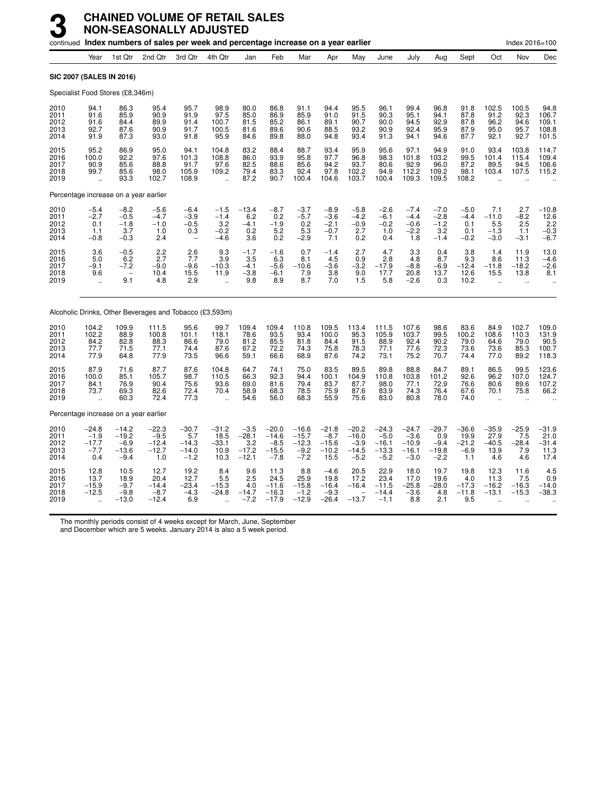|                                       |                                               |                                                            | continued Index numbers of sales per week and percentage increase on a year earlier |                                                |                                                         |                                                |                                                   |                                                   |                                                |                                                   |                                                   |                                                   |                                               |                                             |                                           | Index 2016=100                                        |                                                          |
|---------------------------------------|-----------------------------------------------|------------------------------------------------------------|-------------------------------------------------------------------------------------|------------------------------------------------|---------------------------------------------------------|------------------------------------------------|---------------------------------------------------|---------------------------------------------------|------------------------------------------------|---------------------------------------------------|---------------------------------------------------|---------------------------------------------------|-----------------------------------------------|---------------------------------------------|-------------------------------------------|-------------------------------------------------------|----------------------------------------------------------|
|                                       | Year                                          | 1st Qtr                                                    | 2nd Qtr                                                                             | 3rd Qtr                                        | 4th Qtr                                                 | Jan                                            | Feb                                               | Mar                                               | Apr                                            | May                                               | June                                              | July                                              | Aug                                           | Sept                                        | Oct                                       | Nov                                                   | Dec                                                      |
| <b>SIC 2007 (SALES IN 2016)</b>       |                                               |                                                            |                                                                                     |                                                |                                                         |                                                |                                                   |                                                   |                                                |                                                   |                                                   |                                                   |                                               |                                             |                                           |                                                       |                                                          |
| Specialist Food Stores (£8,346m)      |                                               |                                                            |                                                                                     |                                                |                                                         |                                                |                                                   |                                                   |                                                |                                                   |                                                   |                                                   |                                               |                                             |                                           |                                                       |                                                          |
| 2010<br>2011<br>2012<br>2013<br>2014  | 94.1<br>91.6<br>91.6<br>92.7<br>91.9          | 86.3<br>85.9<br>84.4<br>87.6<br>87.3                       | 95.4<br>90.9<br>89.9<br>90.9<br>93.0                                                | 95.7<br>91.9<br>91.4<br>91.7<br>91.8           | 98.9<br>97.5<br>100.7<br>100.5<br>95.9                  | 80.0<br>85.0<br>81.5<br>81.6<br>84.6           | 86.8<br>86.9<br>85.2<br>89.6<br>89.8              | 91.1<br>85.9<br>86.1<br>90.6<br>88.0              | 94.4<br>91.0<br>89.1<br>88.5<br>94.8           | 95.5<br>91.5<br>90.7<br>93.2<br>93.4              | 96.1<br>90.3<br>90.0<br>90.9<br>91.3              | 99.4<br>95.1<br>94.5<br>92.4<br>94.1              | 96.8<br>94.1<br>92.9<br>95.9<br>94.6          | 91.8<br>87.8<br>87.8<br>87.9<br>87.7        | 102.5<br>91.2<br>96.2<br>95.0<br>92.1     | 100.5<br>92.3<br>94.6<br>95.7<br>92.7                 | 94.8<br>106.7<br>109.1<br>108.8<br>101.5                 |
| 2015<br>2016<br>2017<br>2018<br>2019  | 95.2<br>100.0<br>90.9<br>99.7<br>$\mathbf{r}$ | 86.9<br>92.2<br>85.6<br>85.6<br>93.3                       | 95.0<br>97.6<br>88.8<br>98.0<br>102.7                                               | 94.1<br>101.3<br>91.7<br>105.9<br>108.9        | 104.8<br>108.8<br>97.6<br>109.2<br>$\ddot{\phantom{a}}$ | 83.2<br>86.0<br>82.5<br>79.4<br>87.2           | 88.4<br>93.9<br>88.6<br>83.3<br>90.7              | 88.7<br>95.8<br>85.6<br>92.4<br>100.4             | 93.4<br>97.7<br>94.2<br>97.8<br>104.6          | 95.9<br>96.8<br>93.7<br>102.2<br>103.7            | 95.6<br>98.3<br>80.6<br>94.9<br>100.4             | 97.1<br>101.8<br>92.9<br>112.2<br>109.3           | 94.9<br>103.2<br>96.0<br>109.2<br>109.5       | 91.0<br>99.5<br>87.2<br>98.1<br>108.2       | 93.4<br>101.4<br>89.5<br>103.4            | 103.8<br>115.4<br>94.5<br>107.5                       | 114.7<br>109.4<br>106.6<br>115.2                         |
| Percentage increase on a year earlier |                                               |                                                            |                                                                                     |                                                |                                                         |                                                |                                                   |                                                   |                                                |                                                   |                                                   |                                                   |                                               |                                             |                                           |                                                       |                                                          |
| 2010<br>2011<br>2012<br>2013<br>2014  | $-5.4$<br>$-2.7$<br>0.1<br>1.1<br>$-0.8$      | $-8.2$<br>$-0.5$<br>$-1.8$<br>3.7<br>$-0.3$                | $-5.6$<br>$-4.7$<br>$-1.0$<br>1.0<br>2.4                                            | $-6.4$<br>$-3.9$<br>$-0.5$<br>0.3              | $-1.5$<br>$-1.4$<br>3.2<br>$-0.2$<br>$-4.6$             | $-13.4$<br>6.2<br>$-4.1$<br>0.2<br>3.6         | $-8.7$<br>0.2<br>$-1.9$<br>5.2<br>0.2             | $-3.7$<br>$-5.7$<br>0.2<br>5.3<br>$-2.9$          | $-8.9$<br>$-3.6$<br>$-2.1$<br>$-0.7$<br>7.1    | $-5.8$<br>$-4.2$<br>$-0.9$<br>2.7<br>0.2          | $-2.6$<br>$-6.1$<br>$-0.2$<br>1.0<br>0.4          | $-7.4$<br>$-4.4$<br>$-0.6$<br>$-2.2$<br>1.8       | $-7.0$<br>$-2.8$<br>$-1.2$<br>3.2<br>$-1.4$   | $-5.0$<br>$-4.4$<br>0.1<br>0.1<br>$-0.2$    | 7.1<br>$-11.0$<br>5.5<br>$-1.3$<br>$-3.0$ | 2.7<br>$-8.2$<br>2.5<br>1.1<br>$-3.1$                 | $-10.8$<br>12.6<br>$\frac{2.2}{2.2}$<br>$-0.3$<br>$-6.7$ |
| 2015<br>2016<br>2017<br>2018<br>2019  | 3.6<br>5.0<br>$-9.1$<br>9.6                   | $-0.5$<br>6.2<br>$-7.2$<br>$\overline{\phantom{0}}$<br>9.1 | $2.2$<br>2.7<br>$-9.0$<br>10.4<br>4.8                                               | 2.6<br>7.7<br>$-9.6$<br>15.5<br>2.9            | 9.3<br>3.9<br>$-10.3$<br>11.9                           | $-1.7$<br>3.5<br>$-4.1$<br>$-3.8$<br>9.8       | $-1.6$<br>6.3<br>$-5.6$<br>$-6.1$<br>8.9          | 0.7<br>8.1<br>$-10.6$<br>$\frac{7.9}{8.7}$        | $-1.4$<br>4.5<br>$-3.6$<br>3.8<br>7.0          | 2.7<br>0.9<br>$-3.2$<br>9.0<br>1.5                | 4.7<br>2.8<br>$-17.9$<br>17.7<br>5.8              | 3.3<br>4.8<br>$-8.8$<br>20.8<br>$-2.6$            | 0.4<br>8.7<br>$-6.9$<br>13.7<br>0.3           | 3.8<br>9.3<br>$-12.4$<br>12.6<br>10.2       | 1.4<br>8.6<br>$-11.8$<br>15.5             | 11.9<br>11.3<br>$-18.2$<br>13.8                       | 13.0<br>$-4.6$<br>$-2.6$<br>8.1                          |
|                                       |                                               |                                                            | Alcoholic Drinks, Other Beverages and Tobacco (£3,593m)                             |                                                |                                                         |                                                |                                                   |                                                   |                                                |                                                   |                                                   |                                                   |                                               |                                             |                                           |                                                       |                                                          |
| 2010<br>2011<br>2012<br>2013<br>2014  | 104.2<br>102.2<br>84.2<br>77.7<br>77.9        | 109.9<br>88.9<br>82.8<br>71.5<br>64.8                      | 111.5<br>100.8<br>88.3<br>77.1<br>77.9                                              | 95.6<br>101.1<br>86.6<br>74.4<br>73.5          | 99.7<br>118.1<br>79.0<br>87.6<br>96.6                   | 109.4<br>78.6<br>81.2<br>67.2<br>59.1          | 109.4<br>93.5<br>85.5<br>72.2<br>66.6             | 110.8<br>93.4<br>81.8<br>74.3<br>68.9             | 109.5<br>100.0<br>84.4<br>75.8<br>87.6         | 113.4<br>95.3<br>91.5<br>78.3<br>74.2             | 111.5<br>105.9<br>88.9<br>77.1<br>73.1            | 107.6<br>103.7<br>92.4<br>77.6<br>75.2            | 98.6<br>99.5<br>90.2<br>72.3<br>70.7          | 83.6<br>100.2<br>79.0<br>73.6<br>74.4       | 84.9<br>108.6<br>64.6<br>73.6<br>77.0     | 102.7<br>110.3<br>79.0<br>85.3<br>89.2                | 109.0<br>131.9<br>90.5<br>100.7<br>118.3                 |
| 2015<br>2016<br>2017<br>2018<br>2019  | 87.9<br>100.0<br>84.1<br>73.7<br>$\sim$       | 71.6<br>85.1<br>76.9<br>69.3<br>60.3                       | 87.7<br>105.7<br>90.4<br>82.6<br>72.4                                               | 87.6<br>98.7<br>75.6<br>72.4<br>77.3           | 104.8<br>110.5<br>93.6<br>70.4<br>$\sim$                | 64.7<br>66.3<br>69.0<br>58.9<br>54.6           | 74.1<br>92.3<br>81.6<br>68.3<br>56.0              | 75.0<br>94.4<br>79.4<br>78.5<br>68.3              | 83.5<br>100.1<br>83.7<br>75.9<br>55.9          | 89.5<br>104.9<br>87.7<br>87.6<br>75.6             | 89.8<br>110.8<br>98.0<br>83.9<br>83.0             | 88.8<br>103.8<br>77.1<br>74.3<br>80.8             | 84.7<br>101.2<br>72.9<br>76.4<br>78.0         | 89.1<br>92.6<br>76.6<br>67.6<br>74.0        | 86.5<br>96.2<br>80.6<br>70.1<br>$\sim$    | 99.5<br>107.0<br>89.6<br>75.8<br>$\ddot{\phantom{a}}$ | 123.6<br>124.7<br>107.2<br>66.2                          |
|                                       |                                               | Percentage increase on a year earlier                      |                                                                                     |                                                |                                                         |                                                |                                                   |                                                   |                                                |                                                   |                                                   |                                                   |                                               |                                             |                                           |                                                       |                                                          |
| 2010<br>2011<br>2012<br>2013<br>2014  | $-24.8$<br>$-1.9$<br>$-17.7$<br>$-7.7$<br>0.4 | $-14.2$<br>$-19.2$<br>-6.9<br>$-13.6$<br>$-9.4$            | $-22.3$<br>$-9.5$<br>$-12.4$<br>$-12.7$<br>1.0                                      | $-30.7$<br>5.7<br>$-14.3$<br>$-14.0$<br>$-1.2$ | $-31.2$<br>$\frac{18.5}{-33.1}$<br>10.9<br>10.3         | $-3.5$<br>$-28.1$<br>3.2<br>$-17.2$<br>$-12.1$ | $-20.0$<br>$-14.6$<br>$-8.5$<br>$-15.5$<br>$-7.8$ | $-16.6$<br>$-15.7$<br>$-12.3$<br>$-9.2$<br>$-7.2$ | $-21.8$<br>$-8.7$<br>-15.6<br>$-10.2$<br>15.5  | $-20.2$<br>$-16.0$<br>$-3.9$<br>$-14.5$<br>$-5.2$ | $-24.3$<br>$-5.0$<br>$-16.1$<br>$-13.3$<br>$-5.2$ | $-24.7$<br>$-3.6$<br>$-10.9$<br>$-16.1$<br>$-3.0$ | $-29.7$<br>0.9<br>$-9.4$<br>$-19.8$<br>$-2.2$ | $-36.6$<br>19.9<br>$-21.2$<br>$-6.9$<br>1.1 | $-35.9$<br>$27.9 - 40.5$<br>13.9<br>4.6   | $-25.9$<br>7.5<br>$-28.4$<br>7.9<br>4.6               | $-31.9$<br>$21.0 - 31.4$<br>11.3<br>17.4                 |
| 2015<br>2016<br>2017<br>2018<br>2019  | 12.8<br>13.7<br>$-15.9$<br>$-12.5$            | 10.5<br>18.9<br>$-9.7$<br>$-9.8$<br>$-13.0$                | 12.7<br>20.4<br>$-14.4$<br>$-8.7$<br>$-12.4$                                        | 19.2<br>12.7<br>$-23.4$<br>$-4.3$<br>6.9       | 8.4<br>5.5<br>$-15.3$<br>$-24.8$                        | 9.6<br>2.5<br>4.0<br>$-14.7$<br>$-7.2$         | 11.3<br>24.5<br>$-11.6$<br>$-16.3$<br>$-17.9$     | 8.8<br>25.9<br>$-15.8$<br>$-1.2$<br>$-12.9$       | $-4.6$<br>19.8<br>$-16.4$<br>$-9.3$<br>$-26.4$ | 20.5<br>17.2<br>$-16.4$<br>$-13.7$                | 22.9<br>23.4<br>$-11.5$<br>$-14.4$<br>$-1.1$      | 18.0<br>17.0<br>$-25.8$<br>$-3.6$<br>8.8          | 19.7<br>19.6<br>$-28.0$<br>4.8<br>2.1         | 19.8<br>4.0<br>$-17.3$<br>$-11.8$<br>9.5    | 12.3<br>11.3<br>$-16.2$<br>$-13.1$        | 11.6<br>7.5<br>$-16.3$<br>$-15.3$                     | 4.5<br>0.9<br>$-14.0$<br>$-38.3$                         |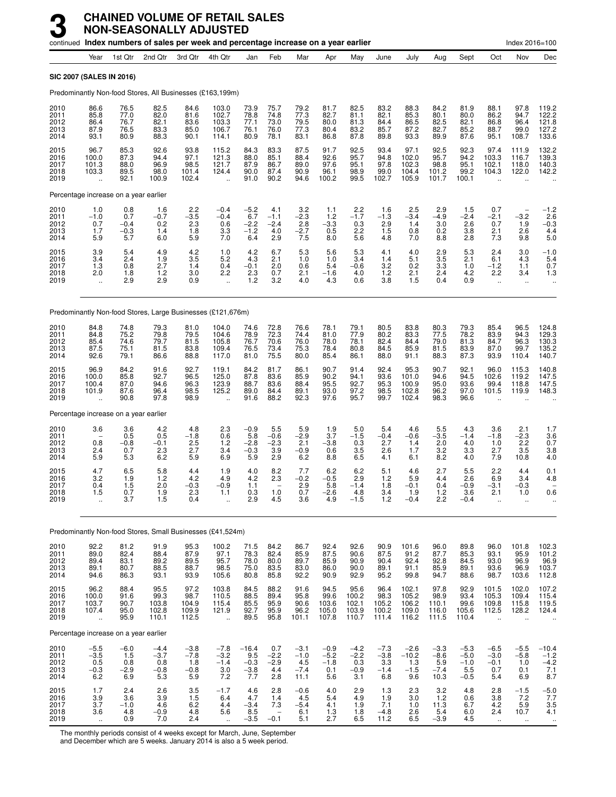|                                      |                                                         |                                           | continued Index numbers of sales per week and percentage increase on a year earlier |                                          |                                                          |                                           |                                                         |                                           |                                          |                                            |                                                       |                                             |                                                |                                             |                                                         | Index 2016=100                                           |                                                   |
|--------------------------------------|---------------------------------------------------------|-------------------------------------------|-------------------------------------------------------------------------------------|------------------------------------------|----------------------------------------------------------|-------------------------------------------|---------------------------------------------------------|-------------------------------------------|------------------------------------------|--------------------------------------------|-------------------------------------------------------|---------------------------------------------|------------------------------------------------|---------------------------------------------|---------------------------------------------------------|----------------------------------------------------------|---------------------------------------------------|
|                                      | Year                                                    | 1st Qtr                                   | 2nd Qtr                                                                             | 3rd Qtr                                  | 4th Qtr                                                  | Jan                                       | Feb                                                     | Mar                                       | Apr                                      | May                                        | June                                                  | July                                        | Aug                                            | Sept                                        | Oct                                                     | Nov                                                      | Dec                                               |
|                                      | SIC 2007 (SALES IN 2016)                                |                                           |                                                                                     |                                          |                                                          |                                           |                                                         |                                           |                                          |                                            |                                                       |                                             |                                                |                                             |                                                         |                                                          |                                                   |
|                                      |                                                         |                                           | Predominantly Non-food Stores, All Businesses (£163,199m)                           |                                          |                                                          |                                           |                                                         |                                           |                                          |                                            |                                                       |                                             |                                                |                                             |                                                         |                                                          |                                                   |
| 2010<br>2011<br>2012<br>2013<br>2014 | 86.6<br>85.8<br>86.4<br>87.9<br>93.1                    | 76.5<br>77.0<br>76.7<br>76.5<br>80.9      | 82.5<br>82.0<br>82.1<br>83.3<br>88.3                                                | 84.6<br>81.6<br>83.6<br>85.0<br>90.1     | 103.0<br>102.7<br>103.3<br>106.7<br>114.1                | 73.9<br>78.8<br>77.1<br>76.1<br>80.9      | 75.7<br>74.8<br>73.0<br>76.0<br>78.1                    | 79.2<br>77.3<br>79.5<br>77.3<br>83.1      | 81.7<br>82.7<br>80.0<br>80.4<br>86.8     | 82.5<br>81.1<br>81.3<br>83.2<br>87.8       | 83.2<br>82.1<br>84.4<br>85.7<br>89.8                  | 88.3<br>85.3<br>86.5<br>87.2<br>93.3        | 84.2<br>80.1<br>82.5<br>82.7<br>89.9           | 81.9<br>80.0<br>82.1<br>85.2<br>87.6        | 88.1<br>86.2<br>86.8<br>88.7<br>95.1                    | 97.8<br>94.7<br>96.4<br>99.0<br>108.7                    | 119.2<br>122.2<br>121.8<br>127.2<br>133.6         |
| 2015<br>2016<br>2017<br>2018<br>2019 | 96.7<br>100.0<br>101.3<br>103.3<br>$\ddot{\phantom{a}}$ | 85.3<br>87.3<br>88.0<br>89.5<br>92.1      | 92.6<br>94.4<br>96.9<br>98.0<br>100.9                                               | 93.8<br>97.1<br>98.5<br>101.4<br>102.4   | 115.2<br>121.3<br>121.7<br>124.4<br>$\ddotsc$            | 84.3<br>88.0<br>87.9<br>90.0<br>91.0      | 83.3<br>85.1<br>86.7<br>87.4<br>90.2                    | 87.5<br>88.4<br>89.0<br>90.9<br>94.6      | 91.7<br>92.6<br>97.6<br>96.1<br>100.2    | 92.5<br>95.7<br>95.1<br>98.9<br>99.5       | 93.4<br>94.8<br>97.8<br>99.0<br>102.7                 | 97.1<br>102.0<br>102.3<br>104.4<br>105.9    | 92.5<br>95.7<br>98.8<br>101.2<br>101.7         | 92.3<br>94.2<br>95.1<br>99.2<br>100.1       | 97.4<br>103.3<br>102.1<br>104.3<br>$\ddot{\phantom{a}}$ | 111.9<br>116.7<br>118.0<br>122.0<br>$\ddot{\phantom{a}}$ | 132.2<br>139.3<br>140.3<br>142.2                  |
|                                      |                                                         | Percentage increase on a year earlier     |                                                                                     |                                          |                                                          |                                           |                                                         |                                           |                                          |                                            |                                                       |                                             |                                                |                                             |                                                         |                                                          |                                                   |
| 2010<br>2011<br>2012<br>2013<br>2014 | 1.0<br>$-1.0$<br>0.7<br>1.7<br>5.9                      | 0.8<br>0.7<br>$-0.4$<br>$-0.3$<br>5.7     | 1.6<br>$-0.7$<br>0.2<br>1.4<br>6.0                                                  | $2.2 - 3.5$<br>2.3<br>1.8<br>5.9         | $-0.4$<br>$-0.4$<br>0.6<br>3.3<br>7.0                    | $-5.2$<br>6.7<br>$-2.2$<br>$-1.2$<br>6.4  | 4.1<br>$-1.1$<br>$-2.4$<br>4.0<br>2.9                   | 3.2<br>$-2.3$<br>2.8<br>$-2.7$<br>7.5     | 1.1<br>1.2<br>$-3.3$<br>0.5<br>8.0       | 2.2<br>$-1.7$<br>0.3<br>2.2<br>5.6         | 1.6<br>$-1.3$<br>2.9<br>1.5<br>4.8                    | 2.5<br>$-3.4$<br>1.4<br>0.8<br>7.0          | 2.9<br>$-4.9$<br>3.0<br>0.2<br>8.8             | 1.5<br>$-2.4$<br>2.6<br>3.8<br>2.8          | 0.7<br>$-2.1$<br>0.7<br>2.1<br>7.3                      | $-3.2$<br>1.9<br>2.6<br>9.8                              | $-1.2$<br>2.6<br>$-0.3$<br>4.4<br>5.0             |
| 2015<br>2016<br>2017<br>2018<br>2019 | 3.9<br>3.4<br>1.3<br>2.0<br>$\ddot{\phantom{a}}$        | 5.4<br>2.4<br>0.8<br>1.8<br>2.9           | 4.9<br>1.9<br>2.7<br>1.2<br>2.9                                                     | 4.2<br>3.5<br>1.4<br>3.0<br>0.9          | 1.0<br>5.2<br>0.4<br>2.2<br>÷.                           | 4.2<br>4.3<br>$-0.1$<br>2.3<br>1.2        | 6.7<br>2.1<br>2.0<br>0.7<br>3.2                         | 5.3<br>1.0<br>0.6<br>2.1<br>4.0           | 5.6<br>1.0<br>5.4<br>$-1.6$<br>4.3       | 5.3<br>3.4<br>$-0.6$<br>4.0<br>0.6         | 4.1<br>1.4<br>3.2<br>1.2<br>3.8                       | 4.0<br>5.1<br>0.2<br>2.1<br>1.5             | 2.9<br>3.5<br>3.3<br>2.4<br>0.4                | 5.3<br>2.1<br>1.0<br>4.2<br>0.9             | 2.4<br>6.1<br>$-1.2$<br>2.2<br>ä,                       | 3.0<br>4.3<br>1.1<br>3.4<br>$\ddotsc$                    | $-1.0$<br>5.4<br>0.7<br>1.3                       |
|                                      |                                                         |                                           | Predominantly Non-food Stores, Large Businesses (£121,676m)                         |                                          |                                                          |                                           |                                                         |                                           |                                          |                                            |                                                       |                                             |                                                |                                             |                                                         |                                                          |                                                   |
| 2010<br>2011<br>2012<br>2013<br>2014 | 84.8<br>84.8<br>85.4<br>87.5<br>92.6                    | 74.8<br>75.2<br>74.6<br>75.1<br>79.1      | 79.3<br>79.8<br>79.7<br>81.5<br>86.6                                                | 81.0<br>79.5<br>81.5<br>83.8<br>88.8     | 104.0<br>104.6<br>105.8<br>109.4<br>117.0                | 74.6<br>78.9<br>76.7<br>76.5<br>81.0      | 72.8<br>72.3<br>70.6<br>73.4<br>75.5                    | 76.6<br>74.4<br>76.0<br>75.3<br>80.0      | 78.1<br>81.0<br>78.0<br>78.4<br>85.4     | 79.1<br>77.9<br>78.1<br>80.8<br>86.1       | 80.5<br>80.2<br>82.4<br>84.5<br>88.0                  | 83.8<br>83.3<br>84.4<br>85.9<br>91.1        | 80.3<br>77.5<br>79.0<br>81.5<br>88.3           | 79.3<br>78.2<br>81.3<br>83.9<br>87.3        | 85.4<br>83.9<br>84.7<br>87.0<br>93.9                    | 96.5<br>94.3<br>96.3<br>99.7<br>110.4                    | 124.8<br>129.3<br>130.3<br>135.2<br>140.7         |
| 2015<br>2016<br>2017<br>2018<br>2019 | 96.9<br>100.0<br>100.4<br>101.9                         | 84.2<br>85.8<br>87.0<br>87.6<br>90.8      | 91.6<br>92.7<br>94.6<br>96.4<br>97.8                                                | 92.7<br>96.5<br>96.3<br>98.5<br>98.9     | 119.1<br>125.0<br>123.9<br>125.2                         | 84.2<br>87.8<br>88.7<br>89.0<br>91.6      | 81.7<br>83.6<br>83.6<br>84.4<br>88.2                    | 86.1<br>85.9<br>88.4<br>89.1<br>92.3      | 90.7<br>90.2<br>95.5<br>93.0<br>97.6     | 91.4<br>94.1<br>92.7<br>97.2<br>95.7       | 92.4<br>93.6<br>95.3<br>98.5<br>99.7                  | 95.3<br>101.0<br>100.9<br>102.8<br>102.4    | 90.7<br>94.6<br>95.0<br>96.2<br>98.3           | 92.1<br>94.5<br>93.6<br>97.0<br>96.6        | 96.0<br>102.6<br>99.4<br>101.5                          | 115.3<br>119.2<br>118.8<br>119.9                         | 140.8<br>147.5<br>147.5<br>148.3                  |
|                                      |                                                         | Percentage increase on a year earlier     |                                                                                     |                                          |                                                          |                                           |                                                         |                                           |                                          |                                            |                                                       |                                             |                                                |                                             |                                                         |                                                          |                                                   |
| 2010<br>2011<br>2012<br>2013<br>2014 | 3.6<br>0.8<br>2.4<br>5.9                                | 3.6<br>0.5<br>$-0.8$<br>0.7<br>5.3        | 4.2<br>0.5<br>$-0.1$<br>2.3<br>6.2                                                  | 4.8<br>$-1.8$<br>2.5<br>2.7<br>5.9       | 2.3<br>0.6<br>1.2<br>3.4<br>6.9                          | $-0.9$<br>5.8<br>$-2.8$<br>$-0.3$<br>5.9  | 5.5<br>$-0.6$<br>$-2.3$<br>3.9<br>2.9                   | 5.9<br>$-2.9$<br>2.1<br>$-0.9$<br>6.2     | 1.9<br>3.7<br>$-3.8$<br>0.6<br>8.8       | 5.0<br>$-1.5$<br>0.3<br>3.5<br>6.5         | 5.4<br>$-0.4$<br>2.7<br>2.6<br>4.1                    | 4.6<br>$-0.6$<br>1.4<br>1.7<br>6.1          | 5.5<br>$-3.5$<br>2.0<br>3.2<br>8.2             | 4.3<br>$-1.4$<br>4.0<br>3.3<br>4.0          | 3.6<br>$-1.8$<br>1.0<br>2.7<br>7.9                      | 2.1<br>$-2.3$<br>2.2<br>3.5<br>10.8                      | 1.7<br>3.6<br>0.7<br>3.8<br>4.0                   |
| 2015<br>2016<br>2017<br>2018<br>2019 | 4.7<br>3.2<br>0.4<br>1.5<br>ă,                          | 6.5<br>1.9<br>1.5<br>0.7<br>3.7           | 5.8<br>1.2<br>2.0<br>$\frac{1.9}{1.5}$                                              | 4.4<br>4.2<br>$-0.3$<br>$^{2.3}_{0.4}$   | 1.9<br>4.9<br>$-0.9$<br>1.1                              | 4.0<br>4.2<br>1.1<br>0.3<br>2.9           | 8.2<br>2.3<br>1.0<br>4.5                                | 7.7<br>$-0.2$<br>2.9<br>0.7<br>3.6        | 6.2<br>$-0.5$<br>5.8<br>-2.6<br>4.9      | 6.2<br>2.9<br>$-1.4$<br>$4.8 - 1.5$        | 5.1<br>1.2<br>1.8<br>3.4<br>1.2                       | 4.6<br>5.9<br>$-0.1$<br>1.9<br>$-0.4$       | 2.7<br>4.4<br>0.4<br>$1.2$<br>2.2              | 5.5<br>2.6<br>$-0.9$<br>3.6<br>$-0.4$       | 2.2<br>6.9<br>$-3.1$<br>2.1<br>$\ddotsc$                | 4.4<br>3.4<br>$-0.3$<br>1.0<br>$\ddot{\phantom{a}}$      | 0.1<br>4.8<br>0.6                                 |
|                                      |                                                         |                                           | Predominantly Non-food Stores, Small Businesses (£41,524m)                          |                                          |                                                          |                                           |                                                         |                                           |                                          |                                            |                                                       |                                             |                                                |                                             |                                                         |                                                          |                                                   |
| 2010<br>2011<br>2012<br>2013<br>2014 | 92.2<br>89.0<br>89.4<br>89.1<br>94.6                    | 81.2<br>82.4<br>83.1<br>80.7<br>86.3      | 91.9<br>88.4<br>89.2<br>88.5<br>93.1                                                | 95.3<br>87.9<br>89.5<br>88.7<br>93.9     | 100.2<br>97.1<br>95.7<br>98.5<br>105.6                   | 71.5<br>78.3<br>78.0<br>75.0<br>80.8      | 84.2<br>82.4<br>80.0<br>83.5<br>85.8                    | 86.7<br>85.9<br>89.7<br>83.0<br>92.2      | 92.4<br>87.5<br>85.9<br>86.0<br>90.9     | 92.6<br>90.6<br>90.9<br>90.0<br>92.9       | 90.9<br>87.5<br>90.4<br>89.1<br>95.2                  | 101.6<br>91.2<br>92.4<br>91.1<br>99.8       | 96.0<br>87.7<br>92.8<br>85.9<br>94.7           | 89.8<br>85.3<br>84.5<br>89.1<br>88.6        | 96.0<br>93.1<br>93.0<br>93.6<br>98.7                    | 101.8<br>95.9<br>96.9<br>96.9<br>103.6                   | 102.3<br>101.2<br>96.9<br>103.7<br>112.8          |
| 2015<br>2016<br>2017<br>2018<br>2019 | 96.2<br>100.0<br>103.7<br>107.4<br>$\ddot{\phantom{a}}$ | 88.4<br>91.6<br>90.7<br>95.0<br>95.9      | 95.5<br>99.3<br>103.8<br>102.8<br>110.1                                             | 97.2<br>98.7<br>104.9<br>109.9<br>112.5  | 103.8<br>110.5<br>115.4<br>121.9<br>$\ddot{\phantom{a}}$ | 84.5<br>88.5<br>85.5<br>92.7<br>89.5      | 88.2<br>89.4<br>95.9<br>95.9<br>95.8                    | 91.6<br>95.8<br>90.6<br>96.2<br>101.1     | 94.5<br>99.6<br>103.6<br>105.0<br>107.8  | 95.6<br>100.2<br>102.1<br>103.9<br>110.7   | 96.4<br>98.3<br>105.2<br>100.2<br>111.4               | 102.1<br>105.2<br>106.2<br>109.0<br>116.2   | 97.8<br>98.9<br>110.1<br>116.0<br>111.5        | 92.9<br>93.4<br>99.6<br>105.6<br>110.4      | 101.5<br>105.3<br>109.8<br>112.5<br>$\ddotsc$           | 102.0<br>109.4<br>115.8<br>128.2<br>÷.                   | 107.2<br>115.4<br>119.5<br>124.4                  |
|                                      |                                                         | Percentage increase on a year earlier     |                                                                                     |                                          |                                                          |                                           |                                                         |                                           |                                          |                                            |                                                       |                                             |                                                |                                             |                                                         |                                                          |                                                   |
| 2010<br>2011<br>2012<br>2013<br>2014 | $-5.5$<br>$-3.5$<br>0.5<br>$-0.3$<br>6.2                | $-6.0$<br>1.5<br>$0.8\,$<br>$-2.9$<br>6.9 | $-4.4$<br>$-3.7$<br>0.8<br>$-0.8$<br>5.3                                            | $-3.8$<br>$-7.8$<br>1.8<br>$-0.8$<br>5.9 | $-7.8$<br>$-3.2$<br>$-1.4$<br>3.0<br>7.2                 | $-16.4$<br>9.5<br>$-0.3$<br>$-3.8$<br>7.7 | 0.7<br>$-2.2$<br>$-2.9$<br>4.4<br>2.8                   | $-3.1$<br>$-1.0$<br>4.5<br>$-7.4$<br>11.1 | $-0.9$<br>$-5.2$<br>$-1.8$<br>0.1<br>5.6 | $-4.2$<br>$^{-2.2}_{0.3}$<br>$-0.9$<br>3.1 | $-7.3$<br>$-3.8$<br>$3.\overline{3}$<br>$-1.4$<br>6.8 | $-2.6$<br>$-10.2$<br>$1.3$<br>$-1.5$<br>9.6 | $-3.3$<br>$-8.6$<br>$\frac{5.9}{-7.4}$<br>10.3 | $-5.3$<br>$-5.0$<br>$-1.0$<br>5.5<br>$-0.5$ | $-6.5$<br>$-3.0$<br>$-0.1$<br>0.7<br>5.4                | $-5.5$<br>$-5.8$<br>1.0<br>0.1<br>6.9                    | $-10.4$<br>$-1.2$<br>$-4.2$<br>7.1<br>8.7         |
| 2015<br>2016<br>2017<br>2018<br>2019 | 1.7<br>$\frac{3.9}{3.7}$<br>3.6<br>$\ldots$             | 2.4<br>3.6<br>$-1.0$<br>4.8<br>0.9        | 2.6<br>3.9<br>4.6<br>$-0.9$<br>7.0                                                  | $\frac{3.5}{1.5}$<br>6.2<br>4.8<br>2.4   | $-1.7$<br>6.4<br>4.4<br>5.6<br>$\ddot{\phantom{a}}$      | 4.6<br>4.7<br>$-3.4$<br>8.5<br>$-3.5$     | 2.8<br>1.4<br>7.3<br>$\overline{\phantom{a}}$<br>$-0.1$ | $-0.6$<br>4.5<br>$-5.4$<br>6.1<br>5.1     | 4.0<br>5.4<br>4.1<br>1.3<br>2.7          | 2.9<br>4.9<br>1.9<br>1.8<br>6.5            | 1.3<br>1.9<br>7.1<br>$-4.8$<br>11.2                   | 2.3<br>3.0<br>1.0<br>2.6<br>6.5             | 3.2<br>1.2<br>11.3<br>5.4<br>$-3.9$            | 4.8<br>0.6<br>6.7<br>6.0<br>4.5             | 2.8<br>3.8<br>$4.2\,$<br>2.4<br>$\ddotsc$               | $-1.5$<br>7.2<br>5.9<br>10.7<br>$\ldots$                 | $-5.0$<br>$7.7$<br>$3.5$<br>$4.1$<br>$\cdot\cdot$ |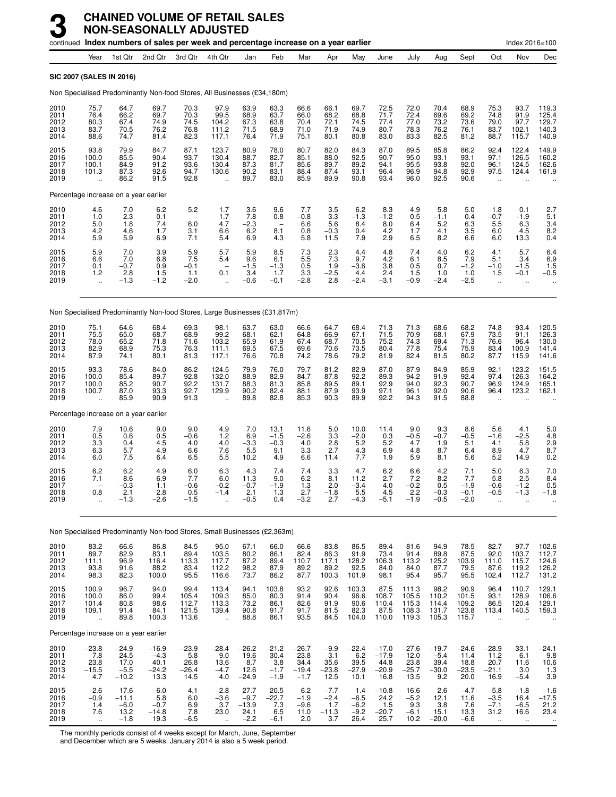|                                      |                                                  |                                              | continued Index numbers of sales per week and percentage increase on a year earlier |                                              |                                                            |                                                |                                                      |                                              |                                            |                                           |                                               |                                           |                                             |                                            |                                                     | Index 2016=100                                         |                                                  |
|--------------------------------------|--------------------------------------------------|----------------------------------------------|-------------------------------------------------------------------------------------|----------------------------------------------|------------------------------------------------------------|------------------------------------------------|------------------------------------------------------|----------------------------------------------|--------------------------------------------|-------------------------------------------|-----------------------------------------------|-------------------------------------------|---------------------------------------------|--------------------------------------------|-----------------------------------------------------|--------------------------------------------------------|--------------------------------------------------|
|                                      | Year                                             | 1st Qtr                                      | 2nd Qtr                                                                             | 3rd Qtr                                      | 4th Qtr                                                    | Jan                                            | Feb                                                  | Mar                                          | Apr                                        | May                                       | June                                          | July                                      | Aug                                         | Sept                                       | Oct                                                 | Nov                                                    | Dec                                              |
|                                      |                                                  | SIC 2007 (SALES IN 2016)                     |                                                                                     |                                              |                                                            |                                                |                                                      |                                              |                                            |                                           |                                               |                                           |                                             |                                            |                                                     |                                                        |                                                  |
|                                      |                                                  |                                              | Non Specialised Predominantly Non-food Stores, All Businesses (£34,180m)            |                                              |                                                            |                                                |                                                      |                                              |                                            |                                           |                                               |                                           |                                             |                                            |                                                     |                                                        |                                                  |
| 2010<br>2011<br>2012<br>2013<br>2014 | 75.7<br>76.4<br>80.3<br>83.7<br>88.6             | 64.7<br>66.2<br>67.4<br>70.5<br>74.7         | 69.7<br>69.7<br>74.9<br>76.2<br>81.4                                                | 70.3<br>70.3<br>74.5<br>76.8<br>82.3         | 97.9<br>99.5<br>104.2<br>111.2<br>117.1                    | 63.9<br>68.9<br>67.3<br>71.5<br>76.4           | 63.3<br>63.7<br>63.8<br>68.9<br>71.9                 | 66.6<br>66.0<br>70.4<br>71.0<br>75.1         | 66.1<br>68.2<br>72.1<br>71.9<br>80.1       | 69.7<br>68.8<br>74.5<br>74.9<br>80.8      | 72.5<br>71.7<br>77.4<br>80.7<br>83.0          | 72.0<br>72.4<br>77.0<br>78.3<br>83.3      | 70.4<br>69.6<br>73.2<br>76.2<br>82.5        | 68.9<br>69.2<br>73.6<br>76.1<br>81.2       | 75.3<br>74.8<br>79.0<br>83.7<br>88.7                | 93.7<br>91.9<br>97.7<br>102.1<br>115.7                 | 119.3<br>125.4<br>129.7<br>140.3<br>140.9        |
| 2015<br>2016<br>2017<br>2018<br>2019 | 93.8<br>100.0<br>100.1<br>101.3                  | 79.9<br>85.5<br>84.9<br>87.3<br>86.2         | 84.7<br>90.4<br>91.2<br>92.6<br>91.5                                                | 87.1<br>93.7<br>93.6<br>94.7<br>92.8         | 123.7<br>130.4<br>130.4<br>130.6                           | 80.9<br>88.7<br>87.3<br>90.2<br>89.7           | 78.0<br>82.7<br>81.7<br>83.1<br>83.0                 | 80.7<br>85.1<br>85.6<br>88.4<br>85.9         | 82.0<br>88.0<br>89.7<br>87.4<br>89.9       | 84.3<br>92.5<br>89.2<br>93.1<br>90.8      | 87.0<br>90.7<br>94.1<br>96.4<br>93.4          | 89.5<br>95.0<br>95.5<br>96.9<br>96.0      | 85.8<br>93.1<br>93.8<br>94.8<br>92.5        | 86.2<br>93.1<br>92.0<br>92.9<br>90.6       | 92.4<br>97.1<br>96.1<br>97.5                        | 122.4<br>126.5<br>124.5<br>124.4                       | 149.9<br>160.2<br>162.6<br>161.9                 |
|                                      |                                                  | Percentage increase on a year earlier        |                                                                                     |                                              |                                                            |                                                |                                                      |                                              |                                            |                                           |                                               |                                           |                                             |                                            |                                                     |                                                        |                                                  |
| 2010<br>2011<br>2012<br>2013<br>2014 | $\frac{4.6}{1.0}$<br>5.0<br>4.2<br>5.9           | 7.0<br>2.3<br>1.8<br>4.6<br>5.9              | 6.2<br>0.1<br>7.4<br>1.7<br>6.9                                                     | 5.2<br>6.0<br>3.1<br>7.1                     | 1.7<br>1.7<br>4.7<br>6.6<br>5.4                            | 3.6<br>7.8<br>$-2.3$<br>6.2<br>6.9             | 9.6<br>0.8<br>$\overline{\phantom{0}}$<br>8.1<br>4.3 | 7.7<br>$-0.8$<br>6.6<br>0.8<br>5.8           | $\frac{3.5}{3.3}$<br>5.6<br>$-0.3$<br>11.5 | 6.2<br>$-1.3$<br>8.4<br>0.4<br>7.9        | 8.3<br>$-1.2$<br>8.0<br>4.2<br>2.9            | 4.9<br>0.5<br>6.4<br>1.7<br>6.5           | 5.8<br>$-1.1$<br>5.2<br>4.1<br>8.2          | 5.0<br>0.4<br>6.3<br>3.5<br>6.6            | 1.8<br>$-0.7$<br>5.5<br>6.0<br>6.0                  | 0.1<br>$-1.9$<br>6.3<br>4.5<br>13.3                    | $2.7$<br>5.1<br>3.4<br>8.2<br>0.4                |
| 2015<br>2016<br>2017<br>2018<br>2019 | 5.9<br>6.6<br>0.1<br>1.2<br>$\ddot{\phantom{a}}$ | 7.0<br>7.0<br>$-0.7$<br>2.8<br>$-1.3$        | 3.9<br>6.8<br>0.9<br>1.5<br>$-1.2$                                                  | $\frac{5.9}{7.5}$<br>$-0.1$<br>1.1<br>$-2.0$ | 5.7<br>5.4<br>$\overline{\phantom{a}}$<br>0.1<br>$\ddotsc$ | 5.9<br>9.6<br>$-1.5$<br>3.4<br>$-0.6$          | 8.5<br>6.1<br>$-1.3$<br>1.7<br>$-0.1$                | $7.3$<br>5.5<br>0.5<br>3.3<br>$-2.8$         | $^{2.3}_{7.3}$<br>1.9<br>$-2.5$<br>2.8     | 4.4<br>9.7<br>$-3.6$<br>4.4<br>$-2.4$     | $^{4.8}_{4.2}$<br>3.8<br>2.4<br>$-3.1$        | 7.4<br>6.1<br>0.5<br>1.5<br>$-0.9$        | 4.0<br>8.5<br>0.7<br>1.0<br>$-2.4$          | 6.2<br>7.9<br>$-1.2$<br>1.0<br>$-2.5$      | 4.1<br>5.1<br>$-1.0$<br>1.5<br>$\ddot{\phantom{a}}$ | 5.7<br>3.4<br>$-1.5$<br>$-0.1$<br>$\ddot{\phantom{a}}$ | 6.46.9<br>1.5<br>$-0.5$                          |
|                                      |                                                  |                                              | Non Specialised Predominantly Non-food Stores, Large Businesses (£31,817m)          |                                              |                                                            |                                                |                                                      |                                              |                                            |                                           |                                               |                                           |                                             |                                            |                                                     |                                                        |                                                  |
| 2010<br>2011<br>2012<br>2013<br>2014 | 75.1<br>75.5<br>78.0<br>82.9<br>87.9             | 64.6<br>65.0<br>65.2<br>68.9<br>74.1         | 68.4<br>68.7<br>71.8<br>75.3<br>80.1                                                | 69.3<br>68.9<br>71.6<br>76.3<br>81.3         | 98.1<br>99.2<br>103.2<br>111.1<br>117.1                    | 63.7<br>68.1<br>65.9<br>69.5<br>76.6           | 63.0<br>62.1<br>61.9<br>67.5<br>70.8                 | 66.6<br>64.8<br>67.4<br>69.6<br>74.2         | 64.7<br>66.9<br>68.7<br>70.6<br>78.6       | 68.4<br>67.1<br>70.5<br>73.5<br>79.2      | $71.3$<br>$71.5$<br>75.2<br>80.4<br>81.9      | 71.3<br>70.9<br>74.3<br>77.8<br>82.4      | 68.6<br>68.1<br>69.4<br>75.4<br>81.5        | 68.2<br>67.9<br>71.3<br>75.9<br>80.2       | 74.8<br>73.5<br>76.6<br>83.4<br>87.7                | 93.4<br>91.1<br>96.4<br>100.9<br>115.9                 | 120.5<br>126.3<br>130.0<br>141.4<br>141.6        |
| 2015<br>2016<br>2017<br>2018<br>2019 | 93.3<br>100.0<br>100.0<br>100.7                  | 78.6<br>85.4<br>85.2<br>87.0<br>85.9         | 84.0<br>89.7<br>90.7<br>93.3<br>90.9                                                | 86.2<br>92.8<br>92.2<br>92.7<br>91.3         | 124.5<br>132.0<br>131.7<br>129.9                           | 79.9<br>88.9<br>88.3<br>90.2<br>89.8           | 76.0<br>82.9<br>81.3<br>82.4<br>82.8                 | 79.7<br>84.7<br>85.8<br>88.1<br>85.3         | 81.2<br>87.8<br>89.5<br>87.9<br>90.3       | 82.9<br>92.2<br>89.1<br>93.9<br>89.9      | 87.0<br>89.3<br>92.9<br>97.1<br>92.2          | 87.9<br>94.2<br>94.0<br>96.1<br>94.3      | 84.9<br>91.9<br>92.3<br>92.0<br>91.5        | 85.9<br>92.4<br>90.7<br>90.6<br>88.8       | 92.1<br>97.4<br>96.9<br>96.4                        | 123.2<br>126.3<br>124.9<br>123.2                       | 151.5<br>164.2<br>165.1<br>162.1                 |
|                                      |                                                  | Percentage increase on a year earlier        |                                                                                     |                                              |                                                            |                                                |                                                      |                                              |                                            |                                           |                                               |                                           |                                             |                                            |                                                     |                                                        |                                                  |
| 2010<br>2011<br>2012<br>2013<br>2014 | 7.9<br>0.5<br>3.3<br>6.3<br>6.0                  | 10.6<br>0.6<br>0.4<br>5.7<br>7.5             | 9.0<br>0.5<br>4.5<br>4.9<br>6.4                                                     | 9.0<br>$-0.6$<br>4.0<br>6.6<br>6.5           | 4.9<br>1.2<br>4.0<br>7.6<br>5.5                            | 7.0<br>6.9<br>$-3.\overline{3}$<br>5.5<br>10.2 | 13.1<br>$-1.5$<br>$-0.3$<br>9.1<br>4.9               | 11.6<br>$-2.6$<br>4.0<br>3.3<br>6.6          | 5.0<br>3.3<br>2.8<br>2.7<br>11.4           | 10.0<br>$-2.0$<br>5.2<br>4.3<br>7.7       | 11.4<br>0.3<br>5.2<br>6.9<br>1.9              | 9.0<br>$-0.5$<br>4.7<br>4.8<br>5.9        | 9.3<br>$-0.7$<br>1.9<br>8.7<br>8.1          | 8.6<br>$-0.5$<br>5.1<br>6.4<br>5.6         | 5.6<br>$-1.6$<br>4.1<br>8.9<br>5.2                  | 4.1<br>$-2.5$<br>5.8<br>4.7<br>14.9                    | $\frac{5.0}{4.8}$<br>2.9<br>8.7<br>0.2           |
| 2015<br>2016<br>2017<br>2018<br>2019 | 6.2<br>7.1<br>0.8                                | 6.2<br>8.6<br>$-0.3$<br>2.1<br>$-1.3$        | 4.9<br>6.9<br>1.1<br>2.8<br>$-2.6$                                                  | 6.0<br>7.7<br>$-0.6$<br>U.5<br>-1.5          | 6.3<br>6.0<br>$-0.2$<br>$-1.4$                             | 4.3<br>11.3<br>$-0.7$<br>2.1<br>$-0.5$         | 7.4<br>9.0<br>$-1.9$<br>1.3<br>0.4                   | 7.4<br>6.2<br>1.3<br>2.1<br>$-3.2$           | 3.3<br>8.1<br>2.0<br>-1.8<br>2.7           | 4.7<br>11.2<br>$-3.4$<br>5.5<br>$-4.3$    | 6.2<br>2.7<br>4.0<br>4.5<br>$-5.1$            | 6.6<br>7.2<br>$-0.2$<br>2.2<br>$-1.9$     | 4.2<br>8.2<br>0.5<br>–ს.პ<br>$-0.5$         | 7.1<br>7.7<br>$-1.9$<br>-0.1<br>$-2.0$     | 5.0<br>5.8<br>$-0.6$<br>–ს.ხ                        | 6.3<br>2.5<br>$-1.2$<br>-1.3                           | 7.0<br>8.4<br>0.5<br>-1.8                        |
|                                      |                                                  |                                              | Non Specialised Predominantly Non-food Stores, Small Businesses (£2,363m)           |                                              |                                                            |                                                |                                                      |                                              |                                            |                                           |                                               |                                           |                                             |                                            |                                                     |                                                        |                                                  |
| 2010<br>2011<br>2012<br>2013<br>2014 | 83.2<br>89.7<br>111.1<br>93.8<br>98.3            | 66.6<br>82.9<br>96.9<br>91.6<br>82.3         | 86.8<br>83.1<br>116.4<br>88.2<br>100.0                                              | 84.5<br>89.4<br>113.3<br>83.4<br>95.5        | 95.0<br>103.5<br>117.7<br>112.2<br>116.6                   | 67.1<br>80.2<br>87.2<br>98.2<br>73.7           | 66.0<br>86.1<br>89.4<br>87.9<br>86.2                 | 66.6<br>82.4<br>110.7<br>89.2<br>87.7        | 83.8<br>86.3<br>117.1<br>89.2<br>100.3     | 86.5<br>91.9<br>128.2<br>92.5<br>101.9    | 89.4<br>73.4<br>106.3<br>84.0<br>98.1         | 81.6<br>91.4<br>113.2<br>84.0<br>95.4     | 94.9<br>89.8<br>125.2<br>87.7<br>95.7       | 78.5<br>87.5<br>103.9<br>79.5<br>95.5      | 82.7<br>92.0<br>111.0<br>87.6<br>102.4              | 97.7<br>103.7<br>115.7<br>119.2<br>112.7               | 102.6<br>112.7<br>$\frac{124.6}{126.2}$<br>131.2 |
| 2015<br>2016<br>2017<br>2018<br>2019 | 100.9<br>100.0<br>101.4<br>109.1<br>÷.           | 96.7<br>86.0<br>80.8<br>91.4<br>89.8         | 94.0<br>99.4<br>98.6<br>84.1<br>100.3                                               | 99.4<br>105.4<br>112.7<br>121.5<br>113.6     | 113.4<br>109.3<br>113.3<br>139.4<br>$\ddot{\phantom{a}}$   | 94.1<br>85.0<br>73.2<br>90.8<br>88.8           | 103.8<br>80.3<br>86.1<br>91.7<br>86.1                | 93.2<br>91.4<br>82.6<br>91.7<br>93.5         | 92.6<br>90.4<br>91.9<br>81.5<br>84.5       | 103.3<br>96.6<br>90.6<br>82.3<br>104.0    | 87.5<br>108.7<br>110.4<br>87.5<br>110.0       | 111.3<br>105.5<br>115.3<br>108.3<br>119.3 | 98.2<br>110.2<br>114.4<br>131.7<br>105.3    | 90.9<br>101.5<br>109.2<br>123.8<br>115.7   | 96.4<br>93.1<br>86.5<br>113.4                       | 110.7<br>128.9<br>120.4<br>140.5                       | 129.1<br>106.6<br>129.1<br>159.3                 |
|                                      |                                                  | Percentage increase on a year earlier        |                                                                                     |                                              |                                                            |                                                |                                                      |                                              |                                            |                                           |                                               |                                           |                                             |                                            |                                                     |                                                        |                                                  |
| 2010<br>2011<br>2012<br>2013<br>2014 | $-23.8$<br>7.8<br>23.8<br>$-15.5$<br>4.7         | $-24.9$<br>24.5<br>17.0<br>$-5.5$<br>$-10.2$ | $-16.9$<br>$-4.3$<br>40.1<br>$-24.2$<br>13.3                                        | $-23.9$<br>5.8<br>26.8<br>$-26.4$<br>14.5    | $-28.4$<br>9.0<br>13.6<br>$-4.7$<br>4.0                    | $-26.2$<br>19.6<br>8.7<br>12.6<br>$-24.9$      | $-21.2$<br>30.4<br>3.8<br>$-1.7$<br>$-1.9$           | $-26.7$<br>23.8<br>34.4<br>$-19.4$<br>$-1.7$ | $-9.9$<br>3.1<br>35.6<br>$-23.8$<br>12.5   | $-22.4$<br>6.2<br>39.5<br>$-27.9$<br>10.1 | $-17.0$<br>$-17.9$<br>44.8<br>$-20.9$<br>16.8 | $-27.6$<br>12.0<br>$23.8 - 25.7$<br>13.5  | $-19.7$<br>$-5.4$<br>39.4<br>$-30.0$<br>9.2 | $-24.6$<br>11.4<br>18.8<br>$-23.5$<br>20.0 | $-28.9$<br>11.2<br>20.7<br>$-21.1$<br>16.9          | $-33.1$<br>6.1<br>11.6<br>3.0<br>$-5.4$                | $-24.1$<br>9.8<br>10.6<br>1.3<br>3.9             |
| 2015<br>2016<br>2017<br>2018<br>2019 | 2.6<br>$-0.9$<br>1.4<br>7.6<br>$\ddotsc$         | 17.6<br>$-11.1$<br>$-6.0$<br>13.2<br>$-1.8$  | $-6.0$<br>5.8<br>$-0.7$<br>$-14.8$<br>19.3                                          | 4.1<br>6.0<br>6.9<br>7.8<br>$-6.5$           | $-2.8$<br>$-3.6$<br>3.7<br>23.0                            | 27.7<br>$-9.7$<br>$-13.9$<br>24.1<br>$-2.2$    | 20.5<br>$-22.7$<br>7.3<br>6.5<br>$-6.1$              | 6.2<br>$-1.9$<br>$-9.6$<br>11.0<br>2.0       | $-7.7$<br>$-2.4$<br>1.7<br>$-11.3$<br>3.7  | 1.4<br>$-6.5$<br>$-6.2$<br>$-9.2$<br>26.4 | $-10.8$<br>24.2<br>1.5<br>$-20.7$<br>25.7     | 16.6<br>$-5.2$<br>9.3<br>$-6.1$<br>10.2   | 2.6<br>12.1<br>3.8<br>15.1<br>$-20.0$       | $-4.7$<br>11.6<br>7.6<br>13.3<br>$-6.6$    | $-5.8$<br>$-3.5$<br>$-7.1$<br>31.2<br>$\ldots$      | $-1.8$<br>16.4<br>$-6.5$<br>16.6<br>$\ddotsc$          | $-1.6$<br>$-17.5$<br>21.2<br>23.4                |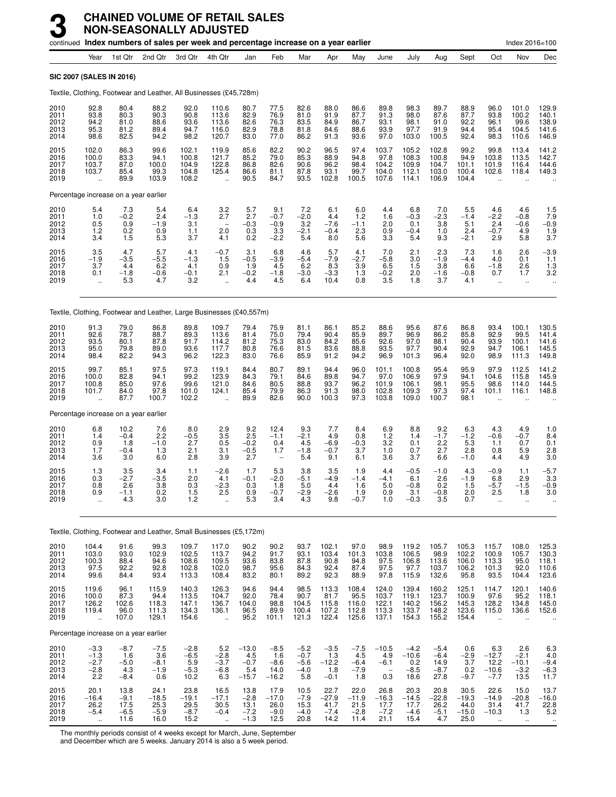|                                      |                                                          |                                          | continued Index numbers of sales per week and percentage increase on a year earlier |                                              |                                                                |                                            |                                                          |                                             |                                            |                                                 |                                                      |                                            |                                            |                                            |                                                         | Index 2016=100                                   |                                                  |
|--------------------------------------|----------------------------------------------------------|------------------------------------------|-------------------------------------------------------------------------------------|----------------------------------------------|----------------------------------------------------------------|--------------------------------------------|----------------------------------------------------------|---------------------------------------------|--------------------------------------------|-------------------------------------------------|------------------------------------------------------|--------------------------------------------|--------------------------------------------|--------------------------------------------|---------------------------------------------------------|--------------------------------------------------|--------------------------------------------------|
|                                      | Year                                                     | 1st Qtr                                  | 2nd Qtr                                                                             | 3rd Qtr                                      | 4th Qtr                                                        | Jan                                        | Feb                                                      | Mar                                         | Apr                                        | May                                             | June                                                 | July                                       | Aug                                        | Sept                                       | Oct                                                     | Nov                                              | Dec                                              |
|                                      |                                                          | <b>SIC 2007 (SALES IN 2016)</b>          |                                                                                     |                                              |                                                                |                                            |                                                          |                                             |                                            |                                                 |                                                      |                                            |                                            |                                            |                                                         |                                                  |                                                  |
|                                      |                                                          |                                          | Textile, Clothing, Footwear and Leather, All Businesses (£45,728m)                  |                                              |                                                                |                                            |                                                          |                                             |                                            |                                                 |                                                      |                                            |                                            |                                            |                                                         |                                                  |                                                  |
| 2010<br>2011<br>2012<br>2013<br>2014 | 92.8<br>93.8<br>94.2<br>95.3<br>98.6                     | 80.4<br>80.3<br>81.0<br>81.2<br>82.5     | 88.2<br>90.3<br>88.6<br>89.4<br>94.2                                                | 92.0<br>90.8<br>93.6<br>94.7<br>98.2         | 110.6<br>113.6<br>113.6<br>116.0<br>120.7                      | 80.7<br>82.9<br>82.6<br>82.9<br>83.0       | 77.5<br>76.9<br>76.3<br>78.8<br>77.0                     | 82.6<br>81.0<br>83.5<br>81.8<br>86.2        | 88.0<br>91.9<br>84.9<br>84.6<br>91.3       | 86.6<br>87.7<br>86.7<br>88.6<br>93.6            | 89.8<br>91.3<br>93.1<br>93.9<br>97.0                 | 98.3<br>98.0<br>98.1<br>97.7<br>103.0      | 89.7<br>87.6<br>91.0<br>91.9<br>100.5      | 88.9<br>87.7<br>92.2<br>94.4<br>92.4       | 96.0<br>93.8<br>96.1<br>95.4<br>98.3                    | 101.0<br>100.2<br>99.6<br>104.5<br>110.6         | 129.9<br>140.1<br>138.9<br>141.6<br>146.9        |
| 2015<br>2016<br>2017<br>2018<br>2019 | 102.0<br>100.0<br>103.7<br>103.7<br>$\ddot{\phantom{a}}$ | 86.3<br>83.3<br>87.0<br>85.4<br>89.9     | 99.6<br>94.1<br>100.0<br>99.3<br>103.9                                              | 102.1<br>100.8<br>104.9<br>104.8<br>108.2    | 119.9<br>121.7<br>122.8<br>125.4<br>$\mathbf{r}$               | 85.6<br>85.2<br>86.8<br>86.6<br>90.5       | 82.2<br>79.0<br>82.6<br>81.1<br>84.7                     | 90.2<br>85.3<br>90.6<br>87.8<br>93.5        | 96.5<br>88.9<br>96.2<br>93.1<br>102.8      | 97.4<br>94.8<br>98.4<br>99.7<br>100.5           | 103.7<br>97.8<br>104.2<br>104.0<br>107.6             | 105.2<br>108.3<br>109.9<br>112.1<br>114.1  | 102.8<br>100.8<br>104.7<br>103.0<br>106.9  | 99.2<br>94.9<br>101.1<br>100.4<br>104.4    | 99.8<br>103.8<br>101.9<br>102.6<br>$\ddot{\phantom{a}}$ | 113.4<br>113.5<br>116.4<br>118.4                 | 141.2<br>142.7<br>144.6<br>149.3                 |
|                                      |                                                          | Percentage increase on a year earlier    |                                                                                     |                                              |                                                                |                                            |                                                          |                                             |                                            |                                                 |                                                      |                                            |                                            |                                            |                                                         |                                                  |                                                  |
| 2010<br>2011<br>2012<br>2013<br>2014 | $5.4$<br>$1.0$<br>0.5<br>1.2<br>3.4                      | $7.3 - 0.2$<br>0.9<br>$0.2$<br>1.5       | 5.4<br>2.4<br>$-1.9$<br>0.9<br>5.3                                                  | $6.4 - 1.3$<br>3.1<br>1.1<br>3.7             | $\frac{3.2}{2.7}$<br>$\overline{\phantom{0}}$<br>2.0<br>4.1    | $\frac{5.7}{2.7}$<br>$-0.3$<br>$0.3 \ 0.2$ | $\frac{9.1}{-0.7}$<br>$-0.9$<br>$\frac{3.3}{-2.2}$       | $^{7.2}_{-2.0}$<br>3.2<br>$-2.1$<br>5.4     | 6.1<br>4.4<br>$-7.6$<br>$-0.4$<br>8.0      | 6.0<br>$\overline{1.2}$<br>$-1.1$<br>2.3<br>5.6 | 4.4<br>1.6<br>2.0<br>0.9<br>3.3                      | $^{6.8}_{-0.3}$<br>0.1<br>$-0.4$<br>5.4    | 7.0<br>$-2.3$<br>3.8<br>1.0<br>9.3         | 5.5<br>$-1.4$<br>5.1<br>2.4<br>$-2.1$      | 4.6<br>$-2.2$<br>2.4<br>$-0.7$<br>2.9                   | 4.6<br>$-0.\overline{8}$<br>$-0.6$<br>4.9<br>5.8 | $\frac{1.5}{7.9}$<br>$-0.9$<br>$\frac{1.9}{3.7}$ |
| 2015<br>2016<br>2017<br>2018<br>2019 | $3.5 - 1.9$<br>3.7<br>0.1<br>$\ddot{\phantom{0}}$        | 4.7<br>$-3.5$<br>4.4<br>$-1.8$<br>5.3    | 5.7<br>$-5.5$<br>6.2<br>$-0.6$<br>4.7                                               | 4.1<br>$-1.3$<br>4.1<br>$-0.1$<br>3.2        | $-0.7$<br>1.5<br>0.9<br>2.1<br>$\ddot{\phantom{a}}$            | 3.1<br>$-0.5$<br>1.9<br>$-0.2$<br>4.4      | 6.8<br>$-3.9$<br>4.5<br>$-1.8$<br>4.5                    | 4.6<br>$-5.4$<br>6.2<br>$-3.0$<br>6.4       | 5.7<br>$-7.9$<br>8.3<br>$-3.3$<br>10.4     | 4.1<br>$-2.7$<br>3.9<br>1.3<br>0.8              | 7.0<br>$-5.\overline{8}$<br>6.5<br>$-0.2$<br>3.5     | 2.1<br>3.0<br>1.5<br>2.0<br>1.8            | 2.3<br>$-1.9$<br>3.8<br>$-1.6$<br>3.7      | $7.3 - 4.4$<br>6.6<br>$-0.8$<br>4.1        | 1.6<br>4.0<br>$-1.8$<br>0.7<br>ä.                       | 2.6<br>0.1<br>2.6<br>1.7<br>ä.                   | $-3.9$<br>1.1<br>1.3<br>3.2                      |
|                                      |                                                          |                                          | Textile, Clothing, Footwear and Leather, Large Businesses (£40,557m)                |                                              |                                                                |                                            |                                                          |                                             |                                            |                                                 |                                                      |                                            |                                            |                                            |                                                         |                                                  |                                                  |
| 2010<br>2011<br>2012<br>2013<br>2014 | 91.3<br>92.6<br>93.5<br>95.0<br>98.4                     | 79.0<br>78.7<br>80.1<br>79.8<br>82.2     | 86.8<br>88.7<br>87.8<br>89.0<br>94.3                                                | 89.8<br>89.3<br>91.7<br>93.6<br>96.2         | 109.7<br>113.6<br>114.2<br>117.7<br>122.3                      | 79.4<br>81.4<br>81.2<br>80.8<br>83.0       | 75.9<br>75.0<br>75.3<br>76.6<br>76.6                     | 81.1<br>79.4<br>83.0<br>81.5<br>85.9        | 86.1<br>90.4<br>84.2<br>83.6<br>91.2       | 85.2<br>85.9<br>85.6<br>88.8<br>94.2            | 88.6<br>89.7<br>92.6<br>93.5<br>96.9                 | 95.6<br>96.9<br>97.0<br>97.7<br>101.3      | 87.6<br>86.2<br>88.1<br>90.4<br>96.4       | 86.8<br>85.8<br>90.4<br>92.9<br>92.0       | 93.4<br>92.9<br>93.9<br>94.7<br>98.9                    | 100.1<br>99.5<br>100.1<br>106.1<br>111.3         | 130.5<br>141.4<br>141.6<br>145.5<br>149.8        |
| 2015<br>2016<br>2017<br>2018<br>2019 | 99.7<br>100.0<br>100.8<br>101.7                          | 85.1<br>82.8<br>85.0<br>84.0<br>87.7     | 97.5<br>94.1<br>97.6<br>97.8<br>100.7                                               | 97.3<br>99.2<br>99.6<br>101.0<br>102.2       | 119.1<br>123.9<br>121.0<br>124.1                               | 84.4<br>84.3<br>84.6<br>85.4<br>89.9       | 80.7<br>79.1<br>80.5<br>79.9<br>82.6                     | 89.1<br>84.6<br>88.8<br>86.3<br>90.0        | 94.4<br>89.8<br>93.7<br>91.3<br>100.3      | 96.0<br>94.7<br>96.2<br>98.0<br>97.3            | 101.1<br>97.0<br>101.9<br>102.8<br>103.8             | 100.8<br>106.9<br>106.1<br>109.3<br>109.0  | 95.4<br>97.9<br>98.1<br>97.3<br>100.7      | 95.9<br>94.1<br>95.5<br>97.4<br>98.1       | 97.9<br>104.6<br>98.6<br>101.1                          | 112.5<br>115.8<br>114.0<br>116.1                 | 141.2<br>145.9<br>144.5<br>148.8                 |
|                                      |                                                          | Percentage increase on a year earlier    |                                                                                     |                                              |                                                                |                                            |                                                          |                                             |                                            |                                                 |                                                      |                                            |                                            |                                            |                                                         |                                                  |                                                  |
| 2010<br>2011<br>2012<br>2013<br>2014 | 6.8<br>1.4<br>0.9<br>1.7<br>3.6                          | 10.2<br>$-0.4$<br>1.8<br>$-0.4$<br>3.0   | 7.6<br>2.2<br>$-1.0$<br>1.3<br>6.0                                                  | 8.0<br>$-0.5$<br>2.7<br>2.1<br>2.8           | 2.9<br>$\begin{array}{c} 3.5 \\ 0.5 \end{array}$<br>3.1<br>3.9 | 9.2<br>$^{2.5}_{-0.2}$<br>$-0.5$<br>2.7    | 12.4<br>$-1.1$<br>0.4<br>1.7<br>$\overline{\phantom{a}}$ | 9.3<br>$-2.1$<br>4.5<br>$-1.8$<br>5.4       | 7.7<br>4.9<br>$-6.9$<br>$-0.7$<br>9.1      | 8.4<br>0.8<br>$-0.3$<br>3.7<br>6.1              | 6.9<br>1.2<br>$3.\overline{2}$<br>1.0<br>3.6         | 8.8<br>1.4<br>0.1<br>0.7<br>3.7            | 9.2<br>$-1.7$<br>2.2<br>2.7<br>6.6         | 6.3<br>$-1.2$<br>5.3<br>2.8<br>$-1.0$      | 4.3<br>$-0.6$<br>1.1<br>0.8<br>4.4                      | 4.9<br>$-0.7$<br>0.7<br>5.9<br>4.9               | 1.0<br>8.4<br>0.1<br>2.8<br>3.0                  |
| 2015<br>2016<br>2017<br>2018<br>2019 | 1.3<br>0.3<br>0.8<br>0.9<br>                             | 3.5<br>$-2.7$<br>2.6<br>$-1.1$<br>4.3    | 3.4<br>$-3.5$<br>3.8<br>0.2<br>3.0                                                  | 1.1<br>2.0<br>0.3<br>1.5<br>1.2              | $-2.6$<br>4.1<br>$-2.3$<br>2.5                                 | 1.7<br>$-0.1$<br>0.3<br>0.9<br>5.3         | 5.3<br>$-2.0$<br>1.8<br>$-0.7$<br>3.4                    | 3.8<br>$-5.1$<br>5.0<br>-2.9<br>4.3         | 3.5<br>$-4.9$<br>4.4<br>-2.6<br>9.8        | 1.9<br>$-1.4$<br>1.6<br>1.9<br>$-0.7$           | 4.4<br>$-4.1$<br>5.0<br>0.9<br>1.0                   | $-0.5$<br>6.1<br>$-0.8$<br>3.1<br>$-0.3$   | $-1.0$<br>2.6<br>0.2<br>$-0.8$<br>3.5      | 4.3<br>$-1.9$<br>1.5<br>2.0<br>0.7         | $-0.9$<br>6.8<br>$-5.7$<br>2.5                          | 1.1<br>2.9<br>$-1.5$<br>1.8<br>Ω.                | $-5.7$<br>$\frac{3.3}{-0.9}$<br>3.0              |
|                                      |                                                          |                                          | Textile, Clothing, Footwear and Leather, Small Businesses (£5,172m)                 |                                              |                                                                |                                            |                                                          |                                             |                                            |                                                 |                                                      |                                            |                                            |                                            |                                                         |                                                  |                                                  |
| 2010<br>2011<br>2012<br>2013<br>2014 | 104.4<br>103.0<br>100.3<br>97.5<br>99.6                  | 91.6<br>93.0<br>88.4<br>92.2<br>84.4     | 99.3<br>102.9<br>94.6<br>92.8<br>93.4                                               | 109.7<br>102.5<br>108.6<br>102.8<br>113.3    | 117.0<br>113.7<br>109.5<br>102.0<br>108.4                      | 90.2<br>94.2<br>93.6<br>98.7<br>83.2       | 90.2<br>91.7<br>83.8<br>95.6<br>80.1                     | 93.7<br>93.1<br>87.8<br>84.3<br>89.2        | 102.1<br>103.4<br>90.8<br>92.4<br>92.3     | 97.0<br>101.3<br>94.8<br>87.4<br>88.9           | 98.9<br>103.8<br>97.5<br>97.5<br>97.8                | 119.2<br>106.5<br>106.8<br>97.7<br>115.9   | 105.7<br>98.9<br>113.6<br>103.7<br>132.6   | 105.3<br>102.2<br>106.0<br>106.2<br>95.8   | 115.7<br>100.9<br>113.3<br>101.3<br>93.5                | 108.0<br>105.7<br>95.0<br>92.0<br>104.4          | 125.3<br>130.3<br>118.1<br>110.6<br>123.6        |
| 2015<br>2016<br>2017<br>2018<br>2019 | 119.6<br>100.0<br>126.2<br>119.4<br>$\ddotsc$            | 96.1<br>87.3<br>102.6<br>96.0<br>107.0   | 115.9<br>94.4<br>118.3<br>111.3<br>129.1                                            | 140.3<br>113.5<br>147.1<br>134.3<br>154.6    | 126.3<br>104.7<br>136.7<br>136.1<br>$\ddot{\phantom{a}}$       | 94.6<br>92.0<br>104.0<br>96.5<br>95.2      | 94.4<br>78.4<br>98.8<br>89.9<br>101.1                    | 98.5<br>90.7<br>104.5<br>100.4<br>121.3     | 113.3<br>$81.7$<br>115.8<br>107.2<br>122.4 | 108.4<br>95.5<br>116.0<br>112.8<br>125.6        | 124.0<br>103.7<br>122.1<br>113.3<br>137.1            | 139.4<br>119.1<br>140.2<br>133.7<br>154.3  | 160.2<br>123.7<br>156.2<br>148.2<br>155.2  | 125.1<br>100.9<br>145.3<br>123.6<br>154.4  | 114.7<br>97.6<br>128.2<br>115.0<br>$\ddot{\phantom{a}}$ | 120.1<br>95.2<br>134.8<br>136.6                  | 140.6<br>118.1<br>145.0<br>152.6                 |
|                                      |                                                          | Percentage increase on a year earlier    |                                                                                     |                                              |                                                                |                                            |                                                          |                                             |                                            |                                                 |                                                      |                                            |                                            |                                            |                                                         |                                                  |                                                  |
| 2010<br>2011<br>2012<br>2013<br>2014 | $-3.3$<br>$-1.3$<br>$^{-2.7}_{-2.8}$<br>2.2              | $-8.7$<br>1.6<br>$-5.0$<br>4.3<br>$-8.4$ | $-7.5$<br>3.6<br>$-8.1$<br>$-1.9$<br>0.6                                            | $-2.8$<br>$-6.5$<br>$-5.9$<br>$-5.3$<br>10.2 | 5.2<br>$-2.8$<br>$-3.7$<br>$-6.8$<br>6.3                       | $-13.0$<br>4.5<br>$-0.7$<br>5.4<br>$-15.7$ | $-8.5$<br>1.6<br>$-8.6$<br>14.0<br>$-16.2$               | $-5.2$<br>$-0.7$<br>$-5.6$<br>$-4.0$<br>5.8 | $-3.5$<br>1.3<br>$-12.2$<br>1.8<br>$-0.1$  | $-7.5$<br>4.5<br>$-6.4$<br>$-7.9$<br>1.8        | $-10.5$<br>4.9<br>$-6.1$<br>$\qquad \qquad -$<br>0.3 | $-4.2$<br>$-10.6$<br>0.2<br>$-8.5$<br>18.6 | $-5.4$<br>$-6.4$<br>14.9<br>$-8.7$<br>27.8 | 0.6<br>$-2.9$<br>3.7<br>0.2<br>$-9.7$      | 6.3<br>$-12.7$<br>12.2<br>$-10.6$<br>$-7.7$             | 2.6<br>$-2.1$<br>$-10.1$<br>$-3.2$<br>13.5       | 6.3<br>4.0<br>$-9.4$<br>$-6.3$<br>11.7           |
| 2015<br>2016<br>2017<br>2018<br>2019 | 20.1<br>$-16.4$<br>$26.2 - 5.4$<br>$\bar{a}$             | 13.8<br>$-9.1$<br>$17.5 - 6.5$<br>11.6   | 24.1<br>$-18.5$<br>$25.3 - 5.9$<br>16.0                                             | 23.8<br>$-19.1$<br>$29.5 - 8.7$<br>15.2      | 16.5<br>$-17.1$<br>30.5<br>$-0.4$                              | 13.8<br>$-2.8$<br>13.1<br>$-7.2$<br>$-1.3$ | 17.9<br>$-17.0$<br>26.0<br>$-9.0$<br>12.5                | 10.5<br>$-7.9$<br>15.3<br>$-4.0$<br>20.8    | 22.7<br>$-27.9$<br>41.7<br>$-7.4$<br>14.2  | 22.0<br>$-11.9$<br>21.5<br>$-2.8$<br>11.4       | 26.8<br>$-16.3$<br>17.7<br>$-7.2$<br>21.1            | 20.3<br>$-14.5$<br>17.7<br>$-4.6$<br>15.4  | 20.8<br>$-22.8$<br>26.2<br>$-5.1$<br>4.7   | 30.5<br>$-19.3$<br>44.0<br>$-15.0$<br>25.0 | 22.6<br>$-14.9$<br>31.4<br>$-10.3$                      | 15.0<br>$-20.8$<br>41.7<br>1.3                   | 13.7<br>$-16.0$<br>$^{22.8}_{5.2}$               |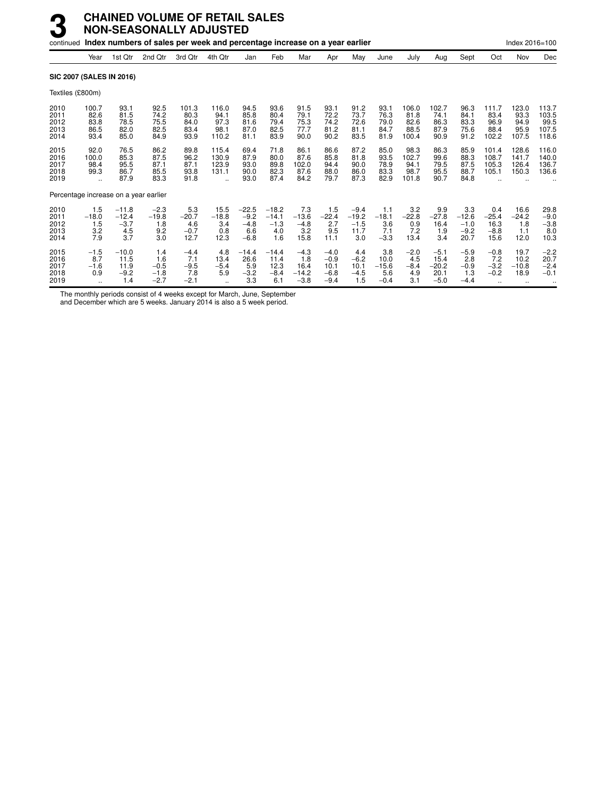|                                      |                                       |                                            | continued Index numbers of sales per week and percentage increase on a year earlier |                                          |                                        |                                              |                                            |                                            |                                              |                                            |                                         |                                        |                                             |                                            |                                          | Index 2016=100                                  |                                          |
|--------------------------------------|---------------------------------------|--------------------------------------------|-------------------------------------------------------------------------------------|------------------------------------------|----------------------------------------|----------------------------------------------|--------------------------------------------|--------------------------------------------|----------------------------------------------|--------------------------------------------|-----------------------------------------|----------------------------------------|---------------------------------------------|--------------------------------------------|------------------------------------------|-------------------------------------------------|------------------------------------------|
|                                      | Year                                  | 1st Qtr                                    | 2nd Qtr                                                                             | 3rd Qtr                                  | 4th Qtr                                | Jan                                          | Feb                                        | Mar                                        | Apr                                          | May                                        | June                                    | July                                   | Aug                                         | Sept                                       | Oct                                      | Nov                                             | Dec                                      |
|                                      |                                       | <b>SIC 2007 (SALES IN 2016)</b>            |                                                                                     |                                          |                                        |                                              |                                            |                                            |                                              |                                            |                                         |                                        |                                             |                                            |                                          |                                                 |                                          |
| Textiles (£800m)                     |                                       |                                            |                                                                                     |                                          |                                        |                                              |                                            |                                            |                                              |                                            |                                         |                                        |                                             |                                            |                                          |                                                 |                                          |
| 2010<br>2011<br>2012<br>2013<br>2014 | 100.7<br>82.6<br>83.8<br>86.5<br>93.4 | 93.1<br>81.5<br>78.5<br>82.0<br>85.0       | 92.5<br>74.2<br>75.5<br>82.5<br>84.9                                                | 101.3<br>80.3<br>84.0<br>83.4<br>93.9    | 116.0<br>94.1<br>97.3<br>98.1<br>110.2 | 94.5<br>85.8<br>81.6<br>87.0<br>81.1         | 93.6<br>80.4<br>79.4<br>82.5<br>83.9       | 91.5<br>79.1<br>75.3<br>77.7<br>90.0       | 93.1<br>72.2<br>74.2<br>81.2<br>90.2         | 91.2<br>73.7<br>72.6<br>81.1<br>83.5       | 93.1<br>76.3<br>79.0<br>84.7<br>81.9    | 106.0<br>81.8<br>82.6<br>88.5<br>100.4 | 102.7<br>74.1<br>86.3<br>87.9<br>90.9       | 96.3<br>84.1<br>83.3<br>75.6<br>91.2       | 111.7<br>83.4<br>96.9<br>88.4<br>102.2   | 123.0<br>93.3<br>94.9<br>95.9<br>107.5          | 113.7<br>103.5<br>99.5<br>107.5<br>118.6 |
| 2015<br>2016<br>2017<br>2018<br>2019 | 92.0<br>100.0<br>98.4<br>99.3         | 76.5<br>85.3<br>95.5<br>86.7<br>87.9       | 86.2<br>87.5<br>87.1<br>85.5<br>83.3                                                | 89.8<br>96.2<br>87.1<br>93.8<br>91.8     | 115.4<br>130.9<br>123.9<br>131.1       | 69.4<br>87.9<br>93.0<br>90.0<br>93.0         | 71.8<br>80.0<br>89.8<br>82.3<br>87.4       | 86.1<br>87.6<br>102.0<br>87.6<br>84.2      | 86.6<br>85.8<br>94.4<br>88.0<br>79.7         | 87.2<br>81.8<br>90.0<br>86.0<br>87.3       | 85.0<br>93.5<br>78.9<br>83.3<br>82.9    | 98.3<br>102.7<br>94.1<br>98.7<br>101.8 | 86.3<br>99.6<br>79.5<br>95.5<br>90.7        | 85.9<br>88.3<br>87.5<br>88.7<br>84.8       | 101.4<br>108.7<br>105.3<br>105.1         | 128.6<br>141.7<br>126.4<br>150.3                | 116.0<br>140.0<br>136.7<br>136.6         |
|                                      |                                       | Percentage increase on a year earlier      |                                                                                     |                                          |                                        |                                              |                                            |                                            |                                              |                                            |                                         |                                        |                                             |                                            |                                          |                                                 |                                          |
| 2010<br>2011<br>2012<br>2013<br>2014 | 1.5<br>$-18.0$<br>1.5<br>3.2<br>7.9   | $-11.8$<br>$-12.4$<br>$-3.7$<br>4.5<br>3.7 | $-2.3$<br>$-19.8$<br>1.8<br>9.2<br>3.0                                              | 5.3<br>$-20.7$<br>4.6<br>$-0.7$<br>12.7  | 15.5<br>$-18.8$<br>3.4<br>0.8<br>12.3  | $-22.5$<br>$-9.2$<br>$-4.8$<br>6.6<br>$-6.8$ | $-18.2$<br>$-14.1$<br>$-1.3$<br>4.0<br>1.6 | 7.3<br>$-13.6$<br>$-4.8$<br>3.2<br>15.8    | 1.5<br>$-22.4$<br>2.7<br>9.5<br>11.1         | $-9.4$<br>$-19.2$<br>$-1.5$<br>11.7<br>3.0 | 1.1<br>$-18.1$<br>3.6<br>7.1<br>$-3.3$  | 3.2<br>$-22.8$<br>0.9<br>7.2<br>13.4   | 9.9<br>$-27.8$<br>16.4<br>1.9<br>3.4        | 3.3<br>$-12.6$<br>$-1.0$<br>$-9.2$<br>20.7 | 0.4<br>$-25.4$<br>16.3<br>$-8.8$<br>15.6 | 16.6<br>$-24.2$<br>1.8<br>1.1<br>12.0           | 29.8<br>$-9.0$<br>$-3.8$<br>8.0<br>10.3  |
| 2015<br>2016<br>2017<br>2018<br>2019 | $-1.5$<br>8.7<br>$-1.6$<br>0.9        | $-10.0$<br>11.5<br>11.9<br>$-9.2$<br>1.4   | 1.4<br>1.6<br>$-0.5$<br>$-1.8$<br>$-2.7$                                            | $-4.4$<br>7.1<br>$-9.5$<br>7.8<br>$-2.1$ | 4.8<br>13.4<br>$-5.4$<br>5.9           | $-14.4$<br>26.6<br>5.9<br>$-3.2$<br>3.3      | $-14.4$<br>11.4<br>12.3<br>$-8.4$<br>6.1   | $-4.3$<br>1.8<br>16.4<br>$-14.2$<br>$-3.8$ | $-4.0$<br>$-0.9$<br>10.1<br>$-6.8$<br>$-9.4$ | 4.4<br>$-6.2$<br>10.1<br>$-4.5$<br>1.5     | 3.8<br>10.0<br>$-15.6$<br>5.6<br>$-0.4$ | $-2.0$<br>4.5<br>$-8.4$<br>4.9<br>3.1  | $-5.1$<br>15.4<br>$-20.2$<br>20.1<br>$-5.0$ | $-5.9$<br>2.8<br>$-0.9$<br>1.3<br>$-4.4$   | $-0.8$<br>7.2<br>$-3.2$<br>$-0.2$        | 19.7<br>10.2<br>$-10.8$<br>18.9<br>$\cdot\cdot$ | $-2.2$<br>20.7<br>$-2.4$<br>$-0.1$       |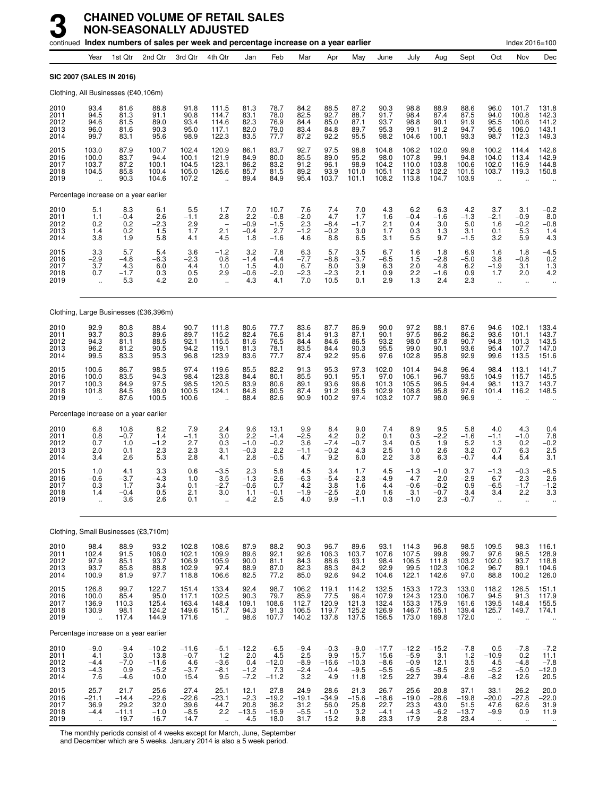|                                      |                                                     |                                            | continued Index numbers of sales per week and percentage increase on a year earlier |                                            |                                                          |                                           |                                            |                                           |                                           |                                             |                                             |                                               |                                           |                                                  |                                                           | Index 2016=100                                          |                                             |
|--------------------------------------|-----------------------------------------------------|--------------------------------------------|-------------------------------------------------------------------------------------|--------------------------------------------|----------------------------------------------------------|-------------------------------------------|--------------------------------------------|-------------------------------------------|-------------------------------------------|---------------------------------------------|---------------------------------------------|-----------------------------------------------|-------------------------------------------|--------------------------------------------------|-----------------------------------------------------------|---------------------------------------------------------|---------------------------------------------|
|                                      | Year                                                | 1st Qtr                                    | 2nd Qtr                                                                             | 3rd Qtr                                    | 4th Qtr                                                  | Jan                                       | Feb                                        | Mar                                       | Apr                                       | May                                         | June                                        | July                                          | Aug                                       | Sept                                             | Oct                                                       | Nov                                                     | Dec                                         |
|                                      |                                                     | <b>SIC 2007 (SALES IN 2016)</b>            |                                                                                     |                                            |                                                          |                                           |                                            |                                           |                                           |                                             |                                             |                                               |                                           |                                                  |                                                           |                                                         |                                             |
|                                      |                                                     | Clothing, All Businesses (£40,106m)        |                                                                                     |                                            |                                                          |                                           |                                            |                                           |                                           |                                             |                                             |                                               |                                           |                                                  |                                                           |                                                         |                                             |
| 2010<br>2011<br>2012<br>2013<br>2014 | 93.4<br>94.5<br>94.6<br>96.0<br>99.7                | 81.6<br>81.3<br>81.5<br>81.6<br>83.1       | 88.8<br>91.1<br>89.0<br>90.3<br>95.6                                                | 91.8<br>90.8<br>93.4<br>95.0<br>98.9       | 111.5<br>114.7<br>114.6<br>117.1<br>122.3                | 81.3<br>83.1<br>82.3<br>82.0<br>83.5      | 78.7<br>78.0<br>76.9<br>79.0<br>77.7       | 84.2<br>82.5<br>84.4<br>83.4<br>87.2      | 88.5<br>92.7<br>85.0<br>84.8<br>92.2      | 87.2<br>88.7<br>87.1<br>89.7<br>95.5        | 90.3<br>91.7<br>93.7<br>95.3<br>98.2        | 98.8<br>98.4<br>98.8<br>99.1<br>104.6         | 88.9<br>87.4<br>90.1<br>91.2<br>100.1     | 88.6<br>87.5<br>91.9<br>94.7<br>93.3             | 96.0<br>94.0<br>95.5<br>95.6<br>98.7                      | 101.7<br>100.8<br>100.6<br>106.0<br>112.3               | 131.8<br>142.3<br>141.2<br>143.1<br>149.3   |
| 2015<br>2016<br>2017<br>2018<br>2019 | 103.0<br>100.0<br>103.7<br>104.5                    | 87.9<br>83.7<br>87.2<br>85.8<br>90.3       | 100.7<br>94.4<br>100.1<br>100.4<br>104.6                                            | 102.4<br>100.1<br>104.5<br>105.0<br>107.2  | 120.9<br>121.9<br>123.1<br>126.6                         | 86.1<br>84.9<br>86.2<br>85.7<br>89.4      | 83.7<br>80.0<br>83.2<br>81.5<br>84.9       | 92.7<br>85.5<br>91.2<br>89.2<br>95.4      | 97.5<br>89.0<br>96.1<br>93.9<br>103.7     | 98.8<br>95.2<br>98.9<br>101.0<br>101.1      | 104.8<br>98.0<br>104.2<br>105.1<br>108.2    | 106.2<br>107.8<br>110.0<br>112.3<br>113.8     | 102.0<br>99.1<br>103.8<br>102.2<br>104.7  | 99.8<br>94.8<br>100.6<br>101.5<br>103.9          | 100.2<br>104.0<br>102.0<br>103.7<br>$\ddot{\phantom{a}}$  | 114.4<br>113.4<br>116.9<br>119.3                        | 142.6<br>142.9<br>144.8<br>150.8            |
|                                      |                                                     | Percentage increase on a year earlier      |                                                                                     |                                            |                                                          |                                           |                                            |                                           |                                           |                                             |                                             |                                               |                                           |                                                  |                                                           |                                                         |                                             |
| 2010<br>2011<br>2012<br>2013<br>2014 | 5.1<br>1.1<br>0.2<br>1.4<br>3.8                     | 8.3<br>$-0.4$<br>0.2<br>0.2<br>1.9         | 6.1<br>2.6<br>$-2.3$<br>1.5<br>5.8                                                  | 5.5<br>$-1.1$<br>2.9<br>1.7<br>4.1         | 1.7<br>2.8<br>$\overline{\phantom{a}}$<br>2.1<br>4.5     | 7.0<br>2.2<br>$-0.9$<br>$-0.4$<br>1.8     | 10.7<br>$-0.8$<br>$-1.5$<br>2.7<br>$-1.6$  | 7.6<br>$-2.0$<br>2.3<br>$-1.2$<br>4.6     | 7.4<br>4.7<br>$-8.4$<br>$-0.2$<br>8.8     | 7.0<br>1.7<br>$-1.7$<br>3.0<br>6.5          | 4.3<br>1.6<br>2.1<br>1.7<br>3.1             | 6.2<br>$-0.4$<br>0.4<br>0.3<br>5.5            | 6.3<br>$-1.6$<br>3.0<br>1.3<br>9.7        | 4.2<br>$-1.\overline{3}$<br>5.0<br>3.1<br>$-1.5$ | 3.7<br>$-2.1$<br>1.6<br>0.1<br>3.2                        | 3.1<br>$-0.9$<br>$-0.2$<br>5.3<br>5.9                   | $-0.2$<br>8.0<br>$-0.8$<br>1.4<br>4.3       |
| 2015<br>2016<br>2017<br>2018<br>2019 | 3.3<br>$-2.9$<br>3.7<br>0.7<br>u,                   | 5.7<br>$-4.8$<br>4.3<br>$-1.7$<br>5.3      | 5.4<br>-6.3<br>6.0<br>0.3<br>4.2                                                    | 3.6<br>$-2.3$<br>4.4<br>0.5<br>2.0         | $-1.2$<br>0.8<br>1.0<br>2.9<br>$\ddot{\phantom{a}}$      | 3.2<br>$-1.4$<br>1.5<br>$-0.6$<br>4.3     | 7.8<br>$-4.4$<br>4.0<br>$-2.0$<br>4.1      | 6.3<br>$-7.7$<br>6.7<br>$-2.3$<br>7.0     | 5.7<br>$-8.8$<br>8.0<br>$-2.3$<br>10.5    | 3.5<br>$-3.7$<br>3.9<br>2.1<br>0.1          | 6.7<br>$-6.5$<br>6.3<br>0.9<br>2.9          | 1.6<br>1.5<br>2.0<br>2.2<br>1.3               | 1.8<br>$-2.8$<br>4.8<br>$-1.6$<br>2.4     | 6.9<br>$-5.0$<br>6.2<br>0.9<br>2.3               | 1.6<br>3.8<br>$-1.9$<br>1.7<br>$\mathbf{r}$               | 1.8<br>$-0.8$<br>3.1<br>2.0<br>$\ddotsc$                | $-4.5$<br>0.2<br>1.3<br>4.2<br>$\ldots$     |
|                                      |                                                     |                                            | Clothing, Large Businesses (£36,396m)                                               |                                            |                                                          |                                           |                                            |                                           |                                           |                                             |                                             |                                               |                                           |                                                  |                                                           |                                                         |                                             |
| 2010<br>2011<br>2012<br>2013<br>2014 | 92.9<br>93.7<br>94.3<br>96.2<br>99.5                | 80.8<br>80.3<br>81.1<br>81.2<br>83.3       | 88.4<br>89.6<br>88.5<br>90.5<br>95.3                                                | 90.7<br>89.7<br>92.1<br>94.2<br>96.8       | 111.8<br>115.2<br>115.5<br>119.1<br>123.9                | 80.6<br>82.4<br>81.6<br>81.3<br>83.6      | 77.7<br>76.6<br>76.5<br>78.1<br>77.7       | 83.6<br>81.4<br>84.4<br>83.5<br>87.4      | 87.7<br>91.3<br>84.6<br>84.4<br>92.2      | 86.9<br>87.1<br>86.5<br>90.3<br>95.6        | 90.0<br>90.1<br>93.2<br>95.5<br>97.6        | 97.2<br>97.5<br>98.0<br>99.0<br>102.8         | 88.1<br>86.2<br>87.8<br>90.1<br>95.8      | 87.6<br>86.2<br>90.7<br>93.6<br>92.9             | 94.6<br>93.6<br>94.8<br>95.4<br>99.6                      | 102.1<br>101.1<br>101.3<br>107.7<br>113.5               | 133.4<br>143.7<br>143.5<br>147.0<br>151.6   |
| 2015<br>2016<br>2017<br>2018<br>2019 | 100.6<br>100.0<br>100.3<br>101.8                    | 86.7<br>83.5<br>84.9<br>84.5<br>87.6       | 98.5<br>94.3<br>97.5<br>98.0<br>100.5                                               | 97.4<br>98.4<br>98.5<br>100.5<br>100.6     | 119.6<br>123.8<br>120.5<br>124.1                         | 85.5<br>84.4<br>83.9<br>84.8<br>88.4      | 82.2<br>80.1<br>80.6<br>80.5<br>82.6       | 91.3<br>85.5<br>89.1<br>87.4<br>90.9      | 95.3<br>90.1<br>93.6<br>91.2<br>100.2     | 97.3<br>95.1<br>96.6<br>98.5<br>97.4        | 102.0<br>97.0<br>101.3<br>102.9<br>103.2    | 101.4<br>106.1<br>105.5<br>108.8<br>107.7     | 94.8<br>96.7<br>96.5<br>95.8<br>98.0      | 96.4<br>93.5<br>94.4<br>97.6<br>96.9             | 98.4<br>104.9<br>98.1<br>101.4                            | 113.1<br>115.7<br>113.7<br>116.2                        | 141.7<br>145.5<br>143.7<br>148.5            |
|                                      |                                                     | Percentage increase on a year earlier      |                                                                                     |                                            |                                                          |                                           |                                            |                                           |                                           |                                             |                                             |                                               |                                           |                                                  |                                                           |                                                         |                                             |
| 2010<br>2011<br>2012<br>2013<br>2014 | 6.8<br>0.8<br>0.7<br>2.0<br>3.4                     | 10.8<br>$-0.7$<br>1.0<br>0.1<br>2.6        | 8.2<br>1.4<br>$-1.2$<br>2.3<br>5.3                                                  | 7.9<br>$-1.1$<br>2.7<br>2.3<br>2.8         | 2.4<br>3.0<br>0.3<br>3.1<br>4.1                          | 9.6<br>2.2<br>$-1.0$<br>$-0.3$<br>2.8     | 13.1<br>$-1.4$<br>$-0.2$<br>2.2<br>$-0.5$  | 9.9<br>$-2.5$<br>3.6<br>$-1.1$<br>4.7     | 8.4<br>4.2<br>$-7.4$<br>$-0.2$<br>9.2     | 9.0<br>0.2<br>$-0.7$<br>4.3<br>6.0          | 7.4<br>0.1<br>3.4<br>2.5<br>2.2             | 8.9<br>0.3<br>0.5<br>1.0<br>3.8               | 9.5<br>$-2.2$<br>1.9<br>2.6<br>6.3        | 5.8<br>$-1.6$<br>5.2<br>3.2<br>$-0.7$            | 4.0<br>$-1.1$<br>1.3<br>0.7<br>4.4                        | 4.3<br>$-1.0$<br>0.2<br>6.3<br>5.4                      | 0.4<br>$7.8 - 0.2$<br>2.5<br>3.1            |
| 2015<br>2016<br>2017<br>2018<br>2019 | 1.0<br>$-0.6$<br>0.3<br>1.4<br>$\ddot{\phantom{a}}$ | 4.1<br>$-3.7$<br>1.7<br>$-0.4$<br>3.6      | 3.3<br>-4.3<br>3.4<br>0.5<br>2.6                                                    | 0.6<br>1.0<br>0.1<br>2.1<br>0.1            | $-3.5$<br>3.5<br>$-2.7$<br>3.0<br>$\ddot{\phantom{a}}$   | 2.3<br>$-1.3$<br>$-0.6$<br>1.1<br>4.2     | 5.8<br>$-2.6$<br>0.7<br>$-0.1$<br>2.5      | 4.5<br>$-6.3$<br>4.2<br>$-1.9$<br>4.0     | 3.4<br>$-5.4$<br>3.8<br>$-2.5$<br>9.9     | 1.7<br>$-2.3$<br>1.6<br>2.0<br>$-1.1$       | 4.5<br>$-4.9$<br>4.4<br>1.6<br>0.3          | $-1.3$<br>4.7<br>$-0.6$<br>3.1<br>$-1.0$      | $-1.0$<br>2.0<br>$-0.2$<br>$-0.7$<br>2.3  | 3.7<br>$-2.9$<br>0.9<br>3.4<br>$-0.7$            | $-1.3$<br>6.7<br>$-6.5$<br>3.4<br>$\ddot{\phantom{a}}$    | $-0.3$<br>2.3<br>$-1.7$<br>2.2<br>$\mathbf{r}$          | $-6.5$<br>2.6<br>$-1.2$<br>3.3              |
|                                      |                                                     | Clothing, Small Businesses (£3,710m)       |                                                                                     |                                            |                                                          |                                           |                                            |                                           |                                           |                                             |                                             |                                               |                                           |                                                  |                                                           |                                                         |                                             |
| 2010<br>2011<br>2012<br>2013<br>2014 | 98.4<br>102.4<br>97.9<br>93.7<br>100.9              | 88.9<br>91.5<br>85.1<br>85.8<br>81.9       | 93.2<br>106.0<br>93.7<br>88.8<br>97.7                                               | 102.8<br>102.1<br>106.9<br>102.9<br>118.8  | 108.6<br>109.9<br>105.9<br>97.4<br>106.6                 | 87.9<br>89.6<br>90.0<br>88.9<br>82.5      | 88.2<br>92.1<br>81.1<br>87.0<br>77.2       | 90.3<br>92.6<br>84.3<br>82.3<br>85.0      | 96.7<br>106.3<br>88.6<br>88.3<br>92.6     | 89.6<br>103.7<br>93.1<br>84.2<br>94.2       | 93.1<br>107.6<br>98.4<br>92.9<br>104.6      | 114.3<br>107.5<br>106.5<br>99.5<br>122.1      | 96.8<br>99.8<br>111.8<br>102.3<br>142.6   | 98.5<br>99.7<br>103.2<br>106.2<br>97.0           | 109.5<br>97.6<br>102.0<br>96.7<br>88.8                    | 98.3<br>98.5<br>93.7<br>89.1<br>100.2                   | 116.1<br>128.9<br>118.8<br>104.6<br>126.0   |
| 2015<br>2016<br>2017<br>2018<br>2019 | 126.8<br>100.0<br>136.9<br>130.9<br>$\ddotsc$       | 99.7<br>85.4<br>110.3<br>98.1<br>117.4     | 122.7<br>$95.0$<br>125.4<br>124.2<br>144.9                                          | 151.4<br>117.1<br>163.4<br>149.6<br>171.6  | 133.4<br>102.5<br>148.4<br>151.7<br>$\ddot{\phantom{a}}$ | 92.4<br>90.3<br>109.1<br>94.3<br>98.6     | 98.7<br>79.7<br>108.6<br>91.3<br>107.7     | 106.2<br>85.9<br>112.7<br>106.5<br>140.2  | 119.1<br>77.5<br>120.9<br>119.7<br>137.8  | 114.2<br>96.4<br>121.3<br>125.2<br>137.5    | 132.5<br>107.9<br>132.4<br>126.9<br>156.5   | 153.3<br>124.3<br>153.3<br>146.7<br>173.0     | 172.3<br>123.0<br>175.9<br>165.1<br>169.8 | 133.0<br>106.7<br>161.6<br>139.4<br>172.0        | 118.2<br>94.5<br>139.5<br>125.7<br>$\ddot{\phantom{a}}$   | 126.5<br>91.3<br>148.4<br>149.7<br>$\ddot{\phantom{a}}$ | 151.1<br>117.9<br>155.5<br>174.1            |
|                                      |                                                     | Percentage increase on a year earlier      |                                                                                     |                                            |                                                          |                                           |                                            |                                           |                                           |                                             |                                             |                                               |                                           |                                                  |                                                           |                                                         |                                             |
| 2010<br>2011<br>2012<br>2013<br>2014 | $-9.0$<br>4.1<br>$-4.4$<br>$-4.3$<br>7.6            | $-9.4$<br>3.0<br>$-7.0$<br>0.9<br>$-4.6$   | $-10.2$<br>13.8<br>$-11.6$<br>$-5.2$<br>10.0                                        | $-11.6$<br>$-0.7$<br>4.6<br>$-3.7$<br>15.4 | $-5.1$<br>1.2<br>$-3.6$<br>$-8.1$<br>9.5                 | $-12.2$<br>2.0<br>0.4<br>$-1.2$<br>$-7.2$ | $-6.5$<br>4.5<br>$-12.0$<br>7.3<br>$-11.2$ | $-9.4$<br>2.5<br>$-8.9$<br>$-2.4$<br>3.2  | $-0.3$<br>9.9<br>$-16.6$<br>$-0.4$<br>4.9 | $-9.0$<br>15.7<br>$-10.3$<br>$-9.5$<br>11.8 | $-17.7$<br>15.6<br>$-8.6$<br>$-5.5$<br>12.5 | $-12.2$<br>$-5.9$<br>$-0.9$<br>$-6.5$<br>22.7 | $-15.2$<br>3.1<br>$12.1 - 8.5$<br>39.4    | $-7.8$<br>$1.2$<br>3.5<br>2.9<br>$-8.6$          | 0.5<br>$-10.9$<br>$4.5 - 5.2$<br>$-8.2$                   | $-7.8$<br>0.2<br>$-4.8$<br>$-5.0$<br>12.6               | $-7.2$<br>11.1<br>$-7.8$<br>$-12.0$<br>20.5 |
| 2015<br>2016<br>2017<br>2018<br>2019 | 25.7<br>$-21.1$<br>36.9<br>$-4.4$<br>$\ldots$       | 21.7<br>$-14.4$<br>29.2<br>$-11.1$<br>19.7 | 25.6<br>$-22.6$<br>$32.0 - 1.0$<br>16.7                                             | 27.4<br>$-22.6$<br>39.6<br>$-8.5$<br>14.7  | 25.1<br>$-23.1$<br>44.7<br>2.2<br>$\ddotsc$              | 12.1<br>$-2.3$<br>20.8<br>$-13.5$<br>4.5  | 27.8<br>$-19.2$<br>36.2<br>$-15.9$<br>18.0 | 24.9<br>$-19.1$<br>31.2<br>$-5.5$<br>31.7 | 28.6<br>$-34.9$<br>56.0<br>$-1.0$<br>15.2 | 21.3<br>$-15.6$<br>25.8<br>3.2<br>9.8       | 26.7<br>$-18.6$<br>22.7<br>$-4.1$<br>23.3   | 25.6<br>$-19.0$<br>23.3<br>$-4.3$<br>17.9     | 20.8<br>$-28.6$<br>43.0<br>$-6.2$<br>2.8  | 37.1<br>$-19.8$<br>51.5<br>$-13.7$<br>23.4       | 33.1<br>$-20.0$<br>47.6<br>$-9.9$<br>$\ddot{\phantom{a}}$ | 26.2<br>$-27.8$<br>62.6<br>0.9<br>$\ddotsc$             | $20.0 - 22.0$<br>$31.9$<br>$11.9$           |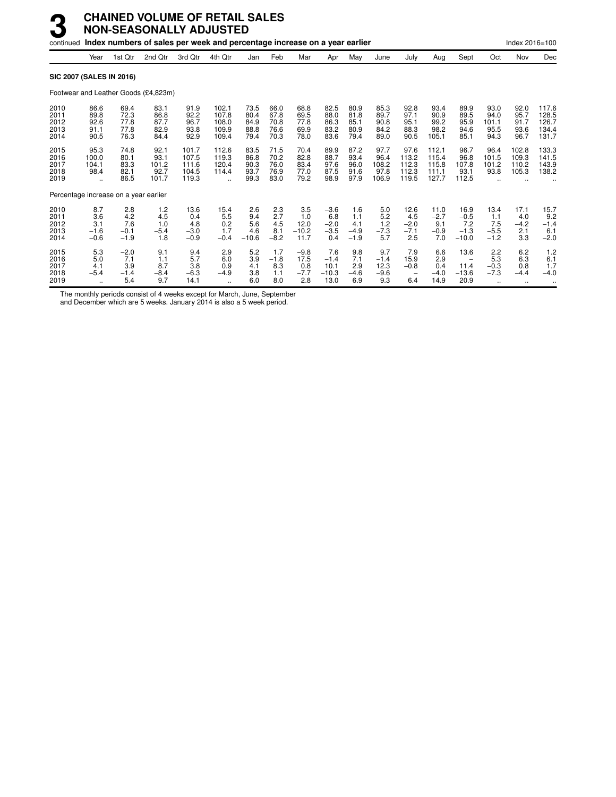|                                      |                                             |                                       | continued Index numbers of sales per week and percentage increase on a year earlier |                                           |                                               |                                      |                                      |                                        |                                          |                                       |                                        |                                          |                                           |                                                             |                                             | Index 2016=100                              |                                           |
|--------------------------------------|---------------------------------------------|---------------------------------------|-------------------------------------------------------------------------------------|-------------------------------------------|-----------------------------------------------|--------------------------------------|--------------------------------------|----------------------------------------|------------------------------------------|---------------------------------------|----------------------------------------|------------------------------------------|-------------------------------------------|-------------------------------------------------------------|---------------------------------------------|---------------------------------------------|-------------------------------------------|
|                                      | Year                                        | 1st Qtr                               | 2nd Qtr                                                                             | 3rd Qtr                                   | 4th Qtr                                       | Jan                                  | Feb                                  | Mar                                    | Apr                                      | May                                   | June                                   | July                                     | Aug                                       | Sept                                                        | Oct                                         | Nov                                         | Dec                                       |
| <b>SIC 2007 (SALES IN 2016)</b>      |                                             |                                       |                                                                                     |                                           |                                               |                                      |                                      |                                        |                                          |                                       |                                        |                                          |                                           |                                                             |                                             |                                             |                                           |
|                                      |                                             |                                       | Footwear and Leather Goods (£4,823m)                                                |                                           |                                               |                                      |                                      |                                        |                                          |                                       |                                        |                                          |                                           |                                                             |                                             |                                             |                                           |
| 2010<br>2011<br>2012<br>2013<br>2014 | 86.6<br>89.8<br>92.6<br>91.1<br>90.5        | 69.4<br>72.3<br>77.8<br>77.8<br>76.3  | 83.1<br>86.8<br>87.7<br>82.9<br>84.4                                                | 91.9<br>92.2<br>96.7<br>93.8<br>92.9      | 102.1<br>107.8<br>108.0<br>109.9<br>109.4     | 73.5<br>80.4<br>84.9<br>88.8<br>79.4 | 66.0<br>67.8<br>70.8<br>76.6<br>70.3 | 68.8<br>69.5<br>77.8<br>69.9<br>78.0   | 82.5<br>88.0<br>86.3<br>83.2<br>83.6     | 80.9<br>81.8<br>85.1<br>80.9<br>79.4  | 85.3<br>89.7<br>90.8<br>84.2<br>89.0   | 92.8<br>97.1<br>95.1<br>88.3<br>90.5     | 93.4<br>90.9<br>99.2<br>98.2<br>105.1     | 89.9<br>89.5<br>95.9<br>94.6<br>85.1                        | 93.0<br>94.0<br>101.1<br>95.5<br>94.3       | 92.0<br>95.7<br>91.7<br>93.6<br>96.7        | 117.6<br>128.5<br>126.7<br>134.4<br>131.7 |
| 2015<br>2016<br>2017<br>2018<br>2019 | 95.3<br>100.0<br>104.1<br>98.4<br>$\ddotsc$ | 74.8<br>80.1<br>83.3<br>82.1<br>86.5  | 92.1<br>93.1<br>101.2<br>92.7<br>101.7                                              | 101.7<br>107.5<br>111.6<br>104.5<br>119.3 | 112.6<br>119.3<br>120.4<br>114.4<br>$\ddotsc$ | 83.5<br>86.8<br>90.3<br>93.7<br>99.3 | 71.5<br>70.2<br>76.0<br>76.9<br>83.0 | 70.4<br>82.8<br>83.4<br>77.0<br>79.2   | 89.9<br>88.7<br>97.6<br>87.5<br>98.9     | 87.2<br>93.4<br>96.0<br>91.6<br>97.9  | 97.7<br>96.4<br>108.2<br>97.8<br>106.9 | 97.6<br>113.2<br>112.3<br>112.3<br>119.5 | 112.1<br>115.4<br>115.8<br>111.1<br>127.7 | 96.7<br>96.8<br>107.8<br>93.1<br>112.5                      | 96.4<br>101.5<br>101.2<br>93.8              | 102.8<br>109.3<br>110.2<br>105.3            | 133.3<br>141.5<br>143.9<br>138.2          |
|                                      |                                             | Percentage increase on a year earlier |                                                                                     |                                           |                                               |                                      |                                      |                                        |                                          |                                       |                                        |                                          |                                           |                                                             |                                             |                                             |                                           |
| 2010<br>2011<br>2012<br>2013<br>2014 | 8.7<br>3.6<br>3.1<br>$-1.6$<br>$-0.6$       | 2.8<br>4.2<br>7.6<br>$-0.1$<br>$-1.9$ | 1.2<br>4.5<br>1.0<br>$-5.4$<br>1.8                                                  | 13.6<br>0.4<br>4.8<br>$-3.0$<br>$-0.9$    | 15.4<br>5.5<br>0.2<br>1.7<br>$-0.4$           | 2.6<br>9.4<br>5.6<br>4.6<br>$-10.6$  | 2.3<br>2.7<br>4.5<br>8.1<br>$-8.2$   | 3.5<br>1.0<br>12.0<br>$-10.2$<br>11.7  | $-3.6$<br>6.8<br>$-2.0$<br>$-3.5$<br>0.4 | 1.6<br>1.1<br>4.1<br>$-4.9$<br>$-1.9$ | 5.0<br>5.2<br>1.2<br>$-7.3$<br>5.7     | 12.6<br>4.5<br>$-2.0$<br>$-7.1$<br>2.5   | 11.0<br>$-2.7$<br>9.1<br>$-0.9$<br>7.0    | 16.9<br>$-0.5$<br>7.2<br>$-1.3$<br>$-10.0$                  | 13.4<br>1.1<br>7.5<br>$-5.5$<br>$-1.2$      | 17.1<br>4.0<br>$-4.2$<br>2.1<br>3.3         | 15.7<br>9.2<br>$-1.4$<br>6.1<br>$-2.0$    |
| 2015<br>2016<br>2017<br>2018<br>2019 | 5.3<br>5.0<br>4.1<br>$-5.4$                 | $-2.0$<br>7.1<br>3.9<br>$-1.4$<br>5.4 | 9.1<br>1.1<br>8.7<br>$-8.4$<br>9.7                                                  | 9.4<br>5.7<br>3.8<br>$-6.3$<br>14.1       | 2.9<br>6.0<br>0.9<br>$-4.9$                   | 5.2<br>3.9<br>4.1<br>3.8<br>6.0      | 1.7<br>$-1.8$<br>8.3<br>1.1<br>8.0   | $-9.8$<br>17.5<br>0.8<br>$-7.7$<br>2.8 | 7.6<br>$-1.4$<br>10.1<br>$-10.3$<br>13.0 | 9.8<br>7.1<br>2.9<br>$-4.6$<br>6.9    | 9.7<br>$-1.4$<br>12.3<br>$-9.6$<br>9.3 | 7.9<br>15.9<br>$-0.8$<br>6.4             | 6.6<br>2.9<br>0.4<br>$-4.0$<br>14.9       | 13.6<br>$\overline{\phantom{m}}$<br>11.4<br>$-13.6$<br>20.9 | 2.2<br>5.3<br>$-0.3$<br>$-7.3$<br>$\ddotsc$ | 6.2<br>6.3<br>0.8<br>$-4.4$<br>$\cdot\cdot$ | 1.2<br>6.1<br>1.7<br>$-4.0$<br>٠.         |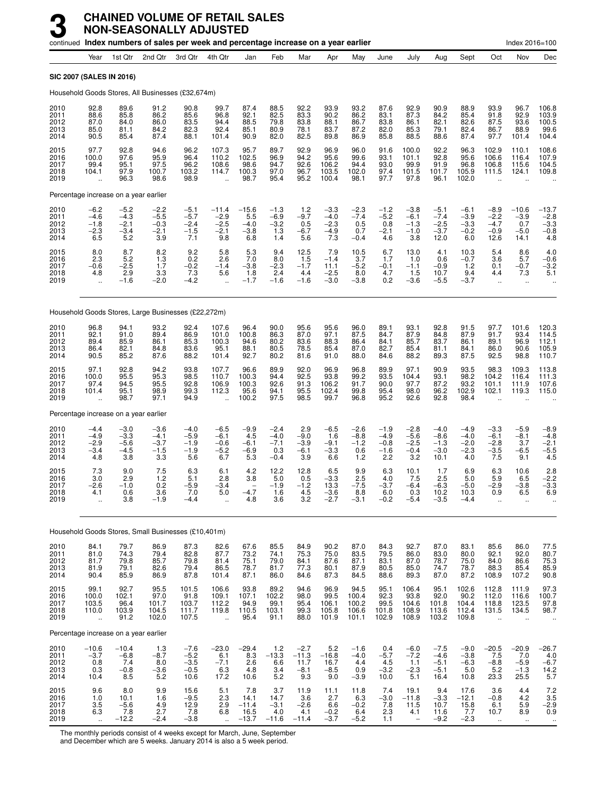|                                      |                                                     | continued Index numbers of sales per week and percentage increase on a year earlier |                                             |                                              |                                               |                                           |                                             |                                            |                                             |                                          |                                             |                                             |                                              |                                              |                                                  | Index 2016=100                             |                                              |
|--------------------------------------|-----------------------------------------------------|-------------------------------------------------------------------------------------|---------------------------------------------|----------------------------------------------|-----------------------------------------------|-------------------------------------------|---------------------------------------------|--------------------------------------------|---------------------------------------------|------------------------------------------|---------------------------------------------|---------------------------------------------|----------------------------------------------|----------------------------------------------|--------------------------------------------------|--------------------------------------------|----------------------------------------------|
|                                      | Year                                                | 1st Qtr                                                                             | 2nd Qtr                                     | 3rd Qtr                                      | 4th Qtr                                       | Jan                                       | Feb                                         | Mar                                        | Apr                                         | May                                      | June                                        | July                                        | Aug                                          | Sept                                         | Oct                                              | Nov                                        | Dec                                          |
|                                      |                                                     | <b>SIC 2007 (SALES IN 2016)</b>                                                     |                                             |                                              |                                               |                                           |                                             |                                            |                                             |                                          |                                             |                                             |                                              |                                              |                                                  |                                            |                                              |
|                                      |                                                     | Household Goods Stores, All Businesses (£32,674m)                                   |                                             |                                              |                                               |                                           |                                             |                                            |                                             |                                          |                                             |                                             |                                              |                                              |                                                  |                                            |                                              |
| 2010<br>2011<br>2012<br>2013<br>2014 | 92.8<br>88.6<br>87.0<br>85.0<br>90.5                | 89.6<br>85.8<br>84.0<br>81.1<br>85.4                                                | 91.2<br>86.2<br>86.0<br>84.2<br>87.4        | 90.8<br>85.6<br>83.5<br>82.3<br>88.1         | 99.7<br>96.8<br>94.4<br>92.4<br>101.4         | 87.4<br>92.1<br>88.5<br>85.1<br>90.9      | 88.5<br>82.5<br>79.8<br>80.9<br>82.0        | 92.2<br>83.3<br>83.8<br>78.1<br>82.5       | 93.9<br>90.2<br>88.1<br>83.7<br>89.8        | 93.2<br>86.2<br>86.7<br>87.2<br>86.9     | 87.6<br>83.1<br>83.8<br>82.0<br>85.8        | 92.9<br>87.3<br>86.1<br>85.3<br>88.5        | 90.9<br>84.2<br>82.1<br>79.1<br>88.6         | 88.9<br>85.4<br>82.6<br>82.4<br>87.4         | 93.9<br>91.8<br>87.5<br>86.7<br>97.7             | 96.7<br>92.9<br>93.6<br>88.9<br>101.4      | 106.8<br>103.9<br>100.5<br>99.6<br>104.4     |
| 2015<br>2016<br>2017<br>2018<br>2019 | 97.7<br>100.0<br>99.4<br>104.1                      | 92.8<br>97.6<br>95.1<br>97.9<br>96.3                                                | 94.6<br>95.9<br>97.5<br>100.7<br>98.6       | 96.2<br>96.4<br>96.2<br>103.2<br>98.9        | 107.3<br>110.2<br>108.6<br>114.7              | 95.7<br>102.5<br>98.6<br>100.3<br>98.7    | 89.7<br>96.9<br>94.7<br>97.0<br>95.4        | 92.9<br>94.2<br>92.6<br>96.7<br>95.2       | 96.9<br>95.6<br>106.2<br>103.5<br>100.4     | 96.0<br>99.6<br>94.4<br>102.0<br>98.1    | 91.6<br>93.1<br>93.0<br>97.4<br>97.7        | 100.0<br>101.1<br>99.9<br>101.5<br>97.8     | 92.2<br>92.8<br>91.9<br>101.7<br>96.1        | 96.3<br>95.6<br>96.8<br>105.9<br>102.0       | 102.9<br>106.6<br>106.8<br>111.5                 | 110.1<br>116.4<br>115.6<br>124.1           | 108.6<br>107.9<br>104.5<br>109.8             |
|                                      |                                                     | Percentage increase on a year earlier                                               |                                             |                                              |                                               |                                           |                                             |                                            |                                             |                                          |                                             |                                             |                                              |                                              |                                                  |                                            |                                              |
| 2010<br>2011<br>2012<br>2013<br>2014 | $-6.2$<br>$-4.6$<br>$-1.8$<br>$-2.3$<br>6.5         | $-5.2$<br>$-4.3$<br>$-2.1$<br>$-3.4$<br>5.2                                         | $-2.2$<br>$-5.5$<br>$-0.3$<br>$-2.1$<br>3.9 | $-5.1$<br>$-5.7$<br>$-2.4$<br>$-1.5$<br>7.1  | $-11.4$<br>$-2.9$<br>$-2.5$<br>$-2.1$<br>9.8  | $-15.6$<br>5.5<br>$-4.0$<br>$-3.8$<br>6.8 | $-1.3$<br>$-6.9$<br>$-3.2$<br>1.3<br>1.4    | $\frac{1.2}{-9.7}$<br>0.5<br>$-6.7$<br>5.6 | $-3.3$<br>$-4.0$<br>$-2.3$<br>$-4.9$<br>7.3 | $-2.3 -7.4$<br>0.5<br>0.7<br>$-0.4$      | $-1.2$<br>$-5.2$<br>0.8<br>$-2.1$<br>4.6    | $-3.8$<br>$-6.1$<br>$-1.3$<br>$-1.0$<br>3.8 | $-5.1$<br>$-7.4$<br>$-2.5$<br>$-3.7$<br>12.0 | $-6.1$<br>$-3.9$<br>$-3.3$<br>$-0.2$<br>6.0  | $-8.9$<br>$-2.2$<br>$-4.7$<br>$-0.9$<br>12.6     | $-10.6$<br>$-3.9$<br>0.7<br>$-5.0$<br>14.1 | $-13.7$<br>$-2.8$<br>$-3.3$<br>$-0.8$<br>4.8 |
| 2015<br>2016<br>2017<br>2018<br>2019 | 8.0<br>2.3<br>$-0.6$<br>4.8<br>$\ddot{\phantom{a}}$ | 8.7<br>5.2<br>$-2.5$<br>2.9<br>$-1.6$                                               | 8.2<br>1.3<br>1.7<br>3.3<br>$-2.0$          | 9.2<br>0.2<br>$-0.2$<br>7.3<br>$-4.2$        | 5.8<br>2.6<br>$-1.4$<br>5.6                   | 5.3<br>7.0<br>$-3.8$<br>1.8<br>$-1.7$     | 9.4<br>8.0<br>$-2.3$<br>2.4<br>$-1.6$       | 12.5<br>1.5<br>$-1.7$<br>4.4<br>$-1.6$     | 7.9<br>$-1.4$<br>11.1<br>$-2.5$<br>$-3.0$   | 10.5<br>3.7<br>$-5.2$<br>8.0<br>$-3.8$   | 6.7<br>1.7<br>$-0.1$<br>4.7<br>0.2          | 13.0<br>1.0<br>$-1.1$<br>1.5<br>$-3.6$      | 4.1<br>0.6<br>$-0.9$<br>10.7<br>$-5.5$       | 10.3<br>$-0.7$<br>1.2<br>9.4<br>$-3.7$       | 5.4<br>3.6<br>0.1<br>4.4<br>$\ddot{\phantom{a}}$ | 8.6<br>5.7<br>$-0.7$<br>7.3<br>$\ldots$    | 4.0<br>$-0.6$<br>$-3.2$<br>5.1               |
|                                      |                                                     | Household Goods Stores, Large Businesses (£22,272m)                                 |                                             |                                              |                                               |                                           |                                             |                                            |                                             |                                          |                                             |                                             |                                              |                                              |                                                  |                                            |                                              |
| 2010<br>2011<br>2012<br>2013<br>2014 | 96.8<br>92.1<br>89.4<br>86.4<br>90.5                | 94.1<br>91.0<br>85.9<br>82.1<br>85.2                                                | 93.2<br>89.4<br>86.1<br>84.8<br>87.6        | 92.4<br>86.9<br>85.3<br>83.6<br>88.2         | 107.6<br>101.0<br>100.3<br>95.1<br>101.4      | 96.4<br>100.8<br>94.6<br>88.1<br>92.7     | 90.0<br>86.3<br>80.2<br>80.5<br>80.2        | 95.6<br>87.0<br>83.6<br>78.5<br>81.6       | 95.6<br>97.1<br>88.3<br>85.4<br>91.0        | 96.0<br>87.5<br>86.4<br>87.0<br>88.0     | 89.1<br>84.7<br>84.1<br>82.7<br>84.6        | 93.1<br>87.9<br>85.7<br>85.4<br>88.2        | 92.8<br>84.8<br>83.7<br>81.1<br>89.3         | 91.5<br>87.9<br>86.1<br>84.1<br>87.5         | 97.7<br>91.7<br>89.1<br>86.0<br>92.5             | 101.6<br>93.4<br>96.9<br>90.6<br>98.8      | 120.3<br>114.5<br>112.1<br>105.9<br>110.7    |
| 2015<br>2016<br>2017<br>2018<br>2019 | 97.1<br>100.0<br>97.4<br>101.4                      | 92.8<br>95.5<br>94.5<br>95.1<br>98.7                                                | 94.2<br>95.3<br>95.5<br>98.9<br>97.1        | 93.8<br>98.5<br>92.8<br>99.3<br>94.9         | 107.7<br>110.7<br>106.9<br>112.3              | 96.6<br>100.3<br>100.3<br>95.6<br>100.2   | 89.9<br>94.4<br>92.6<br>94.1<br>97.5        | 92.0<br>92.5<br>91.3<br>95.5<br>98.5       | 96.9<br>93.8<br>106.2<br>102.4<br>99.7      | 96.8<br>99.2<br>91.7<br>99.8<br>96.8     | 89.9<br>93.5<br>90.0<br>95.4<br>95.2        | 97.1<br>104.4<br>97.7<br>98.0<br>92.6       | 90.9<br>93.1<br>87.2<br>96.2<br>92.8         | 93.5<br>98.2<br>93.2<br>102.9<br>98.4        | 98.3<br>104.2<br>101.1<br>102.1                  | 109.3<br>116.4<br>111.9<br>119.3           | 113.8<br>111.3<br>107.6<br>115.0             |
|                                      |                                                     | Percentage increase on a year earlier                                               |                                             |                                              |                                               |                                           |                                             |                                            |                                             |                                          |                                             |                                             |                                              |                                              |                                                  |                                            |                                              |
| 2010<br>2011<br>2012<br>2013<br>2014 | $-4.4$<br>$-4.9$<br>$-2.9$<br>$-3.4$<br>4.8         | $-3.0$<br>$-3.3$<br>$-5.6$<br>$-4.5$<br>3.8                                         | $-3.6$<br>$-4.1$<br>$-3.7$<br>$-1.5$<br>3.3 | $-4.0$<br>$-5.9$<br>$-1.9$<br>$-1.9$<br>5.6  | $-6.5$<br>$-6.1$<br>$-0.6$<br>$-5.2$<br>6.7   | $-9.9$<br>4.5<br>$-6.1$<br>$-6.9$<br>5.3  | $-2.4$<br>$-4.0$<br>$-7.1$<br>0.3<br>$-0.4$ | 2.9<br>$-9.0$<br>$-3.9$<br>$-6.1$<br>3.9   | $-6.5$<br>1.6<br>$-9.1$<br>$-3.3$<br>6.6    | $-2.6$<br>$-8.8$<br>$-1.2$<br>0.6<br>1.2 | $-1.9$<br>$-4.9$<br>$-0.8$<br>$-1.6$<br>2.2 | $-2.8$<br>$-5.6$<br>$-2.5$<br>$-0.4$<br>3.2 | $-4.0$<br>$-8.6$<br>$-1.3$<br>$-3.0$<br>10.1 | $-4.9$<br>$-4.0$<br>$-2.0$<br>$-2.3$<br>4.0  | $-3.3$<br>$-6.1$<br>$-2.8$<br>$-3.5$<br>7.5      | $-5.9$<br>$-8.1$<br>3.7<br>$-6.5$<br>9.1   | $-8.9$<br>$-4.8$<br>$-2.1$<br>$-5.5$<br>4.5  |
| 2015<br>2016<br>2017<br>2018<br>2019 | 7.3<br>3.0<br>$-2.6$<br>4.1                         | 9.0<br>2.9<br>$-1.0$<br>0.6<br>3.8                                                  | 7.5<br>1.2<br>0.2<br>3.6<br>$-1.9$          | 6.3<br>5.1<br>$-5.9$<br>7.0<br>$-4.4$        | 6.1<br>2.8<br>$-3.4$<br>5.0                   | 4.2<br>3.8<br>-4.7<br>4.8                 | 12.2<br>5.0<br>$-1.9$<br>1.6<br>3.6         | 12.8<br>0.5<br>$-1.2$<br>$\frac{4.5}{3.2}$ | 6.5<br>$-3.3$<br>13.3<br>$-3.6$<br>$-2.7$   | 9.9<br>2.5<br>$-7.5$<br>8.8<br>$-3.1$    | 6.3<br>4.0<br>$-3.7$<br>6.0<br>$-0.2$       | 10.1<br>7.5<br>$-6.4$<br>0.3<br>$-5.4$      | 1.7<br>2.5<br>$-6.3$<br>10.2<br>$-3.5$       | 6.9<br>5.0<br>$-5.0$<br>10.3<br>-4.4         | 6.3<br>5.9<br>$-2.9$<br>0.9                      | 10.6<br>6.5<br>$-3.8$<br>6.5               | 2.8<br>$-2.2$<br>$-3.3$<br>6.9               |
|                                      |                                                     | Household Goods Stores, Small Businesses (£10,401m)                                 |                                             |                                              |                                               |                                           |                                             |                                            |                                             |                                          |                                             |                                             |                                              |                                              |                                                  |                                            |                                              |
| 2010<br>2011<br>2012<br>2013<br>2014 | 84.1<br>81.0<br>81.7<br>81.9<br>90.4                | 79.7<br>74.3<br>79.8<br>79.1<br>85.9                                                | 86.9<br>79.4<br>85.7<br>82.6<br>86.9        | 87.3<br>82.8<br>79.8<br>79.4<br>87.8         | 82.6<br>87.7<br>81.4<br>86.5<br>101.4         | 67.6<br>73.2<br>75.1<br>78.7<br>87.1      | 85.5<br>74.1<br>79.0<br>81.7<br>86.0        | 84.9<br>75.3<br>84.1<br>77.3<br>84.6       | 90.2<br>75.0<br>87.6<br>80.1<br>87.3        | 87.0<br>83.5<br>87.1<br>87.9<br>84.5     | 84.3<br>79.5<br>83.1<br>80.5<br>88.6        | 92.7<br>86.0<br>87.0<br>85.0<br>89.3        | 87.0<br>83.0<br>78.7<br>74.7<br>87.0         | 83.1<br>80.0<br>75.0<br>78.7<br>87.2         | 85.6<br>92.1<br>84.0<br>88.3<br>108.9            | 86.0<br>92.0<br>86.6<br>85.4<br>107.2      | 77.5<br>80.7<br>75.3<br>85.9<br>90.8         |
| 2015<br>2016<br>2017<br>2018<br>2019 | 99.1<br>100.0<br>103.5<br>110.0<br>ä,               | 92.7<br>102.1<br>96.4<br>103.9<br>91.2                                              | 95.5<br>97.0<br>101.7<br>104.5<br>102.0     | 101.5<br>91.8<br>103.7<br>111.7<br>107.5     | 106.6<br>109.1<br>112.2<br>119.8<br>$\ddotsc$ | 93.8<br>107.1<br>94.9<br>110.5<br>95.4    | 89.2<br>102.2<br>99.1<br>103.1<br>91.1      | 94.6<br>98.0<br>95.4<br>99.3<br>88.0       | 96.9<br>99.5<br>106.1<br>105.8<br>101.9     | 94.5<br>100.4<br>100.2<br>106.6<br>101.1 | 95.1<br>92.3<br>99.5<br>101.8<br>102.9      | 106.4<br>93.8<br>104.6<br>108.9<br>108.9    | 95.1<br>92.0<br>101.8<br>113.6<br>103.2      | 102.6<br>90.2<br>104.4<br>112.4<br>109.8     | 112.8<br>112.0<br>118.8<br>131.5                 | 111.9<br>116.6<br>123.5<br>134.5           | 97.3<br>100.7<br>97.8<br>98.7                |
|                                      |                                                     | Percentage increase on a year earlier                                               |                                             |                                              |                                               |                                           |                                             |                                            |                                             |                                          |                                             |                                             |                                              |                                              |                                                  |                                            |                                              |
| 2010<br>2011<br>2012<br>2013<br>2014 | $-10.6$<br>$-3.7$<br>$0.8\,$<br>0.3<br>10.4         | $-10.4$<br>$-6.8$<br>7.4<br>$-0.8$<br>8.5                                           | 1.3<br>-8.7<br>8.0<br>$-3.6$<br>5.2         | $-7.6$<br>$-5.2$<br>$-3.5$<br>$-0.5$<br>10.6 | $-23.0$<br>6.1<br>$-7.1$<br>6.3<br>17.2       | $-29.4$<br>8.3<br>2.6<br>4.8<br>10.6      | 1.2<br>$-13.3$<br>6.6<br>3.4<br>5.2         | $-2.7$<br>$-11.3$<br>11.7<br>$-8.1$<br>9.3 | 5.2<br>$-16.8$<br>16.7<br>$-8.5$<br>9.0     | $-1.6$<br>$-4.0$<br>4.4<br>0.9<br>$-3.9$ | 0.4<br>$-5.7$<br>4.5<br>$-3.2$<br>10.0      | $-6.0$<br>$-7.2$<br>1.1<br>$-2.3$<br>5.1    | $-7.5$<br>$-4.6$<br>$-5.1$<br>$-5.1$<br>16.4 | $-9.0$<br>$-3.8$<br>$-6.3$<br>5.0<br>10.8    | $-20.5$<br>7.5<br>$-8.8$<br>5.2<br>23.3          | $-20.9$<br>7.0<br>$-5.9$<br>$-1.3$<br>25.5 | $-26.7$<br>$-6.7$<br>$-6.7$<br>$14.2$<br>5.7 |
| 2015<br>2016<br>2017<br>2018<br>2019 | 9.6<br>1.0<br>$\frac{3.5}{6.3}$                     | 8.0<br>10.1<br>$-5.6$<br>7.8<br>$-12.2$                                             | 9.9<br>1.6<br>4.9<br>2.7<br>$-2.4$          | 15.6<br>$-9.5$<br>12.9<br>7.8<br>$-3.8$      | 5.1<br>2.3<br>2.9<br>6.8                      | 7.8<br>14.1<br>$-11.4$<br>16.5<br>$-13.7$ | 3.7<br>14.7<br>$-3.1$<br>4.0<br>$-11.6$     | 11.9<br>3.6<br>$-2.6$<br>4.1<br>$-11.4$    | 11.1<br>2.7<br>6.6<br>$-0.2$<br>$-3.7$      | 11.8<br>6.3<br>$-0.2$<br>6.4<br>$-5.2$   | 7.4<br>$-3.0$<br>7.8<br>2.3<br>1.1          | 19.1<br>$-11.8$<br>11.5<br>4.1              | 9.4<br>$-3.3$<br>10.7<br>11.6<br>$-9.2$      | 17.6<br>$-12.1$<br>$^{15.8}_{7.7}$<br>$-2.3$ | 3.6<br>$-0.8$<br>6.1<br>10.7                     | 4.4<br>4.2<br>5.9<br>8.9<br>$\mathbf{r}$ . | $7.2$<br>$3.5$<br>$-2.9$<br>0.9              |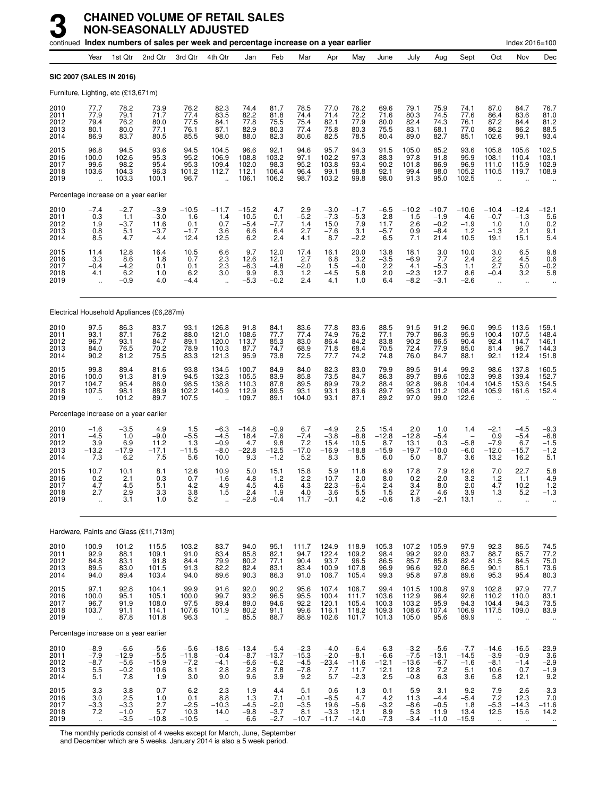|                                       |                                                                         |                                                 | continued Index numbers of sales per week and percentage increase on a year earlier |                                           |                                                       |                                           |                                              |                                              |                                            |                                               |                                            |                                               |                                               |                                              |                                                          | Index 2016=100                                     |                                                          |
|---------------------------------------|-------------------------------------------------------------------------|-------------------------------------------------|-------------------------------------------------------------------------------------|-------------------------------------------|-------------------------------------------------------|-------------------------------------------|----------------------------------------------|----------------------------------------------|--------------------------------------------|-----------------------------------------------|--------------------------------------------|-----------------------------------------------|-----------------------------------------------|----------------------------------------------|----------------------------------------------------------|----------------------------------------------------|----------------------------------------------------------|
|                                       | Year                                                                    | 1st Qtr                                         | 2nd Qtr                                                                             | 3rd Otr                                   | 4th Qtr                                               | Jan                                       | Feb                                          | Mar                                          | Apr                                        | May                                           | June                                       | July                                          | Aug                                           | Sept                                         | Oct                                                      | Nov                                                | Dec                                                      |
| <b>SIC 2007 (SALES IN 2016)</b>       |                                                                         |                                                 |                                                                                     |                                           |                                                       |                                           |                                              |                                              |                                            |                                               |                                            |                                               |                                               |                                              |                                                          |                                                    |                                                          |
| Furniture, Lighting, etc (£13,671m)   |                                                                         |                                                 |                                                                                     |                                           |                                                       |                                           |                                              |                                              |                                            |                                               |                                            |                                               |                                               |                                              |                                                          |                                                    |                                                          |
| 2010<br>2011<br>2012<br>2013<br>2014  | 77.7<br>77.9<br>79.4<br>80.1<br>86.9                                    | 78.2<br>79.1<br>76.2<br>80.0<br>83.7            | 73.9<br>71.7<br>80.0<br>77.1<br>80.5                                                | 76.2<br>77.4<br>77.5<br>76.1<br>85.5      | 82.3<br>83.5<br>84.1<br>87.1<br>98.0                  | 74.4<br>82.2<br>77.8<br>82.9<br>88.0      | 81.7<br>81.8<br>75.5<br>80.3<br>82.3         | 78.5<br>74.4<br>75.4<br>77.4<br>80.6         | 77.0<br>71.4<br>82.1<br>75.8<br>82.5       | 76.2<br>72.2<br>77.9<br>80.3<br>78.5          | 69.6<br>71.6<br>80.0<br>75.5<br>80.4       | 79.1<br>80.3<br>82.4<br>83.1<br>89.0          | 75.9<br>74.5<br>74.3<br>68.1<br>82.7          | 74.1<br>77.6<br>76.1<br>77.0<br>85.1         | 87.0<br>86.4<br>87.2<br>86.2<br>102.6                    | 84.7<br>83.6<br>84.4<br>86.2<br>99.1               | 76.7<br>81.0<br>81.2<br>88.5<br>93.4                     |
| 2015<br>2016<br>2017<br>2018<br>2019  | 96.8<br>100.0<br>99.6<br>103.6<br>ă,                                    | 94.5<br>102.6<br>98.2<br>104.3<br>103.3         | 93.6<br>95.3<br>95.4<br>96.3<br>100.1                                               | 94.5<br>95.2<br>95.3<br>101.2<br>96.7     | 104.5<br>106.9<br>109.4<br>112.7                      | 96.6<br>108.8<br>102.0<br>112.1<br>106.1  | 92.1<br>103.2<br>98.3<br>106.4<br>106.2      | 94.6<br>97.1<br>95.2<br>96.4<br>98.7         | 95.7<br>102.2<br>103.8<br>99.1<br>103.2    | 94.3<br>97.3<br>93.4<br>98.8<br>99.8          | 91.5<br>88.3<br>90.2<br>92.1<br>98.0       | 105.0<br>97.8<br>101.8<br>99.4<br>91.3        | 85.2<br>91.8<br>86.9<br>98.0<br>95.0          | 93.6<br>95.9<br>96.9<br>105.2<br>102.5       | 105.8<br>108.1<br>111.0<br>110.5                         | 105.6<br>110.4<br>115.9<br>119.7                   | 102.5<br>103.1<br>102.9<br>108.9                         |
|                                       |                                                                         | Percentage increase on a year earlier           |                                                                                     |                                           |                                                       |                                           |                                              |                                              |                                            |                                               |                                            |                                               |                                               |                                              |                                                          |                                                    |                                                          |
| 2010<br>2011<br>2012<br>2013<br>2014  | $-7.4$<br>0.3<br>1.9<br>0.8<br>8.5                                      | $-2.7$<br>1.1<br>$-3.7$<br>5.1<br>4.7           | $-3.9$<br>$-3.0$<br>11.6<br>$-3.7$<br>4.4                                           | $-10.5$<br>1.6<br>0.1<br>$-1.7$<br>12.4   | $-11.7$<br>1.4<br>0.7<br>3.6<br>12.5                  | $-15.2$<br>10.5<br>$-5.4$<br>6.6<br>6.2   | 4.7<br>0.1<br>$-7.7$<br>6.4<br>2.4           | 2.9<br>$-5.2$<br>1.4<br>2.7<br>4.1           | $-3.0$<br>$-7.3$<br>15.0<br>$-7.6$<br>8.7  | $-1.7$<br>$-5.3$<br>7.9<br>3.1<br>$-2.2$      | $-6.5$<br>2.8<br>11.7<br>$-5.7$<br>6.5     | $-10.2$<br>1.5<br>2.6<br>0.9<br>7.1           | $-10.7$<br>$-1.9$<br>$-0.2$<br>$-8.4$<br>21.4 | $-10.6$<br>4.6<br>$-1.9$<br>1.2<br>10.5      | $-10.4$<br>$-0.7$<br>1.0<br>$-1.3$<br>19.1               | $-12.4$<br>$-1.3$<br>1.0<br>2.1<br>15.1            | -12.1<br>5.6<br>0.2<br>$\frac{9.1}{5.4}$                 |
| 2015<br>2016<br>2017<br>2018<br>2019  | 11.4<br>3.3<br>$-0.4$<br>4.1<br>$\ddotsc$                               | 12.8<br>8.6<br>$-4.2$<br>6.2<br>$-0.9$          | 16.4<br>1.8<br>0.1<br>1.0<br>4.0                                                    | 10.5<br>0.7<br>0.1<br>6.2<br>$-4.4$       | 6.6<br>2.3<br>2.3<br>3.0<br>$\ddot{\phantom{a}}$      | 9.7<br>12.6<br>$-6.3$<br>9.9<br>$-5.3$    | 12.0<br>12.1<br>$-4.8$<br>8.3<br>$-0.2$      | 17.4<br>2.7<br>$-2.0$<br>$1.2$<br>2.4        | 16.1<br>6.8<br>1.5<br>-4.5<br>4.1          | 20.0<br>3.2<br>$-4.0$<br>5.8<br>1.0           | 13.8<br>$-3.5$<br>2.2<br>2.0<br>6.4        | 18.1<br>$-6.9$<br>4.1<br>$-2.3$<br>$-8.2$     | 3.0<br>7.7<br>$-5.3$<br>12.7<br>$-3.1$        | 10.0<br>2.4<br>1.1<br>8.6<br>$-2.6$          | 3.0<br>2.2<br>2.7<br>$-0.4$<br>à.                        | 6.5<br>4.5<br>5.0<br>3.2<br>$\ddot{\phantom{a}}$   | 9.8<br>0.6<br>$-0.2$<br>5.8<br>$\ddotsc$                 |
|                                       |                                                                         |                                                 | Electrical Household Appliances (£6,287m)                                           |                                           |                                                       |                                           |                                              |                                              |                                            |                                               |                                            |                                               |                                               |                                              |                                                          |                                                    |                                                          |
| 2010<br>2011<br>2012<br>2013<br>2014  | 97.5<br>93.1<br>96.7<br>84.0<br>90.2                                    | 86.3<br>87.1<br>93.1<br>76.5<br>81.2            | 83.7<br>76.2<br>84.7<br>70.2<br>75.5                                                | 93.1<br>88.0<br>89.1<br>78.9<br>83.3      | 126.8<br>121.0<br>120.0<br>110.3<br>121.3             | 91.8<br>108.6<br>113.7<br>87.7<br>95.9    | 84.1<br>77.7<br>85.3<br>74.7<br>73.8         | 83.6<br>77.4<br>83.0<br>68.9<br>72.5         | 77.8<br>74.9<br>86.4<br>71.8<br>77.7       | 83.6<br>76.2<br>84.2<br>68.4<br>74.2          | 88.5<br>77.1<br>83.8<br>70.5<br>74.8       | 91.5<br>79.7<br>90.2<br>72.4<br>76.0          | 91.2<br>86.3<br>86.5<br>77.9<br>84.7          | 96.0<br>95.9<br>90.4<br>85.0<br>88.1         | 99.5<br>100.4<br>92.4<br>81.4<br>92.1                    | 113.6<br>107.5<br>114.7<br>96.7<br>112.4           | 159.1<br>148.4<br>146.1<br>144.3<br>151.8                |
| 2015<br>2016<br>2017<br>2018<br>2019  | 99.8<br>100.0<br>104.7<br>107.5<br>ă,                                   | 89.4<br>91.3<br>95.4<br>98.1<br>101.2           | 81.6<br>81.9<br>86.0<br>88.9<br>89.7                                                | 93.8<br>94.5<br>98.5<br>102.2<br>107.5    | 134.5<br>132.3<br>138.8<br>140.9<br>÷.                | 100.7<br>105.5<br>110.3<br>112.9<br>109.7 | 84.9<br>83.9<br>87.8<br>89.5<br>89.1         | 84.0<br>85.8<br>89.5<br>93.1<br>104.0        | 82.3<br>73.5<br>89.9<br>93.1<br>93.1       | 83.0<br>84.7<br>79.2<br>83.6<br>87.1          | 79.9<br>86.3<br>88.4<br>89.7<br>89.2       | 89.5<br>89.7<br>92.8<br>95.3<br>97.0          | 91.4<br>89.6<br>96.8<br>101.2<br>99.0         | 99.2<br>102.3<br>104.4<br>108.4<br>122.6     | 98.6<br>99.8<br>104.5<br>105.9<br>$\ddotsc$              | 137.8<br>139.4<br>153.6<br>161.6                   | 160.5<br>152.7<br>154.5<br>152.4                         |
| Percentage increase on a year earlier |                                                                         |                                                 |                                                                                     |                                           |                                                       |                                           |                                              |                                              |                                            |                                               |                                            |                                               |                                               |                                              |                                                          |                                                    |                                                          |
| 2010<br>2011<br>2012<br>2013<br>2014  | $-1.6$<br>$-4.5$<br>3.9<br>$-13.2$<br>7.3                               | $-3.5$<br>1.0<br>6.9<br>$-17.9$<br>6.2          | 4.9<br>$-9.0$<br>11.2<br>$-17.1$<br>7.5                                             | 1.5<br>$-5.5$<br>1.3<br>$-11.5$<br>5.6    | $-6.3$<br>$-4.5$<br>$-0.9$<br>$-8.0$<br>10.0          | $-14.8$<br>18.4<br>4.7<br>$-22.8$<br>9.3  | $-0.9$<br>$-7.6$<br>9.8<br>$-12.5$<br>$-1.2$ | 6.7<br>$-7.4$<br>7.2<br>$-17.0$<br>5.2       | $-4.9$<br>$-3.8$<br>15.4<br>$-16.9$<br>8.3 | 2.5<br>$-8.8$<br>10.5<br>$-18.8$<br>8.5       | 15.4<br>$-12.8$<br>8.7<br>$-15.9$<br>6.0   | 2.0<br>$-12.8$<br>13.1<br>$-19.7$<br>5.0      | 1.0<br>$-5.4$<br>0.3<br>$-10.0$<br>8.7        | 1.4<br>$-5.8$<br>$-6.0$<br>3.6               | $-2.1$<br>0.9<br>$-7.9$<br>$-12.0$<br>13.2               | $-4.5$<br>$-5.4$<br>6.7<br>$-15.7$<br>16.2         | $-9.3$<br>$-6.8$<br>$-1.5$<br>$-1.2$<br>5.1              |
| 2015<br>2016<br>2017<br>2018<br>2019  | 10.7<br>0.2<br>4.7<br>2.7<br>$\ddotsc$                                  | 10.1<br>2.1<br>4.5<br>2.9<br>3.1                | 8.1<br>0.3<br>5.1<br>3.3<br>1.0                                                     | 12.6<br>0.7<br>4.2<br>$\frac{3.8}{5.2}$   | 10.9<br>$-1.6$<br>4.9<br>1.5<br>$\ddotsc$             | 5.0<br>4.8<br>4.5<br>2.4<br>$-2.8$        | 15.1<br>$-1.2$<br>4.6<br>1.9<br>$-0.4$       | 15.8<br>2.2<br>4.3<br>4.0<br>11.7            | 5.9<br>$-10.7$<br>22.3<br>3.6<br>$-0.1$    | 11.8<br>2.0<br>-6.4<br>5.5<br>4.2             | 6.9<br>8.0<br>2.4<br>1.5<br>$-0.6$         | 17.8<br>0.2<br>3.4<br>2.7<br>1.8              | 7.9<br>$-2.0$<br>8.0<br>4.6<br>$-2.1$         | 12.6<br>3.2<br>2.0<br>3.9<br>13.1            | 7.0<br>1.2<br>4.7<br>1.3<br>$\ddot{\phantom{a}}$         | 22.7<br>1.1<br>10.2<br>5.2<br>$\ddot{\phantom{1}}$ | 5.8<br>-4.9<br>1.2<br>$-1.3$                             |
|                                       |                                                                         |                                                 | Hardware, Paints and Glass (£11,713m)                                               |                                           |                                                       |                                           |                                              |                                              |                                            |                                               |                                            |                                               |                                               |                                              |                                                          |                                                    |                                                          |
| 2010<br>2011<br>2012<br>2013<br>2014  | 100.9<br>92.9<br>84.8<br>89.5<br>94.0                                   | 101.2<br>88.1<br>83.1<br>83.0<br>89.4           | 115.5<br>109.1<br>91.8<br>101.5<br>103.4                                            | 103.2<br>91.0<br>84.4<br>91.3<br>94.0     | 83.7<br>83.4<br>79.9<br>82.2<br>89.6                  | 94.0<br>85.8<br>80.2<br>82.4<br>90.3      | 95.1<br>82.1<br>77.1<br>83.1<br>86.3         | 111.7<br>94.7<br>90.4<br>83.4<br>91.0        | 124.9<br>122.4<br>93.7<br>100.9<br>106.7   | 118.9<br>109.2<br>96.5<br>107.8<br>105.4      | 105.3<br>98.4<br>86.5<br>96.9<br>99.3      | 107.2<br>99.2<br>85.7<br>96.6<br>95.8         | 105.9<br>92.0<br>85.8<br>92.0<br>97.8         | 97.9<br>83.7<br>82.4<br>86.5<br>89.6         | 92.3<br>88.7<br>81.5<br>90.1<br>95.3                     | 86.5<br>85.7<br>84.5<br>85.1<br>95.4               | 74.5<br>77.2<br>75.0<br>$73.6$<br>$80.3$                 |
| 2015<br>2016<br>2017<br>2018<br>2019  | 97.1<br>100.0<br>96.7<br>103.7<br>$\ddotsc$                             | 92.8<br>95.1<br>91.9<br>91.1<br>87.8            | 104.1<br>105.1<br>108.0<br>114.1<br>101.8                                           | 99.9<br>100.0<br>97.5<br>107.6<br>96.3    | 91.6<br>99.7<br>89.4<br>101.9<br>$\ddot{\phantom{a}}$ | 92.0<br>93.2<br>89.0<br>80.2<br>85.5      | 90.2<br>96.5<br>94.6<br>91.1<br>88.7         | 95.6<br>95.5<br>92.2<br>99.6<br>88.9         | 107.4<br>100.4<br>120.1<br>116.1<br>102.6  | 106.7<br>111.7<br>105.4<br>118.2<br>101.7     | 99.4<br>103.6<br>100.3<br>109.3<br>101.3   | 101.5<br>112.9<br>103.2<br>108.6<br>105.0     | 100.8<br>96.4<br>95.9<br>107.4<br>95.6        | 97.9<br>92.6<br>94.3<br>106.9<br>89.9        | 102.8<br>110.2<br>104.4<br>117.5<br>$\ddot{\phantom{a}}$ | 97.9<br>110.0<br>94.3<br>109.0<br>$\ddotsc$        | 77.7<br>83.1<br>73.5<br>83.9<br>$\ddotsc$                |
| Percentage increase on a year earlier |                                                                         |                                                 |                                                                                     |                                           |                                                       |                                           |                                              |                                              |                                            |                                               |                                            |                                               |                                               |                                              |                                                          |                                                    |                                                          |
| 2010<br>2011<br>2012<br>2013<br>2014  | $-8.9$<br>$-7.9$<br>$-8.7$<br>5.5<br>5.1                                | $-6.6$<br>$-12.9$<br>$-5.6$<br>$-0.2$<br>7.8    | $-5.6$<br>$-5.5$<br>$-15.9$<br>10.6<br>1.9                                          | $-5.6$<br>$-11.8$<br>$-7.2$<br>8.1<br>3.0 | $-18.6$<br>$-0.4$<br>$-4.1$<br>2.8<br>9.0             | $-13.4$<br>$-8.7$<br>$-6.6$<br>2.8<br>9.6 | $-5.4$<br>$-13.7$<br>$-6.2$<br>7.8<br>3.9    | $-2.3$<br>$-15.3$<br>$-4.5$<br>$-7.8$<br>9.2 | $-4.0$<br>$-2.0$<br>$-23.4$<br>7.7<br>5.7  | $-6.4$<br>$-8.1$<br>$-11.6$<br>11.7<br>$-2.3$ | $-6.3$<br>$-6.6$<br>$-12.1$<br>12.1<br>2.5 | $-3.2$<br>$-7.5$<br>$-13.6$<br>12.8<br>$-0.8$ | $-5.6$<br>$-13.1$<br>$-6.7$<br>7.2<br>6.3     | $-7.7$<br>$-14.5$<br>$-1.6$<br>5.1<br>3.6    | $-14.6$<br>$-3.9$<br>$-8.1$<br>10.6<br>5.8               | $-16.5$<br>$-0.9$<br>$-1.4$<br>0.7<br>12.1         | $-23.9$<br>3.6<br>$-2.9$<br>$-1.9$<br>9.2                |
| 2015<br>2016<br>2017<br>2018<br>2019  | $\begin{array}{c} 3.3 \\ 3.0 \end{array}$<br>$-3.3$<br>7.2<br>$\ddotsc$ | $\frac{3.8}{2.5}$<br>$-3.3$<br>$-1.0$<br>$-3.5$ | 0.7<br>1.0<br>2.7<br>5.7<br>$-10.8$                                                 | 6.2<br>0.1<br>$-2.5$<br>10.3<br>$-10.5$   | 2.3<br>8.8<br>$-10.3$<br>14.0<br>$\ddotsc$            | 1.9<br>1.3<br>$-4.5$<br>$-9.8$<br>6.6     | 4.4<br>7.1<br>$-2.0$<br>$-3.7$<br>$-2.7$     | 5.1<br>$-0.1$<br>$-3.5$<br>8.1<br>$-10.7$    | 0.6<br>$-6.5$<br>19.6<br>$-3.3$<br>$-11.7$ | 1.3<br>4.7<br>$-5.6$<br>12.1<br>$-14.0$       | 0.1<br>4.2<br>$-3.2$<br>8.9<br>$-7.3$      | 5.9<br>11.3<br>$-8.6$<br>5.3<br>$-3.4$        | 3.1<br>$-4.4$<br>$-0.5$<br>11.9<br>$-11.0$    | $\frac{9.2}{-5.4}$<br>1.8<br>13.4<br>$-15.9$ | 7.9<br>7.2<br>$-5.3$<br>12.5<br>$\ddotsc$                | 2.6<br>12.3<br>$-14.3$<br>15.6<br>$\ddotsc$        | $-3.3$<br>7.0<br>$-11.6$<br>14.2<br>$\ddot{\phantom{1}}$ |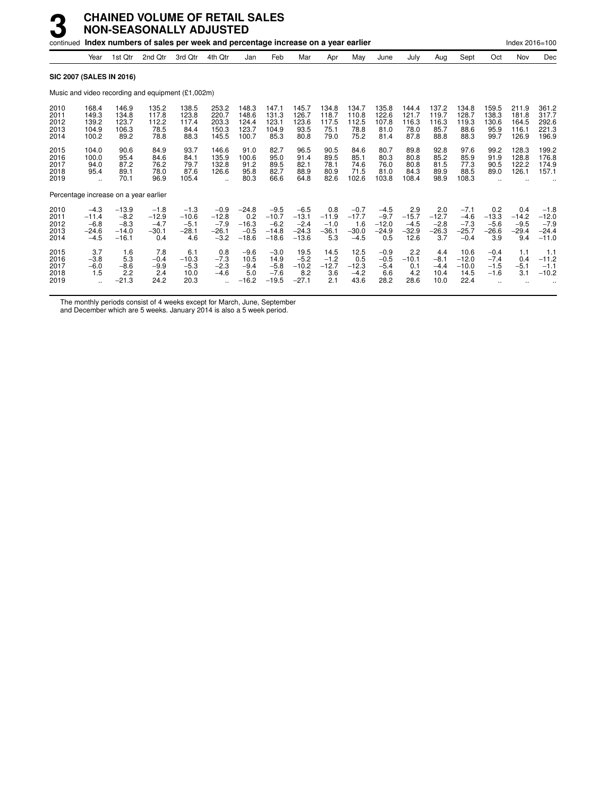|                                      |                                                  |                                                   | continued Index numbers of sales per week and percentage increase on a year earlier |                                               |                                                           |                                                |                                                   |                                                   |                                            |                                               |                                               |                                             |                                            |                                                 |                                            | Index 2016=100                             |                                                   |
|--------------------------------------|--------------------------------------------------|---------------------------------------------------|-------------------------------------------------------------------------------------|-----------------------------------------------|-----------------------------------------------------------|------------------------------------------------|---------------------------------------------------|---------------------------------------------------|--------------------------------------------|-----------------------------------------------|-----------------------------------------------|---------------------------------------------|--------------------------------------------|-------------------------------------------------|--------------------------------------------|--------------------------------------------|---------------------------------------------------|
|                                      | Year                                             | 1st Qtr                                           | 2nd Qtr                                                                             | 3rd Qtr                                       | 4th Qtr                                                   | Jan                                            | Feb                                               | Mar                                               | Apr                                        | May                                           | June                                          | July                                        | Aug                                        | Sept                                            | Oct                                        | Nov                                        | Dec                                               |
|                                      |                                                  | <b>SIC 2007 (SALES IN 2016)</b>                   |                                                                                     |                                               |                                                           |                                                |                                                   |                                                   |                                            |                                               |                                               |                                             |                                            |                                                 |                                            |                                            |                                                   |
|                                      |                                                  |                                                   | Music and video recording and equipment (£1,002m)                                   |                                               |                                                           |                                                |                                                   |                                                   |                                            |                                               |                                               |                                             |                                            |                                                 |                                            |                                            |                                                   |
| 2010<br>2011<br>2012<br>2013<br>2014 | 168.4<br>149.3<br>139.2<br>104.9<br>100.2        | 146.9<br>134.8<br>123.7<br>106.3<br>89.2          | 135.2<br>117.8<br>112.2<br>78.5<br>78.8                                             | 138.5<br>123.8<br>117.4<br>84.4<br>88.3       | 253.2<br>220.7<br>203.3<br>150.3<br>145.5                 | 148.3<br>148.6<br>124.4<br>123.7<br>100.7      | 147.1<br>131.3<br>123.1<br>104.9<br>85.3          | 145.7<br>126.7<br>123.6<br>93.5<br>80.8           | 134.8<br>118.7<br>117.5<br>75.1<br>79.0    | 134.7<br>110.8<br>112.5<br>78.8<br>75.2       | 135.8<br>122.6<br>107.8<br>81.0<br>81.4       | 144.4<br>121.7<br>116.3<br>78.0<br>87.8     | 137.2<br>119.7<br>116.3<br>85.7<br>88.8    | 134.8<br>128.7<br>119.3<br>88.6<br>88.3         | 159.5<br>138.3<br>130.6<br>95.9<br>99.7    | 211.9<br>181.8<br>164.5<br>116.1<br>126.9  | 361.2<br>317.7<br>292.6<br>221.3<br>196.9         |
| 2015<br>2016<br>2017<br>2018<br>2019 | 104.0<br>100.0<br>94.0<br>95.4                   | 90.6<br>95.4<br>87.2<br>89.1<br>70.1              | 84.9<br>84.6<br>76.2<br>78.0<br>96.9                                                | 93.7<br>84.1<br>79.7<br>87.6<br>105.4         | 146.6<br>135.9<br>132.8<br>126.6                          | 91.0<br>100.6<br>91.2<br>95.8<br>80.3          | 82.7<br>95.0<br>89.5<br>82.7<br>66.6              | 96.5<br>91.4<br>82.1<br>88.9<br>64.8              | 90.5<br>89.5<br>78.1<br>80.9<br>82.6       | 84.6<br>85.1<br>74.6<br>71.5<br>102.6         | 80.7<br>80.3<br>76.0<br>81.0<br>103.8         | 89.8<br>80.8<br>80.8<br>84.3<br>108.4       | 92.8<br>85.2<br>81.5<br>89.9<br>98.9       | 97.6<br>85.9<br>77.3<br>88.5<br>108.3           | 99.2<br>91.9<br>90.5<br>89.0               | 128.3<br>128.8<br>122.2<br>126.1           | 199.2<br>176.8<br>174.9<br>157.1                  |
|                                      |                                                  |                                                   | Percentage increase on a year earlier                                               |                                               |                                                           |                                                |                                                   |                                                   |                                            |                                               |                                               |                                             |                                            |                                                 |                                            |                                            |                                                   |
| 2010<br>2011<br>2012<br>2013<br>2014 | $-4.3$<br>$-11.4$<br>$-6.8$<br>$-24.6$<br>$-4.5$ | $-13.9$<br>$-8.2$<br>$-8.3$<br>$-14.0$<br>$-16.1$ | $-1.8$<br>$-12.9$<br>$-4.7$<br>$-30.1$<br>0.4                                       | $-1.3$<br>$-10.6$<br>$-5.1$<br>$-28.1$<br>4.6 | $-0.9$<br>$-12.8$<br>$-7.9$<br>$-26.1$<br>$-3.2$          | $-24.8$<br>0.2<br>$-16.3$<br>$-0.5$<br>$-18.6$ | $-9.5$<br>$-10.7$<br>$-6.2$<br>$-14.8$<br>$-18.6$ | $-6.5$<br>$-13.1$<br>$-2.4$<br>$-24.3$<br>$-13.6$ | 0.8<br>$-11.9$<br>$-1.0$<br>$-36.1$<br>5.3 | $-0.7$<br>$-17.7$<br>1.6<br>$-30.0$<br>$-4.5$ | $-4.5$<br>$-9.7$<br>$-12.0$<br>$-24.9$<br>0.5 | 2.9<br>$-15.7$<br>$-4.5$<br>$-32.9$<br>12.6 | 2.0<br>$-12.7$<br>$-2.8$<br>$-26.3$<br>3.7 | $-7.1$<br>$-4.6$<br>$-7.3$<br>$-25.7$<br>$-0.4$ | 0.2<br>$-13.3$<br>$-5.6$<br>$-26.6$<br>3.9 | 0.4<br>$-14.2$<br>$-9.5$<br>$-29.4$<br>9.4 | $-1.8$<br>$-12.0$<br>$-7.9$<br>$-24.4$<br>$-11.0$ |
| 2015<br>2016<br>2017<br>2018<br>2019 | 3.7<br>$-3.8$<br>$-6.0$<br>1.5                   | 1.6<br>5.3<br>$-8.6$<br>2.2<br>$-21.3$            | 7.8<br>$-0.4$<br>$-9.9$<br>2.4<br>24.2                                              | 6.1<br>$-10.3$<br>$-5.3$<br>10.0<br>20.3      | 0.8<br>$-7.3$<br>$-2.3$<br>$-4.6$<br>$\ddot{\phantom{a}}$ | $-9.6$<br>10.5<br>$-9.4$<br>5.0<br>$-16.2$     | $-3.0$<br>14.9<br>$-5.8$<br>$-7.6$<br>$-19.5$     | 19.5<br>$-5.2$<br>$-10.2$<br>8.2<br>$-27.1$       | 14.5<br>$-1.2$<br>$-12.7$<br>3.6<br>2.1    | 12.5<br>0.5<br>$-12.3$<br>$-4.2$<br>43.6      | $-0.9$<br>$-0.5$<br>$-5.4$<br>6.6<br>28.2     | 2.2<br>$-10.1$<br>0.1<br>4.2<br>28.6        | 4.4<br>$-8.1$<br>$-4.4$<br>10.4<br>10.0    | 10.6<br>$-12.0$<br>$-10.0$<br>14.5<br>22.4      | $-0.4$<br>$-7.4$<br>$-1.5$<br>$-1.6$       | 1.1<br>0.4<br>$-5.1$<br>3.1                | 1.1<br>$-11.2$<br>$-1.1$<br>$-10.2$               |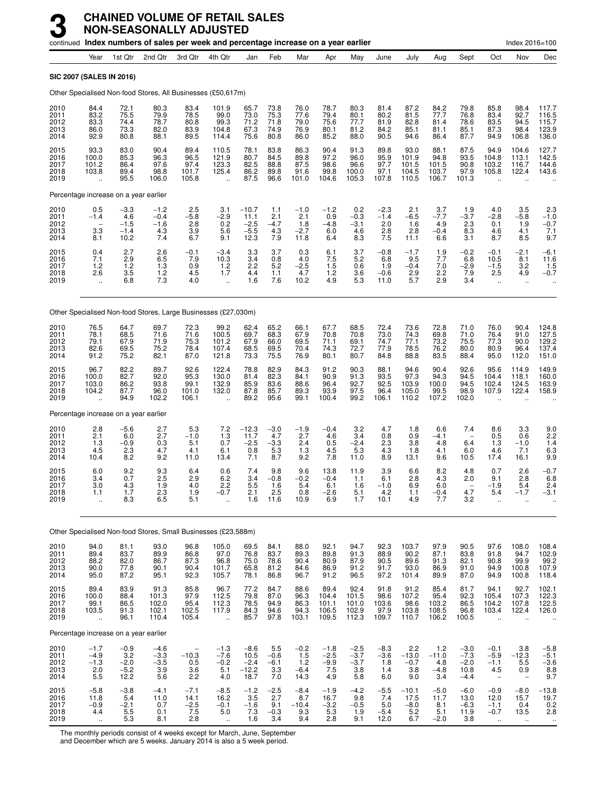|                                      |                                                         | continued Index numbers of sales per week and percentage increase on a year earlier |                                          |                                        |                                                     |                                             |                                       |                                                     |                                          |                                          |                                        |                                          |                                         |                                              |                                                            | Index 2016=100                                        |                                           |
|--------------------------------------|---------------------------------------------------------|-------------------------------------------------------------------------------------|------------------------------------------|----------------------------------------|-----------------------------------------------------|---------------------------------------------|---------------------------------------|-----------------------------------------------------|------------------------------------------|------------------------------------------|----------------------------------------|------------------------------------------|-----------------------------------------|----------------------------------------------|------------------------------------------------------------|-------------------------------------------------------|-------------------------------------------|
|                                      | Year                                                    | 1st Qtr                                                                             | 2nd Qtr                                  | 3rd Qtr                                | 4th Qtr                                             | Jan                                         | Feb                                   | Mar                                                 | Apr                                      | May                                      | June                                   | July                                     | Aug                                     | Sept                                         | Oct                                                        | Nov                                                   | Dec                                       |
| <b>SIC 2007 (SALES IN 2016)</b>      |                                                         |                                                                                     |                                          |                                        |                                                     |                                             |                                       |                                                     |                                          |                                          |                                        |                                          |                                         |                                              |                                                            |                                                       |                                           |
|                                      |                                                         | Other Specialised Non-food Stores, All Businesses (£50,617m)                        |                                          |                                        |                                                     |                                             |                                       |                                                     |                                          |                                          |                                        |                                          |                                         |                                              |                                                            |                                                       |                                           |
| 2010<br>2011<br>2012<br>2013<br>2014 | 84.4<br>83.2<br>83.3<br>86.0<br>92.9                    | 72.1<br>75.5<br>74.4<br>73.3<br>80.8                                                | 80.3<br>79.9<br>78.7<br>82.0<br>88.1     | 83.4<br>78.5<br>80.8<br>83.9<br>89.5   | 101.9<br>99.0<br>99.3<br>104.8<br>114.4             | 65.7<br>73.0<br>71.2<br>67.3<br>75.6        | 73.8<br>75.3<br>71.8<br>74.9<br>80.8  | 76.0<br>77.6<br>79.0<br>76.9<br>86.0                | 78.7<br>79.4<br>75.6<br>80.1<br>85.2     | 80.3<br>80.1<br>77.7<br>81.2<br>88.0     | 81.4<br>80.2<br>81.9<br>84.2<br>90.5   | 87.2<br>81.5<br>82.8<br>85.1<br>94.6     | 84.2<br>77.7<br>81.4<br>81.1<br>86.4    | 79.8<br>76.8<br>78.6<br>85.1<br>87.7         | 85.8<br>83.4<br>83.5<br>87.3<br>94.9                       | 98.4<br>92.7<br>94.5<br>98.4<br>106.8                 | 117.7<br>116.5<br>115.7<br>123.9<br>136.0 |
| 2015<br>2016<br>2017<br>2018<br>2019 | 93.3<br>100.0<br>101.2<br>103.8                         | 83.0<br>85.3<br>86.4<br>89.4<br>95.5                                                | 90.4<br>96.3<br>97.6<br>98.8<br>106.0    | 89.4<br>96.5<br>97.4<br>101.7<br>105.8 | 110.5<br>121.9<br>123.3<br>125.4                    | 78.1<br>80.7<br>82.5<br>86.2<br>87.5        | 83.8<br>84.5<br>88.8<br>89.8<br>96.6  | 86.3<br>89.8<br>87.5<br>91.6<br>101.0               | 90.4<br>97.2<br>98.6<br>99.8<br>104.6    | 91.3<br>96.0<br>96.6<br>100.0<br>105.3   | 89.8<br>95.9<br>97.7<br>97.1<br>107.8  | 93.0<br>101.9<br>101.5<br>104.5<br>110.5 | 88.1<br>94.8<br>101.5<br>103.7<br>106.7 | 87.5<br>93.5<br>90.8<br>97.9<br>101.3        | 94.9<br>104.8<br>103.2<br>105.8                            | 104.6<br>113.1<br>116.7<br>122.4                      | 127.7<br>142.5<br>144.6<br>143.6          |
|                                      |                                                         | Percentage increase on a year earlier                                               |                                          |                                        |                                                     |                                             |                                       |                                                     |                                          |                                          |                                        |                                          |                                         |                                              |                                                            |                                                       |                                           |
| 2010<br>2011<br>2012<br>2013<br>2014 | 0.5<br>$-1.4$<br>$\overline{\phantom{0}}$<br>3.3<br>8.1 | $-3.3$<br>4.6<br>$-1.5$<br>$-1.4$<br>10.2                                           | $-1.2$<br>$-0.4$<br>$-1.6$<br>4.3<br>7.4 | 2.5<br>$-5.8$<br>2.8<br>3.9<br>6.7     | 3.1<br>$-2.9$<br>0.2<br>5.6<br>9.1                  | $-10.7$<br>11.1<br>$-2.5$<br>$-5.5$<br>12.3 | 1.1<br>2.1<br>$-4.7$<br>4.3<br>7.9    | $-1.0$<br>2.1<br>1.8<br>$-2.7$<br>11.8              | $-1.2$<br>0.9<br>$-4.8$<br>6.0<br>6.4    | 0.2<br>$-0.3$<br>$-3.1$<br>4.6<br>8.3    | $-2.3$<br>$-1.4$<br>2.0<br>2.8<br>7.5  | 2.1<br>$-6.5$<br>1.6<br>2.8<br>11.1      | 3.7<br>$-7.7$<br>4.9<br>$-0.4$<br>6.6   | 1.9<br>$-3.7$<br>2.3<br>8.3<br>3.1           | 4.0<br>$-2.8$<br>0.1<br>4.6<br>8.7                         | 3.5<br>$-5.8$<br>1.9<br>4.1<br>8.5                    | 2.3<br>$-1.0$<br>$-0.7$<br>7.1<br>9.7     |
| 2015<br>2016<br>2017<br>2018<br>2019 | 0.4<br>7.1<br>1.2<br>2.6<br>$\ddotsc$                   | 2.7<br>2.9<br>1.2<br>3.5<br>6.8                                                     | 2.6<br>6.5<br>1.3<br>$1.2$<br>7.3        | $-0.1$<br>7.9<br>0.9<br>4.5<br>4.0     | $-3.4$<br>10.3<br>1.2<br>1.7<br>$\ddotsc$           | 3.3<br>3.4<br>2.2<br>4.4<br>1.6             | 3.7<br>0.8<br>5.2<br>1.1<br>7.6       | 0.3<br>4.0<br>$-2.5$<br>4.7<br>10.2                 | 6.1<br>7.5<br>1.5<br>1.2<br>4.9          | 3.7<br>5.2<br>0.6<br>3.6<br>5.3          | $-0.8$<br>6.8<br>1.9<br>$-0.6$<br>11.0 | $-1.7$<br>9.5<br>$-0.4$<br>2.9<br>5.7    | 1.9<br>7.7<br>7.0<br>2.2<br>2.9         | $-0.2$<br>6.8<br>$-2.9$<br>7.9<br>3.4        | $-0.1$<br>10.5<br>$-1.5$<br>2.5<br>à.                      | -2.1<br>8.1<br>3.2<br>4.9<br>$\ddot{\phantom{a}}$     | $-6.1$<br>11.6<br>1.5<br>$-0.7$           |
|                                      |                                                         | Other Specialised Non-food Stores, Large Businesses (£27,030m)                      |                                          |                                        |                                                     |                                             |                                       |                                                     |                                          |                                          |                                        |                                          |                                         |                                              |                                                            |                                                       |                                           |
| 2010<br>2011<br>2012<br>2013<br>2014 | 76.5<br>78.1<br>79.1<br>82.6<br>91.2                    | 64.7<br>68.5<br>67.9<br>69.5<br>75.2                                                | 69.7<br>71.6<br>71.9<br>75.2<br>82.1     | 72.3<br>71.6<br>75.3<br>78.4<br>87.0   | 99.2<br>100.5<br>101.2<br>107.4<br>121.8            | 62.4<br>69.7<br>67.9<br>68.5<br>73.3        | 65.2<br>68.3<br>66.0<br>69.5<br>75.5  | 66.1<br>67.9<br>69.5<br>70.4<br>76.9                | 67.7<br>70.8<br>71.1<br>74.3<br>80.1     | 68.5<br>70.8<br>69.1<br>72.7<br>80.7     | 72.4<br>73.0<br>74.7<br>77.9<br>84.8   | 73.6<br>74.3<br>77.1<br>78.5<br>88.8     | 72.8<br>69.8<br>73.2<br>76.2<br>83.5    | 71.0<br>71.0<br>75.5<br>80.0<br>88.4         | 76.0<br>76.4<br>77.3<br>80.9<br>95.0                       | 90.4<br>91.0<br>90.0<br>96.4<br>112.0                 | 124.8<br>127.5<br>129.2<br>137.4<br>151.0 |
| 2015<br>2016<br>2017<br>2018<br>2019 | 96.7<br>100.0<br>103.0<br>104.2                         | 82.2<br>82.7<br>86.2<br>87.7<br>94.9                                                | 89.7<br>92.0<br>93.8<br>96.0<br>102.2    | 92.6<br>95.3<br>99.1<br>101.0<br>106.1 | 122.4<br>130.0<br>132.9<br>132.0                    | 78.8<br>81.4<br>85.9<br>87.8<br>89.2        | 82.9<br>82.3<br>83.6<br>85.7<br>95.6  | 84.3<br>84.1<br>88.6<br>89.3<br>99.1                | 91.2<br>90.9<br>96.4<br>93.9<br>100.4    | 90.3<br>91.3<br>92.7<br>97.5<br>99.2     | 88.1<br>93.5<br>92.5<br>96.4<br>106.1  | 94.6<br>97.3<br>103.9<br>105.0<br>110.2  | 90.4<br>94.3<br>100.0<br>99.5<br>107.2  | 92.6<br>94.5<br>94.5<br>98.9<br>102.0        | 95.6<br>104.4<br>102.4<br>107.9                            | 114.9<br>118.1<br>124.5<br>122.4                      | 149.9<br>160.0<br>163.9<br>158.9          |
|                                      |                                                         | Percentage increase on a year earlier                                               |                                          |                                        |                                                     |                                             |                                       |                                                     |                                          |                                          |                                        |                                          |                                         |                                              |                                                            |                                                       |                                           |
| 2010<br>2011<br>2012<br>2013<br>2014 | 2.8<br>2.1<br>1.3<br>4.5<br>10.4                        | $-5.6$<br>6.0<br>$-0.9$<br>2.3<br>8.2                                               | 2.7<br>2.7<br>0.3<br>4.7<br>9.2          | 5.3<br>$-1.0$<br>5.1<br>4.1<br>11.0    | 7.2<br>1.3<br>0.7<br>6.1<br>13.4                    | $-12.3$<br>11.7<br>$-2.5$<br>0.8<br>7.1     | $-3.0$<br>4.7<br>$-3.3$<br>5.3<br>8.7 | $-1.9$<br>2.7<br>2.4<br>1.3<br>9.2                  | $-0.4$<br>4.6<br>0.5<br>4.5<br>7.8       | 3.2<br>3.4<br>$-2.4$<br>5.3<br>11.0      | 4.7<br>0.8<br>2.3<br>4.3<br>8.9        | 1.8<br>0.9<br>3.8<br>1.8<br>13.1         | 6.6<br>$-4.1$<br>4.8<br>4.1<br>9.6      | 7.4<br>6.4<br>6.0<br>10.5                    | 8.6<br>0.5<br>1.3<br>4.6<br>17.4                           | 3.3<br>0.6<br>$-1.0$<br>7.1<br>16.1                   | 9.0<br>2.2<br>1.4<br>6.3<br>9.9           |
| 2015<br>2016<br>2017<br>2018<br>2019 | 6.0<br>3.4<br>3.0<br>1.1<br>÷.                          | 9.2<br>0.7<br>4.3<br>1.7<br>8.3                                                     | 9.3<br>2.5<br>1.9<br>2.3<br>6.5          | 6.4<br>2.9<br>4.0<br>1.9<br>5.1        | 0.6<br>6.2<br>2.2<br>$-0.7$<br>$\ddot{\phantom{a}}$ | 7.4<br>3.4<br>5.5<br>2.1<br>1.6             | 9.8<br>$-0.8$<br>1.6<br>2.5<br>11.6   | 9.6<br>$-0.2$<br>5.4<br>0.8<br>10.9                 | 13.8<br>-0.4<br>6.1<br>$-2.6$<br>6.9     | 11.9<br>1.1<br>1.6<br>5.1<br>1.7         | 3.9<br>6.1<br>$-1.0$<br>4.2<br>10.1    | 6.6<br>2.8<br>6.9<br>1.1<br>4.9          | 8.2<br>4.3<br>6.0<br>$-0.4$<br>7.7      | 4.8<br>2.0<br>4.7<br>3.2                     | 0.7<br>9.1<br>$-1.9$<br>5.4<br>$\ddot{\phantom{a}}$        | 2.6<br>2.8<br>5.4<br>$-1.7$                           | $-0.7$<br>6.8<br>2.4<br>$-3.1$            |
|                                      |                                                         | Other Specialised Non-food Stores, Small Businesses (£23,588m)                      |                                          |                                        |                                                     |                                             |                                       |                                                     |                                          |                                          |                                        |                                          |                                         |                                              |                                                            |                                                       |                                           |
| 2010<br>2011<br>2012<br>2013<br>2014 | 94.0<br>89.4<br>88.2<br>90.0<br>95.0                    | 81.1<br>83.7<br>82.0<br>77.8<br>87.2                                                | 93.0<br>89.9<br>86.7<br>90.1<br>95.1     | 96.8<br>86.8<br>87.3<br>90.4<br>92.3   | 105.0<br>97.0<br>96.8<br>101.7<br>105.7             | 69.5<br>76.8<br>75.0<br>65.8<br>78.1        | 84.1<br>83.7<br>78.6<br>81.2<br>86.8  | 88.0<br>89.3<br>90.4<br>84.6<br>96.7                | 92.1<br>89.8<br>80.9<br>86.9<br>91.2     | 94.7<br>91.3<br>87.9<br>91.2<br>96.5     | 92.3<br>88.9<br>90.5<br>91.7<br>97.2   | 103.7<br>90.2<br>89.6<br>93.0<br>101.4   | 97.9<br>87.1<br>91.3<br>86.9<br>89.9    | 90.5<br>83.8<br>82.1<br>91.0<br>87.0         | 97.6<br>91.8<br>90.8<br>94.9<br>94.9                       | 108.0<br>94.7<br>99.9<br>100.8<br>100.8               | 108.4<br>102.9<br>99.2<br>107.9<br>118.4  |
| 2015<br>2016<br>2017<br>2018<br>2019 | 89.4<br>100.0<br>99.1<br>103.5<br>$\ddot{\phantom{a}}$  | 83.9<br>88.4<br>86.5<br>91.3<br>96.1                                                | 91.3<br>101.3<br>102.0<br>102.1<br>110.4 | 85.8<br>97.9<br>95.4<br>102.5<br>105.4 | 96.7<br>112.5<br>112.3<br>117.9<br>$\mathbf{r}$     | 77.2<br>79.8<br>78.5<br>84.3<br>85.7        | 84.7<br>87.0<br>94.9<br>94.6<br>97.8  | 88.6<br>96.3<br>86.3<br>94.3<br>103.1               | 89.4<br>104.4<br>101.1<br>106.5<br>109.5 | 92.4<br>101.5<br>101.0<br>102.9<br>112.3 | 91.8<br>98.6<br>103.6<br>97.9<br>109.7 | 91.2<br>107.2<br>98.6<br>103.8<br>110.7  | 85.4<br>95.4<br>103.2<br>108.5<br>106.2 | 81.7<br>92.3<br>86.5<br>96.8<br>100.5        | 94.1<br>105.4<br>104.2<br>103.4<br>$\ddot{\phantom{a}}$    | 92.7<br>107.3<br>107.8<br>122.4<br>$\ddotsc$          | 102.1<br>122.3<br>122.5<br>126.0          |
|                                      |                                                         | Percentage increase on a year earlier                                               |                                          |                                        |                                                     |                                             |                                       |                                                     |                                          |                                          |                                        |                                          |                                         |                                              |                                                            |                                                       |                                           |
| 2010<br>2011<br>2012<br>2013<br>2014 | $-1.7$<br>$-4.9$<br>$-1.3$<br>2.0<br>5.5                | $-0.9$<br>3.2<br>$-2.0$<br>$-5.2$<br>12.2                                           | $-4.6$<br>$-3.3$<br>$-3.5$<br>3.9<br>5.6 | $-10.3$<br>0.5<br>3.6<br>2.2           | $-1.3$<br>$-7.6$<br>$-0.2$<br>5.1<br>4.0            | $-8.6$<br>10.5<br>$-2.4$<br>$-12.2$<br>18.7 | 5.5<br>$-0.6$<br>$-6.1$<br>3.3<br>7.0 | $-0.2$<br>$1.\overline{5}$<br>1.2<br>$-6.4$<br>14.3 | $-1.8$<br>$-2.5$<br>$-9.9$<br>7.5<br>4.9 | $-2.5$<br>$-3.7$<br>$-3.7$<br>3.8<br>5.8 | $-8.3$<br>$-3.6$<br>1.8<br>1.4<br>6.0  | $^{2.2}_{-13.0}$<br>$-0.7$<br>3.8<br>9.0 | 1.2<br>$-11.0$<br>4.8<br>$-4.8$<br>3.4  | $-3.0$<br>$-7.3$<br>$-2.0$<br>10.8<br>$-4.4$ | $-0.1$<br>$-5.9$<br>$-1.1$<br>4.5                          | 3.8<br>$-12.3$<br>5.5<br>0.9                          | $-5.8$<br>$-5.1$<br>$-3.6$<br>8.8<br>9.7  |
| 2015<br>2016<br>2017<br>2018<br>2019 | $-5.8$<br>11.8<br>$-0.9$<br>4.4<br>$\ddotsc$            | $-3.8$<br>5.4<br>$-2.1$<br>$\frac{5.5}{5.3}$                                        | $-4.1$<br>11.0<br>0.7<br>0.1<br>8.1      | $-7.1$<br>14.1<br>$-2.5$<br>7.5<br>2.8 | $-8.5$<br>16.2<br>$-0.1$<br>5.0<br>$\ddotsc$        | $-1.2$<br>3.5<br>$-1.6$<br>7.3<br>1.6       | $-2.5$<br>2.7<br>9.1<br>$-0.3$<br>3.4 | $-8.4$<br>8.7<br>$-10.4$<br>9.3<br>9.4              | $-1.9$<br>16.7<br>$-3.2$<br>5.3<br>2.8   | $-4.2$<br>9.8<br>$-0.5$<br>1.9<br>9.1    | $-5.5$<br>7.4<br>5.0<br>$-5.4$<br>12.0 | $-10.1$<br>17.5<br>$-8.0$<br>5.2<br>6.7  | $-5.0$<br>11.7<br>8.1<br>5.1<br>$-2.0$  | $-6.0$<br>13.0<br>$-6.3$<br>11.9<br>3.8      | $-0.9$<br>12.0<br>$-1.1$<br>$-0.7$<br>$\ddot{\phantom{1}}$ | $-8.0$<br>15.7<br>0.4<br>13.5<br>$\ddot{\phantom{1}}$ | $-13.8$<br>19.7<br>0.2<br>2.8             |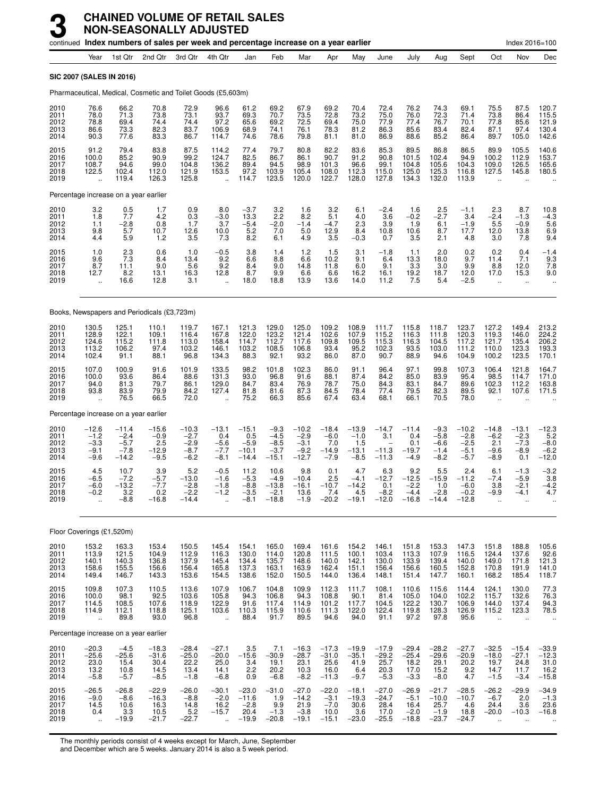|                                      |                                                                 |                                                  | continued Index numbers of sales per week and percentage increase on a year earlier |                                                 |                                                                |                                                 |                                                 |                                                  |                                                |                                               |                                               |                                                |                                                 |                                                 |                                                          | Index 2016=100                                     |                                                     |
|--------------------------------------|-----------------------------------------------------------------|--------------------------------------------------|-------------------------------------------------------------------------------------|-------------------------------------------------|----------------------------------------------------------------|-------------------------------------------------|-------------------------------------------------|--------------------------------------------------|------------------------------------------------|-----------------------------------------------|-----------------------------------------------|------------------------------------------------|-------------------------------------------------|-------------------------------------------------|----------------------------------------------------------|----------------------------------------------------|-----------------------------------------------------|
|                                      | Year                                                            | 1st Qtr                                          | 2nd Qtr                                                                             | 3rd Qtr                                         | 4th Qtr                                                        | Jan                                             | Feb                                             | Mar                                              | Apr                                            | May                                           | June                                          | July                                           | Aug                                             | Sept                                            | Oct                                                      | Nov                                                | Dec                                                 |
|                                      |                                                                 | <b>SIC 2007 (SALES IN 2016)</b>                  |                                                                                     |                                                 |                                                                |                                                 |                                                 |                                                  |                                                |                                               |                                               |                                                |                                                 |                                                 |                                                          |                                                    |                                                     |
|                                      |                                                                 |                                                  | Pharmaceutical, Medical, Cosmetic and Toilet Goods (£5,603m)                        |                                                 |                                                                |                                                 |                                                 |                                                  |                                                |                                               |                                               |                                                |                                                 |                                                 |                                                          |                                                    |                                                     |
| 2010<br>2011<br>2012<br>2013<br>2014 | 76.6<br>78.0<br>78.8<br>86.6<br>90.3                            | 66.2<br>71.3<br>69.4<br>73.3<br>77.6             | 70.8<br>73.8<br>74.4<br>82.3<br>83.3                                                | 72.9<br>73.1<br>74.4<br>83.7<br>86.7            | 96.6<br>93.7<br>97.2<br>106.9<br>114.7                         | 61.2<br>69.3<br>65.6<br>68.9<br>74.6            | 69.2<br>70.7<br>69.2<br>74.1<br>78.6            | 67.9<br>73.5<br>72.5<br>76.1<br>79.8             | 69.2<br>72.8<br>69.4<br>78.3<br>81.1           | 70.4<br>73.2<br>75.0<br>81.2<br>81.0          | 72.4<br>75.0<br>77.9<br>86.3<br>86.9          | 76.2<br>76.0<br>77.4<br>85.6<br>88.6           | 74.3<br>72.3<br>76.7<br>83.4<br>85.2            | 69.1<br>71.4<br>70.1<br>82.4<br>86.4            | 75.5<br>73.8<br>77.8<br>87.1<br>89.7                     | 87.5<br>86.4<br>85.6<br>97.4<br>105.0              | 120.7<br>115.5<br>121.9<br>130.4<br>142.6           |
| 2015<br>2016<br>2017<br>2018<br>2019 | 91.2<br>100.0<br>108.7<br>122.5                                 | 79.4<br>85.2<br>94.6<br>102.4<br>119.4           | 83.8<br>90.9<br>99.0<br>112.0<br>126.3                                              | 87.5<br>99.2<br>104.8<br>121.9<br>125.8         | 114.2<br>124.7<br>136.2<br>153.5<br>$\mathcal{L}_{\mathbf{r}}$ | 77.4<br>82.5<br>89.4<br>97.2<br>114.7           | 79.7<br>86.7<br>94.5<br>103.9<br>123.5          | 80.8<br>86.1<br>98.9<br>105.4<br>120.0           | 82.2<br>90.7<br>101.3<br>108.0<br>122.7        | 83.6<br>91.2<br>96.6<br>112.3<br>128.0        | 85.3<br>90.8<br>99.1<br>115.0<br>127.8        | 89.5<br>101.5<br>104.8<br>125.0<br>134.3       | 86.8<br>102.4<br>105.6<br>125.3<br>132.0        | 86.5<br>94.9<br>104.3<br>116.8<br>113.9         | 89.9<br>100.2<br>109.0<br>127.5                          | 105.5<br>112.9<br>126.5<br>145.8                   | 140.6<br>153.7<br>165.6<br>180.5                    |
|                                      |                                                                 | Percentage increase on a year earlier            |                                                                                     |                                                 |                                                                |                                                 |                                                 |                                                  |                                                |                                               |                                               |                                                |                                                 |                                                 |                                                          |                                                    |                                                     |
| 2010<br>2011<br>2012<br>2013<br>2014 | 3.2<br>1.8<br>1.1<br>9.8<br>4.4                                 | $0.5$<br>7.7<br>$-2.8$<br>5.7<br>5.9             | 1.7<br>4.2<br>0.8<br>10.7<br>1.2                                                    | 0.9<br>0.3<br>1.7<br>12.6<br>3.5                | 8.0<br>$-3.0$<br>3.7<br>10.0<br>7.3                            | $-3.7$<br>13.3<br>$-5.4$<br>5.2<br>8.2          | 3.2<br>2.2<br>$-2.0$<br>7.0<br>6.1              | 1.6<br>8.2<br>$-1.4$<br>5.0<br>4.9               | 3.2<br>5.1<br>$-4.7$<br>12.9<br>3.5            | 6.1<br>4.0<br>2.3<br>8.4<br>$-0.3$            | $-2.4$<br>3.6<br>3.9<br>10.8<br>0.7           | 1.6<br>$-0.2$<br>1.9<br>10.6<br>3.5            | 2.5<br>$-2.7$<br>6.1<br>8.7<br>2.1              | $-1.1$<br>3.4<br>$-1.9$<br>17.7<br>4.8          | 2.3<br>$-2.4$<br>5.5<br>12.0<br>3.0                      | 8.7<br>$-1.3$<br>$-0.9$<br>13.8<br>7.8             | $10.8 - 4.3$<br>5.6<br>6.9<br>9.4                   |
| 2015<br>2016<br>2017<br>2018<br>2019 | 1.0<br>9.6<br>8.7<br>12.7<br>$\ddot{\phantom{a}}$               | $^{2.3}_{7.3}$<br>11.1<br>8.2<br>16.6            | 0.6<br>8.4<br>9.0<br>13.1<br>12.8                                                   | 1.0<br>13.4<br>5.6<br>16.3<br>3.1               | $-0.5$<br>9.2<br>9.2<br>12.8<br>$\ddot{\phantom{a}}$           | 3.8<br>6.6<br>8.4<br>8.7<br>18.0                | 1.4<br>8.8<br>9.0<br>9.9<br>18.8                | $1.2$<br>6.6<br>14.8<br>6.6<br>13.9              | 1.5<br>10.2<br>11.8<br>6.6<br>13.6             | 3.1<br>9.1<br>6.0<br>16.2<br>14.0             | $-1.8$<br>6.4<br>9.1<br>16.1<br>11.2          | 1.1<br>13.3<br>3.3<br>19.2<br>7.5              | 2.0<br>18.0<br>3.0<br>18.7<br>5.4               | 0.2<br>9.7<br>9.9<br>12.0<br>$-2.5$             | 0.2<br>11.4<br>8.8<br>17.0<br>$\ddot{\phantom{a}}$       | 0.4<br>7.1<br>12.0<br>15.3<br>$\ddot{\phantom{1}}$ | $-1.4$<br>9.3<br>7.8<br>9.0<br>$\ddot{\phantom{1}}$ |
|                                      |                                                                 |                                                  | Books, Newspapers and Periodicals (£3,723m)                                         |                                                 |                                                                |                                                 |                                                 |                                                  |                                                |                                               |                                               |                                                |                                                 |                                                 |                                                          |                                                    |                                                     |
| 2010<br>2011<br>2012<br>2013<br>2014 | 130.5<br>128.9<br>124.6<br>113.2<br>102.4                       | 125.1<br>122.1<br>115.2<br>106.2<br>91.1         | 110.1<br>109.1<br>111.8<br>97.4<br>88.1                                             | 119.7<br>116.4<br>113.0<br>103.2<br>96.8        | 167.1<br>167.8<br>158.4<br>146.1<br>134.3                      | 121.3<br>122.0<br>114.7<br>103.2<br>88.3        | 129.0<br>123.2<br>112.7<br>108.5<br>92.1        | 125.0<br>121.4<br>117.6<br>106.8<br>93.2         | 109.2<br>102.6<br>109.8<br>93.4<br>86.0        | 108.9<br>107.9<br>109.5<br>95.2<br>87.0       | 111.7<br>115.2<br>115.3<br>102.3<br>90.7      | 115.8<br>116.3<br>116.3<br>93.5<br>88.9        | 118.7<br>111.8<br>104.5<br>103.0<br>94.6        | 123.7<br>120.3<br>117.2<br>111.2<br>104.9       | 127.2<br>119.3<br>121.7<br>110.0<br>100.2                | 149.4<br>146.0<br>135.4<br>123.3<br>123.5          | 213.2<br>224.2<br>206.2<br>193.3<br>170.1           |
| 2015<br>2016<br>2017<br>2018<br>2019 | 107.0<br>100.0<br>94.0<br>93.8<br>÷.                            | 100.9<br>93.6<br>81.3<br>83.9<br>76.5            | 91.6<br>86.4<br>79.7<br>79.9<br>66.5                                                | 101.9<br>88.6<br>86.1<br>84.2<br>72.0           | 133.5<br>131.3<br>129.0<br>127.4                               | 98.2<br>93.0<br>84.7<br>81.8<br>75.2            | 101.8<br>96.8<br>83.4<br>81.6<br>66.3           | 102.3<br>91.6<br>76.9<br>87.3<br>85.6            | 86.0<br>88.1<br>78.7<br>84.5<br>67.4           | 91.1<br>87.4<br>75.0<br>78.4<br>63.4          | 96.4<br>84.2<br>84.3<br>77.4<br>68.1          | 97.1<br>85.0<br>83.1<br>79.5<br>66.1           | 99.8<br>83.9<br>84.7<br>82.3<br>70.5            | 107.3<br>95.4<br>89.6<br>89.5<br>78.0           | 106.4<br>98.5<br>102.3<br>92.1<br>$\ddot{\phantom{a}}$   | 121.8<br>114.7<br>112.2<br>107.6                   | 164.7<br>171.0<br>163.8<br>171.5                    |
|                                      |                                                                 | Percentage increase on a year earlier            |                                                                                     |                                                 |                                                                |                                                 |                                                 |                                                  |                                                |                                               |                                               |                                                |                                                 |                                                 |                                                          |                                                    |                                                     |
| 2010<br>2011<br>2012<br>2013<br>2014 | $-12.6$<br>$-1.2$<br>$-3.3$<br>$-9.1$<br>$-9.6$                 | $-11.4$<br>$-2.4$<br>$-5.7$<br>$-7.8$<br>$-14.2$ | $-15.6$<br>$-0.9$<br>2.5<br>$-12.9$<br>$-9.5$                                       | $-10.3$<br>$-2.7$<br>$-2.9$<br>$-8.7$<br>$-6.2$ | $-13.1$<br>0.4<br>$-5.6$<br>$-7.7$<br>$-8.1$                   | $-15.1$<br>0.5<br>$-5.9$<br>$-10.1$<br>$-14.4$  | $-9.3$<br>$-4.5$<br>$-8.5$<br>$-3.7$<br>$-15.1$ | $-10.2$<br>$-2.9$<br>$-3.1$<br>$-9.2$<br>$-12.7$ | $-18.4$<br>$-6.0$<br>7.0<br>$-14.9$<br>$-7.9$  | $-13.9$<br>$-1.0$<br>1.5<br>$-13.1$<br>$-8.5$ | $-14.7$<br>3.1<br>$-11.3$<br>$-11.3$          | $-11.4$<br>0.4<br>0.1<br>$-19.7$<br>$-4.9$     | $-9.3$<br>$-5.8$<br>$-6.6$<br>$-1.4$<br>$-8.2$  | $-10.2$<br>$-2.8$<br>$-2.5$<br>$-5.1$<br>$-5.7$ | $-14.8$<br>$-6.2$<br>2.1<br>$-9.6$<br>$-8.9$             | $-13.1$<br>$-2.3$<br>$-7.3$<br>$-8.9$<br>0.1       | $-12.3$<br>5.2<br>$-8.0$<br>$-6.2$<br>$-12.0$       |
| 2015<br>2016<br>2017<br>2018<br>2019 | 4.5<br>$-6.5$<br>$-6.0$<br>$-0.2$                               | 10.7<br>$-7.2$<br>$-13.2$<br>3.2<br>$-8.8$       | 3.9<br>$-5.7$<br>$-7.7$<br>0.2<br>$-16.8$                                           | 5.2<br>$-13.0$<br>$-2.8$<br>$-2.2$<br>$-14.4$   | $-0.5$<br>$-1.6$<br>$-1.8$<br>$-1.2$                           | 11.2<br>$-5.3$<br>$-8.8$<br>$-3.5$<br>$-8.1$    | 10.6<br>$-4.9$<br>$-13.8$<br>$-2.1$<br>$-18.8$  | 9.8<br>$-10.4$<br>$-16.1$<br>13.6<br>$-1.9$      | 0.1<br>2.5<br>$-10.7$<br>7.4<br>$-20.2$        | 4.7<br>$-4.1$<br>$-14.2$<br>4.5<br>$-19.1$    | 6.3<br>$-12.7$<br>0.1<br>$-8.2$<br>$-12.0$    | 9.2<br>$-12.5$<br>$-2.2$<br>$-4.4$<br>$-16.8$  | 5.5<br>$-15.9$<br>1.0<br>$-2.8$<br>$-14.4$      | 2.4<br>$-11.2$<br>$-6.0$<br>$-0.2$<br>$-12.8$   | 6.1<br>$-7.4$<br>3.8<br>$-9.9$                           | $-1.3$<br>$-5.9$<br>$-2.1$<br>$-4.1$               | $-3.2$<br>3.8<br>$-4.2$<br>4.7                      |
| Floor Coverings (£1,520m)            |                                                                 |                                                  |                                                                                     |                                                 |                                                                |                                                 |                                                 |                                                  |                                                |                                               |                                               |                                                |                                                 |                                                 |                                                          |                                                    |                                                     |
| 2010<br>2011<br>2012<br>2013<br>2014 | 153.2<br>113.9<br>140.1<br>158.6<br>149.4                       | 163.3<br>121.5<br>140.3<br>155.5<br>146.7        | 153.4<br>104.9<br>136.8<br>156.6<br>143.3                                           | 150.5<br>112.9<br>137.9<br>156.4<br>153.6       | 145.4<br>116.3<br>145.4<br>165.8<br>154.5                      | 154.1<br>130.0<br>134.4<br>137.3<br>138.6       | 165.0<br>114.0<br>135.7<br>163.1<br>152.0       | 169.4<br>120.8<br>148.6<br>163.9<br>150.5        | 161.6<br>111.5<br>140.0<br>162.4<br>144.0      | 154.2<br>100.1<br>142.1<br>151.1<br>136.4     | 146.1<br>103.4<br>130.0<br>156.4<br>148.1     | 151.8<br>113.3<br>133.9<br>156.6<br>151.4      | 153.3<br>107.9<br>139.4<br>160.5<br>147.7       | 147.3<br>116.5<br>140.0<br>152.8<br>160.1       | 151.8<br>124.4<br>149.0<br>170.8<br>168.2                | 188.8<br>137.6<br>171.8<br>191.9<br>185.4          | 105.6<br>$\frac{92.6}{121.3}$<br>141.0<br>118.7     |
| 2015<br>2016<br>2017<br>2018<br>2019 | 109.8<br>100.0<br>114.5<br>114.9<br>$\ddot{\phantom{1}}$        | 107.3<br>98.1<br>108.5<br>112.1<br>89.8          | 110.5<br>92.5<br>107.6<br>118.8<br>93.0                                             | 113.6<br>103.6<br>118.9<br>125.1<br>96.8        | 107.9<br>105.8<br>122.9<br>103.6<br>$\ddot{\phantom{a}}$       | 106.7<br>94.3<br>91.6<br>110.3<br>88.4          | 104.8<br>106.8<br>117.4<br>115.9<br>91.7        | 109.9<br>94.3<br>114.9<br>110.6<br>89.5          | 112.3<br>108.8<br>101.2<br>111.3<br>94.6       | 111.7<br>90.1<br>117.7<br>122.0<br>94.0       | 108.1<br>81.4<br>104.5<br>122.4<br>91.1       | 110.6<br>105.0<br>122.2<br>119.8<br>97.2       | 115.6<br>104.0<br>130.7<br>128.3<br>97.8        | 114.4<br>102.2<br>106.9<br>126.9<br>95.6        | 124.1<br>115.7<br>144.0<br>115.2<br>$\ddot{\phantom{a}}$ | 130.0<br>132.6<br>137.4<br>123.3                   | 77.3<br>76.3<br>94.3<br>78.5                        |
|                                      |                                                                 | Percentage increase on a year earlier            |                                                                                     |                                                 |                                                                |                                                 |                                                 |                                                  |                                                |                                               |                                               |                                                |                                                 |                                                 |                                                          |                                                    |                                                     |
| 2010<br>2011<br>2012<br>2013<br>2014 | $-20.3$<br>$-25.6$<br>23.0<br>13.2<br>$-5.8$                    | $-4.5$<br>$-25.6$<br>15.4<br>10.8<br>$-5.7$      | $-18.3$<br>$-31.6$<br>30.4<br>14.5<br>$-8.5$                                        | $-28.4$<br>$-25.0$<br>22.2<br>13.4<br>$-1.8$    | $-27.1$<br>$-20.0$<br>25.0<br>14.1<br>$-6.8$                   | 3.5<br>$-15.6$<br>3.4<br>2.2<br>0.9             | 7.1<br>$-30.9$<br>19.1<br>20.2<br>$-6.8$        | $-16.3$<br>$-28.7$<br>23.1<br>10.3<br>$-8.2$     | $-17.3$<br>$-31.0$<br>25.6<br>16.0<br>$-11.3$  | $-19.9$<br>$-35.1$<br>41.9<br>6.4<br>$-9.7$   | $-17.9$<br>$-29.2$<br>25.7<br>20.3<br>$-5.3$  | $-29.4$<br>$-25.4$<br>18.2<br>17.0<br>$-3.3$   | $-28.2$<br>$-29.6$<br>29.1<br>15.2<br>$-8.0$    | $-27.7$<br>$-20.9$<br>20.2<br>9.2<br>4.7        | $-32.5$<br>$-18.0$<br>19.7<br>14.7<br>$-1.5$             | $-15.4$<br>$-27.1$<br>24.8<br>11.7<br>$-3.4$       | $-33.9$<br>$-12.3$<br>31.0<br>16.2<br>$-15.8$       |
| 2015<br>2016<br>2017<br>2018<br>2019 | $-26.5$<br>$-9.0$<br>14.5<br>0.4<br>$\mathcal{L}_{\mathcal{A}}$ | $-26.8$<br>$-8.6$<br>10.6<br>3.3<br>$-19.9$      | $-22.9$<br>$-16.3$<br>16.3<br>10.5<br>$-21.7$                                       | $-26.0$<br>$-8.8$<br>14.8<br>5.2<br>$-22.7$     | $-30.1$<br>$-2.0$<br>16.2<br>$-15.7$<br>$\bar{\mathbf{a}}$     | $-23.0$<br>$-11.6$<br>$-2.8$<br>20.4<br>$-19.9$ | $-31.0$<br>1.9<br>9.9<br>$-1.3$<br>$-20.8$      | $-27.0$<br>$-14.2$<br>21.9<br>$-3.8$<br>$-19.1$  | $-22.0$<br>$-3.1$<br>$-7.0$<br>10.0<br>$-15.1$ | $-18.1$<br>$-19.3$<br>30.6<br>3.6<br>$-23.0$  | $-27.0$<br>$-24.7$<br>28.4<br>17.0<br>$-25.5$ | $-26.9$<br>$-5.1$<br>16.4<br>$-2.0$<br>$-18.8$ | $-21.7$<br>$-10.0$<br>25.7<br>$-1.9$<br>$-23.7$ | $-28.5$<br>$-10.7$<br>4.6<br>18.8<br>$-24.7$    | $-26.2$<br>$-6.7$<br>24.4<br>$-20.0$<br>$\ldots$         | $-29.9$<br>2.0<br>3.6<br>$-10.3$<br>$\ddotsc$      | $-34.9$<br>$-1.3$<br>23.6<br>$-16.8$                |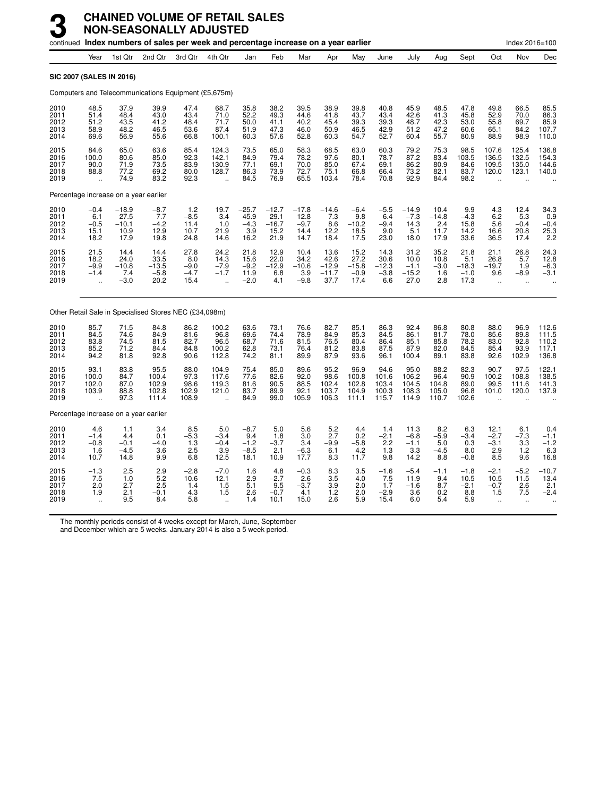|                                      |                                                       |                                            | continued Index numbers of sales per week and percentage increase on a year earlier |                                         |                                                          |                                           |                                            |                                           |                                            |                                           |                                          |                                           |                                         |                                          |                                                          | Index 2016=100                               |                                           |
|--------------------------------------|-------------------------------------------------------|--------------------------------------------|-------------------------------------------------------------------------------------|-----------------------------------------|----------------------------------------------------------|-------------------------------------------|--------------------------------------------|-------------------------------------------|--------------------------------------------|-------------------------------------------|------------------------------------------|-------------------------------------------|-----------------------------------------|------------------------------------------|----------------------------------------------------------|----------------------------------------------|-------------------------------------------|
|                                      | Year                                                  | 1st Qtr                                    | 2nd Qtr                                                                             | 3rd Qtr                                 | 4th Qtr                                                  | Jan                                       | Feb                                        | Mar                                       | Apr                                        | May                                       | June                                     | July                                      | Aug                                     | Sept                                     | Oct                                                      | Nov                                          | Dec                                       |
|                                      |                                                       | SIC 2007 (SALES IN 2016)                   |                                                                                     |                                         |                                                          |                                           |                                            |                                           |                                            |                                           |                                          |                                           |                                         |                                          |                                                          |                                              |                                           |
|                                      |                                                       |                                            | Computers and Telecommunications Equipment (£5,675m)                                |                                         |                                                          |                                           |                                            |                                           |                                            |                                           |                                          |                                           |                                         |                                          |                                                          |                                              |                                           |
| 2010<br>2011<br>2012<br>2013<br>2014 | 48.5<br>51.4<br>51.2<br>58.9<br>69.6                  | 37.9<br>48.4<br>43.5<br>48.2<br>56.9       | 39.9<br>43.0<br>41.2<br>46.5<br>55.6                                                | 47.4<br>43.4<br>48.4<br>53.6<br>66.8    | 68.7<br>71.0<br>71.7<br>87.4<br>100.1                    | 35.8<br>52.2<br>50.0<br>51.9<br>60.3      | 38.2<br>49.3<br>41.1<br>47.3<br>57.6       | 39.5<br>44.6<br>40.2<br>46.0<br>52.8      | 38.9<br>41.8<br>45.4<br>50.9<br>60.3       | 39.8<br>43.7<br>39.3<br>46.5<br>54.7      | 40.8<br>43.4<br>39.3<br>42.9<br>52.7     | 45.9<br>42.6<br>48.7<br>51.2<br>60.4      | 48.5<br>41.3<br>42.3<br>47.2<br>55.7    | 47.8<br>45.8<br>53.0<br>60.6<br>80.9     | 49.8<br>52.9<br>55.8<br>65.1<br>88.9                     | 66.5<br>70.0<br>69.7<br>84.2<br>98.9         | 85.5<br>86.3<br>85.9<br>107.7<br>110.0    |
| 2015<br>2016<br>2017<br>2018<br>2019 | 84.6<br>100.0<br>90.0<br>88.8<br>$\ddot{\phantom{a}}$ | 65.0<br>80.6<br>71.9<br>77.2<br>74.9       | 63.6<br>85.0<br>73.5<br>69.2<br>83.2                                                | 85.4<br>92.3<br>83.9<br>80.0<br>92.3    | 124.3<br>142.1<br>130.9<br>128.7<br>$\ddot{\phantom{a}}$ | 73.5<br>84.9<br>77.1<br>86.3<br>84.5      | 65.0<br>79.4<br>69.1<br>73.9<br>76.9       | 58.3<br>78.2<br>70.0<br>72.7<br>65.5      | 68.5<br>97.6<br>85.0<br>75.1<br>103.4      | 63.0<br>80.1<br>67.4<br>66.8<br>78.4      | 60.3<br>78.7<br>69.1<br>66.4<br>70.8     | 79.2<br>87.2<br>86.2<br>73.2<br>92.9      | 75.3<br>83.4<br>80.9<br>82.1<br>84.4    | 98.5<br>103.5<br>84.6<br>83.7<br>98.2    | 107.6<br>136.5<br>109.5<br>120.0<br>$\ddot{\phantom{a}}$ | 125.4<br>132.5<br>135.0<br>123.1             | 136.8<br>154.3<br>144.6<br>140.0          |
|                                      |                                                       |                                            | Percentage increase on a year earlier                                               |                                         |                                                          |                                           |                                            |                                           |                                            |                                           |                                          |                                           |                                         |                                          |                                                          |                                              |                                           |
| 2010<br>2011<br>2012<br>2013<br>2014 | $-0.4$<br>6.1<br>$-0.5$<br>15.1<br>18.2               | $-18.9$<br>27.5<br>$-10.1$<br>10.9<br>17.9 | $-8.7$<br>7.7<br>$-4.2$<br>12.9<br>19.8                                             | $1.2 - 8.5$<br>11.4<br>10.7<br>24.8     | 19.7<br>3.4<br>1.0<br>21.9<br>14.6                       | $-25.7$<br>45.9<br>$-4.3$<br>3.9<br>16.2  | $-12.7$<br>29.1<br>$-16.7$<br>15.2<br>21.9 | $-17.8$<br>12.8<br>$-9.7$<br>14.4<br>14.7 | $-14.6$<br>7.3<br>8.6<br>12.2<br>18.4      | $-6.4$<br>9.8<br>$-10.2$<br>18.5<br>17.5  | $-5.5$<br>6.4<br>$-9.4$<br>9.0<br>23.0   | $-14.9$<br>$-7.3$<br>14.3<br>5.1<br>18.0  | 10.4<br>$-14.8$<br>2.4<br>11.7<br>17.9  | 9.9<br>$-4.3$<br>15.8<br>14.2<br>33.6    | $^{4.3}_{6.2}$<br>5.6<br>16.6<br>36.5                    | 12.4<br>5.3<br>$-0.4$<br>20.8<br>17.4        | 34.3<br>0.9<br>$-0.4$<br>25.3<br>2.2      |
| 2015<br>2016<br>2017<br>2018<br>2019 | 21.5<br>18.2<br>$-9.9$<br>$-1.4$                      | 14.4<br>24.0<br>$-10.8$<br>7.4<br>$-3.0$   | 14.4<br>33.5<br>$-13.5$<br>$-5.8$<br>20.2                                           | 27.8<br>8.0<br>$-9.0$<br>$-4.7$<br>15.4 | 24.2<br>14.3<br>$-7.9$<br>$-1.7$                         | 21.8<br>15.6<br>$-9.2$<br>11.9<br>$-2.0$  | 12.9<br>22.0<br>$-12.9$<br>6.8<br>4.1      | 10.4<br>34.2<br>$-10.6$<br>3.9<br>$-9.8$  | 13.6<br>42.6<br>$-12.9$<br>$-11.7$<br>37.7 | 15.2<br>27.2<br>$-15.8$<br>$-0.9$<br>17.4 | 14.3<br>30.6<br>$-12.3$<br>$-3.8$<br>6.6 | 31.2<br>10.0<br>$-1.1$<br>$-15.2$<br>27.0 | 35.2<br>10.8<br>$-3.0$<br>1.6<br>2.8    | 21.8<br>5.1<br>$-18.3$<br>$-1.0$<br>17.3 | 21.1<br>26.8<br>$-19.7$<br>9.6<br>$\ddot{\phantom{a}}$   | 26.8<br>5.7<br>1.9<br>$-8.9$                 | 24.3<br>12.8<br>$-6.3$<br>$-3.1$          |
|                                      |                                                       |                                            | Other Retail Sale in Specialised Stores NEC (£34,098m)                              |                                         |                                                          |                                           |                                            |                                           |                                            |                                           |                                          |                                           |                                         |                                          |                                                          |                                              |                                           |
| 2010<br>2011<br>2012<br>2013<br>2014 | 85.7<br>84.5<br>83.8<br>85.2<br>94.2                  | 71.5<br>74.6<br>74.5<br>71.2<br>81.8       | 84.8<br>84.9<br>81.5<br>84.4<br>92.8                                                | 86.2<br>81.6<br>82.7<br>84.8<br>90.6    | 100.2<br>96.8<br>96.5<br>100.2<br>112.8                  | 63.6<br>69.6<br>68.7<br>62.8<br>74.2      | 73.1<br>74.4<br>71.6<br>73.1<br>81.1       | 76.6<br>78.9<br>81.5<br>76.4<br>89.9      | 82.7<br>84.9<br>76.5<br>81.2<br>87.9       | 85.1<br>85.3<br>80.4<br>83.8<br>93.6      | 86.3<br>84.5<br>86.4<br>87.5<br>96.1     | 92.4<br>86.1<br>85.1<br>87.9<br>100.4     | 86.8<br>81.7<br>85.8<br>82.0<br>89.1    | 80.8<br>78.0<br>78.2<br>84.5<br>83.8     | 88.0<br>85.6<br>83.0<br>85.4<br>92.6                     | 96.9<br>89.8<br>92.8<br>93.9<br>102.9        | 112.6<br>111.5<br>110.2<br>117.1<br>136.8 |
| 2015<br>2016<br>2017<br>2018<br>2019 | 93.1<br>100.0<br>102.0<br>103.9                       | 83.8<br>84.7<br>87.0<br>88.8<br>97.3       | 95.5<br>100.4<br>102.9<br>102.8<br>111.4                                            | 88.0<br>97.3<br>98.6<br>102.9<br>108.9  | 104.9<br>117.6<br>119.3<br>121.0<br>$\ddot{\phantom{a}}$ | 75.4<br>77.6<br>81.6<br>83.7<br>84.9      | 85.0<br>82.6<br>90.5<br>89.9<br>99.0       | 89.6<br>92.0<br>88.5<br>92.1<br>105.9     | 95.2<br>98.6<br>102.4<br>103.7<br>106.3    | 96.9<br>100.8<br>102.8<br>104.9<br>111.1  | 94.6<br>101.6<br>103.4<br>100.3<br>115.7 | 95.0<br>106.2<br>104.5<br>108.3<br>114.9  | 88.2<br>96.4<br>104.8<br>105.0<br>110.7 | 82.3<br>90.9<br>89.0<br>96.8<br>102.6    | 90.7<br>100.2<br>99.5<br>101.0                           | 97.5<br>108.8<br>111.6<br>120.0              | 122.1<br>138.5<br>141.3<br>137.9          |
|                                      |                                                       |                                            | Percentage increase on a year earlier                                               |                                         |                                                          |                                           |                                            |                                           |                                            |                                           |                                          |                                           |                                         |                                          |                                                          |                                              |                                           |
| 2010<br>2011<br>2012<br>2013<br>2014 | 4.6<br>$-1.4$<br>$-0.8$<br>1.6<br>10.7                | 1.1<br>4.4<br>$-0.1$<br>$-4.5$<br>14.8     | 3.4<br>0.1<br>$-4.0$<br>3.6<br>9.9                                                  | 8.5<br>$-5.3$<br>1.3<br>2.5<br>6.8      | 5.0<br>$-3.4$<br>$-0.4$<br>3.9<br>12.5                   | $-8.7$<br>9.4<br>$-1.2$<br>$-8.5$<br>18.1 | 5.0<br>1.8<br>$-3.7$<br>2.1<br>10.9        | 5.6<br>3.0<br>3.4<br>$-6.3$<br>17.7       | 5.2<br>2.7<br>$-9.9$<br>6.1<br>8.3         | 4.4<br>0.2<br>$-5.8$<br>4.2<br>11.7       | 1.4<br>$-2.1$<br>2.2<br>1.3<br>9.8       | 11.3<br>$-6.8$<br>$-1.1$<br>3.3<br>14.2   | 8.2<br>$-5.9$<br>5.0<br>$-4.5$<br>8.8   | 6.3<br>$-3.4$<br>0.3<br>8.0<br>$-0.8$    | 12.1<br>$-2.7$<br>$-3.1$<br>2.9<br>8.5                   | 6.1<br>$-7.3$<br>3.3<br>1.2<br>9.6           | 0.4<br>$-1.1$<br>$-1.2$<br>6.3<br>16.8    |
| 2015<br>2016<br>2017<br>2018<br>2019 | $-1.3$<br>7.5<br>2.0<br>1.9                           | 2.5<br>1.0<br>2.7<br>2.1<br>9.5            | 2.9<br>$\frac{5.2}{2.5}$<br>$-0.1$<br>8.4                                           | $-2.8$<br>10.6<br>1.4<br>4.3<br>5.8     | $-7.0$<br>12.1<br>1.5<br>1.5<br>$\ddot{\phantom{a}}$     | 1.6<br>2.9<br>5.1<br>2.6<br>1.4           | 4.8<br>$-2.7$<br>9.5<br>$-0.7$<br>10.1     | $-0.3$<br>2.6<br>$-3.7$<br>4.1<br>15.0    | 8.3<br>3.5<br>3.9<br>1.2<br>2.6            | 3.5<br>4.0<br>2.0<br>2.0<br>5.9           | $-1.6$<br>7.5<br>1.7<br>$-2.9$<br>15.4   | $-5.4$<br>11.9<br>$-1.6$<br>3.6<br>6.0    | $-1.1$<br>9.4<br>8.7<br>0.2<br>5.4      | $-1.8$<br>10.5<br>$-2.1$<br>8.8<br>5.9   | $-2.1$<br>10.5<br>$-0.7$<br>1.5<br>ä,                    | $-5.2$<br>11.5<br>2.6<br>7.5<br>$\mathbf{r}$ | $-10.7$<br>13.4<br>2.1<br>$-2.4$          |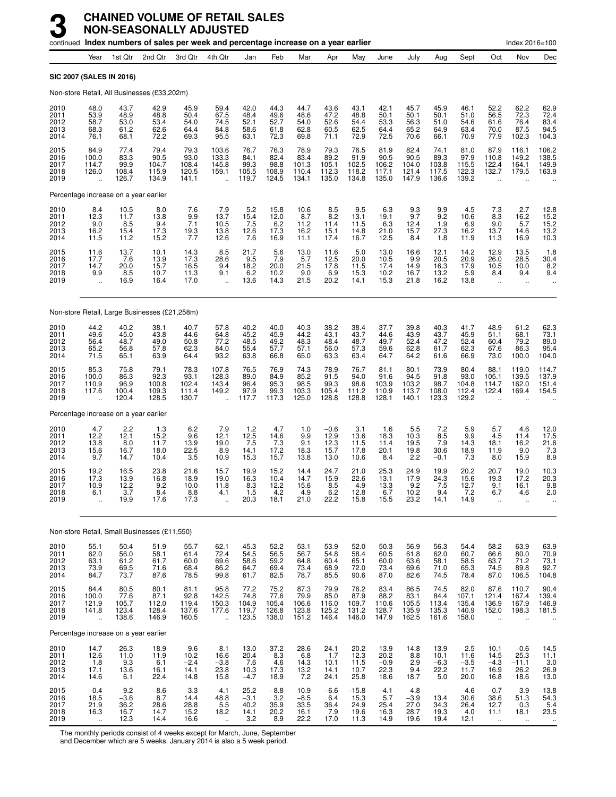|                                      |                                                         |                                                                   | continued Index numbers of sales per week and percentage increase on a year earlier |                                             |                                                          |                                          |                                           |                                         |                                         |                                            |                                             |                                           |                                            |                                            |                                                                  | Index 2016=100                            |                                                          |
|--------------------------------------|---------------------------------------------------------|-------------------------------------------------------------------|-------------------------------------------------------------------------------------|---------------------------------------------|----------------------------------------------------------|------------------------------------------|-------------------------------------------|-----------------------------------------|-----------------------------------------|--------------------------------------------|---------------------------------------------|-------------------------------------------|--------------------------------------------|--------------------------------------------|------------------------------------------------------------------|-------------------------------------------|----------------------------------------------------------|
|                                      | Year                                                    | 1st Qtr                                                           | 2nd Qtr                                                                             | 3rd Qtr                                     | 4th Qtr                                                  | Jan                                      | Feb                                       | Mar                                     | Apr                                     | May                                        | June                                        | July                                      | Aug                                        | Sept                                       | Oct                                                              | Nov                                       | Dec                                                      |
|                                      | <b>SIC 2007 (SALES IN 2016)</b>                         |                                                                   |                                                                                     |                                             |                                                          |                                          |                                           |                                         |                                         |                                            |                                             |                                           |                                            |                                            |                                                                  |                                           |                                                          |
|                                      |                                                         |                                                                   | Non-store Retail, All Businesses (£33,202m)                                         |                                             |                                                          |                                          |                                           |                                         |                                         |                                            |                                             |                                           |                                            |                                            |                                                                  |                                           |                                                          |
| 2010<br>2011<br>2012<br>2013<br>2014 | 48.0<br>53.9<br>58.7<br>68.3<br>76.1                    | 43.7<br>48.9<br>53.0<br>61.2<br>68.1                              | 42.9<br>48.8<br>53.4<br>62.6<br>72.2                                                | 45.9<br>50.4<br>54.0<br>64.4<br>69.3        | 59.4<br>67.5<br>74.5<br>84.8<br>95.5                     | 42.0<br>48.4<br>52.1<br>58.6<br>63.1     | 44.3<br>49.6<br>52.7<br>61.8<br>72.3      | 44.7<br>48.6<br>54.0<br>62.8<br>69.8    | 43.6<br>47.2<br>52.6<br>60.5<br>71.1    | 43.1<br>48.8<br>54.4<br>62.5<br>72.9       | 42.1<br>50.1<br>53.3<br>64.4<br>72.5        | 45.7<br>50.1<br>56.3<br>65.2<br>70.6      | 45.9<br>50.1<br>51.0<br>64.9<br>66.1       | 46.1<br>51.0<br>54.6<br>63.4<br>70.9       | 52.2<br>56.5<br>61.6<br>70.0<br>77.9                             | 62.2<br>72.3<br>76.4<br>87.5<br>102.3     | 62.9<br>72.4<br>83.4<br>94.5<br>104.3                    |
| 2015<br>2016<br>2017<br>2018<br>2019 | 84.9<br>100.0<br>114.7<br>126.0<br>$\ddot{\phantom{a}}$ | 77.4<br>83.3<br>99.9<br>108.4<br>126.7                            | 79.4<br>90.5<br>104.7<br>115.9<br>134.9                                             | 79.3<br>93.0<br>108.4<br>120.5<br>141.1     | 103.6<br>133.3<br>145.8<br>159.1<br>$\ddot{\phantom{a}}$ | 76.7<br>84.1<br>99.3<br>105.5<br>119.7   | 76.3<br>82.4<br>98.8<br>108.9<br>124.5    | 78.9<br>83.4<br>101.3<br>110.4<br>134.1 | 79.3<br>89.2<br>105.1<br>112.3<br>135.0 | 76.5<br>91.9<br>102.5<br>118.2<br>134.8    | 81.9<br>90.5<br>106.2<br>117.1<br>135.0     | 82.4<br>90.5<br>104.0<br>121.4<br>147.9   | 74.1<br>89.3<br>103.8<br>117.5<br>136.6    | 81.0<br>97.9<br>115.5<br>122.3<br>139.2    | 87.9<br>110.8<br>122.4<br>132.7                                  | 116.1<br>149.2<br>164.1<br>179.5          | 106.2<br>138.5<br>149.9<br>163.9                         |
|                                      |                                                         | Percentage increase on a year earlier                             |                                                                                     |                                             |                                                          |                                          |                                           |                                         |                                         |                                            |                                             |                                           |                                            |                                            |                                                                  |                                           |                                                          |
| 2010<br>2011<br>2012<br>2013<br>2014 | $8.4$<br>12.3<br>9.0<br>16.2<br>11.5                    | 10.5<br>11.7<br>8.5<br>15.4<br>11.2                               | 8.0<br>13.8<br>9.4<br>17.3<br>15.2                                                  | $\frac{7.6}{9.9}$<br>7.1<br>$^{19.3}_{7.7}$ | $7.9$<br>13.7<br>10.5<br>13.8<br>12.6                    | $5.2$<br>15.4<br>7.5<br>12.6<br>7.6      | 15.8<br>12.0<br>6.2<br>17.3<br>16.9       | 10.6<br>8.7<br>11.2<br>16.2<br>11.1     | $8.5$<br>$8.2$<br>11.4<br>15.1<br>17.4  | $\frac{9.5}{13.1}$<br>11.5<br>14.8<br>16.7 | $6.3$<br>19.1<br>6.3<br>21.0<br>12.5        | $\frac{9.3}{9.7}$<br>12.4<br>15.7<br>8.4  | $\frac{9.9}{9.2}$<br>1.9<br>27.3<br>1.8    | 4.5<br>10.6<br>6.9<br>16.2<br>11.9         | $\begin{array}{c} 7.3 \\ 8.3 \end{array}$<br>9.0<br>13.7<br>11.3 | 2.7<br>16.2<br>5.7<br>14.6<br>16.9        | 12.8<br>15.2<br>15.2<br>$13.2$<br>$10.3$                 |
| 2015<br>2016<br>2017<br>2018<br>2019 | 11.6<br>17.7<br>14.7<br>9.9<br>ă,                       | $^{13.7}_{7.6}$<br>20.0<br>8.5<br>16.9                            | $\frac{10.1}{13.9}$<br>15.7<br>10.7<br>16.4                                         | 14.3<br>17.3<br>16.5<br>11.3<br>17.0        | $\frac{8.5}{28.6}$<br>9.4<br>9.1<br>$\ddot{\phantom{a}}$ | 21.7<br>9.5<br>18.2<br>6.2<br>13.6       | $\frac{5.6}{7.9}$<br>20.0<br>10.2<br>14.3 | $13.0$<br>5.7<br>21.5<br>9.0<br>21.5    | 11.6<br>12.5<br>17.8<br>6.9<br>20.2     | $\frac{5.0}{20.0}$<br>11.5<br>15.3<br>14.1 | 13.0<br>10.5<br>17.4<br>10.2<br>15.3        | 16.6<br>9.9<br>14.9<br>16.7<br>21.8       | $12.1$<br>$20.5$<br>16.3<br>13.2<br>16.2   | $\frac{14.2}{20.9}$<br>17.9<br>5.9<br>13.8 | 12.9<br>26.0<br>10.5<br>8.4<br>$\ddot{\phantom{a}}$              | 13.5<br>28.5<br>10.0<br>9.4<br>÷.         | $\begin{array}{c} 1.8 \\ 30.4 \end{array}$<br>8.2<br>9.4 |
|                                      |                                                         |                                                                   | Non-store Retail, Large Businesses (£21,258m)                                       |                                             |                                                          |                                          |                                           |                                         |                                         |                                            |                                             |                                           |                                            |                                            |                                                                  |                                           |                                                          |
| 2010<br>2011<br>2012<br>2013<br>2014 | 44.2<br>49.6<br>56.4<br>65.2<br>71.5                    | 40.2<br>45.0<br>48.7<br>56.8<br>65.1                              | 38.1<br>43.8<br>49.0<br>57.8<br>63.9                                                | 40.7<br>44.6<br>50.8<br>62.3<br>64.4        | 57.8<br>64.8<br>77.2<br>84.0<br>93.2                     | $40.2$<br>$45.2$<br>48.5<br>55.4<br>63.8 | 40.0<br>45.9<br>49.2<br>57.7<br>66.8      | 40.3<br>44.2<br>48.3<br>57.1<br>65.0    | 38.2<br>43.1<br>48.4<br>56.0<br>63.3    | 38.4<br>43.7<br>48.7<br>57.3<br>63.4       | 37.7<br>44.6<br>49.7<br>59.6<br>64.7        | 39.8<br>43.9<br>52.4<br>62.8<br>64.2      | $40.3$<br>$43.7$<br>47.2<br>61.7<br>61.6   | 41.7<br>45.9<br>52.4<br>62.3<br>66.9       | 48.9<br>51.1<br>60.4<br>67.6<br>73.0                             | 61.2<br>68.1<br>79.2<br>86.3<br>100.0     | 62.3<br>73.1<br>89.0<br>95.4<br>104.0                    |
| 2015<br>2016<br>2017<br>2018<br>2019 | 85.3<br>100.0<br>110.9<br>117.6                         | 75.8<br>86.3<br>96.9<br>100.4<br>120.4                            | 79.1<br>92.3<br>100.8<br>109.3<br>128.5                                             | 78.3<br>93.1<br>102.4<br>111.4<br>130.7     | 107.8<br>128.3<br>143.4<br>149.2                         | 76.5<br>89.0<br>96.4<br>97.9<br>117.7    | 76.9<br>84.9<br>95.3<br>99.3<br>117.3     | 74.3<br>85.2<br>98.5<br>103.3<br>125.0  | 78.9<br>91.5<br>99.3<br>105.4<br>128.8  | 76.7<br>94.0<br>98.6<br>111.2<br>128.8     | 81.1<br>91.6<br>103.9<br>110.9<br>128.1     | 80.1<br>94.5<br>103.2<br>113.7<br>140.1   | 73.9<br>91.8<br>98.7<br>108.0<br>123.3     | 80.4<br>93.0<br>104.8<br>112.4<br>129.2    | 88.1<br>105.1<br>114.7<br>122.4                                  | 119.0<br>139.5<br>162.0<br>169.4          | 114.7<br>137.9<br>151.4<br>154.5                         |
|                                      |                                                         | Percentage increase on a year earlier                             |                                                                                     |                                             |                                                          |                                          |                                           |                                         |                                         |                                            |                                             |                                           |                                            |                                            |                                                                  |                                           |                                                          |
| 2010<br>2011<br>2012<br>2013<br>2014 | 4.7<br>12.2<br>13.8<br>15.6<br>9.7                      | 2.2<br>12.1<br>8.0<br>16.7<br>14.7                                | 1.3<br>15.2<br>11.7<br>18.0<br>10.4                                                 | 6.2<br>9.6<br>13.9<br>22.5<br>3.5           | 7.9<br>12.1<br>19.0<br>8.9<br>10.9                       | 1.2<br>$^{12.5}_{7.5}$<br>14.1<br>15.3   | 4.7<br>$^{14.6}_{7.3}$<br>17.2<br>15.7    | 1.0<br>9.9<br>9.1<br>18.3<br>13.8       | $-0.6$<br>12.9<br>12.3<br>15.7<br>13.0  | 3.1<br>13.6<br>11.5<br>17.8<br>10.6        | 1.6<br>18.3<br>11.4<br>20.1<br>8.4          | 5.5<br>10.3<br>19.5<br>19.8<br>2.2        | 7.2<br>$\frac{8.5}{7.9}$<br>30.6<br>$-0.1$ | 5.9<br>9.9<br>14.3<br>18.9<br>7.3          | 5.7<br>4.5<br>18.1<br>11.9<br>8.0                                | 4.6<br>11.4<br>16.2<br>9.0<br>15.9        | 12.0<br>17.5<br>21.6<br>7.3<br>8.9                       |
| 2015<br>2016<br>2017<br>2018<br>2019 | 19.2<br>17.3<br>10.9<br>6.1                             | 16.5<br>13.9<br>12.2<br>3.7<br>19.9                               | 23.8<br>16.8<br>9.2<br>8.4<br>17.6                                                  | 21.6<br>18.9<br>10.0<br>8.8<br>17.3         | 15.7<br>19.0<br>11.8<br>4.1                              | 19.9<br>16.3<br>8.3<br>1.5<br>20.3       | 15.2<br>10.4<br>12.2<br>4.2<br>18.1       | 14.4<br>14.7<br>15.6<br>4.9<br>21.0     | 24.7<br>15.9<br>8.5<br>6.2<br>22.2      | 21.0<br>22.6<br>4.9<br>12.8<br>15.8        | 25.3<br>13.1<br>13.3<br>6.7<br>15.5         | 24.9<br>17.9<br>9.2<br>10.2<br>23.2       | 19.9<br>24.3<br>7.5<br>9.4<br>14.1         | 20.2<br>15.6<br>12.7<br>7.2<br>14.9        | 20.7<br>19.3<br>9.1<br>6.7                                       | 19.0<br>17.2<br>16.1<br>4.6               | 10.3<br>20.3<br>9.8<br>2.0<br>$\ddotsc$                  |
|                                      |                                                         |                                                                   | Non-store Retail, Small Businesses (£11,550)                                        |                                             |                                                          |                                          |                                           |                                         |                                         |                                            |                                             |                                           |                                            |                                            |                                                                  |                                           |                                                          |
| 2010<br>2011<br>2012<br>2013<br>2014 | 55.1<br>62.0<br>63.1<br>73.9<br>84.7                    | 50.4<br>56.0<br>61.2<br>69.5<br>73.7                              | 51.9<br>58.1<br>61.7<br>71.6<br>87.6                                                | 55.7<br>61.4<br>60.0<br>68.4<br>78.5        | 62.1<br>72.4<br>69.6<br>86.2<br>99.8                     | 45.3<br>54.5<br>58.6<br>64.7<br>61.7     | 52.2<br>56.5<br>59.2<br>69.4<br>82.5      | 53.1<br>56.7<br>64.8<br>73.4<br>78.7    | 53.9<br>54.8<br>60.4<br>68.9<br>85.5    | 52.0<br>58.4<br>65.1<br>72.0<br>90.6       | 50.3<br>60.5<br>60.0<br>73.4<br>87.0        | 56.9<br>61.8<br>63.6<br>69.6<br>82.6      | 56.3<br>62.0<br>58.1<br>71.0<br>74.5       | 54.4<br>60.7<br>58.5<br>65.3<br>78.4       | 58.2<br>66.6<br>63.7<br>74.5<br>87.0                             | 63.9<br>80.0<br>71.2<br>89.8<br>106.5     | 63.9<br>70.9<br>73.1<br>92.7<br>104.8                    |
| 2015<br>2016<br>2017<br>2018<br>2019 | 84.4<br>100.0<br>121.9<br>141.8<br>ä,                   | 80.5<br>77.6<br>105.7<br>123.4<br>138.6                           | 80.1<br>$87.1$<br>112.0<br>128.4<br>146.9                                           | 81.1<br>92.8<br>119.4<br>137.6<br>160.5     | 95.8<br>142.5<br>150.3<br>177.6<br>÷.                    | 77.2<br>74.8<br>104.9<br>119.7<br>123.5  | 75.2<br>77.6<br>105.4<br>126.8<br>138.0   | 87.3<br>79.9<br>106.6<br>123.8<br>151.2 | 79.9<br>85.0<br>116.0<br>125.2<br>146.4 | 76.2<br>87.9<br>109.7<br>131.2<br>146.0    | 83.4<br>88.2<br>110.6<br>128.7<br>147.9     | 86.5<br>$83.1$<br>105.5<br>135.9<br>162.5 | 74.5<br>84.4<br>113.4<br>135.3<br>161.6    | 82.0<br>107.1<br>135.4<br>140.9<br>158.0   | 87.6<br>121.4<br>136.9<br>152.0<br>$\ddot{\phantom{a}}$          | 110.7<br>167.4<br>167.9<br>198.3          | 90.4<br>139.4<br>146.9<br>181.5                          |
|                                      |                                                         | Percentage increase on a year earlier                             |                                                                                     |                                             |                                                          |                                          |                                           |                                         |                                         |                                            |                                             |                                           |                                            |                                            |                                                                  |                                           |                                                          |
| 2010<br>2011<br>2012<br>2013<br>2014 | 14.7<br>12.6<br>$1.8$<br>17.1<br>14.6                   | 26.3<br>11.0<br>$\begin{array}{c} 9.3 \\ 13.6 \end{array}$<br>6.1 | 18.9<br>11.9<br>6.1<br>16.1<br>22.4                                                 | 9.6<br>10.2<br>$-2.4$<br>14.1<br>14.8       | 8.1<br>16.6<br>$-3.8$<br>23.8<br>15.8                    | 13.0<br>20.4<br>7.6<br>10.3<br>$-4.7$    | 37.2<br>8.3<br>4.6<br>17.3<br>18.9        | 28.6<br>6.8<br>14.3<br>13.2<br>7.2      | 24.1<br>1.7<br>10.1<br>14.1<br>24.1     | 20.2<br>12.3<br>$11.5$<br>$10.7$<br>25.8   | 13.9<br>20.2<br>$\frac{-0.9}{22.3}$<br>18.6 | 14.8<br>8.8<br>$^{2.9}_{9.4}$<br>18.7     | 13.9<br>10.1<br>$-6.3$<br>22.2<br>5.0      | 2.5<br>11.6<br>$-3.5$<br>11.7<br>20.0      | 10.1<br>14.5<br>$-4.3$<br>16.9<br>16.8                           | $-0.6$<br>25.3<br>$-11.1$<br>26.2<br>18.6 | $14.5$<br>11.1<br>$\frac{3.0}{26.9}$<br>13.0             |
| 2015<br>2016<br>2017<br>2018<br>2019 | $-0.4$<br>18.5<br>21.9<br>16.3<br>$\ddot{\phantom{a}}$  | 9.2<br>$-3.6$<br>36.2<br>16.7<br>12.3                             | $-8.6$<br>8.7<br>28.6<br>14.7<br>14.4                                               | 3.3<br>14.4<br>28.8<br>15.2<br>16.6         | $-4.1$<br>48.8<br>$\frac{5.5}{18.2}$                     | 25.2<br>$-3.1$<br>40.2<br>14.1<br>3.2    | $-8.8$<br>3.2<br>35.9<br>20.2<br>8.9      | 10.9<br>$-8.5$<br>33.5<br>16.1<br>22.2  | $-6.6$<br>6.4<br>36.4<br>7.9<br>17.0    | $-15.8$<br>15.3<br>24.9<br>19.6<br>11.3    | $-4.1$<br>5.7<br>25.4<br>16.3<br>14.9       | 4.8<br>$-3.9$<br>27.0<br>28.7<br>19.6     | 13.4<br>34.3<br>19.3<br>19.4               | 4.6<br>30.6<br>26.4<br>4.0<br>12.1         | 0.7<br>38.6<br>12.7<br>11.1                                      | 3.9<br>51.3<br>0.3<br>18.1                | $-13.8$<br>54.3<br>$\frac{5.4}{23.5}$                    |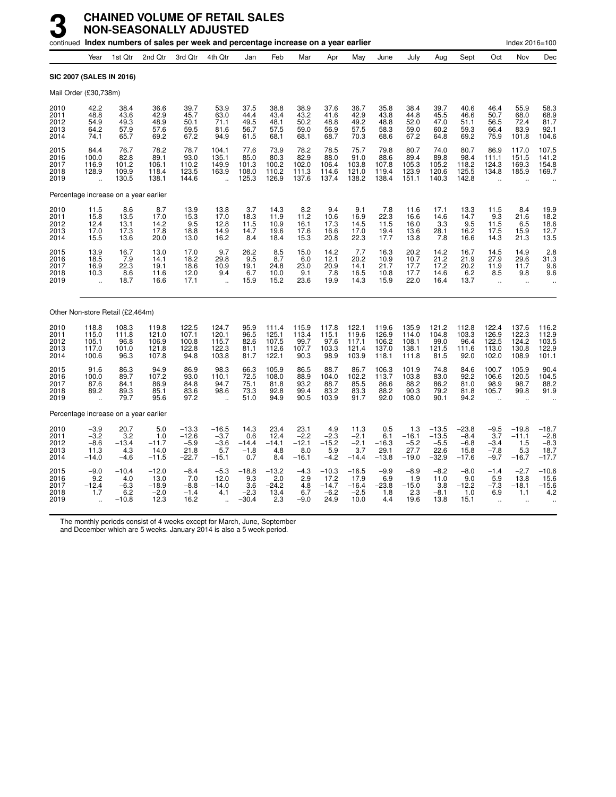|                                       |                                                         |                                            | continued Index numbers of sales per week and percentage increase on a year earlier |                                                 |                                               |                                            |                                           |                                             |                                              |                                              |                                           |                                             |                                                 |                                                |                                                        | Index 2016=100                              |                                                |
|---------------------------------------|---------------------------------------------------------|--------------------------------------------|-------------------------------------------------------------------------------------|-------------------------------------------------|-----------------------------------------------|--------------------------------------------|-------------------------------------------|---------------------------------------------|----------------------------------------------|----------------------------------------------|-------------------------------------------|---------------------------------------------|-------------------------------------------------|------------------------------------------------|--------------------------------------------------------|---------------------------------------------|------------------------------------------------|
|                                       | Year                                                    | 1st Qtr                                    | 2nd Qtr                                                                             | 3rd Qtr                                         | 4th Qtr                                       | Jan                                        | Feb                                       | Mar                                         | Apr                                          | May                                          | June                                      | July                                        | Aug                                             | Sept                                           | Oct                                                    | Nov                                         | Dec                                            |
| <b>SIC 2007 (SALES IN 2016)</b>       |                                                         |                                            |                                                                                     |                                                 |                                               |                                            |                                           |                                             |                                              |                                              |                                           |                                             |                                                 |                                                |                                                        |                                             |                                                |
| Mail Order (£30,738m)                 |                                                         |                                            |                                                                                     |                                                 |                                               |                                            |                                           |                                             |                                              |                                              |                                           |                                             |                                                 |                                                |                                                        |                                             |                                                |
| 2010<br>2011<br>2012<br>2013<br>2014  | 42.2<br>48.8<br>54.9<br>64.2<br>74.1                    | 38.4<br>43.6<br>49.3<br>57.9<br>65.7       | 36.6<br>42.9<br>48.9<br>57.6<br>69.2                                                | 39.7<br>45.7<br>50.1<br>59.5<br>67.2            | 53.9<br>63.0<br>71.1<br>81.6<br>94.9          | 37.5<br>44.4<br>49.5<br>56.7<br>61.5       | 38.8<br>43.4<br>48.1<br>57.5<br>68.1      | 38.9<br>43.2<br>50.2<br>59.0<br>68.1        | 37.6<br>41.6<br>48.8<br>56.9<br>68.7         | 36.7<br>42.9<br>49.2<br>57.5<br>70.3         | 35.8<br>43.8<br>48.8<br>58.3<br>68.6      | 38.4<br>44.8<br>52.0<br>59.0<br>67.2        | 39.7<br>45.5<br>47.0<br>60.2<br>64.8            | 40.6<br>46.6<br>51.1<br>59.3<br>69.2           | 46.4<br>50.7<br>56.5<br>66.4<br>75.9                   | 55.9<br>68.0<br>72.4<br>83.9<br>101.8       | 58.3<br>68.9<br>81.7<br>92.1<br>104.6          |
| 2015<br>2016<br>2017<br>2018<br>2019  | 84.4<br>100.0<br>116.9<br>128.9<br>÷.                   | 76.7<br>82.8<br>101.2<br>109.9<br>130.5    | 78.2<br>89.1<br>106.1<br>118.4<br>138.1                                             | 78.7<br>93.0<br>110.2<br>123.5<br>144.6         | 104.1<br>135.1<br>149.9<br>163.9<br>÷.        | 77.6<br>85.0<br>101.3<br>108.0<br>125.3    | 73.9<br>80.3<br>100.2<br>110.2<br>126.9   | 78.2<br>82.9<br>102.0<br>111.3<br>137.6     | 78.5<br>88.0<br>106.4<br>114.6<br>137.4      | 75.7<br>91.0<br>103.8<br>121.0<br>138.2      | 79.8<br>88.6<br>107.8<br>119.4<br>138.4   | 80.7<br>89.4<br>105.3<br>123.9<br>151.1     | 74.0<br>89.8<br>105.2<br>120.6<br>140.3         | 80.7<br>98.4<br>118.2<br>125.5<br>142.8        | 86.9<br>111.1<br>124.3<br>134.8                        | 117.0<br>151.5<br>169.3<br>185.9            | 107.5<br>141.2<br>154.8<br>169.7               |
| Percentage increase on a year earlier |                                                         |                                            |                                                                                     |                                                 |                                               |                                            |                                           |                                             |                                              |                                              |                                           |                                             |                                                 |                                                |                                                        |                                             |                                                |
| 2010<br>2011<br>2012<br>2013<br>2014  | 11.5<br>15.8<br>12.4<br>17.0<br>15.5                    | $8.6$<br>13.5<br>13.1<br>17.3<br>13.6      | 8.7<br>17.0<br>14.2<br>17.8<br>20.0                                                 | 13.9<br>15.3<br>9.5<br>18.8<br>13.0             | 13.8<br>17.0<br>12.8<br>14.9<br>16.2          | 3.7<br>18.3<br>11.5<br>14.7<br>8.4         | 14.3<br>11.9<br>10.9<br>19.6<br>18.4      | $8.2$<br>11.2<br>16.1<br>17.6<br>15.3       | 9.4<br>10.6<br>17.3<br>16.6<br>20.8          | 9.1<br>16.9<br>14.5<br>17.0<br>22.3          | 7.8<br>22.3<br>11.5<br>19.4<br>17.7       | 11.6<br>16.6<br>16.0<br>13.6<br>13.8        | 17.1<br>14.6<br>3.3<br>28.1<br>7.8              | 13.3<br>14.7<br>9.5<br>16.2<br>16.6            | $11.5$<br>9.3<br>11.5<br>17.5<br>14.3                  | 8.4<br>21.6<br>6.5<br>15.9<br>21.3          | 19.9<br>18.2<br>18.6<br>12.7<br>13.5           |
| 2015<br>2016<br>2017<br>2018<br>2019  | 13.9<br>18.5<br>16.9<br>10.3<br>$\ddot{\phantom{a}}$    | 16.7<br>7.9<br>22.3<br>8.6<br>18.7         | 13.0<br>14.1<br>19.1<br>11.6<br>16.6                                                | 17.0<br>18.2<br>18.6<br>12.0<br>17.1            | 9.7<br>29.8<br>10.9<br>9.4                    | 26.2<br>9.5<br>19.1<br>6.7<br>15.9         | 8.5<br>8.7<br>24.8<br>10.0<br>15.2        | 15.0<br>6.0<br>23.0<br>9.1<br>23.6          | 14.2<br>12.1<br>20.9<br>7.8<br>19.9          | 7.7<br>20.2<br>14.1<br>16.5<br>14.3          | 16.3<br>10.9<br>21.7<br>10.8<br>15.9      | 20.2<br>10.7<br>17.7<br>17.7<br>22.0        | $14.2$<br>21.2<br>17.2<br>14.6<br>16.4          | 16.7<br>21.9<br>20.2<br>6.2<br>13.7            | 14.5<br>27.9<br>11.9<br>8.5<br>$\ddot{\phantom{a}}$    | 14.9<br>29.6<br>11.7<br>9.8<br>$\ddotsc$    | $\frac{2.8}{31.3}$<br>9.6<br>9.6               |
| Other Non-store Retail (£2,464m)      |                                                         |                                            |                                                                                     |                                                 |                                               |                                            |                                           |                                             |                                              |                                              |                                           |                                             |                                                 |                                                |                                                        |                                             |                                                |
| 2010<br>2011<br>2012<br>2013<br>2014  | 118.8<br>115.0<br>105.1<br>117.0<br>100.6               | 108.3<br>111.8<br>96.8<br>101.0<br>96.3    | 119.8<br>121.0<br>106.9<br>121.8<br>107.8                                           | 122.5<br>107.1<br>100.8<br>122.8<br>94.8        | 124.7<br>120.1<br>115.7<br>122.3<br>103.8     | 95.9<br>96.5<br>82.6<br>81.1<br>81.7       | 111.4<br>125.1<br>107.5<br>112.6<br>122.1 | 115.9<br>113.4<br>99.7<br>107.7<br>90.3     | 117.8<br>115.1<br>97.6<br>103.3<br>98.9      | 122.1<br>119.6<br>117.1<br>121.4<br>103.9    | 119.6<br>126.9<br>106.2<br>137.0<br>118.1 | 135.9<br>114.0<br>108.1<br>138.1<br>111.8   | 121.2<br>104.8<br>99.0<br>121.5<br>81.5         | 112.8<br>103.3<br>96.4<br>111.6<br>92.0        | 122.4<br>126.9<br>122.5<br>113.0<br>102.0              | 137.6<br>122.3<br>124.2<br>130.8<br>108.9   | 116.2<br>112.9<br>103.5<br>122.9<br>101.1      |
| 2015<br>2016<br>2017<br>2018<br>2019  | 91.6<br>100.0<br>87.6<br>89.2<br>$\ddot{\phantom{a}}$   | 86.3<br>89.7<br>84.1<br>89.3<br>79.7       | 94.9<br>107.2<br>86.9<br>85.1<br>95.6                                               | 86.9<br>93.0<br>84.8<br>83.6<br>97.2            | 98.3<br>110.1<br>94.7<br>98.6                 | 66.3<br>72.5<br>75.1<br>73.3<br>51.0       | 105.9<br>108.0<br>81.8<br>92.8<br>94.9    | 86.5<br>88.9<br>93.2<br>99.4<br>90.5        | 88.7<br>104.0<br>88.7<br>83.2<br>103.9       | 86.7<br>102.2<br>85.5<br>83.3<br>91.7        | 106.3<br>113.7<br>86.6<br>88.2<br>92.0    | 101.9<br>103.8<br>88.2<br>90.3<br>108.0     | 74.8<br>83.0<br>86.2<br>79.2<br>90.1            | 84.6<br>92.2<br>81.0<br>81.8<br>94.2           | 100.7<br>106.6<br>98.9<br>105.7                        | 105.9<br>120.5<br>98.7<br>99.8              | 90.4<br>104.5<br>88.2<br>91.9                  |
| Percentage increase on a year earlier |                                                         |                                            |                                                                                     |                                                 |                                               |                                            |                                           |                                             |                                              |                                              |                                           |                                             |                                                 |                                                |                                                        |                                             |                                                |
| 2010<br>2011<br>2012<br>2013<br>2014  | $-3.9$<br>$-3.2$<br>$-8.6$<br>11.3<br>$-14.0$           | 20.7<br>3.2<br>$-13.4$<br>4.3<br>$-4.6$    | 5.0<br>1.0<br>$-11.7$<br>14.0<br>$-11.5$                                            | $-13.3$<br>$-12.6$<br>$-5.9$<br>21.8<br>$-22.7$ | $-16.5$<br>$-3.7$<br>$-3.6$<br>5.7<br>$-15.1$ | 14.3<br>0.6<br>$-14.4$<br>$-1.8$<br>0.7    | 23.4<br>12.4<br>$-14.1$<br>4.8<br>8.4     | 23.1<br>$-2.2$<br>$-12.1$<br>8.0<br>$-16.1$ | 4.9<br>$-2.3$<br>$-15.2$<br>5.9<br>$-4.2$    | 11.3<br>$-2.1$<br>$-2.1$<br>3.7<br>$-14.4$   | 0.5<br>6.1<br>$-16.3$<br>29.1<br>$-13.8$  | 1.3<br>$-16.1$<br>$-5.2$<br>27.7<br>$-19.0$ | $-13.5$<br>$-13.5$<br>$-5.5$<br>22.6<br>$-32.9$ | $-23.8$<br>$-8.4$<br>$-6.8$<br>15.8<br>$-17.6$ | $-9.5$<br>3.7<br>$-3.4$<br>$-7.8$<br>$-9.7$            | $-19.8$<br>$-11.1$<br>1.5<br>5.3<br>$-16.7$ | $-18.7$<br>$-2.8$<br>$-8.3$<br>18.7<br>$-17.7$ |
| 2015<br>2016<br>2017<br>2018<br>2019  | $-9.0$<br>9.2<br>$-12.4$<br>1.7<br>$\ddot{\phantom{a}}$ | $-10.4$<br>4.0<br>$-6.3$<br>6.2<br>$-10.8$ | $-12.0$<br>13.0<br>$-18.9$<br>$-2.0$<br>12.3                                        | $-8.4$<br>7.0<br>$-8.8$<br>$-1.4$<br>16.2       | $-5.3$<br>12.0<br>$-14.0$<br>4.1              | $-18.8$<br>9.3<br>3.6<br>$-2.3$<br>$-30.4$ | $-13.2$<br>2.0<br>$-24.2$<br>13.4<br>2.3  | $-4.3$<br>2.9<br>4.8<br>6.7<br>$-9.0$       | $-10.3$<br>17.2<br>$-14.7$<br>$-6.2$<br>24.9 | $-16.5$<br>17.9<br>$-16.4$<br>$-2.5$<br>10.0 | $-9.9$<br>6.9<br>$-23.8$<br>1.8<br>4.4    | $-8.9$<br>1.9<br>$-15.0$<br>2.3<br>19.6     | $-8.2$<br>11.0<br>3.8<br>$-8.1$<br>13.8         | $-8.0$<br>9.0<br>$-12.2$<br>1.0<br>15.1        | $-1.4$<br>5.9<br>$-7.3$<br>6.9<br>$\ddot{\phantom{a}}$ | $-2.7$<br>13.8<br>$-18.1$<br>1.1            | $-10.6$<br>$15.6 - 15.6$<br>4.2                |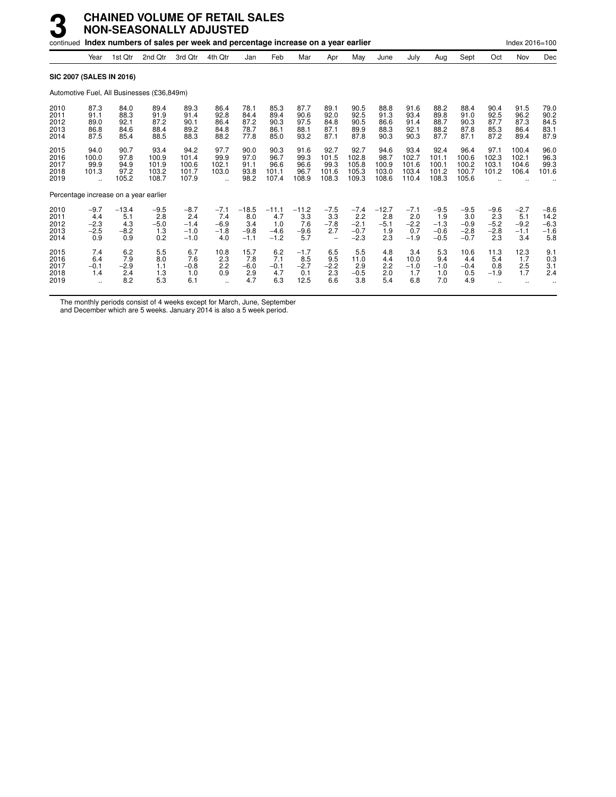|                                      |                                                     |                                        |                                            |                                             | oon and porcontage me.                                 |                                           |                                           |                                        |                                                            |                                             |                                         |                                          |                                             |                                             |                                          |                                          |                                           |
|--------------------------------------|-----------------------------------------------------|----------------------------------------|--------------------------------------------|---------------------------------------------|--------------------------------------------------------|-------------------------------------------|-------------------------------------------|----------------------------------------|------------------------------------------------------------|---------------------------------------------|-----------------------------------------|------------------------------------------|---------------------------------------------|---------------------------------------------|------------------------------------------|------------------------------------------|-------------------------------------------|
|                                      | Year                                                | 1st Qtr                                | 2nd Qtr                                    | 3rd Qtr                                     | 4th Qtr                                                | Jan                                       | Feb                                       | Mar                                    | Apr                                                        | May                                         | June                                    | July                                     | Aug                                         | Sept                                        | Oct                                      | Nov                                      | Dec                                       |
|                                      |                                                     | <b>SIC 2007 (SALES IN 2016)</b>        |                                            |                                             |                                                        |                                           |                                           |                                        |                                                            |                                             |                                         |                                          |                                             |                                             |                                          |                                          |                                           |
|                                      |                                                     |                                        | Automotive Fuel, All Businesses (£36,849m) |                                             |                                                        |                                           |                                           |                                        |                                                            |                                             |                                         |                                          |                                             |                                             |                                          |                                          |                                           |
| 2010<br>2011<br>2012<br>2013<br>2014 | 87.3<br>91.1<br>89.0<br>86.8<br>87.5                | 84.0<br>88.3<br>92.1<br>84.6<br>85.4   | 89.4<br>91.9<br>87.2<br>88.4<br>88.5       | 89.3<br>91.4<br>90.1<br>89.2<br>88.3        | 86.4<br>92.8<br>86.4<br>84.8<br>88.2                   | 78.1<br>84.4<br>87.2<br>78.7<br>77.8      | 85.3<br>89.4<br>90.3<br>86.1<br>85.0      | 87.7<br>90.6<br>97.5<br>88.1<br>93.2   | 89.1<br>92.0<br>84.8<br>87.1<br>87.1                       | 90.5<br>92.5<br>90.5<br>89.9<br>87.8        | 88.8<br>91.3<br>86.6<br>88.3<br>90.3    | 91.6<br>93.4<br>91.4<br>92.1<br>90.3     | 88.2<br>89.8<br>88.7<br>88.2<br>87.7        | 88.4<br>91.0<br>90.3<br>87.8<br>87.1        | 90.4<br>92.5<br>87.7<br>85.3<br>87.2     | 91.5<br>96.2<br>87.3<br>86.4<br>89.4     | 79.0<br>90.2<br>84.5<br>83.1<br>87.9      |
| 2015<br>2016<br>2017<br>2018<br>2019 | 94.0<br>100.0<br>99.9<br>101.3<br>$\ddotsc$         | 90.7<br>97.8<br>94.9<br>97.2<br>105.2  | 93.4<br>100.9<br>101.9<br>103.2<br>108.7   | 94.2<br>101.4<br>100.6<br>101.7<br>107.9    | 97.7<br>99.9<br>102.1<br>103.0<br>$\ddot{\phantom{a}}$ | 90.0<br>97.0<br>91.1<br>93.8<br>98.2      | 90.3<br>96.7<br>96.6<br>101.1<br>107.4    | 91.6<br>99.3<br>96.6<br>96.7<br>108.9  | 92.7<br>101.5<br>99.3<br>101.6<br>108.3                    | 92.7<br>102.8<br>105.8<br>105.3<br>109.3    | 94.6<br>98.7<br>100.9<br>103.0<br>108.6 | 93.4<br>102.7<br>101.6<br>103.4<br>110.4 | 92.4<br>101.1<br>100.1<br>101.2<br>108.3    | 96.4<br>100.6<br>100.2<br>100.7<br>105.6    | 97.1<br>102.3<br>103.1<br>101.2          | 100.4<br>102.1<br>104.6<br>106.4         | 96.0<br>96.3<br>99.3<br>101.6             |
|                                      |                                                     | Percentage increase on a year earlier  |                                            |                                             |                                                        |                                           |                                           |                                        |                                                            |                                             |                                         |                                          |                                             |                                             |                                          |                                          |                                           |
| 2010<br>2011<br>2012<br>2013<br>2014 | $-9.7$<br>4.4<br>$-2.3$<br>$-2.5$<br>0.9            | $-13.4$<br>5.1<br>4.3<br>$-8.2$<br>0.9 | $-9.5$<br>2.8<br>$-5.0$<br>1.3<br>0.2      | $-8.7$<br>2.4<br>$-1.4$<br>$-1.0$<br>$-1.0$ | $-7.1$<br>7.4<br>$-6.9$<br>$-1.8$<br>4.0               | $-18.5$<br>8.0<br>3.4<br>$-9.8$<br>$-1.1$ | $-11.1$<br>4.7<br>1.0<br>$-4.6$<br>$-1.2$ | $-11.2$<br>3.3<br>7.6<br>$-9.6$<br>5.7 | $-7.5$<br>3.3<br>$-7.8$<br>2.7<br>$\overline{\phantom{0}}$ | $-7.4$<br>2.2<br>$-2.1$<br>$-0.7$<br>$-2.3$ | $-12.7$<br>2.8<br>$-5.1$<br>1.9<br>2.3  | $-7.1$<br>2.0<br>$-2.2$<br>0.7<br>$-1.9$ | $-9.5$<br>1.9<br>$-1.3$<br>$-0.6$<br>$-0.5$ | $-9.5$<br>3.0<br>$-0.9$<br>$-2.8$<br>$-0.7$ | $-9.6$<br>2.3<br>$-5.2$<br>$-2.8$<br>2.3 | $-2.7$<br>5.1<br>$-9.2$<br>$-1.1$<br>3.4 | $-8.6$<br>14.2<br>$-6.3$<br>$-1.6$<br>5.8 |
| 2015<br>2016<br>2017<br>2018<br>2019 | 7.4<br>6.4<br>$-0.1$<br>1.4<br>$\ddot{\phantom{a}}$ | 6.2<br>7.9<br>$-2.9$<br>2.4<br>8.2     | 5.5<br>8.0<br>1.1<br>1.3<br>5.3            | 6.7<br>7.6<br>$-0.8$<br>1.0<br>6.1          | 10.8<br>2.3<br>2.2<br>0.9<br>$\ddotsc$                 | 15.7<br>7.8<br>$-6.0$<br>2.9<br>4.7       | 6.2<br>7.1<br>$-0.1$<br>4.7<br>6.3        | $-1.7$<br>8.5<br>$-2.7$<br>0.1<br>12.5 | 6.5<br>9.5<br>$-2.2$<br>2.3<br>6.6                         | 5.5<br>11.0<br>2.9<br>$-0.5$<br>3.8         | 4.8<br>4.4<br>2.2<br>2.0<br>5.4         | 3.4<br>10.0<br>$-1.0$<br>1.7<br>6.8      | 5.3<br>9.4<br>$-1.0$<br>1.0<br>7.0          | 10.6<br>4.4<br>$-0.4$<br>0.5<br>4.9         | 11.3<br>5.4<br>0.8<br>$-1.9$             | 12.3<br>1.7<br>2.5<br>1.7                | 9.1<br>0.3<br>3.1<br>2.4                  |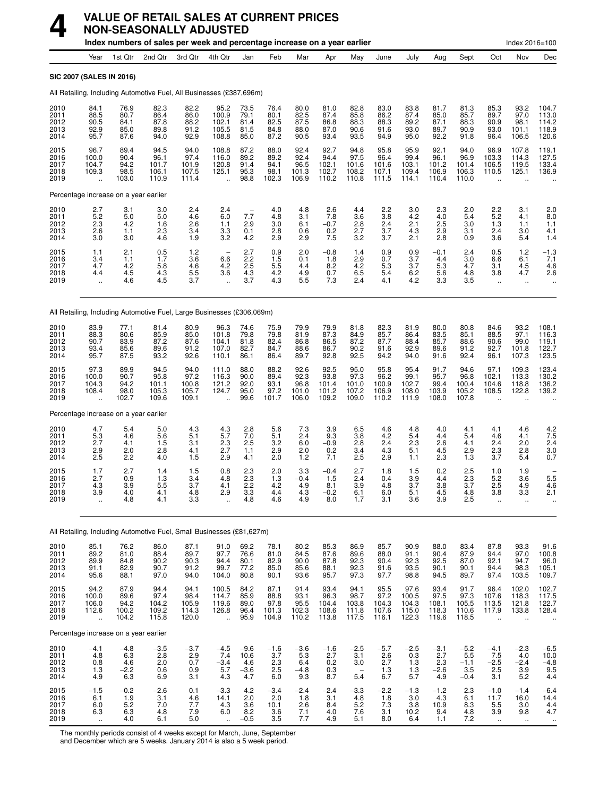

## **VALUE OF RETAIL SALES AT CURRENT PRICES NON-SEASONALLY ADJUSTED**

|                                      |                                                                        |                                                                   | Index numbers of sales per week and percentage increase on a year earlier |                                         |                                                          |                                                   |                                        |                                        |                                         |                                           |                                           |                                           |                                         |                                          |                                                  | Index 2016=100                                           |                                           |
|--------------------------------------|------------------------------------------------------------------------|-------------------------------------------------------------------|---------------------------------------------------------------------------|-----------------------------------------|----------------------------------------------------------|---------------------------------------------------|----------------------------------------|----------------------------------------|-----------------------------------------|-------------------------------------------|-------------------------------------------|-------------------------------------------|-----------------------------------------|------------------------------------------|--------------------------------------------------|----------------------------------------------------------|-------------------------------------------|
|                                      | Year                                                                   | 1st Qtr                                                           | 2nd Qtr                                                                   | 3rd Qtr                                 | 4th Qtr                                                  | Jan                                               | Feb                                    | Mar                                    | Apr                                     | May                                       | June                                      | July                                      | Aug                                     | Sept                                     | Oct                                              | Nov                                                      | Dec                                       |
|                                      | <b>SIC 2007 (SALES IN 2016)</b>                                        |                                                                   |                                                                           |                                         |                                                          |                                                   |                                        |                                        |                                         |                                           |                                           |                                           |                                         |                                          |                                                  |                                                          |                                           |
|                                      | All Retailing, Including Automotive Fuel, All Businesses (£387,696m)   |                                                                   |                                                                           |                                         |                                                          |                                                   |                                        |                                        |                                         |                                           |                                           |                                           |                                         |                                          |                                                  |                                                          |                                           |
| 2010<br>2011<br>2012<br>2013<br>2014 | 84.1<br>88.5<br>90.5<br>92.9<br>95.7                                   | 76.9<br>80.7<br>84.1<br>85.0<br>87.6                              | 82.3<br>86.4<br>87.8<br>89.8<br>94.0                                      | 82.2<br>86.0<br>88.2<br>91.2<br>92.9    | 95.2<br>100.9<br>102.1<br>105.5<br>108.8                 | 73.5<br>79.1<br>81.4<br>81.5<br>85.0              | 76.4<br>80.1<br>82.5<br>84.8<br>87.2   | 80.0<br>82.5<br>87.5<br>88.0<br>90.5   | 81.0<br>87.4<br>86.8<br>87.0<br>93.4    | 82.8<br>85.8<br>88.3<br>90.6<br>93.5      | 83.0<br>86.2<br>88.3<br>91.6<br>94.9      | 83.8<br>87.4<br>89.2<br>93.0<br>95.0      | 81.7<br>85.0<br>87.1<br>89.7<br>92.2    | 81.3<br>85.7<br>88.3<br>90.9<br>91.8     | 85.3<br>89.7<br>90.9<br>93.0<br>96.4             | 93.2<br>97.0<br>98.1<br>101.1<br>106.5                   | 104.7<br>113.0<br>114.2<br>118.9<br>120.6 |
| 2015<br>2016<br>2017<br>2018<br>2019 | 96.7<br>100.0<br>104.7<br>109.3<br>$\ddot{\phantom{a}}$                | 89.4<br>90.4<br>94.2<br>98.5<br>103.0                             | 94.5<br>96.1<br>101.7<br>106.1<br>110.9                                   | 94.0<br>97.4<br>101.9<br>107.5<br>111.4 | 108.8<br>116.0<br>120.8<br>125.1<br>$\ddot{\phantom{a}}$ | 87.2<br>89.2<br>91.4<br>95.3<br>98.8              | 88.0<br>89.2<br>94.1<br>98.1<br>102.3  | 92.4<br>92.4<br>96.5<br>101.3<br>106.9 | 92.7<br>94.4<br>102.1<br>102.7<br>110.2 | 94.8<br>97.5<br>101.6<br>108.2<br>110.8   | 95.8<br>96.4<br>101.6<br>107.1<br>111.5   | 95.9<br>99.4<br>103.1<br>109.4<br>114.1   | 92.1<br>96.1<br>101.2<br>106.9<br>110.4 | 94.0<br>96.9<br>101.4<br>106.3<br>110.0  | 96.9<br>103.3<br>106.5<br>110.5                  | 107.8<br>114.3<br>119.5<br>125.1                         | 119.1<br>127.5<br>133.4<br>136.9          |
|                                      | Percentage increase on a year earlier                                  |                                                                   |                                                                           |                                         |                                                          |                                                   |                                        |                                        |                                         |                                           |                                           |                                           |                                         |                                          |                                                  |                                                          |                                           |
| 2010<br>2011<br>2012<br>2013<br>2014 | 2.7<br>5.2<br>2.3<br>2.6<br>3.0                                        | 3.1<br>5.0<br>4.2<br>1.1<br>3.0                                   | 3.0<br>5.0<br>1.6<br>2.3<br>4.6                                           | 2.4<br>4.6<br>2.6<br>3.4<br>1.9         | 2.4<br>6.0<br>1.1<br>3.3<br>3.2                          | ÷,<br>7.7<br>2.9<br>0.1<br>4.2                    | 4.0<br>4.8<br>3.0<br>2.8<br>2.9        | 4.8<br>3.1<br>6.1<br>0.6<br>2.9        | 2.6<br>7.8<br>$-0.7$<br>0.2<br>7.5      | 4.4<br>3.6<br>2.8<br>2.7<br>3.2           | 2.2<br>3.8<br>2.4<br>3.7<br>3.7           | 3.0<br>4.2<br>2.1<br>4.3<br>2.1           | 2.3<br>4.0<br>2.5<br>2.9<br>2.8         | 2.0<br>5.4<br>3.0<br>3.1<br>0.9          | 2.2<br>5.2<br>1.3<br>2.4<br>3.6                  | 3.1<br>4.1<br>1.1<br>3.0<br>5.4                          | 2.0<br>8.0<br>1.1<br>4.1<br>1.4           |
| 2015<br>2016<br>2017<br>2018<br>2019 | 1.1<br>3.4<br>4.7<br>4.4<br>ä.                                         | 2.1<br>1.1<br>4.2<br>4.5<br>4.6                                   | 0.5<br>1.7<br>5.8<br>4.3<br>4.5                                           | 1.2<br>3.6<br>4.6<br>$\frac{5.5}{3.7}$  | 6.6<br>4.2<br>3.6<br>$\ddot{\phantom{a}}$                | 2.7<br>2.2<br>2.5<br>4.3<br>3.7                   | 0.9<br>1.5<br>5.5<br>4.2<br>4.3        | 2.0<br>0.1<br>4.4<br>4.9<br>5.5        | $-0.8$<br>1.8<br>8.2<br>0.7<br>7.3      | 1.4<br>2.9<br>4.2<br>6.5<br>2.4           | 0.9<br>0.7<br>5.3<br>5.4<br>4.1           | 0.9<br>3.7<br>3.7<br>6.2<br>4.2           | $-0.1$<br>4.4<br>5.3<br>5.6<br>3.3      | 2.4<br>3.0<br>4.7<br>4.8<br>3.5          | 0.5<br>6.6<br>3.1<br>3.8<br>$\ddot{\phantom{a}}$ | 1.2<br>6.1<br>4.5<br>4.7<br>$\ddotsc$                    | $-1.3$<br>7.1<br>4.6<br>2.6               |
|                                      | All Retailing, Including Automotive Fuel, Large Businesses (£306,069m) |                                                                   |                                                                           |                                         |                                                          |                                                   |                                        |                                        |                                         |                                           |                                           |                                           |                                         |                                          |                                                  |                                                          |                                           |
| 2010<br>2011<br>2012<br>2013<br>2014 | 83.9<br>88.3<br>90.7<br>93.4<br>95.7                                   | 77.1<br>80.6<br>83.9<br>85.6<br>87.5                              | 81.4<br>85.9<br>87.2<br>89.6<br>93.2                                      | 80.9<br>85.0<br>87.6<br>91.2<br>92.6    | 96.3<br>101.8<br>104.1<br>107.0<br>110.1                 | 74.6<br>79.8<br>81.8<br>82.7<br>86.1              | 75.9<br>79.8<br>82.4<br>84.7<br>86.4   | 79.9<br>81.9<br>86.8<br>88.6<br>89.7   | 79.9<br>87.3<br>86.5<br>86.7<br>92.8    | 81.8<br>84.9<br>87.2<br>90.2<br>92.5      | 82.3<br>85.7<br>87.7<br>91.6<br>94.2      | 81.9<br>86.4<br>88.4<br>92.9<br>94.0      | 80.0<br>83.5<br>85.7<br>89.6<br>91.6    | 80.8<br>85.1<br>88.6<br>91.2<br>92.4     | 84.6<br>88.5<br>90.6<br>92.7<br>96.1             | 93.2<br>97.1<br>99.0<br>101.8<br>107.3                   | 108.1<br>116.3<br>119.1<br>122.7<br>123.5 |
| 2015<br>2016<br>2017<br>2018<br>2019 | 97.3<br>100.0<br>104.3<br>108.4<br>$\ddot{\phantom{a}}$                | 89.9<br>90.7<br>94.2<br>98.0<br>102.7                             | 94.5<br>95.8<br>101.1<br>105.3<br>109.6                                   | 94.0<br>97.2<br>100.8<br>105.7<br>109.1 | 111.0<br>116.3<br>121.2<br>124.7<br>$\ddot{\phantom{a}}$ | 88.0<br>90.0<br>92.0<br>95.0<br>99.6              | 88.2<br>89.4<br>93.1<br>97.2<br>101.7  | 92.6<br>92.3<br>96.8<br>101.0<br>106.0 | 92.5<br>93.8<br>101.4<br>101.2<br>109.2 | 95.0<br>97.3<br>101.0<br>107.2<br>109.0   | 95.8<br>96.2<br>100.9<br>106.9<br>110.2   | 95.4<br>99.1<br>102.7<br>108.0<br>111.9   | 91.7<br>95.7<br>99.4<br>103.9<br>108.0  | 94.6<br>96.8<br>100.4<br>105.2<br>107.8  | 97.1<br>102.1<br>104.6<br>108.5                  | 109.3<br>113.3<br>118.8<br>122.8                         | 123.4<br>130.2<br>136.2<br>139.2          |
|                                      | Percentage increase on a year earlier                                  |                                                                   |                                                                           |                                         |                                                          |                                                   |                                        |                                        |                                         |                                           |                                           |                                           |                                         |                                          |                                                  |                                                          |                                           |
| 2010<br>2011<br>2012<br>2013<br>2014 | 4.7<br>5.3<br>2.7<br>2.9<br>2.5                                        | 5.4<br>4.6<br>4.1<br>2.0<br>2.2                                   | 5.0<br>5.6<br>1.5<br>2.8<br>4.0                                           | 4.3<br>5.1<br>3.1<br>4.1<br>1.5         | 4.3<br>5.7<br>2.3<br>2.7<br>2.9                          | 2.8<br>7.0<br>2.5<br>1.1<br>4.1                   | 5.6<br>5.1<br>3.2<br>2.9<br>2.0        | 7.3<br>2.4<br>6.0<br>2.0<br>1.2        | 3.9<br>9.3<br>$-0.9$<br>0.2<br>7.1      | 6.5<br>3.8<br>2.8<br>3.4<br>2.5           | 4.6<br>4.2<br>2.4<br>4.3<br>2.9           | 4.8<br>5.4<br>2.3<br>5.1<br>1.1           | 4.0<br>4.4<br>2.6<br>4.5<br>2.3         | 4.1<br>5.4<br>4.1<br>2.9<br>1.3          | 4.1<br>4.6<br>2.4<br>2.3<br>3.7                  | 4.6<br>4.1<br>2.0<br>2.8<br>5.4                          | 4.2<br>$7.5$<br>2.4<br>3.0<br>0.7         |
| 2015<br>2016<br>2017<br>2018<br>2019 | 1.7<br>2.7<br>4.3<br>3.9<br>$\ddot{\phantom{1}}$                       | 2.7<br>0.9<br>3.9<br>4.0<br>4.8                                   | 1.4<br>1.3<br>5.5<br>4.1<br>4.1                                           | 1.5<br>3.4<br>3.7<br>4.8<br>3.3         | 0.8<br>4.8<br>4.1<br>2.9<br>ä,                           | 2.3<br>2.3<br>2.2<br>3.3<br>4.8                   | 2.0<br>1.3<br>4.2<br>4.4<br>4.6        | 3.3<br>$-0.4$<br>4.9<br>4.3<br>4.9     | $-0.4$<br>1.5<br>8.1<br>$-0.2$<br>8.0   | 2.7<br>2.4<br>3.9<br>6.1<br>1.7           | 1.8<br>0.4<br>4.8<br>6.0<br>3.1           | 1.5<br>3.9<br>3.7<br>5.1<br>3.6           | 0.2<br>4.4<br>3.8<br>4.5<br>3.9         | 2.5<br>2.3<br>3.7<br>4.8<br>2.5          | 1.0<br>5.2<br>2.5<br>3.8<br>$\ddot{\phantom{a}}$ | 1.9<br>3.6<br>4.9<br>3.3<br>ä.                           | 5.5<br>4.6<br>2.1                         |
|                                      | All Retailing, Including Automotive Fuel, Small Businesses (£81,627m)  |                                                                   |                                                                           |                                         |                                                          |                                                   |                                        |                                        |                                         |                                           |                                           |                                           |                                         |                                          |                                                  |                                                          |                                           |
| 2010<br>2011<br>2012<br>2013<br>2014 | 85.1<br>89.2<br>89.9<br>91.1<br>95.6                                   | 76.2<br>$81.0$<br>$84.8$<br>82.9<br>88.1                          | 86.0<br>88.4<br>90.2<br>90.7<br>97.0                                      | 87.1<br>89.7<br>90.3<br>91.2<br>94.0    | 91.0<br>97.7<br>94.4<br>99.7<br>104.0                    | 69.2<br>76.6<br>80.1<br>77.2<br>80.8              | 78.1<br>81.0<br>82.9<br>85.0<br>90.1   | 80.2<br>84.5<br>90.0<br>85.6<br>93.6   | 85.3<br>87.6<br>87.8<br>88.1<br>95.7    | 86.9<br>89.6<br>92.3<br>92.3<br>97.3      | 85.7<br>88.0<br>90.4<br>91.6<br>97.7      | 90.9<br>91.1<br>92.3<br>93.5<br>98.8      | 88.0<br>90.4<br>92.5<br>90.1<br>94.5    | 83.4<br>87.9<br>87.0<br>90.1<br>89.7     | 87.8<br>94.4<br>92.1<br>94.4<br>97.4             | 93.3<br>97.0<br>94.7<br>98.3<br>103.5                    | 91.6<br>100.8<br>96.0<br>105.1<br>109.7   |
| 2015<br>2016<br>2017<br>2018<br>2019 | 94.2<br>100.0<br>106.0<br>112.6<br>$\ddot{\phantom{a}}$                | 87.9<br>89.6<br>94.2<br>100.2<br>104.2                            | 94.4<br>97.4<br>104.2<br>109.2<br>115.8                                   | 94.1<br>98.4<br>105.9<br>114.3<br>120.0 | 100.5<br>114.7<br>119.6<br>126.8<br>à.                   | 84.2<br>85.9<br>89.0<br>96.4<br>95.9              | 87.1<br>88.8<br>97.8<br>101.3<br>104.9 | 91.4<br>93.1<br>95.5<br>102.3<br>110.2 | 93.4<br>96.3<br>104.4<br>108.6<br>113.8 | 94.1<br>98.7<br>103.8<br>111.8<br>117.5   | 95.5<br>$97.2$<br>104.3<br>107.6<br>116.1 | 97.6<br>100.5<br>104.3<br>115.0<br>122.3  | 93.4<br>97.5<br>108.1<br>118.3<br>119.6 | 91.7<br>97.3<br>105.5<br>110.6<br>118.5  | 96.4<br>107.6<br>113.5<br>117.9<br>÷.            | 102.0<br>118.3<br>121.8<br>133.8<br>$\ddot{\phantom{a}}$ | 102.7<br>117.5<br>122.7<br>128.4          |
|                                      | Percentage increase on a year earlier                                  |                                                                   |                                                                           |                                         |                                                          |                                                   |                                        |                                        |                                         |                                           |                                           |                                           |                                         |                                          |                                                  |                                                          |                                           |
| 2010<br>2011<br>2012<br>2013<br>2014 | -4.1<br>4.8<br>0.8<br>1.3<br>4.9                                       | -4.8<br>6.3<br>4.6<br>$-2.\overline{2}$<br>6.3                    | $-3.5$<br>2.8<br>2.0<br>0.6<br>6.9                                        | $-3.7$<br>2.9<br>0.7<br>0.9<br>3.1      | $-4.5$<br>7.4<br>$-3.4$<br>5.7<br>4.3                    | $-9.6$<br>10.6<br>4.6<br>$-3.\overline{6}$<br>4.7 | $-1.6$<br>3.7<br>$^{2.3}_{2.5}$<br>6.0 | $-3.6$<br>5.3<br>6.4<br>$-4.8$<br>9.3  | $-1.6$<br>2.7<br>0.2<br>0.3<br>8.7      | $-2.5$<br>3.1<br>3.0<br>5.4               | $-5.7$<br>2.6<br>2.7<br>1.3<br>6.7        | $-2.5$<br>0.3<br>$\frac{1.3}{1.3}$<br>5.7 | $-3.1$<br>2.7<br>2.3<br>$-2.6$<br>4.9   | $-5.2$<br>5.5<br>$-1.1$<br>3.5<br>$-0.4$ | -4.1<br>7.5<br>$-2.5$<br>2.5<br>3.1              | $-2.3$<br>4.0<br>$-2.4$<br>3.9<br>5.2                    | $-6.5$<br>10.0<br>$-4.8$<br>9.5<br>4.4    |
| 2015<br>2016<br>2017<br>2018<br>2019 | $-1.5$<br>6.1<br>6.0<br>6.3                                            | $-0.2$<br>1.9<br>$\begin{array}{c} 5.2 \\ 6.3 \end{array}$<br>4.0 | $-2.6$<br>3.1<br>7.0<br>4.8<br>6.1                                        | 0.1<br>4.6<br>7.7<br>7.9<br>$5.0\,$     | $-3.3$<br>14.1<br>4.3<br>6.0                             | 4.2<br>2.0<br>3.6<br>8.2<br>$-0.5$                | $-3.4$<br>2.0<br>10.1<br>3.6<br>3.5    | $-2.4$<br>1.8<br>$^{2.6}_{7.1}$<br>7.7 | $-2.4$<br>3.1<br>8.4<br>4.0<br>4.9      | $-3.3$<br>4.8<br>$\frac{5.2}{7.6}$<br>5.1 | $-2.2$<br>1.8<br>$\frac{7.3}{3.1}$<br>8.0 | $-1.3$<br>3.0<br>3.8<br>10.2<br>6.4       | $-1.2$<br>4.3<br>10.9<br>9.4<br>1.1     | 2.3<br>6.1<br>8.3<br>4.8<br>7.2          | $-1.0$<br>11.7<br>$\frac{5.5}{3.9}$              | $-1.4$<br>16.0<br>3.0<br>9.8                             | $-6.4$<br>14.4<br>$4.4$<br>$4.7$          |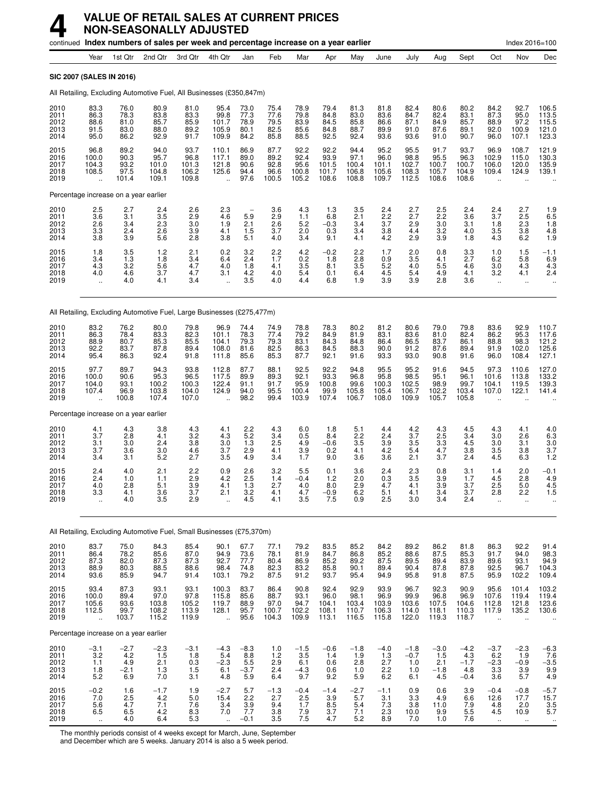|                                      |                                                         | continued Index numbers of sales per week and percentage increase on a year earlier |                                         |                                              |                                           |                                                      |                                        |                                        |                                         |                                         |                                                 |                                         |                                         |                                         |                                                         | Index 2016=100                                           |                                                             |
|--------------------------------------|---------------------------------------------------------|-------------------------------------------------------------------------------------|-----------------------------------------|----------------------------------------------|-------------------------------------------|------------------------------------------------------|----------------------------------------|----------------------------------------|-----------------------------------------|-----------------------------------------|-------------------------------------------------|-----------------------------------------|-----------------------------------------|-----------------------------------------|---------------------------------------------------------|----------------------------------------------------------|-------------------------------------------------------------|
|                                      | Year                                                    | 1st Qtr                                                                             | 2nd Qtr                                 | 3rd Qtr                                      | 4th Qtr                                   | Jan                                                  | Feb                                    | Mar                                    | Apr                                     | May                                     | June                                            | July                                    | Aug                                     | Sept                                    | Oct                                                     | Nov                                                      | Dec                                                         |
| <b>SIC 2007 (SALES IN 2016)</b>      |                                                         |                                                                                     |                                         |                                              |                                           |                                                      |                                        |                                        |                                         |                                         |                                                 |                                         |                                         |                                         |                                                         |                                                          |                                                             |
|                                      |                                                         | All Retailing, Excluding Automotive Fuel, All Businesses (£350,847m)                |                                         |                                              |                                           |                                                      |                                        |                                        |                                         |                                         |                                                 |                                         |                                         |                                         |                                                         |                                                          |                                                             |
| 2010<br>2011<br>2012<br>2013<br>2014 | 83.3<br>86.3<br>88.6<br>91.5<br>95.0                    | 76.0<br>78.3<br>81.0<br>83.0<br>86.2                                                | 80.9<br>83.8<br>85.7<br>88.0<br>92.9    | 81.0<br>83.3<br>85.9<br>89.2<br>91.7         | 95.4<br>99.8<br>101.7<br>105.9<br>109.9   | 73.0<br>77.3<br>78.9<br>80.1<br>84.2                 | 75.4<br>77.6<br>79.5<br>82.5<br>85.8   | 78.9<br>79.8<br>83.9<br>85.6<br>88.5   | 79.4<br>84.8<br>84.5<br>84.8<br>92.5    | 81.3<br>83.0<br>85.8<br>88.7<br>92.4    | 81.8<br>83.6<br>86.6<br>89.9<br>93.6            | 82.4<br>84.7<br>87.1<br>91.0<br>93.6    | 80.6<br>82.4<br>84.9<br>87.6<br>91.0    | 80.2<br>83.1<br>85.7<br>89.1<br>90.7    | 84.2<br>87.3<br>88.9<br>92.0<br>96.0                    | 92.7<br>95.0<br>97.2<br>100.9<br>107.1                   | 106.5<br>113.5<br>115.5<br>121.0<br>123.3                   |
| 2015<br>2016<br>2017<br>2018<br>2019 | 96.8<br>100.0<br>104.3<br>108.5<br>$\ddot{\phantom{a}}$ | 89.2<br>90.3<br>93.2<br>97.5<br>101.4                                               | 94.0<br>95.7<br>101.0<br>104.8<br>109.1 | 93.7<br>96.8<br>101.3<br>106.2<br>109.8      | 110.1<br>117.1<br>121.8<br>125.6          | 86.9<br>89.0<br>90.6<br>94.4<br>97.6                 | 87.7<br>89.2<br>92.8<br>96.6<br>100.5  | 92.2<br>92.4<br>95.6<br>100.8<br>105.2 | 92.2<br>93.9<br>101.5<br>101.7<br>108.6 | 94.4<br>97.1<br>100.4<br>106.8<br>108.8 | 95.2<br>96.0<br>101.1<br>105.6<br>109.7         | 95.5<br>98.8<br>102.7<br>108.3<br>112.5 | 91.7<br>95.5<br>100.7<br>105.7<br>108.6 | 93.7<br>96.3<br>100.7<br>104.9<br>108.6 | 96.9<br>102.9<br>106.0<br>109.4                         | 108.7<br>115.0<br>120.0<br>124.9                         | 121.9<br>130.3<br>135.9<br>139.1                            |
|                                      |                                                         | Percentage increase on a year earlier                                               |                                         |                                              |                                           |                                                      |                                        |                                        |                                         |                                         |                                                 |                                         |                                         |                                         |                                                         |                                                          |                                                             |
| 2010<br>2011<br>2012<br>2013<br>2014 | 2.5<br>3.6<br>2.6<br>3.3<br>3.8                         | 2.7<br>3.1<br>3.4<br>2.4<br>3.9                                                     | 2.4<br>3.5<br>2.3<br>2.6<br>5.6         | 2.6<br>2.9<br>3.0<br>3.9<br>2.8              | 2.3<br>4.6<br>1.9<br>4.1<br>3.8           | $\overline{\phantom{0}}$<br>5.9<br>2.1<br>1.5<br>5.1 | 3.6<br>2.9<br>2.6<br>3.7<br>4.0        | 4.3<br>1.1<br>5.2<br>2.0<br>3.4        | 1.3<br>6.8<br>$-0.3$<br>0.3<br>9.1      | 3.5<br>2.1<br>3.4<br>3.4<br>4.1         | 2.4<br>2.2<br>3.7<br>3.8<br>4.2                 | 2.7<br>2.7<br>2.9<br>4.4<br>2.9         | 2.5<br>2.2<br>3.0<br>3.2<br>3.9         | 2.4<br>3.6<br>3.1<br>4.0<br>1.8         | 2.4<br>3.7<br>1.8<br>3.5<br>4.3                         | 2.7<br>2.5<br>2.3<br>3.8<br>6.2                          | 1.9<br>6.5<br>1.8<br>4.8<br>1.9                             |
| 2015<br>2016<br>2017<br>2018<br>2019 | 1.8<br>3.4<br>4.3<br>4.0<br>$\ddot{\phantom{1}}$        | 3.5<br>1.3<br>3.2<br>4.6<br>4.0                                                     | $1.2$<br>1.8<br>5.6<br>3.7<br>4.1       | 2.1<br>3.4<br>4.7<br>4.7<br>3.4              | 0.2<br>6.4<br>4.0<br>3.1<br>à.            | 3.2<br>2.4<br>1.8<br>4.2<br>3.5                      | $^{2.2}_{1.7}$<br>4.1<br>4.0<br>4.0    | 4.2<br>0.2<br>3.5<br>5.4<br>4.4        | $-0.2$<br>1.8<br>8.1<br>0.1<br>6.8      | 2.2<br>2.8<br>3.5<br>6.4<br>1.9         | 1.7<br>0.9<br>5.2<br>4.5<br>3.9                 | 2.0<br>3.5<br>4.0<br>5.4<br>3.9         | 0.8<br>4.1<br>5.5<br>4.9<br>2.8         | 3.3<br>2.7<br>4.6<br>4.1<br>3.6         | 1.0<br>6.2<br>3.0<br>3.2<br>$\ddotsc$                   | 1.5<br>5.8<br>4.3<br>4.1<br>$\cdot$                      | $-1.1$<br>6.9<br>4.3<br>2.4                                 |
|                                      |                                                         | All Retailing, Excluding Automotive Fuel, Large Businesses (£275,477m)              |                                         |                                              |                                           |                                                      |                                        |                                        |                                         |                                         |                                                 |                                         |                                         |                                         |                                                         |                                                          |                                                             |
| 2010<br>2011<br>2012<br>2013<br>2014 | 83.2<br>86.3<br>88.9<br>92.2<br>95.4                    | 76.2<br>78.4<br>80.7<br>83.7<br>86.3                                                | 80.0<br>83.3<br>85.3<br>87.8<br>92.4    | 79.8<br>82.3<br>85.5<br>89.4<br>91.8         | 96.9<br>101.1<br>104.1<br>108.0<br>111.8  | 74.4<br>78.3<br>79.3<br>81.6<br>85.6                 | 74.9<br>77.4<br>79.3<br>82.5<br>85.3   | 78.8<br>79.2<br>83.1<br>86.3<br>87.7   | 78.3<br>84.9<br>84.3<br>84.5<br>92.1    | 80.2<br>81.9<br>84.8<br>88.3<br>91.6    | 81.2<br>83.1<br>86.4<br>90.0<br>93.3            | 80.6<br>83.6<br>86.5<br>91.2<br>93.0    | 79.0<br>81.0<br>83.7<br>87.6<br>90.8    | 79.8<br>82.4<br>86.1<br>89.4<br>91.6    | 83.6<br>86.2<br>88.8<br>91.9<br>96.0                    | 92.9<br>95.3<br>98.3<br>102.0<br>108.4                   | 110.7<br>117.6<br>121.2<br>125.6<br>127.1                   |
| 2015<br>2016<br>2017<br>2018<br>2019 | 97.7<br>100.0<br>104.0<br>107.4<br>$\ddotsc$            | 89.7<br>90.6<br>93.1<br>96.9<br>100.8                                               | 94.3<br>95.3<br>100.2<br>103.8<br>107.4 | 93.8<br>96.5<br>100.3<br>104.0<br>107.0      | 112.8<br>117.5<br>122.4<br>124.9<br>ä,    | 87.7<br>89.9<br>91.1<br>94.0<br>98.2                 | 88.1<br>89.3<br>91.7<br>95.5<br>99.4   | 92.5<br>92.1<br>95.9<br>100.4<br>103.9 | 92.2<br>93.3<br>100.8<br>99.9<br>107.4  | 94.8<br>96.8<br>99.6<br>105.8<br>106.7  | 95.5<br>95.8<br>100.3<br>105.4<br>108.0         | 95.2<br>98.5<br>102.5<br>106.7<br>109.9 | 91.6<br>95.1<br>98.9<br>102.2<br>105.7  | 94.5<br>96.1<br>99.7<br>103.4<br>105.8  | 97.3<br>101.6<br>104.1<br>107.0                         | 110.6<br>113.8<br>119.5<br>122.1                         | 127.0<br>133.2<br>139.3<br>141.4                            |
|                                      |                                                         | Percentage increase on a year earlier                                               |                                         |                                              |                                           |                                                      |                                        |                                        |                                         |                                         |                                                 |                                         |                                         |                                         |                                                         |                                                          |                                                             |
| 2010<br>2011<br>2012<br>2013<br>2014 | 4.1<br>3.7<br>3.1<br>3.7<br>3.4                         | 4.3<br>2.8<br>3.0<br>3.6<br>3.1                                                     | 3.8<br>4.1<br>2.4<br>3.0<br>5.2         | 4.3<br>3.2<br>3.8<br>4.6<br>2.7              | 4.1<br>4.3<br>3.0<br>3.7<br>3.5           | $^{2.2}_{5.2}$<br>1.3<br>2.9<br>4.9                  | 4.3<br>3.4<br>2.5<br>4.1<br>3.4        | 6.0<br>0.5<br>4.9<br>3.9<br>1.7        | 1.8<br>8.4<br>$-0.6$<br>0.2<br>9.0      | 5.1<br>2.2<br>3.5<br>4.1<br>3.6         | 4.4<br>2.4<br>3.9<br>4.2<br>3.6                 | $\frac{4.2}{3.7}$<br>3.5<br>5.4<br>2.1  | 4.3<br>2.5<br>3.3<br>4.7<br>3.7         | 4.5<br>3.4<br>4.5<br>3.8<br>2.4         | 4.3<br>3.0<br>3.0<br>3.5<br>4.5                         | 4.1<br>2.6<br>3.1<br>3.8<br>6.3                          | $^{4.0}_{6.3}$<br>3.0<br>3.7<br>1.2                         |
| 2015<br>2016<br>2017<br>2018<br>2019 | 2.4<br>2.4<br>4.0<br>3.3<br>÷.                          | 4.0<br>1.0<br>2.8<br>4.1<br>4.0                                                     | 2.1<br>1.1<br>5.1<br>3.6<br>3.5         | 2.2<br>2.9<br>3.9<br>3.7<br>2.9              | 0.9<br>4.2<br>4.1<br>2.1                  | 2.6<br>2.5<br>1.3<br>$3.2$<br>4.5                    | 3.2<br>1.4<br>2.7<br>4.1<br>4.1        | 5.5<br>$-0.4$<br>4.0<br>4.7<br>3.5     | 0.1<br>1.2<br>8.0<br>$-0.9$<br>7.5      | 3.6<br>2.0<br>2.9<br>6.2<br>0.9         | 2.4<br>0.3<br>4.7<br>5.1<br>2.5                 | 2.3<br>3.5<br>4.1<br>4.1<br>3.0         | 0.8<br>3.9<br>3.9<br>3.4<br>3.4         | 3.1<br>1.7<br>3.7<br>3.7<br>2.4         | 1.4<br>4.5<br>2.5<br>2.8<br>$\ddot{\phantom{1}}$        | 2.0<br>2.8<br>5.0<br>2.2<br>$\ddot{\phantom{a}}$         | $-0.1$<br>4.9<br>4.5<br>1.5                                 |
|                                      |                                                         | All Retailing, Excluding Automotive Fuel, Small Businesses (£75,370m)               |                                         |                                              |                                           |                                                      |                                        |                                        |                                         |                                         |                                                 |                                         |                                         |                                         |                                                         |                                                          |                                                             |
| 2010<br>2011<br>2012<br>2013<br>2014 | 83.7<br>86.4<br>87.3<br>88.9<br>93.6                    | 75.0<br>78.2<br>82.0<br>80.3<br>85.9                                                | 84.3<br>85.6<br>87.3<br>88.5<br>94.7    | 85.4<br>87.0<br>87.3<br>88.6<br>91.4         | 90.1<br>94.9<br>92.7<br>98.4<br>103.1     | 67.7<br>73.6<br>77.7<br>74.8<br>79.2                 | 77.1<br>78.1<br>80.4<br>82.3<br>87.5   | 79.2<br>81.9<br>86.9<br>83.2<br>91.2   | 83.5<br>84.7<br>85.2<br>85.8<br>93.7    | 85.2<br>86.8<br>89.2<br>90.1<br>95.4    | 84.2<br>85.2<br>87.5<br>89.4<br>94.9            | 89.2<br>88.6<br>89.5<br>90.4<br>95.8    | 86.2<br>87.5<br>89.4<br>87.8<br>91.8    | 81.8<br>85.3<br>83.9<br>87.8<br>87.5    | 86.3<br>91.7<br>89.6<br>92.5<br>95.9                    | 92.2<br>94.0<br>93.1<br>96.7<br>102.2                    | 91.4<br>98.3<br>94.9<br>104.3<br>109.4                      |
| 2015<br>2016<br>2017<br>2018<br>2019 | 93.4<br>100.0<br>105.6<br>112.5<br>$\ddot{\phantom{a}}$ | 87.3<br>89.4<br>93.6<br>99.7<br>103.7                                               | 93.1<br>97.0<br>103.8<br>108.2<br>115.2 | 93.1<br>97.8<br>105.2<br>113.9<br>119.9      | 100.3<br>115.8<br>119.7<br>128.1<br>ä,    | 83.7<br>85.6<br>88.9<br>95.7<br>95.6                 | 86.4<br>88.7<br>97.0<br>100.7<br>104.3 | 90.8<br>93.1<br>94.7<br>102.2<br>109.9 | 92.4<br>96.0<br>104.1<br>108.1<br>113.1 | 92.9<br>98.1<br>103.4<br>110.7<br>116.5 | 93.9<br>96.9<br>103.9<br>106.3<br>115.8         | 96.7<br>99.9<br>103.6<br>114.0<br>122.0 | 92.3<br>96.8<br>107.5<br>118.1<br>119.3 | 90.9<br>96.9<br>104.6<br>110.3<br>118.7 | 95.6<br>107.6<br>112.8<br>117.9<br>$\ddot{\phantom{a}}$ | 101.4<br>119.4<br>121.8<br>135.2<br>$\ddot{\phantom{a}}$ | 103.2<br>119.4<br>123.6<br>130.6                            |
|                                      |                                                         | Percentage increase on a year earlier                                               |                                         |                                              |                                           |                                                      |                                        |                                        |                                         |                                         |                                                 |                                         |                                         |                                         |                                                         |                                                          |                                                             |
| 2010<br>2011<br>2012<br>2013<br>2014 | $-3.1$<br>$3.2$<br>$1.1$<br>1.8<br>5.2                  | $-2.7$<br>$^{4.2}_{4.9}$<br>$-2.1$<br>6.9                                           | $-2.3$<br>1.5<br>2.1<br>1.3<br>7.0      | -3.1<br>1.8<br>0.3<br>1.5<br>3.1             | $-4.3$<br>5.4<br>$-2.3$<br>6.1<br>4.8     | $-8.3$<br>8.8<br>5.5<br>$-3.7$<br>5.9                | 1.0<br>1.2<br>2.9<br>2.4<br>6.4        | $-1.5$<br>3.5<br>6.1<br>$-4.3$<br>9.7  | $-0.6$<br>1.4<br>0.6<br>0.6<br>9.2      | $-1.8$<br>1.9<br>2.8<br>1.0<br>5.9      | $-4.0$<br>$\frac{1.3}{2.7}$<br>2.2<br>6.2       | $-1.8$<br>$-0.7$<br>1.0<br>1.0<br>6.1   | $-3.0$<br>1.5<br>2.1<br>$-1.8$<br>4.5   | $-4.2$<br>$4.3 - 1.7$<br>4.8<br>$-0.4$  | $-3.7$<br>$6.2 - 2.3$<br>$3.\overline{3}$<br>3.6        | $-2.3$<br>1.9<br>$-0.9$<br>3.9<br>5.7                    | $-6.3$<br>$7.6$<br>$-3.5$<br>$9.9$<br>4.9                   |
| 2015<br>2016<br>2017<br>2018<br>2019 | $-0.2$<br>7.0<br>5.6<br>6.5<br>$\ddotsc$                | 1.6<br>$^{2.5}_{4.7}$<br>6.5<br>4.0                                                 | $-1.7$<br>4.2<br>7.1<br>4.2<br>6.4      | 1.9<br>5.0<br>7.6<br>$8.\overline{3}$<br>5.3 | $-2.7$<br>15.4<br>3.4<br>7.0<br>$\ddotsc$ | 5.7<br>2.2<br>3.9<br>7.7<br>$-0.1$                   | $-1.3$<br>2.7<br>9.4<br>3.8<br>3.5     | $-0.4$<br>2.5<br>1.7<br>7.9<br>7.5     | $-1.4$<br>3.9<br>8.5<br>3.7<br>4.7      | $-2.7$<br>5.7<br>5.4<br>7.1<br>5.2      | $-1.1$<br>3.1<br>7.3<br>$2.\overline{3}$<br>8.9 | 0.9<br>3.3<br>3.8<br>10.0<br>7.0        | 0.6<br>4.9<br>11.0<br>9.9<br>1.0        | 3.9<br>6.6<br>7.9<br>5.5<br>7.6         | $-0.4$<br>12.6<br>4.8<br>4.5<br>$\ddot{\phantom{1}}$    | $-0.8$<br>17.7<br>2.0<br>10.9<br>$\ddotsc$               | $-5.7$<br>15.7<br>$\frac{3.5}{5.7}$<br>$\ddot{\phantom{a}}$ |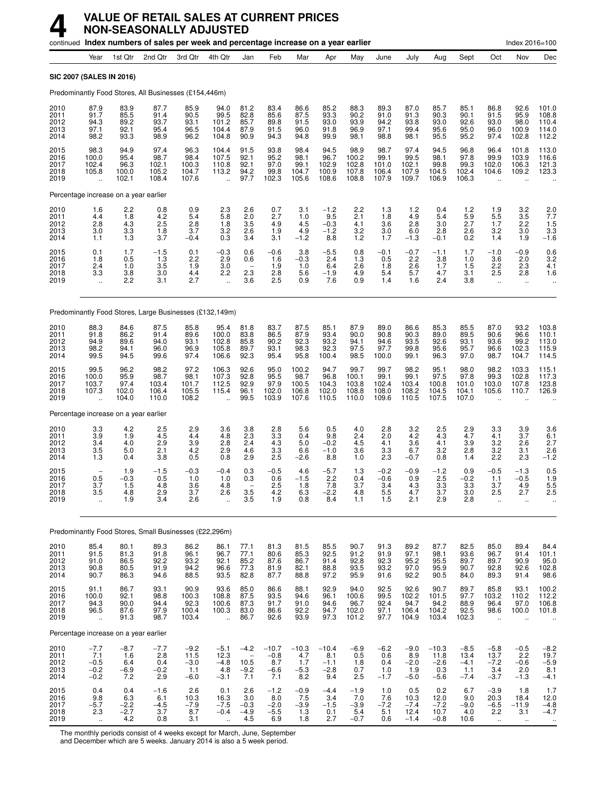|                                      |                                                  |                                        | continued Index numbers of sales per week and percentage increase on a year earlier |                                           |                                                     |                                                      |                                           |                                          |                                           |                                          |                                         |                                          |                                            |                                           |                                                     | Index 2016=100                                           |                                                         |
|--------------------------------------|--------------------------------------------------|----------------------------------------|-------------------------------------------------------------------------------------|-------------------------------------------|-----------------------------------------------------|------------------------------------------------------|-------------------------------------------|------------------------------------------|-------------------------------------------|------------------------------------------|-----------------------------------------|------------------------------------------|--------------------------------------------|-------------------------------------------|-----------------------------------------------------|----------------------------------------------------------|---------------------------------------------------------|
|                                      | Year                                             | 1st Qtr                                | 2nd Qtr                                                                             | 3rd Qtr                                   | 4th Qtr                                             | Jan                                                  | Feb                                       | Mar                                      | Apr                                       | May                                      | June                                    | July                                     | Aug                                        | Sept                                      | Oct                                                 | Nov                                                      | Dec                                                     |
| SIC 2007 (SALES IN 2016)             |                                                  |                                        |                                                                                     |                                           |                                                     |                                                      |                                           |                                          |                                           |                                          |                                         |                                          |                                            |                                           |                                                     |                                                          |                                                         |
|                                      |                                                  |                                        | Predominantly Food Stores, All Businesses (£154,446m)                               |                                           |                                                     |                                                      |                                           |                                          |                                           |                                          |                                         |                                          |                                            |                                           |                                                     |                                                          |                                                         |
| 2010<br>2011<br>2012<br>2013<br>2014 | 87.9<br>91.7<br>94.3<br>97.1<br>98.2             | 83.9<br>85.5<br>89.2<br>92.1<br>93.3   | 87.7<br>91.4<br>93.7<br>95.4<br>98.9                                                | 85.9<br>90.5<br>93.1<br>96.5<br>96.2      | 94.0<br>99.5<br>101.2<br>104.4<br>104.8             | 81.2<br>82.8<br>85.7<br>87.9<br>90.9                 | 83.4<br>85.6<br>89.8<br>91.5<br>94.3      | 86.6<br>87.5<br>91.5<br>96.0<br>94.8     | 85.2<br>93.3<br>93.0<br>91.8<br>99.9      | 88.3<br>90.2<br>93.9<br>96.9<br>98.1     | 89.3<br>91.0<br>94.2<br>97.1<br>98.8    | 87.0<br>91.3<br>93.8<br>99.4<br>98.1     | 85.7<br>90.3<br>93.0<br>95.6<br>95.5       | 85.1<br>90.1<br>92.6<br>95.0<br>95.2      | 86.8<br>91.5<br>93.0<br>96.0<br>97.4                | 92.6<br>95.9<br>98.0<br>100.9<br>102.8                   | 101.0<br>108.8<br>110.4<br>114.0<br>112.2               |
| 2015<br>2016<br>2017<br>2018<br>2019 | 98.3<br>100.0<br>102.4<br>105.8                  | 94.9<br>95.4<br>96.3<br>100.0<br>102.1 | 97.4<br>98.7<br>102.1<br>105.2<br>108.4                                             | 96.3<br>98.4<br>100.3<br>104.7<br>107.6   | 104.4<br>107.5<br>110.8<br>113.2                    | 91.5<br>92.1<br>92.1<br>94.2<br>97.7                 | 93.8<br>95.2<br>97.0<br>99.8<br>102.3     | 98.4<br>98.1<br>99.1<br>104.7<br>105.6   | 94.5<br>96.7<br>102.9<br>100.9<br>108.6   | 98.9<br>100.2<br>102.8<br>107.8<br>108.8 | 98.7<br>99.1<br>101.0<br>106.4<br>107.9 | 97.4<br>99.5<br>102.1<br>107.9<br>109.7  | 94.5<br>98.1<br>99.8<br>104.5<br>106.9     | 96.8<br>97.8<br>99.3<br>102.4<br>106.3    | 96.4<br>99.9<br>102.0<br>104.6                      | 101.8<br>103.9<br>106.3<br>109.2<br>$\ddot{\phantom{a}}$ | 113.0<br>116.6<br>121.3<br>123.3                        |
|                                      |                                                  | Percentage increase on a year earlier  |                                                                                     |                                           |                                                     |                                                      |                                           |                                          |                                           |                                          |                                         |                                          |                                            |                                           |                                                     |                                                          |                                                         |
| 2010<br>2011<br>2012<br>2013<br>2014 | 1.6<br>4.4<br>2.8<br>3.0<br>1.1                  | 2.2<br>1.8<br>4.3<br>3.3<br>1.3        | 0.8<br>4.2<br>2.5<br>1.8<br>3.7                                                     | 0.9<br>5.4<br>2.8<br>3.7<br>$-0.4$        | 2.3<br>5.8<br>1.8<br>3.2<br>0.3                     | 2.6<br>2.0<br>3.5<br>2.6<br>3.4                      | 0.7<br>2.7<br>4.9<br>1.9<br>3.1           | 3.1<br>1.0<br>4.5<br>4.9<br>$-1.2$       | $-1.2$<br>9.5<br>$-0.3$<br>$-1.2$<br>8.8  | 2.2<br>2.1<br>4.1<br>3.2<br>1.2          | 1.3<br>1.8<br>3.6<br>3.0<br>1.7         | 1.2<br>4.9<br>2.8<br>6.0<br>$-1.3$       | 0.4<br>5.4<br>3.0<br>2.8<br>$-0.1$         | 1.2<br>5.9<br>2.7<br>2.6<br>0.2           | $\frac{1.9}{5.5}$<br>1.7<br>3.2<br>1.4              | $\frac{3.2}{3.5}$<br>2.2<br>3.0<br>1.9                   | $\frac{2.0}{7.7}$<br>1.5<br>$3.3 - 1.6$                 |
| 2015<br>2016<br>2017<br>2018<br>2019 | 0.1<br>1.8<br>2.4<br>3.3<br>$\ddot{\phantom{a}}$ | 1.7<br>0.5<br>1.0<br>3.8<br>2.2        | $-1.5$<br>1.3<br>3.5<br>3.0<br>3.1                                                  | 0.1<br>2.2<br>1.9<br>4.4<br>2.7           | $-0.3$<br>2.9<br>3.0<br>2.2<br>$\ddot{\phantom{a}}$ | 0.6<br>0.6<br>$\overline{\phantom{a}}$<br>2.3<br>3.6 | $-0.6$<br>1.6<br>1.9<br>2.8<br>2.5        | 3.8<br>$-0.3$<br>1.0<br>5.6<br>0.9       | $-5.5$<br>2.4<br>6.4<br>$-1.9$<br>7.6     | 0.8<br>1.3<br>2.6<br>4.9<br>0.9          | $-0.1$<br>0.5<br>1.8<br>5.4<br>1.4      | $-0.7$<br>2.2<br>2.6<br>5.7<br>1.6       | $-1.1$<br>3.8<br>1.7<br>4.7<br>2.4         | 1.7<br>1.0<br>1.5<br>3.1<br>3.8           | $-1.0$<br>3.6<br>2.2<br>2.5<br>$\ddot{\phantom{a}}$ | $-0.9$<br>2.0<br>2.3<br>2.8<br>$\ddotsc$                 | $\begin{array}{c} 0.6 \\ 3.2 \\ 4.1 \end{array}$<br>1.6 |
|                                      |                                                  |                                        | Predominantly Food Stores, Large Businesses (£132,149m)                             |                                           |                                                     |                                                      |                                           |                                          |                                           |                                          |                                         |                                          |                                            |                                           |                                                     |                                                          |                                                         |
| 2010<br>2011<br>2012<br>2013<br>2014 | 88.3<br>91.8<br>94.9<br>98.2<br>99.5             | 84.6<br>86.2<br>89.6<br>94.1<br>94.5   | 87.5<br>91.4<br>94.0<br>96.0<br>99.6                                                | 85.8<br>89.6<br>93.1<br>96.9<br>97.4      | 95.4<br>100.0<br>102.8<br>105.8<br>106.6            | 81.8<br>83.8<br>85.8<br>89.7<br>92.3                 | 83.7<br>86.5<br>90.2<br>93.1<br>95.4      | 87.5<br>87.9<br>92.3<br>98.3<br>95.8     | 85.1<br>93.4<br>93.2<br>92.3<br>100.4     | 87.9<br>90.0<br>94.1<br>97.5<br>98.5     | 89.0<br>90.8<br>94.6<br>97.7<br>100.0   | 86.6<br>90.3<br>93.5<br>99.8<br>99.1     | 85.3<br>89.0<br>92.6<br>95.6<br>96.3       | 85.5<br>89.5<br>93.1<br>95.7<br>97.0      | 87.0<br>90.6<br>93.6<br>96.6<br>98.7                | 93.2<br>96.6<br>99.2<br>102.3<br>104.7                   | 103.8<br>110.1<br>113.0<br>115.9<br>114.5               |
| 2015<br>2016<br>2017<br>2018<br>2019 | 99.5<br>100.0<br>103.7<br>107.3                  | 96.2<br>95.9<br>97.4<br>102.0<br>104.0 | 98.2<br>98.7<br>103.4<br>106.4<br>110.0                                             | 97.2<br>98.1<br>101.7<br>105.5<br>108.2   | 106.3<br>107.3<br>112.5<br>115.4                    | 92.6<br>92.8<br>92.9<br>96.1<br>99.5                 | 95.0<br>95.5<br>97.9<br>102.0<br>103.9    | 100.2<br>98.7<br>100.5<br>106.8<br>107.6 | 94.7<br>96.8<br>104.3<br>102.0<br>110.5   | 99.7<br>100.1<br>103.8<br>108.8<br>110.0 | 99.7<br>99.1<br>102.4<br>108.0<br>109.6 | 98.2<br>99.1<br>103.4<br>108.2<br>110.5  | 95.1<br>97.5<br>100.8<br>104.5<br>107.5    | 98.0<br>97.8<br>101.0<br>104.1<br>107.0   | 98.2<br>99.3<br>103.0<br>105.6                      | 103.3<br>102.8<br>107.8<br>110.7                         | 115.1<br>117.3<br>123.8<br>126.9                        |
|                                      |                                                  | Percentage increase on a year earlier  |                                                                                     |                                           |                                                     |                                                      |                                           |                                          |                                           |                                          |                                         |                                          |                                            |                                           |                                                     |                                                          |                                                         |
| 2010<br>2011<br>2012<br>2013<br>2014 | 3.3<br>3.9<br>3.4<br>3.5<br>1.3                  | 4.2<br>1.9<br>4.0<br>5.0<br>0.4        | 2.5<br>4.5<br>2.9<br>2.1<br>3.8                                                     | 2.9<br>4.4<br>3.9<br>4.2<br>0.5           | 3.6<br>4.8<br>2.8<br>2.9<br>0.8                     | 3.8<br>2.3<br>2.4<br>4.6<br>2.9                      | 2.8<br>3.3<br>4.3<br>3.3<br>2.5           | 5.6<br>0.4<br>5.0<br>6.6<br>$-2.6$       | 0.5<br>9.8<br>$-0.2$<br>$-1.0$<br>8.8     | 4.0<br>2.4<br>4.5<br>3.6<br>1.0          | 2.8<br>2.0<br>4.1<br>3.3<br>2.3         | 3.2<br>4.2<br>3.6<br>6.7<br>$-0.7$       | 2.5<br>4.3<br>4.1<br>3.2<br>0.8            | 2.9<br>4.7<br>3.9<br>2.8<br>1.4           | 3.3<br>4.1<br>3.2<br>3.2<br>2.2                     | 3.9<br>3.7<br>2.6<br>3.1<br>2.3                          | 3.6<br>6.1<br>2.7<br>2.6<br>$-1.2$                      |
| 2015<br>2016<br>2017<br>2018<br>2019 | $\overline{\phantom{m}}$<br>0.5<br>3.7<br>3.5    | 1.9<br>$-0.3$<br>1.5<br>4.8<br>1.9     | $-1.5$<br>0.5<br>4.8<br>2.9<br>3.4                                                  | $-0.3$<br>1.0<br>3.6<br>3.7<br>2.6        | $-0.4$<br>1.0<br>4.8<br>2.6                         | 0.3<br>0.3<br>3.5<br>3.5                             | $-0.5$<br>0.6<br>2.5<br>4.2<br>1.9        | 4.6<br>$-1.5$<br>1.8<br>6.3<br>0.8       | $-5.7$<br>2.2<br>7.8<br>-2.2<br>8.4       | 1.3<br>0.4<br>3.7<br>4.8<br>1.1          | $-0.2$<br>$-0.6$<br>3.4<br>5.5<br>1.5   | $-0.9$<br>0.9<br>4.3<br>4.7<br>2.1       | $-1.2$<br>2.5<br>3.3<br>3.7<br>2.9         | 0.9<br>$-0.2$<br>3.3<br>3.0<br>2.8        | $-0.5$<br>1.1<br>3.7<br>2.5<br>ä.                   | $-1.3$<br>$-0.5$<br>4.9<br>2.1                           | 0.5<br>$1.9$<br>5.5<br>2.5                              |
|                                      |                                                  |                                        | Predominantly Food Stores, Small Businesses (£22,296m)                              |                                           |                                                     |                                                      |                                           |                                          |                                           |                                          |                                         |                                          |                                            |                                           |                                                     |                                                          |                                                         |
| 2010<br>2011<br>2012<br>2013<br>2014 | 85.4<br>91.5<br>91.0<br>90.8<br>90.7             | 80.1<br>81.3<br>86.5<br>80.5<br>86.3   | 89.3<br>91.8<br>92.2<br>91.9<br>94.6                                                | 86.2<br>96.1<br>93.2<br>94.2<br>88.5      | 86.1<br>96.7<br>92.1<br>96.6<br>93.5                | 77.1<br>77.1<br>85.2<br>77.3<br>82.8                 | 81.3<br>80.6<br>87.6<br>81.9<br>87.7      | 81.5<br>85.3<br>86.7<br>82.1<br>88.8     | 85.5<br>92.5<br>91.4<br>88.8<br>97.2      | 90.7<br>91.2<br>92.8<br>93.5<br>95.9     | 91.3<br>91.9<br>92.3<br>93.2<br>91.6    | 89.2<br>97.1<br>95.2<br>97.0<br>92.2     | 87.7<br>98.1<br>95.5<br>95.9<br>90.5       | 82.5<br>93.6<br>89.7<br>90.7<br>84.0      | 85.0<br>96.7<br>89.7<br>92.8<br>89.3                | 89.4<br>91.4<br>90.9<br>92.6<br>91.4                     | 84.4<br>101.1<br>$\frac{95.0}{102.8}$<br>98.6           |
| 2015<br>2016<br>2017<br>2018<br>2019 | 91.1<br>100.0<br>94.3<br>96.5<br>÷.              | 86.7<br>92.1<br>90.0<br>87.6<br>91.3   | 93.1<br>98.8<br>94.4<br>97.9<br>98.7                                                | 90.9<br>100.3<br>92.3<br>100.4<br>103.4   | 93.6<br>108.8<br>100.6<br>100.3<br>$\ddotsc$        | 85.0<br>87.5<br>87.3<br>83.0<br>86.7                 | 86.6<br>93.5<br>91.7<br>86.6<br>92.6      | 88.1<br>94.6<br>91.0<br>92.2<br>93.9     | 92.9<br>96.1<br>94.6<br>94.7<br>97.3      | 94.0<br>100.6<br>96.7<br>102.0<br>101.2  | 92.5<br>99.5<br>92.4<br>97.1<br>97.7    | 92.6<br>102.2<br>94.7<br>106.4<br>104.9  | 90.7<br>101.5<br>94.2<br>104.2<br>103.4    | 89.7<br>97.7<br>88.9<br>92.5<br>102.3     | 85.8<br>103.2<br>96.4<br>98.6<br>ä.                 | 93.1<br>110.2<br>97.0<br>100.0                           | 100.2<br>112.2<br>106.8<br>101.8                        |
|                                      |                                                  | Percentage increase on a year earlier  |                                                                                     |                                           |                                                     |                                                      |                                           |                                          |                                           |                                          |                                         |                                          |                                            |                                           |                                                     |                                                          |                                                         |
| 2010<br>2011<br>2012<br>2013<br>2014 | $-7.7$<br>7.1<br>$-0.5$<br>$-0.2$<br>$-0.2$      | $-8.7$<br>1.6<br>6.4<br>$-6.9$<br>7.2  | $-7.7$<br>2.8<br>0.4<br>$-0.2$<br>2.9                                               | $-9.2$<br>11.5<br>$-3.0$<br>1.1<br>$-6.0$ | $-5.1$<br>12.3<br>$-4.8$<br>4.8<br>$-3.1$           | $-4.2$<br>10.5<br>$-9.2$<br>7.1                      | $-10.7$<br>$-0.8$<br>8.7<br>$-6.6$<br>7.1 | $-10.3$<br>4.7<br>1.7<br>$-5.3$<br>8.2   | $-10.4$<br>8.1<br>$-1.1$<br>$-2.8$<br>9.4 | $-6.9$<br>0.5<br>1.8<br>0.7<br>2.5       | $-6.2$<br>0.6<br>0.4<br>1.0<br>$-1.7$   | $-9.0$<br>8.9<br>$-2.0$<br>1.9<br>$-5.0$ | $-10.3$<br>11.8<br>$-2.6$<br>0.3<br>$-5.6$ | $-8.5$<br>13.4<br>$-4.1$<br>1.1<br>$-7.4$ | $-5.8$<br>13.7<br>$-7.2$<br>3.4<br>$-3.7$           | $-0.5$<br>2.2<br>$-0.6$<br>2.0<br>$-1.3$                 | $-8.2$<br>19.7<br>$-5.9$<br>8.1<br>$-4.1$               |
| 2015<br>2016<br>2017<br>2018<br>2019 | 0.4<br>9.8<br>$-5.7$<br>2.3<br>$\ddotsc$         | 0.4<br>6.3<br>$-2.2$<br>$-2.7$<br>4.2  | $-1.6$<br>6.1<br>$\frac{-4.5}{3.7}$<br>0.8                                          | 2.6<br>10.3<br>$-7.9$<br>8.7<br>3.1       | 0.1<br>16.3<br>$-7.5$<br>$-0.4$<br>$\ddotsc$        | 2.6<br>3.0<br>$-0.3$<br>$-4.9$<br>4.5                | $-1.2$<br>8.0<br>$-2.0$<br>$-5.5$<br>6.9  | $-0.9$<br>7.5<br>$-3.9$<br>1.3<br>1.8    | $-4.4$<br>3.4<br>$-1.5$<br>0.1<br>2.7     | $-1.9$<br>7.0<br>$-3.9$<br>5.4<br>$-0.7$ | 1.0<br>7.6<br>$-7.2$<br>5.1<br>0.6      | 0.5<br>10.3<br>$-7.4$<br>12.4<br>$-1.4$  | 0.2<br>12.0<br>$-7.2$<br>10.7<br>$-0.8$    | 6.7<br>9.0<br>$-9.0$<br>4.0<br>10.6       | $-3.9$<br>20.3<br>$-6.5$<br>2.2<br>$\ddotsc$        | 1.8<br>18.4<br>$-11.9$<br>3.1<br>$\ddotsc$               | 1.7<br>12.0<br>$-4.8$<br>$-4.7$                         |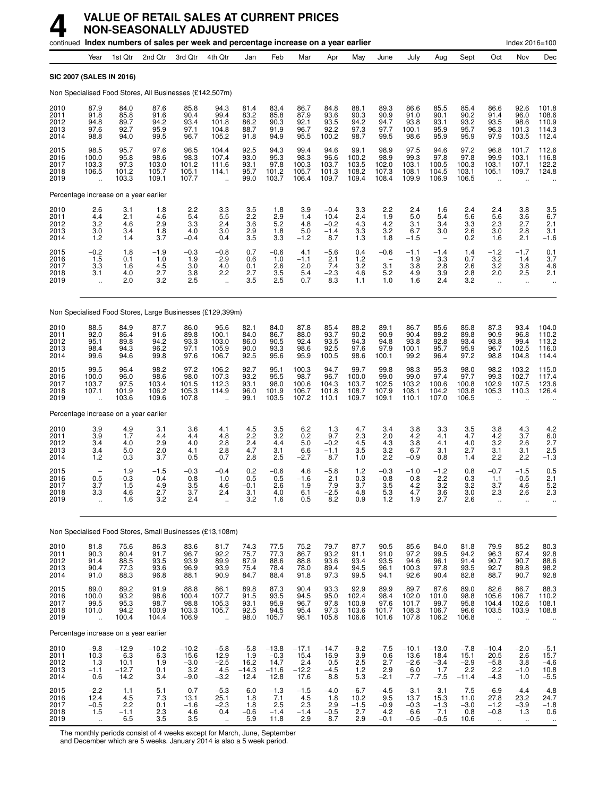|                                      |                                                     |                                             | continued Index numbers of sales per week and percentage increase on a year earlier |                                            |                                                     |                                          |                                              |                                           |                                           |                                          |                                                                      |                                            |                                            |                                            |                                                            | Index 2016=100                                  |                                            |
|--------------------------------------|-----------------------------------------------------|---------------------------------------------|-------------------------------------------------------------------------------------|--------------------------------------------|-----------------------------------------------------|------------------------------------------|----------------------------------------------|-------------------------------------------|-------------------------------------------|------------------------------------------|----------------------------------------------------------------------|--------------------------------------------|--------------------------------------------|--------------------------------------------|------------------------------------------------------------|-------------------------------------------------|--------------------------------------------|
|                                      | Year                                                | 1st Qtr                                     | 2nd Qtr                                                                             | 3rd Qtr                                    | 4th Qtr                                             | Jan                                      | Feb                                          | Mar                                       | Apr                                       | May                                      | June                                                                 | July                                       | Aug                                        | Sept                                       | Oct                                                        | Nov                                             | Dec                                        |
| SIC 2007 (SALES IN 2016)             |                                                     |                                             |                                                                                     |                                            |                                                     |                                          |                                              |                                           |                                           |                                          |                                                                      |                                            |                                            |                                            |                                                            |                                                 |                                            |
|                                      |                                                     |                                             | Non Specialised Food Stores, All Businesses (£142,507m)                             |                                            |                                                     |                                          |                                              |                                           |                                           |                                          |                                                                      |                                            |                                            |                                            |                                                            |                                                 |                                            |
| 2010<br>2011<br>2012<br>2013<br>2014 | 87.9<br>91.8<br>94.8<br>97.6<br>98.8                | 84.0<br>85.8<br>89.7<br>92.7<br>94.0        | 87.6<br>91.6<br>94.2<br>95.9<br>99.5                                                | 85.8<br>90.4<br>93.4<br>97.1<br>96.7       | 94.3<br>99.4<br>101.8<br>104.8<br>105.2             | 81.4<br>83.2<br>86.2<br>88.7<br>91.8     | 83.4<br>85.8<br>90.3<br>91.9<br>94.9         | 86.7<br>87.9<br>92.1<br>96.7<br>95.5      | 84.8<br>93.6<br>93.5<br>92.2<br>100.2     | 88.1<br>90.3<br>94.2<br>97.3<br>98.7     | 89.3<br>90.9<br>94.7<br>97.7<br>99.5                                 | 86.6<br>91.0<br>93.8<br>100.1<br>98.6      | 85.5<br>90.1<br>93.1<br>95.9<br>95.9       | 85.4<br>90.2<br>93.2<br>95.7<br>95.9       | 86.6<br>91.4<br>93.5<br>96.3<br>97.9                       | 92.6<br>96.0<br>98.6<br>101.3<br>103.5          | 101.8<br>108.6<br>110.9<br>114.3<br>112.4  |
| 2015<br>2016<br>2017<br>2018<br>2019 | 98.5<br>100.0<br>103.3<br>106.5                     | 95.7<br>95.8<br>97.3<br>101.2<br>103.3      | 97.6<br>98.6<br>103.0<br>105.7<br>109.1                                             | 96.5<br>98.3<br>101.2<br>105.1<br>107.7    | 104.4<br>107.4<br>111.6<br>114.1                    | 92.5<br>93.0<br>93.1<br>95.7<br>99.0     | 94.3<br>95.3<br>97.8<br>101.2<br>103.7       | 99.4<br>98.3<br>100.3<br>105.7<br>106.4   | 94.6<br>96.6<br>103.7<br>101.3<br>109.7   | 99.1<br>100.2<br>103.5<br>108.2<br>109.4 | 98.9<br>98.9<br>102.0<br>107.3<br>108.4                              | 97.5<br>99.3<br>103.1<br>108.1<br>109.9    | 94.6<br>97.8<br>100.5<br>104.5<br>106.9    | 97.2<br>97.8<br>100.3<br>103.1<br>106.5    | 96.8<br>99.9<br>103.1<br>105.1                             | 101.7<br>103.1<br>107.1<br>109.7                | 112.6<br>116.8<br>122.2<br>124.8           |
|                                      |                                                     | Percentage increase on a year earlier       |                                                                                     |                                            |                                                     |                                          |                                              |                                           |                                           |                                          |                                                                      |                                            |                                            |                                            |                                                            |                                                 |                                            |
| 2010<br>2011<br>2012<br>2013<br>2014 | $^{2.6}_{4.4}$<br>3.2<br>3.0<br>1.2                 | 3.1<br>2.1<br>4.6<br>3.4<br>1.4             | 1.8<br>4.6<br>2.9<br>1.8<br>3.7                                                     | $^{2.2}_{5.4}$<br>3.3<br>4.0<br>$-0.4$     | $\frac{3.3}{5.5}$<br>2.4<br>3.0<br>0.4              | $\frac{3.5}{2.2}$<br>3.6<br>2.9<br>3.5   | 1.8<br>2.9<br>5.2<br>1.8<br>3.3              | 3.9<br>1.4<br>4.8<br>5.0<br>$-1.2$        | $-0.4$<br>10.4<br>$-0.2$<br>$-1.4$<br>8.7 | 3.3<br>2.4<br>4.3<br>3.3<br>1.3          | 2.2<br>1.9<br>4.2<br>3.2<br>1.8                                      | 2.4<br>5.0<br>3.1<br>6.7<br>$-1.5$         | 1.6<br>5.4<br>3.4<br>3.0                   | 2.4<br>5.6<br>3.3<br>2.6<br>0.2            | 2.4<br>5.6<br>2.3<br>3.0<br>1.6                            | 3.8<br>3.6<br>2.7<br>2.8<br>2.1                 | $\frac{3.5}{6.7}$<br>2.1<br>3.1<br>$-1.6$  |
| 2015<br>2016<br>2017<br>2018<br>2019 | $-0.2$<br>1.5<br>3.3<br>3.1<br>$\ddot{\phantom{a}}$ | 1.8<br>0.1<br>1.6<br>4.0<br>2.0             | -1.9<br>1.0<br>4.5<br>2.7<br>3.2                                                    | $-0.3$<br>1.9<br>3.0<br>3.8<br>2.5         | $-0.8$<br>2.9<br>4.0<br>2.2<br>$\ddot{\phantom{a}}$ | 0.7<br>0.6<br>0.1<br>2.7<br>3.5          | $-0.6$<br>1.0<br>2.6<br>3.5<br>2.5           | 4.1<br>$-1.1$<br>2.0<br>5.4<br>0.7        | $-5.6$<br>2.1<br>7.4<br>$-2.3$<br>8.3     | 0.4<br>1.2<br>3.2<br>4.6<br>1.1          | $-0.6$<br>3.1<br>5.2<br>1.0                                          | $-1.1$<br>1.9<br>3.8<br>4.9<br>1.6         | $-1.4$<br>3.3<br>2.8<br>3.9<br>2.4         | 1.4<br>0.7<br>2.6<br>2.8<br>3.2            | $-1.2$<br>3.2<br>3.2<br>2.0<br>$\ddot{\phantom{a}}$        | $-1.7$<br>1.4<br>3.8<br>2.5<br>$\mathbf{r}$     | $\frac{0.1}{3.7}$<br>4.6<br>2.1            |
|                                      |                                                     |                                             | Non Specialised Food Stores, Large Businesses (£129,399m)                           |                                            |                                                     |                                          |                                              |                                           |                                           |                                          |                                                                      |                                            |                                            |                                            |                                                            |                                                 |                                            |
| 2010<br>2011<br>2012<br>2013<br>2014 | 88.5<br>92.0<br>95.1<br>98.4<br>99.6                | 84.9<br>86.4<br>89.8<br>94.3<br>94.6        | 87.7<br>91.6<br>94.2<br>96.2<br>99.8                                                | 86.0<br>89.8<br>93.3<br>97.1<br>97.6       | 95.6<br>100.1<br>103.0<br>105.9<br>106.7            | 82.1<br>84.0<br>86.0<br>90.0<br>92.5     | 84.0<br>86.7<br>90.5<br>93.3<br>95.6         | 87.8<br>88.0<br>92.4<br>98.6<br>95.9      | 85.4<br>93.7<br>93.5<br>92.5<br>100.5     | 88.2<br>90.2<br>94.3<br>97.6<br>98.6     | 89.1<br>90.9<br>94.8<br>97.9<br>100.1                                | 86.7<br>90.4<br>93.8<br>100.1<br>99.2      | 85.6<br>89.2<br>92.8<br>95.7<br>96.4       | 85.8<br>89.8<br>93.4<br>95.9<br>97.2       | 87.3<br>90.9<br>93.8<br>96.7<br>98.8                       | 93.4<br>96.8<br>99.4<br>102.5<br>104.8          | 104.0<br>110.2<br>113.2<br>116.0<br>114.4  |
| 2015<br>2016<br>2017<br>2018<br>2019 | 99.5<br>100.0<br>103.7<br>107.1                     | 96.4<br>96.0<br>97.5<br>101.9<br>103.6      | 98.2<br>98.6<br>103.4<br>106.2<br>109.6                                             | 97.2<br>98.0<br>101.5<br>105.3<br>107.8    | 106.2<br>107.3<br>112.3<br>114.9                    | 92.7<br>93.2<br>93.1<br>96.0<br>99.1     | 95.1<br>95.5<br>98.0<br>101.9<br>103.5       | 100.3<br>98.7<br>100.6<br>106.7<br>107.2  | 94.7<br>96.7<br>104.3<br>101.8<br>110.1   | 99.7<br>100.0<br>103.7<br>108.7<br>109.7 | 99.8<br>99.0<br>102.5<br>107.9<br>109.1                              | 98.3<br>99.0<br>103.2<br>108.1<br>110.1    | 95.3<br>97.4<br>100.6<br>104.2<br>107.0    | 98.0<br>97.7<br>100.8<br>103.8<br>106.5    | 98.2<br>99.3<br>102.9<br>105.3                             | 103.2<br>102.7<br>107.5<br>110.3                | 115.0<br>117.4<br>123.6<br>126.4           |
|                                      |                                                     | Percentage increase on a year earlier       |                                                                                     |                                            |                                                     |                                          |                                              |                                           |                                           |                                          |                                                                      |                                            |                                            |                                            |                                                            |                                                 |                                            |
| 2010<br>2011<br>2012<br>2013<br>2014 | 3.9<br>3.9<br>3.4<br>3.4<br>1.2                     | 4.9<br>1.7<br>4.0<br>5.0<br>0.3             | 3.1<br>4.4<br>2.9<br>2.0<br>3.7                                                     | 3.6<br>4.4<br>4.0<br>4.1<br>0.5            | 4.1<br>4.8<br>2.8<br>2.8<br>0.7                     | 4.5<br>2.2<br>2.4<br>4.7<br>2.8          | 3.5<br>3.2<br>4.4<br>3.1<br>2.5              | 6.2<br>0.2<br>5.0<br>6.6<br>$-2.7$        | 1.3<br>9.7<br>$-0.2$<br>$-1.1$<br>8.7     | 4.7<br>2.3<br>4.5<br>3.5<br>1.0          | 3.4<br>2.0<br>4.3<br>3.2<br>2.2                                      | 3.8<br>4.2<br>3.8<br>6.7<br>$-0.9$         | 3.3<br>4.1<br>4.1<br>3.1<br>0.8            | 3.5<br>4.7<br>4.0<br>2.7<br>1.4            | 3.8<br>4.2<br>3.2<br>3.1<br>2.2                            | 4.3<br>3.7<br>2.6<br>3.1<br>2.2                 | 4.2<br>$6.0$<br>2.7<br>2.5<br>$-1.3$       |
| 2015<br>2016<br>2017<br>2018<br>2019 | $\qquad \qquad -$<br>0.5<br>3.7<br>3.3              | 1.9<br>$-0.3$<br>1.5<br>4.b<br>1.6          | $-1.5$<br>0.4<br>4.9<br>2.7<br>3.2                                                  | $-0.3$<br>0.8<br>3.5<br>3.7<br>2.4         | $-0.4$<br>1.0<br>4.6<br>2.4                         | 0.2<br>0.5<br>$-0.1$<br>3.1<br>3.2       | $-0.6$<br>0.5<br>2.6<br>4.U<br>1.6           | 4.6<br>$-1.6$<br>1.9<br>6.1<br>0.5        | $-5.8$<br>2.1<br>7.9<br>-2.5<br>8.2       | 1.2<br>0.3<br>3.7<br>4.8<br>0.9          | $-0.3$<br>$-0.8$<br>3.5<br>$\begin{array}{c} 5.3 \\ 1.2 \end{array}$ | $-1.0$<br>0.8<br>4.2<br>4.7<br>1.9         | $-1.2$<br>2.2<br>3.2<br>$\frac{3.6}{2.7}$  | 0.8<br>$-0.3$<br>3.2<br>3.U<br>2.6         | $-0.7$<br>1.1<br>3.7<br>2.3                                | $-1.5$<br>$-0.5$<br>4.6<br>2.6<br>ä.            | 0.5<br>2.1<br>5.2<br>2.3                   |
|                                      |                                                     |                                             | Non Specialised Food Stores, Small Businesses (£13,108m)                            |                                            |                                                     |                                          |                                              |                                           |                                           |                                          |                                                                      |                                            |                                            |                                            |                                                            |                                                 |                                            |
| 2010<br>2011<br>2012<br>2013<br>2014 | 81.8<br>90.3<br>91.4<br>90.4<br>91.0                | 75.6<br>80.4<br>88.5<br>77.3<br>88.3        | 86.3<br>91.7<br>93.5<br>93.6<br>96.8                                                | 83.6<br>96.7<br>93.9<br>96.9<br>88.1       | 81.7<br>92.2<br>89.9<br>93.9<br>90.9                | 74.3<br>75.7<br>87.9<br>75.4<br>84.7     | 77.5<br>77.3<br>88.6<br>78.4<br>88.4         | 75.2<br>86.7<br>88.8<br>78.0<br>91.8      | 79.7<br>93.2<br>93.6<br>89.4<br>97.3      | 87.7<br>91.1<br>93.4<br>94.5<br>99.5     | 90.5<br>91.0<br>93.5<br>96.1<br>94.1                                 | 85.6<br>97.2<br>94.6<br>100.3<br>92.6      | 84.0<br>99.5<br>96.1<br>97.8<br>90.4       | 81.8<br>94.2<br>91.4<br>93.5<br>82.8       | 79.9<br>96.3<br>90.7<br>92.7<br>88.7                       | 85.2<br>87.4<br>90.7<br>89.8<br>90.7            | 80.3<br>92.8<br>88.6<br>98.2<br>92.8       |
| 2015<br>2016<br>2017<br>2018<br>2019 | 89.0<br>100.0<br>99.5<br>101.0<br>ä,                | 89.2<br>93.2<br>95.3<br>94.2<br>100.4       | 91.9<br>98.6<br>98.7<br>100.9<br>104.4                                              | 88.8<br>100.4<br>98.8<br>103.3<br>106.9    | 86.1<br>107.7<br>105.3<br>105.7<br>$\ddotsc$        | 89.8<br>91.5<br>93.1<br>92.5<br>98.0     | 87.3<br>93.5<br>95.9<br>94.5<br>105.7        | 90.4<br>94.5<br>96.7<br>95.4<br>98.1      | 93.3<br>95.0<br>97.8<br>97.3<br>105.8     | 92.9<br>102.4<br>100.9<br>103.6<br>106.6 | 89.9<br>98.4<br>97.6<br>101.7<br>101.6                               | 89.7<br>102.0<br>101.7<br>108.3<br>107.8   | 87.6<br>101.0<br>99.7<br>106.7<br>106.2    | 89.0<br>98.8<br>95.8<br>96.6<br>106.8      | 82.6<br>105.6<br>104.4<br>103.5                            | 86.7<br>106.7<br>102.6<br>103.9                 | 88.3<br>110.2<br>108.1<br>108.8            |
|                                      |                                                     | Percentage increase on a year earlier       |                                                                                     |                                            |                                                     |                                          |                                              |                                           |                                           |                                          |                                                                      |                                            |                                            |                                            |                                                            |                                                 |                                            |
| 2010<br>2011<br>2012<br>2013<br>2014 | $-9.8$<br>10.3<br>1.3<br>$-1.1$<br>0.6              | $^{-12.9}_{6.3}$<br>10.1<br>$-12.7$<br>14.2 | $-10.2$<br>6.3<br>1.9<br>0.1<br>3.4                                                 | $-10.2$<br>15.6<br>$-3.0$<br>3.2<br>$-9.0$ | $-5.8$<br>12.9<br>$-2.5$<br>4.5<br>$-3.2$           | $-5.8$<br>1.9<br>16.2<br>$-14.3$<br>12.4 | $-13.8$<br>$-0.3$<br>14.7<br>$-11.6$<br>12.8 | $-17.1$<br>15.4<br>2.4<br>$-12.2$<br>17.6 | $-14.7$<br>16.9<br>$0.5 - 4.5$<br>8.8     | $-9.2$<br>3.9<br>$2.5$<br>1.2<br>5.3     | $-7.5$<br>0.6<br>2.7<br>2.9<br>$-2.1$                                | $-10.1$<br>13.6<br>$-2.6$<br>6.0<br>$-7.7$ | $-13.0$<br>18.4<br>$-3.4$<br>1.7<br>$-7.5$ | $-7.8$<br>15.1<br>$-2.9$<br>2.2<br>$-11.4$ | $-10.4$<br>20.5<br>$-5.8$<br>2.2<br>$-4.3$                 | $-2.0$<br>2.6<br>3.8<br>$-1.0$<br>1.0           | $-5.1$<br>15.7<br>$-4.6$<br>10.8<br>$-5.5$ |
| 2015<br>2016<br>2017<br>2018<br>2019 | $-2.2$<br>12.4<br>$-0.5$<br>1.5<br>÷.               | 1.1<br>4.5<br>2.2<br>$-1.1$<br>6.5          | $-5.1$<br>7.3<br>0.1<br>2.3<br>3.5                                                  | 0.7<br>13.1<br>$-1.6$<br>$\frac{4.6}{3.5}$ | $-5.3$<br>25.1<br>$-2.3$<br>0.4<br>$\ddotsc$        | 6.0<br>1.8<br>1.8<br>$-0.6$<br>5.9       | $-1.3$<br>7.1<br>2.5<br>$-1.4$<br>11.8       | $-1.5$<br>4.5<br>2.3<br>$-1.4$<br>2.9     | $-4.0$<br>1.8<br>$^{2.9}_{-0.5}$<br>8.7   | $-6.7$<br>10.2<br>$-1.5$<br>2.7<br>2.9   | $-4.5$<br>9.5<br>$-0.9$<br>4.2<br>$-0.1$                             | $-3.1$<br>13.7<br>$-0.3$<br>6.6<br>$-0.5$  | $-3.1$<br>15.3<br>$-1.3$<br>7.1<br>$-0.5$  | 7.5<br>11.0<br>$-3.0$<br>0.8<br>10.6       | $-6.9$<br>27.8<br>$-1.2$<br>$-0.8$<br>$\ddot{\phantom{1}}$ | $-4.4$<br>23.2<br>$-3.9$<br>1.3<br>$\mathbf{u}$ | $-4.8$<br>24.7<br>$-1.8$<br>0.6            |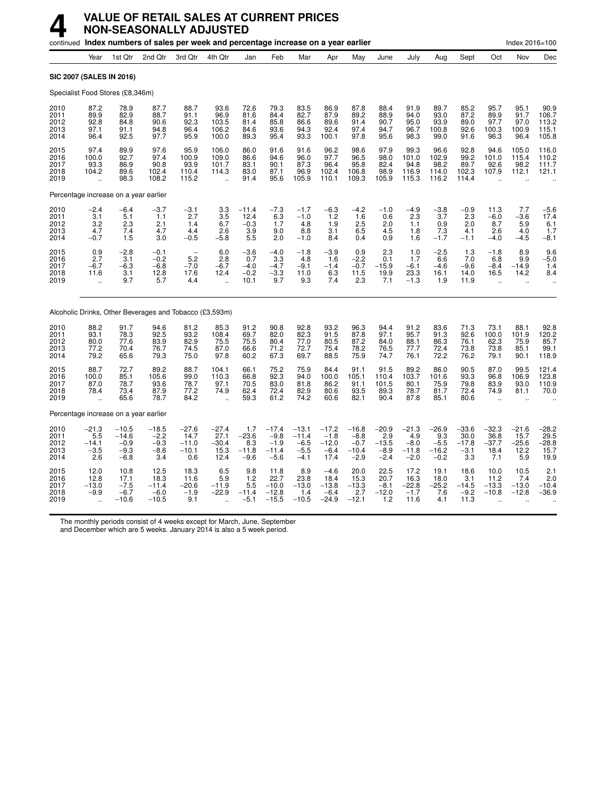|                                       |                                                       |                                                  | continued Index numbers of sales per week and percentage increase on a year earlier |                                              |                                                                   |                                                     |                                                  |                                                  |                                                |                                                  |                                               |                                               |                                                  |                                             |                                                         | Index 2016=100                             |                                               |
|---------------------------------------|-------------------------------------------------------|--------------------------------------------------|-------------------------------------------------------------------------------------|----------------------------------------------|-------------------------------------------------------------------|-----------------------------------------------------|--------------------------------------------------|--------------------------------------------------|------------------------------------------------|--------------------------------------------------|-----------------------------------------------|-----------------------------------------------|--------------------------------------------------|---------------------------------------------|---------------------------------------------------------|--------------------------------------------|-----------------------------------------------|
|                                       | Year                                                  | 1st Qtr                                          | 2nd Qtr                                                                             | 3rd Otr                                      | 4th Qtr                                                           | Jan                                                 | Feb                                              | Mar                                              | Apr                                            | May                                              | June                                          | July                                          | Aug                                              | Sept                                        | Oct                                                     | Nov                                        | Dec                                           |
| <b>SIC 2007 (SALES IN 2016)</b>       |                                                       |                                                  |                                                                                     |                                              |                                                                   |                                                     |                                                  |                                                  |                                                |                                                  |                                               |                                               |                                                  |                                             |                                                         |                                            |                                               |
| Specialist Food Stores (£8,346m)      |                                                       |                                                  |                                                                                     |                                              |                                                                   |                                                     |                                                  |                                                  |                                                |                                                  |                                               |                                               |                                                  |                                             |                                                         |                                            |                                               |
| 2010<br>2011<br>2012<br>2013<br>2014  | 87.2<br>89.9<br>92.8<br>97.1<br>96.4                  | 78.9<br>82.9<br>84.8<br>91.1<br>92.5             | 87.7<br>88.7<br>90.6<br>94.8<br>97.7                                                | 88.7<br>91.1<br>92.3<br>96.4<br>95.9         | 93.6<br>96.9<br>103.5<br>106.2<br>100.0                           | 72.6<br>81.6<br>81.4<br>84.6<br>89.3                | 79.3<br>84.4<br>85.8<br>93.6<br>95.4             | 83.5<br>82.7<br>86.6<br>94.3<br>93.3             | 86.9<br>87.9<br>89.6<br>92.4<br>100.1          | 87.8<br>89.2<br>91.4<br>97.4<br>97.8             | 88.4<br>88.9<br>90.7<br>94.7<br>95.6          | 91.9<br>94.0<br>95.0<br>96.7<br>98.3          | 89.7<br>93.0<br>93.9<br>100.8<br>99.0            | 85.2<br>87.2<br>89.0<br>92.6<br>91.6        | 95.7<br>89.9<br>97.7<br>100.3<br>96.3                   | 95.1<br>91.7<br>97.0<br>100.9<br>96.4      | 90.9<br>106.7<br>113.2<br>115.1<br>105.8      |
| 2015<br>2016<br>2017<br>2018<br>2019  | 97.4<br>100.0<br>93.3<br>104.2                        | 89.9<br>92.7<br>86.9<br>89.6<br>98.3             | 97.6<br>97.4<br>90.8<br>102.4<br>108.2                                              | 95.9<br>100.9<br>93.9<br>110.4<br>115.2      | 106.0<br>109.0<br>101.7<br>114.3<br>$\ddot{\phantom{a}}$          | 86.0<br>86.6<br>83.1<br>83.0<br>91.4                | 91.6<br>94.6<br>90.1<br>87.1<br>95.6             | 91.6<br>96.0<br>87.3<br>96.9<br>105.9            | 96.2<br>97.7<br>96.4<br>102.4<br>110.1         | 98.6<br>96.5<br>95.8<br>106.8<br>109.3           | 97.9<br>98.0<br>82.4<br>98.9<br>105.9         | 99.3<br>101.0<br>94.8<br>116.9<br>115.3       | 96.6<br>102.9<br>98.2<br>114.0<br>116.2          | 92.8<br>99.2<br>89.7<br>102.3<br>114.4      | 94.6<br>101.0<br>92.6<br>107.9                          | 105.0<br>115.4<br>98.2<br>112.1            | 116.0<br>110.2<br>111.7<br>121.1              |
| Percentage increase on a year earlier |                                                       |                                                  |                                                                                     |                                              |                                                                   |                                                     |                                                  |                                                  |                                                |                                                  |                                               |                                               |                                                  |                                             |                                                         |                                            |                                               |
| 2010<br>2011<br>2012<br>2013<br>2014  | $-2.4$<br>3.1<br>3.2<br>4.7<br>$-0.7$                 | $-6.4$<br>5.1<br>2.3<br>7.4<br>1.5               | $-3.7$<br>1.1<br>2.1<br>4.7<br>3.0                                                  | $-3.1$<br>2.7<br>1.4<br>4.4<br>$-0.5$        | $\begin{array}{c} 3.3 \\ 3.5 \\ 6.7 \end{array}$<br>2.6<br>$-5.8$ | $-11.4$<br>12.4<br>$-0.3$<br>3.9<br>5.5             | $-7.3$<br>6.3<br>1.7<br>9.0<br>2.0               | $-1.7$<br>$-1.0$<br>4.8<br>8.8<br>$-1.0$         | $-6.3$<br>1.2<br>1.9<br>3.1<br>8.4             | $-4.2$<br>1.6<br>2.5<br>6.5<br>0.4               | $-1.0$<br>0.6<br>2.0<br>4.5<br>0.9            | $-4.9$<br>2.3<br>1.1<br>1.8<br>1.6            | $-3.8$<br>3.7<br>0.9<br>7.3<br>$-1.\overline{7}$ | $-0.9$<br>2.3<br>2.0<br>4.1<br>$-1.1$       | 11.3<br>$-6.0$<br>8.7<br>2.6<br>$-4.0$                  | 7.7<br>$-3.6$<br>5.9<br>4.0<br>$-4.5$      | $-5.6$<br>17.4<br>6.1<br>1.7<br>$-8.1$        |
| 2015<br>2016<br>2017<br>2018<br>2019  | 0.9<br>2.7<br>$-6.7$<br>11.6<br>$\ddot{\phantom{a}}$  | $-2.8$<br>3.1<br>$-6.3$<br>3.1<br>9.7            | $-0.1$<br>$-0.2$<br>$-6.8$<br>12.8<br>5.7                                           | 5.2<br>$-7.0$<br>17.6<br>4.4                 | 6.0<br>2.8<br>$-6.7$<br>12.4<br>$\ddot{\phantom{a}}$              | $-3.6$<br>0.7<br>$-4.0$<br>$-0.2$<br>10.1           | $-4.0$<br>3.3<br>$-4.7$<br>$-3.3$<br>9.7         | $-1.8$<br>4.8<br>$-9.1$<br>11.0<br>9.3           | $-3.9$<br>1.6<br>$-1.4$<br>6.3<br>7.4          | 0.9<br>$-2.2$<br>$-0.7$<br>11.5<br>2.3           | 2.3<br>0.1<br>$-15.9$<br>19.9<br>7.1          | 1.0<br>1.7<br>$-6.1$<br>23.3<br>$-1.3$        | $-2.5$<br>6.6<br>$-4.6$<br>16.1<br>1.9           | 1.3<br>7.0<br>$-9.6$<br>14.0<br>11.9        | $-1.8$<br>6.8<br>$-8.4$<br>16.5<br>$\ddot{\phantom{a}}$ | 8.9<br>9.9<br>$-14.9$<br>14.2<br>$\ddotsc$ | 9.6<br>$-5.0$<br>1.4<br>8.4                   |
|                                       |                                                       |                                                  | Alcoholic Drinks, Other Beverages and Tobacco (£3,593m)                             |                                              |                                                                   |                                                     |                                                  |                                                  |                                                |                                                  |                                               |                                               |                                                  |                                             |                                                         |                                            |                                               |
| 2010<br>2011<br>2012<br>2013<br>2014  | 88.2<br>93.1<br>80.0<br>77.2<br>79.2                  | 91.7<br>78.3<br>77.6<br>70.4<br>65.6             | 94.6<br>92.5<br>83.9<br>76.7<br>79.3                                                | 81.2<br>93.2<br>82.9<br>74.5<br>75.0         | 85.3<br>108.4<br>75.5<br>87.0<br>97.8                             | 91.2<br>69.7<br>75.5<br>66.6<br>60.2                | 90.8<br>82.0<br>80.4<br>71.2<br>67.3             | 92.8<br>82.3<br>77.0<br>72.7<br>69.7             | 93.2<br>91.5<br>80.5<br>75.4<br>88.5           | 96.3<br>87.8<br>87.2<br>78.2<br>75.9             | 94.4<br>97.1<br>84.0<br>76.5<br>74.7          | 91.2<br>95.7<br>88.1<br>77.7<br>76.1          | 83.6<br>91.3<br>86.3<br>72.4<br>72.2             | 71.3<br>92.6<br>76.1<br>73.8<br>76.2        | 73.1<br>100.0<br>62.3<br>73.8<br>79.1                   | 88.1<br>101.9<br>75.9<br>85.1<br>90.1      | $92.8$<br>120.2<br>85.7<br>99.1<br>118.9      |
| 2015<br>2016<br>2017<br>2018<br>2019  | 88.7<br>100.0<br>87.0<br>78.4<br>$\ddot{\phantom{a}}$ | 72.7<br>85.1<br>78.7<br>73.4<br>65.6             | 89.2<br>105.6<br>93.6<br>87.9<br>78.7                                               | 88.7<br>99.0<br>78.7<br>77.2<br>84.2         | 104.1<br>110.3<br>97.1<br>74.9<br>$\ddot{\phantom{a}}$            | 66.1<br>66.8<br>70.5<br>62.4<br>59.3                | 75.2<br>92.3<br>83.0<br>72.4<br>61.2             | 75.9<br>94.0<br>81.8<br>82.9<br>74.2             | 84.4<br>100.0<br>86.2<br>80.6<br>60.6          | 91.1<br>105.1<br>91.1<br>93.5<br>82.1            | 91.5<br>110.4<br>101.5<br>89.3<br>90.4        | 89.2<br>103.7<br>80.1<br>78.7<br>87.8         | 86.0<br>101.6<br>75.9<br>81.7<br>85.1            | 90.5<br>93.3<br>79.8<br>72.4<br>80.6        | 87.0<br>96.8<br>83.9<br>74.9<br>$\ddot{\phantom{a}}$    | 99.5<br>106.9<br>93.0<br>81.1              | 121.4<br>123.8<br>110.9<br>70.0               |
| Percentage increase on a year earlier |                                                       |                                                  |                                                                                     |                                              |                                                                   |                                                     |                                                  |                                                  |                                                |                                                  |                                               |                                               |                                                  |                                             |                                                         |                                            |                                               |
| 2010<br>2011<br>2012<br>2013<br>2014  | $-21.3$<br>5.5<br>$-14.1$<br>$-3.5$<br>2.6            | $-10.5$<br>$-14.6$<br>$-0.9$<br>$-9.3$<br>$-6.8$ | $-18.5$<br>$-2.2$<br>$-9.3$<br>$-8.6$<br>3.4                                        | $-27.6$<br>14.7<br>$-11.0$<br>$-10.1$<br>0.6 | $-27.4$<br>27.1<br>$-30.4$<br>15.3<br>12.4                        | 1.7<br>$-23.6$<br>8.3<br>$-11.8$<br>$-9.6$          | $-17.4$<br>$-9.8$<br>$-1.9$<br>$-11.4$<br>$-5.6$ | $-13.1$<br>$-11.4$<br>$-6.5$<br>$-5.5$<br>$-4.1$ | $-17.2$<br>$-1.8$<br>$-12.0$<br>$-6.4$<br>17.4 | $-16.8$<br>$-8.8$<br>$-0.7$<br>$-10.4$<br>$-2.9$ | $-20.9$<br>2.9<br>$-13.5$<br>$-8.9$<br>$-2.4$ | $-21.3$<br>4.9<br>$-8.0$<br>$-11.8$<br>$-2.0$ | $-26.9$<br>9.3<br>$-5.5$<br>$-16.2$<br>$-0.2$    | $-33.6$<br>30.0<br>$-17.8$<br>$-3.1$<br>3.3 | $-32.3$<br>36.8<br>$-37.7$<br>18.4<br>7.1               | $-21.6$<br>15.7<br>$-25.6$<br>12.2<br>5.9  | $-28.2$<br>$-29.5$<br>$-28.8$<br>15.7<br>19.9 |
| 2015<br>2016<br>2017<br>2018<br>2019  | 12.0<br>12.8<br>$-13.0$<br>$-9.9$                     | 10.8<br>$17.1 - 7.5$<br>$-6.7$<br>$-10.6$        | 12.5<br>18.3<br>$-11.4$<br>$-6.0$<br>$-10.5$                                        | 18.3<br>11.6<br>$-20.6$<br>$-1.9$<br>9.1     | 6.5<br>5.9<br>$-11.9$<br>$-22.9$                                  | 9.8<br>1.2<br>$5.\overline{5}$<br>$-11.4$<br>$-5.1$ | 11.8<br>22.7<br>$-10.0$<br>$-12.8$<br>$-15.5$    | 8.9<br>23.8<br>$-13.0$<br>1.4<br>$-10.5$         | $-4.6$<br>18.4<br>$-13.8$<br>$-6.4$<br>$-24.9$ | 20.0<br>15.3<br>$-13.3$<br>2.7<br>$-12.1$        | 22.5<br>20.7<br>$-8.1$<br>$-12.0$<br>1.2      | 17.2<br>16.3<br>$-22.8$<br>$-1.7$<br>11.6     | 19.1<br>18.0<br>$-25.2$<br>7.6<br>4.1            | 18.6<br>3.1<br>$-14.5$<br>$-9.2$<br>11.3    | 10.0<br>11.2<br>$-13.3$<br>$-10.8$                      | 10.5<br>7.4<br>$-13.0$<br>$-12.8$          | 2.1<br>2.0<br>$-10.4$<br>$-36.9$              |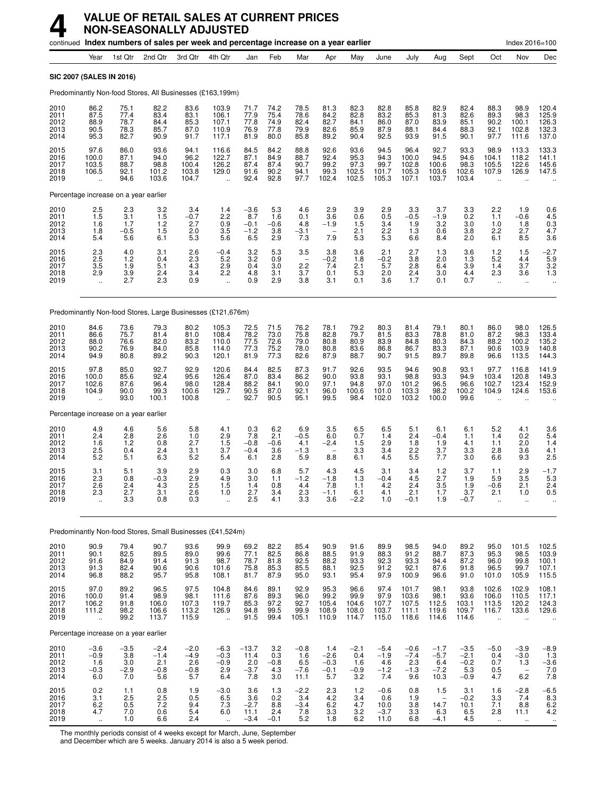|                                      |                                                         |                                       | continued Index numbers of sales per week and percentage increase on a year earlier |                                          |                                                          |                                          |                                      |                                                      |                                                         |                                         |                                                     |                                              |                                                          |                                             |                                                  | Index 2016=100                                           |                                                 |
|--------------------------------------|---------------------------------------------------------|---------------------------------------|-------------------------------------------------------------------------------------|------------------------------------------|----------------------------------------------------------|------------------------------------------|--------------------------------------|------------------------------------------------------|---------------------------------------------------------|-----------------------------------------|-----------------------------------------------------|----------------------------------------------|----------------------------------------------------------|---------------------------------------------|--------------------------------------------------|----------------------------------------------------------|-------------------------------------------------|
|                                      | Year                                                    | 1st Qtr                               | 2nd Qtr                                                                             | 3rd Qtr                                  | 4th Qtr                                                  | Jan                                      | Feb                                  | Mar                                                  | Apr                                                     | May                                     | June                                                | July                                         | Aug                                                      | Sept                                        | Oct                                              | Nov                                                      | Dec                                             |
|                                      | SIC 2007 (SALES IN 2016)                                |                                       |                                                                                     |                                          |                                                          |                                          |                                      |                                                      |                                                         |                                         |                                                     |                                              |                                                          |                                             |                                                  |                                                          |                                                 |
|                                      |                                                         |                                       | Predominantly Non-food Stores, All Businesses (£163,199m)                           |                                          |                                                          |                                          |                                      |                                                      |                                                         |                                         |                                                     |                                              |                                                          |                                             |                                                  |                                                          |                                                 |
| 2010<br>2011<br>2012<br>2013<br>2014 | 86.2<br>87.5<br>88.9<br>90.5<br>95.3                    | 75.1<br>77.4<br>78.7<br>78.3<br>82.7  | 82.2<br>83.4<br>84.4<br>85.7<br>90.9                                                | 83.6<br>83.1<br>85.3<br>87.0<br>91.7     | 103.9<br>106.1<br>107.1<br>110.9<br>117.1                | 71.7<br>77.9<br>77.8<br>76.9<br>81.9     | 74.2<br>75.4<br>74.9<br>77.8<br>80.0 | 78.5<br>78.6<br>82.4<br>79.9<br>85.8                 | 81.3<br>84.2<br>82.7<br>82.6<br>89.2                    | 82.3<br>82.8<br>84.1<br>85.9<br>90.4    | 82.8<br>83.2<br>86.0<br>87.9<br>92.5                | 85.8<br>85.3<br>87.0<br>88.1<br>93.9         | 82.9<br>81.3<br>83.9<br>84.4<br>91.5                     | 82.4<br>82.6<br>85.1<br>88.3<br>90.1        | 88.3<br>89.3<br>90.2<br>92.1<br>97.7             | 98.9<br>98.3<br>100.1<br>102.8<br>111.6                  | 120.4<br>125.9<br>126.3<br>132.3<br>137.0       |
| 2015<br>2016<br>2017<br>2018<br>2019 | 97.6<br>100.0<br>103.5<br>106.5<br>$\ddot{\phantom{a}}$ | 86.0<br>87.1<br>88.7<br>92.1<br>94.6  | 93.6<br>94.0<br>98.8<br>101.2<br>103.6                                              | 94.1<br>96.2<br>100.4<br>103.8<br>104.7  | 116.6<br>122.7<br>126.2<br>129.0<br>$\ddot{\phantom{a}}$ | 84.5<br>87.1<br>87.4<br>91.6<br>92.4     | 84.2<br>84.9<br>87.4<br>90.2<br>92.8 | 88.8<br>88.7<br>90.7<br>94.1<br>97.7                 | 92.6<br>92.4<br>99.2<br>99.3<br>102.4                   | 93.6<br>95.3<br>97.3<br>102.5<br>102.5  | 94.5<br>94.3<br>99.7<br>101.7<br>105.3              | 96.4<br>100.0<br>102.8<br>105.3<br>107.1     | 92.7<br>94.5<br>100.6<br>103.6<br>103.7                  | 93.3<br>94.6<br>98.3<br>102.6<br>103.4      | 98.9<br>104.1<br>105.5<br>107.9                  | 113.3<br>118.2<br>122.6<br>126.9                         | 133.3<br>141.1<br>145.6<br>147.5                |
|                                      |                                                         | Percentage increase on a year earlier |                                                                                     |                                          |                                                          |                                          |                                      |                                                      |                                                         |                                         |                                                     |                                              |                                                          |                                             |                                                  |                                                          |                                                 |
| 2010<br>2011<br>2012<br>2013<br>2014 | $^{2.5}_{1.5}$<br>1.6<br>1.8<br>5.4                     | 2.3<br>3.1<br>1.7<br>$-0.5$<br>5.6    | 3.2<br>1.5<br>$1.2$<br>1.5<br>6.1                                                   | 3.4<br>$-0.7$<br>2.7<br>2.0<br>5.3       | 1.4<br>2.2<br>0.9<br>3.5<br>5.6                          | $-3.6$<br>8.7<br>$-0.1$<br>$-1.2$<br>6.5 | 5.3<br>1.6<br>$-0.6$<br>3.8<br>2.9   | 4.6<br>0.1<br>4.8<br>$-3.1$<br>7.3                   | 2.9<br>3.6<br>$-1.9$<br>7.9                             | 3.9<br>0.6<br>1.5<br>2.1<br>5.3         | 2.9<br>0.5<br>3.4<br>2.2<br>5.3                     | 3.3<br>$-0.5$<br>1.9<br>1.3<br>6.6           | 3.7<br>$-1.9$<br>3.2<br>0.6<br>8.4                       | 3.3<br>0.2<br>3.0<br>3.8<br>2.0             | 2.2<br>1.1<br>1.0<br>2.2<br>6.1                  | 1.9<br>$-0.6$<br>1.8<br>2.7<br>8.5                       | $0.6$<br>4.5<br>$0.3$<br>4.7<br>3.6             |
| 2015<br>2016<br>2017<br>2018<br>2019 | $^{2.3}_{2.5}$<br>3.5<br>2.9<br>$\ddot{\phantom{a}}$    | 4.0<br>1.2<br>1.9<br>3.9<br>2.7       | 3.1<br>0.4<br>5.1<br>2.4<br>2.3                                                     | $^{2.6}_{2.3}$<br>4.3<br>3.4<br>0.9      | $-0.4$<br>5.2<br>2.9<br>2.2<br>$\ddot{\phantom{a}}$      | 3.2<br>3.2<br>0.4<br>4.8<br>0.9          | 5.3<br>0.9<br>3.0<br>3.1<br>2.9      | 3.5<br>$\overline{\phantom{a}}$<br>2.2<br>3.7<br>3.8 | 3.8<br>$-0.2$<br>7.4<br>0.1<br>3.1                      | 3.6<br>1.8<br>2.1<br>5.3<br>0.1         | 2.1<br>$-0.2$<br>5.7<br>2.0<br>3.6                  | 2.7<br>3.8<br>2.8<br>2.4<br>1.7              | 1.3<br>2.0<br>6.4<br>3.0<br>0.1                          | 3.6<br>1.3<br>3.9<br>4.4<br>0.7             | $1.2$<br>5.2<br>1.4<br>2.3<br>ä,                 | 1.5<br>4.4<br>3.7<br>3.6<br>$\ddotsc$                    | $-2.7$<br>5.9<br>3.2<br>$1.\overline{3}$        |
|                                      |                                                         |                                       | Predominantly Non-food Stores, Large Businesses (£121,676m)                         |                                          |                                                          |                                          |                                      |                                                      |                                                         |                                         |                                                     |                                              |                                                          |                                             |                                                  |                                                          |                                                 |
| 2010<br>2011<br>2012<br>2013<br>2014 | 84.6<br>86.6<br>88.0<br>90.2<br>94.9                    | 73.6<br>75.7<br>76.6<br>76.9<br>80.8  | 79.3<br>81.4<br>82.0<br>84.0<br>89.2                                                | 80.2<br>81.0<br>83.2<br>85.8<br>90.3     | 105.3<br>108.4<br>110.0<br>114.0<br>120.1                | 72.5<br>78.2<br>77.5<br>77.3<br>81.9     | 71.5<br>73.0<br>72.6<br>75.2<br>77.3 | 76.2<br>75.8<br>79.0<br>78.0<br>82.6                 | 78.1<br>82.8<br>80.8<br>80.8<br>87.9                    | 79.2<br>79.7<br>80.9<br>83.6<br>88.7    | 80.3<br>81.5<br>83.9<br>86.8<br>90.7                | 81.4<br>83.3<br>84.8<br>86.7<br>91.5         | 79.1<br>78.8<br>80.3<br>83.3<br>89.7                     | 80.1<br>81.0<br>84.3<br>87.1<br>89.8        | 86.0<br>87.2<br>88.2<br>90.6<br>96.6             | 98.0<br>98.3<br>100.2<br>103.9<br>113.5                  | 126.5<br>133.4<br>135.2<br>140.8<br>144.3       |
| 2015<br>2016<br>2017<br>2018<br>2019 | 97.8<br>100.0<br>102.6<br>104.9                         | 85.0<br>85.6<br>87.6<br>90.0<br>93.0  | 92.7<br>92.4<br>96.4<br>99.3<br>100.1                                               | 92.9<br>95.6<br>98.0<br>100.6<br>100.8   | 120.6<br>126.4<br>128.4<br>129.7                         | 84.4<br>87.0<br>88.2<br>90.5<br>92.7     | 82.5<br>83.4<br>84.1<br>87.0<br>90.5 | 87.3<br>86.2<br>90.0<br>92.1<br>95.1                 | 91.7<br>90.0<br>97.1<br>96.0<br>99.5                    | 92.6<br>93.8<br>94.8<br>100.6<br>98.4   | 93.5<br>93.1<br>97.0<br>101.0<br>102.0              | 94.6<br>98.8<br>101.2<br>103.3<br>103.2      | 90.8<br>93.3<br>96.5<br>98.2<br>100.0                    | 93.1<br>94.9<br>96.6<br>100.2<br>99.6       | 97.7<br>103.4<br>102.7<br>104.9                  | 116.8<br>120.8<br>123.4<br>124.6                         | 141.9<br>149.3<br>152.9<br>153.6                |
|                                      |                                                         | Percentage increase on a year earlier |                                                                                     |                                          |                                                          |                                          |                                      |                                                      |                                                         |                                         |                                                     |                                              |                                                          |                                             |                                                  |                                                          |                                                 |
| 2010<br>2011<br>2012<br>2013<br>2014 | 4.9<br>2.4<br>1.6<br>2.5<br>$5.\overline{2}$            | 4.6<br>2.8<br>1.2<br>0.4<br>5.1       | 5.6<br>2.6<br>0.8<br>2.4<br>6.3                                                     | 5.8<br>1.0<br>2.7<br>3.1<br>5.2          | 4.1<br>2.9<br>1.5<br>3.7<br>5.4                          | 0.3<br>7.8<br>$-0.8$<br>$-0.4$<br>6.1    | 6.2<br>2.1<br>$-0.6$<br>3.6<br>2.8   | 6.9<br>$-0.5$<br>4.1<br>$-1.3$<br>5.9                | 3.5<br>6.0<br>$-2.4$<br>$\overline{\phantom{a}}$<br>8.8 | 6.5<br>0.7<br>1.5<br>3.3<br>6.1         | 6.5<br>1.4<br>2.9<br>3.4<br>4.5                     | 5.1<br>2.4<br>1.8<br>2.2<br>5.5              | 6.1<br>$-0.4$<br>1.9<br>3.7<br>7.7                       | 6.1<br>1.1<br>4.1<br>3.3<br>3.0             | 5.2<br>1.4<br>1.1<br>2.8<br>6.6                  | 4.1<br>0.2<br>2.0<br>3.6<br>9.3                          | 3.6<br>$\frac{5.4}{1.4}$<br>4.1<br>2.5          |
| 2015<br>2016<br>2017<br>2018<br>2019 | 3.1<br>2.3<br>2.6<br>2.3                                | 5.1<br>0.8<br>2.4<br>2.7<br>3.3       | 3.9<br>$-0.3$<br>4.3<br>3.1<br>0.8                                                  | 2.9<br>2.9<br>2.5<br>2.6<br>0.3          | 0.3<br>4.9<br>1.5<br>1.0                                 | 3.0<br>3.0<br>1.4<br>$2.7$<br>$2.5$      | 6.8<br>1.1<br>0.8<br>3.4<br>4.1      | 5.7<br>$-1.2$<br>4.4<br>2.3<br>$3.\overline{3}$      | 4.3<br>$-1.8$<br>7.8<br>$-1.1$<br>3.6                   | 4.5<br>1.3<br>1.1<br>6.1<br>$-2.2$      | 3.1<br>$-0.4$<br>4.2<br>4.1<br>1.0                  | 3.4<br>4.5<br>2.4<br>2.1<br>$-0.1$           | 1.2<br>2.7<br>3.5<br>1.7<br>1.9                          | 3.7<br>1.9<br>1.9<br>3.7<br>$-0.7$          | 1.1<br>5.9<br>$-0.6$<br>2.1<br>$\ddotsc$         | 2.9<br>3.5<br>2.1<br>1.0<br>$\ddot{\phantom{a}}$         | $-1.7$<br>5.3<br>2.4<br>0.5                     |
|                                      |                                                         |                                       | Predominantly Non-food Stores, Small Businesses (£41,524m)                          |                                          |                                                          |                                          |                                      |                                                      |                                                         |                                         |                                                     |                                              |                                                          |                                             |                                                  |                                                          |                                                 |
| 2010<br>2011<br>2012<br>2013<br>2014 | 90.9<br>90.1<br>91.6<br>91.3<br>96.8                    | 79.4<br>82.5<br>84.9<br>82.4<br>88.2  | 90.7<br>89.5<br>91.4<br>90.6<br>95.7                                                | 93.6<br>89.0<br>91.3<br>90.6<br>95.8     | 99.9<br>99.6<br>98.7<br>101.6<br>108.1                   | 69.2<br>77.1<br>78.7<br>75.8<br>81.7     | 82.2<br>82.5<br>81.8<br>85.3<br>87.9 | 85.4<br>86.8<br>92.5<br>85.5<br>95.0                 | 90.9<br>88.5<br>88.2<br>88.1<br>93.1                    | 91.6<br>91.9<br>93.3<br>92.5<br>95.4    | 89.9<br>88.3<br>92.3<br>91.2<br>97.9                | 98.5<br>91.2<br>93.3<br>92.1<br>100.9        | 94.0<br>88.7<br>94.4<br>87.6<br>96.6                     | 89.2<br>$\frac{87.3}{87.2}$<br>91.8<br>91.0 | 95.0<br>95.3<br>96.0<br>96.5<br>101.0            | 101.5<br>98.5<br>99.8<br>99.7<br>105.9                   | $102.5$<br>$103.9$<br>$100.1$<br>107.1<br>115.5 |
| 2015<br>2016<br>2017<br>2018<br>2019 | 97.0<br>100.0<br>106.2<br>111.2<br>$\ddot{\phantom{a}}$ | 89.2<br>91.4<br>91.8<br>98.2<br>99.2  | 96.5<br>98.9<br>106.0<br>106.6<br>113.7                                             | 97.5<br>98.1<br>107.3<br>113.2<br>115.9  | 104.8<br>111.6<br>119.7<br>126.9<br>$\ddot{\phantom{a}}$ | 84.6<br>87.6<br>85.3<br>94.8<br>91.5     | 89.1<br>89.3<br>97.2<br>99.5<br>99.4 | 92.9<br>96.0<br>92.7<br>99.9<br>105.1                | 95.3<br>99.2<br>105.4<br>108.9<br>110.9                 | 96.6<br>99.9<br>104.6<br>108.0<br>114.7 | 97.4<br>97.9<br>107.7<br>103.7<br>115.0             | 101.7<br>103.6<br>107.5<br>111.1<br>118.6    | 98.1<br>98.1<br>112.5<br>119.6<br>114.6                  | 93.8<br>93.6<br>103.1<br>109.7<br>114.6     | 102.6<br>106.0<br>113.5<br>116.7<br>$\ddotsc$    | 102.9<br>110.5<br>120.2<br>133.6<br>$\ddot{\phantom{a}}$ | $108.1$<br>$117.1$<br>$124.3$<br>129.6          |
|                                      |                                                         | Percentage increase on a year earlier |                                                                                     |                                          |                                                          |                                          |                                      |                                                      |                                                         |                                         |                                                     |                                              |                                                          |                                             |                                                  |                                                          |                                                 |
| 2010<br>2011<br>2012<br>2013<br>2014 | $-3.6$<br>$-0.9$<br>1.6<br>$-0.3$<br>6.0                | $-3.5$<br>3.8<br>3.0<br>$-2.9$<br>7.0 | $-2.4$<br>$-1.4$<br>2.1<br>$-0.8$<br>5.6                                            | $-2.0$<br>$-4.9$<br>2.6<br>$-0.8$<br>5.7 | $-6.3$<br>$-0.3$<br>$-0.9$<br>2.9<br>6.4                 | $-13.7$<br>11.4<br>2.0<br>$-3.7$<br>7.8  | 3.2<br>0.3<br>$-0.8$<br>4.3<br>3.0   | $-0.8$<br>1.6<br>6.5<br>$-7.6$<br>11.1               | 1.4<br>$-2.6$<br>$-0.3$<br>$-0.1$<br>5.7                | $-2.1$<br>0.4<br>1.6<br>$-0.9$<br>3.2   | $-5.4$<br>$-1.9$<br>4.6<br>$-1.\overline{2}$<br>7.4 | $-0.6$<br>$-7.4$<br>$2.3\,$<br>$-1.3$<br>9.6 | $-1.7$<br>$-5.7$<br>6.4<br>$-7.2$<br>10.3                | $-3.5$<br>$-2.1$<br>$-0.2$<br>5.3<br>$-0.9$ | $-5.0$<br>0.4<br>0.7<br>0.5<br>4.7               | $-3.9$<br>$-3.0$<br>1.3<br>$\qquad \qquad -$<br>6.2      | $-8.9$<br>1.3<br>$-3.6$<br>7.0<br>7.8           |
| 2015<br>2016<br>2017<br>2018<br>2019 | 0.2<br>3.1<br>$6.2$<br>4.7<br>$\sim$                    | 1.1<br>2.5<br>0.5<br>7.0<br>1.0       | 0.8<br>2.5<br>7.2<br>0.6<br>6.6                                                     | 1.9<br>0.5<br>$\frac{9.4}{5.4}$<br>2.4   | $-3.0$<br>6.5<br>$7.3$<br>6.0<br>$\ldots$                | 3.6<br>3.6<br>$-2.7$<br>11.1<br>$-3.4$   | 1.3<br>0.2<br>8.8<br>2.4<br>$-0.1$   | $-2.2$<br>3.4<br>$-3.4$<br>7.8<br>5.2                | 2.3<br>4.2<br>$6.2\,$<br>3.3<br>1.8                     | 1.2<br>3.4<br>4.7<br>3.2<br>6.2         | $-0.6$<br>0.6<br>10.0<br>$-3.7$<br>11.0             | 0.8<br>1.9<br>$3.8\,$<br>3.3<br>6.8          | 1.5<br>$\overline{\phantom{0}}$<br>14.7<br>6.3<br>$-4.1$ | 3.1<br>$-0.2$<br>10.1<br>6.5<br>4.5         | 1.6<br>3.3<br>7.1<br>2.8<br>$\ddot{\phantom{1}}$ | $-2.8$<br>7.4<br>8.8<br>11.1<br>$\ddotsc$                | $-6.5$<br>8.3<br>6.2<br>4.2<br>$\cdot\cdot$     |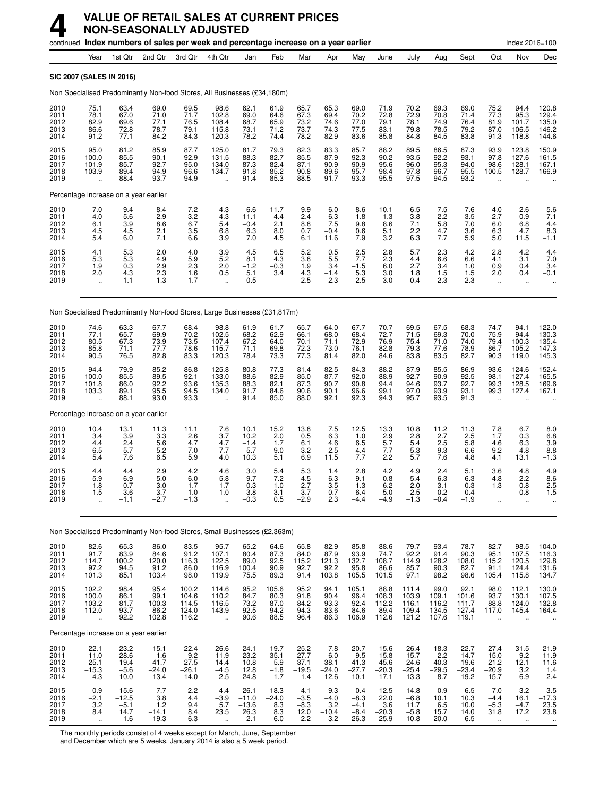## **4 VALUE OF RETAIL SALES AT CURRENT PRICES NON-SEASONALLY ADJUSTED**

|                                      |                                                         |                                              |                                              | continued Index numbers of sales per week and percentage increase on a year earlier |                                                          |                                              |                                            |                                              |                                           |                                              |                                               |                                            |                                             |                                            |                                                  | Index 2016=100                           |                                           |
|--------------------------------------|---------------------------------------------------------|----------------------------------------------|----------------------------------------------|-------------------------------------------------------------------------------------|----------------------------------------------------------|----------------------------------------------|--------------------------------------------|----------------------------------------------|-------------------------------------------|----------------------------------------------|-----------------------------------------------|--------------------------------------------|---------------------------------------------|--------------------------------------------|--------------------------------------------------|------------------------------------------|-------------------------------------------|
|                                      | Year                                                    | 1st Qtr                                      | 2nd Qtr                                      | 3rd Qtr                                                                             | 4th Qtr                                                  | Jan                                          | Feb                                        | Mar                                          | Apr                                       | May                                          | June                                          | July                                       | Aug                                         | Sept                                       | Oct                                              | Nov                                      | Dec                                       |
| <b>SIC 2007 (SALES IN 2016)</b>      |                                                         |                                              |                                              |                                                                                     |                                                          |                                              |                                            |                                              |                                           |                                              |                                               |                                            |                                             |                                            |                                                  |                                          |                                           |
|                                      |                                                         |                                              |                                              | Non Specialised Predominantly Non-food Stores, All Businesses (£34,180m)            |                                                          |                                              |                                            |                                              |                                           |                                              |                                               |                                            |                                             |                                            |                                                  |                                          |                                           |
| 2010<br>2011<br>2012<br>2013<br>2014 | 75.1<br>78.1<br>82.9<br>86.6<br>91.2                    | 63.4<br>67.0<br>69.6<br>72.8<br>77.1         | 69.0<br>71.0<br>77.1<br>78.7<br>84.2         | 69.5<br>71.7<br>76.5<br>79.1<br>84.3                                                | 98.6<br>102.8<br>108.4<br>115.8<br>120.3                 | 62.1<br>69.0<br>68.7<br>73.1<br>78.2         | 61.9<br>64.6<br>65.9<br>71.2<br>74.4       | 65.7<br>67.3<br>73.2<br>73.7<br>78.2         | 65.3<br>69.4<br>74.6<br>74.3<br>82.9      | 69.0<br>70.2<br>77.0<br>77.5<br>83.6         | 71.9<br>72.8<br>79.1<br>83.1<br>85.8          | 70.2<br>72.9<br>78.1<br>79.8<br>84.8       | 69.3<br>70.8<br>74.9<br>78.5<br>84.5        | 69.0<br>71.4<br>76.4<br>79.2<br>83.8       | 75.2<br>77.3<br>81.9<br>87.0<br>91.3             | 94.4<br>95.3<br>101.7<br>106.5<br>118.8  | 120.8<br>129.4<br>135.0<br>146.2<br>144.6 |
| 2015<br>2016<br>2017<br>2018<br>2019 | 95.0<br>100.0<br>101.9<br>103.9<br>$\ddot{\phantom{a}}$ | 81.2<br>85.5<br>85.7<br>89.4<br>88.4         | 85.9<br>90.1<br>92.7<br>94.9<br>93.7         | 87.7<br>92.9<br>95.0<br>96.6<br>94.9                                                | 125.0<br>131.5<br>134.0<br>134.7<br>$\ddot{\phantom{a}}$ | 81.7<br>88.3<br>87.3<br>91.8<br>91.4         | 79.3<br>82.7<br>82.4<br>85.2<br>85.3       | 82.3<br>85.5<br>87.1<br>90.8<br>88.5         | 83.3<br>87.9<br>90.9<br>89.6<br>91.7      | 85.7<br>92.3<br>90.9<br>95.7<br>93.3         | 88.2<br>90.2<br>95.6<br>98.4<br>95.5          | 89.5<br>93.5<br>96.0<br>97.8<br>97.5       | 86.5<br>92.2<br>95.3<br>96.7<br>94.5        | 87.3<br>93.1<br>94.0<br>95.5<br>93.2       | 93.9<br>97.8<br>98.6<br>100.5                    | 123.8<br>127.6<br>128.1<br>128.7         | 150.9<br>161.5<br>167.1<br>166.9          |
|                                      |                                                         | Percentage increase on a year earlier        |                                              |                                                                                     |                                                          |                                              |                                            |                                              |                                           |                                              |                                               |                                            |                                             |                                            |                                                  |                                          |                                           |
| 2010<br>2011<br>2012<br>2013<br>2014 | $7.0$<br>4.0<br>6.1<br>4.5<br>5.4                       | 9.4<br>5.6<br>3.9<br>4.5<br>6.0              | 8.4<br>2.9<br>8.6<br>2.1<br>7.1              | $\frac{7.2}{3.2}$<br>6.7<br>3.5<br>6.6                                              | $^{4.3}_{4.3}$<br>5.4<br>6.8<br>3.9                      | 6.6<br>11.1<br>$-0.4$<br>6.3<br>7.0          | 11.7<br>4.4<br>2.1<br>8.0<br>4.5           | $\frac{9.9}{2.4}$<br>8.8<br>0.7<br>6.1       | 6.0<br>6.3<br>7.5<br>$-0.4$<br>11.6       | 8.6<br>1.8<br>9.8<br>0.6<br>7.9              | 10.1<br>1.3<br>8.6<br>5.1<br>3.2              | 6.5<br>3.8<br>7.1<br>2.2<br>6.3            | $\frac{7.5}{2.2}$<br>5.8<br>4.7<br>7.7      | $\frac{7.6}{3.5}$<br>7.0<br>3.6<br>5.9     | $^{4.0}_{2.7}$<br>6.0<br>6.3<br>5.0              | 2.6<br>0.9<br>6.8<br>4.7<br>11.5         | $\frac{5.6}{7.1}$<br>4.4<br>8.3<br>$-1.1$ |
| 2015<br>2016<br>2017<br>2018<br>2019 | $\frac{4.1}{5.3}$<br>1.9<br>2.0<br>$\ddot{\phantom{a}}$ | $\frac{5.3}{5.3}$<br>0.3<br>4.3<br>$-1.1$    | 2.0<br>4.9<br>2.9<br>2.3<br>$-1.3$           | $\substack{4.0 \\ 5.9}$<br>2.3<br>1.6<br>$-1.7$                                     | $\frac{3.9}{5.2}$<br>2.0<br>0.5                          | 4.5<br>8.1<br>$-1.2$<br>5.1<br>$-0.5$        | $6.5$<br>$4.3$<br>$-0.3$<br>3.4            | 5.2<br>3.8<br>1.9<br>4.3<br>$-2.5$           | 0.5<br>5.5<br>3.4<br>$-1.4$<br>2.3        | $2.5$<br>7.7<br>$-1.5$<br>5.3<br>$-2.5$      | $^{2.8}_{2.3}$<br>6.0<br>3.0<br>$-3.0$        | 5.7<br>4.4<br>2.7<br>1.8<br>$-0.4$         | 2.3<br>6.6<br>3.4<br>1.5<br>$-2.3$          | 4.2<br>6.6<br>1.0<br>1.5<br>$-2.3$         | 2.8<br>4.1<br>0.9<br>2.0<br>$\ddot{\phantom{a}}$ | 4.2<br>3.1<br>0.4<br>0.4<br>ä.           | $\frac{4.4}{7.0}$<br>3.4<br>$-0.1$        |
|                                      |                                                         |                                              |                                              | Non Specialised Predominantly Non-food Stores, Large Businesses (£31,817m)          |                                                          |                                              |                                            |                                              |                                           |                                              |                                               |                                            |                                             |                                            |                                                  |                                          |                                           |
| 2010<br>2011<br>2012<br>2013<br>2014 | 74.6<br>77.1<br>80.5<br>85.8<br>90.5                    | 63.3<br>65.7<br>67.3<br>71.1<br>76.5         | 67.7<br>69.9<br>73.9<br>77.7<br>82.8         | 68.4<br>70.2<br>73.5<br>78.6<br>83.3                                                | 98.8<br>102.5<br>107.4<br>115.7<br>120.3                 | 61.9<br>68.2<br>67.2<br>71.1<br>78.4         | 61.7<br>62.9<br>64.0<br>69.8<br>73.3       | 65.7<br>66.1<br>70.1<br>72.3<br>77.3         | 64.0<br>68.0<br>71.1<br>73.0<br>81.4      | 67.7<br>68.4<br>72.9<br>76.1<br>82.0         | 70.7<br>72.7<br>76.9<br>82.8<br>84.6          | 69.5<br>71.5<br>75.4<br>79.3<br>83.8       | 67.5<br>69.3<br>71.0<br>77.6<br>83.5        | 68.3<br>70.0<br>74.0<br>78.9<br>82.7       | 74.7<br>75.9<br>79.4<br>86.7<br>90.3             | 94.1<br>94.4<br>100.3<br>105.2<br>119.0  | 122.0<br>130.3<br>135.4<br>147.3<br>145.3 |
| 2015<br>2016<br>2017<br>2018<br>2019 | 94.4<br>100.0<br>101.8<br>103.3                         | 79.9<br>85.5<br>86.0<br>89.1<br>88.1         | 85.2<br>89.5<br>92.2<br>95.5<br>93.0         | 86.8<br>92.1<br>93.6<br>94.5<br>93.3                                                | 125.8<br>133.0<br>135.3<br>134.0                         | 80.8<br>88.6<br>88.3<br>91.7<br>91.4         | 77.3<br>82.9<br>82.1<br>84.6<br>85.0       | 81.4<br>85.0<br>87.3<br>90.6<br>88.0         | 82.5<br>87.7<br>90.7<br>90.1<br>92.1      | 84.3<br>92.0<br>90.8<br>96.6<br>92.3         | 88.2<br>88.9<br>94.4<br>99.1<br>94.3          | 87.9<br>92.7<br>94.6<br>97.0<br>95.7       | 85.5<br>90.9<br>93.7<br>93.9<br>93.5        | 86.9<br>92.5<br>92.7<br>93.1<br>91.3       | 93.6<br>98.1<br>99.3<br>99.3                     | 124.6<br>127.4<br>128.5<br>127.4         | 152.4<br>165.5<br>169.6<br>167.1          |
|                                      |                                                         | Percentage increase on a year earlier        |                                              |                                                                                     |                                                          |                                              |                                            |                                              |                                           |                                              |                                               |                                            |                                             |                                            |                                                  |                                          |                                           |
| 2010<br>2011<br>2012<br>2013<br>2014 | 10.4<br>3.4<br>4.4<br>6.5<br>5.4                        | 13.1<br>3.9<br>2.4<br>5.7<br>7.6             | 11.3<br>3.3<br>5.6<br>5.2<br>6.5             | 11.1<br>$^{2.6}_{4.7}$<br>7.0<br>5.9                                                | 7.6<br>3.7<br>4.7<br>7.7<br>4.0                          | 10.1<br>10.2<br>$-1.4$<br>5.7<br>10.3        | 15.2<br>2.0<br>1.7<br>9.0<br>5.1           | 13.8<br>0.5<br>6.1<br>3.2<br>6.9             | 7.5<br>6.3<br>4.6<br>2.5<br>11.5          | 12.5<br>1.0<br>6.5<br>4.4<br>7.7             | 13.3<br>$2.9$<br>5.7<br>7.7<br>2.2            | 10.8<br>2.8<br>5.4<br>5.3<br>5.7           | 11.2<br>2.7<br>2.5<br>9.3<br>7.6            | 11.3<br>2.5<br>5.8<br>6.6<br>4.8           | 7.8<br>1.7<br>4.6<br>9.2<br>4.1                  | 6.7<br>0.3<br>6.3<br>4.8<br>13.1         | 8.0<br>6.8<br>3.9<br>8.8<br>$-1.3$        |
| 2015<br>2016<br>2017<br>2018<br>2019 | 4.4<br>5.9<br>1.8<br>1.5                                | 4.4<br>6.9<br>0.7<br>3.6<br>$-1.1$           | 2.9<br>5.0<br>3.0<br>3.7<br>$-2.7$           | 4.2<br>6.0<br>1.7<br>1.0<br>$-1.3$                                                  | 4.6<br>5.8<br>1.7<br>$-1.0$                              | 3.0<br>9.7<br>$-0.3$<br>3.8<br>$-0.3$        | 5.4<br>7.2<br>$-1.0$<br>3.1<br>0.5         | 5.3<br>4.5<br>2.7<br>3.7<br>$-2.9$           | 1.4<br>6.3<br>3.5<br>-0.7<br>2.3          | 2.8<br>9.1<br>$-1.3$<br>6.4<br>-4.4          | 4.2<br>0.8<br>6.2<br>5.0<br>$-4.9$            | 4.9<br>5.4<br>2.0<br>2.5<br>$-1.3$         | 2.4<br>6.3<br>3.1<br>0.2<br>$-0.4$          | 5.1<br>6.3<br>0.3<br>0.4<br>$-1.9$         | 3.6<br>4.8<br>1.3                                | 4.8<br>2.2<br>0.8<br>$-0.8$              | 4.9<br>8.6<br>2.5<br>$-1.5$               |
|                                      |                                                         |                                              |                                              | Non Specialised Predominantly Non-food Stores, Small Businesses (£2,363m)           |                                                          |                                              |                                            |                                              |                                           |                                              |                                               |                                            |                                             |                                            |                                                  |                                          |                                           |
| 2010<br>2011<br>2012<br>2013<br>2014 | 82.6<br>$91.7$<br>114.7<br>97.2<br>101.3                | 65.3<br>83.9<br>100.2<br>94.5<br>85.1        | 86.0<br>84.6<br>120.0<br>91.2<br>103.4       | 83.5<br>91.2<br>116.3<br>86.0<br>98.0                                               | 95.7<br>107.1<br>122.5<br>116.9<br>119.9                 | 65.2<br>80.4<br>89.0<br>100.4<br>75.5        | 64.6<br>87.3<br>92.5<br>90.9<br>89.3       | 65.8<br>84.0<br>115.2<br>92.7<br>91.4        | 82.9<br>87.9<br>121.3<br>92.2<br>103.8    | 85.8<br>93.9<br>132.7<br>95.8<br>105.5       | 88.6<br>74.7<br>108.7<br>86.6<br>101.5        | 79.7<br>92.2<br>114.9<br>85.7<br>97.1      | 93.4<br>91.4<br>128.2<br>90.3<br>98.2       | 78.7<br>90.3<br>108.0<br>82.7<br>98.6      | 82.7<br>95.1<br>115.2<br>91.1<br>105.4           | 98.5<br>107.5<br>120.5<br>124.4<br>115.8 | 104.0<br>116.3<br>129.8<br>131.6<br>134.7 |
| 2015<br>2016<br>2017<br>2018<br>2019 | 102.2<br>100.0<br>103.2<br>112.0<br>$\ddotsc$           | 98.4<br>86.1<br>81.7<br>93.7<br>92.2         | 95.4<br>99.1<br>100.3<br>86.2<br>102.8       | 100.2<br>104.6<br>114.5<br>124.0<br>116.2                                           | 114.6<br>110.2<br>116.5<br>143.9<br>$\ddot{\phantom{a}}$ | 95.2<br>84.7<br>73.2<br>92.5<br>90.6         | 105.6<br>80.3<br>87.0<br>94.2<br>88.5      | 95.2<br>91.8<br>84.2<br>94.3<br>96.4         | 94.1<br>90.4<br>93.3<br>83.6<br>86.3      | 105.1<br>96.4<br>92.4<br>84.6<br>106.9       | 88.8<br>108.3<br>112.2<br>89.4<br>112.6       | 111.4<br>103.9<br>116.1<br>109.4<br>121.2  | 99.0<br>109.1<br>116.2<br>134.5<br>107.6    | 92.1<br>101.6<br>111.7<br>127.4<br>119.1   | 98.0<br>93.7<br>88.8<br>117.0<br>$\ddotsc$       | 112.1<br>130.1<br>124.0<br>145.4         | 130.0<br>107.5<br>132.8<br>164.4          |
|                                      |                                                         | Percentage increase on a year earlier        |                                              |                                                                                     |                                                          |                                              |                                            |                                              |                                           |                                              |                                               |                                            |                                             |                                            |                                                  |                                          |                                           |
| 2010<br>2011<br>2012<br>2013<br>2014 | $-22.1$<br>11.0<br>25.1<br>$-15.3$<br>4.3               | $-23.2$<br>28.6<br>19.4<br>$-5.6$<br>$-10.0$ | $-15.1$<br>$-1.6$<br>41.7<br>$-24.0$<br>13.4 | $-22.4$<br>9.2<br>27.5<br>$-26.1$<br>14.0                                           | $-26.6$<br>11.9<br>14.4<br>$-4.5$<br>2.5                 | $-24.1$<br>23.2<br>10.8<br>12.8<br>$-24.8$   | $-19.7$<br>35.1<br>5.9<br>$-1.8$<br>$-1.7$ | $-25.2$<br>27.7<br>37.1<br>$-19.5$<br>$-1.4$ | $-7.8$<br>6.0<br>38.1<br>$-24.0$<br>12.6  | $-20.7$<br>9.5<br>41.3<br>$-27.7$<br>10.1    | $-15.6$<br>$-15.8$<br>45.6<br>$-20.3$<br>17.1 | $-26.4$<br>15.7<br>24.6<br>$-25.4$<br>13.3 | $-18.3$<br>$-2.2$<br>40.3<br>$-29.5$<br>8.7 | $-22.7$<br>14.7<br>19.6<br>$-23.4$<br>19.2 | $-27.4$<br>15.0<br>21.2<br>$-20.9$<br>15.7       | $-31.5$<br>9.2<br>12.1<br>3.2<br>$-6.9$  | $-21.9$<br>11.9<br>11.6<br>1.4<br>2.4     |
| 2015<br>2016<br>2017<br>2018<br>2019 | 0.9<br>$-2.1$<br>3.2<br>8.4                             | 15.6<br>$-12.5$<br>$-5.1$<br>14.7<br>$-1.6$  | $-7.7$<br>3.8<br>1.2<br>$-14.1$<br>19.3      | 2.2<br>4.4<br>9.4<br>8.4<br>$-6.3$                                                  | $-4.4$<br>$-3.9$<br>5.7<br>23.5                          | 26.1<br>$-11.0$<br>$-13.6$<br>26.3<br>$-2.1$ | 18.3<br>$-24.0$<br>8.3<br>8.3<br>$-6.0$    | 4.1<br>$-3.5$<br>$-8.3$<br>12.0<br>2.2       | $-9.3$<br>$-4.0$<br>3.2<br>$-10.4$<br>3.2 | $-0.4$<br>$-8.3$<br>$-4.1$<br>$-8.4$<br>26.3 | $-12.5$<br>22.0<br>3.6<br>$-20.3$<br>25.9     | 14.8<br>$-6.8$<br>11.7<br>$-5.8$<br>10.8   | 0.9<br>10.1<br>6.5<br>15.7<br>$-20.0$       | $-6.5$<br>10.3<br>10.0<br>14.0<br>$-6.5$   | $-7.0$<br>$-4.4$<br>$-5.3$<br>31.8               | $-3.2$<br>16.1<br>$-4.7$<br>17.2         | $-3.5$<br>$-17.3$<br>23.5<br>23.8         |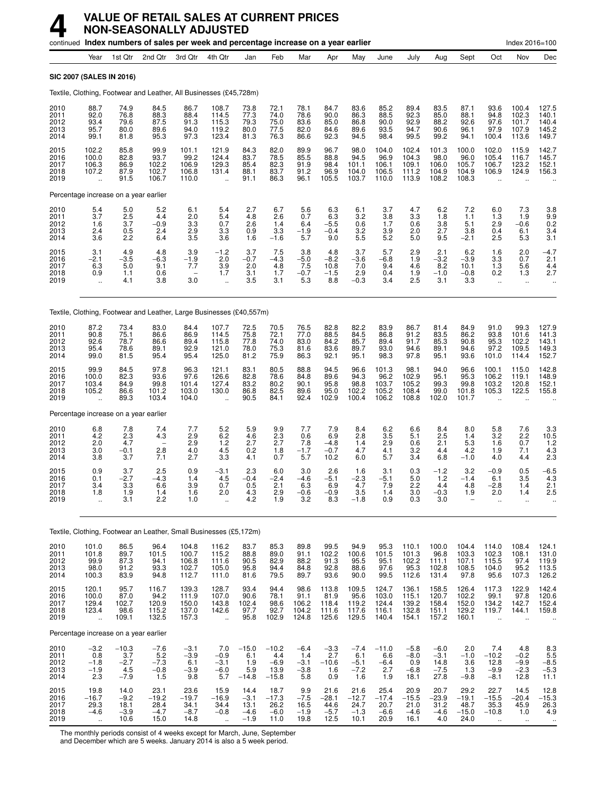|                                      |                                                           |                                           | continued Index numbers of sales per week and percentage increase on a year earlier |                                           |                                                           |                                            |                                             |                                          |                                                    |                                           |                                           |                                           |                                            |                                            |                                                            | Index 2016=100                                   |                                                        |
|--------------------------------------|-----------------------------------------------------------|-------------------------------------------|-------------------------------------------------------------------------------------|-------------------------------------------|-----------------------------------------------------------|--------------------------------------------|---------------------------------------------|------------------------------------------|----------------------------------------------------|-------------------------------------------|-------------------------------------------|-------------------------------------------|--------------------------------------------|--------------------------------------------|------------------------------------------------------------|--------------------------------------------------|--------------------------------------------------------|
|                                      | Year                                                      | 1st Qtr                                   | 2nd Qtr                                                                             | 3rd Otr                                   | 4th Qtr                                                   | Jan                                        | Feb                                         | Mar                                      | Apr                                                | May                                       | June                                      | July                                      | Aug                                        | Sept                                       | Oct                                                        | Nov                                              | Dec                                                    |
|                                      | SIC 2007 (SALES IN 2016)                                  |                                           |                                                                                     |                                           |                                                           |                                            |                                             |                                          |                                                    |                                           |                                           |                                           |                                            |                                            |                                                            |                                                  |                                                        |
|                                      |                                                           |                                           | Textile, Clothing, Footwear and Leather, All Businesses (£45,728m)                  |                                           |                                                           |                                            |                                             |                                          |                                                    |                                           |                                           |                                           |                                            |                                            |                                                            |                                                  |                                                        |
| 2010<br>2011<br>2012<br>2013<br>2014 | 88.7<br>92.0<br>93.4<br>95.7<br>99.1                      | 74.9<br>76.8<br>79.6<br>80.0<br>81.8      | 84.5<br>88.3<br>87.5<br>89.6<br>95.3                                                | 86.7<br>88.4<br>91.3<br>94.0<br>97.3      | 108.7<br>114.5<br>115.3<br>119.2<br>123.4                 | 73.8<br>77.3<br>79.3<br>80.0<br>81.3       | 72.1<br>74.0<br>75.0<br>77.5<br>76.3        | 78.1<br>78.6<br>83.6<br>82.0<br>86.6     | 84.7<br>90.0<br>85.0<br>84.6<br>92.3               | 83.6<br>86.3<br>86.8<br>89.6<br>94.5      | 85.2<br>88.5<br>90.0<br>93.5<br>98.4      | 89.4<br>92.3<br>92.9<br>94.7<br>99.5      | 83.5<br>85.0<br>88.2<br>90.6<br>99.2       | 87.1<br>88.1<br>92.6<br>96.1<br>94.1       | 93.6<br>94.8<br>97.6<br>97.9<br>100.4                      | 100.4<br>102.3<br>101.7<br>107.9<br>113.6        | 127.5<br>140.1<br>140.4<br>145.2<br>149.7              |
| 2015<br>2016<br>2017<br>2018<br>2019 | 102.2<br>100.0<br>106.3<br>107.2                          | 85.8<br>82.8<br>86.9<br>87.9<br>91.5      | 99.9<br>93.7<br>102.2<br>102.7<br>106.7                                             | 101.1<br>99.2<br>106.9<br>106.8<br>110.0  | 121.9<br>124.4<br>129.3<br>131.4                          | 84.3<br>83.7<br>85.4<br>88.1<br>91.1       | 82.0<br>78.5<br>82.3<br>83.7<br>86.3        | 89.9<br>85.5<br>91.9<br>91.2<br>96.1     | 96.7<br>88.8<br>98.4<br>96.9<br>105.5              | 98.0<br>94.5<br>101.1<br>104.0<br>103.7   | 104.0<br>96.9<br>106.1<br>106.5<br>110.0  | 102.4<br>104.3<br>109.1<br>111.2<br>113.9 | 101.3<br>98.0<br>106.0<br>104.9<br>108.2   | 100.0<br>96.0<br>105.7<br>104.9<br>108.3   | 102.0<br>105.4<br>106.7<br>106.9                           | 115.9<br>116.7<br>123.2<br>124.9                 | 142.7<br>145.7<br>152.1<br>156.3                       |
|                                      |                                                           | Percentage increase on a year earlier     |                                                                                     |                                           |                                                           |                                            |                                             |                                          |                                                    |                                           |                                           |                                           |                                            |                                            |                                                            |                                                  |                                                        |
| 2010<br>2011<br>2012<br>2013<br>2014 | $\frac{5.4}{3.7}$<br>1.6<br>2.4<br>3.6                    | 5.0<br>2.5<br>3.7<br>0.5<br>2.2           | 5.2<br>4.4<br>$-0.9$<br>2.4<br>6.4                                                  | 6.1<br>2.0<br>3.3<br>$\frac{2.9}{3.5}$    | 5.4<br>5.4<br>0.7<br>3.3<br>3.6                           | 2.7<br>4.8<br>2.6<br>0.9<br>1.6            | 6.7<br>2.6<br>1.4<br>3.3<br>$-1.6$          | 5.6<br>0.7<br>6.4<br>$-1.9$<br>5.7       | 6.3<br>6.3<br>$-5.5$<br>$-0.4$<br>9.0              | 6.1<br>3.2<br>0.6<br>3.2<br>5.5           | 3.7<br>3.8<br>1.7<br>3.9<br>5.2           | 4.7<br>3.3<br>0.6<br>2.0<br>5.0           | 6.2<br>1.8<br>3.8<br>2.7<br>9.5            | 7.2<br>1.1<br>5.1<br>3.8<br>$-2.1$         | 6.0<br>1.3<br>2.9<br>0.4<br>2.5                            | 7.3<br>1.9<br>$-0.6$<br>6.1<br>5.3               | $3.8$<br>$9.9$<br>0.2<br>3.4<br>3.1                    |
| 2015<br>2016<br>2017<br>2018<br>2019 | 3.1<br>$-2.1$<br>6.3<br>0.9<br>$\ddotsc$                  | 4.9<br>$-3.5$<br>5.0<br>1.1<br>4.1        | 4.8<br>$-6.3$<br>9.1<br>0.6<br>3.8                                                  | 3.9<br>$-1.9$<br>7.7<br>3.0               | $-1.2$<br>2.0<br>3.9<br>1.7<br>$\ddot{\phantom{a}}$       | 3.7<br>$-0.7$<br>2.0<br>3.1<br>3.5         | 7.5<br>$-4.3$<br>4.8<br>1.7<br>3.1          | 3.8<br>$-5.0$<br>7.5<br>$-0.7$<br>5.3    | 4.8<br>$-8.2$<br>10.8<br>$-1.5$<br>8.8             | 3.7<br>-3.6<br>7.0<br>2.9<br>$-0.3$       | 5.7<br>$-6.8$<br>9.4<br>0.4<br>3.4        | 2.9<br>1.9<br>4.6<br>1.9<br>2.5           | 2.1<br>$-3.2$<br>8.2<br>$-1.0$<br>3.1      | 6.2<br>$-3.9$<br>10.1<br>$-0.8$<br>3.3     | 1.6<br>3.3<br>1.3<br>0.2<br>$\ddot{\phantom{1}}$           | 2.0<br>0.7<br>5.6<br>1.3<br>$\ldots$             | $-4.7$<br>2.1<br>4.4<br>2.7                            |
|                                      |                                                           |                                           | Textile, Clothing, Footwear and Leather, Large Businesses (£40,557m)                |                                           |                                                           |                                            |                                             |                                          |                                                    |                                           |                                           |                                           |                                            |                                            |                                                            |                                                  |                                                        |
| 2010<br>2011<br>2012<br>2013<br>2014 | 87.2<br>90.8<br>92.6<br>95.4<br>99.0                      | 73.4<br>75.1<br>78.7<br>78.6<br>81.5      | 83.0<br>86.6<br>86.6<br>89.1<br>95.4                                                | 84.4<br>86.9<br>89.4<br>92.9<br>95.4      | 107.7<br>114.5<br>115.8<br>121.0<br>125.0                 | 72.5<br>75.8<br>77.8<br>78.0<br>81.2       | 70.5<br>72.1<br>74.0<br>75.3<br>75.9        | 76.5<br>77.0<br>83.0<br>81.6<br>86.3     | 82.8<br>88.5<br>84.2<br>83.6<br>92.1               | 82.2<br>84.5<br>85.7<br>89.7<br>95.1      | 83.9<br>86.8<br>89.4<br>93.0<br>98.3      | 86.7<br>91.2<br>91.7<br>94.6<br>97.8      | 81.4<br>83.5<br>85.3<br>89.1<br>95.1       | 84.9<br>86.2<br>90.8<br>94.6<br>93.6       | 91.0<br>93.8<br>95.3<br>97.2<br>101.0                      | 99.3<br>101.6<br>102.2<br>109.5<br>114.4         | 127.9<br>141.3<br>143.1<br>149.3<br>152.7              |
| 2015<br>2016<br>2017<br>2018<br>2019 | 99.9<br>100.0<br>103.4<br>105.2                           | 84.5<br>82.3<br>84.9<br>86.6<br>89.3      | 97.8<br>93.6<br>99.8<br>101.2<br>103.4                                              | 96.3<br>97.6<br>101.4<br>103.0<br>104.0   | 121.1<br>126.6<br>127.4<br>130.0                          | 83.1<br>82.8<br>83.2<br>86.8<br>90.5       | 80.5<br>78.6<br>80.2<br>82.5<br>84.1        | 88.8<br>84.8<br>90.1<br>89.6<br>92.4     | 94.5<br>89.6<br>95.8<br>95.0<br>102.9              | 96.6<br>94.3<br>98.8<br>102.2<br>100.4    | 101.3<br>96.2<br>103.7<br>105.2<br>106.2  | 98.1<br>102.9<br>105.2<br>108.4<br>108.8  | 94.0<br>95.1<br>99.3<br>99.0<br>102.0      | 96.6<br>95.3<br>99.8<br>101.8<br>101.7     | 100.1<br>106.2<br>103.2<br>105.3                           | 115.0<br>119.1<br>120.8<br>122.5                 | 142.8<br>148.9<br>152.1<br>155.8                       |
|                                      |                                                           | Percentage increase on a year earlier     |                                                                                     |                                           |                                                           |                                            |                                             |                                          |                                                    |                                           |                                           |                                           |                                            |                                            |                                                            |                                                  |                                                        |
| 2010<br>2011<br>2012<br>2013<br>2014 | 6.8<br>4.2<br>2.0<br>3.0<br>3.8                           | 7.8<br>2.3<br>4.7<br>$-0.1$<br>3.7        | 7.4<br>4.3<br>$\overline{\phantom{0}}$<br>2.8<br>7.1                                | 7.7<br>2.9<br>2.9<br>4.0<br>2.7           | 5.2<br>$6.2$<br>1.2<br>4.5<br>3.3                         | 5.9<br>4.6<br>2.7<br>0.2<br>4.1            | 9.9<br>2.3<br>2.7<br>1.8<br>0.7             | 7.7<br>0.6<br>7.8<br>$-1.7$<br>5.7       | 7.9<br>6.9<br>$-4.8$<br>$-0.7$<br>10.2             | 8.4<br>2.8<br>1.4<br>4.7<br>6.0           | 6.2<br>3.5<br>2.9<br>4.1<br>5.7           | 6.6<br>5.1<br>0.6<br>3.2<br>3.4           | 8.4<br>2.5<br>2.1<br>4.4<br>6.8            | 8.0<br>1.4<br>5.3<br>4.2<br>$-1.0$         | 5.8<br>$3.2\,$<br>1.6<br>1.9<br>4.0                        | 7.6<br>2.2<br>0.7<br>7.1<br>4.4                  | 3.3<br>10.5<br>1.2<br>$\frac{4.3}{2.3}$                |
| 2015<br>2016<br>2017<br>2018<br>2019 | 0.9<br>0.1<br>3.4<br>1.8<br>ä,                            | 3.7<br>$-2.7$<br>3.3<br>1.9<br>3.1        | 2.5<br>$-4.3$<br>6.6<br>1.4<br>2.2                                                  | 0.9<br>1.4<br>3.9<br>1.6<br>1.0           | $-3.1$<br>4.5<br>0.7<br>2.0                               | 2.3<br>$-0.4$<br>0.5<br>4.3<br>4.2         | 6.0<br>$-2.4$<br>2.1<br>2.9<br>1.9          | 3.0<br>$-4.6$<br>6.3<br>$-0.6$<br>3.2    | 2.6<br>$-5.1$<br>6.9<br>$-0.9$<br>8.3              | 1.6<br>$-2.3$<br>4.7<br>3.5<br>$-1.8$     | 3.1<br>$-5.1$<br>7.9<br>1.4<br>0.9        | 0.3<br>5.0<br>2.2<br>3.0<br>0.3           | $-1.2$<br>$1.2$<br>4.4<br>$-0.3$<br>3.0    | 3.2<br>$-1.4$<br>4.8<br>1.9                | $-0.9$<br>6.1<br>$-2.8$<br>2.0<br>$\ddotsc$                | 0.5<br>3.5<br>1.4<br>1.4<br>$\ddot{\phantom{a}}$ | $-6.5$<br>4.3<br>2.1<br>2.5                            |
|                                      |                                                           |                                           | Textile, Clothing, Footwear an Leather, Small Businesses (£5,172m)                  |                                           |                                                           |                                            |                                             |                                          |                                                    |                                           |                                           |                                           |                                            |                                            |                                                            |                                                  |                                                        |
| 2010<br>2011<br>2012<br>2013<br>2014 | 101.0<br>101.8<br>99.9<br>98.0<br>100.3                   | 86.5<br>89.7<br>87.3<br>91.2<br>83.9      | 96.4<br>101.5<br>94.1<br>93.3<br>94.8                                               | 104.8<br>100.7<br>106.8<br>102.7<br>112.7 | 116.2<br>115.2<br>111.6<br>105.0<br>111.0                 | 83.7<br>88.8<br>90.5<br>95.8<br>81.6       | 85.3<br>89.0<br>82.9<br>94.4<br>79.5        | 89.8<br>91.1<br>88.2<br>84.8<br>89.7     | 99.5<br>102.2<br>$91.\overline{3}$<br>92.8<br>93.6 | 94.9<br>100.6<br>95.5<br>88.6<br>90.0     | 95.3<br>101.5<br>95.1<br>97.6<br>99.5     | 110.1<br>101.3<br>102.2<br>95.3<br>112.6  | 100.0<br>96.8<br>111.1<br>102.8<br>131.4   | 104.4<br>103.3<br>107.1<br>108.5<br>97.8   | 114.0<br>102.3<br>115.5<br>104.0<br>95.6                   | 108.4<br>108.1<br>97.4<br>95.2<br>107.3          | $124.1$<br>$131.0$<br>$119.9$<br>113.5<br>126.2        |
| 2015<br>2016<br>2017<br>2018<br>2019 | 120.1<br>100.0<br>129.4<br>123.4<br>$\ddotsc$             | 95.7<br>87.0<br>102.7<br>98.6<br>109.1    | 116.7<br>$94.2$<br>120.9<br>115.2<br>132.5                                          | 139.3<br>111.9<br>150.0<br>137.0<br>157.3 | 128.7<br>107.0<br>143.8<br>142.6<br>$\ddotsc$             | 93.4<br>90.6<br>102.4<br>97.7<br>95.8      | 94.4<br>78.1<br>98.6<br>92.7<br>102.9       | 98.6<br>91.1<br>106.2<br>104.2<br>124.8  | 113.8<br>81.9<br>118.4<br>111.6<br>125.6           | 109.5<br>95.6<br>119.2<br>117.6<br>129.5  | 124.7<br>103.0<br>124.4<br>116.1<br>140.4 | 136.1<br>115.1<br>139.2<br>132.8<br>154.1 | 158.5<br>120.7<br>158.4<br>151.1<br>157.2  | 126.4<br>102.2<br>152.0<br>129.2<br>160.1  | 117.3<br>99.1<br>134.2<br>119.7<br>$\ddot{\phantom{a}}$    | 122.9<br>97.8<br>142.7<br>144.1                  | 142.4<br>120.6<br>152.4<br>159.8                       |
|                                      |                                                           | Percentage increase on a year earlier     |                                                                                     |                                           |                                                           |                                            |                                             |                                          |                                                    |                                           |                                           |                                           |                                            |                                            |                                                            |                                                  |                                                        |
| 2010<br>2011<br>2012<br>2013<br>2014 | $^{-3.2}_{0.8}$<br>$-1.8$<br>$-1.9$<br>2.3                | $-10.3$<br>3.7<br>$-2.7$<br>4.5<br>$-7.9$ | $-7.6$<br>5.2<br>$-7.3$<br>$-0.8$<br>1.5                                            | $-3.1$<br>$-3.9$<br>6.1<br>$-3.9$<br>9.8  | 7.0<br>$-0.9$<br>$-3.1$<br>$-6.0$<br>5.7                  | $-15.0$<br>6.1<br>1.9<br>5.9<br>$-14.8$    | $-10.2$<br>4.4<br>$-6.9$<br>13.9<br>$-15.8$ | $-6.4$<br>1.4<br>$-3.1$<br>$-3.8$<br>5.8 | $-3.3$<br>2.7<br>$-10.6$<br>1.6<br>0.9             | $-7.4$<br>6.1<br>$-5.1$<br>$-7.2$<br>1.6  | $-11.0$<br>6.6<br>$-6.4$<br>2.7<br>1.9    | $-5.8$<br>$-8.0$<br>0.9<br>$-6.8$<br>18.1 | $-6.0$<br>$-3.1$<br>14.8<br>$-7.5$<br>27.8 | 2.0<br>$-1.0$<br>3.6<br>1.3<br>$-9.8$      | 7.4<br>$-10.2$<br>12.8<br>$-9.9$<br>$-8.1$                 | 4.8<br>$-0.2$<br>$-9.9$<br>$-2.3$<br>12.8        | $8.3$<br>$5.5$<br>$-8.5$<br>$-5.3$<br>11.1             |
| 2015<br>2016<br>2017<br>2018<br>2019 | 19.8<br>$-16.7$<br>29.3<br>$-4.6$<br>$\ddot{\phantom{1}}$ | 14.0<br>$-9.2$<br>18.1<br>$-3.9$<br>10.6  | 23.1<br>$-19.2$<br>28.4<br>$-4.7$<br>15.0                                           | 23.6<br>$-19.7$<br>34.1<br>$-8.7$<br>14.8 | 15.9<br>$-16.9$<br>34.4<br>$-0.8$<br>$\ddot{\phantom{a}}$ | 14.4<br>$-3.1$<br>13.1<br>$-4.6$<br>$-1.9$ | 18.7<br>$-17.3$<br>26.2<br>$-6.0$<br>11.0   | 9.9<br>$-7.5$<br>16.5<br>$-1.9$<br>19.8  | 21.6<br>$-28.1$<br>44.6<br>$-5.7$<br>12.5          | 21.6<br>$-12.7$<br>24.7<br>$-1.3$<br>10.1 | 25.4<br>$-17.4$<br>20.7<br>$-6.6$<br>20.9 | 20.9<br>$-15.5$<br>21.0<br>$-4.6$<br>16.1 | 20.7<br>$-23.9$<br>31.2<br>$-4.6$<br>4.0   | 29.2<br>$-19.1$<br>48.7<br>$-15.0$<br>24.0 | 22.7<br>$-15.5$<br>35.3<br>$-10.8$<br>$\ddot{\phantom{1}}$ | 14.5<br>$-20.4$<br>45.9<br>1.0<br>$\sim$         | 12.8<br>$-15.3$<br>26.3<br>4.9<br>$\ddot{\phantom{1}}$ |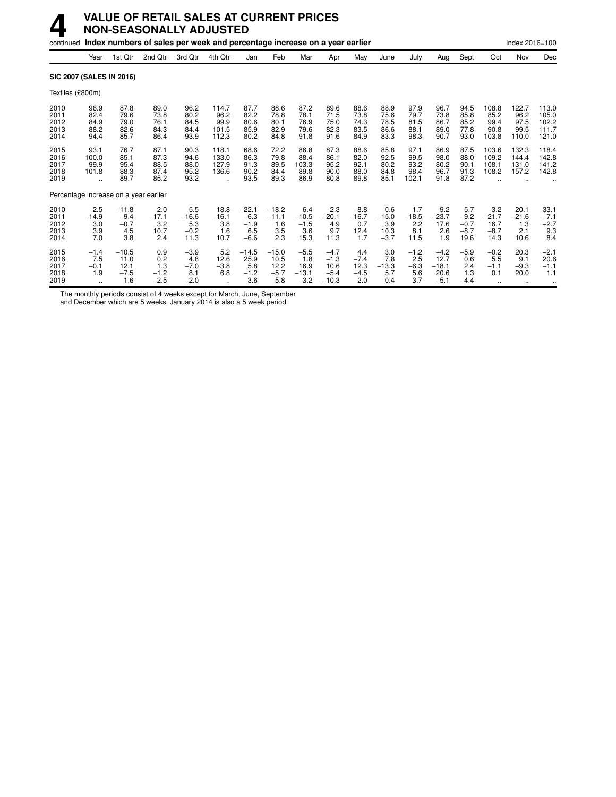|                                       |                                      |                                           | continued Index numbers of sales per week and percentage increase on a year earlier |                                          |                                         |                                              |                                          |                                            |                                               |                                         |                                         |                                       |                                             |                                           |                                          | Index 2016=100                            |                                                         |
|---------------------------------------|--------------------------------------|-------------------------------------------|-------------------------------------------------------------------------------------|------------------------------------------|-----------------------------------------|----------------------------------------------|------------------------------------------|--------------------------------------------|-----------------------------------------------|-----------------------------------------|-----------------------------------------|---------------------------------------|---------------------------------------------|-------------------------------------------|------------------------------------------|-------------------------------------------|---------------------------------------------------------|
|                                       | Year                                 | 1st Qtr                                   | 2nd Qtr                                                                             | 3rd Qtr                                  | 4th Qtr                                 | Jan                                          | Feb                                      | Mar                                        | Apr                                           | May                                     | June                                    | July                                  | Aug                                         | Sept                                      | Oct                                      | Nov                                       | Dec                                                     |
| <b>SIC 2007 (SALES IN 2016)</b>       |                                      |                                           |                                                                                     |                                          |                                         |                                              |                                          |                                            |                                               |                                         |                                         |                                       |                                             |                                           |                                          |                                           |                                                         |
| Textiles (£800m)                      |                                      |                                           |                                                                                     |                                          |                                         |                                              |                                          |                                            |                                               |                                         |                                         |                                       |                                             |                                           |                                          |                                           |                                                         |
| 2010<br>2011<br>2012<br>2013<br>2014  | 96.9<br>82.4<br>84.9<br>88.2<br>94.4 | 87.8<br>79.6<br>79.0<br>82.6<br>85.7      | 89.0<br>73.8<br>76.1<br>84.3<br>86.4                                                | 96.2<br>80.2<br>84.5<br>84.4<br>93.9     | 114.7<br>96.2<br>99.9<br>101.5<br>112.3 | 87.7<br>82.2<br>80.6<br>85.9<br>80.2         | 88.6<br>78.8<br>80.1<br>82.9<br>84.8     | 87.2<br>78.1<br>76.9<br>79.6<br>91.8       | 89.6<br>71.5<br>75.0<br>82.3<br>91.6          | 88.6<br>73.8<br>74.3<br>83.5<br>84.9    | 88.9<br>75.6<br>78.5<br>86.6<br>83.3    | 97.9<br>79.7<br>81.5<br>88.1<br>98.3  | 96.7<br>73.8<br>86.7<br>89.0<br>90.7        | 94.5<br>85.8<br>85.2<br>77.8<br>93.0      | 108.8<br>85.2<br>99.4<br>90.8<br>103.8   | 122.7<br>96.2<br>97.5<br>99.5<br>110.0    | 113.0<br>105.0<br>102.2<br>111.7<br>121.0               |
| 2015<br>2016<br>2017<br>2018<br>2019  | 93.1<br>100.0<br>99.9<br>101.8       | 76.7<br>85.1<br>95.4<br>88.3<br>89.7      | 87.1<br>87.3<br>88.5<br>87.4<br>85.2                                                | 90.3<br>94.6<br>88.0<br>95.2<br>93.2     | 118.1<br>133.0<br>127.9<br>136.6        | 68.6<br>86.3<br>91.3<br>90.2<br>93.5         | 72.2<br>79.8<br>89.5<br>84.4<br>89.3     | 86.8<br>88.4<br>103.3<br>89.8<br>86.9      | 87.3<br>86.1<br>95.2<br>90.0<br>80.8          | 88.6<br>82.0<br>92.1<br>88.0<br>89.8    | 85.8<br>92.5<br>80.2<br>84.8<br>85.1    | 97.1<br>99.5<br>93.2<br>98.4<br>102.1 | 86.9<br>98.0<br>80.2<br>96.7<br>91.8        | 87.5<br>88.0<br>90.1<br>91.3<br>87.2      | 103.6<br>109.2<br>108.1<br>108.2         | 132.3<br>144.4<br>131.0<br>157.2          | 118.4<br>142.8<br>141.2<br>142.8                        |
| Percentage increase on a year earlier |                                      |                                           |                                                                                     |                                          |                                         |                                              |                                          |                                            |                                               |                                         |                                         |                                       |                                             |                                           |                                          |                                           |                                                         |
| 2010<br>2011<br>2012<br>2013<br>2014  | 2.5<br>$-14.9$<br>3.0<br>3.9<br>7.0  | $-11.8$<br>$-9.4$<br>$-0.7$<br>4.5<br>3.8 | $-2.0$<br>$-17.1$<br>3.2<br>10.7<br>2.4                                             | 5.5<br>$-16.6$<br>5.3<br>$-0.2$<br>11.3  | 18.8<br>$-16.1$<br>3.8<br>1.6<br>10.7   | $-22.1$<br>$-6.3$<br>$-1.9$<br>6.5<br>$-6.6$ | $-18.2$<br>$-11.1$<br>1.6<br>3.5<br>2.3  | 6.4<br>$-10.5$<br>$-1.5$<br>3.6<br>15.3    | 2.3<br>$-20.1$<br>4.9<br>9.7<br>11.3          | $-8.8$<br>$-16.7$<br>0.7<br>12.4<br>1.7 | 0.6<br>$-15.0$<br>3.9<br>10.3<br>$-3.7$ | 1.7<br>$-18.5$<br>2.2<br>8.1<br>11.5  | 9.2<br>$-23.7$<br>17.6<br>2.6<br>1.9        | 5.7<br>$-9.2$<br>$-0.7$<br>$-8.7$<br>19.6 | 3.2<br>$-21.7$<br>16.7<br>$-8.7$<br>14.3 | 20.1<br>$-21.6$<br>1.3<br>2.1<br>10.6     | 33.1<br>$-7.1$<br>$-2.7$<br>9.3<br>8.4                  |
| 2015<br>2016<br>2017<br>2018<br>2019  | $-1.4$<br>7.5<br>$-0.1$<br>1.9       | $-10.5$<br>11.0<br>12.1<br>$-7.5$<br>1.6  | 0.9<br>0.2<br>1.3<br>$-1.2$<br>$-2.5$                                               | $-3.9$<br>4.8<br>$-7.0$<br>8.1<br>$-2.0$ | 5.2<br>12.6<br>$-3.8$<br>6.8            | $-14.5$<br>25.9<br>5.8<br>$-1.2$<br>3.6      | $-15.0$<br>10.5<br>12.2<br>$-5.7$<br>5.8 | $-5.5$<br>1.8<br>16.9<br>$-13.1$<br>$-3.2$ | $-4.7$<br>$-1.3$<br>10.6<br>$-5.4$<br>$-10.3$ | 4.4<br>$-7.4$<br>12.3<br>$-4.5$<br>2.0  | 3.0<br>7.8<br>$-13.3$<br>5.7<br>0.4     | $-1.2$<br>2.5<br>$-6.3$<br>5.6<br>3.7 | $-4.2$<br>12.7<br>$-18.1$<br>20.6<br>$-5.1$ | $-5.9$<br>0.6<br>2.4<br>1.3<br>$-4.4$     | $-0.2$<br>5.5<br>$-1.1$<br>0.1           | 20.3<br>9.1<br>$-9.3$<br>20.0<br>$\ldots$ | $-2.1$<br>20.6<br>$-1.1$<br>1.1<br>$\ddot{\phantom{0}}$ |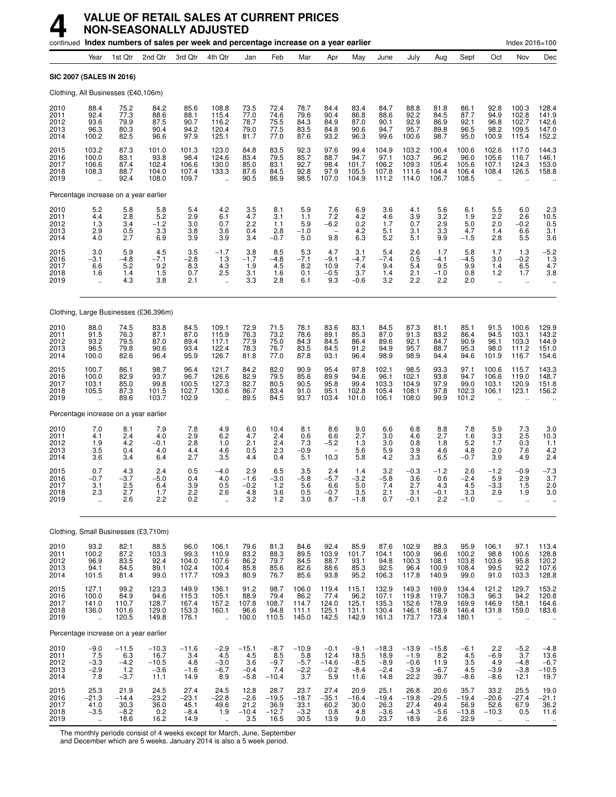|                                      |                                                          |                                           | continued Index numbers of sales per week and percentage increase on a year earlier |                                           |                                                          |                                           |                                            |                                           |                                            |                                            |                                             |                                               |                                           |                                            |                                                  | Index 2016=100                                         |                                                                 |
|--------------------------------------|----------------------------------------------------------|-------------------------------------------|-------------------------------------------------------------------------------------|-------------------------------------------|----------------------------------------------------------|-------------------------------------------|--------------------------------------------|-------------------------------------------|--------------------------------------------|--------------------------------------------|---------------------------------------------|-----------------------------------------------|-------------------------------------------|--------------------------------------------|--------------------------------------------------|--------------------------------------------------------|-----------------------------------------------------------------|
|                                      | Year                                                     | 1st Qtr                                   | 2nd Qtr                                                                             | 3rd Qtr                                   | 4th Qtr                                                  | Jan                                       | Feb                                        | Mar                                       | Apr                                        | May                                        | June                                        | July                                          | Aug                                       | Sept                                       | Oct                                              | Nov                                                    | Dec                                                             |
|                                      | SIC 2007 (SALES IN 2016)                                 |                                           |                                                                                     |                                           |                                                          |                                           |                                            |                                           |                                            |                                            |                                             |                                               |                                           |                                            |                                                  |                                                        |                                                                 |
|                                      |                                                          | Clothing, All Businesses (£40,106m)       |                                                                                     |                                           |                                                          |                                           |                                            |                                           |                                            |                                            |                                             |                                               |                                           |                                            |                                                  |                                                        |                                                                 |
| 2010<br>2011<br>2012<br>2013<br>2014 | 88.4<br>92.4<br>93.6<br>96.3<br>100.2                    | 75.2<br>77.3<br>79.9<br>80.3<br>82.5      | 84.2<br>88.6<br>87.5<br>90.4<br>96.6                                                | 85.6<br>88.1<br>90.7<br>94.2<br>97.9      | 108.8<br>115.4<br>116.2<br>120.4<br>125.1                | 73.5<br>77.0<br>78.7<br>79.0<br>81.7      | 72.4<br>74.6<br>75.5<br>77.5<br>77.0       | 78.7<br>79.6<br>84.3<br>83.5<br>87.6      | 84.4<br>90.4<br>84.9<br>84.8<br>93.2       | 83.4<br>86.8<br>87.0<br>90.6<br>96.3       | 84.7<br>88.6<br>90.1<br>94.7<br>99.6        | 88.8<br>92.2<br>92.9<br>95.7<br>100.6         | 81.8<br>84.5<br>86.9<br>89.8<br>98.7      | 86.1<br>87.7<br>92.1<br>96.5<br>95.0       | 92.8<br>94.9<br>96.8<br>98.2<br>100.9            | 100.3<br>102.8<br>102.7<br>109.5<br>115.4              | 128.4<br>141.9<br>$142.6$<br>$147.0$<br>152.2                   |
| 2015<br>2016<br>2017<br>2018<br>2019 | 103.2<br>100.0<br>106.6<br>108.3<br>$\ddot{\phantom{a}}$ | 87.3<br>83.1<br>87.4<br>88.7<br>92.4      | 101.0<br>93.8<br>102.4<br>104.0<br>108.0                                            | 101.3<br>98.4<br>106.6<br>107.4<br>109.7  | 123.0<br>124.6<br>130.0<br>133.3                         | 84.8<br>83.4<br>85.0<br>87.6<br>90.5      | 83.5<br>79.5<br>83.1<br>84.5<br>86.9       | 92.3<br>85.7<br>92.7<br>92.8<br>98.5      | 97.6<br>88.7<br>98.4<br>97.9<br>107.0      | 99.4<br>94.7<br>101.7<br>105.5<br>104.9    | 104.9<br>97.1<br>106.2<br>107.8<br>111.2    | 103.2<br>103.7<br>109.3<br>111.6<br>114.0     | 100.4<br>96.2<br>105.4<br>104.4<br>106.7  | 100.6<br>96.0<br>105.6<br>106.4<br>108.5   | 102.6<br>105.6<br>107.1<br>108.4                 | 117.0<br>116.7<br>124.3<br>126.5                       | 144.3<br>146.1<br>153.0<br>158.8                                |
|                                      |                                                          | Percentage increase on a year earlier     |                                                                                     |                                           |                                                          |                                           |                                            |                                           |                                            |                                            |                                             |                                               |                                           |                                            |                                                  |                                                        |                                                                 |
| 2010<br>2011<br>2012<br>2013<br>2014 | $\frac{5.2}{4.4}$<br>1.3<br>2.9<br>4.0                   | 5.8<br>2.8<br>3.4<br>0.5<br>2.7           | 5.8<br>5.2<br>$-1.2$<br>3.3<br>6.9                                                  | 5.4<br>2.9<br>3.0<br>3.8<br>3.9           | 4.2<br>6.1<br>0.7<br>3.6<br>3.9                          | $\frac{3.5}{4.7}$<br>2.2<br>0.4<br>3.4    | 8.1<br>3.1<br>1.1<br>2.8<br>$-0.7$         | 5.9<br>1.1<br>5.9<br>$-1.0$<br>5.0        | 7.6<br>7.2<br>$-6.2$<br>9.8                | $6.9$<br>$4.2$<br>0.2<br>4.2<br>6.3        | 3.6<br>4.6<br>1.7<br>5.1<br>5.2             | 4.1<br>$\frac{3.9}{0.7}$<br>3.1<br>5.1        | 5.6<br>$\frac{3.2}{2.9}$<br>3.3<br>9.9    | 6.1<br>1.9<br>5.0<br>4.7<br>$-1.5$         | $\frac{5.5}{2.2}$<br>2.0<br>1.4<br>2.8           | 6.0<br>2.6<br>$-0.2$<br>6.6<br>5.5                     | $\begin{array}{c} 2.3 \\ 10.5 \\ 0.5 \end{array}$<br>3.1<br>3.6 |
| 2015<br>2016<br>2017<br>2018<br>2019 | 3.0<br>$-3.1$<br>6.6<br>1.6<br>÷.                        | 5.9<br>$-4.8$<br>5.2<br>1.4<br>4.3        | 4.5<br>$-7.1$<br>9.2<br>1.5<br>3.8                                                  | 3.5<br>$-2.8$<br>8.3<br>0.7<br>2.1        | $-1.7$<br>1.3<br>4.3<br>2.5<br>$\ddotsc$                 | 3.8<br>$-1.7$<br>1.9<br>3.1<br>3.3        | 8.5<br>$-4.8$<br>4.5<br>1.6<br>2.8         | $\frac{5.3}{-7.1}$<br>8.2<br>0.1<br>6.1   | 4.7<br>$-9.1$<br>10.9<br>$-0.5$<br>9.3     | 3.1<br>$-4.7$<br>7.4<br>3.7<br>$-0.6$      | 5.4<br>$-7.4$<br>9.4<br>1.4<br>3.2          | 2.6<br>0.5<br>5.4<br>2.1<br>2.2               | 1.7<br>$-4.1$<br>9.5<br>$-1.0$<br>2.2     | 5.8<br>$-4.5$<br>9.9<br>0.8<br>2.0         | 1.7<br>3.0<br>1.4<br>1.2<br>$\ddot{\phantom{a}}$ | 1.3<br>$-0.2$<br>6.5<br>1.7<br>$\ddotsc$               | $-5.2$<br>1.3<br>4.7<br>3.8                                     |
|                                      |                                                          |                                           | Clothing, Large Businesses (£36,396m)                                               |                                           |                                                          |                                           |                                            |                                           |                                            |                                            |                                             |                                               |                                           |                                            |                                                  |                                                        |                                                                 |
| 2010<br>2011<br>2012<br>2013<br>2014 | 88.0<br>91.5<br>93.2<br>96.5<br>100.0                    | 74.5<br>76.3<br>79.5<br>79.8<br>82.6      | 83.8<br>87.1<br>87.0<br>90.6<br>96.4                                                | 84.5<br>87.0<br>89.4<br>93.4<br>95.9      | 109.1<br>115.9<br>117.1<br>122.4<br>126.7                | 72.9<br>76.3<br>77.9<br>78.3<br>81.8      | 71.5<br>73.2<br>75.0<br>76.7<br>77.0       | 78.1<br>78.6<br>84.3<br>83.5<br>87.8      | 83.6<br>89.1<br>84.5<br>84.5<br>93.1       | 83.1<br>85.3<br>86.4<br>91.2<br>96.4       | 84.5<br>87.0<br>89.6<br>94.9<br>98.9        | 87.3<br>91.3<br>92.1<br>95.7<br>98.9          | 81.1<br>83.2<br>84.7<br>88.7<br>94.4      | 85.1<br>86.4<br>90.9<br>95.3<br>94.6       | 91.5<br>94.5<br>96.1<br>98.0<br>101.9            | 100.6<br>103.1<br>103.3<br>111.2<br>116.7              | 129.9<br>143.2<br>144.9<br>151.0<br>154.6                       |
| 2015<br>2016<br>2017<br>2018<br>2019 | 100.7<br>100.0<br>103.1<br>105.5                         | 86.1<br>82.9<br>85.0<br>87.3<br>89.6      | 98.7<br>93.7<br>99.8<br>101.5<br>103.7                                              | 96.4<br>96.7<br>100.5<br>102.7<br>102.9   | 121.7<br>126.6<br>127.3<br>130.6                         | 84.2<br>82.9<br>82.7<br>86.7<br>89.5      | 82.0<br>79.5<br>80.5<br>83.4<br>84.5       | 90.9<br>85.6<br>90.5<br>91.0<br>93.7      | 95.4<br>89.9<br>95.8<br>95.1<br>103.4      | 97.8<br>94.6<br>99.4<br>102.8<br>101.0     | 102.1<br>96.1<br>103.3<br>105.4<br>106.1    | 98.5<br>102.1<br>104.9<br>108.1<br>108.0      | 93.3<br>93.8<br>97.9<br>97.8<br>99.9      | 97.1<br>94.7<br>99.0<br>102.3<br>101.2     | 100.6<br>106.6<br>103.1<br>106.1                 | 115.7<br>119.0<br>120.9<br>123.1                       | 143.3<br>148.7<br>151.8<br>156.2                                |
|                                      |                                                          | Percentage increase on a year earlier     |                                                                                     |                                           |                                                          |                                           |                                            |                                           |                                            |                                            |                                             |                                               |                                           |                                            |                                                  |                                                        |                                                                 |
| 2010<br>2011<br>2012<br>2013<br>2014 | 7.0<br>4.1<br>1.9<br>3.5<br>3.6                          | 8.1<br>2.4<br>4.2<br>0.4<br>3.4           | 7.9<br>4.0<br>$-0.1$<br>4.0<br>6.4                                                  | 7.8<br>2.9<br>2.8<br>4.4<br>2.7           | 4.9<br>6.2<br>1.0<br>4.6<br>3.5                          | 6.0<br>4.7<br>2.1<br>0.5<br>4.4           | 10.4<br>2.4<br>2.4<br>2.3<br>0.4           | 8.1<br>0.6<br>7.3<br>$-0.9$<br>5.1        | 8.6<br>6.6<br>$-5.2$<br>10.3               | 9.0<br>2.7<br>1.3<br>5.6<br>5.8            | 6.6<br>3.0<br>3.0<br>5.9<br>4.2             | 6.8<br>4.6<br>0.8<br>3.9<br>3.3               | 8.8<br>2.7<br>1.8<br>4.6<br>6.5           | 7.8<br>1.6<br>5.2<br>4.8<br>$-0.7$         | 5.9<br>3.3<br>1.7<br>2.0<br>3.9                  | 7.3<br>2.5<br>0.3<br>7.6<br>4.9                        | 3.0<br>10.3<br>1.1<br>4.2<br>2.4                                |
| 2015<br>2016<br>2017<br>2018<br>2019 | 0.7<br>$-0.7$<br>3.1<br>2.3                              | 4.3<br>$-3.7$<br>2.5<br>2.1<br>2.6        | 2.4<br>$-5.0$<br>6.4<br>1.7<br>2.2                                                  | 0.5<br>0.4<br>3.9<br>2.2<br>0.2           | $-4.0$<br>4.0<br>0.5<br>2.6                              | 2.9<br>$-1.6$<br>$-0.2$<br>4.8<br>3.2     | 6.5<br>$-3.0$<br>1.2<br>3.6<br>1.2         | 3.5<br>$-5.8$<br>5.6<br>U.5<br>3.0        | 2.4<br>$-5.7$<br>6.6<br>$-0.7$<br>8.7      | 1.4<br>$-3.2$<br>5.0<br>3.5<br>$-1.8$      | 3.2<br>$-5.8$<br>7.4<br>2.1<br>0.7          | $-0.3$<br>3.6<br>2.7<br>3.1<br>$-0.1$         | $-1.2$<br>0.6<br>4.3<br>-0.1<br>2.2       | 2.6<br>$-2.4$<br>4.5<br>3.3<br>$-1.0$      | $-1.2$<br>5.9<br>$-3.3$<br>2.9                   | $-0.9$<br>2.9<br>1.5<br>1.9                            | $-7.3$<br>3.7<br>2.0<br>3.U                                     |
|                                      |                                                          |                                           | Clothing, Small Businesses (£3,710m)                                                |                                           |                                                          |                                           |                                            |                                           |                                            |                                            |                                             |                                               |                                           |                                            |                                                  |                                                        |                                                                 |
| 2010<br>2011<br>2012<br>2013<br>2014 | 93.2<br>100.2<br>96.9<br>94.1<br>101.5                   | 82.1<br>87.2<br>83.5<br>84.5<br>81.4      | 88.5<br>103.3<br>92.4<br>89.1<br>99.0                                               | 96.0<br>99.3<br>104.0<br>102.4<br>117.7   | 106.1<br>110.9<br>107.6<br>100.4<br>109.3                | 79.6<br>83.2<br>86.2<br>85.8<br>80.9      | 81.3<br>88.3<br>79.7<br>85.6<br>76.7       | 84.6<br>89.5<br>84.5<br>82.6<br>85.6      | 92.4<br>103.9<br>88.7<br>88.6<br>93.8      | 85.9<br>101.7<br>93.1<br>85.3<br>95.2      | 87.6<br>104.1<br>94.8<br>92.5<br>106.3      | 102.9<br>100.9<br>100.3<br>96.4<br>117.8      | 89.3<br>96.6<br>108.1<br>100.9<br>140.9   | 95.9<br>100.2<br>103.8<br>108.4<br>99.0    | 106.1<br>98.8<br>103.6<br>99.5<br>91.0           | 97.1<br>100.6<br>95.8<br>92.2<br>103.3                 | 113.4<br>128.8<br>120.2<br>107.6<br>128.8                       |
| 2015<br>2016<br>2017<br>2018<br>2019 | 127.1<br>100.0<br>141.0<br>136.0<br>$\ddotsc$            | 99.2<br>84.9<br>110.7<br>101.6<br>120.5   | 123.3<br>94.6<br>128.7<br>129.0<br>149.8                                            | 149.9<br>115.3<br>167.4<br>153.3<br>176.1 | 136.1<br>105.1<br>157.2<br>160.1<br>$\ddot{\phantom{a}}$ | 91.2<br>88.9<br>107.8<br>96.6<br>100.0    | 98.7<br>79.4<br>108.7<br>94.8<br>110.5     | 106.0<br>86.2<br>114.7<br>111.1<br>145.0  | 119.4<br>77.4<br>124.0<br>125.1<br>142.5   | 115.1<br>96.2<br>125.1<br>131.1<br>142.9   | 132.9<br>107.1<br>135.3<br>130.4<br>161.3   | 149.3<br>119.8<br>152.6<br>146.1<br>173.7     | 169.9<br>119.7<br>178.9<br>168.9<br>173.4 | 134.4<br>108.3<br>169.9<br>146.4<br>180.1  | 121.2<br>96.3<br>146.9<br>131.8                  | 129.7<br>94.2<br>158.1<br>159.0                        | 153.2<br>120.8<br>164.6<br>183.6                                |
|                                      |                                                          | Percentage increase on a year earlier     |                                                                                     |                                           |                                                          |                                           |                                            |                                           |                                            |                                            |                                             |                                               |                                           |                                            |                                                  |                                                        |                                                                 |
| 2010<br>2011<br>2012<br>2013<br>2014 | $-9.0$<br>7.5<br>-3.3<br>$-2.9$<br>7.8                   | $-11.5$<br>6.3<br>$-4.2$<br>$1.2 - 3.7$   | $-10.3$<br>16.7<br>$-10.5$<br>$-3.6$<br>11.1                                        | $-11.6$<br>3.4<br>4.8<br>$-1.6$<br>14.9   | $-2.9$<br>4.5<br>$-3.0$<br>$-6.7$<br>8.9                 | $-15.1$<br>4.5<br>3.6<br>$-0.4$<br>$-5.8$ | $-8.7$<br>8.5<br>$-9.7$<br>7.4<br>$-10.4$  | $-10.9$<br>5.8<br>$-5.7$<br>$-2.2$<br>3.7 | $-0.1$<br>12.4<br>$-14.6$<br>$-0.2$<br>5.9 | $-9.1$<br>18.5<br>$-8.5$<br>$-8.4$<br>11.6 | $-18.3$<br>18.9<br>$-8.9$<br>$-2.4$<br>14.8 | $-13.9$<br>$-1.9$<br>$-0.6$<br>$-3.9$<br>22.2 | $-15.8$<br>8.2<br>11.9<br>$-6.7$<br>39.7  | $-6.1$<br>4.5<br>3.5<br>4.5<br>$-8.6$      | 2.2<br>$-6.9$<br>4.9<br>$-3.9$<br>$-8.6$         | $-5.2$<br>3.7<br>$-4.8$<br>$-3.8$<br>12.1              | $-4.8$<br>13.6<br>$-6.7$<br>$-10.5$<br>19.7                     |
| 2015<br>2016<br>2017<br>2018<br>2019 | 25.3<br>$-21.3$<br>41.0<br>$-3.5$<br>à.                  | 21.9<br>$-14.4$<br>30.3<br>$-8.2$<br>18.6 | 24.5<br>$-23.2$<br>36.0<br>0.2<br>16.2                                              | 27.4<br>$-23.1$<br>45.1<br>$-8.4$<br>14.9 | 24.5<br>$-22.8$<br>49.6<br>1.9                           | 12.8<br>$-2.6$<br>21.2<br>$-10.4$<br>3.5  | 28.7<br>$-19.5$<br>36.9<br>$-12.7$<br>16.5 | 23.7<br>$-18.7$<br>33.1<br>$-3.2$<br>30.5 | 27.4<br>$-35.1$<br>60.2<br>0.8<br>13.9     | 20.9<br>$-16.4$<br>30.0<br>4.8<br>9.0      | 25.1<br>$-19.4$<br>26.3<br>$-3.6$<br>23.7   | 26.8<br>$-19.8$<br>27.4<br>$-4.3$<br>18.9     | 20.6<br>$-29.5$<br>49.4<br>$-5.6$<br>2.6  | 35.7<br>$-19.4$<br>56.9<br>$-13.8$<br>22.9 | 33.2<br>$-20.6$<br>52.6<br>$-10.3$               | 25.5<br>$-27.4$<br>67.9<br>0.5<br>$\ddot{\phantom{a}}$ | 19.0<br>$-21.1$<br>36.2<br>11.6                                 |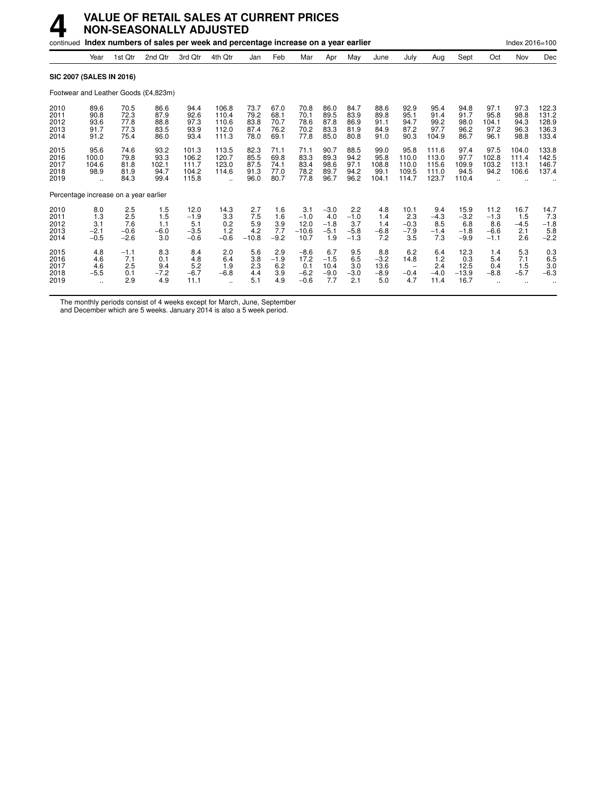## **4 VALUE OF RETAIL SALES AT CURRENT PRICES NON-SEASONALLY ADJUSTED**

|                                       |                                                     |                                       | continued Index numbers of sales per week and percentage increase on a year earlier |                                           |                                               |                                      |                                      |                                           |                                          |                                          |                                        |                                          |                                           |                                           |                                           | Index 2016=100                       |                                             |
|---------------------------------------|-----------------------------------------------------|---------------------------------------|-------------------------------------------------------------------------------------|-------------------------------------------|-----------------------------------------------|--------------------------------------|--------------------------------------|-------------------------------------------|------------------------------------------|------------------------------------------|----------------------------------------|------------------------------------------|-------------------------------------------|-------------------------------------------|-------------------------------------------|--------------------------------------|---------------------------------------------|
|                                       | Year                                                | 1st Qtr                               | 2nd Qtr                                                                             | 3rd Qtr                                   | 4th Qtr                                       | Jan                                  | Feb                                  | Mar                                       | Apr                                      | May                                      | June                                   | July                                     | Aug                                       | Sept                                      | Oct                                       | Nov                                  | Dec                                         |
| SIC 2007 (SALES IN 2016)              |                                                     |                                       |                                                                                     |                                           |                                               |                                      |                                      |                                           |                                          |                                          |                                        |                                          |                                           |                                           |                                           |                                      |                                             |
|                                       |                                                     |                                       | Footwear and Leather Goods (£4,823m)                                                |                                           |                                               |                                      |                                      |                                           |                                          |                                          |                                        |                                          |                                           |                                           |                                           |                                      |                                             |
| 2010<br>2011<br>2012<br>2013<br>2014  | 89.6<br>90.8<br>93.6<br>91.7<br>91.2                | 70.5<br>72.3<br>77.8<br>77.3<br>75.4  | 86.6<br>87.9<br>88.8<br>83.5<br>86.0                                                | 94.4<br>92.6<br>97.3<br>93.9<br>93.4      | 106.8<br>110.4<br>110.6<br>112.0<br>111.3     | 73.7<br>79.2<br>83.8<br>87.4<br>78.0 | 67.0<br>68.1<br>70.7<br>76.2<br>69.1 | 70.8<br>70.1<br>78.6<br>70.2<br>77.8      | 86.0<br>89.5<br>87.8<br>83.3<br>85.0     | 84.7<br>83.9<br>86.9<br>81.9<br>80.8     | 88.6<br>89.8<br>91.1<br>84.9<br>91.0   | 92.9<br>95.1<br>94.7<br>87.2<br>90.3     | 95.4<br>91.4<br>99.2<br>97.7<br>104.9     | 94.8<br>91.7<br>98.0<br>96.2<br>86.7      | 97.1<br>95.8<br>104.1<br>97.2<br>96.1     | 97.3<br>98.8<br>94.3<br>96.3<br>98.8 | 122.3<br>131.2<br>128.9<br>136.3<br>133.4   |
| 2015<br>2016<br>2017<br>2018<br>2019  | 95.6<br>100.0<br>104.6<br>98.9<br>                  | 74.6<br>79.8<br>81.8<br>81.9<br>84.3  | 93.2<br>93.3<br>102.1<br>94.7<br>99.4                                               | 101.3<br>106.2<br>111.7<br>104.2<br>115.8 | 113.5<br>120.7<br>123.0<br>114.6<br>$\ddotsc$ | 82.3<br>85.5<br>87.5<br>91.3<br>96.0 | 71.1<br>69.8<br>74.1<br>77.0<br>80.7 | 71.1<br>83.3<br>83.4<br>78.2<br>77.8      | 90.7<br>89.3<br>98.6<br>89.7<br>96.7     | 88.5<br>94.2<br>97.1<br>94.2<br>96.2     | 99.0<br>95.8<br>108.8<br>99.1<br>104.1 | 95.8<br>110.0<br>110.0<br>109.5<br>114.7 | 111.6<br>113.0<br>115.6<br>111.0<br>123.7 | 97.4<br>97.7<br>109.9<br>94.5<br>110.4    | 97.5<br>102.8<br>103.2<br>94.2            | 104.0<br>111.4<br>113.1<br>106.6     | 133.8<br>142.5<br>146.7<br>137.4            |
| Percentage increase on a year earlier |                                                     |                                       |                                                                                     |                                           |                                               |                                      |                                      |                                           |                                          |                                          |                                        |                                          |                                           |                                           |                                           |                                      |                                             |
| 2010<br>2011<br>2012<br>2013<br>2014  | 8.0<br>1.3<br>3.1<br>$-2.1$<br>$-0.5$               | 2.5<br>2.5<br>7.6<br>$-0.6$<br>$-2.6$ | 1.5<br>1.5<br>1.1<br>$-6.0$<br>3.0                                                  | 12.0<br>$-1.9$<br>5.1<br>$-3.5$<br>$-0.6$ | 14.3<br>3.3<br>0.2<br>1.2<br>$-0.6$           | 2.7<br>7.5<br>5.9<br>4.2<br>$-10.8$  | 1.6<br>1.6<br>3.9<br>7.7<br>$-9.2$   | 3.1<br>$-1.0$<br>12.0<br>$-10.6$<br>10.7  | $-3.0$<br>4.0<br>$-1.8$<br>$-5.1$<br>1.9 | 2.2<br>$-1.0$<br>3.7<br>$-5.8$<br>$-1.3$ | 4.8<br>1.4<br>1.4<br>$-6.8$<br>7.2     | 10.1<br>2.3<br>$-0.3$<br>$-7.9$<br>3.5   | 9.4<br>$-4.3$<br>8.5<br>$-1.4$<br>7.3     | 15.9<br>$-3.2$<br>6.8<br>$-1.8$<br>$-9.9$ | 11.2<br>$-1.3$<br>8.6<br>$-6.6$<br>$-1.1$ | 16.7<br>1.5<br>$-4.5$<br>2.1<br>2.6  | 14.7<br>7.3<br>$-1.8$<br>$\frac{5.8}{-2.2}$ |
| 2015<br>2016<br>2017<br>2018<br>2019  | 4.8<br>4.6<br>4.6<br>$-5.5$<br>$\ddot{\phantom{0}}$ | $-1.1$<br>7.1<br>2.5<br>0.1<br>2.9    | 8.3<br>0.1<br>9.4<br>$-7.2$<br>4.9                                                  | 8.4<br>4.8<br>5.2<br>$-6.7$<br>11.1       | 2.0<br>6.4<br>1.9<br>$-6.8$<br>$\ddotsc$      | 5.6<br>3.8<br>2.3<br>4.4<br>5.1      | 2.9<br>$-1.9$<br>6.2<br>3.9<br>4.9   | $-8.6$<br>17.2<br>0.1<br>$-6.2$<br>$-0.6$ | 6.7<br>$-1.5$<br>10.4<br>$-9.0$<br>7.7   | 9.5<br>6.5<br>3.0<br>$-3.0$<br>2.1       | 8.8<br>$-3.2$<br>13.6<br>$-8.9$<br>5.0 | 6.2<br>14.8<br>$-0.4$<br>4.7             | 6.4<br>1.2<br>2.4<br>$-4.0$<br>11.4       | 12.3<br>0.3<br>12.5<br>$-13.9$<br>16.7    | 1.4<br>5.4<br>0.4<br>$-8.8$               | 5.3<br>7.1<br>1.5<br>$-5.7$          | 0.3<br>6.5<br>3.0<br>$-6.3$                 |

The monthly periods consist of 4 weeks except for March, June, September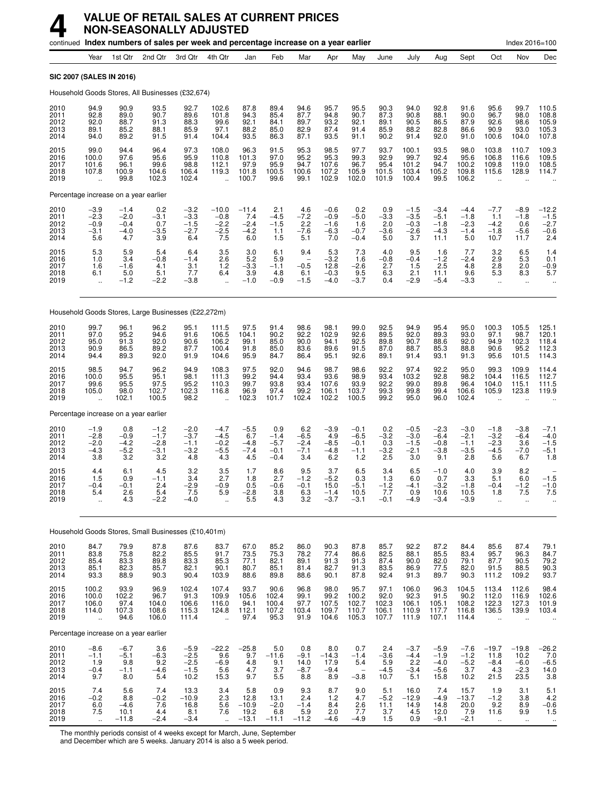|                                      |                                                  | continued Index numbers of sales per week and percentage increase on a year earlier |                                             |                                              |                                                          |                                               |                                             |                                          |                                             |                                             |                                                 |                                                                         |                                              |                                                 |                                                      | Index 2016=100                              |                                              |
|--------------------------------------|--------------------------------------------------|-------------------------------------------------------------------------------------|---------------------------------------------|----------------------------------------------|----------------------------------------------------------|-----------------------------------------------|---------------------------------------------|------------------------------------------|---------------------------------------------|---------------------------------------------|-------------------------------------------------|-------------------------------------------------------------------------|----------------------------------------------|-------------------------------------------------|------------------------------------------------------|---------------------------------------------|----------------------------------------------|
|                                      | Year                                             | 1st Qtr                                                                             | 2nd Qtr                                     | 3rd Qtr                                      | 4th Qtr                                                  | Jan                                           | Feb                                         | Mar                                      | Apr                                         | May                                         | June                                            | July                                                                    | Aug                                          | Sept                                            | Oct                                                  | Nov                                         | Dec                                          |
|                                      |                                                  | <b>SIC 2007 (SALES IN 2016)</b>                                                     |                                             |                                              |                                                          |                                               |                                             |                                          |                                             |                                             |                                                 |                                                                         |                                              |                                                 |                                                      |                                             |                                              |
|                                      |                                                  | Household Goods Stores, All Businesses (£32,674)                                    |                                             |                                              |                                                          |                                               |                                             |                                          |                                             |                                             |                                                 |                                                                         |                                              |                                                 |                                                      |                                             |                                              |
| 2010<br>2011<br>2012<br>2013<br>2014 | 94.9<br>92.8<br>92.0<br>89.1<br>94.0             | 90.9<br>89.0<br>88.7<br>85.2<br>89.2                                                | 93.5<br>90.7<br>91.3<br>88.1<br>91.5        | 92.7<br>89.6<br>88.3<br>85.9<br>91.4         | 102.6<br>101.8<br>99.6<br>97.1<br>104.4                  | 87.8<br>94.3<br>92.1<br>88.2<br>93.5          | 89.4<br>85.4<br>84.1<br>85.0<br>86.3        | 94.6<br>87.7<br>89.7<br>82.9<br>87.1     | 95.7<br>94.8<br>93.2<br>87.4<br>93.5        | 95.5<br>90.7<br>92.1<br>91.4<br>91.1        | 90.3<br>87.3<br>89.1<br>85.9<br>90.2            | 94.0<br>90.8<br>90.5<br>88.2<br>91.4                                    | 92.8<br>88.1<br>86.5<br>82.8<br>92.0         | 91.6<br>90.0<br>87.9<br>86.6<br>91.0            | 95.6<br>96.7<br>92.6<br>90.9<br>100.6                | 99.7<br>98.0<br>98.6<br>93.0<br>104.0       | 110.5<br>108.8<br>105.9<br>105.3<br>107.8    |
| 2015<br>2016<br>2017<br>2018<br>2019 | 99.0<br>100.0<br>101.6<br>107.8                  | 94.4<br>97.6<br>96.1<br>100.9<br>99.8                                               | 96.4<br>95.6<br>99.6<br>104.6<br>102.3      | 97.3<br>95.9<br>98.8<br>106.4<br>102.4       | 108.0<br>110.8<br>112.1<br>119.3                         | 96.3<br>101.3<br>97.9<br>101.8<br>100.7       | 91.5<br>97.0<br>95.9<br>100.5<br>99.6       | 95.3<br>95.2<br>94.7<br>100.6<br>99.1    | 98.5<br>95.3<br>107.6<br>107.2<br>102.9     | 97.7<br>99.3<br>96.7<br>105.9<br>102.0      | 93.7<br>92.9<br>95.4<br>101.5<br>101.9          | 100.1<br>99.7<br>101.2<br>103.4<br>100.4                                | 93.5<br>92.4<br>94.7<br>105.2<br>99.5        | 98.0<br>95.6<br>100.2<br>109.8<br>106.2         | 103.8<br>106.8<br>109.8<br>115.6                     | 110.7<br>116.6<br>119.0<br>128.9            | 109.3<br>109.5<br>108.5<br>114.7             |
|                                      |                                                  | Percentage increase on a year earlier                                               |                                             |                                              |                                                          |                                               |                                             |                                          |                                             |                                             |                                                 |                                                                         |                                              |                                                 |                                                      |                                             |                                              |
| 2010<br>2011<br>2012<br>2013<br>2014 | $-3.9$<br>$-2.3$<br>$-0.9$<br>$-3.1$<br>5.6      | $-1.4$<br>$-2.0$<br>$-0.4$<br>$-4.0$<br>4.7                                         | 0.2<br>-3.1<br>0.7<br>$-3.5$<br>3.9         | $-3.2$<br>$-3.3$<br>$-1.5$<br>$-2.7$<br>6.4  | $-10.0$<br>$-0.8$<br>$-2.2$<br>$-2.5$<br>7.5             | $-11.4$<br>7.4<br>$-2.4$<br>$-4.2$<br>6.0     | 2.1<br>$-4.5$<br>$-1.5$<br>1.1<br>1.5       | 4.6<br>$-7.2$<br>2.2<br>$-7.6$<br>5.1    | $-0.6$<br>$-0.9$<br>$-1.6$<br>$-6.3$<br>7.0 | 0.2<br>$-5.0$<br>1.6<br>$-0.7$<br>$-0.4$    | 0.9<br>$-3.3$<br>2.0<br>$-3.6$<br>5.0           | $-1.5$<br>$-3.5$<br>$-0.3$<br>$-2.6$<br>3.7                             | $-3.4$<br>$-5.1$<br>$-1.8$<br>$-4.3$<br>11.1 | $-4.4$<br>$-1.8$<br>$-2.3$<br>$-1.4$<br>5.0     | $-7.7$<br>1.1<br>$-4.2$<br>$-1.8$<br>10.7            | $-8.9$<br>$-1.8$<br>0.6<br>$-5.6$<br>11.7   | $-12.2$<br>$-1.5$<br>$-2.7$<br>$-0.6$<br>2.4 |
| 2015<br>2016<br>2017<br>2018<br>2019 | 5.3<br>1.0<br>1.6<br>6.1<br>$\ddot{\phantom{a}}$ | 5.9<br>3.4<br>$-1.6$<br>5.0<br>$-1.2$                                               | 5.4<br>$-0.8$<br>4.1<br>5.1<br>$-2.2$       | 6.4<br>$-1.4$<br>3.1<br>7.7<br>$-3.8$        | 3.5<br>2.6<br>1.2<br>6.4<br>$\ddot{\phantom{a}}$         | 3.0<br>5.2<br>$-3.3$<br>3.9<br>$-1.0$         | 6.1<br>5.9<br>$-1.1$<br>4.8<br>$-0.9$       | 9.4<br>$-0.5$<br>6.1<br>$-1.5$           | 5.3<br>$-3.2$<br>12.8<br>$-0.3$<br>$-4.0$   | 7.3<br>1.6<br>$-2.6$<br>$\frac{9.5}{-3.7}$  | 4.0<br>$-0.8$<br>2.7<br>6.3<br>0.4              | 9.5<br>$-0.4$<br>1.5<br>2.1<br>$-2.9$                                   | 1.6<br>$-1.2$<br>2.5<br>11.1<br>$-5.4$       | 7.7<br>$-2.4$<br>4.8<br>9.6<br>$-3.3$           | 3.2<br>2.9<br>2.8<br>5.3<br>$\ddot{\phantom{a}}$     | $6.5$<br>$5.3$<br>2.0<br>8.3<br>$\ddotsc$   | $^{1.4}_{0.1}$<br>$-0.9$<br>5.7              |
|                                      |                                                  | Household Goods Stores, Large Businesses (£22,272m)                                 |                                             |                                              |                                                          |                                               |                                             |                                          |                                             |                                             |                                                 |                                                                         |                                              |                                                 |                                                      |                                             |                                              |
| 2010<br>2011<br>2012<br>2013<br>2014 | 99.7<br>97.0<br>95.0<br>90.9<br>94.4             | 96.1<br>95.2<br>91.3<br>86.5<br>89.3                                                | 96.2<br>94.6<br>92.0<br>89.2<br>92.0        | 95.1<br>91.6<br>90.6<br>87.7<br>91.9         | 111.5<br>106.5<br>106.2<br>100.4<br>104.6                | 97.5<br>104.1<br>99.1<br>91.8<br>95.9         | 91.4<br>90.2<br>85.0<br>85.0<br>84.7        | 98.6<br>92.2<br>90.0<br>83.6<br>86.4     | 98.1<br>102.9<br>94.1<br>89.6<br>95.1       | 99.0<br>92.6<br>92.5<br>91.5<br>92.6        | 92.5<br>89.5<br>89.8<br>87.0<br>89.1            | 94.9<br>92.0<br>90.7<br>88.7<br>91.4                                    | 95.4<br>89.3<br>88.6<br>85.3<br>93.1         | 95.0<br>93.0<br>92.0<br>88.8<br>91.3            | 100.3<br>97.1<br>94.9<br>90.6<br>95.6                | 105.5<br>98.7<br>102.3<br>95.2<br>101.5     | 125.1<br>120.1<br>118.4<br>112.3<br>114.3    |
| 2015<br>2016<br>2017<br>2018<br>2019 | 98.5<br>100.0<br>99.6<br>105.0                   | 94.7<br>95.5<br>95.5<br>98.0<br>102.1                                               | 96.2<br>95.1<br>97.5<br>102.7<br>100.5      | 94.9<br>98.1<br>95.2<br>102.3<br>98.2        | 108.3<br>111.3<br>110.3<br>116.8                         | 97.5<br>99.2<br>99.7<br>96.9<br>102.3         | 92.0<br>94.4<br>93.8<br>97.4<br>101.7       | 94.6<br>93.4<br>93.4<br>99.2<br>102.4    | 98.7<br>93.6<br>107.6<br>106.1<br>102.2     | 98.6<br>98.9<br>93.9<br>103.7<br>100.5      | 92.2<br>93.4<br>92.2<br>99.3<br>99.2            | 97.4<br>103.2<br>99.0<br>99.8<br>95.0                                   | 92.2<br>92.8<br>89.8<br>99.4<br>96.0         | 95.0<br>98.2<br>96.4<br>106.6<br>102.4          | 99.3<br>104.4<br>104.0<br>105.9                      | 109.9<br>116.5<br>115.1<br>123.8            | 114.4<br>112.7<br>111.5<br>119.9             |
|                                      |                                                  | Percentage increase on a year earlier                                               |                                             |                                              |                                                          |                                               |                                             |                                          |                                             |                                             |                                                 |                                                                         |                                              |                                                 |                                                      |                                             |                                              |
| 2010<br>2011<br>2012<br>2013<br>2014 | $-1.9$<br>$-2.8$<br>$-2.0$<br>$-4.3$<br>3.8      | 0.8<br>$-0.9$<br>$-4.2$<br>$-5.2$<br>3.2                                            | $-1.2$<br>$-1.7$<br>$-2.8$<br>$-3.1$<br>3.2 | $-2.0$<br>$-3.7$<br>$-1.1$<br>$-3.2$<br>4.8  | $-4.7$<br>$-4.5$<br>$-0.2$<br>$-5.5$<br>4.3              | $-5.5$<br>6.7<br>$-4.8$<br>$-7.4$<br>4.5      | 0.9<br>$-1.4$<br>$-5.7$<br>$-0.1$<br>$-0.4$ | 6.2<br>$-6.5$<br>$-2.4$<br>$-7.1$<br>3.4 | $-3.9$<br>4.9<br>$-8.5$<br>$-4.8$<br>6.2    | $-0.1$<br>$-6.5$<br>$-0.1$<br>$-1.1$<br>1.2 | 0.2<br>$-3.2$<br>0.3<br>$-3.2$<br>2.5           | $-0.5$<br>$-3.0$<br>$-1.5$<br>$-2.1$<br>3.0                             | $-2.3$<br>$-6.4$<br>$-0.8$<br>$-3.8$<br>9.1  | $-3.0$<br>$-2.1$<br>$-1.1$<br>$-3.5$<br>2.8     | $-1.8$<br>$-3.2$<br>$-2.3$<br>$-4.5$<br>5.6          | $-3.8$<br>$-6.4$<br>3.6<br>$-7.0$<br>6.7    | $-7.1$<br>$-4.0$<br>$-1.5$<br>$-5.1$<br>1.8  |
| 2015<br>2016<br>2017<br>2018<br>2019 | 4.4<br>1.5<br>$-0.4$<br>5.4                      | 6.1<br>0.9<br>$-0.1$<br>2.6<br>$\frac{1}{4}$ .3                                     | 4.5<br>$-1.1$<br>2.4<br>5.4<br>$-2.2$       | 3.2<br>3.4<br>$-2.9$<br>7.5<br>$-4.0$        | 3.5<br>2.7<br>$-0.9$<br>5.9                              | 1.7<br>1.8<br>0.5<br>-2.8<br>$5.\overline{5}$ | 8.6<br>2.7<br>$-0.6$<br>$\frac{3.8}{4.3}$   | 9.5<br>$-1.2$<br>$-0.1$<br>6.3<br>3.2    | 3.7<br>$-5.2$<br>15.0<br>-1.4<br>$-3.7$     | 6.5<br>0.3<br>$-5.1$<br>10.5<br>$-3.1$      | 3.4<br>1.3<br>$-1.2$<br>$\frac{1}{2}$<br>$-0.1$ | 6.5<br>6.0<br>$-4.1$<br>0.9<br>$-4.9$                                   | $-1.0$<br>0.7<br>$-3.2$<br>10.6<br>$-3.4$    | 4.0<br>3.3<br>$-1.8$<br>10.5<br>$-3.9$          | 3.9<br>5.1<br>$-0.4$<br>1.8<br>Ω,                    | 8.2<br>6.0<br>$-1.2$<br>7.5<br>ä.           | $-1.5$<br>$-1.0$<br>7.5                      |
|                                      |                                                  | Household Goods Stores, Small Businesses (£10,401m)                                 |                                             |                                              |                                                          |                                               |                                             |                                          |                                             |                                             |                                                 |                                                                         |                                              |                                                 |                                                      |                                             |                                              |
| 2010<br>2011<br>2012<br>2013<br>2014 | 84.7<br>83.8<br>85.4<br>85.1<br>93.3             | 79.9<br>75.8<br>83.3<br>82.3<br>88.9                                                | 87.8<br>$\frac{82.2}{89.8}$<br>85.7<br>90.3 | 87.6<br>85.5<br>83.3<br>82.1<br>90.4         | 83.7<br>91.7<br>85.3<br>90.1<br>103.9                    | 67.0<br>73.5<br>77.1<br>80.7<br>88.6          | 85.2<br>75.3<br>82.1<br>85.1<br>89.8        | 86.0<br>78.2<br>89.1<br>81.4<br>88.6     | 90.3<br>77.4<br>91.3<br>82.7<br>90.1        | 87.8<br>86.6<br>91.3<br>91.3<br>87.8        | 85.7<br>82.5<br>87.4<br>83.5<br>92.4            | 92.2<br>88.1<br>90.0<br>86.9<br>91.3                                    | 87.2<br>85.5<br>82.0<br>77.5<br>89.7         | 84.4<br>83.4<br>79.1<br>82.0<br>90.3            | 85.6<br>95.7<br>87.7<br>91.5<br>111.2                | 87.4<br>96.3<br>90.5<br>88.5<br>109.2       | 79.1<br>84.7<br>79.2<br>90.3<br>93.7         |
| 2015<br>2016<br>2017<br>2018<br>2019 | 100.2<br>100.0<br>106.0<br>114.0<br>÷.           | 93.9<br>102.2<br>97.4<br>107.3<br>94.6                                              | 96.9<br>96.7<br>104.0<br>108.6<br>106.0     | 102.4<br>91.3<br>106.6<br>115.3<br>111.4     | 107.4<br>109.9<br>116.0<br>124.8<br>$\ddot{\phantom{a}}$ | 93.7<br>105.6<br>94.1<br>112.1<br>97.4        | 90.6<br>102.4<br>100.4<br>107.2<br>95.3     | 96.8<br>99.1<br>97.7<br>103.4<br>91.9    | 98.0<br>99.2<br>107.5<br>109.7<br>104.6     | 95.7<br>100.2<br>102.7<br>110.7<br>105.3    | 97.1<br>92.0<br>102.3<br>106.1<br>107.7         | 106.0<br>$\begin{array}{c} 92.3 \\ 106.1 \end{array}$<br>110.9<br>111.9 | 96.3<br>91.5<br>105.1<br>117.7<br>107.1      | 104.5<br>$\frac{90.2}{108.2}$<br>116.8<br>114.4 | 113.4<br>112.0<br>122.3<br>136.5                     | 112.6<br>116.9<br>127.3<br>139.9            | $98.4$<br>$102.6$<br>$101.9$<br>103.4        |
|                                      |                                                  | Percentage increase on a year earlier                                               |                                             |                                              |                                                          |                                               |                                             |                                          |                                             |                                             |                                                 |                                                                         |                                              |                                                 |                                                      |                                             |                                              |
| 2010<br>2011<br>2012<br>2013<br>2014 | $-8.6$<br>$-1.1$<br>1.9<br>$-0.4$<br>9.7         | $-6.7$<br>$-5.1$<br>9.8<br>$-1.1$<br>8.0                                            | 3.6<br>$-6.3$<br>9.2<br>-4.6<br>5.4         | $-5.9$<br>$-2.5$<br>$-2.5$<br>$-1.5$<br>10.2 | $-22.2$<br>9.6<br>$-6.9$<br>5.6<br>15.3                  | $-25.8$<br>9.7<br>$\frac{4.8}{4.7}$<br>9.7    | 5.0<br>$-11.6$<br>9.1<br>$\frac{3.7}{5.5}$  | 0.8<br>$-9.1$<br>14.0<br>$-8.7$<br>8.8   | 8.0<br>$-14.3$<br>17.9<br>$-9.4$<br>8.9     | 0.7<br>$-1.4$<br>5.4<br>$-3.8$              | 2.4<br>$-3.6$<br>5.9<br>$-4.5$<br>10.7          | $-3.7$<br>$-4.4$<br>2.2<br>$-3.4$<br>5.1                                | $-5.9$<br>$-1.9$<br>$-4.0$<br>$-5.6$<br>15.8 | $-7.6$<br>$-1.2$<br>$-5.2$<br>3.7<br>10.2       | $-19.7$<br>11.8<br>$-8.4$<br>4.3<br>21.5             | $-19.8$<br>10.2<br>$-6.0$<br>$-2.3$<br>23.5 | $-26.2$<br>7.0<br>$-6.5$<br>14.0<br>3.8      |
| 2015<br>2016<br>2017<br>2018<br>2019 | 7.4<br>$-0.2$<br>$6.0$<br>7.5                    | 5.6<br>8.8<br>$-4.6$<br>10.1<br>$-11.8$                                             | 7.4<br>$-0.2$<br>7.6<br>4.4<br>$-2.4$       | 13.3<br>$-10.9$<br>16.8<br>8.1<br>$-3.4$     | 3.4<br>2.3<br>5.6<br>7.6                                 | 5.8<br>12.8<br>$-10.9$<br>19.2<br>$-13.1$     | 0.9<br>13.1<br>$-2.0$<br>6.8<br>$-11.1$     | 9.3<br>2.4<br>$-1.4$<br>5.9<br>$-11.2$   | 8.7<br>1.2<br>8.4<br>2.0<br>$-4.6$          | 9.0<br>4.7<br>$\frac{2.6}{7.7}$<br>$-4.9$   | 5.1<br>$-5.2$<br>11.1<br>3.7<br>1.5             | 16.0<br>$-12.9$<br>14.9<br>4.5<br>0.9                                   | 7.4<br>$-4.9$<br>14.8<br>12.0<br>$-9.1$      | 15.7<br>$-13.7$<br>20.0<br>7.9<br>$-2.1$        | 1.9<br>$-1.2$<br>9.2<br>11.6<br>$\ddot{\phantom{1}}$ | 3.1<br>3.8<br>8.9<br>9.9<br>$\mathbf{u}$    | $5.1$<br>$4.2$<br>$-0.6$<br>$1.5$<br>$\cdot$ |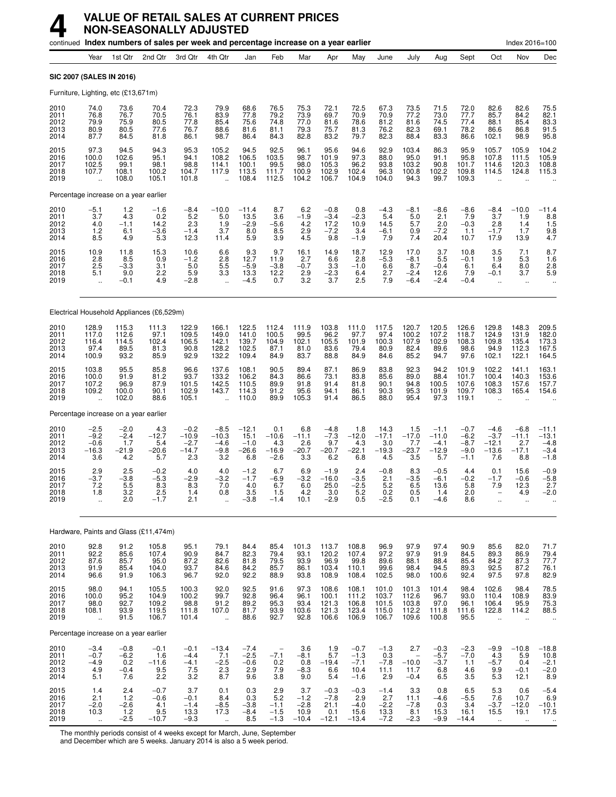|                                      |                                                            |                                           | continued Index numbers of sales per week and percentage increase on a year earlier |                                               |                                                  |                                             |                                            |                                            |                                            |                                              |                                           |                                                       |                                               |                                                |                                               | Index 2016=100                              |                                                  |
|--------------------------------------|------------------------------------------------------------|-------------------------------------------|-------------------------------------------------------------------------------------|-----------------------------------------------|--------------------------------------------------|---------------------------------------------|--------------------------------------------|--------------------------------------------|--------------------------------------------|----------------------------------------------|-------------------------------------------|-------------------------------------------------------|-----------------------------------------------|------------------------------------------------|-----------------------------------------------|---------------------------------------------|--------------------------------------------------|
|                                      | Year                                                       | 1st Qtr                                   | 2nd Qtr                                                                             | 3rd Qtr                                       | 4th Qtr                                          | Jan                                         | Feb                                        | Mar                                        | Apr                                        | May                                          | June                                      | July                                                  | Aug                                           | Sept                                           | Oct                                           | Nov                                         | Dec                                              |
|                                      | SIC 2007 (SALES IN 2016)                                   |                                           |                                                                                     |                                               |                                                  |                                             |                                            |                                            |                                            |                                              |                                           |                                                       |                                               |                                                |                                               |                                             |                                                  |
|                                      | Furniture, Lighting, etc (£13,671m)                        |                                           |                                                                                     |                                               |                                                  |                                             |                                            |                                            |                                            |                                              |                                           |                                                       |                                               |                                                |                                               |                                             |                                                  |
| 2010<br>2011<br>2012<br>2013<br>2014 | 74.0<br>76.8<br>79.9<br>80.9<br>87.7                       | 73.6<br>76.7<br>75.9<br>80.5<br>84.5      | 70.4<br>70.5<br>80.5<br>77.6<br>81.8                                                | 72.3<br>76.1<br>77.8<br>76.7<br>86.1          | 79.9<br>83.9<br>85.4<br>88.6<br>98.7             | 68.6<br>77.8<br>75.6<br>81.6<br>86.4        | 76.5<br>79.2<br>74.8<br>81.1<br>84.3       | 75.3<br>73.9<br>77.0<br>79.3<br>82.8       | 72.1<br>69.7<br>81.6<br>75.7<br>83.2       | 72.5<br>70.9<br>78.6<br>81.3<br>79.7         | 67.3<br>70.9<br>81.2<br>76.2<br>82.3      | 73.5<br>77.2<br>81.6<br>82.3<br>88.4                  | 71.5<br>73.0<br>74.5<br>69.1<br>83.3          | 72.0<br>77.7<br>77.4<br>78.2<br>86.6           | 82.6<br>85.7<br>88.1<br>86.6<br>102.1         | 82.6<br>84.2<br>85.4<br>86.8<br>98.9        | 75.5<br>82.1<br>83.3<br>91.5<br>95.8             |
| 2015<br>2016<br>2017<br>2018<br>2019 | 97.3<br>100.0<br>102.5<br>107.7                            | 94.5<br>102.6<br>99.1<br>108.1<br>108.0   | 94.3<br>95.1<br>98.1<br>100.2<br>105.1                                              | 95.3<br>94.1<br>98.8<br>104.7<br>101.8        | 105.2<br>108.2<br>114.1<br>117.9                 | 94.5<br>106.5<br>100.1<br>113.5<br>108.4    | 92.5<br>103.5<br>99.5<br>111.7<br>112.5    | 96.1<br>98.7<br>98.0<br>100.9<br>104.2     | 95.6<br>101.9<br>105.3<br>102.9<br>106.7   | 94.6<br>97.3<br>96.2<br>102.4<br>104.9       | 92.9<br>88.0<br>93.8<br>96.3<br>104.0     | 103.4<br>95.0<br>103.2<br>100.8<br>94.3               | 86.3<br>91.1<br>90.8<br>102.2<br>99.7         | 95.9<br>95.8<br>101.7<br>109.8<br>109.3        | 105.7<br>107.8<br>114.6<br>114.5              | 105.9<br>111.5<br>120.3<br>124.8            | 104.2<br>105.9<br>108.8<br>115.3                 |
|                                      | Percentage increase on a year earlier                      |                                           |                                                                                     |                                               |                                                  |                                             |                                            |                                            |                                            |                                              |                                           |                                                       |                                               |                                                |                                               |                                             |                                                  |
| 2010<br>2011<br>2012<br>2013<br>2014 | $-5.1$<br>3.7<br>4.0<br>1.2<br>8.5                         | 1.2<br>4.3<br>$-1.1$<br>6.1<br>4.9        | $-1.6$<br>0.2<br>14.2<br>$-3.6$<br>5.3                                              | -8.4<br>5.2<br>2.3<br>$-1.4$<br>12.3          | $-10.0$<br>5.0<br>1.9<br>3.7<br>11.4             | $-11.4$<br>13.5<br>$-2.9$<br>8.0<br>5.9     | 8.7<br>3.6<br>$-5.6$<br>8.5<br>3.9         | 6.2<br>$-1.9$<br>4.2<br>2.9<br>4.5         | $-0.8$<br>$-3.4$<br>17.2<br>$-7.2$<br>9.8  | 0.8<br>$-2.3$<br>10.9<br>3.4<br>$-1.9$       | $-4.3$<br>5.4<br>14.5<br>$-6.1$<br>7.9    | $-8.1$<br>5.0<br>5.7<br>0.9<br>7.4                    | $-8.6$<br>2.1<br>2.0<br>$-7.2$<br>20.4        | $-8.6$<br>7.9<br>$-0.3$<br>1.1<br>10.7         | -8.4<br>3.7<br>2.8<br>$-1.7$<br>17.9          | $-10.0$<br>1.9<br>1.4<br>1.7<br>13.9        | $-11.4$<br>$8.8$<br>1.5<br>$\frac{9.8}{4.7}$     |
| 2015<br>2016<br>2017<br>2018<br>2019 | 10.9<br>2.8<br>2.5<br>5.1<br>$\ddot{\phantom{a}}$          | 11.8<br>8.5<br>$-3.3$<br>9.0<br>$-0.1$    | 15.3<br>0.9<br>3.1<br>2.2<br>4.9                                                    | 10.6<br>$-1.2$<br>5.0<br>5.9<br>$-2.8$        | 6.6<br>2.8<br>5.5<br>3.3<br>$\ddot{\phantom{a}}$ | 9.3<br>12.7<br>$-5.9$<br>13.3<br>$-4.5$     | 9.7<br>11.9<br>$-3.8$<br>12.2<br>0.7       | 16.1<br>2.7<br>$-0.7$<br>$\frac{2.9}{3.2}$ | 14.9<br>6.6<br>3.3<br>$-2.3$<br>3.7        | 18.7<br>2.8<br>$-1.0$<br>6.4<br>2.5          | 12.9<br>$-5.3$<br>6.6<br>2.7<br>7.9       | 17.0<br>$-8.1$<br>8.7<br>$-2.4$<br>$-6.4$             | 3.7<br>5.5<br>$-0.4$<br>12.6<br>$-2.4$        | 10.8<br>$-0.1$<br>6.1<br>7.9<br>$-0.4$         | $\frac{3.5}{1.9}$<br>6.4<br>$-0.1$<br>$\sim$  | 7.1<br>5.3<br>8.0<br>3.7<br>$\ldots$        | $8.7$<br>1.6<br>2.8<br>5.9                       |
|                                      |                                                            |                                           | Electrical Household Appliances (£6,529m)                                           |                                               |                                                  |                                             |                                            |                                            |                                            |                                              |                                           |                                                       |                                               |                                                |                                               |                                             |                                                  |
| 2010<br>2011<br>2012<br>2013<br>2014 | 128.9<br>117.0<br>116.4<br>97.4<br>100.9                   | 115.3<br>112.6<br>114.5<br>89.5<br>93.2   | 111.3<br>97.1<br>102.4<br>81.3<br>85.9                                              | 122.9<br>109.5<br>106.5<br>90.8<br>92.9       | 166.1<br>149.0<br>142.1<br>128.2<br>132.2        | 122.5<br>141.0<br>139.7<br>102.5<br>109.4   | 112.4<br>100.5<br>104.9<br>87.1<br>84.9    | 111.9<br>99.5<br>102.1<br>81.0<br>83.7     | 103.8<br>96.2<br>105.5<br>83.6<br>88.8     | 111.0<br>97.7<br>101.9<br>79.4<br>84.9       | 117.5<br>97.4<br>100.3<br>80.9<br>84.6    | 120.7<br>100.2<br>107.9<br>82.4<br>85.2               | 120.5<br>107.2<br>102.9<br>89.6<br>94.7       | 126.6<br>118.7<br>108.3<br>98.6<br>97.6        | 129.8<br>124.9<br>109.8<br>94.9<br>102.1      | 148.3<br>131.9<br>135.4<br>112.3<br>122.1   | 209.5<br>182.0<br>173.3<br>167.5<br>164.5        |
| 2015<br>2016<br>2017<br>2018<br>2019 | 103.8<br>100.0<br>107.2<br>109.2                           | 95.5<br>91.9<br>96.9<br>100.0<br>102.0    | 85.8<br>81.2<br>87.9<br>90.1<br>88.6                                                | 96.6<br>93.7<br>101.5<br>102.9<br>105.1       | 137.6<br>133.2<br>142.5<br>143.7                 | 108.1<br>106.2<br>110.5<br>114.3<br>110.0   | 90.5<br>84.3<br>89.9<br>91.2<br>89.9       | 89.4<br>86.6<br>91.8<br>95.6<br>105.3      | 87.1<br>73.1<br>91.4<br>94.1<br>91.4       | 86.9<br>83.8<br>81.8<br>86.1<br>86.5         | 83.8<br>85.6<br>90.1<br>90.3<br>88.0      | 92.3<br>89.0<br>94.8<br>95.3<br>95.4                  | 94.2<br>88.4<br>100.5<br>101.9<br>97.3        | 101.9<br>101.7<br>107.6<br>109.7<br>119.1      | 102.2<br>100.4<br>108.3<br>108.3              | 141.1<br>140.3<br>157.6<br>165.4            | 163.1<br>153.6<br>157.7<br>154.6                 |
|                                      | Percentage increase on a year earlier                      |                                           |                                                                                     |                                               |                                                  |                                             |                                            |                                            |                                            |                                              |                                           |                                                       |                                               |                                                |                                               |                                             |                                                  |
| 2010<br>2011<br>2012<br>2013<br>2014 | $-2.5$<br>$-9.2$<br>$-0.6$<br>$-16.3$<br>3.6               | $-2.0$<br>$-2.4$<br>1.7<br>$-21.9$<br>4.2 | 4.3<br>$-12.7$<br>5.4<br>$-20.6$<br>5.7                                             | $-0.2$<br>$-10.9$<br>$-2.7$<br>$-14.7$<br>2.3 | $-8.5$<br>$-10.3$<br>$-4.6$<br>$-9.8$<br>3.2     | $-12.1$<br>15.1<br>$-1.0$<br>$-26.6$<br>6.8 | 0.1<br>$-10.6$<br>4.3<br>$-16.9$<br>$-2.6$ | 6.8<br>$-11.1$<br>2.6<br>$-20.7$<br>3.3    | $-4.8$<br>$-7.3$<br>9.7<br>$-20.7$<br>6.2  | 1.8<br>$-12.0$<br>4.3<br>$-22.1$<br>6.8      | 14.3<br>$-17.1$<br>3.0<br>$-19.3$<br>4.5  | 1.5<br>$-17.0$<br>7.7<br>$-23.7$<br>3.5               | $-1.1$<br>$-11.0$<br>$-4.1$<br>$-12.9$<br>5.7 | $-0.7$<br>$-6.2$<br>$-8.7$<br>$-9.0$<br>$-1.1$ | $-4.6$<br>$-3.7$<br>$-12.1$<br>$-13.6$<br>7.6 | $-6.8$<br>$-11.1$<br>2.7<br>$-17.1$<br>8.8  | $-11.1$<br>$-13.1$<br>$-4.8$<br>$-3.4$<br>$-1.8$ |
| 2015<br>2016<br>2017<br>2018<br>2019 | 2.9<br>-3.7<br>7.2<br>1.8                                  | 2.5<br>$-3.8$<br>5.5<br>3.2<br>2.0        | $-0.2$<br>$-5.3$<br>8.3<br>2.5<br>$-1.7$                                            | 4.0<br>$-2.9$<br>8.3<br>1.4<br>2.1            | 4.0<br>$-3.2$<br>7.0<br>บ.ช                      | $-1.2$<br>$-1.7$<br>4.0<br>3.5<br>$-3.8$    | 6.7<br>$-6.9$<br>6.7<br>1.5<br>$-1.4$      | 6.9<br>$-3.2$<br>6.0<br>4.2<br>10.1        | $-1.9$<br>$-16.0$<br>25.0<br>3.0<br>$-2.9$ | 2.4<br>$-3.5$<br>$-2.5$<br>5.2<br>0.5        | $-0.8$<br>2.1<br>5.2<br>0.2<br>$-2.5$     | 8.3<br>$-3.5$<br>6.5<br>U.5<br>0.1                    | $-0.5$<br>$-6.1$<br>13.6<br>1.4<br>$-4.6$     | 4.4<br>$-0.2$<br>5.8<br>2.0<br>8.6             | 0.1<br>$-1.7$<br>7.9                          | 15.6<br>-0.6<br>12.3<br>4.Y<br>Ω.           | $-0.9$<br>$-5.8$<br>2.7<br>-2.0                  |
|                                      |                                                            |                                           | Hardware, Paints and Glass (£11,474m)                                               |                                               |                                                  |                                             |                                            |                                            |                                            |                                              |                                           |                                                       |                                               |                                                |                                               |                                             |                                                  |
| 2010<br>2011<br>2012<br>2013<br>2014 | 92.8<br>92.2<br>87.6<br>91.9<br>96.6                       | 91.2<br>85.6<br>85.7<br>85.4<br>91.9      | 105.8<br>107.4<br>95.0<br>104.0<br>106.3                                            | 95.1<br>90.9<br>87.2<br>93.7<br>96.7          | 79.1<br>84.7<br>82.6<br>84.6<br>92.0             | 84.4<br>82.3<br>81.8<br>84.2<br>92.2        | 85.4<br>79.4<br>79.5<br>85.7<br>88.9       | 101.3<br>93.1<br>93.9<br>86.1<br>93.8      | 113.7<br>120.2<br>96.9<br>103.4<br>108.9   | 108.8<br>107.4<br>99.8<br>110.1<br>108.4     | 96.9<br>97.2<br>89.6<br>99.6<br>102.5     | 97.9<br>97.9<br>88.1<br>98.4<br>98.0                  | 97.4<br>91.9<br>88.4<br>94.5<br>100.6         | 90.9<br>84.5<br>85.4<br>89.3<br>92.4           | 85.6<br>89.3<br>84.2<br>92.5<br>97.5          | 82.0<br>86.9<br>87.3<br>87.2<br>97.8        | 71.7<br>79.4<br>77.7<br>76.1<br>82.9             |
| 2015<br>2016<br>2017<br>2018<br>2019 | 98.0<br>100.0<br>98.0<br>108.1<br>÷.                       | 94.1<br>95.2<br>92.7<br>93.9<br>91.5      | 105.5<br>104.9<br>109.2<br>119.5<br>106.7                                           | 100.3<br>100.2<br>98.8<br>111.8<br>101.4      | 92.0<br>99.7<br>91.2<br>107.0<br>$\ddotsc$       | 92.5<br>92.8<br>89.2<br>81.7<br>88.6        | 91.6<br>96.4<br>95.3<br>93.9<br>92.7       | 97.3<br>96.1<br>93.4<br>103.6<br>92.8      | 108.6<br>100.1<br>121.3<br>121.3<br>106.6  | 108.1<br>111.2<br>106.8<br>123.4<br>106.9    | 101.0<br>103.7<br>101.5<br>115.0<br>106.7 | 101.3<br>112.6<br>103.8<br>112.2<br>109.6             | 101.4<br>96.7<br>97.0<br>111.8<br>100.8       | 98.4<br>93.0<br>96.1<br>111.6<br>95.5          | 102.6<br>110.4<br>106.4<br>122.8              | 98.4<br>108.9<br>95.9<br>114.2              | 78.5<br>83.9<br>75.3<br>88.5<br>$\cdot$          |
|                                      | Percentage increase on a year earlier                      |                                           |                                                                                     |                                               |                                                  |                                             |                                            |                                            |                                            |                                              |                                           |                                                       |                                               |                                                |                                               |                                             |                                                  |
| 2010<br>2011<br>2012<br>2013<br>2014 | $-3.4$<br>$-0.7$<br>$-4.9$<br>4.9<br>5.1                   | $-0.8$<br>$-6.2$<br>0.2<br>$-0.4$<br>7.6  | $-0.1$<br>1.6<br>$-11.6$<br>9.5<br>2.2                                              | $-0.1$<br>$-4.4$<br>-4.1<br>7.5<br>3.2        | $-13.4$<br>7.1<br>$-2.5$<br>$\frac{2.3}{8.7}$    | $-7.4$<br>$-2.5$<br>$-0.6$<br>2.9<br>9.6    | $-7.1$<br>0.2<br>7.9<br>3.8                | 3.6<br>$-8.1$<br>0.8<br>$-8.3$<br>9.0      | 1.9<br>5.7<br>$-19.4$<br>6.6<br>5.4        | $-0.7$<br>$-1.3$<br>$-7.1$<br>10.4<br>$-1.6$ | $-1.3$<br>0.3<br>$-7.8$<br>11.1<br>2.9    | 2.7<br>$\qquad \qquad -$<br>$-10.0$<br>11.7<br>$-0.4$ | $-0.3$<br>$-5.7$<br>$-3.7$<br>6.8<br>6.5      | $-2.3$<br>$-7.0$<br>1.1<br>4.6<br>3.5          | $-9.9$<br>4.3<br>$-5.7$<br>9.9<br>5.3         | $-10.8$<br>5.9<br>0.4<br>$-0.1$<br>12.1     | $-18.8$<br>10.8<br>$-2.1$<br>$-2.0$<br>8.9       |
| 2015<br>2016<br>2017<br>2018<br>2019 | 1.4<br>2.1<br>$-2.0$<br>10.3<br>$\mathcal{L}_{\mathbf{r}}$ | 2.4<br>1.2<br>$-2.6$<br>1.2<br>$-2.5$     | $-0.7$<br>$-0.6$<br>4.1<br>9.5<br>$-10.7$                                           | 3.7<br>$-0.1$<br>$-1.4$<br>13.3<br>$-9.3$     | 0.1<br>8.4<br>$-8.5$<br>17.3                     | 0.3<br>0.3<br>$-3.8$<br>$-8.4$<br>8.5       | 2.9<br>5.2<br>$-1.1$<br>$-1.5$<br>$-1.3$   | 3.7<br>$-1.2$<br>$-2.8$<br>10.9<br>$-10.4$ | $-0.3$<br>$-7.8$<br>21.1<br>0.1<br>$-12.1$ | $-0.3$<br>2.9<br>$-4.0$<br>15.6<br>$-13.4$   | $-1.4$<br>2.7<br>$-2.2$<br>13.3<br>$-7.2$ | 3.3<br>11.1<br>$-7.8$<br>8.1<br>$-2.3$                | 0.8<br>$-4.6$<br>0.3<br>15.3<br>$-9.9$        | 6.5<br>$-5.5$<br>3.4<br>16.1<br>$-14.4$        | 5.3<br>7.6<br>$-3.7$<br>15.5<br>$\sim$        | 0.6<br>10.7<br>$-12.0$<br>19.1<br>$\ddotsc$ | $-5.4$<br>6.9<br>$-10.1$<br>17.5                 |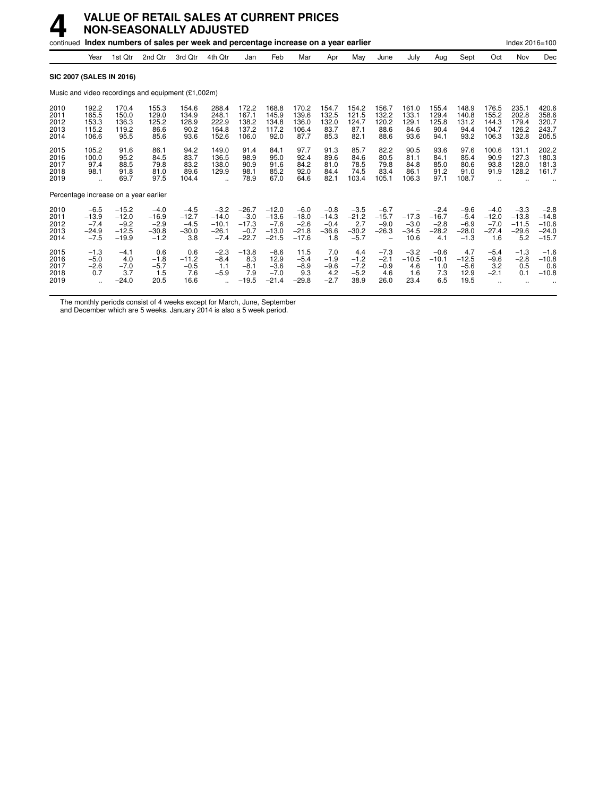|                                      |                                                        |                                                    | continued Index numbers of sales per week and percentage increase on a year earlier |                                               |                                                           |                                                   |                                                    |                                                   |                                               |                                               |                                                                    |                                           |                                               |                                                 |                                               | Index 2016=100                                 |                                                    |
|--------------------------------------|--------------------------------------------------------|----------------------------------------------------|-------------------------------------------------------------------------------------|-----------------------------------------------|-----------------------------------------------------------|---------------------------------------------------|----------------------------------------------------|---------------------------------------------------|-----------------------------------------------|-----------------------------------------------|--------------------------------------------------------------------|-------------------------------------------|-----------------------------------------------|-------------------------------------------------|-----------------------------------------------|------------------------------------------------|----------------------------------------------------|
|                                      | Year                                                   | 1st Qtr                                            | 2nd Otr                                                                             | 3rd Otr                                       | 4th Qtr                                                   | Jan                                               | Feb                                                | Mar                                               | Apr                                           | May                                           | June                                                               | July                                      | Aug                                           | Sept                                            | Oct                                           | Nov                                            | Dec                                                |
|                                      | <b>SIC 2007 (SALES IN 2016)</b>                        |                                                    |                                                                                     |                                               |                                                           |                                                   |                                                    |                                                   |                                               |                                               |                                                                    |                                           |                                               |                                                 |                                               |                                                |                                                    |
|                                      |                                                        |                                                    | Music and video recordings and equipment (£1,002m)                                  |                                               |                                                           |                                                   |                                                    |                                                   |                                               |                                               |                                                                    |                                           |                                               |                                                 |                                               |                                                |                                                    |
| 2010<br>2011<br>2012<br>2013<br>2014 | 192.2<br>165.5<br>153.3<br>115.2<br>106.6              | 170.4<br>150.0<br>136.3<br>119.2<br>95.5           | 155.3<br>129.0<br>125.2<br>86.6<br>85.6                                             | 154.6<br>134.9<br>128.9<br>90.2<br>93.6       | 288.4<br>248.1<br>222.9<br>164.8<br>152.6                 | 172.2<br>167.1<br>138.2<br>137.2<br>106.0         | 168.8<br>145.9<br>134.8<br>117.2<br>92.0           | 170.2<br>139.6<br>136.0<br>106.4<br>87.7          | 154.7<br>132.5<br>132.0<br>83.7<br>85.3       | 154.2<br>121.5<br>124.7<br>87.1<br>82.1       | 156.7<br>132.2<br>120.2<br>88.6<br>88.6                            | 161.0<br>133.1<br>129.1<br>84.6<br>93.6   | 155.4<br>129.4<br>125.8<br>90.4<br>94.1       | 148.9<br>140.8<br>131.2<br>94.4<br>93.2         | 176.5<br>155.2<br>144.3<br>104.7<br>106.3     | 235.1<br>202.8<br>179.4<br>126.2<br>132.8      | 420.6<br>358.6<br>320.7<br>243.7<br>205.5          |
| 2015<br>2016<br>2017<br>2018<br>2019 | 105.2<br>100.0<br>97.4<br>98.1<br>$\ddot{\phantom{a}}$ | 91.6<br>95.2<br>88.5<br>91.8<br>69.7               | 86.1<br>84.5<br>79.8<br>81.0<br>97.5                                                | 94.2<br>83.7<br>83.2<br>89.6<br>104.4         | 149.0<br>136.5<br>138.0<br>129.9                          | 91.4<br>98.9<br>90.9<br>98.1<br>78.9              | 84.1<br>95.0<br>91.6<br>85.2<br>67.0               | 97.7<br>92.4<br>84.2<br>92.0<br>64.6              | 91.3<br>89.6<br>81.0<br>84.4<br>82.1          | 85.7<br>84.6<br>78.5<br>74.5<br>103.4         | 82.2<br>80.5<br>79.8<br>83.4<br>105.1                              | 90.5<br>81.1<br>84.8<br>86.1<br>106.3     | 93.6<br>84.1<br>85.0<br>91.2<br>97.1          | 97.6<br>85.4<br>80.6<br>91.0<br>108.7           | 100.6<br>90.9<br>93.8<br>91.9                 | 131.1<br>127.3<br>128.0<br>128.2               | 202.2<br>180.3<br>181.3<br>161.7                   |
|                                      | Percentage increase on a year earlier                  |                                                    |                                                                                     |                                               |                                                           |                                                   |                                                    |                                                   |                                               |                                               |                                                                    |                                           |                                               |                                                 |                                               |                                                |                                                    |
| 2010<br>2011<br>2012<br>2013<br>2014 | $-6.5$<br>$-13.9$<br>$-7.4$<br>$-24.9$<br>$-7.5$       | $-15.2$<br>$-12.0$<br>$-9.2$<br>$-12.5$<br>$-19.9$ | $-4.0$<br>$-16.9$<br>$-2.9$<br>$-30.8$<br>$-1.2$                                    | $-4.5$<br>$-12.7$<br>$-4.5$<br>$-30.0$<br>3.8 | $-3.2$<br>$-14.0$<br>$-10.1$<br>$-26.1$<br>$-7.4$         | $-26.7$<br>$-3.0$<br>$-17.3$<br>$-0.7$<br>$-22.7$ | $-12.0$<br>$-13.6$<br>$-7.6$<br>$-13.0$<br>$-21.5$ | $-6.0$<br>$-18.0$<br>$-2.6$<br>$-21.8$<br>$-17.6$ | $-0.8$<br>$-14.3$<br>$-0.4$<br>$-36.6$<br>1.8 | $-3.5$<br>$-21.2$<br>2.7<br>$-30.2$<br>$-5.7$ | $-6.7$<br>$-15.7$<br>$-9.0$<br>$-26.3$<br>$\overline{\phantom{0}}$ | -<br>$-17.3$<br>$-3.0$<br>$-34.5$<br>10.6 | $-2.4$<br>$-16.7$<br>$-2.8$<br>$-28.2$<br>4.1 | $-9.6$<br>$-5.4$<br>$-6.9$<br>$-28.0$<br>$-1.3$ | $-4.0$<br>$-12.0$<br>$-7.0$<br>$-27.4$<br>1.6 | $-3.3$<br>$-13.8$<br>$-11.5$<br>$-29.6$<br>5.2 | $-2.8$<br>$-14.8$<br>$-10.6$<br>$-24.0$<br>$-15.7$ |
| 2015<br>2016<br>2017<br>2018<br>2019 | $-1.3$<br>$-5.0$<br>$-2.6$<br>0.7                      | $-4.1$<br>4.0<br>$-7.0$<br>3.7<br>$-24.0$          | 0.6<br>$-1.8$<br>$-5.7$<br>1.5<br>20.5                                              | 0.6<br>$-11.2$<br>$-0.5$<br>7.6<br>16.6       | $-2.3$<br>$-8.4$<br>1.1<br>$-5.9$<br>$\ddot{\phantom{a}}$ | $-13.8$<br>8.3<br>$-8.1$<br>7.9<br>$-19.5$        | $-8.6$<br>12.9<br>$-3.6$<br>$-7.0$<br>$-21.4$      | 11.5<br>$-5.4$<br>$-8.9$<br>9.3<br>$-29.8$        | 7.0<br>$-1.9$<br>$-9.6$<br>4.2<br>$-2.7$      | 4.4<br>$-1.2$<br>$-7.2$<br>$-5.2$<br>38.9     | $-7.3$<br>$-2.1$<br>$-0.9$<br>4.6<br>26.0                          | $-3.2$<br>$-10.5$<br>4.6<br>1.6<br>23.4   | $-0.6$<br>$-10.1$<br>1.0<br>7.3<br>6.5        | 4.7<br>$-12.5$<br>$-5.6$<br>12.9<br>19.5        | $-5.4$<br>$-9.6$<br>3.2<br>$-2.1$             | $-1.3$<br>$-2.8$<br>0.5<br>0.1                 | $-1.6$<br>$-10.8$<br>0.6<br>$-10.8$                |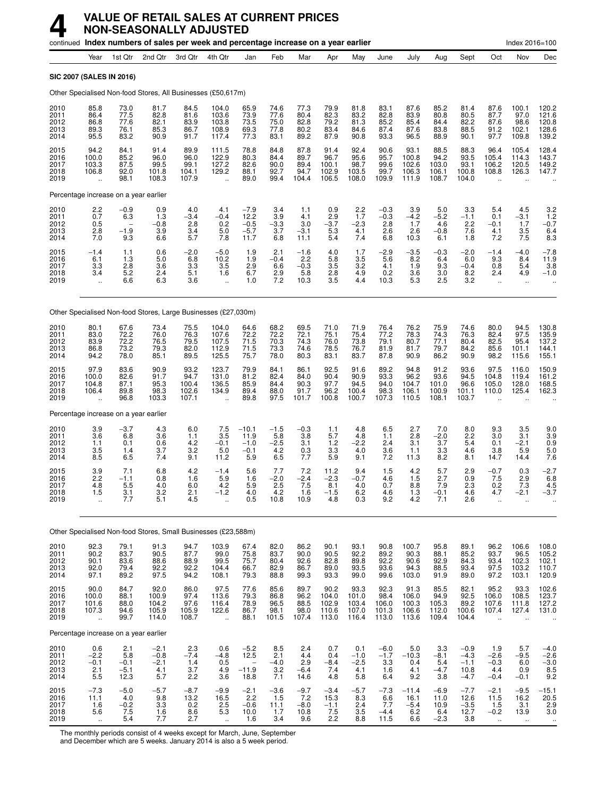|                                      |                                                         |                                               |                                          | continued Index numbers of sales per week and percentage increase on a year earlier |                                                                   |                                              |                                         |                                        |                                          |                                           |                                         |                                          |                                         |                                              |                                                         | Index 2016=100                                          |                                                              |
|--------------------------------------|---------------------------------------------------------|-----------------------------------------------|------------------------------------------|-------------------------------------------------------------------------------------|-------------------------------------------------------------------|----------------------------------------------|-----------------------------------------|----------------------------------------|------------------------------------------|-------------------------------------------|-----------------------------------------|------------------------------------------|-----------------------------------------|----------------------------------------------|---------------------------------------------------------|---------------------------------------------------------|--------------------------------------------------------------|
|                                      | Year                                                    | 1st Qtr                                       | 2nd Qtr                                  | 3rd Qtr                                                                             | 4th Qtr                                                           | Jan                                          | Feb                                     | Mar                                    | Apr                                      | May                                       | June                                    | July                                     | Aug                                     | Sept                                         | Oct                                                     | Nov                                                     | Dec                                                          |
|                                      |                                                         | <b>SIC 2007 (SALES IN 2016)</b>               |                                          |                                                                                     |                                                                   |                                              |                                         |                                        |                                          |                                           |                                         |                                          |                                         |                                              |                                                         |                                                         |                                                              |
|                                      |                                                         |                                               |                                          | Other Specialised Non-food Stores, All Businesses (£50,617m)                        |                                                                   |                                              |                                         |                                        |                                          |                                           |                                         |                                          |                                         |                                              |                                                         |                                                         |                                                              |
| 2010<br>2011<br>2012<br>2013<br>2014 | 85.8<br>86.4<br>86.8<br>89.3<br>95.5                    | 73.0<br>77.5<br>77.6<br>76.1<br>83.2          | 81.7<br>82.8<br>82.1<br>85.3<br>90.9     | 84.5<br>81.6<br>83.9<br>86.7<br>91.7                                                | 104.0<br>103.6<br>103.8<br>108.9<br>117.4                         | 65.9<br>73.9<br>73.5<br>69.3<br>77.3         | 74.6<br>77.6<br>75.0<br>77.8<br>83.1    | 77.3<br>80.4<br>82.8<br>80.2<br>89.2   | 79.9<br>82.3<br>79.2<br>83.4<br>87.9     | 81.8<br>83.2<br>81.3<br>84.6<br>90.8      | 83.1<br>82.8<br>85.2<br>87.4<br>93.3    | 87.6<br>83.9<br>85.4<br>87.6<br>96.5     | 85.2<br>80.8<br>84.4<br>83.8<br>88.9    | 81.4<br>80.5<br>82.2<br>88.5<br>90.1         | 87.6<br>87.7<br>87.6<br>91.2<br>97.7                    | 100.1<br>97.0<br>98.6<br>102.1<br>109.8                 | 120.2<br>121.6<br>120.8<br>128.6<br>139.2                    |
| 2015<br>2016<br>2017<br>2018<br>2019 | 94.2<br>100.0<br>103.3<br>106.8                         | 84.1<br>85.2<br>87.5<br>92.0<br>98.1          | 91.4<br>96.0<br>99.5<br>101.8<br>108.3   | 89.9<br>96.0<br>99.1<br>104.1<br>107.9                                              | 111.5<br>122.9<br>127.2<br>129.2<br>$\ddot{\phantom{1}}$          | 78.8<br>80.3<br>82.6<br>88.1<br>89.0         | 84.8<br>84.4<br>90.0<br>92.7<br>99.4    | 87.8<br>89.7<br>89.4<br>94.7<br>104.4  | 91.4<br>96.7<br>100.1<br>102.9<br>106.5  | 92.4<br>95.6<br>98.7<br>103.5<br>108.0    | 90.6<br>95.7<br>99.6<br>99.7<br>109.9   | 93.1<br>100.8<br>102.6<br>106.3<br>111.9 | 88.5<br>94.2<br>103.0<br>106.1<br>108.7 | 88.3<br>93.5<br>93.1<br>100.8<br>104.0       | 96.4<br>105.4<br>106.2<br>108.8                         | 105.4<br>114.3<br>120.5<br>126.3                        | 128.4<br>143.7<br>149.2<br>147.7                             |
|                                      |                                                         | Percentage increase on a year earlier         |                                          |                                                                                     |                                                                   |                                              |                                         |                                        |                                          |                                           |                                         |                                          |                                         |                                              |                                                         |                                                         |                                                              |
| 2010<br>2011<br>2012<br>2013<br>2014 | $^{2.2}_{0.7}$<br>0.5<br>2.8<br>7.0                     | $-0.9$<br>6.3<br>$-1.9$<br>9.3                | 0.9<br>1.3<br>$-0.8$<br>3.9<br>6.6       | 4.0<br>$-3.4$<br>2.8<br>3.4<br>5.7                                                  | 4.1<br>$-0.4$<br>0.2<br>5.0<br>7.8                                | $-7.9$<br>12.2<br>$-0.5$<br>$-5.7$<br>11.7   | 3.4<br>3.9<br>$-3.3$<br>3.7<br>6.8      | 1.1<br>4.1<br>3.0<br>$-3.1$<br>11.1    | $0.9$<br>$2.9$<br>$-3.7$<br>5.3<br>5.4   | $2.2$<br>1.7<br>$-2.3$<br>4.1<br>7.4      | $-0.3$<br>$-0.3$<br>2.8<br>2.6<br>6.8   | $3.9 - 4.2$<br>1.7<br>2.6<br>10.3        | 5.0<br>$-5.2$<br>4.6<br>$-0.8$<br>6.1   | 3.3<br>$-1.1$<br>2.2<br>7.6<br>1.8           | 5.4<br>0.1<br>$-0.1$<br>4.1<br>7.2                      | 4.5<br>$-3.1$<br>1.7<br>3.5<br>7.5                      | $3.2$<br>$1.2$<br>$-0.7$<br>$6.4 \ 8.3$                      |
| 2015<br>2016<br>2017<br>2018<br>2019 | $-1.4$<br>6.1<br>3.3<br>3.4<br>$\ddotsc$                | 1.1<br>1.3<br>2.8<br>5.2<br>6.6               | 0.6<br>5.0<br>3.6<br>2.4<br>6.3          | $^{-2.0}_{6.8}$<br>3.3<br>5.1<br>3.6                                                | $-5.0$<br>10.2<br>3.5<br>1.6<br>$\ddot{\phantom{a}}$              | 1.9<br>1.9<br>2.9<br>6.7<br>1.0              | 2.1<br>$-0.4$<br>6.6<br>2.9<br>7.2      | $-1.6$<br>2.2<br>$-0.3$<br>5.8<br>10.3 | 4.0<br>5.8<br>3.5<br>2.8<br>3.5          | $\frac{1.7}{3.5}$<br>3.2<br>4.9<br>4.4    | $-2.9$<br>5.6<br>4.1<br>0.2<br>10.3     | $-3.5$<br>8.2<br>1.9<br>3.6<br>5.3       | $-0.3$<br>6.4<br>9.3<br>3.0<br>2.5      | $-2.0$<br>6.0<br>$-0.4$<br>8.2<br>3.2        | $-1.4$<br>9.3<br>0.8<br>2.4<br>$\ddot{\phantom{a}}$     | $-4.0$<br>8.4<br>5.4<br>4.9<br>$\ddot{\phantom{a}}$     | $-7.8$<br>11.9<br>3.8<br>$-1.0$                              |
|                                      |                                                         |                                               |                                          | Other Specialised Non-food Stores, Large Businesses (£27,030m)                      |                                                                   |                                              |                                         |                                        |                                          |                                           |                                         |                                          |                                         |                                              |                                                         |                                                         |                                                              |
| 2010<br>2011<br>2012<br>2013<br>2014 | 80.1<br>83.0<br>83.9<br>86.8<br>94.2                    | 67.6<br>72.2<br>72.2<br>73.2<br>78.0          | 73.4<br>76.0<br>76.5<br>79.3<br>85.1     | 75.5<br>76.3<br>79.5<br>82.0<br>89.5                                                | 104.0<br>107.6<br>107.5<br>112.9<br>125.5                         | 64.6<br>72.2<br>71.5<br>71.5<br>75.7         | 68.2<br>72.2<br>70.3<br>73.3<br>78.0    | 69.5<br>72.1<br>74.3<br>74.6<br>80.3   | 71.0<br>75.1<br>76.0<br>78.5<br>83.1     | 71.9<br>75.4<br>73.8<br>76.7<br>83.7      | 76.4<br>77.2<br>79.1<br>81.9<br>87.8    | 76.2<br>78.3<br>80.7<br>81.7<br>90.9     | 75.9<br>74.3<br>77.1<br>79.7<br>86.2    | 74.6<br>76.3<br>80.4<br>84.2<br>90.9         | 80.0<br>82.4<br>82.5<br>85.6<br>98.2                    | 94.5<br>97.5<br>95.4<br>101.1<br>115.6                  | 130.8<br>135.9<br>137.2<br>144.1<br>155.1                    |
| 2015<br>2016<br>2017<br>2018<br>2019 | 97.9<br>100.0<br>104.8<br>106.4                         | 83.6<br>82.6<br>87.1<br>89.8<br>96.8          | 90.9<br>91.7<br>95.3<br>98.3<br>103.3    | 93.2<br>94.7<br>100.4<br>102.6<br>107.1                                             | 123.7<br>131.0<br>136.5<br>134.9                                  | 79.9<br>81.2<br>85.9<br>89.4<br>89.8         | 84.1<br>82.4<br>84.4<br>88.0<br>97.5    | 86.1<br>84.0<br>90.3<br>91.7<br>101.7  | 92.5<br>90.4<br>97.7<br>96.2<br>100.8    | 91.6<br>90.9<br>94.5<br>100.4<br>100.7    | 89.2<br>93.3<br>94.0<br>98.3<br>107.3   | 94.8<br>96.2<br>104.7<br>106.1<br>110.5  | 91.2<br>93.6<br>101.0<br>100.9<br>108.1 | 93.6<br>94.5<br>96.6<br>101.1<br>103.7       | 97.5<br>104.8<br>105.0<br>110.0                         | 116.0<br>119.4<br>128.0<br>125.4                        | 150.9<br>161.2<br>168.5<br>162.3                             |
|                                      |                                                         | Percentage increase on a year earlier         |                                          |                                                                                     |                                                                   |                                              |                                         |                                        |                                          |                                           |                                         |                                          |                                         |                                              |                                                         |                                                         |                                                              |
| 2010<br>2011<br>2012<br>2013<br>2014 | 3.9<br>3.6<br>1.1<br>3.5<br>8.5                         | $-3.7$<br>6.8<br>0.1<br>1.4<br>6.5            | 4.3<br>3.6<br>0.6<br>3.7<br>7.4          | 6.0<br>1.1<br>4.2<br>3.2<br>9.1                                                     | 7.5<br>3.5<br>$-0.1$<br>5.0<br>11.2                               | $-10.1$<br>11.9<br>$-1.0$<br>$-0.1$<br>5.9   | $-1.5$<br>5.8<br>$-2.5$<br>4.2<br>6.5   | $-0.3$<br>3.8<br>3.1<br>0.3<br>7.7     | 1.1<br>5.7<br>$1.2$<br>3.3<br>5.9        | 4.8<br>4.8<br>$-2.2$<br>4.0<br>9.1        | 6.5<br>1.1<br>2.4<br>3.6<br>7.2         | 2.7<br>2.8<br>3.1<br>1.1<br>11.3         | 7.0<br>$-2.0$<br>3.7<br>3.3<br>8.2      | 8.0<br>2.2<br>5.4<br>4.6<br>8.1              | 9.3<br>3.0<br>0.1<br>3.8<br>14.7                        | 3.5<br>3.1<br>$-2.1$<br>5.9<br>14.4                     | 9.0<br>3.9<br>0.9<br>5.0<br>7.6                              |
| 2015<br>2016<br>2017<br>2018<br>2019 | 3.9<br>2.2<br>4.8<br>1.5<br>$\ddot{\phantom{a}}$        | 7.1<br>$-1.1$<br>5.5<br>3.1<br>7.7            | 6.8<br>0.8<br>4.0<br>3.2<br>5.1          | 4.2<br>1.6<br>6.0<br>2.1<br>4.5                                                     | $-1.4$<br>5.9<br>4.2<br>$-1.2$                                    | 5.6<br>1.6<br>5.9<br>4.0<br>0.5              | 7.7<br>$-2.0$<br>2.5<br>$^{4.2}_{10.8}$ | 7.2<br>$-2.4$<br>7.5<br>1.6<br>10.9    | 11.2<br>$-2.3$<br>8.1<br>$-1.5$<br>4.8   | 9.4<br>$-0.7$<br>4.0<br>$6.2$<br>$0.3$    | 1.5<br>4.6<br>0.7<br>4.6<br>9.2         | 4.2<br>1.5<br>8.8<br>1.3<br>4.2          | 5.7<br>2.7<br>7.9<br>$-0.1$<br>7.1      | 2.9<br>0.9<br>2.3<br>4.6<br>2.6              | $-0.7$<br>7.5<br>0.2<br>4.7                             | 0.3<br>2.9<br>7.3<br>$-2.1$                             | $-2.7$<br>6.8<br>4.5<br>-3.7                                 |
|                                      |                                                         |                                               |                                          | Other Specialised Non-food Stores, Small Businesses (£23,588m)                      |                                                                   |                                              |                                         |                                        |                                          |                                           |                                         |                                          |                                         |                                              |                                                         |                                                         |                                                              |
| 2010<br>2011<br>2012<br>2013<br>2014 | 92.3<br>90.2<br>90.1<br>92.0<br>97.1                    | 79.1<br>83.7<br>83.6<br>79.4<br>89.2          | 91.3<br>90.5<br>88.6<br>92.2<br>97.5     | 94.7<br>87.7<br>88.9<br>92.2<br>94.2                                                | 103.9<br>99.0<br>99.5<br>104.4<br>108.1                           | 67.4<br>75.8<br>75.7<br>66.7<br>79.3         | 82.0<br>83.7<br>80.4<br>82.9<br>88.8    | 86.2<br>90.0<br>92.6<br>86.7<br>99.3   | 90.1<br>90.5<br>82.8<br>89.0<br>93.3     | 93.1<br>92.2<br>89.8<br>93.5<br>99.0      | 90.8<br>89.2<br>92.2<br>93.6<br>99.6    | 100.7<br>90.3<br>90.6<br>94.3<br>103.0   | 95.8<br>88.1<br>92.9<br>88.5<br>91.9    | 89.1<br>85.2<br>84.3<br>93.4<br>89.0         | 96.2<br>93.7<br>93.4<br>97.5<br>97.2                    | 106.6<br>96.5<br>102.3<br>103.2<br>103.1                | 108.0<br>105.2<br>102.1<br>110.7<br>120.9                    |
| 2015<br>2016<br>2017<br>2018<br>2019 | 90.0<br>100.0<br>101.6<br>107.3<br>$\ddot{\phantom{a}}$ | 84.7<br>88.1<br>88.0<br>94.6<br>99.7          | 92.0<br>100.9<br>104.2<br>105.9<br>114.0 | 86.0<br>97.4<br>97.6<br>105.9<br>108.7                                              | 97.5<br>113.6<br>116.4<br>122.6<br>÷.                             | 77.6<br>79.3<br>78.9<br>86.7<br>88.1         | 85.6<br>86.8<br>96.5<br>98.1<br>101.5   | 89.7<br>96.2<br>88.5<br>98.0<br>107.4  | 90.2<br>104.0<br>102.9<br>110.6<br>113.0 | 93.3<br>101.0<br>103.4<br>107.0<br>116.4  | 92.3<br>98.4<br>106.0<br>101.3<br>113.0 | 91.3<br>106.0<br>100.3<br>106.6<br>113.6 | 85.5<br>94.9<br>105.3<br>112.0<br>109.4 | 82.1<br>92.5<br>89.2<br>100.6<br>104.4       | 95.2<br>106.0<br>107.6<br>107.4<br>$\ddot{\phantom{a}}$ | 93.3<br>108.5<br>111.8<br>127.4<br>$\ddot{\phantom{a}}$ | $102.6$<br>$123.7$<br>$127.2$<br>131.0                       |
|                                      |                                                         | Percentage increase on a year earlier         |                                          |                                                                                     |                                                                   |                                              |                                         |                                        |                                          |                                           |                                         |                                          |                                         |                                              |                                                         |                                                         |                                                              |
| 2010<br>2011<br>2012<br>2013<br>2014 | 0.6<br>$-2.2$<br>$-0.1$<br>2.1<br>5.5                   | $\frac{2.1}{5.8}$<br>$-0.1$<br>$-5.1$<br>12.3 | $-2.1$<br>$-0.8$<br>$-2.1$<br>4.1<br>5.7 | 2.3<br>$-7.4$<br>1.4<br>3.7<br>2.2                                                  | 0.6<br>$-4.8$<br>$\begin{array}{c} 0.5 \\ 4.9 \end{array}$<br>3.6 | $-5.2$<br>12.5<br>$-11.\overline{9}$<br>18.8 | 8.5<br>2.1<br>$-4.0$<br>3.2<br>7.1      | 2.4<br>4.4<br>2.9<br>$-6.4$<br>14.6    | 0.7<br>0.4<br>$-8.4$<br>7.4<br>4.8       | 0.1<br>$-1.0$<br>$-2.5$<br>4.1<br>5.8     | $-6.0$<br>$-1.7$<br>3.3<br>1.6<br>6.4   | 5.0<br>$-10.3$<br>0.4<br>4.1<br>9.2      | 3.3<br>$-8.1$<br>5.4<br>$-4.7$<br>3.8   | $-0.9$<br>$-4.3$<br>$-1.1$<br>10.8<br>$-4.7$ | 1.9<br>$-2.6$<br>$-0.3$<br>4.4<br>$-0.4$                | 5.7<br>$-9.5$<br>6.0<br>0.9<br>$-0.1$                   | $-4.0$<br>$-2.6$<br>$-3.0$<br>$8.5$<br>9.2                   |
| 2015<br>2016<br>2017<br>2018<br>2019 | $-7.3$<br>11.1<br>1.6<br>5.6<br>$\ddot{\phantom{1}}$    | $-5.0$<br>4.0<br>$-0.2$<br>7.5<br>5.4         | $-5.7$<br>9.8<br>3.3<br>1.6<br>7.7       | $-8.7$<br>13.2<br>0.2<br>8.6<br>2.7                                                 | $-9.9$<br>16.5<br>$\frac{2.5}{5.3}$<br>$\ddotsc$                  | $-2.1$<br>2.2<br>$-0.6$<br>10.0<br>1.6       | $-3.6$<br>1.5<br>11.1<br>1.7<br>3.4     | $-9.7$<br>7.2<br>$-8.0$<br>10.8<br>9.6 | $-3.4$<br>15.3<br>$-1.1$<br>7.5<br>2.2   | $-5.7$<br>8.3<br>$\frac{2.4}{3.5}$<br>8.8 | $-7.3$<br>6.6<br>7.7<br>$-4.4$<br>11.5  | $-11.4$<br>16.1<br>$-5.4$<br>6.2<br>6.6  | $-6.9$<br>11.0<br>10.9<br>6.4<br>$-2.3$ | $-7.7$<br>12.6<br>$\frac{-3.5}{12.7}$<br>3.8 | $-2.1$<br>11.5<br>1.5<br>$-0.2$<br>$\ddotsc$            | $-9.5$<br>16.2<br>3.1<br>13.9<br>$\ddotsc$              | $-15.1$<br>20.5<br>$\frac{2.9}{3.0}$<br>$\ddot{\phantom{1}}$ |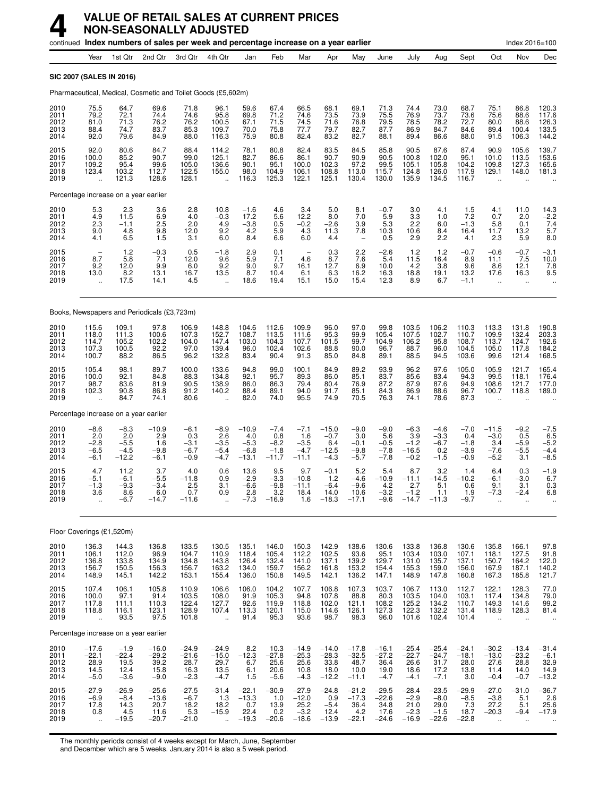|                                      |                                                         |                                              |                                               | continued Index numbers of sales per week and percentage increase on a year earlier |                                                          |                                               |                                              |                                                 |                                               |                                               |                                               |                                                  |                                                |                                             |                                                         | Index 2016=100                                  |                                                |
|--------------------------------------|---------------------------------------------------------|----------------------------------------------|-----------------------------------------------|-------------------------------------------------------------------------------------|----------------------------------------------------------|-----------------------------------------------|----------------------------------------------|-------------------------------------------------|-----------------------------------------------|-----------------------------------------------|-----------------------------------------------|--------------------------------------------------|------------------------------------------------|---------------------------------------------|---------------------------------------------------------|-------------------------------------------------|------------------------------------------------|
|                                      | Year                                                    | 1st Qtr                                      | 2nd Qtr                                       | 3rd Qtr                                                                             | 4th Qtr                                                  | Jan                                           | Feb                                          | Mar                                             | Apr                                           | May                                           | June                                          | July                                             | Aug                                            | Sept                                        | Oct                                                     | Nov                                             | Dec                                            |
|                                      | <b>SIC 2007 (SALES IN 2016)</b>                         |                                              |                                               |                                                                                     |                                                          |                                               |                                              |                                                 |                                               |                                               |                                               |                                                  |                                                |                                             |                                                         |                                                 |                                                |
|                                      |                                                         |                                              |                                               | Pharmaceutical, Medical, Cosmetic and Toilet Goods (£5,602m)                        |                                                          |                                               |                                              |                                                 |                                               |                                               |                                               |                                                  |                                                |                                             |                                                         |                                                 |                                                |
| 2010<br>2011<br>2012<br>2013<br>2014 | 75.5<br>79.2<br>81.0<br>88.4<br>92.0                    | 64.7<br>72.1<br>71.3<br>74.7<br>79.6         | 69.6<br>74.4<br>76.2<br>83.7<br>84.9          | 71.8<br>74.6<br>76.2<br>85.3<br>88.0                                                | 96.1<br>95.8<br>100.5<br>109.7<br>116.3                  | 59.6<br>69.8<br>67.1<br>70.0<br>75.9          | 67.4<br>71.2<br>71.5<br>75.8<br>80.8         | 66.5<br>74.6<br>74.5<br>77.7<br>82.4            | 68.1<br>73.5<br>71.6<br>79.7<br>83.2          | 69.1<br>73.9<br>76.8<br>82.7<br>82.7          | 71.3<br>75.5<br>79.5<br>87.7<br>88.1          | 74.4<br>76.9<br>78.5<br>86.9<br>89.4             | 73.0<br>73.7<br>78.2<br>84.7<br>86.6           | 68.7<br>73.6<br>72.7<br>84.6<br>88.0        | 75.1<br>75.6<br>80.0<br>89.4<br>91.5                    | 86.8<br>88.6<br>88.6<br>100.4<br>106.3          | 120.3<br>117.6<br>126.3<br>133.5<br>144.2      |
| 2015<br>2016<br>2017<br>2018<br>2019 | 92.0<br>100.0<br>109.2<br>123.4<br>$\ddot{\phantom{a}}$ | 80.6<br>85.2<br>95.4<br>103.2<br>121.3       | 84.7<br>90.7<br>99.6<br>112.7<br>128.6        | 88.4<br>99.0<br>105.0<br>122.5<br>128.1                                             | 114.2<br>125.1<br>136.6<br>155.0<br>$\ddot{\phantom{a}}$ | 78.1<br>82.7<br>90.1<br>98.0<br>116.3         | 80.8<br>86.6<br>95.1<br>104.9<br>125.3       | 82.4<br>86.1<br>100.0<br>106.1<br>122.1         | 83.5<br>90.7<br>102.3<br>108.8<br>125.1       | 84.5<br>90.9<br>97.2<br>113.0<br>130.4        | 85.8<br>90.5<br>99.5<br>115.7<br>130.0        | 90.5<br>100.8<br>105.1<br>124.8<br>135.9         | 87.6<br>102.0<br>105.8<br>126.0<br>134.5       | 87.4<br>95.1<br>104.2<br>117.9<br>116.7     | 90.9<br>101.0<br>109.8<br>129.1<br>$\ddot{\phantom{a}}$ | 105.6<br>113.5<br>127.3<br>148.0                | 139.7<br>153.6<br>165.6<br>181.3               |
|                                      | Percentage increase on a year earlier                   |                                              |                                               |                                                                                     |                                                          |                                               |                                              |                                                 |                                               |                                               |                                               |                                                  |                                                |                                             |                                                         |                                                 |                                                |
| 2010<br>2011<br>2012<br>2013<br>2014 | $\frac{5.3}{4.9}$<br>2.3<br>9.0<br>4.1                  | $^{2.3}_{11.5}$<br>$-1.1$<br>4.8<br>6.5      | 3.6<br>6.9<br>2.5<br>9.8<br>1.5               | 2.8<br>4.0<br>2.0<br>12.0<br>3.1                                                    | 10.8<br>$-0.3$<br>4.9<br>9.2<br>6.0                      | $-1.6$<br>17.2<br>$-3.8$<br>4.2<br>8.4        | 4.6<br>5.6<br>0.5<br>5.9<br>6.6              | 3.4<br>12.2<br>$-0.2$<br>4.3<br>6.0             | 5.0<br>8.0<br>$-2.6$<br>11.3<br>4.4           | 8.1<br>7.0<br>3.9<br>7.8                      | $-0.7$<br>5.9<br>5.3<br>10.3<br>0.5           | 3.0<br>3.3<br>2.2<br>10.6<br>2.9                 | 4.1<br>1.0<br>6.0<br>8.4<br>2.2                | $\frac{1.5}{7.2}$<br>$-1.3$<br>16.4<br>4.1  | 4.1<br>0.7<br>5.8<br>11.7<br>2.3                        | 11.0<br>2.0<br>0.1<br>13.2<br>5.9               | $14.3 - 2.2$<br>7.4<br>5.7<br>8.0              |
| 2015<br>2016<br>2017<br>2018<br>2019 | $8.\bar{7}$<br>9.2<br>13.0                              | 1.2<br>5.8<br>12.0<br>8.2<br>17.5            | $-0.3$<br>7.1<br>9.9<br>13.1<br>14.1          | 0.5<br>12.0<br>6.0<br>16.7<br>4.5                                                   | $-1.8$<br>9.6<br>9.2<br>13.5<br>$\ddot{\phantom{a}}$     | 2.9<br>5.9<br>9.0<br>8.7<br>18.6              | 0.1<br>7.1<br>9.7<br>10.4<br>19.4            | 4.6<br>16.1<br>6.1<br>15.1                      | 0.3<br>8.7<br>12.7<br>6.3<br>15.0             | 2.2<br>7.6<br>6.9<br>16.2<br>15.4             | $-2.6$<br>5.4<br>10.0<br>16.3<br>12.3         | 1.2<br>11.5<br>4.2<br>18.8<br>8.9                | $1.2$<br>16.4<br>3.8<br>19.1<br>6.7            | $-0.7$<br>8.9<br>9.6<br>13.2<br>$-1.1$      | $-0.6$<br>11.1<br>8.6<br>17.6<br>$\ddot{\phantom{a}}$   | $-0.7$<br>7.5<br>12.1<br>16.3<br>$\mathbf{r}$   | $-3.1$<br>10.0<br>7.8<br>9.5                   |
|                                      |                                                         |                                              | Books, Newspapers and Periodicals (£3,723m)   |                                                                                     |                                                          |                                               |                                              |                                                 |                                               |                                               |                                               |                                                  |                                                |                                             |                                                         |                                                 |                                                |
| 2010<br>2011<br>2012<br>2013<br>2014 | 115.6<br>118.0<br>114.7<br>107.3<br>100.7               | 109.1<br>111.3<br>105.2<br>100.5<br>88.2     | 97.8<br>100.6<br>102.2<br>92.2<br>86.5        | 106.9<br>107.3<br>104.0<br>97.0<br>96.2                                             | 148.8<br>152.7<br>147.4<br>139.4<br>132.8                | 104.6<br>108.7<br>103.0<br>96.0<br>83.4       | 112.6<br>113.5<br>104.3<br>102.4<br>90.4     | 109.9<br>111.6<br>107.7<br>102.6<br>91.3        | 96.0<br>95.3<br>101.5<br>88.8<br>85.0         | 97.0<br>99.9<br>99.7<br>90.0<br>84.8          | 99.8<br>105.4<br>104.9<br>96.7<br>89.1        | 103.5<br>107.5<br>106.2<br>88.7<br>88.5          | 106.2<br>102.7<br>95.8<br>96.0<br>94.5         | 110.3<br>110.7<br>108.7<br>104.5<br>103.6   | 113.3<br>109.9<br>113.7<br>105.0<br>99.6                | 131.8<br>132.4<br>124.7<br>117.8<br>121.4       | 190.8<br>203.3<br>192.6<br>184.2<br>168.5      |
| 2015<br>2016<br>2017<br>2018<br>2019 | 105.4<br>100.0<br>98.7<br>102.3                         | 98.1<br>92.1<br>83.6<br>90.8<br>84.7         | 89.7<br>84.8<br>81.9<br>86.8<br>74.1          | 100.0<br>88.3<br>90.5<br>91.2<br>80.6                                               | 133.6<br>134.8<br>138.9<br>140.2                         | 94.8<br>92.1<br>86.0<br>88.4<br>82.0          | 99.0<br>95.7<br>86.3<br>89.1<br>74.0         | 100.1<br>89.3<br>79.4<br>94.0<br>95.5           | 84.9<br>86.0<br>80.4<br>91.7<br>74.9          | 89.2<br>85.1<br>76.9<br>85.1<br>70.5          | 93.9<br>83.7<br>87.2<br>84.3<br>76.3          | 96.2<br>85.6<br>87.9<br>86.9<br>74.1             | 97.6<br>83.4<br>87.6<br>88.6<br>78.6           | 105.0<br>94.3<br>94.9<br>96.7<br>87.3       | 105.9<br>99.5<br>108.6<br>100.7                         | 121.7<br>118.1<br>121.7<br>118.8                | 165.4<br>176.4<br>177.0<br>189.0               |
|                                      | Percentage increase on a year earlier                   |                                              |                                               |                                                                                     |                                                          |                                               |                                              |                                                 |                                               |                                               |                                               |                                                  |                                                |                                             |                                                         |                                                 |                                                |
| 2010<br>2011<br>2012<br>2013<br>2014 | $-8.6$<br>2.0<br>$-2.8$<br>$-6.5$<br>$-6.1$             | $-8.3$<br>2.0<br>$-5.5$<br>$-4.5$<br>$-12.2$ | $-10.9$<br>2.9<br>1.6<br>$-9.8$<br>$-6.1$     | $-6.1$<br>0.3<br>$-3.1$<br>$-6.7$<br>$-0.9$                                         | $-8.9$<br>2.6<br>$-3.5$<br>$-5.4$<br>$-4.7$              | $-10.9$<br>4.0<br>$-5.3$<br>$-6.8$<br>$-13.1$ | $-7.4$<br>0.8<br>$-8.2$<br>$-1.8$<br>$-11.7$ | $-7.1$<br>1.6<br>$-3.5$<br>$-4.7$<br>$-11.1$    | $-15.0$<br>$-0.7$<br>6.4<br>$-12.5$<br>$-4.3$ | $-9.0$<br>3.0<br>$-0.1$<br>$-9.8$<br>$-5.7$   | $-9.0$<br>5.6<br>$-0.5$<br>$-7.8$<br>$-7.8$   | $-6.3$<br>3.9<br>$-1.2$<br>$-16.5$<br>$-0.2$     | $-4.6$<br>$-3.3$<br>$-6.7$<br>0.2<br>$-1.5$    | $-7.0$<br>0.4<br>$-1.8$<br>$-3.9$<br>$-0.9$ | $-11.5$<br>$-3.0$<br>3.4<br>$-7.6$<br>$-5.2$            | $-9.2$<br>0.5<br>$-5.9$<br>$-5.5$<br>3.1        | $-7.5$<br>$-6.5$<br>$-4.4$<br>$-8.5$           |
| 2015<br>2016<br>2017<br>2018<br>2019 | 4.7<br>$-5.1$<br>$-1.3$<br>3.6                          | 11.2<br>$-6.1$<br>$-9.3$<br>8.6<br>$-6.7$    | 3.7<br>$-5.5$<br>$-3.4$<br>6.0<br>$-14.7$     | 4.0<br>$-11.8$<br>2.5<br>0.7<br>$-11.6$                                             | 0.6<br>0.9<br>3.1<br>0.9                                 | 13.6<br>$-2.9$<br>$-6.6$<br>2.8<br>$-7.3$     | 9.5<br>$-3.3$<br>$-9.8$<br>3.2<br>$-16.9$    | 9.7<br>$-10.8$<br>$-11.1$<br>18.4<br>1.6        | $-0.1$<br>$1.2$<br>$-6.4$<br>14.0<br>$-18.3$  | 5.2<br>$-4.6$<br>$-9.6$<br>10.6<br>$-17.1$    | 5.4<br>$-10.9$<br>4.2<br>$-3.2$<br>$-9.6$     | 8.7<br>$-11.1$<br>2.7<br>$-1.2$<br>$-14.7$       | 3.2<br>$-14.5$<br>5.1<br>1.1<br>$-11.3$        | 1.4<br>$-10.2$<br>0.6<br>1.9<br>$-9.7$      | 6.4<br>$-6.1$<br>9.1<br>$-7.3$                          | 0.3<br>$-3.0$<br>3.1<br>$-2.4$                  | $-1.9$<br>6.7<br>0.3<br>6.8                    |
|                                      | Floor Coverings (£1,520m)                               |                                              |                                               |                                                                                     |                                                          |                                               |                                              |                                                 |                                               |                                               |                                               |                                                  |                                                |                                             |                                                         |                                                 |                                                |
| 2010<br>2011<br>2012<br>2013<br>2014 | 136.3<br>106.1<br>136.8<br>156.7<br>148.9               | 144.3<br>112.0<br>133.8<br>150.5<br>145.1    | 136.8<br>96.9<br>134.9<br>156.3<br>142.2      | 133.5<br>104.7<br>134.8<br>156.7<br>153.1                                           | 130.5<br>110.9<br>143.8<br>163.2<br>155.4                | 135.1<br>118.4<br>126.4<br>134.0<br>136.0     | 146.0<br>105.4<br>132.4<br>159.7<br>150.8    | 150.3<br>112.2<br>141.0<br>156.2<br>149.5       | 142.9<br>102.5<br>137.1<br>161.8<br>142.1     | 138.6<br>93.6<br>139.2<br>153.2<br>136.2      | 130.6<br>95.1<br>129.7<br>154.4<br>147.1      | 133.8<br>103.4<br>131.0<br>155.3<br>148.9        | 136.8<br>103.0<br>135.7<br>159.0<br>147.8      | 130.6<br>107.1<br>137.1<br>156.0<br>160.8   | 135.8<br>118.1<br>150.7<br>167.9<br>167.3               | 166.1<br>127.5<br>164.2<br>187.1<br>185.8       | 97.8<br>91.8<br>122.0<br>140.2<br>121.7        |
| 2015<br>2016<br>2017<br>2018<br>2019 | 107.4<br>100.0<br>117.8<br>118.8<br>÷.                  | 106.1<br>97.1<br>111.1<br>116.1<br>93.5      | 105.8<br>91.4<br>110.3<br>123.1<br>97.5       | 110.9<br>103.5<br>122.4<br>128.9<br>101.8                                           | 106.6<br>108.0<br>127.7<br>107.4<br>$\ddotsc$            | 106.0<br>91.9<br>92.6<br>113.3<br>91.4        | 104.2<br>105.3<br>119.9<br>120.1<br>95.3     | 107.7<br>94.8<br>118.8<br>115.0<br>93.6         | 106.8<br>107.8<br>102.0<br>114.6<br>98.7      | 107.3<br>88.8<br>121.1<br>126.1<br>98.3       | 103.7<br>80.3<br>108.2<br>127.3<br>96.0       | 106.7<br>$\frac{103.5}{125.2}$<br>122.3<br>101.6 | 113.0<br>104.0<br>134.2<br>132.2<br>102.4      | 112.7<br>103.1<br>110.7<br>131.4<br>101.4   | 122.1<br>117.4<br>149.3<br>118.9                        | 128.3<br>134.8<br>141.6<br>128.3                | 77.0<br>79.0<br>99.2<br>81.4                   |
|                                      | Percentage increase on a year earlier                   |                                              |                                               |                                                                                     |                                                          |                                               |                                              |                                                 |                                               |                                               |                                               |                                                  |                                                |                                             |                                                         |                                                 |                                                |
| 2010<br>2011<br>2012<br>2013<br>2014 | $-17.6$<br>$-22.1$<br>28.9<br>14.5<br>$-5.0$            | $-1.9$<br>$-22.4$<br>19.5<br>12.4<br>$-3.6$  | $-16.0$<br>$-29.2$<br>39.2<br>15.8<br>$-9.0$  | $-24.9$<br>$-21.6$<br>28.7<br>16.3<br>$-2.3$                                        | $-24.9$<br>$-15.0$<br>29.7<br>13.5<br>$-4.7$             | 8.2<br>$-12.3$<br>6.7<br>6.1<br>1.5           | 10.3<br>$-27.8$<br>25.6<br>20.6<br>$-5.6$    | $-14.9$<br>$-25.3$<br>25.6<br>10.8<br>$-4.3$    | $-14.0$<br>$-28.3$<br>33.8<br>18.0<br>$-12.2$ | $-17.8$<br>$-32.5$<br>48.7<br>10.0<br>$-11.1$ | $-16.1$<br>$-27.2$<br>36.4<br>19.0<br>$-4.7$  | $-25.4$<br>$-22.7$<br>26.6<br>18.6<br>$-4.1$     | $-25.4$<br>$-24.7$<br>31.7<br>17.2<br>$-7.1$   | $-24.1$<br>$-18.1$<br>28.0<br>13.8<br>3.0   | $-30.2$<br>$-13.0$<br>27.6<br>11.4<br>$-0.4$            | $-13.4$<br>$-23.2$<br>28.8<br>14.0<br>$-0.7$    | $-31.4$<br>$-6.1$<br>$32.9$<br>14.9<br>$-13.2$ |
| 2015<br>2016<br>2017<br>2018<br>2019 | $-27.9$<br>$-6.9$<br>17.8<br>0.8<br>$\sim$              | $-26.9$<br>$-8.4$<br>14.3<br>4.5<br>$-19.5$  | $-25.6$<br>$-13.6$<br>20.7<br>11.6<br>$-20.7$ | $-27.5$<br>$-6.7$<br>18.2<br>5.3<br>$-21.0$                                         | $-31.4$<br>1.3<br>18.2<br>$-15.9$                        | $-22.1$<br>$-13.3$<br>0.7<br>22.4<br>$-19.3$  | $-30.9$<br>1.0<br>13.9<br>0.2<br>$-20.6$     | $-27.9$<br>$-12.0$<br>25.2<br>$-3.2$<br>$-18.6$ | $-24.8$<br>0.9<br>$-5.4$<br>12.4<br>$-13.9$   | $-21.2$<br>$-17.3$<br>36.4<br>4.2<br>$-22.1$  | $-29.5$<br>$-22.6$<br>34.8<br>17.6<br>$-24.6$ | $-28.4$<br>$-2.9$<br>21.0<br>$-2.3$<br>$-16.9$   | $-23.5$<br>$-8.0$<br>29.0<br>$-1.5$<br>$-22.6$ | $-29.9$<br>$-8.5$<br>7.3<br>18.7<br>$-22.8$ | $-27.0$<br>$-3.8$<br>27.2<br>$-20.3$<br>$\ddotsc$       | $-31.0$<br>5.1<br>5.1<br>$-9.4$<br>$\cdot\cdot$ | $-36.7$<br>2.6<br>25.6<br>$-17.9$              |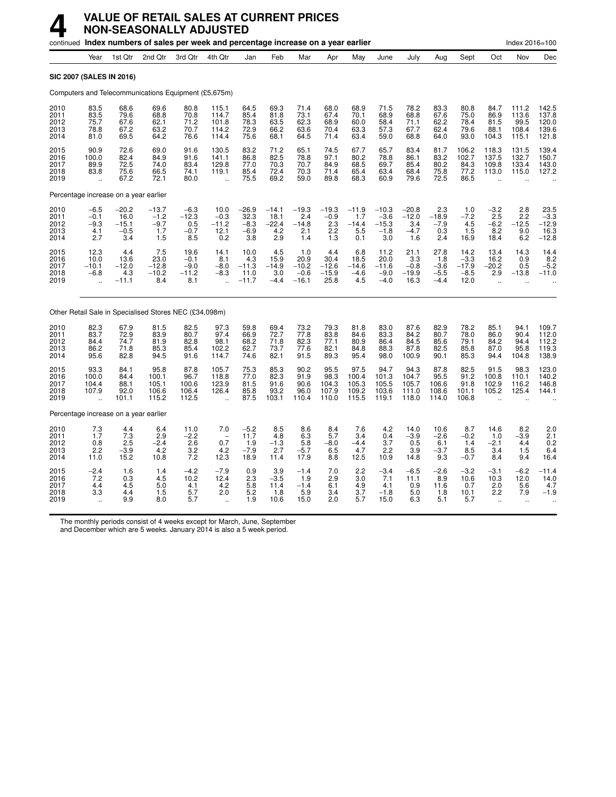|                                       |                                                       |                                             | continued Index numbers of sales per week and percentage increase on a year earlier |                                            |                                                          |                                              |                                                |                                             |                                            |                                          |                                               |                                            |                                           |                                             |                                                          | Index 2016=100                                        |                                           |
|---------------------------------------|-------------------------------------------------------|---------------------------------------------|-------------------------------------------------------------------------------------|--------------------------------------------|----------------------------------------------------------|----------------------------------------------|------------------------------------------------|---------------------------------------------|--------------------------------------------|------------------------------------------|-----------------------------------------------|--------------------------------------------|-------------------------------------------|---------------------------------------------|----------------------------------------------------------|-------------------------------------------------------|-------------------------------------------|
|                                       | Year                                                  | 1st Qtr                                     | 2nd Qtr                                                                             | 3rd Qtr                                    | 4th Qtr                                                  | Jan                                          | Feb                                            | Mar                                         | Apr                                        | May                                      | June                                          | July                                       | Aug                                       | Sept                                        | Oct                                                      | Nov                                                   | Dec                                       |
| <b>SIC 2007 (SALES IN 2016)</b>       |                                                       |                                             |                                                                                     |                                            |                                                          |                                              |                                                |                                             |                                            |                                          |                                               |                                            |                                           |                                             |                                                          |                                                       |                                           |
|                                       |                                                       |                                             | Computers and Telecommunications Equipment (£5,675m)                                |                                            |                                                          |                                              |                                                |                                             |                                            |                                          |                                               |                                            |                                           |                                             |                                                          |                                                       |                                           |
| 2010<br>2011<br>2012<br>2013<br>2014  | 83.5<br>83.5<br>75.7<br>78.8<br>81.0                  | 68.6<br>79.6<br>67.6<br>67.2<br>69.5        | 69.6<br>68.8<br>62.1<br>63.2<br>64.2                                                | 80.8<br>70.8<br>71.2<br>70.7<br>76.6       | 115.1<br>114.7<br>101.8<br>114.2<br>114.4                | 64.5<br>85.4<br>78.3<br>72.9<br>75.6         | 69.3<br>81.8<br>63.5<br>66.2<br>68.1           | 71.4<br>73.1<br>62.3<br>63.6<br>64.5        | 68.0<br>67.4<br>68.9<br>70.4<br>71.4       | 68.9<br>70.1<br>60.0<br>63.3<br>63.4     | 71.5<br>68.9<br>58.4<br>57.3<br>59.0          | 78.2<br>68.8<br>71.1<br>67.7<br>68.8       | 83.3<br>67.6<br>62.2<br>62.4<br>64.0      | 80.8<br>75.0<br>78.4<br>79.6<br>93.0        | 84.7<br>86.9<br>81.5<br>88.1<br>104.3                    | 111.2<br>113.6<br>99.5<br>108.4<br>115.1              | 142.5<br>137.8<br>120.0<br>139.6<br>121.8 |
| 2015<br>2016<br>2017<br>2018<br>2019  | 90.9<br>100.0<br>89.9<br>83.8<br>$\ddot{\phantom{a}}$ | 72.6<br>82.4<br>72.5<br>75.6<br>67.2        | 69.0<br>84.9<br>74.0<br>66.5<br>72.1                                                | 91.6<br>91.6<br>83.4<br>74.1<br>80.0       | 130.5<br>141.1<br>129.8<br>119.1<br>$\ddot{\phantom{a}}$ | 83.2<br>86.8<br>77.0<br>85.4<br>75.5         | 71.2<br>82.5<br>70.3<br>72.4<br>69.2           | 65.1<br>78.8<br>70.7<br>70.3<br>59.0        | 74.5<br>97.1<br>84.9<br>71.4<br>89.8       | 67.7<br>80.2<br>68.5<br>65.4<br>68.3     | 65.7<br>78.8<br>69.7<br>63.4<br>60.9          | 83.4<br>86.1<br>85.4<br>68.4<br>79.6       | 81.7<br>83.2<br>80.2<br>75.8<br>72.5      | 106.2<br>102.7<br>84.3<br>77.2<br>86.5      | 118.3<br>137.5<br>109.8<br>113.0<br>$\ddot{\phantom{a}}$ | 131.5<br>132.7<br>133.4<br>115.0                      | 139.4<br>150.7<br>143.0<br>127.2          |
| Percentage increase on a year earlier |                                                       |                                             |                                                                                     |                                            |                                                          |                                              |                                                |                                             |                                            |                                          |                                               |                                            |                                           |                                             |                                                          |                                                       |                                           |
| 2010<br>2011<br>2012<br>2013<br>2014  | $-6.5$<br>$-0.1$<br>$-9.3$<br>4.1<br>2.7              | $-20.2$<br>16.0<br>$-15.1$<br>$-0.5$<br>3.4 | $-13.7$<br>$-1.2$<br>$-9.7$<br>1.7<br>1.5                                           | $-6.3$<br>$-12.3$<br>0.5<br>$-0.7$<br>8.5  | 10.0<br>$-0.3$<br>$-11.2$<br>12.1<br>0.2                 | $-26.9$<br>32.3<br>$-8.3$<br>$-6.9$<br>3.8   | $-14.1$<br>18.1<br>$-22.4$<br>4.2<br>2.9       | $-19.3$<br>2.4<br>$-14.8$<br>2.1<br>1.4     | $-19.3$<br>$-0.9$<br>$2.3\,$<br>2.2<br>1.3 | $-11.9$<br>1.7<br>$-14.4$<br>5.5<br>0.1  | $-10.3$<br>$-3.6$<br>$-15.3$<br>$-1.8$<br>3.0 | $-20.8$<br>$-12.0$<br>3.4<br>$-4.7$<br>1.6 | 2.3<br>$-18.9$<br>$-7.9$<br>0.3<br>2.4    | 1.0<br>$-7.2$<br>4.5<br>1.5<br>16.9         | $-3.2$<br>2.5<br>$-6.2$<br>8.2<br>18.4                   | 2.8<br>2.2<br>$-12.5$<br>9.0<br>6.2                   | $23.5 - 3.3$<br>$-12.9$<br>$16.3 - 12.8$  |
| 2015<br>2016<br>2017<br>2018<br>2019  | 12.3<br>10.0<br>$-10.1$<br>$-6.8$<br>÷.               | 4.4<br>13.6<br>$-12.0$<br>4.3<br>$-11.1$    | 7.5<br>23.0<br>$-12.8$<br>$-10.2$<br>8.4                                            | 19.6<br>$-0.1$<br>$-9.0$<br>$-11.2$<br>8.1 | 14.1<br>8.1<br>$-8.0$<br>$-8.3$<br>$\ddot{\phantom{1}}$  | 10.0<br>4.3<br>$-11.3$<br>11.0<br>$-11.7$    | 4.5<br>15.9<br>$-14.9$<br>3.0<br>$-4.4$        | 1.0<br>20.9<br>$-10.2$<br>$-0.6$<br>$-16.1$ | 4.4<br>30.4<br>$-12.6$<br>$-15.9$<br>25.8  | 6.8<br>18.5<br>$-14.6$<br>$-4.6$<br>4.5  | 11.2<br>20.0<br>$-11.6$<br>$-9.0$<br>$-4.0$   | 21.1<br>3.3<br>$-0.8$<br>$-19.9$<br>16.3   | 27.8<br>1.8<br>$-3.6$<br>$-5.5$<br>$-4.4$ | 14.2<br>$-3.3$<br>$-17.9$<br>$-8.5$<br>12.0 | 13.4<br>16.2<br>$-20.2$<br>2.9<br>$\sim$                 | 14.3<br>0.9<br>0.5<br>$-13.8$<br>$\ddot{\phantom{a}}$ | 14.4<br>8.2<br>$-5.2$<br>$-11.0$          |
|                                       |                                                       |                                             | Other Retail Sale in Specialised Stores NEC (£34,098m)                              |                                            |                                                          |                                              |                                                |                                             |                                            |                                          |                                               |                                            |                                           |                                             |                                                          |                                                       |                                           |
| 2010<br>2011<br>2012<br>2013<br>2014  | 82.3<br>83.7<br>84.4<br>86.2<br>95.6                  | 67.9<br>72.9<br>74.7<br>71.8<br>82.8        | 81.5<br>83.9<br>81.9<br>85.3<br>94.5                                                | 82.5<br>80.7<br>82.8<br>85.4<br>91.6       | 97.3<br>97.4<br>98.1<br>102.2<br>114.7                   | 59.8<br>66.9<br>68.2<br>62.7<br>74.6         | 69.4<br>72.7<br>71.8<br>73.7<br>82.1           | 73.2<br>77.8<br>82.3<br>77.6<br>91.5        | 79.3<br>83.8<br>77.1<br>82.1<br>89.3       | 81.8<br>84.6<br>80.9<br>84.8<br>95.4     | 83.0<br>83.3<br>86.4<br>88.3<br>98.0          | 87.6<br>84.2<br>84.5<br>87.8<br>100.9      | 82.9<br>80.7<br>85.6<br>82.5<br>90.1      | 78.2<br>78.0<br>79.1<br>85.8<br>85.3        | 85.1<br>86.0<br>84.2<br>87.0<br>94.4                     | 94.1<br>90.4<br>94.4<br>95.8<br>104.8                 | 109.7<br>112.0<br>112.2<br>119.3<br>138.9 |
| 2015<br>2016<br>2017<br>2018<br>2019  | 93.3<br>100.0<br>104.4<br>107.9                       | 84.1<br>84.4<br>88.1<br>92.0<br>101.1       | 95.8<br>100.1<br>105.1<br>106.6<br>115.2                                            | 87.8<br>96.7<br>100.6<br>106.4<br>112.5    | 105.7<br>118.8<br>123.9<br>126.4<br>$\sim$               | 75.3<br>77.0<br>81.5<br>85.8<br>87.5         | 85.3<br>82.3<br>91.6<br>93.2<br>103.1          | 90.2<br>91.9<br>90.6<br>96.0<br>110.4       | 95.5<br>98.3<br>104.3<br>107.9<br>110.0    | 97.5<br>100.4<br>105.3<br>109.2<br>115.5 | 94.7<br>101.3<br>105.5<br>103.6<br>119.1      | 94.3<br>104.7<br>105.7<br>111.0<br>118.0   | 87.8<br>95.5<br>106.6<br>108.6<br>114.0   | 82.5<br>91.2<br>91.8<br>101.1<br>106.8      | 91.5<br>100.8<br>102.9<br>105.2                          | 98.3<br>110.1<br>116.2<br>125.4                       | 123.0<br>140.2<br>146.8<br>144.1          |
| Percentage increase on a year earlier |                                                       |                                             |                                                                                     |                                            |                                                          |                                              |                                                |                                             |                                            |                                          |                                               |                                            |                                           |                                             |                                                          |                                                       |                                           |
| 2010<br>2011<br>2012<br>2013<br>2014  | 7.3<br>1.7<br>0.8<br>2.2<br>11.0                      | 4.4<br>$\frac{7.3}{2.5}$<br>$-3.9$<br>15.2  | 6.4<br>2.9<br>$-2.4$<br>4.2<br>10.8                                                 | 11.0<br>$\frac{-2.2}{2.6}$<br>3.2<br>7.2   | 7.0<br>$\overline{\phantom{a}}$<br>0.7<br>4.2<br>12.3    | $-5.2$<br>11.7<br>1.9<br>$-7.9$<br>18.9      | 8.5<br>4.8<br>$-1.\overline{3}$<br>2.7<br>11.4 | 8.6<br>6.3<br>5.8<br>$-5.7$<br>17.9         | 8.4<br>5.7<br>$-8.0$<br>6.5<br>8.8         | 7.6<br>3.4<br>$-4.4$<br>4.7<br>12.5      | 4.2<br>0.4<br>3.7<br>2.2<br>10.9              | 14.0<br>$-3.9$<br>0.5<br>3.9<br>14.8       | 10.6<br>$-2.6$<br>6.1<br>$-3.7$<br>9.3    | 8.7<br>$-0.2$<br>1.4<br>8.5<br>$-0.7$       | 14.6<br>1.0<br>$-2.1$<br>3.4<br>8.4                      | 8.2<br>$-3.9$<br>4.4<br>1.5<br>9.4                    | 2.0<br>$^{2.1}_{0.2}$<br>6.4<br>16.4      |
| 2015<br>2016<br>2017<br>2018<br>2019  | $-2.4$<br>7.2<br>4.4<br>3.3                           | 1.6<br>0.3<br>4.5<br>4.4<br>9.9             | 1.4<br>4.5<br>5.0<br>1.5<br>8.0                                                     | $-4.2$<br>10.2<br>4.1<br>5.7<br>5.7        | $-7.9$<br>12.4<br>4.2<br>2.0                             | 0.9<br>2.3<br>$5.\overline{8}$<br>5.2<br>1.9 | 3.9<br>$-3.5$<br>11.4<br>1.8<br>10.6           | $-1.4$<br>1.9<br>$-1.4$<br>5.9<br>15.0      | 7.0<br>2.9<br>6.1<br>3.4<br>2.0            | 2.2<br>3.0<br>4.9<br>3.7<br>5.7          | $-3.4$<br>7.1<br>4.1<br>$-1.8$<br>15.0        | $-6.5$<br>11.1<br>0.9<br>5.0<br>6.3        | $-2.6$<br>8.9<br>11.6<br>1.8<br>5.1       | $-3.2$<br>10.6<br>0.7<br>10.1<br>5.7        | $-3.1$<br>10.3<br>2.0<br>2.2                             | $-6.2$<br>12.0<br>5.6<br>7.9                          | $-11.4$<br>14.0<br>4.7<br>$-1.9$          |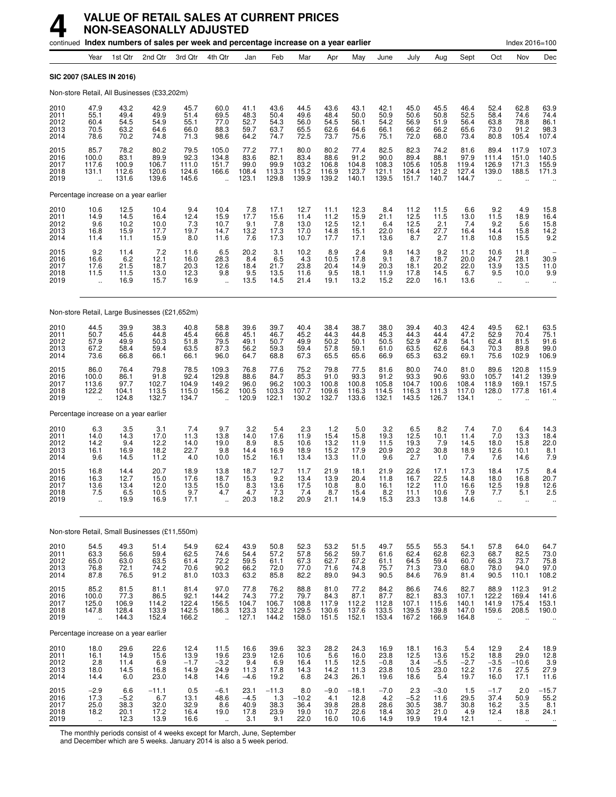|                                      |                                                         |                                         | continued Index numbers of sales per week and percentage increase on a year earlier |                                         |                                                |                                         |                                         |                                            |                                         |                                            |                                         |                                           |                                            |                                          |                                                        | Index 2016=100                                     |                                                |
|--------------------------------------|---------------------------------------------------------|-----------------------------------------|-------------------------------------------------------------------------------------|-----------------------------------------|------------------------------------------------|-----------------------------------------|-----------------------------------------|--------------------------------------------|-----------------------------------------|--------------------------------------------|-----------------------------------------|-------------------------------------------|--------------------------------------------|------------------------------------------|--------------------------------------------------------|----------------------------------------------------|------------------------------------------------|
|                                      | Year                                                    | 1st Qtr                                 | 2nd Qtr                                                                             | 3rd Otr                                 | 4th Qtr                                        | Jan                                     | Feb                                     | Mar                                        | Apr                                     | May                                        | June                                    | July                                      | Aug                                        | Sept                                     | Oct                                                    | Nov                                                | Dec                                            |
|                                      |                                                         | SIC 2007 (SALES IN 2016)                |                                                                                     |                                         |                                                |                                         |                                         |                                            |                                         |                                            |                                         |                                           |                                            |                                          |                                                        |                                                    |                                                |
|                                      |                                                         |                                         | Non-store Retail, All Businesses (£33,202m)                                         |                                         |                                                |                                         |                                         |                                            |                                         |                                            |                                         |                                           |                                            |                                          |                                                        |                                                    |                                                |
| 2010<br>2011<br>2012<br>2013<br>2014 | 47.9<br>55.1<br>60.4<br>70.5<br>78.6                    | 43.2<br>49.4<br>54.5<br>63.2<br>70.2    | 42.9<br>49.9<br>54.9<br>64.6<br>74.8                                                | 45.7<br>51.4<br>55.1<br>66.0<br>71.3    | 60.0<br>69.5<br>77.0<br>88.3<br>98.6           | 41.1<br>48.3<br>52.7<br>59.7<br>64.2    | 43.6<br>50.4<br>54.3<br>63.7<br>74.7    | 44.5<br>49.6<br>56.0<br>65.5<br>72.5       | 43.6<br>48.4<br>54.5<br>62.6<br>73.7    | 43.1<br>50.0<br>56.1<br>64.6<br>75.6       | 42.1<br>50.9<br>54.2<br>66.1<br>75.1    | 45.0<br>50.6<br>56.9<br>66.2<br>72.0      | 45.5<br>50.8<br>51.9<br>66.2<br>68.0       | 46.4<br>52.5<br>56.4<br>65.6<br>73.4     | 52.4<br>58.4<br>63.8<br>73.0<br>80.8                   | 62.8<br>74.6<br>78.8<br>91.2<br>105.4              | 63.9<br>74.4<br>86.1<br>98.3<br>107.4          |
| 2015<br>2016<br>2017<br>2018<br>2019 | 85.7<br>100.0<br>117.6<br>131.1<br>$\ddot{\phantom{a}}$ | 78.2<br>83.1<br>100.9<br>112.6<br>131.6 | 80.2<br>89.9<br>106.7<br>120.6<br>139.6                                             | 79.5<br>92.3<br>111.0<br>124.6<br>145.6 | 105.0<br>134.8<br>151.7<br>166.6               | 77.2<br>83.6<br>99.0<br>108.4<br>123.1  | 77.1<br>82.1<br>99.9<br>113.3<br>129.8  | 80.0<br>83.4<br>103.2<br>115.2<br>139.9    | 80.2<br>88.6<br>106.8<br>116.9<br>139.2 | 77.4<br>91.2<br>104.8<br>123.7<br>140.1    | 82.5<br>90.0<br>108.3<br>121.1<br>139.5 | 82.3<br>89.4<br>105.6<br>124.4<br>151.7   | 74.2<br>88.1<br>105.8<br>121.2<br>140.7    | 81.6<br>97.9<br>119.4<br>127.4<br>144.7  | 89.4<br>111.4<br>126.9<br>139.0                        | 117.9<br>151.0<br>171.3<br>188.5                   | 107.3<br>140.5<br>155.9<br>171.3               |
|                                      |                                                         | Percentage increase on a year earlier   |                                                                                     |                                         |                                                |                                         |                                         |                                            |                                         |                                            |                                         |                                           |                                            |                                          |                                                        |                                                    |                                                |
| 2010<br>2011<br>2012<br>2013<br>2014 | 10.6<br>14.9<br>9.6<br>16.8<br>11.4                     | 12.5<br>14.5<br>10.2<br>15.9<br>11.1    | 10.4<br>16.4<br>10.0<br>17.7<br>15.9                                                | 9.4<br>12.4<br>7.3<br>19.7<br>8.0       | 10.4<br>15.9<br>10.7<br>14.7<br>11.6           | $7.8$<br>17.7<br>9.1<br>13.2<br>7.6     | 17.1<br>15.6<br>7.8<br>17.3<br>17.3     | 12.7<br>11.4<br>13.0<br>17.0<br>10.7       | 11.1<br>11.2<br>12.5<br>14.8<br>17.7    | 12.3<br>15.9<br>12.1<br>15.1<br>17.1       | 8.4<br>21.1<br>6.4<br>22.0<br>13.6      | 11.2<br>12.5<br>12.5<br>16.4<br>8.7       | $11.5$<br>$11.5$<br>2.1<br>27.7<br>2.7     | 6.6<br>13.0<br>7.4<br>16.4<br>11.8       | $\frac{9.2}{11.5}$<br>9.2<br>14.4<br>10.8              | 4.9<br>18.9<br>5.6<br>15.8<br>15.5                 | 15.8<br>16.4<br>15.8<br>$^{14.2}_{9.2}$        |
| 2015<br>2016<br>2017<br>2018<br>2019 | 9.2<br>16.6<br>17.6<br>11.5<br>$\ddot{\phantom{a}}$     | 11.4<br>6.2<br>21.5<br>11.5<br>16.9     | 7.2<br>12.1<br>18.7<br>13.0<br>15.7                                                 | 11.6<br>16.0<br>20.3<br>12.3<br>16.9    | $\frac{6.5}{28.3}$<br>12.6<br>9.8<br>$\ddotsc$ | 20.2<br>8.4<br>18.4<br>9.5<br>13.5      | 3.1<br>6.5<br>21.7<br>13.5<br>14.5      | 10.2<br>4.3<br>23.8<br>11.6<br>21.4        | 8.9<br>10.5<br>20.4<br>9.5<br>19.1      | $\frac{2.4}{17.8}$<br>14.9<br>18.1<br>13.2 | 9.8<br>9.1<br>20.3<br>11.9<br>15.2      | 14.3<br>8.7<br>18.1<br>17.8<br>22.0       | $\frac{9.2}{18.7}$<br>20.2<br>14.5<br>16.1 | 11.2<br>20.0<br>22.0<br>6.7<br>13.6      | 10.6<br>24.7<br>13.9<br>9.5<br>$\ddot{\phantom{a}}$    | 11.8<br>28.1<br>13.5<br>10.0<br>$\ddotsc$          | 30.9<br>11.0<br>9.9                            |
|                                      |                                                         |                                         | Non-store Retail, Large Businesses (£21,652m)                                       |                                         |                                                |                                         |                                         |                                            |                                         |                                            |                                         |                                           |                                            |                                          |                                                        |                                                    |                                                |
| 2010<br>2011<br>2012<br>2013<br>2014 | 44.5<br>50.7<br>57.9<br>67.2<br>73.6                    | 39.9<br>45.6<br>49.9<br>58.4<br>66.8    | 38.3<br>44.8<br>50.3<br>59.4<br>66.1                                                | 40.8<br>45.4<br>51.8<br>63.5<br>66.1    | 58.8<br>66.8<br>79.5<br>87.3<br>96.0           | 39.6<br>45.1<br>49.1<br>56.2<br>64.7    | 39.7<br>46.7<br>50.7<br>59.3<br>68.8    | 40.4<br>45.2<br>49.9<br>59.4<br>67.3       | 38.4<br>44.3<br>50.2<br>57.8<br>65.5    | 38.7<br>44.8<br>50.1<br>59.1<br>65.6       | 38.0<br>45.3<br>50.5<br>61.0<br>66.9    | 39.4<br>44.3<br>52.9<br>63.5<br>65.3      | 40.3<br>44.4<br>47.8<br>62.6<br>63.2       | 42.4<br>47.2<br>54.1<br>64.3<br>69.1     | 49.5<br>52.9<br>62.4<br>70.3<br>75.6                   | 62.1<br>70.4<br>81.5<br>89.8<br>102.9              | 63.5<br>75.1<br>91.6<br>$\frac{99.0}{106.9}$   |
| 2015<br>2016<br>2017<br>2018<br>2019 | 86.0<br>100.0<br>113.6<br>122.2                         | 76.4<br>86.1<br>97.7<br>104.1<br>124.8  | 79.8<br>91.8<br>102.7<br>113.5<br>132.7                                             | 78.5<br>92.4<br>104.9<br>115.0<br>134.7 | 109.3<br>129.8<br>149.2<br>156.2               | 76.8<br>88.6<br>96.0<br>100.5<br>120.9  | 77.6<br>84.7<br>96.2<br>103.3<br>122.1  | 75.2<br>85.3<br>100.3<br>107.7<br>130.2    | 79.8<br>91.0<br>100.8<br>109.6<br>132.7 | 77.5<br>93.3<br>100.8<br>116.3<br>133.6    | 81.6<br>91.2<br>105.8<br>114.5<br>132.1 | 80.0<br>93.3<br>104.7<br>116.3<br>143.5   | 74.0<br>90.6<br>100.6<br>111.3<br>126.7    | 81.0<br>93.0<br>108.4<br>117.0<br>134.1  | 89.6<br>105.7<br>118.9<br>128.0                        | 120.8<br>141.2<br>169.1<br>177.8                   | 115.9<br>139.9<br>157.5<br>161.4               |
|                                      |                                                         | Percentage increase on a year earlier   |                                                                                     |                                         |                                                |                                         |                                         |                                            |                                         |                                            |                                         |                                           |                                            |                                          |                                                        |                                                    |                                                |
| 2010<br>2011<br>2012<br>2013<br>2014 | 6.3<br>14.0<br>14.2<br>16.1<br>9.6                      | 3.5<br>14.3<br>9.4<br>16.9<br>14.5      | 3.1<br>17.0<br>12.2<br>18.2<br>11.2                                                 | 7.4<br>11.3<br>14.0<br>22.7<br>4.0      | 9.7<br>13.8<br>19.0<br>9.8<br>10.0             | 3.2<br>14.0<br>8.9<br>14.4<br>15.2      | 5.4<br>17.6<br>8.5<br>16.9<br>16.1      | 2.3<br>11.9<br>10.6<br>18.9<br>13.4        | $1.2$<br>15.4<br>13.2<br>15.2<br>13.3   | 5.0<br>15.8<br>11.9<br>17.9<br>11.0        | 3.2<br>19.3<br>11.5<br>20.9<br>9.6      | 6.5<br>12.5<br>19.3<br>20.2<br>2.7        | 8.2<br>10.1<br>7.9<br>30.8<br>1.0          | 7.4<br>11.4<br>14.5<br>18.9<br>7.4       | 7.0<br>7.0<br>18.0<br>12.6<br>7.6                      | 6.4<br>13.3<br>15.8<br>10.1<br>14.6                | 14.3<br>18.4<br>22.0<br>8.1<br>7.9             |
| 2015<br>2016<br>2017<br>2018<br>2019 | 16.8<br>16.3<br>13.6<br>7.5                             | 14.4<br>12.7<br>13.4<br>6.5<br>19.9     | 20.7<br>15.0<br>12.0<br>10.5<br>16.9                                                | 18.9<br>17.6<br>13.5<br>9.7<br>17.1     | 13.8<br>18.7<br>15.0<br>4.7                    | 18.7<br>15.3<br>8.3<br>4.7<br>20.3      | 12.7<br>9.2<br>13.6<br>7.3<br>18.2      | 11.7<br>13.4<br>17.5<br>$\sqrt{4}$<br>20.9 | 21.9<br>13.9<br>10.8<br>8.7<br>21.1     | 18.1<br>20.4<br>8.0<br>15.4<br>14.9        | 21.9<br>11.8<br>16.1<br>8.2<br>15.3     | 22.6<br>16.7<br>12.2<br>11.1<br>23.3      | 17.1<br>22.5<br>11.0<br>10.6<br>13.8       | 17.3<br>14.8<br>16.6<br>7.9<br>14.6      | 18.4<br>18.0<br>12.5<br>$\frac{1}{2}$                  | 17.5<br>16.8<br>19.8<br>5.1                        | 8.4<br>20.7<br>12.6<br>2.5                     |
|                                      |                                                         |                                         | Non-store Retail, Small Businesses (£11,550m)                                       |                                         |                                                |                                         |                                         |                                            |                                         |                                            |                                         |                                           |                                            |                                          |                                                        |                                                    |                                                |
| 2010<br>2011<br>2012<br>2013<br>2014 | 54.5<br>63.3<br>65.0<br>76.8<br>87.8                    | 49.3<br>56.6<br>63.0<br>72.1<br>76.5    | 51.4<br>59.4<br>63.5<br>74.2<br>91.2                                                | 54.9<br>62.5<br>61.4<br>70.6<br>81.0    | 62.4<br>74.6<br>72.2<br>90.2<br>103.3          | 43.9<br>54.4<br>59.5<br>66.2<br>63.2    | 50.8<br>57.2<br>61.1<br>72.0<br>85.8    | 52.3<br>57.8<br>67.3<br>77.0<br>82.2       | 53.2<br>56.2<br>62.7<br>71.6<br>89.0    | 51.5<br>59.7<br>67.2<br>74.8<br>94.3       | 49.7<br>61.6<br>61.1<br>75.7<br>90.5    | 55.5<br>62.4<br>64.5<br>71.3<br>84.6      | 55.3<br>62.8<br>59.4<br>73.0<br>76.9       | 54.1<br>62.3<br>60.7<br>68.0<br>81.4     | 57.8<br>68.7<br>66.3<br>78.0<br>90.5                   | 64.0<br>82.5<br>73.7<br>94.0<br>110.1              | 64.7<br>73.0<br>75.8<br>97.0<br>108.2          |
| 2015<br>2016<br>2017<br>2018<br>2019 | 85.2<br>100.0<br>125.0<br>147.8<br>Ţ,                   | 81.5<br>77.3<br>106.9<br>128.4<br>144.3 | 81.1<br>86.5<br>114.2<br>133.9<br>152.4                                             | 81.4<br>92.1<br>122.4<br>142.5<br>166.2 | 97.0<br>144.2<br>156.5<br>186.3<br>u,          | 77.8<br>74.3<br>104.7<br>123.3<br>127.1 | 76.2<br>77.2<br>106.7<br>132.2<br>144.2 | 88.8<br>79.7<br>108.8<br>129.5<br>158.0    | 81.0<br>84.3<br>117.9<br>130.6<br>151.5 | 77.2<br>87.1<br>112.2<br>137.6<br>152.1    | 84.2<br>87.7<br>112.8<br>133.5<br>153.4 | 86.6<br>$82.1$<br>107.1<br>139.5<br>167.2 | 74.6<br>83.3<br>115.6<br>139.8<br>166.9    | 82.7<br>107.1<br>140.1<br>147.0<br>164.8 | 88.9<br>122.2<br>141.9<br>159.6                        | 112.3<br>169.4<br>175.4<br>208.5                   | $91.2$<br>$141.6$<br>$153.1$<br>190.0          |
|                                      |                                                         | Percentage increase on a year earlier   |                                                                                     |                                         |                                                |                                         |                                         |                                            |                                         |                                            |                                         |                                           |                                            |                                          |                                                        |                                                    |                                                |
| 2010<br>2011<br>2012<br>2013<br>2014 | 18.0<br>16.1<br>2.8<br>18.0<br>14.4                     | 29.6<br>14.9<br>11.4<br>14.5<br>6.0     | 22.6<br>15.6<br>6.9<br>16.8<br>23.0                                                 | 12.4<br>13.9<br>$-1.7$<br>14.9<br>14.8  | 11.5<br>19.6<br>$-3.2$<br>24.9<br>14.6         | 16.6<br>23.9<br>9.4<br>11.3<br>$-4.6$   | 39.6<br>12.6<br>6.9<br>17.8<br>19.2     | 32.3<br>10.6<br>16.4<br>14.3<br>6.8        | 28.2<br>5.6<br>11.5<br>14.2<br>24.3     | 24.3<br>16.0<br>12.5<br>11.3<br>26.1       | 16.9<br>23.8<br>$-0.8$<br>23.8<br>19.6  | 18.1<br>12.5<br>3.4<br>10.5<br>18.6       | 16.3<br>13.6<br>$-5.5$<br>23.0<br>5.4      | 5.4<br>15.2<br>$-2.7$<br>12.2<br>19.7    | 12.9<br>18.8<br>$-3.5$<br>17.6<br>16.0                 | 2.4<br>29.0<br>$-10.6$<br>27.5<br>17.1             | $18.9$<br>$12.8$<br>$\frac{3.9}{27.9}$<br>11.6 |
| 2015<br>2016<br>2017<br>2018<br>2019 | $-2.9$<br>17.3<br>25.0<br>18.2<br>$\ddotsc$             | 6.6<br>$-5.2$<br>38.3<br>20.1<br>12.3   | $-11.1$<br>6.7<br>32.0<br>17.2<br>13.9                                              | 0.5<br>13.1<br>32.9<br>16.4<br>16.6     | $-6.1$<br>48.6<br>8.6<br>19.0<br>$\ddotsc$     | 23.1<br>$-4.5$<br>40.9<br>17.8<br>3.1   | $-11.3$<br>1.3<br>38.3<br>23.9<br>9.1   | 8.0<br>$-10.2$<br>36.4<br>19.0<br>22.0     | $-9.0$<br>4.1<br>39.8<br>10.7<br>16.0   | $-18.1$<br>12.8<br>28.8<br>22.6<br>10.6    | $-7.0$<br>4.2<br>28.6<br>18.4<br>14.9   | 2.3<br>$-5.2$<br>30.5<br>30.2<br>19.9     | $-3.0$<br>11.6<br>38.7<br>21.0<br>19.4     | 1.5<br>29.5<br>30.8<br>4.9<br>12.1       | $-1.7$<br>37.4<br>16.2<br>12.4<br>$\ddot{\phantom{1}}$ | 2.0<br>50.9<br>3.5<br>18.8<br>$\ddot{\phantom{1}}$ | $-15.7$<br>55.2<br>$8.1$<br>24.1               |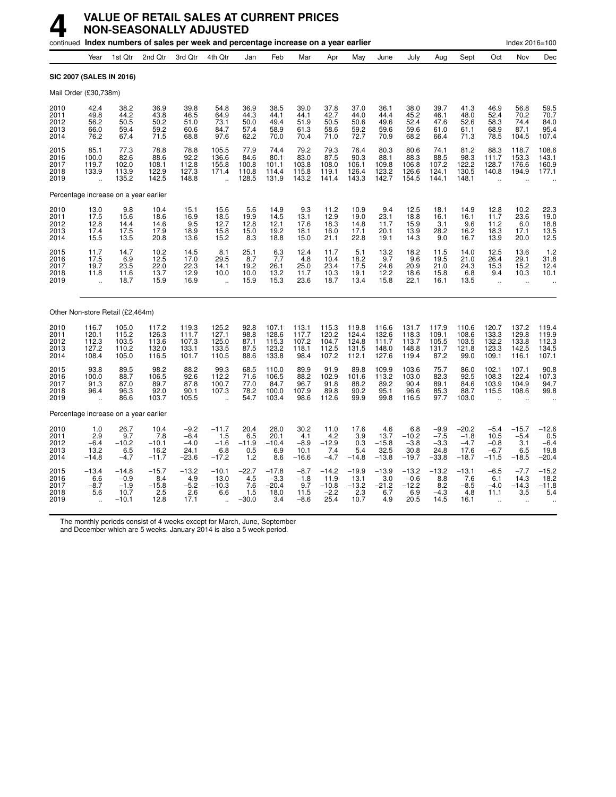|                                       |                                                      |                                                | continued Index numbers of sales per week and percentage increase on a year earlier |                                               |                                                          |                                         |                                             |                                           |                                              |                                           |                                           |                                             |                                                                        |                                                |                                               | Index 2016=100                                           |                                                            |
|---------------------------------------|------------------------------------------------------|------------------------------------------------|-------------------------------------------------------------------------------------|-----------------------------------------------|----------------------------------------------------------|-----------------------------------------|---------------------------------------------|-------------------------------------------|----------------------------------------------|-------------------------------------------|-------------------------------------------|---------------------------------------------|------------------------------------------------------------------------|------------------------------------------------|-----------------------------------------------|----------------------------------------------------------|------------------------------------------------------------|
|                                       | Year                                                 | 1st Qtr                                        | 2nd Qtr                                                                             | 3rd Qtr                                       | 4th Qtr                                                  | Jan                                     | Feb                                         | Mar                                       | Apr                                          | May                                       | June                                      | July                                        | Aug                                                                    | Sept                                           | Oct                                           | Nov                                                      | Dec                                                        |
| <b>SIC 2007 (SALES IN 2016)</b>       |                                                      |                                                |                                                                                     |                                               |                                                          |                                         |                                             |                                           |                                              |                                           |                                           |                                             |                                                                        |                                                |                                               |                                                          |                                                            |
| Mail Order (£30,738m)                 |                                                      |                                                |                                                                                     |                                               |                                                          |                                         |                                             |                                           |                                              |                                           |                                           |                                             |                                                                        |                                                |                                               |                                                          |                                                            |
| 2010<br>2011<br>2012<br>2013<br>2014  | 42.4<br>49.8<br>56.2<br>66.0<br>76.2                 | 38.2<br>44.2<br>50.5<br>59.4<br>67.4           | 36.9<br>43.8<br>50.2<br>59.2<br>71.5                                                | 39.8<br>46.5<br>51.0<br>60.6<br>68.8          | 54.8<br>64.9<br>73.1<br>84.7<br>97.6                     | 36.9<br>44.3<br>50.0<br>57.4<br>62.2    | 38.5<br>44.1<br>49.4<br>58.9<br>70.0        | 39.0<br>44.1<br>51.9<br>61.3<br>70.4      | 37.8<br>42.7<br>50.5<br>58.6<br>71.0         | 37.0<br>44.0<br>50.6<br>59.2<br>72.7      | 36.1<br>44.4<br>49.6<br>59.6<br>70.9      | 38.0<br>45.2<br>52.4<br>59.6<br>68.2        | 39.7<br>46.1<br>47.6<br>61.0<br>66.4                                   | 41.3<br>48.0<br>52.6<br>61.1<br>71.3           | 46.9<br>52.4<br>58.3<br>68.9<br>78.5          | 56.8<br>70.2<br>74.4<br>87.1<br>104.5                    | 59.5<br>70.7<br>84.0<br>95.4<br>107.4                      |
| 2015<br>2016<br>2017<br>2018<br>2019  | 85.1<br>100.0<br>119.7<br>133.9<br>ü.                | 77.3<br>82.6<br>102.0<br>113.9<br>135.2        | 78.8<br>88.6<br>108.1<br>122.9<br>142.5                                             | 78.8<br>92.2<br>112.8<br>127.3<br>148.8       | 105.5<br>136.6<br>155.8<br>171.4<br>$\ddot{\phantom{a}}$ | 77.9<br>84.6<br>100.8<br>110.8<br>128.5 | 74.4<br>80.1<br>101.1<br>114.4<br>131.9     | 79.2<br>83.0<br>103.8<br>115.8<br>143.2   | 79.3<br>87.5<br>108.0<br>119.1<br>141.4      | 76.4<br>90.3<br>106.1<br>126.4<br>143.3   | 80.3<br>88.1<br>109.8<br>123.2<br>142.7   | 80.6<br>88.3<br>106.8<br>126.6<br>154.5     | 74.1<br>88.5<br>107.2<br>124.1<br>144.1                                | 81.2<br>98.3<br>122.2<br>130.5<br>148.1        | 88.3<br>111.7<br>128.7<br>140.8               | 118.7<br>153.3<br>176.6<br>194.9                         | 108.6<br>143.1<br>160.9<br>177.1                           |
| Percentage increase on a year earlier |                                                      |                                                |                                                                                     |                                               |                                                          |                                         |                                             |                                           |                                              |                                           |                                           |                                             |                                                                        |                                                |                                               |                                                          |                                                            |
| 2010<br>2011<br>2012<br>2013<br>2014  | 13.0<br>17.5<br>12.8<br>17.4<br>15.5                 | 9.8<br>15.6<br>14.4<br>17.5<br>13.5            | 10.4<br>18.6<br>14.6<br>17.9<br>20.8                                                | 15.1<br>16.9<br>9.5<br>18.9<br>13.6           | 15.6<br>18.5<br>12.7<br>15.8<br>15.2                     | 5.6<br>19.9<br>12.8<br>15.0<br>8.3      | 14.9<br>14.5<br>12.1<br>19.2<br>18.8        | 9.3<br>13.1<br>17.6<br>18.1<br>15.0       | 11.2<br>12.9<br>18.3<br>16.0<br>21.1         | 10.9<br>19.0<br>14.8<br>17.1<br>22.8      | 9.4<br>23.1<br>11.7<br>20.1<br>19.1       | 12.5<br>18.8<br>15.9<br>13.9<br>14.3        | 18.1<br>16.1<br>3.1<br>28.2<br>9.0                                     | 14.9<br>16.1<br>9.6<br>16.2<br>16.7            | 12.8<br>11.7<br>11.2<br>18.3<br>13.9          | 10.2<br>23.6<br>6.0<br>17.1<br>20.0                      | 22.3<br>19.0<br>$\frac{18.8}{13.5}$<br>12.5                |
| 2015<br>2016<br>2017<br>2018<br>2019  | 11.7<br>17.5<br>19.7<br>11.8<br>$\ddot{\phantom{a}}$ | 14.7<br>6.9<br>23.5<br>11.6<br>18.7            | 10.2<br>12.5<br>22.0<br>13.7<br>15.9                                                | 14.5<br>17.0<br>22.3<br>12.9<br>16.9          | 8.1<br>29.5<br>14.1<br>10.0<br>$\ddot{\phantom{a}}$      | 25.1<br>8.7<br>19.2<br>10.0<br>15.9     | 6.3<br>7.7<br>26.1<br>13.2<br>15.3          | 12.4<br>4.8<br>25.0<br>11.7<br>23.6       | 11.7<br>10.4<br>23.4<br>10.3<br>18.7         | 5.1<br>18.2<br>17.5<br>19.1<br>13.4       | 13.2<br>9.7<br>24.6<br>12.2<br>15.8       | 18.2<br>9.6<br>20.9<br>18.6<br>22.1         | 11.5<br>19.5<br>21.0<br>15.8<br>16.1                                   | 14.0<br>21.0<br>24.3<br>6.8<br>13.5            | 12.5<br>26.4<br>15.3<br>9.4<br>ä,             | 13.6<br>29.1<br>15.2<br>10.3<br>÷.                       | $\frac{1.2}{31.8}$<br>12.4<br>10.1<br>$\ddot{\phantom{a}}$ |
| Other Non-store Retail (£2,464m)      |                                                      |                                                |                                                                                     |                                               |                                                          |                                         |                                             |                                           |                                              |                                           |                                           |                                             |                                                                        |                                                |                                               |                                                          |                                                            |
| 2010<br>2011<br>2012<br>2013<br>2014  | 116.7<br>120.1<br>112.3<br>127.2<br>108.4            | 105.0<br>115.2<br>103.5<br>110.2<br>105.0      | 117.2<br>126.3<br>113.6<br>132.0<br>116.5                                           | 119.3<br>111.7<br>107.3<br>133.1<br>101.7     | 125.2<br>127.1<br>125.0<br>133.5<br>110.5                | 92.8<br>98.8<br>87.1<br>87.5<br>88.6    | 107.1<br>128.6<br>115.3<br>123.2<br>133.8   | 113.1<br>117.7<br>107.2<br>118.1<br>98.4  | 115.3<br>120.2<br>104.7<br>112.5<br>107.2    | 119.8<br>124.4<br>124.8<br>131.5<br>112.1 | 116.6<br>132.6<br>111.7<br>148.0<br>127.6 | 131.7<br>118.3<br>113.7<br>148.8<br>119.4   | 117.9<br>109.1<br>105.5<br>131.7<br>87.2                               | 110.6<br>108.6<br>103.5<br>121.8<br>99.0       | 120.7<br>133.3<br>132.2<br>123.3<br>109.1     | 137.2<br>129.8<br>133.8<br>142.5<br>116.1                | 119.4<br>119.9<br>112.3<br>$\frac{134.5}{107.1}$           |
| 2015<br>2016<br>2017<br>2018<br>2019  | 93.8<br>100.0<br>91.3<br>96.4                        | 89.5<br>88.7<br>87.0<br>96.3<br>86.6           | 98.2<br>106.5<br>89.7<br>92.0<br>103.7                                              | 88.2<br>92.6<br>87.8<br>90.1<br>105.5         | 99.3<br>112.2<br>100.7<br>107.3                          | 68.5<br>71.6<br>77.0<br>78.2<br>54.7    | 110.0<br>106.5<br>84.7<br>100.0<br>103.4    | 89.9<br>88.2<br>96.7<br>107.9<br>98.6     | 91.9<br>102.9<br>91.8<br>89.8<br>112.6       | 89.8<br>101.6<br>88.2<br>90.2<br>99.9     | 109.9<br>113.2<br>89.2<br>95.1<br>99.8    | 103.6<br>103.0<br>90.4<br>96.6<br>116.5     | 75.7<br>82.3<br>89.1<br>85.3<br>97.7                                   | 86.0<br>92.5<br>84.6<br>88.7<br>103.0          | 102.1<br>108.3<br>103.9<br>115.5              | 107.1<br>122.4<br>104.9<br>108.6                         | 90.8<br>107.3<br>94.7<br>99.8                              |
| Percentage increase on a year earlier |                                                      |                                                |                                                                                     |                                               |                                                          |                                         |                                             |                                           |                                              |                                           |                                           |                                             |                                                                        |                                                |                                               |                                                          |                                                            |
| 2010<br>2011<br>2012<br>2013<br>2014  | 1.0<br>2.9<br>$-6.4$<br>13.2<br>$-14.8$              | 26.7<br>9.7<br>$-10.2$<br>6.5<br>$-4.7$        | 10.4<br>7.8<br>$-10.1$<br>16.2<br>$-11.7$                                           | $-9.2$<br>$-6.4$<br>$-4.0$<br>24.1<br>$-23.6$ | $-11.7$<br>1.5<br>$-1.6$<br>6.8<br>$-17.2$               | 20.4<br>6.5<br>$-11.9$<br>0.5<br>1.2    | 28.0<br>20.1<br>$-10.4$<br>6.9<br>8.6       | 30.2<br>4.1<br>$-8.9$<br>10.1<br>$-16.6$  | 11.0<br>4.2<br>$-12.9$<br>7.4<br>$-4.7$      | 17.6<br>3.9<br>0.3<br>5.4<br>$-14.8$      | 4.6<br>13.7<br>$-15.8$<br>32.5<br>$-13.8$ | 6.8<br>$-10.2$<br>$-3.8$<br>30.8<br>$-19.7$ | $-9.9$<br>$-7.5$<br>$-3.3$<br>24.8<br>$-33.8$                          | $-20.2$<br>$-1.8$<br>$-4.7$<br>17.6<br>$-18.7$ | $-5.4$<br>10.5<br>$-0.8$<br>$-6.7$<br>$-11.5$ | $-15.7$<br>$-5.4$<br>3.1<br>6.5<br>$-18.5$               | $-12.6$<br>0.5<br>$-6.4$<br>19.8<br>$-20.4$                |
| 2015<br>2016<br>2017<br>2018<br>2019  | $-13.4$<br>$-8.7$<br>5.6<br>$\ddot{\phantom{a}}$     | $-14.8$<br>$-0.9$<br>$-1.9$<br>10.7<br>$-10.1$ | $-15.7$<br>8.4<br>$-15.8$<br>2.5<br>12.8                                            | $-13.2$<br>$4.9 - 5.2$<br>2.6<br>17.1         | $-10.1$<br>13.0<br>$-10.3$<br>6.6                        | $-22.7$<br>4.5<br>7.6<br>1.5<br>$-30.0$ | $-17.8$<br>$-3.3$<br>$-20.4$<br>18.0<br>3.4 | $-8.7$<br>$-1.8$<br>9.7<br>11.5<br>$-8.6$ | $-14.2$<br>11.9<br>$-10.8$<br>$-2.2$<br>25.4 | $-19.9$<br>13.1<br>$-13.2$<br>2.3<br>10.7 | $-13.9$<br>3.0<br>$-21.2$<br>6.7<br>4.9   | $-13.2$<br>$-0.6$<br>-12.2<br>6.9<br>20.5   | $-13.2$<br>$\begin{array}{c} 8.8 \\ 8.2 \end{array}$<br>$-4.3$<br>14.5 | $-13.1$<br>7.6<br>$-8.\bar{5}$<br>4.8<br>16.1  | $-6.5$<br>6.1<br>$-4.0$<br>11.1               | $-7.7$<br>14.3<br>$-14.3$<br>3.5<br>$\ddot{\phantom{a}}$ | $-15.2$<br>$18.2 - 11.8$<br>5.4                            |

The monthly periods consist of 4 weeks except for March, June, September

and December which are 5 weeks. January 2014 is also a 5 week period.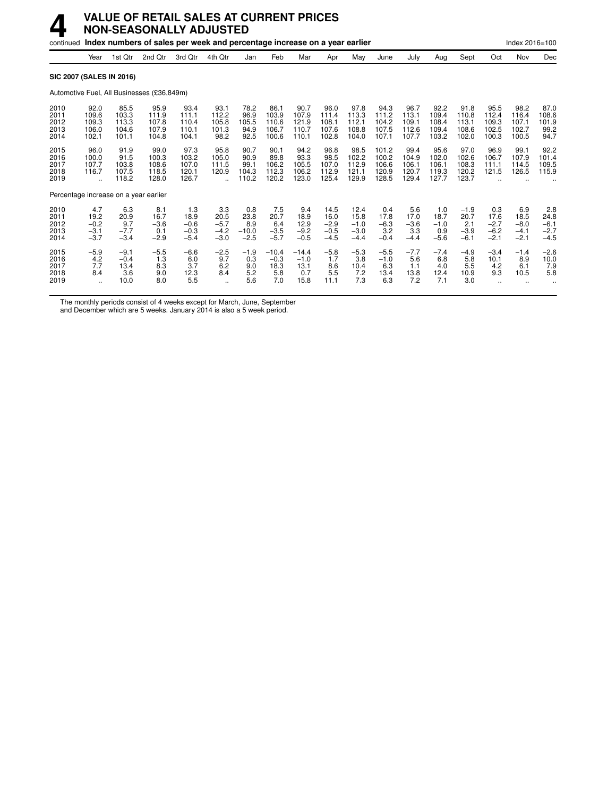|                                      |                                           |                                          | continued Index numbers of sales per week and percentage increase on a year earlier |                                           |                                           |                                         |                                          |                                          |                                            |                                            |                                           |                                          |                                          |                                           |                                           | Index 2016=100                            |                                           |
|--------------------------------------|-------------------------------------------|------------------------------------------|-------------------------------------------------------------------------------------|-------------------------------------------|-------------------------------------------|-----------------------------------------|------------------------------------------|------------------------------------------|--------------------------------------------|--------------------------------------------|-------------------------------------------|------------------------------------------|------------------------------------------|-------------------------------------------|-------------------------------------------|-------------------------------------------|-------------------------------------------|
|                                      | Year                                      | 1st Qtr                                  | 2nd Qtr                                                                             | 3rd Otr                                   | 4th Qtr                                   | Jan                                     | Feb                                      | Mar                                      | Apr                                        | May                                        | June                                      | July                                     | Aug                                      | Sept                                      | Oct                                       | Nov                                       | Dec                                       |
|                                      |                                           | <b>SIC 2007 (SALES IN 2016)</b>          |                                                                                     |                                           |                                           |                                         |                                          |                                          |                                            |                                            |                                           |                                          |                                          |                                           |                                           |                                           |                                           |
|                                      |                                           |                                          | Automotive Fuel, All Businesses (£36,849m)                                          |                                           |                                           |                                         |                                          |                                          |                                            |                                            |                                           |                                          |                                          |                                           |                                           |                                           |                                           |
| 2010<br>2011<br>2012<br>2013<br>2014 | 92.0<br>109.6<br>109.3<br>106.0<br>102.1  | 85.5<br>103.3<br>113.3<br>104.6<br>101.1 | 95.9<br>111.9<br>107.8<br>107.9<br>104.8                                            | 93.4<br>111.1<br>110.4<br>110.1<br>104.1  | 93.1<br>112.2<br>105.8<br>101.3<br>98.2   | 78.2<br>96.9<br>105.5<br>94.9<br>92.5   | 86.1<br>103.9<br>110.6<br>106.7<br>100.6 | 90.7<br>107.9<br>121.9<br>110.7<br>110.1 | 96.0<br>111.4<br>108.1<br>107.6<br>102.8   | 97.8<br>113.3<br>112.1<br>108.8<br>104.0   | 94.3<br>111.2<br>104.2<br>107.5<br>107.1  | 96.7<br>113.1<br>109.1<br>112.6<br>107.7 | 92.2<br>109.4<br>108.4<br>109.4<br>103.2 | 91.8<br>110.8<br>113.1<br>108.6<br>102.0  | 95.5<br>112.4<br>109.3<br>102.5<br>100.3  | 98.2<br>116.4<br>107.1<br>102.7<br>100.5  | 87.0<br>108.6<br>101.9<br>99.2<br>94.7    |
| 2015<br>2016<br>2017<br>2018<br>2019 | 96.0<br>100.0<br>107.7<br>116.7<br>à.     | 91.9<br>91.5<br>103.8<br>107.5<br>118.2  | 99.0<br>100.3<br>108.6<br>118.5<br>128.0                                            | 97.3<br>103.2<br>107.0<br>120.1<br>126.7  | 95.8<br>105.0<br>111.5<br>120.9           | 90.7<br>90.9<br>99.1<br>104.3<br>110.2  | 90.1<br>89.8<br>106.2<br>112.3<br>120.2  | 94.2<br>93.3<br>105.5<br>106.2<br>123.0  | 96.8<br>98.5<br>107.0<br>112.9<br>125.4    | 98.5<br>102.2<br>112.9<br>121.1<br>129.9   | 101.2<br>100.2<br>106.6<br>120.9<br>128.5 | 99.4<br>104.9<br>106.1<br>120.7<br>129.4 | 95.6<br>102.0<br>106.1<br>119.3<br>127.7 | 97.0<br>102.6<br>108.3<br>120.2<br>123.7  | 96.9<br>106.7<br>111.1<br>121.5           | 99.1<br>107.9<br>114.5<br>126.5           | 92.2<br>101.4<br>109.5<br>115.9           |
|                                      |                                           |                                          | Percentage increase on a year earlier                                               |                                           |                                           |                                         |                                          |                                          |                                            |                                            |                                           |                                          |                                          |                                           |                                           |                                           |                                           |
| 2010<br>2011<br>2012<br>2013<br>2014 | 4.7<br>19.2<br>$-0.2$<br>$-3.1$<br>$-3.7$ | 6.3<br>20.9<br>9.7<br>$-7.7$<br>$-3.4$   | 8.1<br>16.7<br>$-3.6$<br>0.1<br>$-2.9$                                              | 1.3<br>18.9<br>$-0.6$<br>$-0.3$<br>$-5.4$ | 3.3<br>20.5<br>$-5.7$<br>$-4.2$<br>$-3.0$ | 0.8<br>23.8<br>8.9<br>$-10.0$<br>$-2.5$ | 7.5<br>20.7<br>6.4<br>$-3.5$<br>$-5.7$   | 9.4<br>18.9<br>12.9<br>$-9.2$<br>$-0.5$  | 14.5<br>16.0<br>$-2.9$<br>$-0.5$<br>$-4.5$ | 12.4<br>15.8<br>$-1.0$<br>$-3.0$<br>$-4.4$ | 0.4<br>17.8<br>$-6.3$<br>3.2<br>$-0.4$    | 5.6<br>17.0<br>$-3.6$<br>3.3<br>$-4.4$   | 1.0<br>18.7<br>$-1.0$<br>0.9<br>$-5.6$   | $-1.9$<br>20.7<br>2.1<br>$-3.9$<br>$-6.1$ | 0.3<br>17.6<br>$-2.7$<br>$-6.2$<br>$-2.1$ | 6.9<br>18.5<br>$-8.0$<br>$-4.1$<br>$-2.1$ | 2.8<br>24.8<br>$-6.1$<br>$-2.7$<br>$-4.5$ |
| 2015<br>2016<br>2017<br>2018<br>2019 | $-5.9$<br>4.2<br>7.7<br>8.4<br>$\ddotsc$  | $-9.1$<br>$-0.4$<br>13.4<br>3.6<br>10.0  | $-5.5$<br>1.3<br>8.3<br>9.0<br>8.0                                                  | $-6.6$<br>6.0<br>3.7<br>12.3<br>5.5       | $-2.5$<br>9.7<br>6.2<br>8.4<br>$\ddotsc$  | $-1.9$<br>0.3<br>9.0<br>5.2<br>5.6      | $-10.4$<br>$-0.3$<br>18.3<br>5.8<br>7.0  | $-14.4$<br>$-1.0$<br>13.1<br>0.7<br>15.8 | $-5.8$<br>1.7<br>8.6<br>5.5<br>11.1        | $-5.3$<br>3.8<br>10.4<br>7.2<br>7.3        | $-5.5$<br>$-1.0$<br>6.3<br>13.4<br>6.3    | $-7.7$<br>5.6<br>1.1<br>13.8<br>7.2      | $-7.4$<br>6.8<br>4.0<br>12.4<br>7.1      | $-4.9$<br>5.8<br>5.5<br>10.9<br>3.0       | $-3.4$<br>10.1<br>4.2<br>9.3              | $-1.4$<br>8.9<br>6.1<br>10.5              | $-2.6$<br>10.0<br>7.9<br>5.8              |

The monthly periods consist of 4 weeks except for March, June, September

and December which are 5 weeks. January 2014 is also a 5 week period.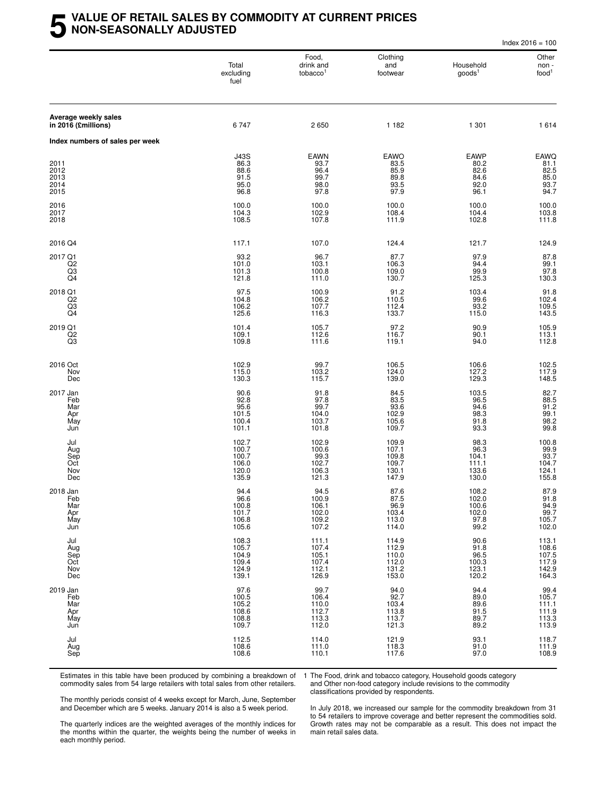### **5 VALUE OF RETAIL SALES BY COMMODITY AT CURRENT PRICES NON-SEASONALLY ADJUSTED**

|                                             |                                                     |                                                     |                                                    |                                                     | Index $2016 = 100$                                                                              |
|---------------------------------------------|-----------------------------------------------------|-----------------------------------------------------|----------------------------------------------------|-----------------------------------------------------|-------------------------------------------------------------------------------------------------|
|                                             | Total<br>excluding<br>fuel                          | Food,<br>drink and<br>tobacco <sup>1</sup>          | Clothing<br>and<br>footwear                        | Household<br>goods <sup>1</sup>                     | Other<br>non -<br>food <sup>1</sup>                                                             |
| Average weekly sales<br>in 2016 (£millions) | 6747                                                | 2650                                                | 1 1 8 2                                            | 1 301                                               | 1614                                                                                            |
| Index numbers of sales per week             |                                                     |                                                     |                                                    |                                                     |                                                                                                 |
| 2011<br>2012<br>2013<br>2014<br>2015        | <b>J43S</b><br>86.3<br>88.6<br>91.5<br>95.0<br>96.8 | <b>EAWN</b><br>93.7<br>96.4<br>99.7<br>98.0<br>97.8 | EAWO<br>83.5<br>85.9<br>89.8<br>93.5<br>97.9       | <b>EAWP</b><br>80.2<br>82.6<br>84.6<br>92.0<br>96.1 | EAWQ<br>81.1<br>82.5<br>85.0<br>93.7<br>94.7                                                    |
| 2016<br>2017<br>2018                        | 100.0<br>104.3<br>108.5                             | 100.0<br>102.9<br>107.8                             | 100.0<br>108.4<br>111.9                            | 100.0<br>104.4<br>102.8                             | 100.0<br>103.8<br>111.8                                                                         |
| 2016 Q4                                     | 117.1                                               | 107.0                                               | 124.4                                              | 121.7                                               | 124.9                                                                                           |
| 2017 Q1<br>$_{\rm Q3}^{\rm Q2}$<br>Q4       | 93.2<br>101.0<br>101.3<br>121.8                     | 96.7<br>103.1<br>100.8<br>111.0                     | 87.7<br>106.3<br>109.0<br>130.7                    | 97.9<br>94.4<br>99.9<br>125.3                       | 87.8<br>$\frac{99.1}{97.8}$<br>130.3                                                            |
| 2018 Q1<br>Q2<br>$^{Q3}_{Q4}$               | 97.5<br>104.8<br>106.2<br>125.6                     | 100.9<br>106.2<br>107.7<br>116.3                    | 91.2<br>110.5<br>112.4<br>133.7                    | 103.4<br>99.6<br>$93.2$<br>115.0                    | 91.8<br>102.4<br>109.5<br>143.5                                                                 |
| 2019 Q1<br>Q2<br>Q3                         | 101.4<br>109.1<br>109.8                             | 105.7<br>112.6<br>111.6                             | $97.2$<br>116.7<br>119.1                           | 90.9<br>90.1<br>94.0                                | 105.9<br>113.1<br>112.8                                                                         |
| 2016 Oct<br>Nov<br>Dec                      | 102.9<br>115.0<br>130.3                             | 99.7<br>103.2<br>115.7                              | 106.5<br>124.0<br>139.0                            | 106.6<br>127.2<br>129.3                             | 102.5<br>117.9<br>148.5                                                                         |
| 2017 Jan<br>Feb<br>Mar<br>Apr<br>May<br>Jun | 90.6<br>92.8<br>95.6<br>101.5<br>100.4<br>101.1     | 91.8<br>97.8<br>99.7<br>104.0<br>103.7<br>101.8     | 84.5<br>83.5<br>93.6<br>102.9<br>105.6<br>109.7    | 103.5<br>96.5<br>94.6<br>98.3<br>91.8<br>93.3       | 82.7<br>88.5<br>91.2<br>99.1<br>98.2<br>99.8                                                    |
| Jul<br>Aug<br>Sep<br>Oct<br>Nov<br>Dec      | 102.7<br>100.7<br>100.7<br>106.0<br>120.0<br>135.9  | 102.9<br>100.6<br>99.3<br>102.7<br>106.3<br>121.3   | 109.9<br>107.1<br>109.8<br>109.7<br>130.1<br>147.9 | 98.3<br>96.3<br>104.1<br>111.1<br>133.6<br>130.0    | $\begin{array}{c}\n 100.8 \\  99.9 \\  93.7 \\  101.7\n \end{array}$<br>104.7<br>124.1<br>155.8 |
| 2018 Jan<br>Feb<br>Mar<br>Apr<br>May<br>Jun | 94.4<br>96.6<br>100.8<br>101.7<br>106.8<br>105.6    | 94.5<br>100.9<br>106.1<br>102.0<br>109.2<br>107.2   | 87.6<br>87.5<br>96.9<br>103.4<br>113.0<br>114.0    | 108.2<br>102.0<br>100.6<br>102.0<br>97.8<br>99.2    | 87.9<br>91.8<br>94.9<br>99.7<br>105.7<br>102.0                                                  |
| Jul<br>Aug<br>Sep<br>Oct<br>Nov<br>Dec      | 108.3<br>105.7<br>104.9<br>109.4<br>124.9<br>139.1  | 111.1<br>107.4<br>105.1<br>107.4<br>112.1<br>126.9  | 114.9<br>112.9<br>110.0<br>112.0<br>131.2<br>153.0 | 90.6<br>91.8<br>96.5<br>100.3<br>123.1<br>120.2     | 113.1<br>108.6<br>107.5<br>117.9<br>142.9<br>164.3                                              |
| 2019 Jan<br>Feb<br>Mar<br>Apr<br>May<br>Jun | 97.6<br>100.5<br>105.2<br>108.6<br>108.8<br>109.7   | 99.7<br>106.4<br>110.0<br>112.7<br>113.3<br>112.0   | 94.0<br>92.7<br>103.4<br>113.8<br>113.7<br>121.3   | 94.4<br>89.0<br>89.6<br>91.5<br>89.7<br>89.2        | 99.4<br>105.7<br>111.1<br>$\begin{array}{c} 111.9 \\ 113.3 \\ 113.9 \end{array}$                |
| Jul<br>Aug<br>Sep                           | 112.5<br>108.6<br>108.6                             | 114.0<br>111.0<br>110.1                             | 121.9<br>118.3<br>117.6                            | 93.1<br>91.0<br>97.0                                | 118.7<br>111.9<br>108.9                                                                         |

Estimates in this table have been produced by combining a breakdown of commodity sales from 54 large retailers with total sales from other retailers.

1 The Food, drink and tobacco category, Household goods category and Other non-food category include revisions to the commodity classifications provided by respondents.

The monthly periods consist of 4 weeks except for March, June, September and December which are 5 weeks. January 2014 is also a 5 week period.

The quarterly indices are the weighted averages of the monthly indices for the months within the quarter, the weights being the number of weeks in each monthly period.

In July 2018, we increased our sample for the commodity breakdown from 31 to 54 retailers to improve coverage and better represent the commodities sold. Growth rates may not be comparable as a result. This does not impact the main retail sales data.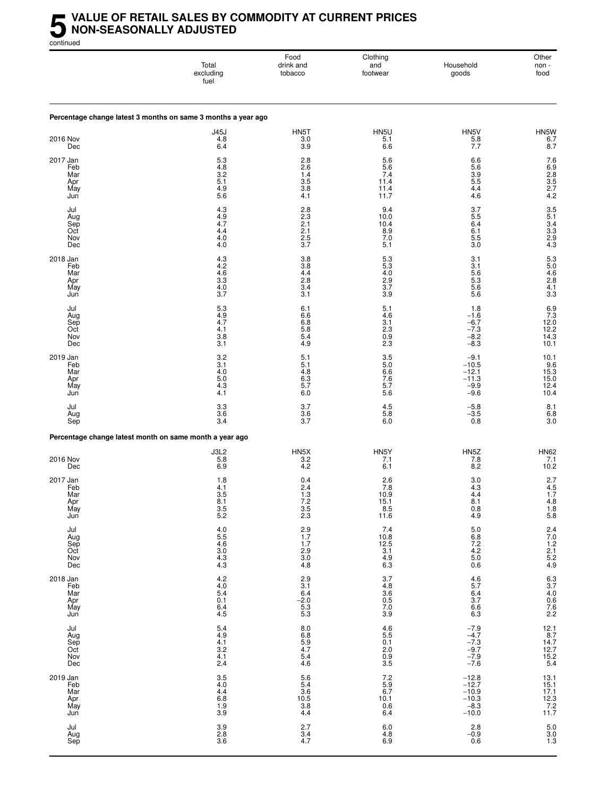### **5** VALUE OF RETAIL SALES BY COMMODITY AT CURRENT PRICES<br>MON-SEASONALLY ADJUSTED<br>continued **NON-SEASONALLY ADJUSTED**

continued

|                                             | Total<br>excluding<br>fuel                                                | Food<br>drink and<br>tobacco                                          | Clothing<br>and<br>footwear                                                  | Household<br>goods                                                    | Other<br>non -<br>food                                                       |
|---------------------------------------------|---------------------------------------------------------------------------|-----------------------------------------------------------------------|------------------------------------------------------------------------------|-----------------------------------------------------------------------|------------------------------------------------------------------------------|
|                                             | Percentage change latest 3 months on same 3 months a year ago             |                                                                       |                                                                              |                                                                       |                                                                              |
| <b>2016 Nov</b><br>Dec                      | <b>J45J</b><br>4.8<br>6.4                                                 | HN5T<br>3.0<br>3.9                                                    | HN5U<br>5.1<br>6.6                                                           | HN5V<br>$\frac{5.8}{7.7}$                                             | HN5W<br>6.78.7                                                               |
| 2017 Jan<br>Feb<br>Mar<br>Apr<br>May<br>Jun | 5.3<br>4.8<br>$3.\overline{2}$<br>5.1<br>4.9<br>$5.\overline{6}$          | 2.8<br>2.6<br>$\overline{1.4}$<br>3.5<br>3.8<br>4.1                   | 5.6<br>5.6<br>7.4<br>11.4<br>11.4<br>11.7                                    | 6.6<br>5.6<br>3.9<br>5.5<br>4.4<br>4.6                                | 7.6<br>6.9<br>8.2.5<br>2.7<br>4.2                                            |
| Jul<br>Aug<br>Sep<br>Oct<br>Nov<br>Dec      | 4.3<br>4.9<br>4.7<br>4.4<br>4.0<br>4.0                                    | 2.8<br>$2.\overline{3}$<br>2.1<br>2.1<br>2.5<br>3.7                   | 9.4<br>10.0<br>10.4<br>8.9<br>7.0<br>5.1                                     | 3.7<br>5.5<br>6.4<br>6.1<br>5.5<br>3.0                                | $3.5$<br>$5.1$<br>$3.4$<br>$3.3$<br>$2.9$<br>$4.3$                           |
| 2018 Jan<br>Feb<br>Mar<br>Apr<br>May<br>Jun | 4.3<br>4.2<br>4.6<br>$3.\overline{3}$<br>4.0<br>3.7                       | 3.8<br>3.8<br>4.4<br>2.8<br>3.4<br>3.1                                | $5.3$<br>5.3<br>4.0<br>2.9<br>3.7<br>3.9                                     | 3.1<br>3.1<br>5.6<br>5.3<br>5.6<br>5.6                                | $5.3$<br>$5.0$<br>$4.6$<br>$2.8$<br>4.1<br>3.3                               |
| Jul<br>Aug<br>Sep<br>Oct<br>Nov<br>Dec      | 5.3<br>4.9<br>4.7<br>4.1<br>3.8<br>3.1                                    | 6.1<br>6.6<br>6.8<br>5.8<br>5.4<br>4.9                                | 5.1<br>4.6<br>3.1<br>2.3<br>0.9<br>2.3                                       | 1.8<br>$-1.6$<br>$-6.7$<br>$-7.3$<br>$-8.2$<br>$-8.3$                 | $\begin{array}{c} 6.9 \\ 7.3 \\ 12.0 \end{array}$<br>12.2<br>14.3<br>10.1    |
| 2019 Jan<br>Feb<br>Mar<br>Apr<br>May<br>Jun | 3.2<br>3.1<br>4.0<br>5.0<br>4.3<br>4.1                                    | 5.1<br>5.1<br>4.8<br>6.3<br>5.7<br>6.0                                | 3.5<br>5.0<br>6.6<br>7.6<br>5.7<br>5.6                                       | $-9.1$<br>$-10.5$<br>$-12.1$<br>$-11.3$<br>$-9.9$<br>$-9.6$           | 10.1<br>9.6<br>15.3<br>15.0<br>12.4<br>10.4                                  |
| Jul<br>Aug<br>Sep                           | 3.3<br>3.6<br>3.4                                                         | 3.7<br>3.6<br>3.7                                                     | 4.5<br>5.8<br>6.0                                                            | $-5.8$<br>$-3.5$<br>0.8                                               | 8.1<br>$6.8$<br>$3.0$                                                        |
|                                             | Percentage change latest month on same month a year ago                   |                                                                       |                                                                              |                                                                       |                                                                              |
| 2016 Nov<br>Dec                             | J3L2<br>5.8<br>6.9                                                        | HN5X<br>3.2<br>4.2                                                    | HN5Y<br>7.1<br>6.1                                                           | HN <sub>5</sub> Z<br>7.8<br>8.2                                       | <b>HN62</b><br>7.1<br>10.2                                                   |
| 2017 Jan<br>Feb<br>Mar<br>Apr<br>May<br>Jun | 1.8<br>4.1<br>3.5<br>$\begin{array}{c} 8.1 \\ 3.5 \\ 5.2 \end{array}$     | 0.4<br>2.4<br>1.3<br>$\begin{array}{c} 7.2 \\ 3.5 \\ 2.3 \end{array}$ | 2.6<br>7.8<br>10.9<br>$\begin{array}{c} 15.1 \\ 8.5 \\ 11.6 \end{array}$     | 3.0<br>4.3<br>4.4<br>$\begin{array}{c} 8.1 \\ 0.8 \\ 4.9 \end{array}$ | 2.7<br>$\frac{4.5}{1.7}$<br>$\begin{array}{c} 4.8 \\ 1.8 \\ 5.8 \end{array}$ |
| Jul<br>Aug<br>Sep<br>Oct<br>Nov<br>Dec      | 4055<br>466<br>303<br>43<br>43                                            | $2.9$<br>1.7<br>1.7<br>$\frac{2.9}{3.0}$<br>4.8                       | $7.4$<br>10.8<br>12.5<br>13.1<br>4.9<br>6.3                                  | $\frac{5.0}{6.8}$<br>$7.2$<br>4.2<br>5.0<br>0.6                       | 2.4<br>7.0<br>1.2<br>2.1<br>5.2<br>4.9                                       |
| 2018 Jan<br>Feb<br>Mar<br>Apr<br>May<br>Jun | $^{4.2}_{4.0}$<br>5.4<br>0.1<br>6.4<br>4.5                                | 2.9<br>3.1<br>6.4<br>$-2.0$<br>$\frac{5.3}{5.3}$                      | 3.7<br>4.8<br>3.6<br>5.0<br>7.0<br>3.9                                       | $\frac{4.6}{4}$<br>5.7<br>6.4<br>3.7<br>6.6<br>6.3                    | 6.3<br>3.7<br>4.0<br>0.6<br>7.6<br>2.2                                       |
| Jul<br>Aug<br>Sep<br>Oct<br>Nov<br>Dec      | $\frac{5.4}{4.9}$<br>4.1<br>3.2<br>4.1<br>2.4                             | 8.0<br>6.8<br>5.9<br>4.7<br>5.4<br>4.6                                | $\begin{array}{c} 4.6 \\ 5.5 \\ 0.1 \end{array}$<br>$\frac{2.0}{0.9}$<br>3.5 | $-7.9$<br>$-4.7$<br>$-7.3$<br>$-9.7$<br>$-7.9$<br>$-7.6$              | 12.1<br>8.7<br>14.7<br>12.7<br>15.2<br>5.4                                   |
| 2019 Jan<br>Feb<br>Mar<br>Apr<br>May<br>Jun | $\begin{array}{c} 3.5 \\ 4.0 \end{array}$<br>4.4<br>$6.8$<br>$1.9$<br>3.9 | $\frac{5.6}{5.4}$<br>$\frac{3.6}{10.5}$<br>$\frac{3.8}{1}$<br>4.4     | $7.2$<br>$5.9$<br>$6.7$<br>10.1<br>0.6<br>6.4                                | $-12.8$<br>$-12.7$<br>$-10.9$<br>$-10.3$<br>$-8.3$<br>$-10.0$         | 13.1<br>15.1<br>17.1<br>12.3<br>7.2<br>11.7                                  |
| Jul<br>Aug<br>Sep                           | 3.9<br>$\frac{2.8}{3.6}$                                                  | 2.7<br>$3.4$<br>$4.7$                                                 | 6.0<br>$^{4.8}_{6.9}$                                                        | 2.8<br>$-0.9$<br>0.6                                                  | $5.0\,$<br>$\frac{3.0}{1.3}$                                                 |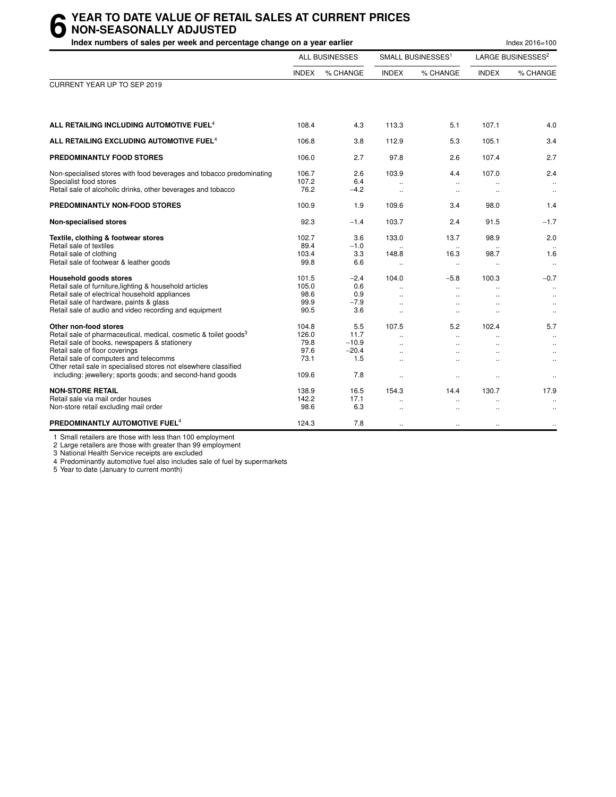# **6** YEAR TO DATE VALUE OF RETAIL SALES AT CURRENT PRICES<br> **6** NON-SEASONALLY ADJUSTED<br>
Index numbers of sales per week and percentage change on a vear earlier **NON-SEASONALLY ADJUSTED**

| Index numbers of sales per week and percentage change on a year earlier                                                                                                                                                                                                                                                                                             |                                                 |                                                 |                                                                         |                                            | Index 2016=100                            |                                                                   |
|---------------------------------------------------------------------------------------------------------------------------------------------------------------------------------------------------------------------------------------------------------------------------------------------------------------------------------------------------------------------|-------------------------------------------------|-------------------------------------------------|-------------------------------------------------------------------------|--------------------------------------------|-------------------------------------------|-------------------------------------------------------------------|
|                                                                                                                                                                                                                                                                                                                                                                     |                                                 | <b>ALL BUSINESSES</b>                           |                                                                         | SMALL BUSINESSES <sup>1</sup>              |                                           | LARGE BUSINESSES <sup>2</sup>                                     |
|                                                                                                                                                                                                                                                                                                                                                                     | <b>INDEX</b>                                    | % CHANGE                                        | <b>INDEX</b>                                                            | % CHANGE                                   | <b>INDEX</b>                              | % CHANGE                                                          |
| CURRENT YEAR UP TO SEP 2019                                                                                                                                                                                                                                                                                                                                         |                                                 |                                                 |                                                                         |                                            |                                           |                                                                   |
| ALL RETAILING INCLUDING AUTOMOTIVE FUEL <sup>4</sup>                                                                                                                                                                                                                                                                                                                | 108.4                                           | 4.3                                             | 113.3                                                                   | 5.1                                        | 107.1                                     | 4.0                                                               |
| ALL RETAILING EXCLUDING AUTOMOTIVE FUEL <sup>4</sup>                                                                                                                                                                                                                                                                                                                | 106.8                                           | 3.8                                             | 112.9                                                                   | 5.3                                        | 105.1                                     | 3.4                                                               |
| PREDOMINANTLY FOOD STORES                                                                                                                                                                                                                                                                                                                                           | 106.0                                           | 2.7                                             | 97.8                                                                    | 2.6                                        | 107.4                                     | 2.7                                                               |
| Non-specialised stores with food beverages and tobacco predominating<br>Specialist food stores<br>Retail sale of alcoholic drinks, other beverages and tobacco                                                                                                                                                                                                      | 106.7<br>107.2<br>76.2                          | 2.6<br>6.4<br>$-4.2$                            | 103.9<br>$\ddot{\phantom{a}}$                                           | 4.4<br>$\ddot{\phantom{a}}$<br>$\ddotsc$   | 107.0<br>$\ddot{\phantom{a}}$             | 2.4<br>$\ddotsc$<br>$\ldots$                                      |
| PREDOMINANTLY NON-FOOD STORES                                                                                                                                                                                                                                                                                                                                       | 100.9                                           | 1.9                                             | 109.6                                                                   | 3.4                                        | 98.0                                      | 1.4                                                               |
| Non-specialised stores                                                                                                                                                                                                                                                                                                                                              | 92.3                                            | $-1.4$                                          | 103.7                                                                   | 2.4                                        | 91.5                                      | $-1.7$                                                            |
| Textile, clothing & footwear stores<br>Retail sale of textiles<br>Retail sale of clothing<br>Retail sale of footwear & leather goods                                                                                                                                                                                                                                | 102.7<br>89.4<br>103.4<br>99.8                  | 3.6<br>$-1.0$<br>3.3<br>6.6                     | 133.0<br>148.8<br>$\ddotsc$                                             | 13.7<br>16.3<br>$\ddotsc$                  | 98.9<br>98.7<br>$\ddotsc$                 | 2.0<br>1.6<br>$\ldots$                                            |
| <b>Household goods stores</b><br>Retail sale of furniture, lighting & household articles<br>Retail sale of electrical household appliances<br>Retail sale of hardware, paints & glass<br>Retail sale of audio and video recording and equipment                                                                                                                     | 101.5<br>105.0<br>98.6<br>99.9<br>90.5          | $-2.4$<br>0.6<br>0.9<br>$-7.9$<br>3.6           | 104.0<br>$\ddot{\phantom{a}}$<br>$\ddot{\phantom{a}}$                   | $-5.8$<br>$\ddot{\phantom{a}}$             | 100.3                                     | $-0.7$<br>$\ldots$<br>$\ddotsc$<br>$\ddotsc$<br>$\ddotsc$         |
| Other non-food stores<br>Retail sale of pharmaceutical, medical, cosmetic & toilet goods <sup>3</sup><br>Retail sale of books, newspapers & stationery<br>Retail sale of floor coverings<br>Retail sale of computers and telecomms<br>Other retail sale in specialised stores not elsewhere classified<br>including: jewellery; sports goods; and second-hand goods | 104.8<br>126.0<br>79.8<br>97.6<br>73.1<br>109.6 | 5.5<br>11.7<br>$-10.9$<br>$-20.4$<br>1.5<br>7.8 | 107.5<br>$\mathbf{r}$<br>$\ddot{\phantom{a}}$<br>$\ddotsc$<br>$\ddotsc$ | 5.2<br>$\ddotsc$<br>$\cdot$ .<br>$\ddotsc$ | 102.4<br>$\sim$<br>$\ddotsc$<br>$\ddotsc$ | 5.7<br>$\ldots$<br>$\ldots$<br>$\ddotsc$<br>$\ldots$<br>$\ddotsc$ |
| <b>NON-STORE RETAIL</b><br>Retail sale via mail order houses<br>Non-store retail excluding mail order                                                                                                                                                                                                                                                               | 138.9<br>142.2<br>98.6                          | 16.5<br>17.1<br>6.3                             | 154.3<br>$\ddot{\phantom{a}}$                                           | 14.4<br>$\ddotsc$                          | 130.7                                     | 17.9<br>$\ddotsc$                                                 |
| PREDOMINANTLY AUTOMOTIVE FUEL <sup>4</sup>                                                                                                                                                                                                                                                                                                                          | 124.3                                           | 7.8                                             | $\ddot{\phantom{a}}$                                                    | $\ddotsc$                                  | $\ddotsc$                                 | $\ldots$                                                          |

1 Small retailers are those with less than 100 employment

2 Large retailers are those with greater than 99 employment

3 National Health Service receipts are excluded

4 Predominantly automotive fuel also includes sale of fuel by supermarkets

5 Year to date (January to current month)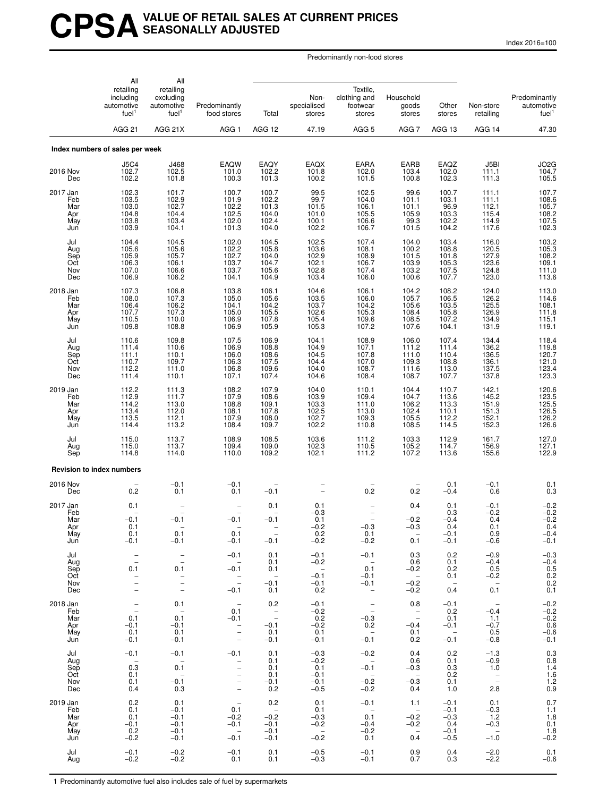# **CPSAVALUE OF RETAIL SALES AT CURRENT PRICES SEASONALLY ADJUSTED**

Index 2016=100

Predominantly non-food stores

|                                             | All<br>retailing<br>including<br>automotive<br>fuel <sup>1</sup><br>AGG <sub>21</sub>                | All<br>retailing<br>excluding<br>automotive<br>fuel <sup>1</sup><br>AGG 21X  | Predominantly<br>food stores<br>AGG 1                                                    | Total<br>AGG 12                                                                 | Non-<br>specialised<br>stores<br>47.19                 | Textile,<br>clothing and<br>footwear<br>stores<br>AGG <sub>5</sub>          | Household<br>goods<br>stores<br>AGG 7                  | Other<br>stores<br>AGG 13                              | Non-store<br>retailing<br>AGG 14                       | Predominantly<br>automotive<br>fuel <sup>1</sup><br>47.30               |
|---------------------------------------------|------------------------------------------------------------------------------------------------------|------------------------------------------------------------------------------|------------------------------------------------------------------------------------------|---------------------------------------------------------------------------------|--------------------------------------------------------|-----------------------------------------------------------------------------|--------------------------------------------------------|--------------------------------------------------------|--------------------------------------------------------|-------------------------------------------------------------------------|
|                                             | Index numbers of sales per week                                                                      |                                                                              |                                                                                          |                                                                                 |                                                        |                                                                             |                                                        |                                                        |                                                        |                                                                         |
| 2016 Nov<br>Dec                             | <b>J5C4</b><br>102.7<br>102.2                                                                        | J468<br>102.5<br>101.8                                                       | <b>EAQW</b><br>101.0<br>100.3                                                            | EAQY<br>102.2<br>101.3                                                          | EAQX<br>101.8<br>100.2                                 | <b>EARA</b><br>102.0<br>101.5                                               | <b>EARB</b><br>103.4<br>100.8                          | EAQZ<br>102.0<br>102.3                                 | J5BI<br>111.1<br>111.3                                 | JO2G<br>104.7<br>105.5                                                  |
| 2017 Jan<br>Feb<br>Mar<br>Apr<br>May<br>Jun | 102.3<br>103.5<br>103.0<br>104.8<br>103.8<br>103.9                                                   | 101.7<br>102.9<br>102.7<br>104.4<br>103.4<br>104.1                           | 100.7<br>101.9<br>102.2<br>102.5<br>102.0<br>101.3                                       | 100.7<br>102.2<br>101.3<br>104.0<br>102.4<br>104.0                              | 99.5<br>99.7<br>101.5<br>101.0<br>100.1<br>102.2       | 102.5<br>104.0<br>106.1<br>105.5<br>106.6<br>106.7                          | 99.6<br>101.1<br>101.1<br>105.9<br>99.3<br>101.5       | 100.7<br>103.1<br>96.9<br>103.3<br>102.2<br>104.2      | 111.1<br>111.1<br>112.1<br>115.4<br>114.9<br>117.6     | 107.7<br>108.6<br>105.7<br>108.2<br>$107.5$<br>102.3                    |
| Jul<br>Aug<br>Sep<br>Oct<br>Nov<br>Dec      | 104.4<br>105.6<br>105.9<br>106.3<br>107.0<br>106.9                                                   | 104.5<br>105.6<br>105.7<br>106.1<br>106.6<br>106.2                           | 102.0<br>102.2<br>102.7<br>103.7<br>103.7<br>104.1                                       | 104.5<br>105.8<br>104.0<br>104.7<br>105.6<br>104.9                              | 102.5<br>103.6<br>102.9<br>102.1<br>102.8<br>103.4     | 107.4<br>108.1<br>108.9<br>106.7<br>107.4<br>106.0                          | 104.0<br>100.2<br>101.5<br>103.9<br>103.2<br>100.6     | 103.4<br>108.8<br>101.8<br>105.3<br>107.5<br>107.7     | 116.0<br>120.5<br>127.9<br>123.6<br>124.8<br>123.0     | 103.2<br>$105.3$<br>$108.2$<br>$109.1$<br>111.0<br>113.6                |
| 2018 Jan<br>Feb<br>Mar<br>Apr<br>May<br>Jun | 107.3<br>108.0<br>106.4<br>107.7<br>110.5<br>109.8                                                   | 106.8<br>107.3<br>106.2<br>107.3<br>110.0<br>108.8                           | 103.8<br>105.0<br>104.1<br>105.0<br>106.9<br>106.9                                       | 106.1<br>105.6<br>104.2<br>105.5<br>107.8<br>105.9                              | 104.6<br>103.5<br>103.7<br>102.6<br>105.4<br>105.3     | 106.1<br>106.0<br>104.2<br>105.3<br>109.6<br>107.2                          | 104.2<br>105.7<br>105.6<br>108.4<br>108.5<br>107.6     | 108.2<br>106.5<br>103.5<br>105.8<br>107.2<br>104.1     | 124.0<br>126.2<br>125.5<br>126.9<br>134.9<br>131.9     | 113.0<br>114.6<br>108.1<br>111.8<br>115.1<br>119.1                      |
| Jul<br>Aug<br>Sep<br>Oct<br>Nov<br>Dec      | 110.6<br>111.4<br>111.1<br>110.7<br>112.2<br>111.4                                                   | 109.8<br>110.6<br>110.1<br>109.7<br>111.0<br>110.1                           | 107.5<br>106.9<br>106.0<br>106.3<br>106.8<br>107.1                                       | 106.9<br>108.8<br>108.6<br>107.5<br>109.6<br>107.4                              | 104.1<br>104.9<br>104.5<br>104.4<br>104.0<br>104.6     | 108.9<br>107.1<br>107.8<br>107.0<br>108.7<br>108.4                          | 106.0<br>111.2<br>111.0<br>109.3<br>111.6<br>108.7     | 107.4<br>111.4<br>110.4<br>108.8<br>113.0<br>107.7     | 134.4<br>136.2<br>136.5<br>136.1<br>137.5<br>137.8     | 118.4<br>119.8<br>120.7<br>121.0<br>123.4<br>123.3                      |
| 2019 Jan<br>Feb<br>Mar<br>Apr<br>May<br>Jun | 112.2<br>112.9<br>114.2<br>113.4<br>113.5<br>114.4                                                   | 111.3<br>111.7<br>113.0<br>112.0<br>112.1<br>113.2                           | 108.2<br>107.9<br>108.8<br>108.1<br>107.9<br>108.4                                       | 107.9<br>108.6<br>109.1<br>107.8<br>108.0<br>109.7                              | 104.0<br>103.9<br>103.3<br>102.5<br>102.7<br>102.2     | 110.1<br>109.4<br>111.0<br>113.0<br>109.3<br>110.8                          | 104.4<br>104.7<br>106.2<br>102.4<br>105.5<br>108.5     | 110.7<br>113.6<br>113.3<br>110.1<br>112.2<br>114.5     | 142.1<br>145.2<br>151.9<br>151.3<br>152.1<br>152.3     | 120.6<br>123.5<br>125.5<br>126.5<br>126.2<br>126.6                      |
| Jul<br>Aug<br>Sep                           | 115.0<br>115.0<br>114.8                                                                              | 113.7<br>113.7<br>114.0                                                      | 108.9<br>109.4<br>110.0                                                                  | 108.5<br>109.0<br>109.2                                                         | 103.6<br>102.3<br>102.1                                | 111.2<br>110.5<br>111.2                                                     | 103.3<br>105.2<br>107.2                                | 112.9<br>114.7<br>113.6                                | 161.7<br>156.9<br>155.6                                | 127.0<br>127.1<br>122.9                                                 |
|                                             | <b>Revision to index numbers</b>                                                                     |                                                                              |                                                                                          |                                                                                 |                                                        |                                                                             |                                                        |                                                        |                                                        |                                                                         |
| 2016 Nov<br>Dec                             | 0.2                                                                                                  | $-0.1$<br>0.1                                                                | $-0.1$<br>0.1                                                                            | $-0.1$                                                                          | $\overline{\phantom{a}}$                               | 0.2                                                                         | 0.2                                                    | 0.1<br>$-0.4$                                          | $-0.1$<br>0.6                                          | $0.1$<br>$0.3$                                                          |
| 2017 Jan<br>Feb<br>Mar<br>Apr<br>May<br>Jun | 0.1<br>$-0.1$<br>0.1<br>0.1<br>$-0.1$                                                                | $-0.1$<br>0.1<br>$-0.1$                                                      | $-0.1$<br>0.1<br>$-0.1$                                                                  | 0.1<br>$-0.1$<br>$\overline{\phantom{a}}$<br>$-0.1$                             | 0.1<br>$-0.3$<br>0.1<br>$-0.2$<br>0.2<br>$-0.2$        | $\overline{\phantom{0}}$<br>$-0.3$<br>0.1<br>$-0.2$                         | 0.4<br>$-0.2$<br>$-0.3$<br>$\sim$ $-$<br>0.1           | 0.1<br>0.3<br>$-0.4$<br>0.4<br>$-0.1$<br>$-0.1$        | $-0.1$<br>$-0.2$<br>0.4<br>0.1<br>0.9<br>$-0.6$        | $^{-0.2}_{-0.2}$<br>$-0.2$<br>0.4<br>$-0.4$<br>$-0.1$                   |
| Jul<br>Aug<br>Sep<br>Oct<br>Nov<br>Dec      | $\overline{\phantom{0}}$<br>$\overline{\phantom{a}}$<br>0.1<br>$\overline{\phantom{m}}$<br>$\bar{a}$ | $\overline{\phantom{a}}$<br>$\overline{\phantom{m}}$<br>0.1<br>$\frac{1}{2}$ | $-0.1$<br>$\sim$<br>$-0.1$<br>$\mathbb{Z}^{\pm}$<br>$-0.1$                               | 0.1<br>0.1<br>0.1<br>$\sim$<br>$-0.1$<br>0.1                                    | $-0.1$<br>$-0.2$<br>$\sim$<br>$-0.1$<br>$-0.1$<br>0.2  | $-0.1$<br>$\overline{\phantom{0}}$<br>0.1<br>$-0.1$<br>$-0.1$<br>$\sim$ $-$ | 0.3<br>0.6<br>$-0.2$<br>$\sim$ $-$<br>$-0.2$<br>$-0.2$ | 0.2<br>0.1<br>0.2<br>0.1<br>$\sim$ $-$<br>0.4          | $-0.9$<br>$-0.4$<br>0.5<br>$-0.2$<br>$\sim$<br>0.1     | $-0.3$<br>$-0.4$<br>$0.5 \\ 0.2$<br>0.2<br>0.1                          |
| 2018 Jan<br>Feb<br>Mar<br>Apr<br>May<br>Jun | $\bar{\mathbb{I}}$<br>0.1<br>$-0.1$<br>0.1<br>$-0.1$                                                 | 0.1<br>$\overline{\phantom{0}}$<br>0.1<br>$-0.1$<br>0.1<br>$-0.1$            | $\sim$ $-$<br>0.1<br>$-0.1$<br>$\bar{a}$<br>$\overline{\phantom{a}}$                     | 0.2<br>$\sim$ $-$<br>$\hspace{0.1mm}-\hspace{0.1mm}$<br>$-0.1$<br>0.1<br>$-0.1$ | $-0.1$<br>$-0.2$<br>0.2<br>$-0.2$<br>0.1<br>$-0.1$     | $\bar{\mathbb{Z}}$<br>$-0.3$<br>0.2<br>$\sim$ $-$<br>$-0.1$                 | 0.8<br>$\sim$ $-$<br>$\sim$<br>$-0.4$<br>0.1<br>0.2    | $-0.1$<br>0.2<br>0.1<br>$-0.1$<br>$\sim$ $-$<br>$-0.1$ | $\sim$<br>$-0.4$<br>1.1<br>$-0.7$<br>0.5<br>$-0.8$     | $-0.2$<br>$^{-0.2}_{-0.2}$<br>0.6<br>$-0.6$<br>$-0.1$                   |
| Jul<br>Aug<br>Sep<br>Oct<br>Nov<br>Dec      | $-0.1$<br>$\sim$ $-$<br>0.3<br>0.1<br>0.1<br>0.4                                                     | $-0.1$<br>$\sim$<br>0.1<br>$\sim$<br>$-0.1$<br>0.3                           | $-0.1$<br>$\overline{\phantom{a}}$<br>$\bar{a}$<br>$\bar{ }$<br>$\overline{\phantom{a}}$ | 0.1<br>0.1<br>0.1<br>0.1<br>$-0.1$<br>0.2                                       | $-0.3$<br>$-0.2$<br>0.1<br>$-0.1$<br>$-0.1$<br>$-0.5$  | $-0.2$<br>$\sim$ $-$<br>$-0.1$<br>$\sim$<br>$-0.2$<br>$-0.2$                | 0.4<br>0.6<br>$-0.3$<br>$\sim$ $-$<br>$-0.3$<br>0.4    | 0.2<br>0.1<br>0.3<br>0.2<br>0.1<br>1.0                 | $-1.3$<br>$-0.9$<br>1.0<br>$\sim$ $\pm$<br>2.8         | 0.3<br>$0.8$<br>1.4<br>$\begin{array}{c} 1.6 \\ 1.2 \\ 0.9 \end{array}$ |
| 2019 Jan<br>Feb<br>Mar<br>Apr<br>May<br>Jun | 0.2<br>0.1<br>0.1<br>$-0.1$<br>0.2<br>$-0.2$                                                         | 0.1<br>$-0.1$<br>$-0.1$<br>$-0.1$<br>$-0.1$<br>$-0.1$                        | $\hspace{0.1mm}-\hspace{0.1mm}$<br>0.1<br>$-0.2$<br>$-0.1$<br>$\sim$<br>$-0.1$           | 0.2<br>$\sim$ $-$<br>$-0.2$<br>$-0.1$<br>$-0.1$<br>$-0.1$                       | 0.1<br>0.1<br>$-0.3$<br>$-0.2$<br>$\sim$ $-$<br>$-0.2$ | $-0.1$<br>$\sim$<br>0.1<br>$-0.4$<br>$-0.2$<br>0.1                          | 1.1<br>$\sim$<br>$-0.2$<br>$-0.2$<br>$\sim$<br>0.4     | $-0.1$<br>$-0.1$<br>$-0.3$<br>0.4<br>$-0.1$<br>$-0.5$  | 0.1<br>$-0.3$<br>1.2<br>$-0.3$<br>$\sim$ $-$<br>$-1.0$ | 0.7<br>1.1<br>1.8<br>0.1<br>1.8<br>$-0.2$                               |
| Jul<br>Aug                                  | $-0.1$<br>$-0.2$                                                                                     | $-0.2$<br>$-0.2$                                                             | $-0.1$<br>0.1                                                                            | 0.1<br>0.1                                                                      | $-0.5$<br>$-0.3$                                       | $-0.1$<br>$-0.1$                                                            | 0.9<br>0.7                                             | 0.4<br>0.3                                             | $-2.0$<br>$-2.2$                                       | 0.1<br>$-0.6$                                                           |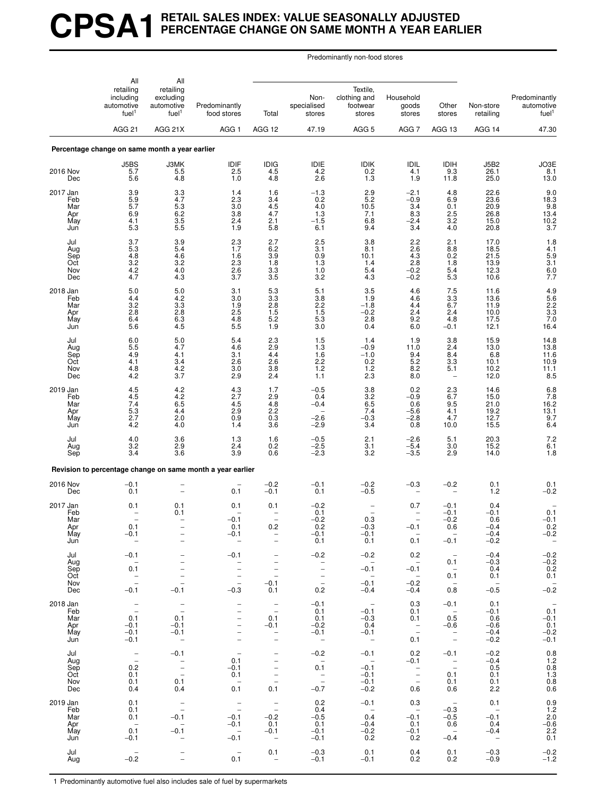# **CPSA1 RETAIL SALES INDEX: VALUE SEASONALLY ADJUSTED PERCENTAGE CHANGE ON SAME MONTH A YEAR EARLIER**

Predominantly non-food stores

|                                             | All                                                                                     | All                                                                                |                                                                                                                                                 |                                                                                                                                      |                                                                                                       |                                                              |                                                                              |                                                                             |                                                            |                                                                             |
|---------------------------------------------|-----------------------------------------------------------------------------------------|------------------------------------------------------------------------------------|-------------------------------------------------------------------------------------------------------------------------------------------------|--------------------------------------------------------------------------------------------------------------------------------------|-------------------------------------------------------------------------------------------------------|--------------------------------------------------------------|------------------------------------------------------------------------------|-----------------------------------------------------------------------------|------------------------------------------------------------|-----------------------------------------------------------------------------|
|                                             | retailing<br>including<br>automotive<br>fuel <sup>1</sup>                               | retailing<br>excluding<br>automotive<br>fuel <sup>1</sup>                          | Predominantly<br>food stores                                                                                                                    | Total                                                                                                                                | Non-<br>specialised<br>stores                                                                         | Textile,<br>clothing and<br>footwear<br>stores               | Household<br>goods<br>stores                                                 | Other<br>stores                                                             | Non-store<br>retailing                                     | Predominantly<br>automotive<br>fuel <sup>1</sup>                            |
|                                             | <b>AGG 21</b>                                                                           | AGG 21X                                                                            | AGG <sub>1</sub>                                                                                                                                | AGG 12                                                                                                                               | 47.19                                                                                                 | AGG <sub>5</sub>                                             | AGG <sub>7</sub>                                                             | AGG 13                                                                      | AGG 14                                                     | 47.30                                                                       |
|                                             | Percentage change on same month a year earlier                                          |                                                                                    |                                                                                                                                                 |                                                                                                                                      |                                                                                                       |                                                              |                                                                              |                                                                             |                                                            |                                                                             |
| 2016 Nov<br>Dec                             | J5BS<br>5.7<br>5.6                                                                      | J3MK<br>5.5<br>4.8                                                                 | IDIF<br>2.5<br>1.0                                                                                                                              | $\frac{IDIG}{4.5}$<br>4.8                                                                                                            | $1DIE$<br>4.2<br>2.6                                                                                  | <b>IDIK</b><br>0.2<br>1.3                                    | IDIL<br>4.1<br>1.9                                                           | IDIH<br>9.3<br>11.8                                                         | <b>J5B2</b><br>26.1<br>25.0                                | $\begin{array}{c} \text{JO3E} \\ \text{8.1} \end{array}$<br>13.0            |
| 2017 Jan<br>Feb<br>Mar<br>Apr<br>May<br>Jun | 3.9<br>5.9<br>5.7<br>6.9<br>4.1<br>5.3                                                  | 3.3<br>4.7<br>$\begin{array}{c} 5.3 \\ 6.2 \end{array}$<br>3.5<br>5.5              | 1.4<br>2.3<br>3.0<br>3.8<br>2.4<br>1.9                                                                                                          | 1.6<br>3.4<br>$\frac{4.5}{4.7}$<br>2.1<br>5.8                                                                                        | $-1.3$<br>0.2<br>4.0<br>1.3<br>$-1.5$<br>6.1                                                          | 2.9<br>5.2<br>10.5<br>7.1<br>6.8<br>9.4                      | $-2.1$<br>$-0.9$<br>3.4<br>8.3<br>$-2.4$<br>3.4                              | 4.8<br>6.9<br>$\begin{array}{c} 0.1 \\ 2.5 \end{array}$<br>3.2<br>4.0       | 22.6<br>23.6<br>20.9<br>26.8<br>15.0<br>20.8               | $9.0$<br>18.3<br>9.8<br>13.4<br>10.2<br>10.2<br>3.7                         |
| Jul<br>Aug<br>Sep<br>Oct<br>Nov<br>Dec      | 3.7<br>5.3<br>4.8<br>$3.2\,$<br>$\frac{4.2}{4.7}$                                       | 3.9<br>5.4<br>4.6<br>3.2<br>4.0<br>4.3                                             | 2.3<br>1.7<br>1.6<br>2.3<br>2.6<br>3.7                                                                                                          | 2.7<br>$6.2$<br>$3.9$<br>1.8<br>$\frac{3.3}{3.5}$                                                                                    | 2.5<br>3.1<br>0.9<br>1.3<br>$1.0$<br>3.2                                                              | 3.8<br>8.1<br>10.1<br>1.4<br>5.4<br>4.3                      | 2.2<br>$^{2.6}_{4.3}$<br>2.8<br>$-0.2$<br>$-0.2$                             | 2.1<br>${}^{8.8}_{0.2}$<br>1.8<br>$\frac{5.4}{5.3}$                         | 17.0<br>18.5<br>21.5<br>13.9<br>12.3<br>10.6               | $1.8$<br>$4.1$<br>$5.9$<br>$3.1$<br>$6.0$<br>7.7                            |
| 2018 Jan<br>Feb<br>Mar<br>Apr<br>May<br>Jun | 5.0<br>4.4<br>3.2<br>2.8<br>6.4<br>5.6                                                  | $\begin{array}{c} 5.0 \\ 4.2 \end{array}$<br>3.3<br>$\frac{2.8}{6.3}$<br>4.5       | 3.1<br>3.0<br>1.9<br>2.5<br>4.8<br>5.5                                                                                                          | $\begin{array}{c} 5.3 \\ 3.3 \end{array}$<br>2.8<br>$1.5$<br>5.2<br>1.9                                                              | $\frac{5.1}{3.8}$<br>2.2<br>$\frac{1.5}{5.3}$<br>3.0                                                  | 3.5<br>1.9<br>$-1.8$<br>$-0.2$<br>2.8<br>0.4                 | 4.6<br>4.6<br>4.4<br>2.4<br>9.2<br>6.0                                       | $\frac{7.5}{3.3}$<br>6.7<br>2.4<br>4.8<br>$-0.1$                            | 11.6<br>13.6<br>11.9<br>10.0<br>17.5<br>12.1               | 4.9<br>5.6<br>2.2<br>3.3<br>7.0<br>16.4                                     |
| Jul<br>Aug<br>Sep<br>Oct<br>Nov<br>Dec      | 6.0<br>5.5<br>4.9<br>4.1<br>4.8<br>4.2                                                  | 5.0<br>4.7<br>4.1<br>3.4<br>4.2<br>3.7                                             | 5.4<br>4.6<br>3.1<br>2.6<br>3.0<br>2.9                                                                                                          | 2.3<br>2.9<br>4.4<br>2.6<br>3.8<br>2.4                                                                                               | 1.5<br>1.3<br>1.6<br>2.2<br>$1.2$<br>1.1                                                              | 1.4<br>$-0.9$<br>$-1.0$<br>0.2<br>1.2<br>2.3                 | 1.9<br>11.0<br>$\frac{9.4}{5.2}$<br>8.2<br>8.0                               | 3.8<br>2.4<br>8.4<br>3.3<br>5.1<br>$\overline{\phantom{m}}$                 | 15.9<br>13.0<br>6.8<br>10.1<br>10.2<br>12.0                | 14.8<br>13.8<br>11.6<br>10.9<br>11.1<br>8.5                                 |
| 2019 Jan<br>Feb<br>Mar<br>Apr<br>May<br>Jun | 4.5<br>4.5<br>7.4<br>5.3<br>2.7<br>4.2                                                  | 4.2<br>4.2<br>6.5<br>4.4<br>2.0<br>4.0                                             | 4.3<br>2.7<br>4.5<br>2.9<br>0.9<br>1.4                                                                                                          | 1.7<br>$^{2.9}_{4.8}$<br>2.2<br>0.3<br>3.6                                                                                           | $-0.5$<br>0.4<br>$-0.4$<br>$-2.6$<br>$-2.9$                                                           | 3.8<br>$\frac{3.2}{6.5}$<br>7.4<br>$-0.3$<br>3.4             | 0.2<br>$-0.9$<br>0.6<br>$-5.6$<br>$-2.8$<br>0.8                              | 2.3<br>$6.7$<br>$9.5$<br>4.1<br>4.7<br>10.0                                 | 14.6<br>15.0<br>21.0<br>19.2<br>12.7<br>15.5               | 6.8<br>$7.8$<br>16.2<br>13.1<br>$\frac{9.7}{6.4}$                           |
| Jul<br>Aug<br>Sep                           | 4.0<br>3.2<br>3.4                                                                       | $\frac{3.6}{2.9}$<br>3.6                                                           | 1.3<br>2.4<br>3.9                                                                                                                               | 1.6<br>0.2<br>0.6                                                                                                                    | $-0.5$<br>$-2.5$<br>$-2.3$                                                                            | 2.1<br>3.1<br>3.2                                            | $-2.6$<br>$-5.4$<br>$-3.5$                                                   | 5.1<br>3.0<br>2.9                                                           | 20.3<br>15.2<br>14.0                                       | $7.2$<br>6.1<br>1.8                                                         |
|                                             |                                                                                         |                                                                                    | Revision to percentage change on same month a year earlier                                                                                      |                                                                                                                                      |                                                                                                       |                                                              |                                                                              |                                                                             |                                                            |                                                                             |
| 2016 Nov<br>Dec                             | $\frac{-0.1}{0.1}$                                                                      |                                                                                    | 0.1                                                                                                                                             | $-0.2$<br>$-0.1$                                                                                                                     | $-0.1$<br>0.1                                                                                         | $^{-0.2}_{-0.5}$                                             | $-0.3$                                                                       | $-0.2$                                                                      | 0.1<br>1.2                                                 | $0.1 - 0.2$                                                                 |
| 2017 Jan<br>Feb<br>Mar<br>Apr<br>May<br>Jun | 0.1<br>$\equiv$<br>0.1<br>$-0.1$<br>$\hspace{0.1mm}-\hspace{0.1mm}$                     | 0.1<br>0.1                                                                         | 0.1<br>$-0.1$<br>0.1<br>$-0.1$<br>$\overline{\phantom{a}}$                                                                                      | 0.1<br>$\overline{\phantom{0}}$<br>$\overline{\phantom{0}}$<br>0.2<br>$\qquad \qquad -$                                              | $-0.2$<br>0.1<br>$-0.2$<br>0.2<br>$-0.1$<br>0.1                                                       | $\overline{\phantom{a}}$<br>0.3<br>$-0.3$<br>$-0.1$<br>0.1   | 0.7<br>$\overline{\phantom{m}}$<br>$\qquad \qquad -$<br>$-0.1$<br>0.1        | $-0.1$<br>$-0.1$<br>$-0.2$<br>0.6<br>$-0.1$                                 | 0.4<br>$-0.1$<br>0.6<br>$-0.4$<br>$-0.4$<br>$-0.2$         | 0.1<br>$-0.1$<br>0.2<br>$-0.2$<br>$\sim$                                    |
| Jul<br>Aug<br>Sep<br>Oct<br>Nov<br>Dec      | $-0.1$<br>$\sim$<br>0.1<br>$\mathbb{Z}$<br>$-0.1$                                       | $\overline{\phantom{0}}$<br>$\overline{\phantom{a}}$<br>$\frac{1}{2}$<br>$-0.1$    | $-0.1$<br>$\bar{z}$<br>$\bar{a}$<br>$-0.3$                                                                                                      | $\overline{\phantom{a}}$<br>$\overline{\phantom{a}}$<br>$\overline{\phantom{a}}$<br>$\hspace{0.1mm}-\hspace{0.1mm}$<br>$-0.1$<br>0.1 | $-0.2$<br>$\overline{a}$<br>$\overline{\phantom{a}}$<br>$\overline{\phantom{a}}$<br>$\sim$ $-$<br>0.2 | $-0.2$<br>$\sim$<br>$-0.1$<br>$\sim$ $-$<br>$-0.1$<br>$-0.4$ | 0.2<br>$\sim$<br>$-0.1$<br>$\sim$ $-$<br>$-0.2$<br>$-0.4$                    | $-$<br>0.1<br>$\sim$ $-$<br>0.1<br>$\sim$ $-$<br>0.8                        | $-0.4$<br>$-0.3$<br>0.4<br>0.1<br>$\sim$ $-$<br>$-0.5$     | $-0.2$<br>$-0.2$<br>$0.2$<br>$0.1$<br>$-0.\overline{2}$                     |
| 2018 Jan<br>Feb<br>Mar<br>Apr<br>May<br>Jun | $\mathbb{I}$<br>0.1<br>$-0.1$<br>$-0.1$<br>$-0.1$                                       | $\frac{1}{2}$<br>0.1<br>$-0.1$<br>$-0.1$<br>$\sim$                                 | $\overline{\phantom{a}}$<br>$\qquad \qquad -$<br>$\qquad \qquad -$<br>$\qquad \qquad -$<br>$\overline{\phantom{0}}$<br>$\overline{\phantom{a}}$ | $\bar{\mathbb{Z}}$<br>0.1<br>$-0.1$<br>$\overline{\phantom{a}}$<br>$\overline{\phantom{a}}$                                          | $-0.1$<br>0.1<br>0.1<br>$-0.2$<br>$-0.1$<br>$\sim$                                                    | $\sim$<br>$-0.1$<br>$-0.3$<br>0.4<br>$-0.1$<br>$\sim$ $-$    | 0.3<br>0.1<br>0.1<br>$\overline{\phantom{a}}$<br>0.1                         | $-0.1$<br>$\sim$<br>0.5<br>$-0.6$<br>$\overline{\phantom{a}}$<br>$\sim$ $-$ | 0.1<br>$-0.1$<br>0.6<br>$-0.6$<br>$-0.4$<br>$-0.2$         | $\hspace{0.1mm}-\hspace{0.1mm}$<br>0.1<br>$-0.1$<br>0.1<br>$-0.2$<br>$-0.1$ |
| Jul<br>Aug<br>Sep<br>Oct<br>Nov<br>Dec      | $\hspace{0.1mm}-\hspace{0.1mm}$<br>$\overline{\phantom{0}}$<br>0.2<br>0.1<br>0.1<br>0.4 | $-0.1$<br>$\overline{\phantom{a}}$<br>$\frac{1}{2}$<br>0.1<br>0.4                  | $\hspace{0.1mm}-\hspace{0.1mm}$<br>0.1<br>$-0.1$<br>0.1<br>$\overline{\phantom{0}}$<br>0.1                                                      | $\overline{\phantom{a}}$<br>$\bar{a}$<br>$\overline{a}$<br>$\overline{\phantom{a}}$<br>0.1                                           | $-0.2$<br>$\sim$ $-$<br>0.1<br>$\sim$ $-$<br>$\sim$<br>$-0.7$                                         | $-0.1$<br>$\sim$ $-$<br>$-0.1$<br>$-0.1$<br>$-0.1$<br>$-0.2$ | 0.2<br>$-0.1$<br>$\overline{\phantom{a}}$<br>$\overline{\phantom{a}}$<br>0.6 | $-0.1$<br>$\sim$ $\pm$<br>0.1<br>0.1<br>0.6                                 | $-0.2$<br>$-0.4$<br>0.5<br>0.1<br>0.1<br>2.2               | $0.8$<br>1.2<br>$0.8\,$<br>$\frac{1.3}{0.8}$<br>0.6                         |
| 2019 Jan<br>Feb<br>Mar<br>Apr<br>May<br>Jun | 0.1<br>0.1<br>0.1<br>$-$<br>0.1<br>$-0.1$                                               | $\overline{\phantom{a}}$<br>$-0.1$<br>$\sim$<br>$-0.1$<br>$\overline{\phantom{a}}$ | $\hspace{0.1mm}-\hspace{0.1mm}$<br>$\overline{a}$<br>$-0.1$<br>$-0.1$<br>$\overline{\phantom{0}}$<br>$-0.1$                                     | $\bar{\mathbb{Z}}$<br>$-0.2$<br>0.1<br>$-0.1$<br>$\overline{\phantom{0}}$                                                            | 0.2<br>0.4<br>$-0.5$<br>0.1<br>$-0.1$<br>$-0.1$                                                       | $-0.1$<br>$\sim$<br>0.4<br>$-0.4$<br>$-0.2$<br>0.2           | 0.3<br>$\sim$<br>$-0.1$<br>0.1<br>$-0.1$<br>0.2                              | $\sim$<br>$-0.3$<br>$-0.5$<br>0.6<br>$\sim$ $-$<br>$-0.4$                   | 0.1<br>$\sim$ $-$<br>$-0.1$<br>0.4<br>$-0.4$<br>$\sim$ $-$ | 0.9<br>1.2<br>2.0<br>$-0.6$<br>2.2<br>0.1                                   |
| Jul<br>Aug                                  | $\sim$<br>$-0.2$                                                                        | $\bar{a}$                                                                          | $\overline{\phantom{a}}$<br>0.1                                                                                                                 | 0.1<br>$\hspace{0.1mm}-\hspace{0.1mm}$                                                                                               | $-0.3$<br>$-0.1$                                                                                      | 0.1<br>$-0.1$                                                | 0.4<br>0.2                                                                   | 0.1<br>0.2                                                                  | $-0.3$<br>$-0.9$                                           | $-0.2$<br>$-1.2$                                                            |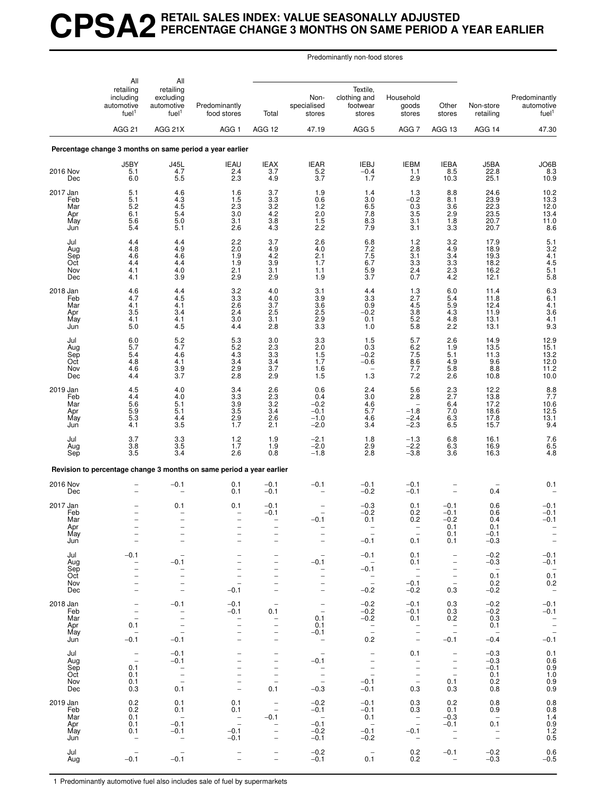# **CPSA2 RETAIL SALES INDEX: VALUE SEASONALLY ADJUSTED PERCENTAGE CHANGE 3 MONTHS ON SAME PERIOD A YEAR EARLIER**

Predominantly non-food stores

|                                             | All                                                                                                             | All                                                                                                                         |                                                                                                                                           |                                                                                                                                                    |                                                                                                       |                                                                                       |                                                                                                                            |                                                                                                                 |                                                                           |                                                                                |
|---------------------------------------------|-----------------------------------------------------------------------------------------------------------------|-----------------------------------------------------------------------------------------------------------------------------|-------------------------------------------------------------------------------------------------------------------------------------------|----------------------------------------------------------------------------------------------------------------------------------------------------|-------------------------------------------------------------------------------------------------------|---------------------------------------------------------------------------------------|----------------------------------------------------------------------------------------------------------------------------|-----------------------------------------------------------------------------------------------------------------|---------------------------------------------------------------------------|--------------------------------------------------------------------------------|
|                                             | retailing<br>including<br>automotive<br>fuel <sup>1</sup>                                                       | retailing<br>excluding<br>automotive<br>fuel <sup>1</sup>                                                                   | Predominantly<br>food stores                                                                                                              | Total                                                                                                                                              | Non-<br>specialised<br>stores                                                                         | Textile,<br>clothing and<br>footwear<br>stores                                        | Household<br>goods<br>stores                                                                                               | Other<br>stores                                                                                                 | Non-store<br>retailing                                                    | Predominantly<br>automotive<br>fuel <sup>1</sup>                               |
|                                             | <b>AGG 21</b>                                                                                                   | AGG 21X                                                                                                                     | AGG <sub>1</sub>                                                                                                                          | AGG 12                                                                                                                                             | 47.19                                                                                                 | AGG <sub>5</sub>                                                                      | AGG <sub>7</sub>                                                                                                           | AGG 13                                                                                                          | AGG 14                                                                    | 47.30                                                                          |
|                                             |                                                                                                                 |                                                                                                                             | Percentage change 3 months on same period a year earlier                                                                                  |                                                                                                                                                    |                                                                                                       |                                                                                       |                                                                                                                            |                                                                                                                 |                                                                           |                                                                                |
| 2016 Nov<br>Dec                             | J5BY<br>5.1<br>6.0                                                                                              | $J45L$<br>$4.7$<br>5.5                                                                                                      | <b>IEAU</b><br>2.4<br>2.3                                                                                                                 | $\frac{1}{3.7}$<br>4.9                                                                                                                             | IEAR<br>5.2<br>3.7                                                                                    | <b>IEBJ</b><br>$-0.4$<br>1.7                                                          | <b>IEBM</b><br>1.1<br>2.9                                                                                                  | <b>IEBA</b><br>8.5<br>10.3                                                                                      | J5BA<br>22.8<br>25.1                                                      | JO6B<br>8.3<br>10.9                                                            |
| 2017 Jan<br>Feb<br>Mar<br>Apr<br>May<br>Jun | 5.1<br>5.1<br>5.2<br>6.1<br>5.6<br>5.4                                                                          | 4.6<br>4.3<br>$\frac{4.5}{5.4}$<br>5.0<br>5.1                                                                               | 1.6<br>1.5<br>$2.\overline{3}$<br>3.0<br>3.1<br>2.6                                                                                       | 3.7<br>3.3<br>$\frac{3.2}{4.2}$<br>3.8<br>4.3                                                                                                      | 1.9<br>$0.6\,$<br>$\frac{1.2}{2.0}$<br>$1.5$<br>2.2                                                   | 1.4<br>3.0<br>6.5<br>7.8<br>8.3<br>7.9                                                | 1.3<br>$-0.2$<br>$\begin{array}{c} 0.3 \\ 3.5 \end{array}$<br>3.1<br>3.1                                                   | 8.8<br>8.1<br>$\frac{3.6}{2.9}$<br>1.8<br>3.3                                                                   | 24.6<br>23.9<br>22.3<br>23.5<br>20.7<br>20.7                              | $10.2$<br>$13.3$<br>$12.0$<br>$13.4$<br>11.0<br>8.6                            |
| Jul<br>Aug<br>Sep<br>Oct<br>Nov<br>Dec      | 4.4<br>4.8<br>4.6<br>4.4<br>4.1<br>4.1                                                                          | 4.4<br>4.9<br>4.6<br>4.4<br>4.0<br>3.9                                                                                      | 2.2<br>2.0<br>1.9<br>1.9<br>2.1<br>2.9                                                                                                    | 3.7<br>$^{4.9}_{4.2}$<br>3.9<br>3.1<br>2.9                                                                                                         | 2.6<br>4.0<br>2.1<br>1.7<br>1.1<br>1.9                                                                | 6.8<br>$7.2$<br>$7.5$<br>6.7<br>$\frac{5.9}{3.7}$                                     | 1.2<br>2.8<br>3.1<br>3.3<br>2.4<br>0.7                                                                                     | 3.2<br>4.9<br>3.4<br>3.3<br>$2.3$<br>4.2                                                                        | 17.9<br>18.9<br>19.3<br>18.2<br>16.2<br>12.1                              | $\begin{array}{c} 5.1 \\ 3.2 \\ 4.1 \end{array}$<br>4.5<br>$\frac{5.1}{5.8}$   |
| 2018 Jan<br>Feb<br>Mar<br>Apr<br>May<br>Jun | $\frac{4.6}{4.7}$<br>4.1<br>3.5<br>4.1<br>5.0                                                                   | $^{4.4}_{4.5}$<br>4.1<br>3.4<br>4.1<br>4.5                                                                                  | $\frac{3.2}{3.3}$<br>2.6<br>2.4<br>3.0<br>4.4                                                                                             | 4.0<br>4.0<br>3.7<br>2.5<br>3.1<br>2.8                                                                                                             | $\frac{3.1}{3.9}$<br>$3.6\,$<br>$2.5$<br>$2.9$<br>3.3                                                 | 4.4<br>3.3<br>0.9<br>$-0.2$<br>0.1<br>1.0                                             | $\frac{1.3}{2.7}$<br>4.5<br>$\frac{3.8}{5.2}$<br>5.8                                                                       | $6.0$<br>5.4<br>5.9<br>4.3<br>4.8<br>2.2                                                                        | 11.4<br>11.8<br>12.4<br>11.9<br>13.1<br>13.1                              | 6.36.1<br>4.1<br>3.6<br>4.1<br>9.3                                             |
| Jul<br>Aug<br>Sep<br>Oct<br>Nov<br>Dec      | 6.0<br>5.7<br>5.4<br>4.8<br>4.6<br>4.4                                                                          | 5.2<br>4.7<br>4.6<br>4.1<br>3.9<br>3.7                                                                                      | 5.3<br>5.2<br>4.3<br>3.4<br>2.9<br>2.8                                                                                                    | 3.0<br>2.3<br>$3.3\,$<br>3.4<br>3.7<br>2.9                                                                                                         | 3.3<br>2.0<br>$1.5$<br>$1.7$<br>1.6<br>1.5                                                            | 1.5<br>0.3<br>$-0.2$<br>$-0.6$<br>$\overline{\phantom{0}}$<br>1.3                     | 5.7<br>6.2<br>7.5<br>8.6<br>7.7<br>7.2                                                                                     | 2.6<br>1.9<br>5.1<br>4.9<br>5.8<br>2.6                                                                          | 14.9<br>13.5<br>11.3<br>9.6<br>8.8<br>10.8                                | 12.9<br>15.1<br>$\frac{13.2}{12.0}$<br>11.2<br>10.0                            |
| 2019 Jan<br>Feb<br>Mar<br>Apr<br>May<br>Jun | 4.5<br>4.4<br>5.6<br>5.9<br>5.3<br>4.1                                                                          | 4.0<br>4.0<br>5.1<br>5.1<br>4.4<br>3.5                                                                                      | 3.4<br>$\begin{array}{c} 3.3 \\ 3.9 \end{array}$<br>3.5<br>$^{2.9}_{1.7}$                                                                 | 2.6<br>$\frac{2.3}{3.2}$<br>3.4<br>2.6<br>2.1                                                                                                      | 0.6<br>0.4<br>$-0.2$<br>$-0.1$<br>$-1.0$<br>$-2.0$                                                    | 2.4<br>3.0<br>4.6<br>5.7<br>4.6<br>3.4                                                | 5.6<br>2.8<br>$-1.8$<br>$-2.4$<br>$-2.3$                                                                                   | 2.3<br>2.7<br>6.4<br>7.0<br>6.36.5                                                                              | 12.2<br>13.8<br>17.2<br>18.6<br>17.8<br>15.7                              | $\frac{8.8}{7.7}$<br>10.6<br>12.5<br>$^{13.1}_{9.4}$                           |
| Jul<br>Aug<br>Sep                           | 3.7<br>3.8<br>3.5                                                                                               | $\begin{array}{c} 3.3 \\ 3.5 \end{array}$<br>3.4                                                                            | $1.2$<br>1.7<br>2.6                                                                                                                       | 1.9<br>1.9<br>0.8                                                                                                                                  | $-2.1$<br>$-2.0$<br>$-1.8$                                                                            | 1.8<br>2.9<br>2.8                                                                     | $-1.3$<br>$-2.2$<br>$-3.8$                                                                                                 | $6.8\,$<br>6.3<br>3.6                                                                                           | 16.1<br>16.9<br>16.3                                                      | $7.6$<br>6.5<br>4.8                                                            |
|                                             |                                                                                                                 |                                                                                                                             | Revision to percentage change 3 months on same period a year earlier                                                                      |                                                                                                                                                    |                                                                                                       |                                                                                       |                                                                                                                            |                                                                                                                 |                                                                           |                                                                                |
| 2016 Nov<br>Dec                             |                                                                                                                 | $-0.1$                                                                                                                      | 0.1<br>0.1                                                                                                                                | $-0.1$<br>$-0.1$                                                                                                                                   | $-0.1$                                                                                                | $-0.1$<br>$-0.2$                                                                      | $-0.1$<br>$-0.1$                                                                                                           |                                                                                                                 | 0.4                                                                       | 0.1                                                                            |
| 2017 Jan<br>Feb<br>Mar<br>Apr<br>May<br>Jun | $\equiv$                                                                                                        | 0.1<br>$\overline{\phantom{0}}$<br>$\overline{a}$                                                                           | 0.1<br>$\qquad \qquad -$                                                                                                                  | $-0.1$<br>$-0.1$<br>$\overline{\phantom{0}}$                                                                                                       | $-0.1$<br>$\qquad \qquad -$                                                                           | $-0.3$<br>$-0.2$<br>0.1<br>$-0.1$                                                     | 0.1<br>0.2<br>0.2<br>0.1                                                                                                   | $-0.1$<br>$-0.1$<br>$-0.2$<br>0.1<br>0.1<br>0.1                                                                 | 0.6<br>0.6<br>0.4<br>0.1<br>$-0.1$<br>$-0.3$                              | $-0.1$<br>$-0.1$<br>$-0.1$<br>$\qquad \qquad -$<br>$\bar{a}$                   |
| Jul<br>Aug<br>Sep<br>Oct<br>Nov<br>Dec      | $-0.1$<br>$\overline{\phantom{0}}$                                                                              | $\overline{\phantom{0}}$<br>$-0.1$<br>-<br>$\overline{\phantom{0}}$<br>$\overline{\phantom{0}}$<br>$\overline{\phantom{0}}$ | $\overline{\phantom{0}}$<br>$-0.1$                                                                                                        | $\overline{\phantom{0}}$<br>$\overline{\phantom{0}}$<br>-<br>-<br>$\overline{\phantom{0}}$<br>$\overline{\phantom{0}}$                             | $\overline{\phantom{a}}$<br>$-0.1$<br>$\qquad \qquad -$<br>$\overline{\phantom{0}}$<br>$\overline{a}$ | $-0.1$<br>$\sim$<br>$-0.1$<br>$\mathbb{Z}$<br>$-0.2$                                  | 0.1<br>0.1<br>$\sim$<br>$\hspace{0.1mm}-\hspace{0.1mm}$<br>$-0.1$<br>$-0.2$                                                | $\overline{\phantom{a}}$<br>$\overline{\phantom{m}}$<br>$\qquad \qquad -$<br>$\bar{a}$<br>0.3                   | $-0.2$<br>$-0.3$<br>$\sim$<br>0.1<br>0.2<br>$-0.2$                        | $-0.1$<br>$-0.1$<br>$0.\overline{1}$<br>0.2<br>$\hspace{0.1mm}-\hspace{0.1mm}$ |
| 2018 Jan<br>Feb<br>Mar<br>Apr<br>May<br>Jun | $\qquad \qquad -$<br>$\qquad \qquad -$<br>$\overline{\phantom{a}}$<br>0.1<br>$\overline{\phantom{a}}$<br>$-0.1$ | $-0.1$<br>$\overline{\phantom{a}}$<br>$\overline{\phantom{0}}$<br>$\bar{a}$<br>$-0.1$                                       | $-0.1$<br>$-0.1$<br>$\bar{a}$<br>$\overline{a}$<br>$\overline{\phantom{0}}$                                                               | $\overline{\phantom{a}}$<br>0.1<br>$\overline{\phantom{a}}$<br>$\overline{\phantom{0}}$<br>$\overline{\phantom{0}}$<br>$\overline{\phantom{0}}$    | $\bar{a}$<br>0.1<br>0.1<br>$-0.1$<br>$\overline{\phantom{m}}$                                         | $-0.2$<br>$-0.2$<br>$-0.2$<br>$\overline{\phantom{a}}$<br>0.2                         | $-0.1$<br>$-0.1$<br>0.1<br>$\bar{\Box}$<br>$\overline{\phantom{a}}$                                                        | 0.3<br>0.3<br>0.2<br>$\overline{\phantom{a}}$<br>$-0.1$                                                         | $-0.2$<br>$-0.2$<br>0.3<br>0.1<br>$\overline{\phantom{a}}$<br>$-0.4$      | $-0.1$<br>$-0.1$<br>$\frac{1}{2}$<br>-0.1                                      |
| Jul<br>Aug<br>Sep<br>Oct<br>Nov<br>Dec      | $\overline{\phantom{a}}$<br>$\overline{\phantom{a}}$<br>0.1<br>0.1<br>0.1<br>0.3                                | $-0.1$<br>$-0.1$<br>$\overline{\phantom{a}}$<br>$\overline{a}$<br>$\overline{\phantom{a}}$<br>0.1                           | $\qquad \qquad -$<br>$\overline{\phantom{0}}$<br>$\overline{\phantom{0}}$<br>$\overline{a}$<br>$\overline{\phantom{0}}$<br>$\overline{a}$ | -<br>$\qquad \qquad -$<br>$\overline{\phantom{0}}$<br>$\bar{a}$<br>$\overline{\phantom{a}}$<br>0.1                                                 | $-0.1$<br>$\bar{a}$<br>$\overline{\phantom{a}}$<br>$-0.3$                                             | $\overline{\phantom{a}}$<br>$\overline{\phantom{a}}$<br>$\bar{a}$<br>$-0.1$<br>$-0.1$ | 0.1<br>$\overline{\phantom{0}}$<br>$\overline{\phantom{0}}$<br>$\overline{\phantom{0}}$<br>$\overline{\phantom{a}}$<br>0.3 | $\overline{\phantom{a}}$<br>$\overline{\phantom{m}}$<br>$\overline{\phantom{a}}$<br>$\frac{1}{2}$<br>0.1<br>0.3 | $-0.3$<br>$-0.3$<br>$-0.1$<br>0.1<br>0.2<br>0.8                           | 0.1<br>$0.6 \\ 0.9$<br>$\begin{array}{c} 1.0 \\ 0.9 \\ 0.9 \end{array}$        |
| 2019 Jan<br>Feb<br>Mar<br>Apr<br>May<br>Jun | 0.2<br>0.2<br>0.1<br>0.1<br>0.1                                                                                 | 0.1<br>0.1<br>$\overline{\phantom{a}}$<br>$-0.1$<br>$-0.1$<br>$\overline{\phantom{a}}$                                      | 0.1<br>0.1<br>$\hspace{0.1mm}-\hspace{0.1mm}$<br>$\overline{\phantom{a}}$<br>$-0.1$<br>$-0.1$                                             | $\overline{\phantom{a}}$<br>$\overline{\phantom{m}}$<br>$-0.1$<br>$\overline{\phantom{m}}$<br>$\overline{\phantom{0}}$<br>$\overline{\phantom{0}}$ | $-0.2$<br>$-0.1$<br>$\overline{\phantom{0}}$<br>$-0.1$<br>$-0.2$<br>$-0.1$                            | $-0.1$<br>$-0.1$<br>0.1<br>$\sim$<br>$-0.1$<br>$-0.2$                                 | 0.3<br>0.3<br>$\overline{\phantom{a}}$<br>$\overline{\phantom{a}}$<br>$-0.1$<br>$\hspace{0.1mm}-\hspace{0.1mm}$            | 0.2<br>0.1<br>$-0.3$<br>$-0.1$<br>$\overline{\phantom{a}}$<br>$\overline{\phantom{a}}$                          | 0.8<br>0.9<br>$\overline{\phantom{a}}$<br>0.1<br>$\overline{\phantom{0}}$ | 0.8<br>0.8<br>$1.4$<br>$0.9$<br>$1.2$<br>$0.5$                                 |
| Jul<br>Aug                                  | $-0.1$                                                                                                          | $\overline{\phantom{a}}$<br>$-0.1$                                                                                          | $\overline{\phantom{a}}$                                                                                                                  | $\overline{\phantom{0}}$<br>$\overline{\phantom{0}}$                                                                                               | $-0.2$<br>$-0.1$                                                                                      | $\overline{\phantom{a}}$<br>0.1                                                       | 0.2<br>0.2                                                                                                                 | $-0.1$                                                                                                          | $-0.2$<br>$-0.3$                                                          | 0.6<br>$-0.5$                                                                  |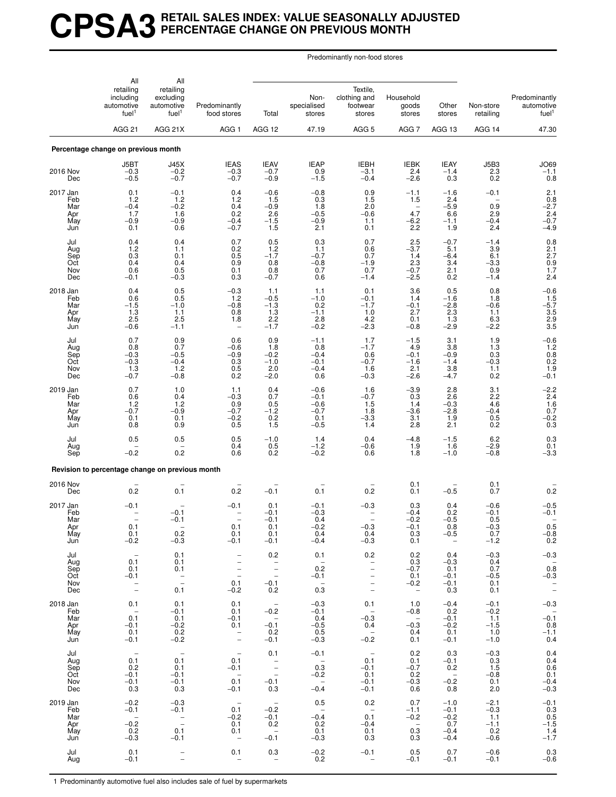# **CPSA3 RETAIL SALES INDEX: VALUE SEASONALLY ADJUSTED PERCENTAGE CHANGE ON PREVIOUS MONTH**

Predominantly non-food stores

|                                             | All                                                                     | All                                                                         |                                                                                                                        |                                                                               |                                                         |                                                                                       |                                                                          |                                                                          |                                                    |                                                           |
|---------------------------------------------|-------------------------------------------------------------------------|-----------------------------------------------------------------------------|------------------------------------------------------------------------------------------------------------------------|-------------------------------------------------------------------------------|---------------------------------------------------------|---------------------------------------------------------------------------------------|--------------------------------------------------------------------------|--------------------------------------------------------------------------|----------------------------------------------------|-----------------------------------------------------------|
|                                             | retailing<br>including<br>automotive<br>fuel <sup>1</sup>               | retailing<br>excluding<br>automotive<br>fuel <sup>1</sup>                   | Predominantly<br>food stores                                                                                           | Total                                                                         | Non-<br>specialised<br>stores                           | Textile,<br>clothing and<br>footwear<br>stores                                        | Household<br>goods<br>stores                                             | Other<br>stores                                                          | Non-store<br>retailing                             | Predominantly<br>automotive<br>fuel <sup>1</sup>          |
|                                             | <b>AGG 21</b>                                                           | AGG 21X                                                                     | AGG <sub>1</sub>                                                                                                       | AGG 12                                                                        | 47.19                                                   | AGG <sub>5</sub>                                                                      | AGG <sub>7</sub>                                                         | AGG 13                                                                   | AGG 14                                             | 47.30                                                     |
|                                             | Percentage change on previous month                                     |                                                                             |                                                                                                                        |                                                                               |                                                         |                                                                                       |                                                                          |                                                                          |                                                    |                                                           |
| 2016 Nov<br>Dec                             | J5BT<br>$-0.3$<br>$-0.5$                                                | J45X<br>$-0.2$<br>$-0.7$                                                    | <b>IEAS</b><br>$-0.3$<br>$-0.7$                                                                                        | <b>IEAV</b><br>$-0.7$<br>$-0.9$                                               | <b>IEAP</b><br>0.9<br>$-1.5$                            | <b>IEBH</b><br>$-3.1$<br>$-0.4$                                                       | IEBK<br>2.4<br>$-2.6$                                                    | <b>IEAY</b><br>$-1.4$<br>0.3                                             | J5B3<br>2.3<br>0.2                                 | $J069$<br>$-1.1$<br>0.8                                   |
| 2017 Jan<br>Feb<br>Mar<br>Apr<br>May<br>Jun | 0.1<br>1.2<br>$-0.4$<br>1.7<br>$-0.9$<br>0.1                            | $-0.1$<br>1.2<br>$-0.2$<br>1.6<br>$-0.9$<br>0.6                             | 0.4<br>1.2<br>0.4<br>0.2<br>$-0.4$<br>$-0.7$                                                                           | $-0.6$<br>1.5<br>$-0.9$<br>2.6<br>$-1.5$<br>1.5                               | $-0.8$<br>0.3<br>1.8<br>$-0.5$<br>$-0.9$<br>2.1         | 0.9<br>1.5<br>2.0<br>$-0.6$<br>1.1<br>0.1                                             | $-1.1$<br>1.5<br>$4.\overline{7}$<br>$-6.2$<br>2.2                       | $-1.6$<br>2.4<br>$-5.9$<br>6.6<br>$-1.1$<br>1.9                          | $-0.1$<br>0.9<br>2.9<br>$-0.4$<br>2.4              | 2.1<br>0.8<br>$-2.7$<br>2.4<br>$-0.7$<br>$-4.9$           |
| Jul<br>Aug<br>Sep<br>Oct<br>Nov<br>Dec      | 0.4<br>1.2<br>0.3<br>0.4<br>0.6<br>$-0.1$                               | 0.4<br>1.1<br>0.1<br>0.4<br>$\substack{0.5 \\ -0.3}$                        | 0.7<br>${}^{0.2}_{0.5}$<br>0.9<br>0.1<br>0.3                                                                           | 0.5<br>$1.2 - 1.7$<br>0.8<br>0.8<br>$-0.7$                                    | 0.3<br>1.1<br>$-0.7$<br>$-0.8$<br>0.7<br>0.6            | 0.7<br>0.6<br>0.7<br>$-1.9$<br>0.7<br>$-1.4$                                          | 2.5<br>$-3.7$<br>1.4<br>2.3<br>$-0.7$<br>$-2.5$                          | $-0.7$<br>5.1<br>$-6.4$<br>3.4<br>2.1<br>0.2                             | $-1.4$<br>3.9<br>6.1<br>$-3.3$<br>0.9<br>$-1.4$    | $0.8$<br>$2.1$<br>$2.7$<br>$0.9$<br>$1.7$<br>2.4          |
| 2018 Jan<br>Feb<br>Mar<br>Apr<br>May<br>Jun | 0.4<br>0.6<br>$-1.5$<br>1.3<br>2.5<br>$-0.6$                            | $\begin{array}{c} 0.5 \\ 0.5 \end{array}$<br>$-1.0$<br>1.1<br>2.5<br>$-1.1$ | $-0.3$<br>1.2<br>$-0.8$<br>0.8<br>1.8<br>$\overline{\phantom{0}}$                                                      | 1.1<br>$-0.5$<br>$-1.3$<br>1.3<br>2.2<br>$-1.7$                               | 1.1<br>$-1.0$<br>0.2<br>$-1.1$<br>2.8<br>$-0.2$         | 0.1<br>$-0.1$<br>$-1.7$<br>1.0<br>4.2<br>$-2.3$                                       | 3.6<br>1.4<br>$-0.1$<br>2.7<br>0.1<br>$-0.8$                             | 0.5<br>$-1.6$<br>$-2.8$<br>2.3<br>1.3<br>$-2.9$                          | 0.8<br>1.8<br>$-0.6$<br>1.1<br>6.3<br>$-2.2$       | $-0.6$<br>1.5<br>-5.7<br>$3.5$<br>$2.9$<br>$3.5$          |
| Jul<br>Aug<br>Sep<br>Oct<br>Nov<br>Dec      | 0.7<br>0.8<br>$-0.3$<br>$-0.3$<br>1.3<br>$-0.7$                         | 0.9<br>0.7<br>$-0.5$<br>$-0.4$<br>1.2<br>$-0.8$                             | 0.6<br>$-0.6$<br>$-0.9$<br>0.3<br>0.5<br>0.2                                                                           | 0.9<br>1.8<br>$-0.2$<br>$-1.0$<br>2.0<br>$-2.0$                               | $-1.1$<br>0.8<br>$-0.4$<br>$-0.1$<br>$-0.4$<br>0.6      | 1.7<br>$-1.7$<br>0.6<br>$-0.7$<br>1.6<br>$-0.3$                                       | $-1.5$<br>4.9<br>$-0.1$<br>$-1.6$<br>2.1<br>$-2.6$                       | 3.1<br>3.8<br>$-0.9$<br>$-1.4$<br>3.8<br>$-4.7$                          | 1.9<br>1.3<br>0.3<br>$-0.3$<br>1.1<br>0.2          | $-0.6$<br>1.2<br>$0.8$<br>$0.2$<br>$1.9$<br>$-0.1$        |
| 2019 Jan<br>Feb<br>Mar<br>Apr<br>May<br>Jun | 0.7<br>0.6<br>1.2<br>$-0.7$<br>0.1<br>0.8                               | 1.0<br>0.4<br>1.2<br>$-0.9$<br>0.1<br>0.9                                   | 1.1<br>$-0.3$<br>0.9<br>$-0.7$<br>$-0.2$<br>0.5                                                                        | 0.4<br>0.7<br>0.5<br>$-1.2$<br>$\frac{0.2}{1.5}$                              | $-0.6$<br>$-0.1$<br>$-0.6$<br>$-0.7$<br>0.1<br>$-0.5$   | 1.6<br>$-0.7$<br>1.5<br>1.8<br>$-3.\overline{3}$<br>1.4                               | $-3.9$<br>0.3<br>1.4<br>$-3.6$<br>3.1<br>2.8                             | 2.8<br>2.6<br>$-0.3$<br>$-2.8$<br>1.9<br>2.1                             | 3.1<br>2.2<br>4.6<br>$-0.4$<br>0.5<br>0.2          | $-2.2$<br>$^{2.4}_{1.6}$<br>0.7<br>$^{-0.2}_{0.3}$        |
| Jul<br>Aug<br>Sep                           | 0.5<br>$-0.2$                                                           | 0.5<br>0.2                                                                  | 0.5<br>0.4<br>0.6                                                                                                      | $-1.0$<br>0.5<br>0.2                                                          | 1.4<br>$-1.2$<br>$-0.2$                                 | 0.4<br>$-0.6$<br>0.6                                                                  | $-4.8$<br>1.9<br>1.8                                                     | $-1.5$<br>1.6<br>$-1.0$                                                  | 6.2<br>$-2.9$<br>$-0.8$                            | $\!\!\!\begin{array}{c} 0.3 \\ 0.1 \end{array}$<br>$-3.3$ |
|                                             | Revision to percentage change on previous month                         |                                                                             |                                                                                                                        |                                                                               |                                                         |                                                                                       |                                                                          |                                                                          |                                                    |                                                           |
| 2016 Nov<br>Dec                             | 0.2                                                                     | $0.\overline{1}$                                                            | 0.2                                                                                                                    | $-0.1$                                                                        | 0.1                                                     | 0.2                                                                                   | 0.1<br>0.1                                                               | $-0.5$                                                                   | $0.1$<br>$0.7$                                     | 0.2                                                       |
| 2017 Jan<br>Feb<br>Mar<br>Apr<br>May<br>Jun | $-0.1$<br>$\overline{a}$<br>0.1<br>0.1<br>$-0.2$                        | $-0.1$<br>$-0.1$<br>0.2<br>$-0.3$                                           | $-0.1$<br>$\overline{\phantom{a}}$<br>0.1<br>0.1<br>$-0.1$                                                             | 0.1<br>$-0.1$<br>$-0.1$<br>0.1<br>0.1<br>$-0.1$                               | $-0.1$<br>$-0.3$<br>0.4<br>$-0.2$<br>0.4<br>$-0.4$      | -0.3<br>$\overline{\phantom{0}}$<br>$\overline{\phantom{0}}$<br>-0.3<br>0.4<br>$-0.3$ | 0.3<br>$-0.4$<br>$-0.2$<br>$-0.1$<br>0.3<br>0.1                          | 0.4<br>0.2<br>$-0.5$<br>0.8<br>$-0.5$<br>$\hspace{0.1mm}-\hspace{0.1mm}$ | $-0.6$<br>$-0.1$<br>0.5<br>$-0.3$<br>0.7<br>$-1.2$ | $-0.5$<br>$-0.1$<br>0.5<br>$-0.8$<br>0.2                  |
| Jul<br>Aug<br>Sep<br>Oct<br>Nov<br>Dec      | $\overline{\phantom{a}}$<br>0.1<br>0.1<br>$-0.1$<br>$\bar{a}$           | 0.1<br>0.1<br>0.1<br>$\frac{1}{2}$<br>0.1                                   | $\qquad \qquad -$<br>$\overline{\phantom{a}}$<br>$\overline{\phantom{a}}$<br>$\overline{\phantom{a}}$<br>0.1<br>$-0.2$ | 0.2<br>$\bar{\mathbb{Z}}$<br>$\hspace{0.1mm}-\hspace{0.1mm}$<br>$-0.1$<br>0.2 | 0.1<br>$\sim$ $-$<br>0.2<br>$-0.1$<br>$0.\overline{3}$  | 0.2<br>$\bar{a}$<br>$\qquad \qquad -$<br>$\bar{a}$                                    | 0.2<br>0.3<br>$-0.7$<br>0.1<br>$-0.2$<br>$\hspace{0.1mm}-\hspace{0.1mm}$ | 0.4<br>$-0.3$<br>0.1<br>$-0.1$<br>$-0.1$<br>0.3                          | $-0.3$<br>0.4<br>0.7<br>$-0.5$<br>0.1<br>0.1       | $-0.3$<br>$0.\overline{8}$<br>$-0.3$<br>$\mathbb T$       |
| 2018 Jan<br>Feb<br>Mar<br>Apr<br>May<br>Jun | 0.1<br>$\overline{\phantom{a}}$<br>0.1<br>$-0.1$<br>0.1<br>$-0.1$       | 0.1<br>$-0.1$<br>0.1<br>$-0.2$<br>0.2<br>$-0.2$                             | 0.1<br>0.1<br>$-0.1$<br>0.1<br>$\overline{\phantom{a}}$<br>$\overline{\phantom{a}}$                                    | $\overline{a}$<br>$-0.2$<br>$\sim$<br>$-0.1$<br>0.2<br>$-0.1$                 | $-0.3$<br>$-0.1$<br>0.4<br>$-0.5$<br>$0.5 - 0.3$        | 0.1<br>$\overline{\phantom{a}}$<br>$-0.3$<br>0.4<br>$\sim$<br>$-0.2$                  | 1.0<br>$-0.8$<br>$\sim$ $-$<br>$-0.3$<br>0.4<br>0.1                      | $-0.4$<br>0.2<br>$-0.1$<br>$-0.2$<br>0.1<br>$-0.1$                       | $-0.1$<br>$-0.2$<br>1.1<br>$-1.5$<br>1.0<br>$-1.0$ | $-0.3$<br>$-0.\bar{1}$<br>0.8<br>$-1.1$<br>0.4            |
| Jul<br>Aug<br>Sep<br>Oct<br>Nov<br>Dec      | 0.1<br>0.2<br>$-0.1$<br>$-0.1$<br>0.3                                   | $\hspace{0.1mm}-\hspace{0.1mm}$<br>0.1<br>0.1<br>$-0.1$<br>$-0.1$<br>0.3    | $\hspace{0.1mm}-\hspace{0.1mm}$<br>0.1<br>$-0.1$<br>$\hspace{0.1mm}$ $\hspace{0.1mm}$<br>0.1<br>$-0.1$                 | 0.1<br>$\frac{1}{2}$<br>$-0.1$<br>0.3                                         | $-0.1$<br>$\sim$ $-$<br>0.3<br>$-0.2$<br>$-0.4$         | $\hspace{0.1mm}-\hspace{0.1mm}$<br>0.1<br>$-0.1$<br>0.1<br>$-0.1$<br>$-0.1$           | 0.2<br>0.1<br>$-0.7$<br>0.2<br>$-0.3$<br>0.6                             | 0.3<br>$-0.1$<br>0.2<br>$\hspace{0.1mm}-\hspace{0.1mm}$<br>$-0.2$<br>0.8 | $-0.3$<br>0.3<br>1.5<br>$-0.8$<br>0.1<br>2.0       | 0.4<br>0.4<br>0.6<br>0.1<br>$-0.4$<br>$-0.3$              |
| 2019 Jan<br>Feb<br>Mar<br>Apr<br>May<br>Jun | $-0.2$<br>$-0.1$<br>$\overline{\phantom{a}}$<br>$-0.2$<br>0.2<br>$-0.3$ | $-0.3$<br>$-0.1$<br>$\bar{\mathbb{I}}$<br>0.1<br>$-0.1$                     | $\hspace{0.1mm}-\hspace{0.1mm}$<br>0.1<br>$-0.2$<br>0.1<br>0.1<br>$\overline{\phantom{a}}$                             | $\sim$<br>$-0.2$<br>$-0.1$<br>0.2<br>$\overline{\phantom{a}}$<br>$-0.1$       | 0.5<br>$\overline{a}$<br>$-0.4$<br>0.2<br>0.1<br>$-0.3$ | 0.2<br>$\overline{\phantom{0}}$<br>0.1<br>$-0.4$<br>0.1<br>0.3                        | 0.7<br>$-1.1$<br>$-0.2$<br>$\sim$<br>0.3<br>0.3                          | $-1.0$<br>$-0.1$<br>$-0.2$<br>0.7<br>$-0.4$<br>$-0.4$                    | $-2.1$<br>$-0.3$<br>1.1<br>$-1.1$<br>0.2<br>$-0.6$ | $-0.1$<br>0.3<br>$0.5 - 1.5$<br>$1.4 - 1.7$               |
| Jul<br>Aug                                  | 0.1<br>$-0.1$                                                           | $\bar{a}$                                                                   | 0.1<br>$\qquad \qquad -$                                                                                               | 0.3<br>$\overline{\phantom{a}}$                                               | $-0.2$<br>0.2                                           | $-0.1$                                                                                | 0.5<br>$-0.1$                                                            | 0.7<br>$-0.1$                                                            | $-0.6$<br>$-0.1$                                   | 0.3<br>$-0.6$                                             |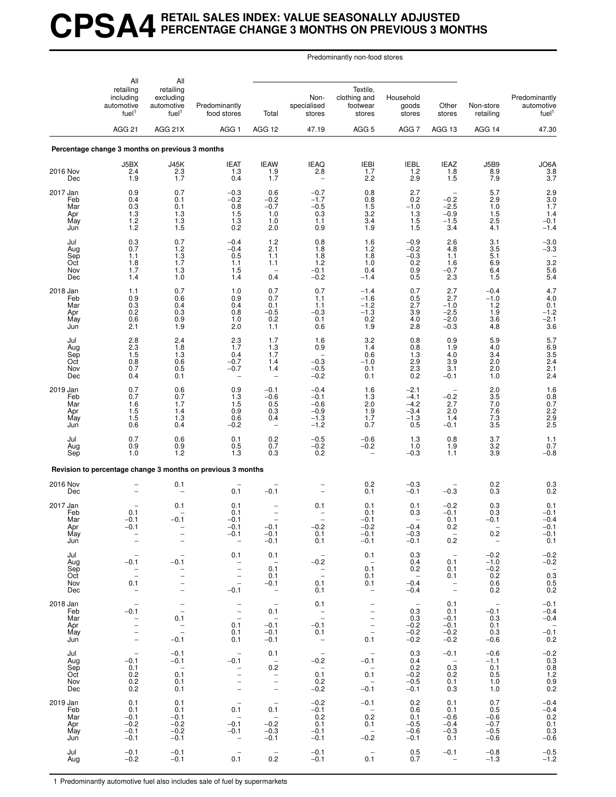# **CPSA4 RETAIL SALES INDEX: VALUE SEASONALLY ADJUSTED PERCENTAGE CHANGE 3 MONTHS ON PREVIOUS 3 MONTHS**

Predominantly non-food stores

|                                             | All<br>retailing<br>including<br>automotive<br>fuel <sup>1</sup>      | All<br>retailing<br>excluding<br>automotive<br>fuel <sup>1</sup>                                                              | Predominantly<br>food stores                                                                                | Total                                                                                   | Non-<br>specialised<br>stores                                        | Textile,<br>clothing and<br>footwear<br>stores                                                                                    | Household<br>goods<br>stores                                         | Other<br>stores                                                                                                       | Non-store<br>retailing                                            | Predominantly<br>automotive<br>fuel <sup>1</sup>                            |
|---------------------------------------------|-----------------------------------------------------------------------|-------------------------------------------------------------------------------------------------------------------------------|-------------------------------------------------------------------------------------------------------------|-----------------------------------------------------------------------------------------|----------------------------------------------------------------------|-----------------------------------------------------------------------------------------------------------------------------------|----------------------------------------------------------------------|-----------------------------------------------------------------------------------------------------------------------|-------------------------------------------------------------------|-----------------------------------------------------------------------------|
|                                             | AGG <sub>21</sub>                                                     | AGG 21X                                                                                                                       | AGG <sub>1</sub>                                                                                            | AGG 12                                                                                  | 47.19                                                                | AGG <sub>5</sub>                                                                                                                  | AGG <sub>7</sub>                                                     | AGG 13                                                                                                                | AGG 14                                                            | 47.30                                                                       |
|                                             | Percentage change 3 months on previous 3 months                       |                                                                                                                               |                                                                                                             |                                                                                         |                                                                      |                                                                                                                                   |                                                                      |                                                                                                                       |                                                                   |                                                                             |
| 2016 Nov<br>Dec                             | J5BX<br>2.4<br>1.9                                                    | <b>J45K</b><br>2.3<br>1.7                                                                                                     | <b>IEAT</b><br>1.3<br>0.4                                                                                   | <b>IEAW</b><br>1.9<br>1.7                                                               | <b>IEAQ</b><br>2.8<br>$\overline{\phantom{a}}$                       | <b>IEBI</b><br>1.7<br>2.2                                                                                                         | <b>IEBL</b><br>1.2<br>2.9                                            | <b>IEAZ</b><br>1.8<br>1.5                                                                                             | <b>J5B9</b><br>8.9<br>7.9                                         | JO6A<br>3.8<br>3.7                                                          |
| 2017 Jan<br>Feb<br>Mar<br>Apr<br>May<br>Jun | 0.9<br>0.4<br>0.3<br>1.3<br>1.2<br>1.2                                | 0.7<br>0.1<br>0.1<br>1.3<br>1.3<br>1.5                                                                                        | $-0.3$<br>$-0.2$<br>0.8<br>1.5<br>1.3<br>0.2                                                                | 0.6<br>$-0.2$<br>$-0.7$<br>1.0<br>1.0<br>2.0                                            | $-0.7$<br>$-1.7$<br>$-0.5$<br>0.3<br>1.1<br>0.9                      | 0.8<br>0.8<br>1.5<br>3.2<br>3.4<br>1.9                                                                                            | 2.7<br>0.2<br>$-1.0$<br>1.3<br>1.5<br>1.5                            | $-0.2$<br>$-2.5$<br>$-0.9$<br>$-1.5$<br>3.4                                                                           | 5.7<br>2.9<br>1.0<br>1.5<br>2.5<br>4.1                            | $\begin{array}{c} 2.9 \\ 3.0 \\ 1.7 \end{array}$<br>1.4<br>$-0.1$<br>$-1.4$ |
| Jul<br>Aug<br>Sep<br>Oct<br>Nov<br>Dec      | $\begin{array}{c} 0.3 \\ 0.7 \end{array}$<br>1.1<br>1.8<br>1.7<br>1.4 | 0.7<br>1.2<br>1.3<br>1.7<br>1.3<br>1.0                                                                                        | $-0.4$<br>$-0.4$<br>0.5<br>1.1<br>1.5<br>1.4                                                                | $1.2$<br>2.1<br>1.1<br>1.1<br>0.4                                                       | 0.8<br>1.8<br>1.8<br>1.2<br>$-0.1$<br>$-0.2$                         | 1.6<br>1.2<br>1.8<br>1.0<br>0.4<br>$-1.4$                                                                                         | $-0.9$<br>$-0.2$<br>$-0.3$<br>0.2<br>0.9<br>0.5                      | 2.6<br>4.8<br>1.1<br>1.6<br>$-0.7$<br>2.3                                                                             | $\frac{3.1}{3.5}$<br>5.1<br>6.9<br>6.4<br>1.5                     | $-3.0$<br>$-3.3$<br>$3.\overline{2}$<br>5.6<br>5.4                          |
| 2018 Jan<br>Feb<br>Mar<br>Apr<br>May<br>Jun | 1.1<br>0.9<br>0.3<br>0.2<br>0.6<br>2.1                                | 0.7<br>0.6<br>0.4<br>0.3<br>0.9<br>1.9                                                                                        | 1.0<br>0.9<br>0.4<br>0.8<br>1.0<br>2.0                                                                      | 0.7<br>0.7<br>0.1<br>$-0.5$<br>0.2<br>1.1                                               | 0.7<br>1.1<br>1.1<br>$-0.3$<br>0.1<br>0.6                            | $-1.4$<br>$-1.6$<br>$-1.2$<br>$-1.3$<br>0.2<br>1.9                                                                                | 0.7<br>0.5<br>2.7<br>3.9<br>4.0<br>2.8                               | 2.7<br>2.7<br>$-1.0$<br>$-2.5$<br>$-2.0$<br>$-0.3$                                                                    | $-0.4$<br>$-1.0$<br>1.2<br>1.9<br>3.6<br>4.8                      | $\frac{4.7}{4.0}$<br>0.1<br>$-1.2$<br>$-2.\overline{1}$<br>3.6              |
| Jul<br>Aug<br>Sep<br>Oct<br>Nov<br>Dec      | 2.8<br>2.3<br>1.5<br>0.8<br>0.7<br>0.4                                | 2.4<br>1.8<br>1.3<br>0.6<br>0.5<br>0.1                                                                                        | 2.3<br>1.7<br>0.4<br>$-0.7$<br>$-0.7$<br>$\overline{\phantom{0}}$                                           | 1.7<br>1.3<br>1.7<br>1.4<br>1.4                                                         | 1.6<br>0.9<br>$-0.3$<br>$-0.5$<br>$-0.2$                             | 3.2<br>1.4<br>0.6<br>$-1.0$<br>0.1<br>0.1                                                                                         | 0.8<br>0.8<br>1.3<br>2.9<br>2.3<br>0.2                               | 0.9<br>1.9<br>4.0<br>3.9<br>3.1<br>$-0.1$                                                                             | 5.9<br>4.0<br>3.4<br>2.0<br>2.0<br>1.0                            | 5.7<br>$6.9$<br>$3.5$<br>$2.4$<br>$^{2.1}_{2.4}$                            |
| 2019 Jan<br>Feb<br>Mar<br>Apr<br>May<br>Jun | 0.7<br>0.7<br>1.6<br>1.5<br>1.5<br>0.6                                | 0.6<br>0.7<br>1.7<br>1.4<br>1.3<br>0.4                                                                                        | 0.9<br>1.3<br>1.5<br>0.9<br>0.6<br>$-0.2$                                                                   | $-0.1$<br>$-0.6$<br>0.5<br>0.3<br>0.4                                                   | $-0.4$<br>$-0.1$<br>$-0.6$<br>$-0.9$<br>$-1.3$<br>$-1.2$             | 1.6<br>1.3<br>2.0<br>1.9<br>1.7<br>0.7                                                                                            | $-2.1$<br>$-4.1$<br>$-4.2$<br>$-3.4$<br>$-1.3$<br>0.5                | $-0.2$<br>2.7<br>2.0<br>1.4<br>$-0.1$                                                                                 | 2.0<br>3.5<br>7.0<br>7.6<br>7.3<br>$3.\overline{5}$               | 1.6<br>0.8<br>0.7<br>2.2<br>2.9<br>2.5                                      |
| Jul<br>Aug<br>Sep                           | 0.7<br>0.9<br>1.0                                                     | 0.6<br>0.9<br>1.2                                                                                                             | 0.1<br>0.5<br>1.3                                                                                           | 0.2<br>0.7<br>0.3                                                                       | $-0.5$<br>$-0.2$<br>0.2                                              | $-0.6$<br>$-0.2$                                                                                                                  | 1.3<br>1.0<br>$-0.3$                                                 | 0.8<br>1.9<br>1.1                                                                                                     | 3.7<br>3.2<br>3.9                                                 | 1.1<br>0.7<br>$-0.8$                                                        |
|                                             |                                                                       |                                                                                                                               | Revision to percentage change 3 months on previous 3 months                                                 |                                                                                         |                                                                      |                                                                                                                                   |                                                                      |                                                                                                                       |                                                                   |                                                                             |
| 2016 Nov<br>Dec                             |                                                                       | 0.1                                                                                                                           | 0.1                                                                                                         | $-0.1$                                                                                  |                                                                      | 0.2<br>0.1                                                                                                                        | $-0.3$<br>$-0.1$                                                     | $-0.3$                                                                                                                | 0.2<br>0.3                                                        | ${}^{0.3}_{0.2}$                                                            |
| 2017 Jan<br>Feb<br>Mar<br>Apr<br>May<br>Jun | 0.1<br>$-0.1$<br>$-0.1$<br>$\overline{\phantom{a}}$                   | 0.1<br>$-0.1$<br>$\qquad \qquad -$<br>$\bar{a}$                                                                               | 0.1<br>0.1<br>$-0.1$<br>$-0.1$<br>$-0.1$<br>$\overline{\phantom{m}}$                                        | $-0.1$<br>$-0.1$<br>$-0.1$                                                              | 0.1<br>$-0.2$<br>0.1<br>0.1                                          | 0.1<br>0.1<br>$-0.1$<br>$-0.2$<br>$-0.1$<br>$-0.1$                                                                                | 0.1<br>0.3<br>$-0.4$<br>$-0.3$<br>$-0.1$                             | $-0.2$<br>$-0.1$<br>0.1<br>0.2<br>0.2                                                                                 | 0.3<br>0.3<br>$-0.1$<br>0.2<br>$\overline{\phantom{a}}$           | 0.1<br>$-0.1$<br>$-0.4$<br>$-0.1$<br>$-0.1$<br>0.1                          |
| Jul<br>Aug<br>Sep<br>Oct<br>Nov<br>Dec      | $-0.1$<br>$\bar{a}$<br>0.1<br>$\overline{a}$                          | $-0.1$<br>$\overline{a}$<br>$\qquad \qquad -$                                                                                 | 0.1<br>$\overline{\phantom{0}}$<br>$\overline{\phantom{0}}$<br>$\frac{1}{2}$<br>$-0.1$                      | 0.1<br>$\overline{\phantom{a}}$<br>0.1<br>0.1<br>$-0.1$<br>$\overline{\phantom{a}}$     | $\overline{\phantom{a}}$<br>$-0.2$<br>$\bar{a}$<br>0.1<br>0.1        | 0.1<br>$\qquad \qquad -$<br>0.1<br>0.1<br>0.1<br>$\overline{\phantom{a}}$                                                         | 0.3<br>0.4<br>0.2<br>$\qquad \qquad -$<br>$-0.4$<br>$-0.4$           | $\hspace{0.1mm}-\hspace{0.1mm}$<br>0.1<br>0.1<br>0.1<br>$\hspace{1.0cm} - \hspace{1.0cm}$<br>$\overline{\phantom{a}}$ | $-0.2$<br>$-1.0$<br>$-0.2$<br>0.2<br>0.6<br>0.2                   | $-0.2$<br>$-0.2$<br>$0.\overline{3}$<br>0.5<br>0.5                          |
| 2018 Jan<br>Feb<br>Mar<br>Apr<br>May<br>Jun | $-0.1$<br>$\bar{a}$<br>$\overline{\phantom{a}}$                       | $\overline{\phantom{m}}$<br>$\overline{\phantom{a}}$<br>0.1<br>$\overline{\phantom{m}}$<br>$\overline{\phantom{0}}$<br>$-0.1$ | $\overline{\phantom{0}}$<br>$\bar{a}$<br>0.1<br>0.1<br>0.1                                                  | $\overline{\phantom{a}}$<br>0.1<br>$\overline{\phantom{a}}$<br>$-0.1$<br>$-0.1$<br>-0.1 | 0.1<br>$\bar{a}$<br>$-0.1$<br>0.1<br>$\qquad \qquad -$               | $\overline{\phantom{a}}$<br>$\qquad \qquad -$<br>$\qquad \qquad -$<br>$\overline{\phantom{a}}$<br>$\overline{\phantom{a}}$<br>0.1 | $\overline{\phantom{m}}$<br>0.3<br>0.3<br>$-0.2$<br>$^{-0.2}_{-0.2}$ | 0.1<br>0.1<br>$-0.1$<br>$-0.1$<br>$-0.2$<br>$-0.2$                                                                    | $\overline{\phantom{a}}$<br>$-0.1$<br>0.3<br>0.1<br>0.3<br>$-0.6$ | $-0.1$<br>$-0.4$<br>$-0.4$<br>$-0.\overline{1}$<br>0.2                      |
| Jul<br>Aug<br>Sep<br>Oct<br>Nov<br>Dec      | $\overline{\phantom{0}}$<br>$-0.1$<br>0.1<br>0.2<br>0.2<br>0.2        | $-0.1$<br>$-0.1$<br>$\overline{\phantom{a}}$<br>0.1<br>0.1<br>0.1                                                             | $\overline{\phantom{a}}$<br>$-0.1$<br>$\overline{\phantom{a}}$<br>$\bar{a}$<br>$\bar{ }$                    | 0.1<br>$\hspace{0.1mm}-\hspace{0.1mm}$<br>0.2<br>$\bar{a}$<br>$\bar{a}$                 | $\overline{\phantom{a}}$<br>$-0.2$<br>$\sim$<br>0.1<br>0.2<br>$-0.2$ | $\overline{\phantom{a}}$<br>$-0.1$<br>$\overline{\phantom{a}}$<br>0.1<br>$\overline{\phantom{a}}$<br>$-0.1$                       | 0.3<br>0.4<br>0.2<br>$-0.2$<br>$-0.5$<br>$-0.1$                      | $-0.1$<br>$\hspace{0.1mm}-\hspace{0.1mm}$<br>0.3<br>0.2<br>0.1<br>0.3                                                 | $-0.6$<br>$-1.1$<br>0.1<br>0.5<br>1.0<br>1.0                      | $-0.2$<br>0.3<br>0.8<br>0.8<br>1.2<br>0.9<br>0.2                            |
| 2019 Jan<br>Feb<br>Mar<br>Apr<br>May<br>Jun | 0.1<br>0.1<br>$-0.1$<br>$-0.2$<br>$-0.1$<br>$-0.1$                    | 0.1<br>0.1<br>$-0.1$<br>$-0.2$<br>$-0.2$<br>$-0.1$                                                                            | $\overline{\phantom{a}}$<br>0.1<br>$\overline{\phantom{a}}$<br>$-0.1$<br>$-0.1$<br>$\overline{\phantom{0}}$ | $\overline{\phantom{a}}$<br>0.1<br>$\qquad \qquad -$<br>$-0.2$<br>$-0.3$<br>$-0.1$      | $-0.2$<br>$-0.1$<br>0.2<br>0.1<br>$-0.1$<br>$-0.1$                   | $-0.1$<br>$\qquad \qquad -$<br>0.2<br>0.1<br>$\hspace{0.1mm}-\hspace{0.1mm}$<br>$-0.2$                                            | 0.2<br>0.6<br>0.1<br>$-0.5$<br>$-0.6$<br>$-0.1$                      | 0.1<br>0.1<br>$-0.6$<br>$-0.4$<br>$-0.3$<br>0.1                                                                       | 0.7<br>0.5<br>$-0.6$<br>$-0.7$<br>$-0.5$<br>$-0.6$                | $-0.4$<br>$-0.4$<br>0.2<br>0.1<br>$0.3 - 0.6$                               |
| Jul<br>Aug                                  | $-0.1$<br>$-0.2$                                                      | $-0.1$<br>$-0.1$                                                                                                              | 0.1                                                                                                         | $\overline{\phantom{a}}$<br>0.2                                                         | $-0.1$<br>$-0.1$                                                     | $\overline{\phantom{0}}$<br>0.1                                                                                                   | 0.5<br>0.7                                                           | $-0.1$<br>$\overline{\phantom{a}}$                                                                                    | $-0.8$<br>$-1.3$                                                  | $-0.5$<br>-1.2                                                              |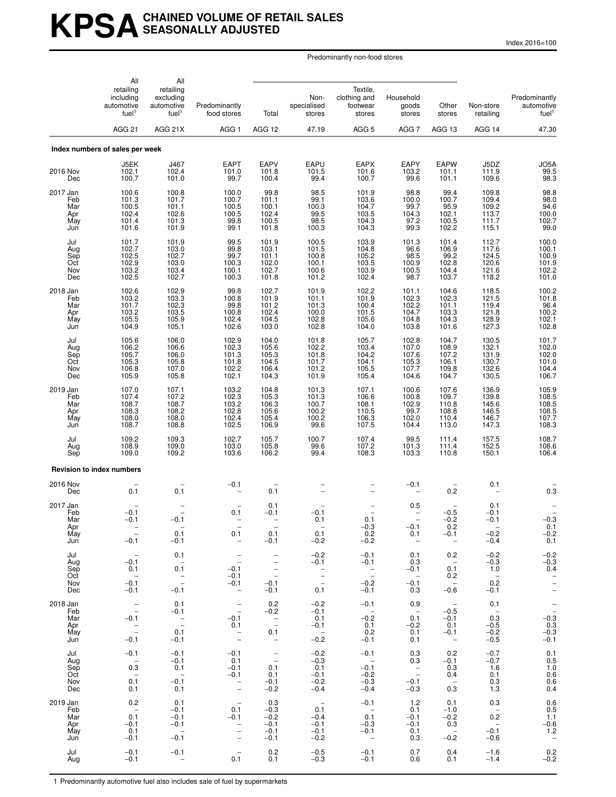# **KPSACHAINED VOLUME OF RETAIL SALES SEASONALLY ADJUSTED**

Index 2016=100

Predominantly non-food stores

|                                             | All                                                                                          | All                                                       |                                                                                                                              |                                                                                                                                  |                                                           |                                                           |                                                                   |                                                                       |                                                                                        |                                                          |
|---------------------------------------------|----------------------------------------------------------------------------------------------|-----------------------------------------------------------|------------------------------------------------------------------------------------------------------------------------------|----------------------------------------------------------------------------------------------------------------------------------|-----------------------------------------------------------|-----------------------------------------------------------|-------------------------------------------------------------------|-----------------------------------------------------------------------|----------------------------------------------------------------------------------------|----------------------------------------------------------|
|                                             | retailing<br>including<br>automotive<br>fuel <sup>1</sup>                                    | retailing<br>excluding<br>automotive<br>fuel <sup>1</sup> | Predominantly<br>food stores                                                                                                 | Total                                                                                                                            | Non-<br>specialised<br>stores                             | Textile,<br>clothing and<br>footwear<br>stores            | Household<br>goods<br>stores                                      | Other<br>stores                                                       | Non-store<br>retailing                                                                 | Predominantly<br>automotive<br>fuel <sup>1</sup>         |
|                                             | <b>AGG 21</b>                                                                                | AGG 21X                                                   | AGG <sub>1</sub>                                                                                                             | AGG 12                                                                                                                           | 47.19                                                     | AGG <sub>5</sub>                                          | AGG <sub>7</sub>                                                  | AGG 13                                                                | AGG 14                                                                                 | 47.30                                                    |
|                                             | Index numbers of sales per week                                                              |                                                           |                                                                                                                              |                                                                                                                                  |                                                           |                                                           |                                                                   |                                                                       |                                                                                        |                                                          |
| 2016 Nov<br>Dec                             | J5EK<br>102.1<br>100.7                                                                       | J467<br>102.4<br>101.0                                    | <b>EAPT</b><br>101.0<br>99.7                                                                                                 | <b>EAPV</b><br>101.8<br>100.4                                                                                                    | EAPU<br>101.5<br>99.4                                     | <b>EAPX</b><br>101.6<br>100.7                             | EAPY<br>103.2<br>99.6                                             | <b>EAPW</b><br>101.1<br>101.1                                         | J5DZ<br>111.9<br>109.6                                                                 | JO5A<br>99.5<br>98.3                                     |
| 2017 Jan<br>Feb<br>Mar<br>Apr<br>May<br>Jun | 100.6<br>101.3<br>100.5<br>102.4<br>101.4<br>101.6                                           | 100.8<br>101.7<br>101.1<br>102.6<br>101.3<br>101.9        | 100.0<br>100.7<br>100.5<br>100.5<br>99.8<br>99.1                                                                             | 99.8<br>101.1<br>100.1<br>102.4<br>100.5<br>101.8                                                                                | 98.5<br>99.1<br>100.3<br>99.5<br>98.5<br>100.3            | 101.9<br>103.6<br>104.7<br>103.5<br>104.3<br>104.3        | 98.8<br>100.0<br>$99.7$<br>104.3<br>97.2<br>99.3                  | 99.4<br>100.7<br>95.9<br>102.1<br>100.5<br>102.2                      | 109.8<br>109.4<br>$\frac{109.7}{113.7}$<br>111.7<br>115.1                              | 98.8<br>98.0<br>$94.6$<br>100.0<br>102.7<br>99.0         |
| Jul<br>Aug<br>Sep<br>Oct<br>Nov<br>Dec      | 101.7<br>102.7<br>102.5<br>102.9<br>103.2<br>102.5                                           | 101.9<br>103.0<br>102.7<br>103.0<br>103.4<br>102.7        | 99.5<br>99.8<br>99.7<br>100.3<br>100.1<br>100.3                                                                              | 101.9<br>103.1<br>101.1<br>102.0<br>102.7<br>101.8                                                                               | 100.5<br>101.5<br>100.8<br>100.1<br>100.6<br>101.2        | 103.9<br>104.8<br>105.2<br>103.5<br>103.9<br>102.4        | 101.3<br>96.6<br>98.5<br>100.9<br>100.5<br>98.7                   | 101.4<br>106.9<br>99.2<br>102.8<br>104.4<br>103.7                     | 112.7<br>117.6<br>124.5<br>120.6<br>121.6<br>118.2                                     | 100.0<br>100.1<br>100.9<br>101.9<br>102.2<br>101.0       |
| 2018 Jan<br>Feb<br>Mar<br>Apr<br>May<br>Jun | 102.6<br>103.2<br>101.7<br>103.2<br>105.5<br>104.9                                           | 102.9<br>103.3<br>102.3<br>103.5<br>105.9<br>105.1        | 99.8<br>100.8<br>99.8<br>100.8<br>102.4<br>102.6                                                                             | 102.7<br>101.9<br>101.2<br>102.4<br>104.5<br>103.0                                                                               | 101.9<br>101.1<br>101.3<br>100.0<br>102.8<br>102.8        | 102.2<br>101.9<br>100.4<br>101.5<br>105.6<br>104.0        | 101.1<br>102.3<br>102.2<br>104.7<br>104.8<br>103.8                | 104.6<br>102.3<br>101.1<br>103.3<br>104.3<br>101.6                    | 118.5<br>121.5<br>119.4<br>121.8<br>128.9<br>127.3                                     | 100.2<br>101.8<br>$96.4$ $100.2$ $102.1$ $102.8$         |
| Jul<br>Aug<br>Sep<br>Oct<br>Nov<br>Dec      | 105.6<br>106.2<br>105.7<br>105.3<br>106.8<br>105.9                                           | 106.0<br>106.6<br>106.0<br>105.8<br>107.0<br>105.8        | 102.9<br>102.3<br>101.3<br>101.8<br>102.2<br>102.1                                                                           | 104.0<br>105.6<br>105.3<br>104.5<br>106.4<br>104.3                                                                               | 101.8<br>102.2<br>101.8<br>101.7<br>101.2<br>101.9        | 105.7<br>103.4<br>104.2<br>104.1<br>105.5<br>105.4        | 102.8<br>107.0<br>107.6<br>105.3<br>107.7<br>104.6                | 104.7<br>108.9<br>107.2<br>106.1<br>109.8<br>104.7                    | 130.5<br>132.1<br>131.9<br>130.7<br>132.6<br>130.5                                     | 101.7<br>$102.0$<br>$102.0$<br>$101.0$<br>104.4<br>106.7 |
| 2019 Jan<br>Feb<br>Mar<br>Apr<br>May<br>Jun | 107.0<br>107.4<br>108.7<br>108.3<br>108.0<br>108.7                                           | 107.1<br>107.2<br>108.7<br>108.2<br>108.0<br>108.8        | 103.2<br>102.3<br>103.2<br>102.8<br>102.4<br>102.5                                                                           | 104.8<br>105.3<br>106.3<br>105.6<br>105.4<br>106.9                                                                               | 101.3<br>101.3<br>100.7<br>100.2<br>100.2<br>99.6         | 107.1<br>106.6<br>108.1<br>110.5<br>106.3<br>107.5        | 100.6<br>100.8<br>102.9<br>99.7<br>102.0<br>104.4                 | 107.6<br>109.7<br>110.8<br>108.8<br>110.4<br>113.0                    | 136.9<br>139.8<br>145.6<br>146.5<br>146.7<br>147.3                                     | 105.9<br>108.5<br>108.5<br>108.5<br>107.7<br>108.3       |
| Jul<br>Aug<br>Sep                           | 109.2<br>108.9<br>109.0                                                                      | 109.3<br>109.0<br>109.2                                   | 102.7<br>103.0<br>103.6                                                                                                      | 105.7<br>105.8<br>106.2                                                                                                          | 100.7<br>99.6<br>99.4                                     | 107.4<br>107.2<br>108.3                                   | 99.5<br>101.3<br>103.3                                            | 111.4<br>111.4<br>110.8                                               | 157.5<br>152.5<br>150.1                                                                | 108.7<br>108.6<br>106.4                                  |
|                                             | <b>Revision to index numbers</b>                                                             |                                                           |                                                                                                                              |                                                                                                                                  |                                                           |                                                           |                                                                   |                                                                       |                                                                                        |                                                          |
| 2016 Nov<br>Dec                             | 0.1                                                                                          | $0.\bar{1}$                                               | $-0.1$                                                                                                                       | 0.1                                                                                                                              |                                                           |                                                           | $-0.1$                                                            | 0.2                                                                   | 0.1                                                                                    | 0.3                                                      |
| 2017 Jan<br>Feb<br>Mar<br>Apr<br>May<br>Jun | $-0.1$<br>$-0.1$<br>$\overline{\phantom{a}}$<br>$-0.1$                                       | $-0.1$<br>0.1<br>$-0.1$                                   | 0.1<br>0.1<br>$\overline{\phantom{a}}$                                                                                       | 0.1<br>$-0.1$<br>-<br>0.1<br>$-0.1$                                                                                              | $-0.1$<br>0.1<br>0.1<br>$-0.2$                            | 0.1<br>$-0.3$<br>0.2<br>$-0.2$                            | 0.5<br>$-0.1$<br>0.1<br>$\overline{\phantom{a}}$                  | $-0.5$<br>$-0.2$<br>0.2<br>$-0.1$<br>$\overline{\phantom{a}}$         | $0.1 - 0.1$<br>$-0.1$<br>$-0.2$<br>$-0.4$                                              | $-0.3$<br>0.1<br>$-0.2$<br>0.1                           |
| Jul<br>Aug<br>Sep<br>Oct<br>Nov<br>Dec      | $-0.1$<br>0.1<br>$\sim$<br>$-0.1$<br>$-0.1$                                                  | 0.1<br>$\overline{a}$<br>0.1<br>$\frac{1}{2}$<br>$-0.1$   | $\overline{\phantom{a}}$<br>$\hspace{0.1mm}-\hspace{0.1mm}$<br>$-0.1$<br>$-0.1$<br>$-0.1$<br>$\hspace{0.1mm}-\hspace{0.1mm}$ | $\overline{\phantom{0}}$<br>$\overline{\phantom{m}}$<br>$\overline{\phantom{a}}$<br>$\overline{\phantom{a}}$<br>$-0.1$<br>$-0.1$ | $-0.2$<br>$-0.1$<br>$\mathbb{Z}$<br>$\equiv$<br>0.1       | $-0.1$<br>$-0.1$<br>$\mathbb{Z}$<br>$-0.2$<br>$-0.1$      | 0.1<br>0.3<br>$-0.1$<br>$\overline{\phantom{0}}$<br>$-0.1$<br>0.3 | 0.2<br>$\sim$ $-$<br>0.1<br>0.2<br>$\overline{\phantom{0}}$<br>$-0.6$ | $-0.2$<br>$-0.3$<br>1.0<br>$\overline{\phantom{0}}$<br>0.2<br>$-0.1$                   | $-0.2$<br>$-0.3$<br>0.4<br>$\bar{a}$<br>$\equiv$         |
| 2018 Jan<br>Feb<br>Mar<br>Apr<br>May<br>Jun | $\overline{\phantom{a}}$<br>$\pm$<br>$-0.1$<br>$\hspace{0.1cm} -$<br>$\frac{1}{2}$<br>$-0.1$ | 0.1<br>$-0.1$<br>$\frac{1}{2}$<br>0.1<br>$-0.1$           | $\overline{\phantom{a}}$<br>$\hspace{0.1mm}-\hspace{0.1mm}$<br>$-0.1$<br>0.1<br>$\overline{\phantom{a}}$                     | 0.2<br>$-0.2$<br>$\overline{\phantom{a}}$<br>0.1<br>$\sim$ $-$                                                                   | $-0.2$<br>$-0.1$<br>0.1<br>$-0.1$<br>$\sim$<br>$-0.2$     | $-0.1$<br>$\sim$<br>$-0.2$<br>0.1<br>0.2<br>$-0.1$        | 0.9<br>$\overline{a}$<br>0.1<br>$-0.2$<br>0.1<br>0.1              | $\sim$<br>$-0.5$<br>$-0.1$<br>0.1<br>$-0.1$<br>$\sim$                 | 0.1<br>$\sim$ $-$<br>0.3<br>$-0.5$<br>$-0.2$<br>$-0.5$                                 | $-0.\overline{3}$<br>0.3<br>$-0.3$<br>$-0.1$             |
| Jul<br>Aug<br>Sep<br>Oct<br>Nov<br>Dec      | $-0.1$<br>$\overline{\phantom{a}}$<br>0.3<br>$-$<br>0.1<br>0.1                               | $-0.1$<br>$-0.1$<br>0.1<br>$\sim$<br>$-0.1$<br>0.1        | $-0.1$<br>0.1<br>$-0.1$<br>$-0.1$<br>$\bar{z}$                                                                               | $\bar{\mathbb{Z}}$<br>0.1<br>0.1<br>$-0.1$<br>$-0.2$                                                                             | $-0.2$<br>$-0.3$<br>0.1<br>$-0.1$<br>$-0.2$<br>$-0.4$     | $-0.1$<br>$\sim$<br>$-0.1$<br>$-0.2$<br>$-0.3$<br>$-0.4$  | 0.3<br>0.3<br>$\sim$ $-$<br>$\sim$<br>$-0.1$<br>$-0.3$            | 0.2<br>$-0.1$<br>0.3<br>0.4<br>$\sim$<br>0.3                          | $-0.7$<br>$-0.7$<br>1.6<br>0.1<br>0.3<br>1.3                                           | 0.1<br>0.5<br>1.0<br>$0.6 \\ 0.6$<br>0.4                 |
| 2019 Jan<br>Feb<br>Mar<br>Apr<br>May<br>Jun | 0.2<br>$\overline{a}$<br>0.1<br>$-0.1$<br>0.1<br>$-0.1$                                      | 0.1<br>$-0.1$<br>$-0.1$<br>$-0.1$<br>$\sim$<br>$-0.1$     | $\overline{\phantom{a}}$<br>0.1<br>$-0.1$<br>$\bar{a}$<br>$\qquad \qquad -$                                                  | 0.3<br>$-0.3$<br>$-0.2$<br>$-0.1$<br>$-0.1$<br>$-0.1$                                                                            | $\sim$ $-$<br>0.1<br>$-0.4$<br>$-0.1$<br>$-0.1$<br>$-0.2$ | $-0.1$<br>$\sim$<br>0.1<br>$-0.3$<br>$-0.1$<br>$\sim$ $-$ | 1.2<br>0.1<br>$-0.1$<br>$-0.1$<br>0.1<br>0.3                      | 0.1<br>$-1.0$<br>$-0.2$<br>0.3<br>$\sim$<br>$-0.2$                    | 0.3<br>$\overline{\phantom{0}}$<br>0.2<br>$\overline{\phantom{0}}$<br>$-0.1$<br>$-0.6$ | 0.6<br>0.5<br>1.1<br>$-0.6$<br>1.2<br>$\sim$ $-$         |
| Jul<br>Aug                                  | $-0.1$<br>$-0.1$                                                                             | $-0.1$<br>$\overline{\phantom{a}}$                        | $\overline{\phantom{a}}$<br>0.1                                                                                              | 0.2<br>0.1                                                                                                                       | $-0.5$<br>$-0.3$                                          | $-0.1$<br>$-0.1$                                          | 0.7<br>0.6                                                        | 0.4<br>0.1                                                            | $-1.6$<br>$-1.4$                                                                       | 0.2<br>$-0.2$                                            |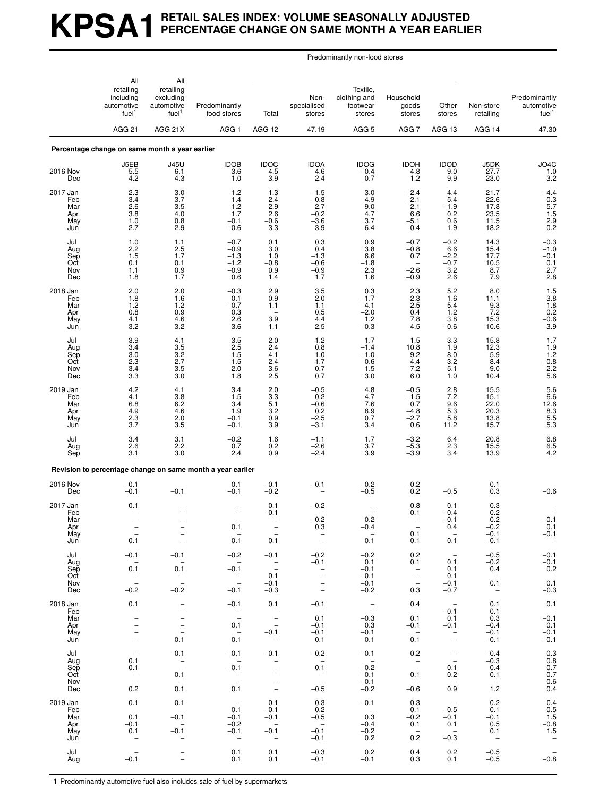# **KPSA1 RETAIL SALES INDEX: VOLUME SEASONALLY ADJUSTED PERCENTAGE CHANGE ON SAME MONTH A YEAR EARLIER**

Predominantly non-food stores

|                                             | All<br>retailing<br>including<br>automotive<br>fuel <sup>1</sup>                              | All<br>retailing<br>excluding<br>automotive<br>fuel <sup>1</sup>        | Predominantly<br>food stores                                                       | Total                                                                                                      | Non-<br>specialised<br>stores                                                                  | Textile.<br>clothing and<br>footwear<br>stores                 | Household<br>goods<br>stores                                                                   | Other<br>stores                                                             | Non-store<br>retailing                                               | Predominantly<br>automotive<br>fuel <sup>1</sup>                                              |
|---------------------------------------------|-----------------------------------------------------------------------------------------------|-------------------------------------------------------------------------|------------------------------------------------------------------------------------|------------------------------------------------------------------------------------------------------------|------------------------------------------------------------------------------------------------|----------------------------------------------------------------|------------------------------------------------------------------------------------------------|-----------------------------------------------------------------------------|----------------------------------------------------------------------|-----------------------------------------------------------------------------------------------|
|                                             | <b>AGG 21</b>                                                                                 | AGG 21X                                                                 | AGG <sub>1</sub>                                                                   | AGG 12                                                                                                     | 47.19                                                                                          | AGG <sub>5</sub>                                               | AGG 7                                                                                          | AGG 13                                                                      | AGG 14                                                               | 47.30                                                                                         |
|                                             | Percentage change on same month a year earlier                                                |                                                                         |                                                                                    |                                                                                                            |                                                                                                |                                                                |                                                                                                |                                                                             |                                                                      |                                                                                               |
| 2016 Nov<br>Dec                             | J5EB<br>5.5<br>4.2                                                                            | <b>J45U</b><br>6.1<br>4.3                                               | <b>IDOB</b><br>3.6<br>1.0                                                          | <b>IDOC</b><br>4.5<br>3.9                                                                                  | <b>IDOA</b><br>4.6<br>2.4                                                                      | <b>IDOG</b><br>$-0.4$<br>0.7                                   | <b>IDOH</b><br>4.8<br>1.2                                                                      | <b>IDOD</b><br>9.0<br>9.9                                                   | J5DK<br>27.7<br>23.0                                                 | JO4C<br>1.0<br>3.2                                                                            |
| 2017 Jan<br>Feb<br>Mar<br>Apr<br>May<br>Jun | 2.3<br>3.4<br>2.6<br>3.8<br>1.0<br>2.7                                                        | 3.0<br>3.7<br>3.5<br>4.0<br>0.8<br>2.9                                  | 1.2<br>1.4<br>1.2<br>1.7<br>$-0.1$<br>$-0.6$                                       | 1.3<br>2.4<br>2.9<br>2.6<br>$-0.6$<br>3.3                                                                  | $-1.5$<br>$-0.8$<br>2.7<br>$-0.2$<br>$-3.6$<br>3.9                                             | 3.0<br>4.9<br>9.0<br>4.7<br>3.7<br>6.4                         | $-2.4$<br>$^{-2.1}_{2.1}$<br>6.6<br>$-5.1$<br>0.4                                              | 4.4<br>5.4<br>$-1.9$<br>0.2<br>0.6<br>1.9                                   | 21.7<br>22.6<br>17.8<br>23.5<br>11.5<br>18.2                         | $-4.4$<br>$-5.7$<br>$-1.5$<br>$2.9$<br>0.2                                                    |
| Jul<br>Aug<br>Sep<br>Oct<br>Nov<br>Dec      | 1.0<br>2.2<br>1.5<br>0.1<br>1.1<br>1.8                                                        | 1.1<br>2.5<br>1.7<br>0.1<br>0.9<br>1.7                                  | $-0.7$<br>$-0.9$<br>$-1.3$<br>$-1.2$<br>$-0.9$<br>0.6                              | 0.1<br>3.0<br>1.0<br>$-0.8$<br>0.9<br>1.4                                                                  | 0.3<br>0.4<br>$-1.3$<br>$-0.6$<br>$-0.9$<br>1.7                                                | 0.9<br>3.8<br>6.6<br>$-1.8$<br>2.3<br>1.6                      | $-0.7$<br>$-0.8$<br>0.7<br>$-2.6$<br>$-0.9$                                                    | $-0.2$<br>6.6<br>$-2.2$<br>$-0.7$<br>3.2<br>2.6                             | 14.3<br>15.4<br>17.7<br>10.5<br>8.7<br>7.9                           | $-0.3$<br>$-1.0$<br>$-0.\overline{1}$<br>$\frac{0.1}{2.7}$                                    |
| 2018 Jan<br>Feb<br>Mar<br>Apr<br>May<br>Jun | 2.0<br>1.8<br>1.2<br>0.8<br>4.1<br>3.2                                                        | 2.0<br>1.6<br>1.2<br>0.9<br>4.6<br>3.2                                  | $-0.3$<br>0.1<br>$-0.7$<br>0.3<br>2.6<br>3.6                                       | 2.9<br>0.9<br>1.1<br>3.9<br>1.1                                                                            | 3.5<br>2.0<br>1.1<br>0.5<br>4.4<br>2.5                                                         | 0.3<br>$-1.7$<br>$-4.1$<br>$-2.0$<br>$1.2$<br>$-0.3$           | $^{2.3}_{2.3}$<br>2.5<br>0.4<br>7.8<br>4.5                                                     | 5.2<br>1.6<br>5.4<br>1.2<br>3.8<br>$-0.6$                                   | 8.0<br>11.1<br>$\frac{9.3}{7.2}$<br>15.3<br>10.6                     | $1.5$<br>$3.8$<br>$1.8$<br>$0.2$<br>$-0.6$<br>$-0.6$<br>3.9                                   |
| Jul<br>Aug<br>Sep<br>Oct<br>Nov<br>Dec      | 3.9<br>3.4<br>3.0<br>2.3<br>3.4<br>3.3                                                        | 4.1<br>3.5<br>$\frac{3.2}{2.7}$<br>3.5<br>3.0                           | 3.5<br>2.5<br>1.5<br>1.5<br>2.0<br>1.8                                             | 2.0<br>2.4<br>4.1<br>2.4<br>3.6<br>2.5                                                                     | 1.2<br>0.8<br>1.0<br>1.7<br>0.7<br>0.7                                                         | 1.7<br>$-1.4$<br>$-1.0$<br>0.6<br>1.5<br>3.0                   | 1.5<br>10.8<br>9.2<br>4.4<br>7.2<br>6.0                                                        | 3.3<br>1.9<br>8.0<br>3.2<br>5.1<br>1.0                                      | 15.8<br>12.3<br>5.9<br>8.4<br>9.0<br>10.4                            | 1.7<br>$1.9$<br>$1.2$<br>$-0.8$<br>$2.2$<br>$5.6$                                             |
| 2019 Jan<br>Feb<br>Mar<br>Apr<br>May<br>Jun | 4.2<br>4.1<br>6.8<br>4.9<br>2.3<br>3.7                                                        | 4.1<br>3.8<br>6.2<br>4.6<br>2.0<br>$3.\overline{5}$                     | 3.4<br>1.5<br>3.4<br>1.9<br>$-0.1$<br>$-0.1$                                       | 2.0<br>$\frac{3.3}{5.1}$<br>$3.2\,$<br>0.9<br>3.9                                                          | $-0.5$<br>0.2<br>$-0.6$<br>0.2<br>$-2.5$<br>$-3.1$                                             | 4.8<br>4.7<br>7.6<br>8.9<br>0.7<br>3.4                         | $-0.5$<br>$-1.5$<br>0.7<br>$-4.8$<br>$-2.7$<br>0.6                                             | $2.8$<br>7.2<br>9.6<br>$\frac{5.3}{5.8}$<br>11.2                            | 15.5<br>15.1<br>22.0<br>20.3<br>13.8<br>15.7                         | 5.6<br>6.6<br>12.6<br>8.3<br>5.5<br>5.5<br>5.3                                                |
| Jul<br>Aug<br>Sep                           | 3.4<br>2.6<br>3.1                                                                             | 3.1<br>2.2<br>3.0                                                       | $-0.2$<br>0.7<br>2.4                                                               | 1.6<br>0.2<br>0.9                                                                                          | $-1.1$<br>$-2.6$<br>$-2.4$                                                                     | 1.7<br>3.7<br>3.9                                              | $-3.2$<br>$-5.3$<br>$-3.9$                                                                     | 6.4<br>2.3<br>3.4                                                           | 20.8<br>15.5<br>13.9                                                 | $6.8$<br>$6.5$<br>$4.2$                                                                       |
|                                             |                                                                                               |                                                                         | Revision to percentage change on same month a year earlier                         |                                                                                                            |                                                                                                |                                                                |                                                                                                |                                                                             |                                                                      |                                                                                               |
| 2016 Nov<br>Dec                             | $-0.1$<br>$-0.1$                                                                              | $-0.1$                                                                  | 0.1<br>$-0.1$                                                                      | $-0.1$<br>$-0.2$                                                                                           | $-0.1$                                                                                         | $-0.2$<br>$-0.5$                                               | $-0.2$<br>0.2                                                                                  | $-0.5$                                                                      | 0.1<br>0.3                                                           | $-0.6$                                                                                        |
| 2017 Jan<br>Feb<br>Mar<br>Apr<br>May<br>Jun | 0.1<br>0.1                                                                                    | $\qquad \qquad -$<br>$\overline{\phantom{a}}$                           | $\qquad \qquad -$<br>$\qquad \qquad -$<br>0.1<br>0.1                               | 0.1<br>$-0.1$<br>0.1                                                                                       | $-0.2$<br>$-0.2$<br>0.3<br>$\overline{\phantom{a}}$                                            | $\overline{a}$<br>0.2<br>-0.4<br>0.1                           | 0.8<br>0.1<br>0.1<br>0.1                                                                       | 0.1<br>$-0.4$<br>$-0.1$<br>0.4<br>0.1                                       | 0.3<br>0.2<br>0.2<br>$-0.2$<br>$-0.1$<br>$-0.1$                      | $-0.1$<br>0.1<br>$-0.1$<br>$\hspace{0.1cm} -$                                                 |
| Jul<br>Aug<br>Sep<br>Oct<br>Nov<br>Dec      | $-0.1$<br>0.1<br>$\bar{\phantom{a}}$ =<br>$-0.2$                                              | $-0.1$<br>0.1<br>$\frac{1}{2}$<br>$-0.2$                                | $-0.2$<br>$\sim$<br>$-0.1$<br>$\overline{\phantom{a}}$<br>$-0.1$                   | $-0.1$<br>$\sim$ $-$<br>$\sim$<br>0.1<br>$-0.1$<br>$-0.3$                                                  | $-0.2$<br>$-0.1$<br>$\bar{\mathbb{I}}$<br>$\overline{\phantom{a}}$<br>$\overline{\phantom{a}}$ | $-0.2$<br>0.1<br>$-0.1$<br>$-0.1$<br>$-0.1$<br>$-0.2$          | 0.2<br>0.1<br>$\sim$ $-$<br>$\overline{\phantom{0}}$<br>$\hspace{0.1mm}-\hspace{0.1mm}$<br>0.3 | $\hspace{0.1mm}-\hspace{0.1mm}$<br>0.1<br>0.1<br>0.1<br>$-0.1$<br>$-0.7$    | $-0.5$<br>$-0.2$<br>0.4<br>$\overline{\phantom{0}}$<br>0.1<br>$\sim$ | $-0.1$<br>$-0.1$<br>0.2<br>$0.\overline{1}$<br>$-0.3$                                         |
| 2018 Jan<br>Feb<br>Mar<br>Apr<br>May<br>Jun | 0.1<br>$\overline{\phantom{m}}$<br>$\overline{\phantom{0}}$<br>$\qquad \qquad -$<br>$\bar{a}$ | $\overline{\phantom{a}}$<br>$\bar{a}$<br>$\bar{\mathbb{I}}$<br>0.1      | $-0.1$<br>$\bar{\mathbb{Z}}$<br>0.1<br>$\overline{\phantom{0}}$<br>0.1             | 0.1<br>$\sim$ $-$<br>$\sim$<br>$\hspace{0.1mm}-\hspace{0.1mm}$<br>$-0.1$<br>$\sim$                         | $-0.1$<br>$\sim$ $-$<br>0.1<br>$-0.1$<br>$-0.1$<br>0.1                                         | $\sim$ $-$<br>$\overline{a}$<br>$-0.3$<br>0.3<br>$-0.1$<br>0.1 | 0.4<br>$\sim$ $-$<br>0.1<br>$-0.1$<br>$\sim$<br>0.1                                            | $\sim$<br>$-0.1$<br>0.1<br>$-0.1$<br>$\bar{\Box}$                           | 0.1<br>0.1<br>0.3<br>$-0.4$<br>$-0.1$<br>$-0.1$                      | 0.1<br>$-0.\overline{1}$<br>0.1<br>$-0.1$<br>$-0.1$                                           |
| Jul<br>Aug<br>Sep<br>Oct<br>Nov<br>Dec      | $\overline{\phantom{m}}$<br>0.1<br>0.1<br>$\overline{\mathbb{Z}}$<br>0.2                      | $-0.1$<br>$\bar{\mathbb{Z}}$<br>0.1<br>$\hspace{0.1cm} -$<br>0.1        | $-0.1$<br>$\overline{\phantom{0}}$<br>$-0.1$<br>$\frac{1}{2}$<br>0.1               | $-0.1$<br>$\bar{\Box}$<br>$\overline{\phantom{a}}$<br>$\overline{\phantom{a}}$<br>$\overline{\phantom{a}}$ | $-0.2$<br>$\sim$<br>0.1<br>$\mathcal{L}^{\pm}$<br>$-0.5$                                       | $-0.1$<br>$\sim$<br>$-0.2$<br>$-0.1$<br>$-0.1$<br>$-0.2$       | 0.2<br>$\sim$ $-$<br>$\sim$ $-$<br>0.1<br>$\overline{\phantom{a}}$<br>$-0.6$                   | $\mathbb{Z}$<br>0.1<br>0.2<br>$\overline{\phantom{a}}$<br>0.9               | $-0.4$<br>$-0.3$<br>0.4<br>0.1<br>$\sim$<br>1.2                      | 0.3<br>$0.8$<br>$0.7$<br>$0.7$<br>$0.6$<br>$0.4$                                              |
| 2019 Jan<br>Feb<br>Mar<br>Apr<br>May<br>Jun | 0.1<br>$\sim$<br>0.1<br>$-0.1$<br>0.1<br>$\overline{\phantom{a}}$                             | 0.1<br>$\sim$<br>$-0.1$<br>$\sim$<br>$-0.1$<br>$\overline{\phantom{a}}$ | $\sim$ $-$<br>0.1<br>$-0.1$<br>$-0.2$<br>$-0.1$<br>$\hspace{0.1mm}-\hspace{0.1mm}$ | 0.1<br>$-0.1$<br>$-0.1$<br>$\sim$ $-$<br>$-0.1$<br>$\sim$                                                  | 0.3<br>0.2<br>$-0.5$<br>$\sim$ $-$<br>$-0.1$<br>$-0.1$                                         | $-0.1$<br>$\sim$<br>0.3<br>$-0.4$<br>$-0.2$<br>0.2             | 0.3<br>0.1<br>$-0.2$<br>0.1<br>$\overline{\phantom{0}}$<br>0.2                                 | $\sim$ $-$<br>$-0.5$<br>$-0.1$<br>0.1<br>$\overline{\phantom{0}}$<br>$-0.3$ | 0.2<br>0.1<br>$-0.1$<br>0.5<br>0.1<br>$\sim$ $-$                     | 0.4<br>$\begin{array}{c} 0.5 \\ 1.5 \end{array}$<br>$-0.8$<br>1.5<br>$\overline{\phantom{a}}$ |
| Jul<br>Aug                                  | $-0.1$                                                                                        | -<br>$\qquad \qquad -$                                                  | 0.1<br>0.1                                                                         | 0.1<br>0.1                                                                                                 | $-0.3$<br>$-0.1$                                                                               | 0.2<br>$-0.1$                                                  | 0.4<br>0.3                                                                                     | 0.2<br>0.1                                                                  | $-0.5$<br>$-0.5$                                                     | $-0.\overline{8}$                                                                             |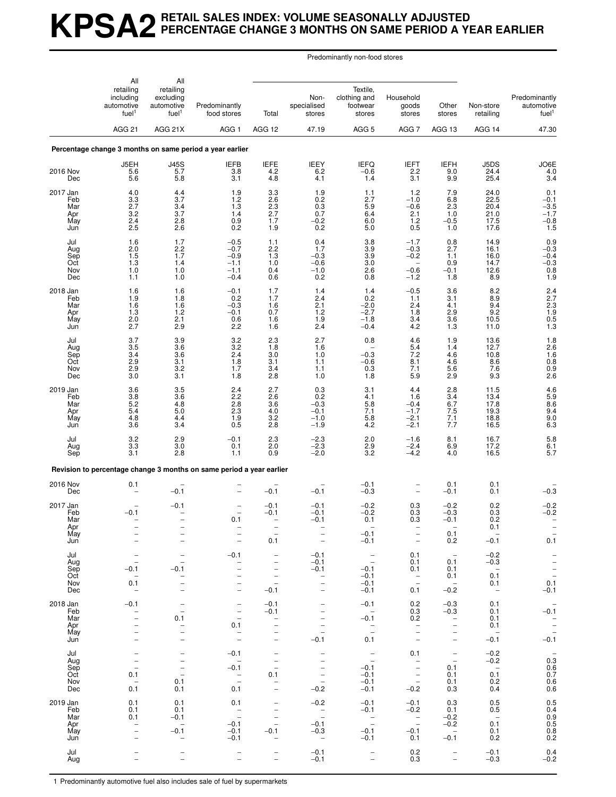# **KPSA2 RETAIL SALES INDEX: VOLUME SEASONALLY ADJUSTED PERCENTAGE CHANGE 3 MONTHS ON SAME PERIOD A YEAR EARLIER**

Predominantly non-food stores

|                                             | All<br>All                                                                                                   |                                                                                                                   |                                                                                                                                      |                                                                                                                                             |                                                                                               |                                                                                              |                                                                                                           |                                                                                     |                                                                             |                                                                |
|---------------------------------------------|--------------------------------------------------------------------------------------------------------------|-------------------------------------------------------------------------------------------------------------------|--------------------------------------------------------------------------------------------------------------------------------------|---------------------------------------------------------------------------------------------------------------------------------------------|-----------------------------------------------------------------------------------------------|----------------------------------------------------------------------------------------------|-----------------------------------------------------------------------------------------------------------|-------------------------------------------------------------------------------------|-----------------------------------------------------------------------------|----------------------------------------------------------------|
|                                             | retailing<br>including<br>automotive<br>fuel <sup>1</sup>                                                    | retailing<br>excluding<br>automotive<br>fuel <sup>1</sup>                                                         | Predominantly<br>food stores                                                                                                         | Total                                                                                                                                       | Non-<br>specialised<br>stores                                                                 | Textile,<br>clothing and<br>footwear<br>stores                                               | Household<br>goods<br>stores                                                                              | Other<br>stores                                                                     | Non-store<br>retailing                                                      | Predominantly<br>automotive<br>fuel <sup>1</sup>               |
|                                             | <b>AGG 21</b>                                                                                                | AGG 21X                                                                                                           | AGG <sub>1</sub>                                                                                                                     | AGG 12                                                                                                                                      | 47.19                                                                                         | AGG <sub>5</sub>                                                                             | AGG <sub>7</sub>                                                                                          | AGG 13                                                                              | AGG 14                                                                      | 47.30                                                          |
|                                             |                                                                                                              |                                                                                                                   | Percentage change 3 months on same period a year earlier                                                                             |                                                                                                                                             |                                                                                               |                                                                                              |                                                                                                           |                                                                                     |                                                                             |                                                                |
| 2016 Nov<br>Dec                             | J5EH<br>5.6<br>5.6                                                                                           | J45S<br>5.7<br>5.8                                                                                                | <b>IEFB</b><br>3.8<br>3.1                                                                                                            | IEFE<br>4.2<br>4.8                                                                                                                          | IEEY<br>6.2<br>4.1                                                                            | <b>IEFQ</b><br>$-0.6$<br>1.4                                                                 | IEFT<br>2.2<br>3.1                                                                                        | <b>IEFH</b><br>9.0<br>9.9                                                           | J5DS<br>24.4<br>25.4                                                        | JO6E<br>4.0<br>3.4                                             |
| 2017 Jan<br>Feb<br>Mar<br>Apr<br>May<br>Jun | 4.0<br>3.3<br>2.7<br>3.2<br>2.4<br>2.5                                                                       | 4.4<br>3.7<br>$\frac{3.4}{3.7}$<br>2.8<br>2.6                                                                     | 1.9<br>1.2<br>1.3<br>1.4<br>0.9<br>0.2                                                                                               | 3.3<br>2.6<br>$2.\overline{3}$<br>2.7<br>1.7<br>1.9                                                                                         | 1.9<br>0.2<br>$0.3$<br>$0.7$<br>$-0.2$<br>0.2                                                 | 1.1<br>2.7<br>5.9<br>6.4<br>6.0<br>5.0                                                       | 1.2<br>$-1.0$<br>$-0.6$<br>2.1<br>1.2<br>0.5                                                              | 7.9<br>6.8<br>2.3<br>1.0<br>$-0.5$<br>1.0                                           | 24.0<br>22.5<br>20.4<br>21.0<br>17.5<br>17.6                                | 0.1<br>$-0.1$<br>$-3.5$<br>$-1.7$<br>$-0.8$<br>1.5             |
| Jul<br>Aug<br>Sep<br>Oct<br>Nov<br>Dec      | 1.6<br>2.0<br>1.5<br>1.3<br>1.0<br>1.1                                                                       | 1.7<br>$2.2$<br>1.7<br>1.4<br>1.0<br>1.0                                                                          | $-0.5$<br>$-0.7$<br>$-0.9$<br>$-1.1$<br>$-1.1$<br>$-0.4$                                                                             | 1.1<br>$^{2.2}_{1.3}$<br>1.0<br>0.4<br>0.6                                                                                                  | 0.4<br>1.7<br>$-0.3$<br>$-0.6$<br>$-1.0$<br>0.2                                               | 3.8<br>$\frac{3.9}{3.9}$<br>3.0<br>2.6<br>0.8                                                | $-1.7$<br>$-0.3$<br>$-0.2$<br>$-0.6$<br>$-1.2$                                                            | 0.8<br>2.7<br>1.1<br>0.9<br>$-0.1$<br>1.8                                           | 14.9<br>16.1<br>16.0<br>14.7<br>12.6<br>8.9                                 | $-0.9 - 0.3$<br>$-0.4$<br>$-0.3$<br>$0.8$<br>1.9               |
| 2018 Jan<br>Feb<br>Mar<br>Apr<br>May<br>Jun | 1.6<br>1.9<br>1.6<br>1.3<br>2.0<br>2.7                                                                       | 1.6<br>1.8<br>1.6<br>1.2<br>2.1<br>2.9                                                                            | $-0.1$<br>0.2<br>$-0.3$<br>$-0.1$<br>0.6<br>2.2                                                                                      | $1.7$<br>$1.7$<br>1.6<br>0.7<br>1.6<br>1.6                                                                                                  | 1.4<br>2.4<br>2.1<br>1.2<br>1.9<br>2.4                                                        | 1.4<br>0.2<br>$-2.0$<br>$-2.7$<br>$-1.8$<br>$-0.4$                                           | $-0.5$<br>1.1<br>2.4<br>1.8<br>3.4<br>4.2                                                                 | $\frac{3.6}{3.1}$<br>4.1<br>2.9<br>3.6<br>1.3                                       | $8.2$<br>$8.9$<br>9.4<br>$\frac{9.2}{10.5}$<br>11.0                         | 2.4<br>2.7<br>2.3<br>1.9<br>0.5<br>1.3                         |
| Jul<br>Aug<br>Sep<br>Oct<br>Nov<br>Dec      | 3.7<br>3.5<br>3.4<br>2.9<br>2.9<br>3.0                                                                       | 3.9<br>3.6<br>3.6<br>3.1<br>3.2<br>3.1                                                                            | 3.2<br>3.2<br>2.4<br>1.8<br>1.7<br>1.8                                                                                               | 2.3<br>1.8<br>3.0<br>3.1<br>3.4<br>2.8                                                                                                      | 2.7<br>1.6<br>1.0<br>1.1<br>1.1<br>1.0                                                        | 0.8<br>$-0.3$<br>$-0.6$<br>0.3<br>1.8                                                        | 4.6<br>5.4<br>7.2<br>8.1<br>7.1<br>5.9                                                                    | 1.9<br>1.4<br>4.6<br>4.6<br>5.6<br>2.9                                              | 13.6<br>12.7<br>10.8<br>8.6<br>7.6<br>9.3                                   | $1.8$<br>$2.6$<br>$1.6$<br>$0.8$<br>0.9<br>2.6                 |
| 2019 Jan<br>Feb<br>Mar<br>Apr<br>May<br>Jun | 3.6<br>$\frac{3.8}{5.2}$<br>5.4<br>4.8<br>3.6                                                                | 3.5<br>3.6<br>4.8<br>5.0<br>4.4<br>3.4                                                                            | 2.4<br>2.2<br>2.8<br>2.3<br>$\!\!\!\begin{array}{c} 1.9 \\ 0.5 \end{array}\!\!\!\!$                                                  | 2.7<br>2.6<br>3.6<br>4.0<br>$\frac{3.2}{2.8}$                                                                                               | 0.3<br>0.2<br>$-0.3$<br>$-0.1$<br>$-1.0$<br>$-1.9$                                            | 3.1<br>4.1<br>5.8<br>7.1<br>5.8<br>4.2                                                       | 4.4<br>1.6<br>$-0.4$<br>$-1.7$<br>$-2.1$<br>$-2.1$                                                        | 2.8<br>$\begin{array}{c} 3.4 \\ 6.7 \end{array}$<br>7.5<br>$7.1$<br>$7.7$           | 11.5<br>13.4<br>17.8<br>19.3<br>18.8<br>16.5                                | 4.6<br>5.9<br>8.6<br>9.4<br>$\frac{9.0}{6.3}$                  |
| Jul<br>Aug<br>Sep                           | $\frac{3.2}{3.3}$<br>3.1                                                                                     | $\frac{2.9}{3.0}$<br>2.8                                                                                          | $-0.1$<br>0.1<br>1.1                                                                                                                 | 2.3<br>2.0<br>0.9                                                                                                                           | $-2.3$<br>$-2.3$<br>$-2.0$                                                                    | $^{2.0}_{2.9}$<br>3.2                                                                        | $-1.6$<br>$-2.4$<br>$-4.2$                                                                                | 8.1<br>6.9<br>4.0                                                                   | 16.7<br>17.2<br>16.5                                                        | 5.8<br>6.1<br>5.7                                              |
|                                             |                                                                                                              |                                                                                                                   | Revision to percentage change 3 months on same period a year earlier                                                                 |                                                                                                                                             |                                                                                               |                                                                                              |                                                                                                           |                                                                                     |                                                                             |                                                                |
| 2016 Nov<br>Dec                             | 0.1                                                                                                          | $-0.1$                                                                                                            |                                                                                                                                      | $-0.1$                                                                                                                                      | $-0.1$                                                                                        | $-0.1$<br>$-0.3$                                                                             | $\overline{\phantom{0}}$                                                                                  | 0.1<br>$-0.1$                                                                       | 0.1<br>0.1                                                                  | $-0.3$                                                         |
| 2017 Jan<br>Feb<br>Mar<br>Apr<br>May<br>Jun | $-0.1$                                                                                                       | $-0.1$<br>$\overline{\phantom{0}}$<br>$\overline{\phantom{0}}$                                                    | 0.1<br>$\bar{a}$                                                                                                                     | $-0.1$<br>$-0.1$<br>0.1                                                                                                                     | $-0.1$<br>$-0.1$<br>$-0.1$<br>$\qquad \qquad -$                                               | $-0.2$<br>$-0.2$<br>0.1<br>$-0.1$<br>$-0.1$                                                  | 0.3<br>0.3<br>0.3<br>$\overline{\phantom{0}}$                                                             | $-0.2$<br>$-0.3$<br>$-0.1$<br>0.1<br>0.2                                            | ${}^{0.2}_{0.3}$<br>0.2<br>0.1<br>$-0.1$                                    | $^{-0.2}_{-0.2}$<br>0.1                                        |
| Jul<br>Aug<br>Sep<br>Oct<br>Nov<br>Dec      | $\overline{\phantom{0}}$<br>$-0.1$<br>0.1                                                                    | $\overline{\phantom{0}}$<br>$\overline{\phantom{0}}$<br>$-0.1$<br>-<br>$\overline{a}$<br>$\overline{\phantom{0}}$ | $-0.1$<br>$\overline{\phantom{m}}$<br>$\qquad \qquad -$<br>$\overline{\phantom{0}}$<br>$\overline{\phantom{0}}$<br>$\qquad \qquad -$ | $\qquad \qquad -$<br>$\overline{\phantom{a}}$<br>$\overline{\phantom{a}}$<br>$\overline{\phantom{a}}$<br>$\overline{\phantom{a}}$<br>$-0.1$ | $-0.1$<br>$-0.1$<br>$-0.1$<br>$\overline{\phantom{0}}$<br>$\qquad \qquad -$<br>$\overline{a}$ | $\overline{\phantom{a}}$<br>$\overline{\phantom{a}}$<br>$-0.1$<br>$-0.1$<br>$-0.1$<br>$-0.1$ | 0.1<br>0.1<br>0.1<br>$\overline{\phantom{a}}$<br>$\overline{\phantom{a}}$<br>0.1                          | $\overline{\phantom{a}}$<br>0.1<br>0.1<br>0.1<br>$\overline{\phantom{a}}$<br>$-0.2$ | $-0.2$<br>$-0.3$<br>$\sim$<br>0.1<br>0.1<br>$\hspace{0.1mm}-\hspace{0.1mm}$ | $\qquad \qquad -$<br>$\frac{1}{2}$<br>0.1<br>$-0.1$            |
| 2018 Jan<br>Feb<br>Mar<br>Apr<br>May<br>Jun | $-0.1$<br>-<br>$\overline{\phantom{0}}$<br>$\overline{\phantom{0}}$<br>$\overline{a}$                        | $\qquad \qquad -$<br>$\overline{\phantom{0}}$<br>0.1<br>$\qquad \qquad -$<br>$\overline{a}$<br>$\qquad \qquad -$  | $\qquad \qquad -$<br>$\overline{\phantom{0}}$<br>$\qquad \qquad -$<br>0.1<br>$\overline{\phantom{a}}$<br>$\overline{\phantom{a}}$    | $-0.1$<br>$-0.1$<br>$\overline{\phantom{a}}$<br>$\overline{\phantom{0}}$<br>$\overline{\phantom{0}}$<br>$\overline{\phantom{a}}$            | $\qquad \qquad -$<br>$\overline{\phantom{0}}$<br>$-0.1$                                       | $-0.1$<br>$\overline{\phantom{a}}$<br>$-0.1$<br>$\overline{\phantom{a}}$<br>0.1              | 0.2<br>0.3<br>0.2<br>$\bar{a}$<br>$\qquad \qquad -$                                                       | $-0.3$<br>$-0.3$<br>$\bar{a}$<br>$\overline{a}$<br>$\overline{\phantom{a}}$         | 0.1<br>0.1<br>0.1<br>0.1<br>$\overline{a}$<br>$-0.1$                        | $\overline{\phantom{a}}$<br>$-0.1$<br>$\frac{1}{2}$<br>-0.1    |
| Jul<br>Aug<br>Sep<br>Oct<br>Nov<br>Dec      | $\qquad \qquad -$<br>$\qquad \qquad -$<br>$\overline{\phantom{0}}$<br>0.1<br>$\overline{\phantom{0}}$<br>0.1 | $\qquad \qquad -$<br>$\overline{\phantom{0}}$<br>$\overline{\phantom{0}}$<br>$\overline{a}$<br>0.1<br>0.1         | $-0.1$<br>$\overline{\phantom{m}}$<br>$-0.1$<br>$\bar{\mathbb{I}}$<br>0.1                                                            | $\overline{\phantom{m}}$<br>$\overline{\phantom{a}}$<br>$\overline{\phantom{a}}$<br>0.1<br>$\overline{\phantom{a}}$<br>$\qquad \qquad -$    | $\qquad \qquad -$<br>$\qquad \qquad -$<br>$\qquad \qquad -$<br>$\frac{1}{2}$<br>$-0.2$        | $\overline{\phantom{a}}$<br>$\sim$<br>$-0.1$<br>$-0.1$<br>$-0.1$<br>$-0.1$                   | 0.1<br>$\qquad \qquad -$<br>$\qquad \qquad -$<br>$\bar{\mathbb{I}}$<br>$-0.2$                             | $\overline{\phantom{a}}$<br>$\overline{\phantom{a}}$<br>0.1<br>0.1<br>0.1<br>0.3    | $-0.2$<br>$-0.2$<br>$\sim$<br>0.1<br>0.2<br>0.4                             | $\begin{array}{c} 0.3 \\ 0.6 \\ 0.7 \\ 0.6 \\ 0.6 \end{array}$ |
| 2019 Jan<br>Feb<br>Mar<br>Apr<br>May<br>Jun | 0.1<br>0.1<br>0.1<br>$\overline{\phantom{m}}$<br>$\qquad \qquad -$<br>$\overline{\phantom{0}}$               | 0.1<br>0.1<br>$-0.1$<br>$\overline{\phantom{m}}$<br>$-0.1$<br>$\overline{\phantom{0}}$                            | 0.1<br>$\bar{a}$<br>$-0.1$<br>$-0.1$<br>$-0.1$                                                                                       | $\overline{\phantom{a}}$<br>$\overline{\phantom{0}}$<br>$\overline{\phantom{0}}$<br>$\overline{\phantom{a}}$<br>$-0.1$<br>-                 | $-0.2$<br>$\frac{1}{2}$<br>$-0.1$<br>$-0.3$<br>$\sim$                                         | $-0.1$<br>$-0.1$<br>$\sim$<br>$\overline{\phantom{a}}$<br>$-0.1$<br>$-0.1$                   | $-0.1$<br>$-0.2$<br>$\hspace{0.1cm}$ $\hspace{0.1cm}$<br>$\hspace{0.1mm}-\hspace{0.1mm}$<br>$-0.1$<br>0.1 | 0.3<br>0.1<br>$-0.2$<br>$-0.2$<br>$\overline{\phantom{a}}$<br>$-0.1$                | 0.5<br>0.5<br>$\overline{a}$<br>0.1<br>0.1<br>0.2                           | $0.5 \\ 0.4$<br>$0.9$<br>0.5<br>0.8<br>0.8                     |
| Jul<br>Aug                                  |                                                                                                              | -<br>$\overline{\phantom{0}}$                                                                                     | $\overline{\phantom{a}}$                                                                                                             | $\overline{\phantom{0}}$                                                                                                                    | $-0.1$<br>$-0.1$                                                                              | $\overline{\phantom{m}}$                                                                     | 0.2<br>0.3                                                                                                | $\overline{\phantom{a}}$<br>$\overline{a}$                                          | $-0.1$<br>$-0.3$                                                            | 0.4<br>$-0.2$                                                  |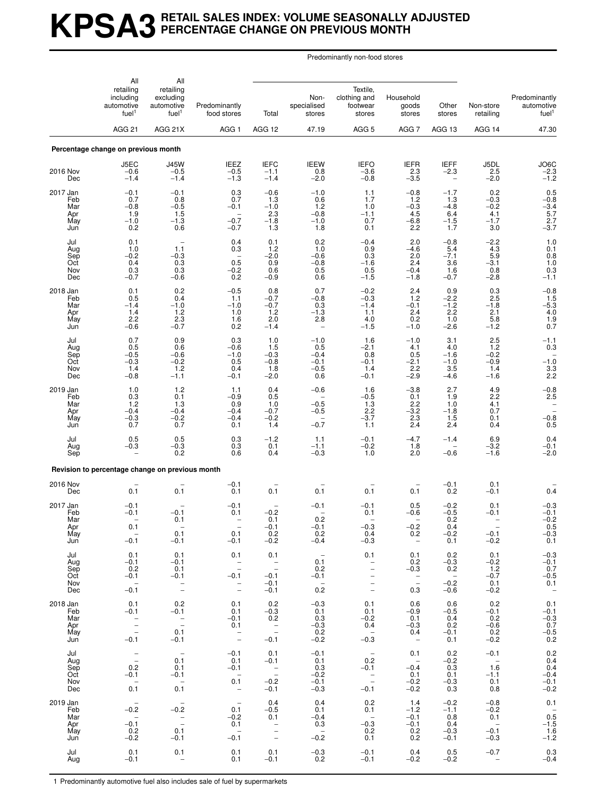# **KPSA3 RETAIL SALES INDEX: VOLUME SEASONALLY ADJUSTED PERCENTAGE CHANGE ON PREVIOUS MONTH**

Predominantly non-food stores

| All                                         | All                                                                        |                                                                                        |                                                                                                      |                                                               |                                                     |                                                                                                      |                                                         |                                                    |                                                       |                                                                          |
|---------------------------------------------|----------------------------------------------------------------------------|----------------------------------------------------------------------------------------|------------------------------------------------------------------------------------------------------|---------------------------------------------------------------|-----------------------------------------------------|------------------------------------------------------------------------------------------------------|---------------------------------------------------------|----------------------------------------------------|-------------------------------------------------------|--------------------------------------------------------------------------|
|                                             | retailing<br>including<br>automotive<br>fuel <sup>1</sup><br><b>AGG 21</b> | retailing<br>excluding<br>automotive<br>fuel <sup>1</sup>                              | Predominantly<br>food stores                                                                         | Total                                                         | Non-<br>specialised<br>stores                       | Textile,<br>clothing and<br>footwear<br>stores                                                       | Household<br>goods<br>stores                            | Other<br>stores                                    | Non-store<br>retailing                                | Predominantly<br>automotive<br>fuel <sup>1</sup>                         |
|                                             |                                                                            | AGG 21X                                                                                | AGG <sub>1</sub>                                                                                     | AGG 12                                                        | 47.19                                               | AGG <sub>5</sub>                                                                                     | AGG7                                                    | AGG 13                                             | AGG 14                                                | 47.30                                                                    |
|                                             | Percentage change on previous month                                        |                                                                                        |                                                                                                      |                                                               |                                                     |                                                                                                      |                                                         |                                                    |                                                       |                                                                          |
| 2016 Nov<br>Dec                             | J5EC<br>$-0.6$<br>$-1.4$                                                   | <b>J45W</b><br>$-0.5$<br>$-1.4$                                                        | <b>IEEZ</b><br>$-0.5$<br>$-1.3$                                                                      | <b>IEFC</b><br>$-1.1$<br>$-1.4$                               | <b>IEEW</b><br>0.8<br>$-2.0$                        | <b>IEFO</b><br>$-3.6$<br>$-0.8$                                                                      | $EFR$<br>2.3<br>$-3.5$                                  | <b>IEFF</b><br>$-2.3$<br>$\qquad \qquad -$         | J5DL<br>2.5<br>$-2.0$                                 | $J$ O6C<br>-2.3<br>-1.2                                                  |
| 2017 Jan<br>Feb<br>Mar<br>Apr<br>May<br>Jun | $-0.1$<br>0.7<br>$-0.8$<br>1.9<br>$-1.0$<br>0.2                            | $-0.1$<br>0.8<br>$-0.5$<br>1.5<br>$-1.3$<br>0.6                                        | 0.3<br>0.7<br>$-0.1$<br>$\overline{\phantom{a}}$<br>$-0.7$<br>$-0.7$                                 | $-0.6$<br>1.3<br>$-1.0$<br>2.3<br>$-1.8$<br>1.3               | $-1.0$<br>0.6<br>1.2<br>$-0.8$<br>$-1.0$<br>1.8     | 1.1<br>1.7<br>1.0<br>$-1.1$<br>0.7<br>0.1                                                            | $-0.8$<br>1.2<br>$^{-0.3}_{-4.5}$<br>$-6.8$<br>2.2      | $-1.7$<br>1.3<br>$-4.8$<br>6.4<br>$-1.5$<br>1.7    | 0.2<br>$-0.3$<br>$-0.2$<br>4.1<br>$-1.7$<br>3.0       | $0.5 - 0.8 - 3.4 - 5.7$<br>$-3.7$                                        |
| Jul<br>Aug<br>Sep<br>Oct<br>Nov<br>Dec      | 0.1<br>1.0<br>$-0.2$<br>0.4<br>0.3<br>$-0.7$                               | 1.1<br>$-0.3$<br>0.3<br>$0.3\,$<br>$-0.6$                                              | 0.4<br>0.3<br>$\qquad \qquad -$<br>0.5<br>$-0.2$<br>0.2                                              | 0.1<br>1.2<br>$-2.0$<br>0.9<br>0.6<br>$-0.9$                  | 0.2<br>1.0<br>$-0.6$<br>$-0.8$<br>0.5<br>0.6        | $-0.4$<br>0.9<br>0.3<br>$-1.6$<br>0.5<br>$-1.5$                                                      | 2.0<br>$-4.6$<br>2.0<br>2.4<br>$-0.4$<br>$-1.8$         | $-0.8$<br>5.4<br>$-7.1$<br>3.6<br>1.6<br>$-0.7$    | $-2.2$<br>4.3<br>5.9<br>$-3.1$<br>0.8<br>$-2.8$       | $\begin{array}{c} 1.0 \\ 0.1 \\ 0.8 \\ 1.0 \end{array}$<br>0.3<br>$-1.1$ |
| 2018 Jan<br>Feb<br>Mar<br>Apr<br>May<br>Jun | 0.1<br>0.5<br>$-1.4$<br>1.4<br>2.2<br>$-0.6$                               | 0.2<br>0.4<br>$-1.0$<br>1.2<br>2.3<br>$-0.7$                                           | $-0.5$<br>1.1<br>$-1.0$<br>1.0<br>1.6<br>0.2                                                         | 0.8<br>$-0.7$<br>$-0.7$<br>1.2<br>2.0<br>$-1.4$               | 0.7<br>$-0.8$<br>0.3<br>$-1.3$<br>2.8               | $-0.2$<br>$-0.3$<br>$-1.4$<br>1.1<br>4.0<br>$-1.5$                                                   | 2.4<br>1.2<br>$-0.1$<br>2.4<br>0.2<br>$-1.0$            | 0.9<br>$-2.2$<br>$-1.2$<br>2.2<br>1.0<br>$-2.6$    | 0.3<br>2.5<br>$-1.8$<br>$\frac{2.1}{5.8}$<br>$-1.2$   | $^{-0.8}_{1.5}$<br>$-5.\overline{3}$<br>4.0<br>1.9<br>0.7                |
| Jul<br>Aug<br>Sep<br>Oct<br>Nov<br>Dec      | 0.7<br>0.5<br>$-0.5$<br>$-0.3$<br>1.4<br>$-0.8$                            | 0.9<br>0.6<br>$-0.6$<br>$-0.2$<br>$1.2$<br>$-1.1$                                      | 0.3<br>$-0.6$<br>$-1.0$<br>0.5<br>0.4<br>$-0.1$                                                      | 1.0<br>1.5<br>$-0.3$<br>$-0.8$<br>1.8<br>$-2.0$               | $-1.0$<br>0.5<br>$-0.4$<br>$-0.1$<br>$-0.5$<br>0.6  | 1.6<br>$-2.1$<br>0.8<br>$-0.1$<br>1.4<br>$-0.1$                                                      | $-1.0$<br>4.1<br>0.5<br>$-2.1$<br>2.2<br>$-2.9$         | 3.1<br>4.0<br>$-1.6$<br>$-1.0$<br>3.5<br>$-4.6$    | 2.5<br>1.2<br>$-0.2$<br>$-0.9$<br>1.4<br>$-1.6$       | $-1.1$<br>0.3<br>$-1.0$<br>$\frac{3.3}{2.2}$                             |
| 2019 Jan<br>Feb<br>Mar<br>Apr<br>May<br>Jun | 1.0<br>0.3<br>1.2<br>$-0.4$<br>$-0.3$<br>0.7                               | 1.2<br>0.1<br>1.3<br>$-0.4$<br>$^{-0.2}_{0.7}$                                         | 1.1<br>$-0.9$<br>0.9<br>$-0.4$<br>$-0.4$<br>0.1                                                      | 0.4<br>0.5<br>1.0<br>$-0.7$<br>$-0.2$<br>1.4                  | $-0.6$<br>$-0.5$<br>$-0.5$<br>$-0.7$                | 1.6<br>$-0.5$<br>1.3<br>2.2<br>$-3.7$<br>1.1                                                         | $-3.8$<br>0.1<br>2.2<br>$-3.2$<br>2.3<br>2.4            | 2.7<br>1.9<br>1.0<br>$-1.8$<br>1.5<br>2.4          | 4.9<br>2.2<br>4.1<br>0.7<br>0.1<br>0.4                | $-0.8$<br>2.5<br><b>-</b><br>$^{-0.8}_{0.5}$                             |
| Jul<br>Aug<br>Sep                           | 0.5<br>$-0.3$                                                              | $\!\! \begin{array}{c} 0.5 \\[-4pt] -0.3 \end{array} \!\!$<br>0.2                      | 0.3<br>0.3<br>0.6                                                                                    | $-1.2$<br>0.1<br>0.4                                          | 1.1<br>$-1.1$<br>$-0.3$                             | $-0.1$<br>$-0.2$<br>1.0                                                                              | $-4.7$<br>1.8<br>2.0                                    | $-1.4$<br>$-0.6$                                   | 6.9<br>$-3.2$<br>$-1.6$                               | 0.4<br>$-0.1$<br>$-2.0$                                                  |
|                                             | Revision to percentage change on previous month                            |                                                                                        |                                                                                                      |                                                               |                                                     |                                                                                                      |                                                         |                                                    |                                                       |                                                                          |
| 2016 Nov<br>Dec                             | 0.1                                                                        | $0.\overline{1}$                                                                       | $-0.1$<br>0.1                                                                                        | 0.1                                                           | 0.1                                                 | 0.1                                                                                                  | 0.1                                                     | $-0.1$<br>0.2                                      | 0.1<br>$-0.1$                                         | 0.4                                                                      |
| 2017 Jan<br>Feb<br>Mar<br>Apr<br>May<br>Jun | $-0.1$<br>$-0.1$<br>0.1<br>$-0.1$                                          | $-0.1$<br>0.1<br>0.1<br>$-0.1$                                                         | $-0.1$<br>0.1<br>0.1<br>$-0.1$                                                                       | $-0.2$<br>0.1<br>$-0.1$<br>0.2<br>$-0.2$                      | $-0.1$<br>0.2<br>$-0.1$<br>0.2<br>$-0.4$            | $-0.1$<br>0.1<br>$-0.3$<br>0.4<br>$-0.3$                                                             | 0.5<br>$-0.6$<br>$-0.2$<br>0.2<br>$\sim$                | $-0.2$<br>$-0.5$<br>0.2<br>0.4<br>$-0.2$<br>0.1    | 0.1<br>$-0.1$<br>$-0.1$<br>$-0.2$                     | $-0.3$<br>$-0.1$<br>$-0.2$<br>0.5<br>$-0.3$<br>0.1                       |
| Jul<br>Aug<br>Sep<br>Oct<br>Nov<br>Dec      | 0.1<br>$-0.1$<br>0.2<br>$-0.1$<br>$\sim$ $-$<br>$-0.1$                     | 0.1<br>$-0.1$<br>0.1<br>$-0.1$<br>$\bar{z}$                                            | 0.1<br>$\overline{\phantom{a}}$<br>$-0.1$<br>$\bar{a}$                                               | 0.1<br>$\bar{a}$<br>$-0.1$<br>$-0.1$<br>$-0.1$                | $\sim$<br>0.1<br>0.2<br>$-0.1$<br>$\sim$<br>0.2     | 0.1<br>$\bar{\mathbb{I}}$<br>$\overline{\phantom{0}}$<br>$\bar{a}$                                   | 0.1<br>0.2<br>$-0.3$<br>$\overline{\phantom{a}}$<br>0.3 | 0.2<br>$-0.3$<br>0.2<br>$\sim$<br>$-0.2$<br>$-0.6$ | 0.1<br>$-0.2$<br>1.2<br>$-0.7$<br>0.1<br>$-0.2$       | $-0.3$<br>$-0.1$<br>$0.7 - 0.5$<br>0.1<br>$\sim$ $-$                     |
| 2018 Jan<br>Feb<br>Mar<br>Apr<br>May<br>Jun | 0.1<br>$-0.1$<br>$\frac{1}{2}$<br>$-0.1$                                   | 0.2<br>$-0.1$<br>$\frac{1}{2}$<br>0.1<br>$-0.1$                                        | 0.1<br>0.1<br>$-0.1$<br>0.1<br>$\frac{1}{2}$                                                         | 0.2<br>$-0.3$<br>0.2<br>$\mathbb{Z}$<br>$-0.1$                | $-0.3$<br>0.1<br>0.3<br>$-0.3$<br>$0.2 - 0.2$       | 0.1<br>0.1<br>$-0.2$<br>0.4<br>$\sim$<br>$-0.3$                                                      | 0.6<br>$-0.9$<br>0.1<br>$-0.3$<br>0.4<br>$\sim$         | 0.6<br>$-0.5$<br>0.4<br>0.2<br>$-0.1$<br>0.1       | 0.2<br>$-0.1$<br>0.2<br>$-0.6$<br>0.2<br>$-0.2$       | 0.1<br>$-0.1$<br>$-0.3$<br>0.7<br>$^{-0.5}_{0.2}$                        |
| Jul<br>Aug<br>Sep<br>Oct<br>Nov<br>Dec      | $\bar{\mathbb{Z}}$<br>0.2<br>$-0.1$<br>$\overline{\phantom{a}}$<br>0.1     | $\hspace{0.1mm}-\hspace{0.1mm}$<br>0.1<br>0.1<br>$-0.1$<br>$\sim$<br>0.1               | $-0.1$<br>0.1<br>$-0.1$<br>$\overline{\phantom{a}}$<br>0.1<br>$\qquad \qquad -$                      | 0.1<br>$-0.1$<br>$\overline{\phantom{a}}$<br>$-0.2$<br>$-0.1$ | $-0.1$<br>0.1<br>0.3<br>$-0.2$<br>$-0.1$<br>$-0.3$  | $\hspace{0.1mm}-\hspace{0.1mm}$<br>0.2<br>$-0.1$<br>$\sim$ $-$<br>$\overline{\phantom{a}}$<br>$-0.1$ | 0.1<br>$\sim$ $-$<br>$-0.4$<br>0.1<br>$-0.2$<br>$-0.2$  | 0.2<br>$-0.2$<br>0.3<br>0.1<br>$-0.3$<br>0.3       | $-0.1$<br>$\sim$ $-$<br>1.6<br>$-1.1$<br>0.1<br>0.8   | 0.2<br>0.4<br>0.4<br>$-0.4$<br>$-0.1$<br>$-0.2$                          |
| 2019 Jan<br>Feb<br>Mar<br>Apr<br>May<br>Jun | $-$<br>$-0.2$<br>$\sim$<br>$-0.1$<br>0.2<br>$-0.2$                         | $\hspace{0.1mm}-\hspace{0.1mm}$<br>$-0.2$<br>$\overline{\phantom{a}}$<br>0.1<br>$-0.1$ | $\hspace{0.1mm}-\hspace{0.1mm}$<br>0.1<br>$-0.2$<br>0.1<br>$\hspace{0.1mm}-\hspace{0.1mm}$<br>$-0.1$ | 0.4<br>$-0.5$<br>0.1<br>$\frac{1}{2}$                         | 0.4<br>0.1<br>$-0.4$<br>0.3<br>$\sim$ $-$<br>$-0.2$ | 0.2<br>0.1<br>$\overline{\phantom{a}}$<br>$-0.3$<br>0.2<br>0.1                                       | 1.4<br>$-1.2$<br>$-0.1$<br>$-0.1$<br>0.2<br>0.2         | $-0.2$<br>$-1.1$<br>0.8<br>0.4<br>$-0.3$<br>$-0.1$ | $-0.8$<br>$-0.2$<br>0.1<br>$\sim$<br>$-0.1$<br>$-0.3$ | 0.1<br>$0.5$ <sup>-1.5</sup><br>1.6<br>$-1.2$                            |
| Jul<br>Aug                                  | 0.1<br>$-0.1$                                                              | 0.1<br>$\overline{\phantom{a}}$                                                        | 0.1<br>0.1                                                                                           | 0.1<br>$-0.1$                                                 | $-0.3$<br>0.2                                       | $-0.1$<br>$-0.1$                                                                                     | 0.4<br>$-0.2$                                           | 0.5<br>$-0.2$                                      | $-0.7$<br>$\overline{\phantom{a}}$                    | 0.3<br>$-0.4$                                                            |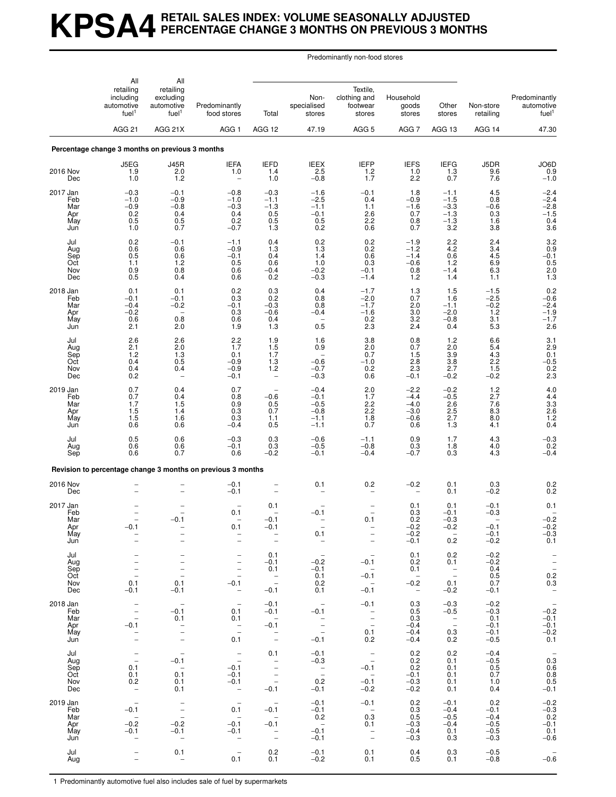# **KPSA4 RETAIL SALES INDEX: VOLUME SEASONALLY ADJUSTED PERCENTAGE CHANGE 3 MONTHS ON PREVIOUS 3 MONTHS**

Predominantly non-food stores

| All                                         | All                                                                                     |                                                                                                                        |                                                                                                                               |                                                                                                  |                                                             |                                                                                                          |                                                                   |                                                            |                                                       |                                                                                                       |
|---------------------------------------------|-----------------------------------------------------------------------------------------|------------------------------------------------------------------------------------------------------------------------|-------------------------------------------------------------------------------------------------------------------------------|--------------------------------------------------------------------------------------------------|-------------------------------------------------------------|----------------------------------------------------------------------------------------------------------|-------------------------------------------------------------------|------------------------------------------------------------|-------------------------------------------------------|-------------------------------------------------------------------------------------------------------|
|                                             | retailing<br>including<br>automotive<br>fuel <sup>1</sup><br><b>AGG 21</b>              | retailing<br>excluding<br>automotive<br>fuel <sup>1</sup>                                                              | Predominantly<br>food stores                                                                                                  | Total                                                                                            | Non-<br>specialised<br>stores                               | Textile.<br>clothing and<br>footwear<br>stores                                                           | Household<br>goods<br>stores                                      | Other<br>stores                                            | Non-store<br>retailing                                | Predominantly<br>automotive<br>fuel <sup>1</sup>                                                      |
|                                             |                                                                                         | AGG 21X                                                                                                                | AGG <sub>1</sub>                                                                                                              | AGG 12                                                                                           | 47.19                                                       | AGG <sub>5</sub>                                                                                         | AGG 7                                                             | AGG 13                                                     | AGG 14                                                | 47.30                                                                                                 |
|                                             | Percentage change 3 months on previous 3 months                                         |                                                                                                                        |                                                                                                                               |                                                                                                  |                                                             |                                                                                                          |                                                                   |                                                            |                                                       |                                                                                                       |
| 2016 Nov<br>Dec                             | J5EG<br>1.9<br>1.0                                                                      | <b>J45R</b><br>2.0<br>1.2                                                                                              | <b>IEFA</b><br>1.0<br>$\qquad \qquad -$                                                                                       | <b>IEFD</b><br>1.4<br>1.0                                                                        | <b>IEEX</b><br>2.5<br>$-0.8$                                | <b>IEFP</b><br>1.2<br>1.7                                                                                | <b>IEFS</b><br>1.0<br>2.2                                         | <b>IEFG</b><br>1.3<br>0.7                                  | J5DR<br>9.6<br>7.6                                    | JO6D<br>0.9<br>$-1.0$                                                                                 |
| 2017 Jan<br>Feb<br>Mar<br>Apr<br>May<br>Jun | $-0.3$<br>$-1.0$<br>$-0.9$<br>0.2<br>0.5<br>1.0                                         | $-0.1$<br>$-0.9$<br>$-0.8$<br>0.4<br>0.5<br>0.7                                                                        | $-0.8$<br>$-1.0$<br>$-0.3$<br>0.4<br>0.2<br>$-0.7$                                                                            | $-0.3$<br>$-1.1$<br>$-1.3$<br>0.5<br>0.5<br>1.3                                                  | $-1.6$<br>$-2.5$<br>$-1.1$<br>$-0.1$<br>0.5<br>0.2          | $-0.1$<br>0.4<br>1.1<br>2.6<br>2.2<br>0.6                                                                | 1.8<br>$-0.9$<br>$-1.6$<br>0.7<br>0.8<br>0.7                      | $-1.1$<br>$-1.5$<br>$-3.3$<br>$-1.3$<br>$-1.3$<br>3.2      | 4.5<br>0.8<br>$-0.6$<br>0.3<br>1.6<br>3.8             | $-2.4$<br>$-2.4$<br>$^{-2.8}_{-1.5}$<br>0.4<br>3.6                                                    |
| Jul<br>Aug<br>Sep<br>Oct<br>Nov<br>Dec      | 0.2<br>0.6<br>0.5<br>1.1<br>0.9<br>0.5                                                  | $-0.1$<br>0.6<br>0.6<br>1.2<br>0.8<br>0.4                                                                              | $-1.1$<br>$-0.9$<br>$-0.1$<br>0.5<br>0.6<br>0.6                                                                               | 0.4<br>1.3<br>0.4<br>0.6<br>$-0.4$<br>0.2                                                        | 0.2<br>$\frac{1.3}{1.4}$<br>1.0<br>$-0.2$<br>$-0.3$         | 0.2<br>0.2<br>0.6<br>0.3<br>$-0.1$<br>$-1.4$                                                             | $-1.9$<br>$-1.2$<br>$-1.4$<br>$-0.6$<br>0.8<br>1.2                | 2.2<br>4.2<br>$0.\overline{6}$<br>1.2<br>$-1.4$<br>1.4     | 2.4<br>3.4<br>4.5<br>6.9<br>6.3<br>1.1                | 3.2<br>$0.9 - 0.1$<br>0.5<br>$2.0$<br>1.3                                                             |
| 2018 Jan<br>Feb<br>Mar<br>Apr<br>May<br>Jun | 0.1<br>$-0.1$<br>$-0.4$<br>$-0.2$<br>0.6<br>2.1                                         | 0.1<br>$-0.1$<br>$-0.2$<br>0.8<br>2.0                                                                                  | 0.2<br>0.3<br>$-0.1$<br>0.3<br>0.6<br>1.9                                                                                     | 0.3<br>0.2<br>$-0.3$<br>$-0.6$<br>0.4<br>1.3                                                     | 0.4<br>0.8<br>0.8<br>$-0.4$<br>0.5                          | $-1.7$<br>$-2.0$<br>$-1.7$<br>$-1.6$<br>0.2<br>2.3                                                       | 1.3<br>0.7<br>2.0<br>3.0<br>3.2<br>2.4                            | 1.5<br>1.6<br>$-1.1$<br>$-2.0$<br>$-0.8$<br>0.4            | $-1.5$<br>$-2.5$<br>$-0.2$<br>1.2<br>3.1<br>5.3       | $0.2 - 0.6$<br>$-2.4$<br>$-1.9$<br>$-1.7$<br>2.6                                                      |
| Jul<br>Aug<br>Sep<br>Oct<br>Nov<br>Dec      | 2.6<br>2.1<br>1.2<br>0.4<br>0.4<br>0.2                                                  | 2.6<br>2.0<br>1.3<br>0.5<br>0.4<br>$\overline{\phantom{a}}$                                                            | 2.2<br>1.7<br>0.1<br>$-0.9$<br>$-0.9$<br>$-0.1$                                                                               | 1.9<br>$1.5$<br>1.7<br>1.3<br>1.2<br>$\overline{\phantom{0}}$                                    | 1.6<br>0.9<br>$-0.6$<br>$-0.7$<br>$-0.3$                    | 3.8<br>2.0<br>0.7<br>$-1.0$<br>0.2<br>0.6                                                                | 0.8<br>0.7<br>1.5<br>$2.\overline{8}$<br>2.3<br>$-0.1$            | 1.2<br>2.0<br>3.9<br>3.8<br>2.7<br>$-0.2$                  | 6.6<br>5.4<br>$^{4.3}_{2.2}$<br>1.5<br>$-0.2$         | 3.1<br>2.9<br>$-0.1$<br>$-0.5$<br>0.2<br>2.3                                                          |
| 2019 Jan<br>Feb<br>Mar<br>Apr<br>May<br>Jun | 0.7<br>0.7<br>1.7<br>1.5<br>1.5<br>0.6                                                  | 0.4<br>0.4<br>1.5<br>1.4<br>1.6<br>0.6                                                                                 | 0.7<br>0.8<br>0.9<br>0.3<br>0.3<br>$-0.4$                                                                                     | $-0.6$<br>0.5<br>0.7<br>1.1<br>0.5                                                               | $-0.4$<br>$-0.1$<br>$-0.5$<br>$-0.8$<br>$-1.1$<br>$-1.1$    | 2.0<br>1.7<br>2.2<br>2.2<br>1.8<br>0.7                                                                   | $-2.2$<br>$-4.4$<br>$-4.0$<br>$-3.0$<br>$-0.6$<br>0.6             | $-0.2$<br>$-0.5$<br>2.6<br>2.5<br>2.7<br>1.3               | 1.2<br>2.7<br>7.6<br>8.3<br>8.0<br>4.1                | 4.0<br>$4.4$<br>$3.3$<br>$2.6$<br>$1.2$<br>$0.4$                                                      |
| Jul<br>Aug<br>Sep                           | 0.5<br>0.6<br>0.6                                                                       | 0.6<br>0.6<br>0.7                                                                                                      | $-0.3$<br>$-0.1$<br>0.6                                                                                                       | 0.3<br>0.3<br>$-0.2$                                                                             | $-0.6$<br>$-0.5$<br>$-0.1$                                  | $-1.1$<br>$-0.8$<br>$-0.4$                                                                               | 0.9<br>0.3<br>$-0.7$                                              | 1.7<br>1.8<br>0.3                                          | 4.3<br>4.0<br>4.3                                     | $^{-0.3}_{0.2}$<br>$-0.4$                                                                             |
|                                             |                                                                                         |                                                                                                                        | Revision to percentage change 3 months on previous 3 months                                                                   |                                                                                                  |                                                             |                                                                                                          |                                                                   |                                                            |                                                       |                                                                                                       |
| 2016 Nov<br>Dec                             |                                                                                         |                                                                                                                        | $-0.1$<br>$-0.1$                                                                                                              |                                                                                                  | 0.1                                                         | 0.2                                                                                                      | $-0.2$                                                            | 0.1<br>0.1                                                 | 0.3<br>$-0.2$                                         | $\begin{array}{c} 0.2 \\ 0.2 \end{array}$                                                             |
| 2017 Jan<br>Feb<br>Mar<br>Apr<br>May<br>Jun | -0.1<br>$\bar{a}$                                                                       | $-0.1$<br>$\qquad \qquad -$                                                                                            | 0.1<br>0.1<br>$\bar{a}$                                                                                                       | 0.1<br>$-0.1$<br>$-0.1$<br>$\bar{\mathbb{I}}$                                                    | $-0.1$<br>0.1<br>$\overline{\phantom{a}}$                   | 0.1<br>$\bar{a}$                                                                                         | 0.1<br>0.3<br>0.2<br>$-0.2$<br>$-0.2$<br>$-0.1$                   | 0.1<br>$-0.1$<br>$-0.3$<br>$-0.2$<br>$\overline{a}$<br>0.2 | $-0.1$<br>$-0.3$<br>$-0.1$<br>$-0.1$<br>$-0.2$        | 0.1<br>$-0.2$<br>$-0.2$<br>$-0.3$<br>0.1                                                              |
| Jul<br>Aug<br>Sep<br>Oct<br>Nov<br>Dec      | 0.1<br>$-0.1$                                                                           | $\qquad \qquad -$<br>$\overline{\phantom{a}}$<br>$\overline{\phantom{0}}$<br>$\overline{\phantom{a}}$<br>0.1<br>$-0.1$ | $\qquad \qquad -$<br>$\overline{\phantom{a}}$<br>$\qquad \qquad -$<br>$\qquad \qquad -$<br>$-0.1$<br>$\overline{\phantom{a}}$ | 0.1<br>$-0.1$<br>0.1<br>$\bar{a}$<br>$-0.1$                                                      | $-$<br>$-0.2$<br>$-0.1$<br>0.1<br>0.2<br>0.1                | $\hspace{0.1mm}-\hspace{0.1mm}$<br>$-0.1$<br>$\sim$ $-$<br>$-0.1$<br>$\sim$<br>$-0.1$                    | 0.1<br>0.2<br>0.1<br>$\overline{\phantom{0}}$<br>$-0.2$<br>$\sim$ | 0.2<br>0.1<br>$\mathbb{Z}$<br>0.1<br>$-0.2$                | $-0.2$<br>$-0.2$<br>0.4<br>0.5<br>0.7<br>$-0.1$       | $\hspace{0.1cm}$ $\hspace{0.1cm}$<br>$\bar{\mathbb{I}}$<br>$0.2\,$<br>0.3<br>$\overline{\phantom{a}}$ |
| 2018 Jan<br>Feb<br>Mar<br>Apr<br>May<br>Jun | $\overline{\phantom{a}}$<br>$\overline{\phantom{a}}$<br>$\equiv$<br>$-0.1$<br>$\bar{a}$ | $\overline{\phantom{a}}$<br>$-0.1$<br>0.1<br>$\frac{1}{2}$                                                             | $\hspace{0.1mm}-\hspace{0.1mm}$<br>0.1<br>0.1<br>$\frac{1}{2}$<br>0.1                                                         | $-0.1$<br>$-0.1$<br>$\overline{a}$<br>$-0.1$<br>$\sim$<br>$\overline{\phantom{a}}$               | $\overline{\phantom{0}}$<br>$-0.1$<br>$\frac{1}{2}$<br>-0.1 | $-0.1$<br>$\frac{1}{2}$<br>0.1<br>0.2                                                                    | 0.3<br>0.5<br>0.3<br>$-0.4$<br>$-0.4$<br>$-0.4$                   | $-0.3$<br>$-0.5$<br>$\overline{\phantom{a}}$<br>0.3<br>0.2 | $-0.2$<br>$-0.3$<br>0.1<br>$-0.1$<br>$-0.1$<br>$-0.5$ | $\hspace{0.1mm}-\hspace{0.1mm}$<br>$-0.2$<br>$-0.1$<br>$-0.1$<br>$-0.2$<br>0.1                        |
| Jul<br>Aug<br>Sep<br>Oct<br>Nov<br>Dec      | $\bar{\mathbb{I}}$<br>0.1<br>0.1<br>0.2<br>$\hspace{0.1mm}-\hspace{0.1mm}$              | $\hspace{0.1mm}-\hspace{0.1mm}$<br>$-0.1$<br>$\sim$<br>0.1<br>0.1<br>0.1                                               | $\bar{\mathbb{Z}}$<br>$-0.1$<br>$-0.1$<br>$-0.1$<br>$\hspace{0.1mm}-\hspace{0.1mm}$                                           | 0.1<br>$\overline{\phantom{a}}$<br>$\bar{\mathbb{I}}$<br>$-0.1$                                  | $-0.1$<br>$-0.3$<br>$\frac{1}{2}$<br>0.2<br>$-0.1$          | $\mathbb{Z}$<br>$-0.1$<br>$\sim$<br>$-0.1$<br>$-0.2$                                                     | 0.2<br>0.2<br>0.2<br>$-0.1$<br>$-0.3$<br>$-0.2$                   | 0.2<br>0.1<br>0.1<br>0.1<br>0.1<br>0.1                     | $-0.4$<br>$-0.5$<br>0.5<br>0.7<br>1.0<br>0.4          | $\sim$<br>0.3<br>0.6<br>$\begin{array}{c} 0.8 \\ 0.5 \end{array}$<br>$-0.1$                           |
| 2019 Jan<br>Feb<br>Mar<br>Apr<br>May<br>Jun | $\overline{a}$<br>$-0.1$<br>$\sim$ $-$<br>$-0.2$<br>$-0.1$<br>$\qquad \qquad -$         | $\frac{1}{2}$<br>$-0.2$<br>$-0.1$<br>$\overline{\phantom{m}}$                                                          | $\overline{a}$<br>0.1<br>$\overline{\phantom{0}}$<br>$-0.1$<br>$-0.1$<br>$\overline{\phantom{a}}$                             | $\sim$ $-$<br>$-0.1$<br>$\sim$<br>$-0.1$<br>$\overline{\phantom{0}}$<br>$\overline{\phantom{a}}$ | $-0.1$<br>$-0.1$<br>0.2<br>$-0.1$<br>$-0.1$                 | $-0.1$<br>$\overline{\phantom{0}}$<br>0.3<br>0.1<br>$\overline{\phantom{a}}$<br>$\overline{\phantom{a}}$ | 0.2<br>0.3<br>0.5<br>$-0.3$<br>$-0.4$<br>$-0.3$                   | $-0.1$<br>$-0.4$<br>$-0.5$<br>$-0.4$<br>0.1<br>0.3         | 0.2<br>$-0.1$<br>$-0.4$<br>$-0.5$<br>$-0.5$<br>$-0.3$ | $-0.2$<br>$-0.3$<br>0.2<br>$-0.1$<br>0.1<br>$-0.6$                                                    |
| Jul<br>Aug                                  | -<br>$\qquad \qquad -$                                                                  | 0.1<br>$\overline{\phantom{a}}$                                                                                        | $\hspace{0.1mm}-\hspace{0.1mm}$<br>0.1                                                                                        | 0.2<br>0.1                                                                                       | $-0.1$<br>$-0.2$                                            | 0.1<br>0.1                                                                                               | 0.4<br>0.5                                                        | 0.3<br>0.1                                                 | $-0.5$<br>$-0.8$                                      | $-0.\overline{6}$                                                                                     |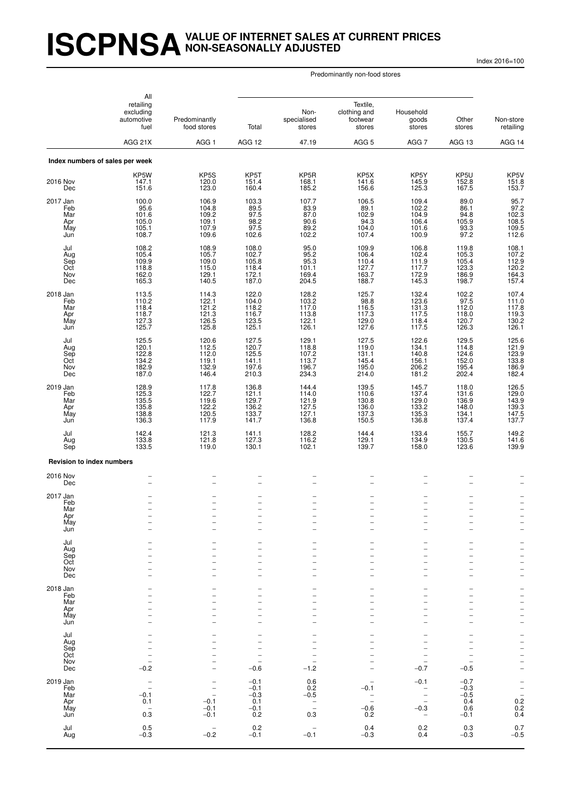# **ISCPNSAVALUE OF INTERNET SALES AT CURRENT PRICES NON-SEASONALLY ADJUSTED**

Index 2016=100

|                                             | All<br>retailing<br>excluding<br>automotive<br>fuel                          | Predominantly<br>food stores                                             | Total                                                     | Non-<br>specialised<br>stores                      | Textile,<br>clothing and<br>footwear<br>stores     | Household<br>goods<br>stores                                                                                           | Other<br>stores                                    | Non-store<br>retailing                                                                                       |
|---------------------------------------------|------------------------------------------------------------------------------|--------------------------------------------------------------------------|-----------------------------------------------------------|----------------------------------------------------|----------------------------------------------------|------------------------------------------------------------------------------------------------------------------------|----------------------------------------------------|--------------------------------------------------------------------------------------------------------------|
|                                             | AGG 21X                                                                      | AGG <sub>1</sub>                                                         | AGG 12                                                    | 47.19                                              | AGG <sub>5</sub>                                   | AGG 7                                                                                                                  | AGG 13                                             | AGG 14                                                                                                       |
|                                             | Index numbers of sales per week                                              |                                                                          |                                                           |                                                    |                                                    |                                                                                                                        |                                                    |                                                                                                              |
| 2016 Nov<br>Dec                             | KP5W<br>147.1<br>151.6                                                       | KP5S<br>120.0<br>123.0                                                   | KP5T<br>151.4<br>160.4                                    | KP <sub>5</sub> R<br>168.1<br>185.2                | KP <sub>5</sub> X<br>141.6<br>156.6                | KP5Y<br>145.9<br>125.3                                                                                                 | KP5U<br>152.8<br>167.5                             | KP5V<br>151.8<br>153.7                                                                                       |
| 2017 Jan<br>Feb<br>Mar<br>Apr<br>May<br>Jun | 100.0<br>$95.6$<br>101.6<br>105.0<br>105.1<br>108.7                          | 106.9<br>104.8<br>109.2<br>109.1<br>107.9<br>109.6                       | 103.3<br>89.5<br>97.5<br>98.2<br>97.5<br>102.6            | 107.7<br>83.9<br>87.0<br>90.6<br>89.2<br>102.2     | 106.5<br>89.1<br>102.9<br>94.3<br>104.0<br>107.4   | 109.4<br>102.2<br>104.9<br>106.4<br>101.6<br>100.9                                                                     | 89.0<br>86.1<br>94.8<br>105.9<br>93.3<br>97.2      | 95.7<br>$97.2$<br>$102.3$<br>$108.5$<br>$109.5$<br>$112.6$                                                   |
| Jul<br>Aug<br>Sep<br>Oct<br>Nov<br>Dec      | 108.2<br>105.4<br>109.9<br>118.8<br>162.0<br>165.3                           | 108.9<br>105.7<br>109.0<br>115.0<br>129.1<br>140.5                       | 108.0<br>102.7<br>105.8<br>118.4<br>172.1<br>187.0        | 95.0<br>95.2<br>95.3<br>101.1<br>169.4<br>204.5    | 109.9<br>106.4<br>110.4<br>127.7<br>163.7<br>188.7 | 106.8<br>102.4<br>111.9<br>117.7<br>172.9<br>145.3                                                                     | 119.8<br>105.3<br>105.4<br>123.3<br>186.9<br>198.7 | 108.1<br>107.2<br>112.9<br>120.2<br>164.3<br>157.4                                                           |
| 2018 Jan<br>Feb<br>Mar<br>Apr<br>May<br>Jun | 113.5<br>110.2<br>118.4<br>118.7<br>127.3<br>125.7                           | 114.3<br>122.1<br>121.2<br>121.3<br>126.5<br>125.8                       | 122.0<br>104.0<br>118.2<br>116.7<br>123.5<br>125.1        | 128.2<br>103.2<br>117.0<br>113.8<br>122.1<br>126.1 | 125.7<br>98.8<br>116.5<br>117.3<br>129.0<br>127.6  | 132.4<br>123.6<br>131.3<br>117.5<br>118.4<br>117.5                                                                     | 102.2<br>97.5<br>112.0<br>118.0<br>120.7<br>126.3  | 107.4<br>111.0<br>$\frac{117.8}{119.3}$<br>130.2<br>126.1                                                    |
| Jul<br>Aug<br>Sep<br>Oct<br>Nov<br>Dec      | 125.5<br>120.1<br>122.8<br>134.2<br>182.9<br>187.0                           | 120.6<br>112.5<br>112.0<br>119.1<br>132.9<br>146.4                       | 127.5<br>120.7<br>125.5<br>141.1<br>197.6<br>210.3        | 129.1<br>118.8<br>107.2<br>113.7<br>196.7<br>234.3 | 127.5<br>119.0<br>131.1<br>145.4<br>195.0<br>214.0 | 122.6<br>134.1<br>140.8<br>156.1<br>206.2<br>181.2                                                                     | 129.5<br>114.8<br>124.6<br>152.0<br>195.4<br>202.4 | 125.6<br>121.9<br>123.9<br>133.8<br>186.9<br>182.4                                                           |
| 2019 Jan<br>Feb<br>Mar<br>Apr<br>May<br>Jun | 128.9<br>125.3<br>135.5<br>135.8<br>138.8<br>136.3                           | 117.8<br>122.7<br>119.6<br>122.2<br>120.5<br>117.9                       | 136.8<br>121.1<br>129.7<br>136.2<br>133.7<br>141.7        | 144.4<br>114.0<br>121.9<br>127.5<br>127.1<br>136.8 | 139.5<br>110.6<br>130.8<br>136.0<br>137.3<br>150.5 | 145.7<br>137.4<br>129.0<br>133.2<br>135.3<br>136.8                                                                     | 118.0<br>131.6<br>136.9<br>148.0<br>134.1<br>137.4 | 126.5<br>129.0<br>143.9<br>139.3<br>147.5<br>137.7                                                           |
| Jul<br>Aug<br>Sep                           | 142.4<br>133.8<br>133.5                                                      | 121.3<br>121.8<br>119.0                                                  | 141.1<br>127.3<br>130.1                                   | 128.2<br>116.2<br>102.1                            | 144.4<br>129.1<br>139.7                            | 133.4<br>134.9<br>158.0                                                                                                | 155.7<br>130.5<br>123.6                            | 149.2<br>141.6<br>139.9                                                                                      |
| <b>Revision to index numbers</b>            |                                                                              |                                                                          |                                                           |                                                    |                                                    |                                                                                                                        |                                                    |                                                                                                              |
| 2016 Nov<br>Dec                             |                                                                              |                                                                          | $\overline{\phantom{0}}$                                  |                                                    |                                                    | -<br>$\overline{\phantom{0}}$                                                                                          |                                                    |                                                                                                              |
| 2017 Jan<br>Feb<br>Mar<br>Apr<br>May<br>Jun | $\overline{\phantom{0}}$                                                     |                                                                          | $\overline{\phantom{0}}$<br>$\overline{\phantom{0}}$<br>- | $\overline{a}$<br>-                                | $\overline{\phantom{0}}$                           | $\overline{\phantom{0}}$<br>$\overline{\phantom{0}}$<br>$\overline{\phantom{0}}$<br>-<br>-<br>$\overline{\phantom{0}}$ | $\overline{a}$                                     | $\qquad \qquad -$<br>$\overline{\phantom{0}}$<br>$\frac{1}{2}$                                               |
| Jul<br>Aug<br>Sep<br>Oct<br>Nov<br>Dec      |                                                                              |                                                                          |                                                           |                                                    |                                                    | L.                                                                                                                     |                                                    | $\overline{\phantom{0}}$<br>$\overline{\phantom{a}}$<br>$\overline{\phantom{0}}$<br>$\overline{\phantom{0}}$ |
| 2018 Jan<br>Feb<br>Mar<br>Apr<br>May<br>Jun |                                                                              |                                                                          |                                                           |                                                    |                                                    | -<br>L.                                                                                                                |                                                    | $\frac{1}{2}$<br>$\bar{a}$                                                                                   |
| Jul<br>Aug<br>Sep<br>Oct<br>Nov<br>Dec      | $\qquad \qquad -$<br>$-0.2$                                                  |                                                                          | $-0.6$                                                    | $-1.2$                                             |                                                    | -<br>$\overline{\phantom{0}}$<br>$-0.7$                                                                                | $-0.5$                                             | -----<br>-----                                                                                               |
| 2019 Jan<br>Feb<br>Mar<br>Apr<br>May<br>Jun | $\overline{\phantom{0}}$<br>$-0.1$<br>0.1<br>$\overline{\phantom{a}}$<br>0.3 | $\overline{a}$<br>$\overline{\phantom{0}}$<br>$-0.1$<br>$-0.1$<br>$-0.1$ | $-0.1$<br>$-0.1$<br>$-0.3$<br>0.1<br>$-0.1$<br>0.2        | 0.6<br>0.2<br>$-0.5$<br>$\bar{a}$<br>0.3           | -0.1<br>$-0.6$<br>0.2                              | $-0.1$<br>$\qquad \qquad -$<br>$\overline{\phantom{0}}$<br>$-0.3$<br>$\overline{\phantom{a}}$                          | $-0.7$<br>$-0.3$<br>$-0.5$<br>0.4<br>0.6<br>$-0.1$ | $-$<br>0.2<br>0.2<br>0.4                                                                                     |
| Jul<br>Aug                                  | 0.5<br>$-0.3$                                                                | <b>-</b><br>$-0.2$                                                       | 0.2<br>$-0.1$                                             | $-0.1$                                             | 0.4<br>$-0.3$                                      | 0.2<br>0.4                                                                                                             | 0.3<br>$-0.3$                                      | $0.7 - 0.5$                                                                                                  |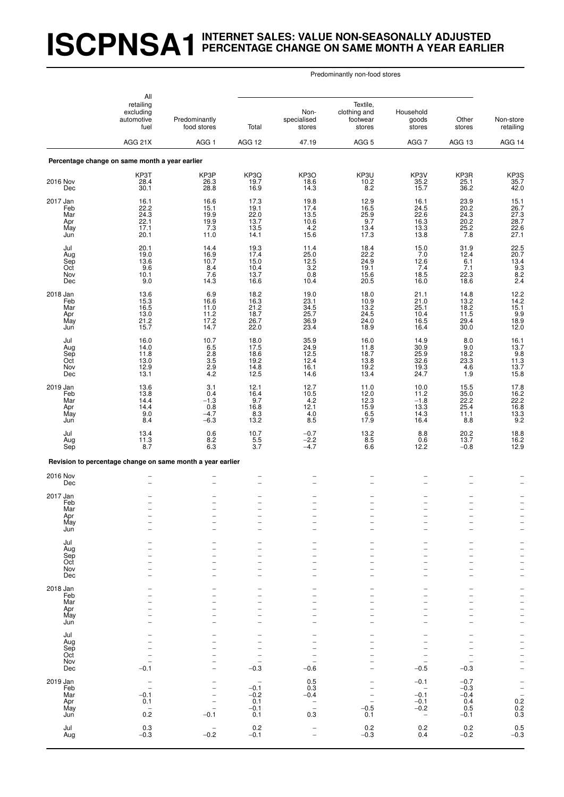# **ISCPNSA1INTERNET SALES: VALUE NON-SEASONALLY ADJUSTED PERCENTAGE CHANGE ON SAME MONTH A YEAR EARLIER**

|                                              | All                                                           |                                                      |                                                               |                                                |                                              |                                                                                              |                                                                             |                                                                              |
|----------------------------------------------|---------------------------------------------------------------|------------------------------------------------------|---------------------------------------------------------------|------------------------------------------------|----------------------------------------------|----------------------------------------------------------------------------------------------|-----------------------------------------------------------------------------|------------------------------------------------------------------------------|
| retailing<br>excluding<br>automotive<br>fuel | Predominantly<br>food stores                                  | Total                                                | Non-<br>specialised<br>stores                                 | Textile,<br>clothing and<br>footwear<br>stores | Household<br>goods<br>stores                 | Other<br>stores                                                                              | Non-store<br>retailing                                                      |                                                                              |
|                                              | AGG 21X                                                       | AGG <sub>1</sub>                                     | <b>AGG 12</b>                                                 | 47.19                                          | AGG <sub>5</sub>                             | AGG 7                                                                                        | AGG 13                                                                      | AGG 14                                                                       |
|                                              | Percentage change on same month a year earlier                |                                                      |                                                               |                                                |                                              |                                                                                              |                                                                             |                                                                              |
| 2016 Nov<br>Dec                              | KP3T<br>28.4<br>30.1                                          | KP3P<br>26.3<br>28.8                                 | KP3Q<br>19.7<br>16.9                                          | KP3O<br>18.6<br>14.3                           | KP3U<br>10.2<br>8.2                          | KP3V<br>35.2<br>15.7                                                                         | KP3R<br>25.1<br>36.2                                                        | KP3S<br>35.7<br>42.0                                                         |
| 2017 Jan<br>Feb<br>Mar<br>Apr<br>May<br>Jun  | 16.1<br>22.2<br>24.3<br>22.1<br>17.1<br>20.1                  | 16.6<br>15.1<br>19.9<br>19.9<br>7.3<br>11.0          | 17.3<br>19.1<br>22.0<br>13.7<br>13.5<br>14.1                  | 19.8<br>17.4<br>13.5<br>10.6<br>4.2<br>15.6    | 12.9<br>16.5<br>25.9<br>9.7<br>13.4<br>17.3  | 16.1<br>24.5<br>22.6<br>16.3<br>13.3<br>13.8                                                 | 23.9<br>20.2<br>24.3<br>20.2<br>25.2<br>7.8                                 | 15.1<br>26.7<br>27.3<br>28.7<br>22.6<br>27.1                                 |
| Jul<br>Aug<br>Sep<br>Oct<br>Nov<br>Dec       | 20.1<br>19.0<br>13.6<br>9.6<br>10.1<br>9.0                    | 14.4<br>16.9<br>10.7<br>8.4<br>7.6<br>14.3           | 19.3<br>17.4<br>15.0<br>10.4<br>13.7<br>16.6                  | 11.4<br>25.0<br>12.5<br>3.2<br>0.8<br>10.4     | 18.4<br>22.2<br>24.9<br>19.1<br>15.6<br>20.5 | 15.0<br>7.0<br>12.6<br>7.4<br>18.5<br>16.0                                                   | 31.9<br>12.4<br>6.1<br>7.1<br>22.3<br>18.6                                  | $22.5$<br>$20.7$<br>$\begin{array}{c} 13.4 \\ 9.3 \\ 8.2 \end{array}$<br>2.4 |
| 2018 Jan<br>Feb<br>Mar<br>Apr<br>May<br>Jun  | 13.6<br>15.3<br>16.5<br>13.0<br>$21.2$<br>$15.7$              | 6.9<br>16.6<br>11.0<br>11.2<br>17.2<br>14.7          | 18.2<br>16.3<br>21.2<br>18.7<br>26.7<br>22.0                  | 19.0<br>23.1<br>34.5<br>25.7<br>36.9<br>23.4   | 18.0<br>10.9<br>13.2<br>24.5<br>24.0<br>18.9 | 21.1<br>21.0<br>25.1<br>10.4<br>16.5<br>16.4                                                 | 14.8<br>$\begin{array}{c} 13.2 \\ 18.2 \\ 11.5 \end{array}$<br>29.4<br>30.0 | 12.2<br>14.2<br>15.1<br>9.9<br>18.9<br>12.0                                  |
| Jul<br>Aug<br>Sep<br>Oct<br>Nov<br>Dec       | 16.0<br>14.0<br>11.8<br>13.0<br>12.9<br>13.1                  | 10.7<br>$6.5$<br>2.8<br>$\frac{3.5}{2.9}$<br>4.2     | 18.0<br>17.5<br>18.6<br>19.2<br>14.8<br>12.5                  | 35.9<br>24.9<br>12.5<br>12.4<br>16.1<br>14.6   | 16.0<br>11.8<br>18.7<br>13.8<br>19.2<br>13.4 | 14.9<br>30.9<br>25.9<br>32.6<br>19.3<br>24.7                                                 | 8.0<br>9.0<br>18.2<br>23.3<br>4.6<br>1.9                                    | 16.1<br>13.7<br>9.8<br>11.3<br>13.7<br>15.8                                  |
| 2019 Jan<br>Feb<br>Mar<br>Apr<br>May<br>Jun  | 13.6<br>13.8<br>14.4<br>14.4<br>9.0<br>8.4                    | 3.1<br>0.4<br>$-1.3$<br>0.8<br>$-4.7$<br>$-6.3$      | 12.1<br>16.4<br>9.7<br>16.8<br>8.3<br>13.2                    | 12.7<br>10.5<br>4.2<br>12.1<br>$4.0$<br>8.5    | 11.0<br>12.0<br>12.3<br>15.9<br>6.5<br>17.9  | 10.0<br>11.2<br>$-1.8$<br>13.3<br>14.3<br>16.4                                               | $15.5$<br>$35.0$<br>22.2<br>25.4<br>11.1<br>8.8                             | 17.8<br>16.2<br>22.2<br>16.8<br>13.3<br>9.2                                  |
| Jul<br>Aug<br>Sep                            | 13.4<br>11.3<br>8.7                                           | 0.6<br>$8.2$<br>$6.3$                                | 10.7<br>5.5<br>3.7                                            | $-0.7$<br>$-2.2$<br>$-4.7$                     | 13.2<br>8.5<br>6.6                           | 8.8<br>0.6<br>12.2                                                                           | 20.2<br>13.7<br>$-0.8$                                                      | 18.8<br>16.2<br>12.9                                                         |
|                                              | Revision to percentage change on same month a year earlier    |                                                      |                                                               |                                                |                                              |                                                                                              |                                                                             |                                                                              |
| 2016 Nov<br>Dec                              | $\overline{a}$                                                |                                                      | $\overline{\phantom{0}}$                                      |                                                |                                              | $\overline{\phantom{0}}$                                                                     |                                                                             |                                                                              |
| 2017 Jan<br>Feb<br>Mar<br>Apr<br>May<br>Jun  | $\overline{\phantom{a}}$                                      | $\overline{\phantom{0}}$                             | $\overline{\phantom{0}}$<br>$\overline{\phantom{0}}$          | $\overline{\phantom{0}}$                       | ۰                                            | -<br>$\overline{\phantom{0}}$<br>$\overline{\phantom{0}}$<br>$\overline{a}$                  | $\overline{\phantom{0}}$<br>L.                                              | $\overline{a}$<br>$\overline{\phantom{0}}$                                   |
| Jul<br>Aug<br>Sep<br>Oct<br>Nov<br>Dec       |                                                               |                                                      |                                                               |                                                | $\overline{\phantom{0}}$                     | $\overline{a}$<br>$\overline{a}$<br>$\overline{\phantom{0}}$<br>$\overline{a}$               | $\overline{\phantom{0}}$                                                    | -<br>$\frac{-}{-}$                                                           |
| 2018 Jan<br>Feb<br>Mar<br>Apr<br>May<br>Jun  |                                                               |                                                      |                                                               |                                                | $\overline{a}$                               | -<br>$\overline{a}$<br>$\overline{a}$<br>-<br>-<br>$\overline{a}$                            | L                                                                           | 一 一 一 一 一 一                                                                  |
| Jul<br>Aug<br>Sep<br>Oct<br>Nov<br>Dec       | $-0.\overline{1}$                                             |                                                      | $\overline{\phantom{0}}$<br>$\qquad \qquad -$<br>$-0.3$       | $-0.6$                                         |                                              | -<br>$\overline{\phantom{0}}$<br>$\overline{\phantom{0}}$<br>$\overline{a}$<br>$-0.5$        | $-0.\overline{3}$                                                           |                                                                              |
| 2019 Jan<br>Feb<br>Mar<br>Apr<br>May<br>Jun  | $\overline{\phantom{0}}$<br>$-0.1$<br>0.1<br>$0.\overline{2}$ | $\overline{a}$<br>$\overline{\phantom{0}}$<br>$-0.1$ | $\qquad \qquad -$<br>$-0.1$<br>$-0.2$<br>0.1<br>$-0.1$<br>0.1 | 0.5<br>0.3<br>$-0.4$<br>$\bar{a}$<br>0.3       | $-0.5$<br>0.1                                | $-0.1$<br>$\overline{\phantom{a}}$<br>$-0.1$<br>$-0.1$<br>$-0.2$<br>$\overline{\phantom{a}}$ | $-0.7$<br>$-0.3$<br>$-0.4$<br>0.4<br>0.5<br>$-0.1$                          | $-$<br>0.2<br>0.2<br>0.3                                                     |
| Jul<br>Aug                                   | 0.3<br>$-0.3$                                                 | $\qquad \qquad -$<br>$-0.2$                          | 0.2<br>$-0.1$                                                 | $\bar{a}$                                      | 0.2<br>$-0.3$                                | 0.2<br>0.4                                                                                   | $0.2 - 0.2$                                                                 | $0.5 - 0.3$                                                                  |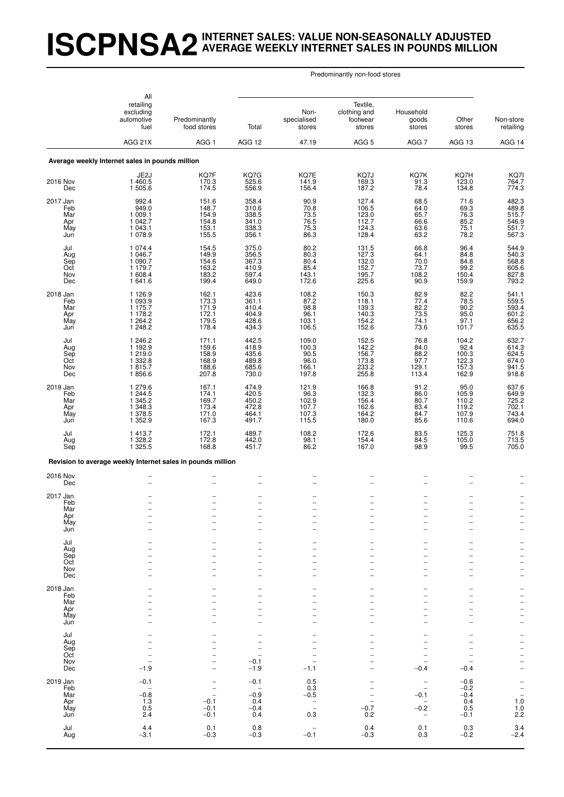# **ISCPNSA2INTERNET SALES: VALUE NON-SEASONALLY ADJUSTED AVERAGE WEEKLY INTERNET SALES IN POUNDS MILLION**

| All                                                |                                                                    |                                                                             |                                                    |                                                                                 |                                                    |                                                                                               |                                                          |                                                                                  |
|----------------------------------------------------|--------------------------------------------------------------------|-----------------------------------------------------------------------------|----------------------------------------------------|---------------------------------------------------------------------------------|----------------------------------------------------|-----------------------------------------------------------------------------------------------|----------------------------------------------------------|----------------------------------------------------------------------------------|
|                                                    | retailing<br>excluding<br>automotive<br>fuel<br>AGG 21X            | Predominantly<br>food stores                                                | Total                                              | Non-<br>specialised<br>stores                                                   | Textile,<br>clothing and<br>footwear<br>stores     | Household<br>goods<br>stores                                                                  | Other<br>stores                                          | Non-store<br>retailing                                                           |
|                                                    |                                                                    | AGG <sub>1</sub>                                                            | <b>AGG 12</b>                                      | 47.19                                                                           | AGG <sub>5</sub>                                   | AGG 7                                                                                         | AGG 13                                                   | AGG 14                                                                           |
|                                                    | Average weekly Internet sales in pounds million                    |                                                                             |                                                    |                                                                                 |                                                    |                                                                                               |                                                          |                                                                                  |
| 2016 Nov<br>Dec                                    | JE2J<br>1 460.5<br>1 505.6                                         | KQ7F<br>170.3<br>174.5                                                      | KQ7G<br>525.6<br>556.9                             | KQ7E<br>141.9<br>156.4                                                          | KQ7J<br>169.3<br>187.2                             | KQ7K<br>91.3<br>78.4                                                                          | KQ7H<br>123.0<br>134.8                                   | KQ7I<br>764.7<br>774.3                                                           |
| 2017 Jan<br>Feb<br>Mar<br>Apr<br>May<br>Jun        | 992.4<br>949.0<br>1009.1<br>1 042.7<br>1 043.1<br>1 078.9          | 151.6<br>148.7<br>154.9<br>154.8<br>153.1<br>155.5                          | 358.4<br>310.6<br>338.5<br>341.0<br>338.3<br>356.1 | 90.9<br>70.8<br>73.5<br>76.5<br>75.3<br>86.3                                    | 127.4<br>106.5<br>123.0<br>112.7<br>124.3<br>128.4 | 68.5<br>64.0<br>65.7<br>66.6<br>63.6<br>63.2                                                  | 71.6<br>69.3<br>76.3<br>85.2<br>75.1<br>78.2             | 482.3<br>489.8<br>515.7<br>546.9<br>551.7<br>567.3                               |
| Jul<br>Aug<br>Sep<br>Oct<br>Nov<br>Dec             | 1 0 7 4 .4<br>1 046.7<br>1 090.7<br>1 179.7<br>1 608.4<br>1 641.6  | 154.5<br>149.9<br>154.6<br>163.2<br>183.2<br>199.4                          | 375.0<br>356.5<br>367.3<br>410.9<br>597.4<br>649.0 | $80.2$<br>$80.3$<br>80.4<br>85.4<br>143.1<br>172.6                              | 131.5<br>127.3<br>132.0<br>152.7<br>195.7<br>225.6 | 66.8<br>64.1<br>70.0<br>73.7<br>108.2<br>90.9                                                 | 96.4<br>84.8<br>84.8<br>99.2<br>150.4<br>159.9           | 544.9<br>540.3<br>568.8<br>605.6<br>793.2                                        |
| 2018 Jan<br>Feb<br>Mar<br>Apr<br>May<br>Jun        | 1 1 2 6 .9<br>1 093.9<br>1 175.7<br>1 178.2<br>1 2 64.2<br>1 248.2 | 162.1<br>173.3<br>171.9<br>172.1<br>179.5<br>178.4                          | 423.6<br>361.1<br>410.4<br>404.9<br>428.6<br>434.3 | 108.2<br>87.2<br>98.8<br>96.1<br>103.1<br>106.5                                 | 150.3<br>118.1<br>139.3<br>140.3<br>154.2<br>152.6 | 82.9<br>77.4<br>82.2<br>73.5<br>74.1<br>73.6                                                  | 82.2<br>78.5<br>90.2<br>95.0<br>97.1<br>101.7            | 541.1<br>559.5<br>593.4<br>601.2<br>656.2<br>635.5                               |
| Jul<br>Aug<br>Sep<br>Oct<br>Nov<br>Dec             | 1 246.2<br>1 192.9<br>1 219.0<br>1 3 3 2.8<br>1815.7<br>1856.6     | 171.1<br>159.6<br>158.9<br>168.9<br>188.6<br>207.8                          | 442.5<br>418.9<br>435.6<br>489.8<br>685.6<br>730.0 | 109.0<br>$\begin{array}{c} 100.3 \\ 90.5 \end{array}$<br>96.0<br>166.1<br>197.8 | 152.5<br>142.2<br>156.7<br>173.8<br>233.2<br>255.8 | 76.8<br>84.0<br>88.2<br>97.7<br>129.1<br>113.4                                                | 104.2<br>$\frac{92.4}{100.3}$<br>122.3<br>157.3<br>162.9 | 632.7<br>614.3<br>624.5<br>674.0<br>941.5<br>918.8                               |
| 2019 Jan<br>Feb<br>Mar<br>Apr<br>May<br>Jun        | 1 279.6<br>1 244.5<br>1 345.2<br>1 348.3<br>1 378.5<br>1 352.9     | 167.1<br>174.1<br>169.7<br>173.4<br>171.0<br>167.3                          | 474.9<br>420.5<br>450.2<br>472.8<br>464.1<br>491.7 | 121.9<br>96.3<br>102.9<br>107.7<br>107.3<br>115.5                               | 166.8<br>132.3<br>156.4<br>162.6<br>164.2<br>180.0 | 91.2<br>86.0<br>80.7<br>83.4<br>84.7<br>85.6                                                  | 95.0<br>105.9<br>110.2<br>119.2<br>107.9<br>110.6        | 637.6<br>649.9<br>725.2<br>702.1<br>743.4<br>694.0                               |
| Jul<br>Aug<br>Sep                                  | 1413.7<br>1 328.2<br>1 325.5                                       | 172.1<br>172.8<br>168.8                                                     | 489.7<br>442.0<br>451.7                            | 108.2<br>98.1<br>86.2                                                           | 172.6<br>154.4<br>167.0                            | 83.5<br>84.5<br>98.9                                                                          | 125.3<br>105.0<br>99.5                                   | 751.8<br>713.5<br>705.0                                                          |
|                                                    | Revision to average weekly Internet sales in pounds million        |                                                                             |                                                    |                                                                                 |                                                    |                                                                                               |                                                          |                                                                                  |
| 2016 Nov<br>Dec                                    |                                                                    |                                                                             | $\qquad \qquad -$                                  |                                                                                 |                                                    | $\overline{\phantom{0}}$                                                                      |                                                          |                                                                                  |
| 2017 Jan<br>Feb<br>Mar<br>Apr<br>May<br>Jun        |                                                                    | $\qquad \qquad -$                                                           | -                                                  | $\qquad \qquad -$                                                               | $\overline{\phantom{a}}$                           | -<br>$\overline{\phantom{0}}$<br>$\overline{a}$<br>$\overline{\phantom{0}}$                   | -<br>$\overline{\phantom{a}}$                            | $\qquad \qquad -$<br>$\overline{\phantom{0}}$                                    |
| Jul<br>Aug<br>Sep<br>Oct<br>Nov<br>Dec             |                                                                    |                                                                             |                                                    |                                                                                 |                                                    | -<br>$\overline{\phantom{0}}$<br>-<br>L.                                                      |                                                          | -<br>$\overline{\phantom{0}}$<br>$\overline{\phantom{a}}$<br>-<br>$\overline{a}$ |
| 2018 Jan<br>Feb<br>Mar<br>Apr<br>May<br>Jun        |                                                                    |                                                                             | $\overline{\phantom{0}}$                           |                                                                                 | $\overline{\phantom{0}}$                           | $\overline{\phantom{0}}$<br>$\overline{\phantom{0}}$<br>-<br>$\overline{\phantom{0}}$         | $\overline{\phantom{0}}$                                 | -<br>$\bar{a}$<br>$\overline{a}$<br>$\frac{1}{2}$                                |
| Jul<br>Aug<br>Sep<br>Oct<br>Nov<br>Dec             | $\overline{a}$<br>$\qquad \qquad -$<br>$-1.9$                      |                                                                             | $-0.1$<br>$-1.9$                                   | $-1.1$                                                                          |                                                    | -<br>$\overline{\phantom{0}}$<br>$\overline{\phantom{0}}$<br>$-0.4$                           | $\overline{\phantom{0}}$<br>$\qquad \qquad -$<br>$-0.4$  | $     -$<br>$\overline{a}$                                                       |
| 2019 Jan<br>Feb<br>Mar<br>Apr<br>May<br>Jun<br>Jul | $-0.1$<br>$\qquad \qquad -$<br>$-0.8$<br>1.3<br>0.5<br>2.4<br>4.4  | $\qquad \qquad -$<br>$\overline{\phantom{a}}$<br>$-0.1$<br>$-0.1$<br>$-0.1$ | $-0.1$<br>$-0.9$<br>0.4<br>$-0.4$<br>0.4<br>0.8    | 0.5<br>0.3<br>$-0.5$<br>$\bar{a}$<br>0.3                                        | $-0.7$<br>0.2<br>0.4                               | $\overline{\phantom{0}}$<br>$-0.1$<br>$\qquad \qquad -$<br>$-0.2$<br>$\qquad \qquad -$<br>0.1 | $-0.6$<br>$-0.2$<br>$-0.4$<br>0.4<br>0.5<br>$-0.1$       | $-$<br>$-$<br>$1.0$<br>$1.0$<br>$2.2$                                            |
| Aug                                                | $-3.1$                                                             | $0.1 - 0.3$                                                                 | $-0.3$                                             | $-0.1$                                                                          | $-0.3$                                             | 0.3                                                                                           | $0.3 - 0.2$                                              | $\frac{3.4}{-2.4}$                                                               |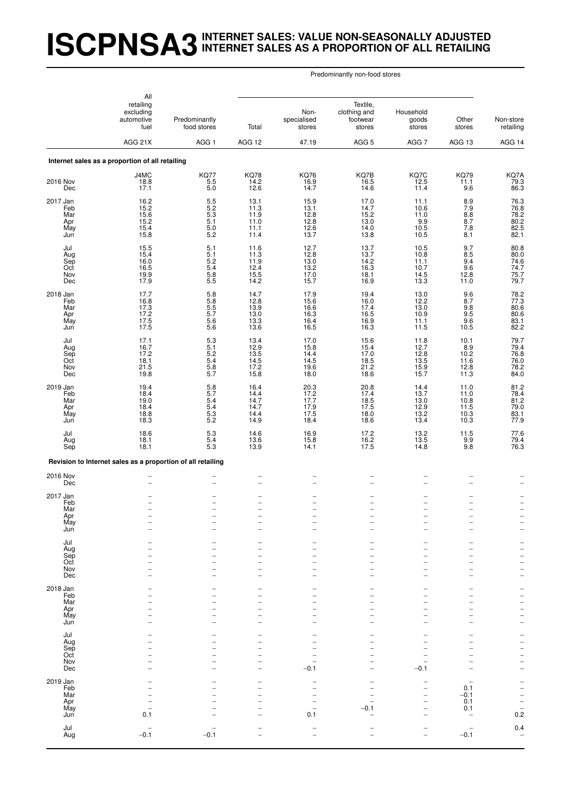# **ISCPNSA3INTERNET SALES: VALUE NON-SEASONALLY ADJUSTED INTERNET SALES AS A PROPORTION OF ALL RETAILING**

|                                             | All                                                                             |                                                          |                                              |                                              |                                                |                                                                                                              |                                                      |                                                                                                           |
|---------------------------------------------|---------------------------------------------------------------------------------|----------------------------------------------------------|----------------------------------------------|----------------------------------------------|------------------------------------------------|--------------------------------------------------------------------------------------------------------------|------------------------------------------------------|-----------------------------------------------------------------------------------------------------------|
|                                             | retailing<br>excluding<br>automotive<br>fuel                                    | Predominantly<br>food stores                             | Total                                        | Non-<br>specialised<br>stores                | Textile,<br>clothing and<br>footwear<br>stores | Household<br>goods<br>stores                                                                                 | Other<br>stores                                      | Non-store<br>retailing                                                                                    |
|                                             | AGG 21X                                                                         | AGG <sub>1</sub>                                         | AGG 12                                       | 47.19                                        | AGG <sub>5</sub>                               | AGG <sub>7</sub>                                                                                             | AGG 13                                               | AGG 14                                                                                                    |
|                                             | Internet sales as a proportion of all retailing                                 |                                                          |                                              |                                              |                                                |                                                                                                              |                                                      |                                                                                                           |
| 2016 Nov<br>Dec                             | J4MC<br>18.8<br>17.1                                                            | <b>KQ77</b><br>$\begin{array}{c} 5.5 \\ 5.0 \end{array}$ | <b>KQ78</b><br>14.2<br>12.6                  | <b>KQ76</b><br>16.9<br>14.7                  | KQ7B<br>16.5<br>14.6                           | KQ7C<br>12.5<br>11.4                                                                                         | <b>KQ79</b><br>11.1<br>9.6                           | KQ7A<br>79.3<br>86.3                                                                                      |
| 2017 Jan<br>Feb<br>Mar<br>Apr<br>May<br>Jun | 16.2<br>15.2<br>15.6<br>15.2<br>15.4<br>15.8                                    | 5.5<br>5.2<br>5.3<br>5.1<br>5.0<br>5.2                   | 13.1<br>11.3<br>11.9<br>11.0<br>11.1<br>11.4 | 15.9<br>13.1<br>12.8<br>12.8<br>12.6<br>13.7 | 17.0<br>14.7<br>15.2<br>13.0<br>14.0<br>13.8   | 11.1<br>10.6<br>11.0<br>$\begin{array}{c} 9.9 \\ 10.5 \end{array}$<br>10.5                                   | $\frac{8.9}{7.9}$<br>$\frac{8.8}{8.7}$<br>7.8<br>8.1 | 76.3<br>76.8<br>78.2<br>80.2<br>82.5<br>82.1                                                              |
| Jul<br>Aug<br>Sep<br>Oct<br>Nov<br>Dec      | 15.5<br>15.4<br>16.0<br>16.5<br>19.9<br>17.9                                    | 5.1<br>5.1<br>$\frac{5.2}{5.4}$<br>5.8<br>5.5            | 11.6<br>11.3<br>11.9<br>12.4<br>15.5<br>14.2 | 12.7<br>12.8<br>13.0<br>13.2<br>17.0<br>15.7 | 13.7<br>13.7<br>14.2<br>16.3<br>18.1<br>16.9   | 10.5<br>10.8<br>11.1<br>10.7<br>14.5<br>13.3                                                                 | 9.7<br>8.5<br>9.4<br>9.6<br>12.8<br>11.0             | $80.8$<br>$80.0$<br>74.6<br>74.7<br>75.7<br>79.7                                                          |
| 2018 Jan<br>Feb<br>Mar<br>Apr<br>May<br>Jun | 17.7<br>$\begin{array}{c} 16.8 \\ 17.3 \\ 17.2 \end{array}$<br>$17.5$<br>$17.5$ | 5.8<br>$\frac{5.8}{5.5}$<br>5.6<br>$5.\overline{6}$      | 14.7<br>12.8<br>13.9<br>13.0<br>13.3<br>13.6 | 17.9<br>15.6<br>16.6<br>16.3<br>16.4<br>16.5 | 19.4<br>16.0<br>17.4<br>16.5<br>16.9<br>16.3   | 13.0<br>12.2<br>13.0<br>10.9<br>11.1<br>11.5                                                                 | 9.6<br>8.7<br>9.8<br>9.5<br>9.6<br>10.5              | 78.2<br>77.3<br>80.6<br>80.6<br>83.1<br>82.2                                                              |
| Jul<br>Aug<br>Sep<br>Oct<br>Nov<br>Dec      | 17.1<br>16.7<br>17.2<br>18.1<br>21.5<br>19.8                                    | $\frac{5.3}{5.1}$<br>5.2<br>5.4<br>$\frac{5.8}{5.7}$     | 13.4<br>12.9<br>13.5<br>14.5<br>17.2<br>15.8 | 17.0<br>15.8<br>14.4<br>14.5<br>19.6<br>18.0 | 15.6<br>15.4<br>17.0<br>18.5<br>21.2<br>18.6   | 11.8<br>12.7<br>12.8<br>13.5<br>15.9<br>15.7                                                                 | 10.1<br>$8.9$<br>10.2<br>11.6<br>12.8<br>11.3        | 79.7<br>79.4<br>79.4<br>76.8<br>76.0<br>78.2<br>84.0                                                      |
| 2019 Jan<br>Feb<br>Mar<br>Apr<br>May<br>Jun | 19.4<br>18.4<br>19.0<br>18.4<br>18.8<br>18.3                                    | $\frac{5.8}{5.7}$<br>5.4<br>5.4<br>$\frac{5.3}{5.2}$     | 16.4<br>14.4<br>14.7<br>14.7<br>14.4<br>14.9 | 20.3<br>17.2<br>17.7<br>17.9<br>17.5<br>18.4 | 20.8<br>17.4<br>18.5<br>17.5<br>18.0<br>18.6   | 14.4<br>13.7<br>13.0<br>12.9<br>13.2<br>13.4                                                                 | 11.0<br>11.0<br>10.8<br>11.5<br>10.3<br>10.3         | 81.2<br>78.4<br>81.2<br>79.0<br>83.1<br>77.9                                                              |
| Jul<br>Aug<br>Sep                           | 18.6<br>18.1<br>18.1                                                            | $5.3\,$<br>5.4<br>5.3                                    | 14.6<br>13.6<br>13.9                         | 16.9<br>15.8<br>14.1                         | 17.2<br>16.2<br>17.5                           | 13.2<br>13.5<br>14.8                                                                                         | 11.5<br>9.9<br>9.8                                   | 77.6<br>79.4<br>76.3                                                                                      |
|                                             | Revision to Internet sales as a proportion of all retailing                     |                                                          |                                              |                                              |                                                |                                                                                                              |                                                      |                                                                                                           |
| 2016 Nov<br>Dec                             | $\overline{\phantom{a}}$                                                        |                                                          | $\overline{\phantom{0}}$                     |                                              |                                                | $\overline{\phantom{0}}$                                                                                     | L.                                                   |                                                                                                           |
| 2017 Jan<br>Feb<br>Mar<br>Apr<br>May<br>Jun | $\overline{\phantom{a}}$                                                        | $\overline{\phantom{a}}$                                 | $\overline{\phantom{0}}$                     | $\overline{\phantom{0}}$                     |                                                | $\qquad \qquad -$<br>$\overline{\phantom{0}}$                                                                | L.                                                   |                                                                                                           |
| Jul<br>Aug<br>Sep<br>Oct<br>Nov<br>Dec      |                                                                                 |                                                          |                                              |                                              |                                                | $\overline{\phantom{0}}$                                                                                     |                                                      | $\overline{\phantom{0}}$                                                                                  |
| 2018 Jan<br>Feb<br>Mar<br>Apr<br>May<br>Jun |                                                                                 |                                                          |                                              |                                              |                                                | $\overline{\phantom{0}}$<br>$\overline{\phantom{0}}$                                                         | L,                                                   | $\overline{a}$<br>$\bar{a}$                                                                               |
| Jul<br>Aug<br>Sep<br>Oct<br>Nov<br>Dec      |                                                                                 |                                                          |                                              | $-0.1$                                       |                                                | $\overline{\phantom{0}}$<br>$\overline{\phantom{0}}$<br>$-0.1$                                               |                                                      | $\overline{a}$<br>$\overline{a}$<br>$\overline{\phantom{0}}$                                              |
| 2019 Jan<br>Feb<br>Mar<br>Apr<br>May<br>Jun | 0.1                                                                             |                                                          |                                              | 0.1                                          | $-0.1$                                         | $\overline{\phantom{0}}$<br>$\overline{\phantom{0}}$<br>$\overline{\phantom{0}}$<br>$\overline{\phantom{0}}$ | 0.1<br>$-0.1$<br>0.1<br>0.1                          | $\overline{\phantom{0}}$<br>$\overline{\phantom{0}}$<br>$\overline{a}$<br>$\overline{\phantom{0}}$<br>0.2 |
| Jul<br>Aug                                  | $-0.1$                                                                          | $-0.1$                                                   |                                              |                                              |                                                |                                                                                                              | $-0.1$                                               | 0.4<br>$\overline{\phantom{0}}$                                                                           |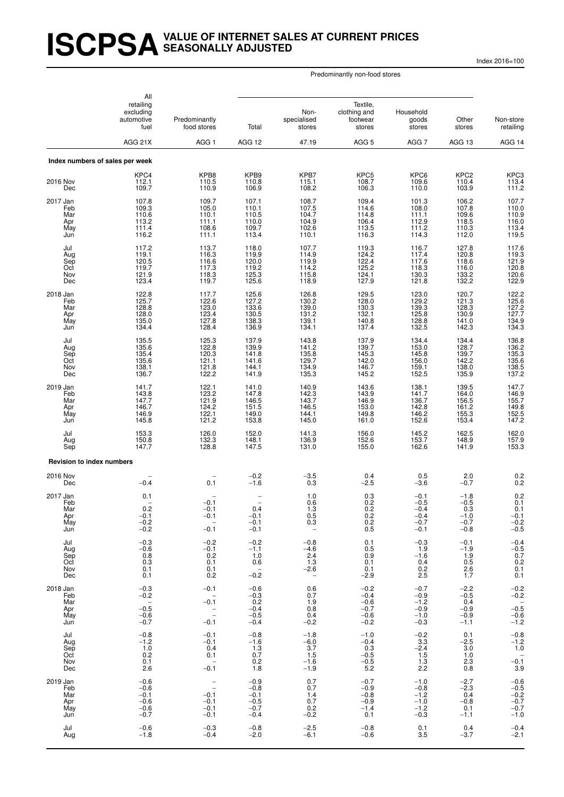# **ISCPSAVALUE OF INTERNET SALES AT CURRENT PRICES SEASONALLY ADJUSTED**

Index 2016=100

|                                             | All<br>retailing<br>excluding<br>automotive<br>fuel       | Predominantly<br>food stores                                         | Total                                                                             | Non-<br>specialised<br>stores                                      | Textile.<br>clothing and<br>footwear<br>stores           | Household<br>goods<br>stores                             | Other<br>stores                                           | Non-store<br>retailing                                    |
|---------------------------------------------|-----------------------------------------------------------|----------------------------------------------------------------------|-----------------------------------------------------------------------------------|--------------------------------------------------------------------|----------------------------------------------------------|----------------------------------------------------------|-----------------------------------------------------------|-----------------------------------------------------------|
|                                             | AGG 21X                                                   | AGG <sub>1</sub>                                                     | AGG 12                                                                            | 47.19                                                              | AGG <sub>5</sub>                                         | AGG 7                                                    | AGG 13                                                    | AGG 14                                                    |
|                                             | Index numbers of sales per week                           |                                                                      |                                                                                   |                                                                    |                                                          |                                                          |                                                           |                                                           |
| 2016 Nov<br>Dec                             | KPC4<br>112.1<br>109.7                                    | KPB8<br>110.5<br>110.9                                               | KPB9<br>110.8<br>106.9                                                            | KPB7<br>115.1<br>108.2                                             | KPC <sub>5</sub><br>108.7<br>106.3                       | KPC6<br>109.6<br>110.0                                   | KPC <sub>2</sub><br>110.4<br>103.9                        | KPC3<br>113.4<br>111.2                                    |
| 2017 Jan<br>Feb<br>Mar<br>Apr<br>May<br>Jun | 107.8<br>109.3<br>110.6<br>113.2<br>111.4<br>116.2        | 109.7<br>105.0<br>110.1<br>111.1<br>108.6<br>111.1                   | 107.1<br>110.1<br>110.5<br>110.0<br>109.7<br>113.4                                | 108.7<br>107.5<br>104.7<br>104.9<br>102.6<br>110.1                 | 109.4<br>114.6<br>114.8<br>106.4<br>113.5<br>116.3       | 101.3<br>108.0<br>111.1<br>112.9<br>111.2<br>114.3       | 106.2<br>$107.8$<br>109.6<br>118.5<br>110.3<br>112.0      | 107.7<br>$\frac{110.0}{110.9}$<br>110.9<br>113.4<br>119.5 |
| Jul<br>Aug<br>Sep<br>Oct<br>Nov<br>Dec      | 117.2<br>119.1<br>120.5<br>119.7<br>121.9<br>123.4        | 113.7<br>116.3<br>116.6<br>117.3<br>118.3<br>119.7                   | 118.0<br>119.9<br>120.0<br>$\begin{array}{c} 119.2 \\ 125.3 \\ 125.6 \end{array}$ | 107.7<br>114.9<br>119.9<br>114.2<br>115.8<br>118.9                 | 119.3<br>124.2<br>122.4<br>125.2<br>124.1<br>127.9       | 116.7<br>117.4<br>117.6<br>118.3<br>130.3<br>121.8       | 127.8<br>120.8<br>118.6<br>116.0<br>133.2<br>132.2        | 117.6<br>119.3<br>121.9<br>120.8<br>120.6<br>122.9        |
| 2018 Jan<br>Feb<br>Mar<br>Apr<br>May<br>Jun | 122.8<br>125.7<br>128.8<br>128.0<br>135.0<br>134.4        | 117.7<br>122.6<br>123.0<br>123.4<br>127.8<br>128.4                   | 125.6<br>127.2<br>$\begin{array}{c} 133.6 \\ 130.5 \\ 138.3 \end{array}$<br>136.9 | 126.8<br>130.2<br>139.0<br>131.2<br>139.1<br>134.1                 | 129.5<br>128.0<br>130.3<br>132.1<br>140.8<br>137.4       | 123.0<br>129.2<br>$\frac{120}{139.3}$<br>128.8<br>132.5  | 120.7<br>121.3<br>128.3<br>130.9<br>141.0<br>142.3        | 122.2<br>125.6<br>127.2<br>127.7<br>134.9<br>134.3        |
| Jul<br>Aug<br>Sep<br>Oct<br>Nov<br>Dec      | 135.5<br>$135.6$<br>$135.4$<br>135.6<br>138.1<br>136.7    | 125.3<br>122.8<br>120.3<br>121.1<br>121.8<br>122.2                   | 137.9<br>139.9<br>141.8<br>141.6<br>144.1<br>141.9                                | 143.8<br>141.2<br>135.8<br>129.7<br>134.9<br>135.3                 | 137.9<br>139.7<br>145.3<br>142.0<br>146.7<br>145.2       | 134.4<br>$153.0$<br>$145.8$<br>156.0<br>159.1<br>152.5   | 134.4<br>$\frac{128.7}{139.7}$<br>142.2<br>138.0<br>135.9 | 136.8<br>136.2<br>135.3<br>135.6<br>138.5<br>137.2        |
| 2019 Jan<br>Feb<br>Mar<br>Apr<br>May<br>Jun | 141.7<br>143.8<br>147.7<br>146.7<br>146.9<br>145.8        | 122.1<br>123.2<br>121.9<br>124.2<br>122.1<br>121.2                   | 141.0<br>147.8<br>146.5<br>151.5<br>149.0<br>153.8                                | 140.9<br>142.3<br>143.7<br>146.5<br>144.1<br>145.0                 | 143.6<br>143.9<br>146.9<br>153.0<br>149.8<br>161.0       | 138.1<br>141.7<br>136.7<br>142.8<br>146.2<br>152.6       | 139.5<br>164.0<br>156.5<br>161.2<br>155.3<br>153.4        | 147.7<br>146.9<br>155.7<br>149.8<br>152.5<br>147.2        |
| Jul<br>Aug<br>Sep                           | 153.3<br>150.8<br>147.7                                   | 126.0<br>132.3<br>128.8                                              | 152.0<br>148.1<br>147.5                                                           | 141.3<br>136.9<br>131.0                                            | 156.0<br>152.6<br>155.0                                  | 145.2<br>153.7<br>162.6                                  | 162.5<br>148.9<br>141.9                                   | 162.0<br>157.9<br>153.3                                   |
| <b>Revision to index numbers</b>            |                                                           |                                                                      |                                                                                   |                                                                    |                                                          |                                                          |                                                           |                                                           |
| 2016 Nov<br>Dec                             | $-0.4$                                                    | 0.1                                                                  | $-0.2$<br>$-1.6$                                                                  | $-3.5$<br>0.3                                                      | 0.4<br>$-2.5$                                            | 0.5<br>$-3.6$                                            | 2.0<br>$-0.7$                                             | $0.2 \\ 0.2$                                              |
| 2017 Jan<br>Feb<br>Mar<br>Apr<br>May<br>Jun | 0.1<br>0.2<br>$-0.1$<br>$-0.2$<br>$-0.2$                  | $-0.1$<br>$-0.1$<br>$-0.1$<br>$\overline{\phantom{a}}$<br>$-0.1$     | 0.4<br>$-0.1$<br>$-0.1$<br>$-0.1$                                                 | 1.0<br>0.6<br>1.3<br>0.5<br>0.3<br>$\overline{\phantom{a}}$        | 0.3<br>0.2<br>0.2<br>0.2<br>0.2<br>0.5                   | $-0.1$<br>$-0.5$<br>$-0.4$<br>$-0.4$<br>$-0.7$<br>$-0.1$ | $-1.8$<br>$-0.5$<br>0.3<br>$-1.0$<br>$-0.7$<br>$-0.8$     | 0.2<br>0.1<br>0.1<br>$-0.1$<br>$-0.2$<br>$-0.5$           |
| Jul<br>Aug<br>Sep<br>Oct<br>Nov<br>Dec      | $-0.3$<br>$-0.6$<br>0.8<br>0.3<br>0.1<br>0.1              | $-0.2$<br>$-0.1$<br>0.2<br>0.1<br>0.1<br>0.2                         | $-0.2$<br>$-1.1$<br>1.0<br>0.6<br>$\sim$<br>$-0.2$                                | $-0.8$<br>$-4.6$<br>2.4<br>1.3<br>-2.6<br>$\overline{\phantom{m}}$ | 0.1<br>0.5<br>0.9<br>0.1<br>0.1<br>$-2.9$                | $-0.3$<br>1.9<br>$-1.6$<br>0.4<br>0.2<br>2.5             | $-0.1$<br>$-1.9$<br>1.9<br>0.5<br>2.6<br>1.7              | $-0.4$<br>$-0.5$<br>$0.7$<br>$0.2$<br>0.1<br>0.1          |
| 2018 Jan<br>Feb<br>Mar<br>Apr<br>May<br>Jun | $-0.3$<br>$-0.2$<br>$-0.\overline{5}$<br>$-0.6$<br>$-0.7$ | $-0.1$<br>$-0.1$<br>$\bar{a}$<br>$-0.1$                              | $-0.6$<br>$-0.3$<br>0.2<br>$-0.4$<br>$-0.5$<br>$-0.4$                             | 0.6<br>0.7<br>1.9<br>0.8<br>0.4<br>$-0.2$                          | $-0.2$<br>$-0.4$<br>$-0.6$<br>$-0.7$<br>$-0.6$<br>$-0.2$ | $-0.7$<br>$-0.9$<br>$-1.2$<br>$-0.9$<br>$-1.0$<br>$-0.3$ | $-2.2$<br>$-0.5$<br>0.4<br>$-0.9$<br>$-0.9$<br>$-1.1$     | $-0.2$<br>$-0.2$<br>$-0.\overline{5}$<br>$-0.6$<br>-1.2   |
| Jul<br>Aug<br>Sep<br>Oct<br>Nov<br>Dec      | $-0.8$<br>$-1.2$<br>1.0<br>0.2<br>0.1<br>2.6              | $-0.1$<br>$-0.1$<br>0.4<br>0.1<br>$\overline{\phantom{a}}$<br>$-0.1$ | $-0.8$<br>$-1.6$<br>1.3<br>0.7<br>0.2<br>1.8                                      | $-1.8$<br>$-6.0$<br>3.7<br>1.5<br>$-1.6$<br>$-1.9$                 | $-1.0$<br>$-0.4$<br>0.3<br>$-0.5$<br>$-0.5$<br>5.2       | $-0.2$<br>3.3<br>$-2.4$<br>1.5<br>1.3<br>2.2             | 0.1<br>$-2.5$<br>3.0<br>1.0<br>2.3<br>0.8                 | $-0.8$<br>$-1.2$<br>1.0<br>$-0.\overline{1}$<br>3.9       |
| 2019 Jan<br>Feb<br>Mar<br>Apr<br>May<br>Jun | $-0.6$<br>$-0.6$<br>$-0.1$<br>$-0.6$<br>$-0.6$<br>$-0.7$  | $\bar{\mathbb{I}}$<br>$-0.1$<br>$-0.1$<br>$-0.1$<br>$-0.1$           | $-0.9$<br>$-0.8$<br>$-0.1$<br>$-0.5$<br>$-0.7$<br>$-0.4$                          | 0.7<br>0.7<br>1.4<br>0.7<br>0.2<br>$-0.2$                          | $-0.7$<br>$-0.9$<br>$-0.8$<br>$-0.9$<br>$-1.4$<br>0.1    | $-1.0$<br>$-0.8$<br>$-1.2$<br>$-1.0$<br>$-1.2$<br>$-0.3$ | $-2.7$<br>$-2.3$<br>0.4<br>$-0.8$<br>0.1<br>$-1.1$        | $-0.6$<br>$-0.5$<br>$-0.2$<br>$-0.7$<br>$-0.7$<br>$-1.0$  |
| Jul<br>Aug                                  | $-0.6$<br>$-1.8$                                          | $-0.3$<br>$-0.4$                                                     | $-0.8$<br>$-2.0$                                                                  | $-2.5$<br>$-6.1$                                                   | $-0.8$<br>$-0.6$                                         | 0.1<br>3.5                                               | 0.4<br>$-3.7$                                             | $-0.4$<br>$-2.1$                                          |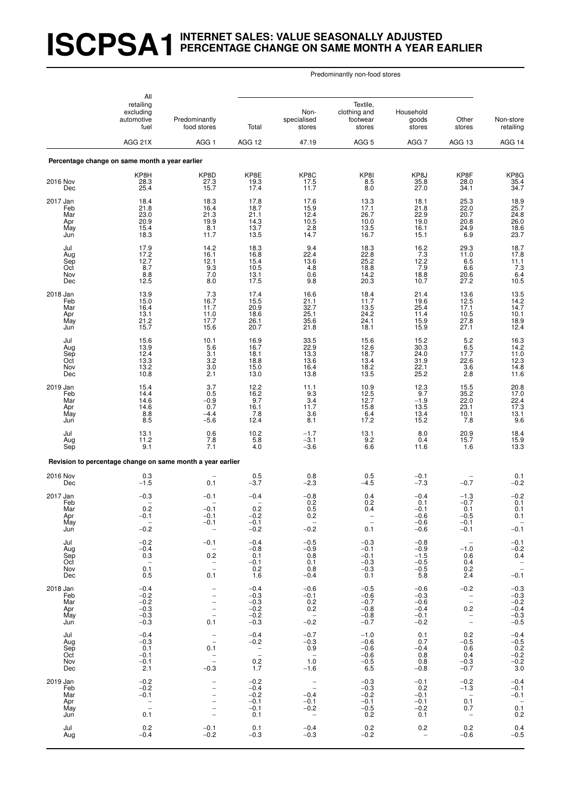# **ISCPSA1INTERNET SALES: VALUE SEASONALLY ADJUSTED PERCENTAGE CHANGE ON SAME MONTH A YEAR EARLIER**

|                                             | All                                                           |                                                                            |                                                          |                                                                      |                                                          |                                                          |                                                                    |                                                           |  |
|---------------------------------------------|---------------------------------------------------------------|----------------------------------------------------------------------------|----------------------------------------------------------|----------------------------------------------------------------------|----------------------------------------------------------|----------------------------------------------------------|--------------------------------------------------------------------|-----------------------------------------------------------|--|
|                                             | retailing<br>excluding<br>automotive<br>fuel                  | Predominantly<br>food stores                                               | Total                                                    | Non-<br>specialised<br>stores                                        | Textile,<br>clothing and<br>footwear<br>stores           | Household<br>goods<br>stores                             | Other<br>stores                                                    | Non-store<br>retailing                                    |  |
|                                             | AGG 21X                                                       | AGG <sub>1</sub>                                                           | AGG 12                                                   | 47.19                                                                | AGG <sub>5</sub>                                         | AGG 7                                                    | AGG 13                                                             | AGG 14                                                    |  |
|                                             | Percentage change on same month a year earlier                |                                                                            |                                                          |                                                                      |                                                          |                                                          |                                                                    |                                                           |  |
| 2016 Nov<br>Dec                             | KP8H<br>28.3<br>25.4                                          | KP8D<br>27.3<br>15.7                                                       | KP8E<br>19.3<br>17.4                                     | KP8C<br>17.5<br>11.7                                                 | KP8I<br>8.5<br>8.0                                       | KP8J<br>35.8<br>27.0                                     | KP8F<br>28.0<br>34.1                                               | KP8G<br>35.4<br>34.7                                      |  |
| 2017 Jan<br>Feb<br>Mar<br>Apr<br>May<br>Jun | 18.4<br>21.8<br>23.0<br>20.9<br>15.4<br>18.3                  | 18.3<br>16.4<br>21.3<br>19.9<br>8.1<br>11.7                                | 17.8<br>18.7<br>21.1<br>14.3<br>13.7<br>13.5             | 17.6<br>15.9<br>12.4<br>10.5<br>2.8<br>14.7                          | 13.3<br>$17.1$<br>26.7<br>10.0<br>13.5<br>16.7           | 18.1<br>21.8<br>22.9<br>19.0<br>16.1<br>15.1             | 25.3<br>22.0<br>20.7<br>20.8<br>24.9<br>6.9                        | 18.9<br>25.7<br>24.8<br>26.0<br>18.6<br>23.7              |  |
| Jul<br>Aug<br>Sep<br>Oct<br>Nov<br>Dec      | 17.9<br>17.2<br>12.7<br>8.7<br>8.8<br>12.5                    | 14.2<br>16.1<br>12.1<br>$\frac{9.3}{7.0}$<br>8.0                           | 18.3<br>16.8<br>15.4<br>10.5<br>13.1<br>17.5             | $\frac{9.4}{22.4}$<br>13.6<br>4.8<br>0.6<br>9.8                      | 18.3<br>22.8<br>25.2<br>18.8<br>14.2<br>20.3             | 16.2<br>7.3<br>12.2<br>7.9<br>18.8<br>10.7               | 29.3<br>11.0<br>6.5<br>6.6<br>20.6<br>27.2                         | 18.7<br>17.8<br>11.1<br>$7.3$<br>$6.4$<br>$10.5$          |  |
| 2018 Jan<br>Feb<br>Mar<br>Apr<br>May<br>Jun | 13.9<br>15.0<br>16.4<br>13.1<br>21.2<br>15.7                  | 7.3<br>16.7<br>11.7<br>11.0<br>17.7<br>15.6                                | 17.4<br>15.5<br>20.9<br>18.6<br>26.1<br>20.7             | 16.6<br>21.1<br>32.7<br>25.1<br>35.6<br>21.8                         | 18.4<br>11.7<br>13.5<br>24.2<br>24.1<br>18.1             | 21.4<br>19.6<br>25.4<br>11.4<br>15.9<br>15.9             | 13.6<br>12.5<br>17.1<br>10.5<br>27.8<br>27.1                       | 13.5<br>14.2<br>14.7<br>10.1<br>18.9<br>12.4              |  |
| Jul<br>Aug<br>Sep<br>Oct<br>Nov<br>Dec      | 15.6<br>13.9<br>12.4<br>13.3<br>13.2<br>10.8                  | 10.1<br>5.6<br>3.1<br>3.2<br>$3.0\,$<br>2.1                                | 16.9<br>16.7<br>18.1<br>18.8<br>15.0<br>13.0             | 33.5<br>22.9<br>13.3<br>13.6<br>16.4<br>13.8                         | 15.6<br>12.6<br>18.7<br>13.4<br>18.2<br>13.5             | 15.2<br>30.3<br>24.0<br>31.9<br>$22.1$<br>$25.2$         | 5.2<br>$6.5$<br>17.7<br>22.6<br>3.6<br>2.8                         | 16.3<br>14.2<br>11.0<br>12.3<br>14.8<br>11.6              |  |
| 2019 Jan<br>Feb<br>Mar<br>Apr<br>May<br>Jun | 15.4<br>14.4<br>14.6<br>14.6<br>8.8<br>8.5                    | 3.7<br>0.5<br>$-0.9$<br>0.7<br>$-4.4$<br>$-5.6$                            | 12.2<br>16.2<br>9.7<br>16.1<br>7.8<br>12.4               | 11.1<br>9.3<br>3.4<br>11.7<br>3.6<br>8.1                             | 10.9<br>12.5<br>12.7<br>15.8<br>$6.4$<br>17.2            | $^{12.3}_{9.7}$<br>$-1.9$<br>13.5<br>13.4<br>15.2        | 15.5<br>35.2<br>22.0<br>23.1<br>10.1<br>7.8                        | 20.8<br>17.0<br>$\frac{22.4}{17.3}$<br>13.1<br>9.6        |  |
| Jul<br>Aug<br>Sep                           | 13.1<br>11.2<br>9.1                                           | 0.6<br>7.8<br>7.1                                                          | 10.2<br>5.8<br>4.0                                       | $-1.7$<br>$-3.1$<br>$-3.6$                                           | 13.1<br>9.2<br>6.6                                       | 8.0<br>0.4<br>11.6                                       | 20.9<br>15.7<br>1.6                                                | 18.4<br>15.9<br>13.3                                      |  |
|                                             | Revision to percentage change on same month a year earlier    |                                                                            |                                                          |                                                                      |                                                          |                                                          |                                                                    |                                                           |  |
| 2016 Nov<br>Dec                             | $0.3 - 1.5$                                                   | 0.1                                                                        | 0.5<br>$-3.7$                                            | 0.8<br>$-2.3$                                                        | 0.5<br>$-4.5$                                            | $-0.1$<br>$-7.3$                                         | $-0.7$                                                             | $0.1 - 0.2$                                               |  |
| 2017 Jan<br>Feb<br>Mar<br>Apr<br>May<br>Jun | $-0.3$<br>0.2<br>$-0.1$<br>$\overline{\phantom{a}}$<br>$-0.2$ | $-0.1$<br>$-0.1$<br>$-0.1$<br>$-0.1$<br>$\hspace{0.1mm}-\hspace{0.1mm}$    | $-0.4$<br>0.2<br>$-0.2$<br>$-0.1$<br>$-0.2$              | $-0.8$<br>0.2<br>0.5<br>0.2<br>$\sim$<br>$-0.2$                      | 0.4<br>0.2<br>0.4<br>$\equiv$<br>0.1                     | $-0.4$<br>0.1<br>$-0.1$<br>$-0.6$<br>$-0.6$<br>$-0.6$    | $-1.3$<br>$-0.7$<br>0.1<br>$-0.5$<br>$-0.1$<br>$-0.1$              | $^{-0.2}_{0.1}$<br>0.1<br>0.1<br>$\overline{a}$<br>$-0.1$ |  |
| Jul<br>Aug<br>Sep<br>Oct<br>Nov<br>Dec      | $-0.2$<br>$-0.4$<br>0.3<br>$0.\overline{1}$<br>0.5            | $-0.1$<br>$\overline{\phantom{0}}$<br>$0.2\,$<br>$\bar{\mathbb{Z}}$<br>0.1 | $-0.4$<br>$-0.8$<br>0.1<br>$-0.1$<br>0.2<br>1.6          | $-0.5$<br>$-0.9$<br>0.8<br>0.1<br>0.8<br>$-0.4$                      | $-0.3$<br>$-0.1$<br>$-0.1$<br>$-0.3$<br>$-0.3$<br>0.1    | $-0.8$<br>$-0.9$<br>$-1.5$<br>$-0.5$<br>$-0.5$<br>5.8    | $\overline{\phantom{0}}$<br>$-1.0$<br>0.6<br>0.4<br>$0.2\,$<br>2.4 | $-0.1$<br>$-0.2$<br>0.4<br>$\mathbb{Z}$<br>$-0.1$         |  |
| 2018 Jan<br>Feb<br>Mar<br>Apr<br>May<br>Jun | $-0.4$<br>$-0.2$<br>$-0.2$<br>$-0.3$<br>$-0.3$<br>$-0.3$      | $\overline{\phantom{a}}$<br>$\equiv$<br>$\frac{1}{10}$<br>0.1              | $-0.4$<br>$-0.3$<br>$-0.3$<br>$-0.2$<br>$-0.2$<br>$-0.3$ | $-0.6$<br>$-0.1$<br>0.2<br>0.2<br>$\overline{\phantom{0}}$<br>$-0.2$ | $-0.5$<br>$-0.6$<br>$-0.7$<br>$-0.8$<br>$-0.8$<br>$-0.7$ | $-0.6$<br>$-0.3$<br>$-0.6$<br>$-0.4$<br>$-0.1$<br>$-0.2$ | $-0.2$<br>$\mathcal{L}^{\pm}$<br>0.2<br>$\overline{\phantom{a}}$   | $-0.3$<br>$-0.3$<br>$-0.2$<br>$-0.4$<br>$-0.3$<br>$-0.5$  |  |
| Jul<br>Aug<br>Sep<br>Oct<br>Nov<br>Dec      | $-0.4$<br>$-0.3$<br>0.1<br>$-0.1$<br>$-0.1$<br>2.1            | $\hspace{0.1mm}$ –<br>$\overline{\phantom{a}}$<br>0.1<br>$-0.\overline{3}$ | $-0.4$<br>$-0.2$<br>$\mathbb{Z}$<br>0.2<br>1.7           | $-0.7$<br>$-0.3$<br>0.9<br>$\sim$<br>1.0<br>$-1.6$                   | $-1.0$<br>$-0.6$<br>$-0.6$<br>$-0.6$<br>$-0.5$<br>6.5    | 0.1<br>0.7<br>$-0.4$<br>0.8<br>0.8<br>$-0.8$             | 0.2<br>$-0.5$<br>0.6<br>0.4<br>$-0.3$<br>$-0.7$                    | $-0.4$<br>$-0.5$<br>0.2<br>$-0.2$<br>$-0.2$<br>3.0        |  |
| 2019 Jan<br>Feb<br>Mar<br>Apr<br>May<br>Jun | $-0.2$<br>$-0.2$<br>$-0.1$<br>$\mathbb{Z}$<br>0.1             | $\overline{\phantom{0}}$<br>$\overline{\phantom{0}}$<br>$\frac{1}{1}$      | $-0.2$<br>$-0.4$<br>$-0.2$<br>$-0.1$<br>$-0.1$<br>0.1    | $\frac{1}{2}$<br>$-0.4$<br>$-0.1$<br>$-0.2$<br>$\sim$ $-$            | $-0.3$<br>$-0.3$<br>$-0.2$<br>$-0.1$<br>$-0.5$<br>0.2    | $-0.1$<br>0.2<br>$-0.1$<br>$-0.1$<br>$-0.2$<br>0.1       | $-0.2$<br>$-1.3$<br>$\sim$ $-$<br>0.1<br>0.7<br>$\sim$             | $-0.4$<br>$-0.1$<br>$-0.1$<br>$0.\overline{1}$<br>0.2     |  |
| Jul<br>Aug                                  | 0.2<br>$-0.4$                                                 | $-0.1$<br>$-0.2$                                                           | 0.1<br>$-0.3$                                            | $-0.4$<br>$-0.3$                                                     | 0.2<br>$-0.2$                                            | 0.2<br>$\hspace{0.1mm}-\hspace{0.1mm}$                   | $0.2\,$<br>$-0.6$                                                  | $0.4 - 0.5$                                               |  |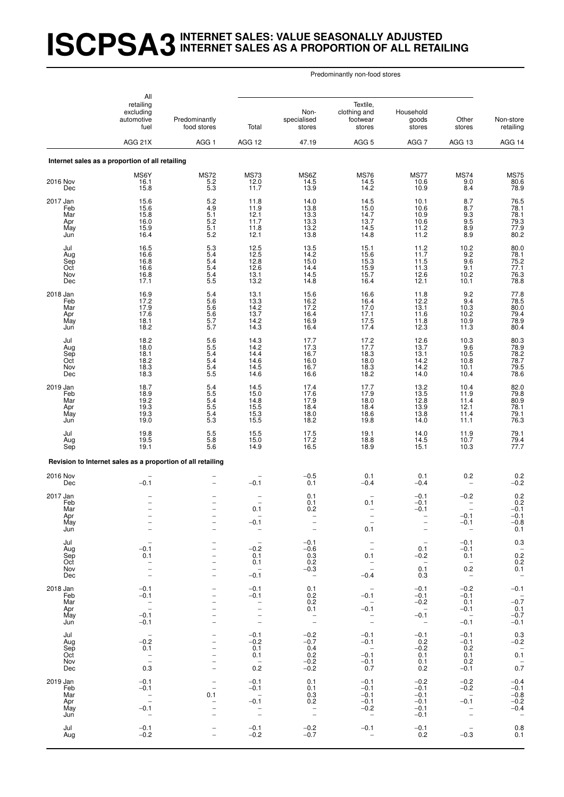# **ISCPSA3INTERNET SALES: VALUE SEASONALLY ADJUSTED INTERNET SALES AS A PROPORTION OF ALL RETAILING**

| All                                         |                                                                          |                                                                |                                                                                                         |                                                                      |                                                                                                                               |                                                          |                                                                      |                                                                                     |
|---------------------------------------------|--------------------------------------------------------------------------|----------------------------------------------------------------|---------------------------------------------------------------------------------------------------------|----------------------------------------------------------------------|-------------------------------------------------------------------------------------------------------------------------------|----------------------------------------------------------|----------------------------------------------------------------------|-------------------------------------------------------------------------------------|
|                                             | retailing<br>excluding<br>automotive<br>fuel                             | Predominantly<br>food stores                                   | Total                                                                                                   | Non-<br>specialised<br>stores                                        | Textile,<br>clothing and<br>footwear<br>stores                                                                                | Household<br>goods<br>stores                             | Other<br>stores                                                      | Non-store<br>retailing                                                              |
|                                             | AGG 21X                                                                  | AGG <sub>1</sub>                                               | AGG 12                                                                                                  | 47.19                                                                | AGG <sub>5</sub>                                                                                                              | AGG 7                                                    | AGG 13                                                               | AGG 14                                                                              |
|                                             | Internet sales as a proportion of all retailing                          |                                                                |                                                                                                         |                                                                      |                                                                                                                               |                                                          |                                                                      |                                                                                     |
| 2016 Nov<br>Dec                             | MS6Y<br>16.1<br>15.8                                                     | <b>MS72</b><br>$\frac{5.2}{5.3}$                               | <b>MS73</b><br>12.0<br>11.7                                                                             | MS6Z<br>14.5<br>13.9                                                 | <b>MS76</b><br>14.5<br>14.2                                                                                                   | <b>MS77</b><br>10.6<br>10.9                              | <b>MS74</b><br>9.0<br>8.4                                            | <b>MS75</b><br>80.6<br>78.9                                                         |
| 2017 Jan<br>Feb<br>Mar<br>Apr<br>May<br>Jun | 15.6<br>15.6<br>15.8<br>16.0<br>15.9<br>16.4                             | $\frac{5.2}{4.9}$<br>5.1<br>$5.2\,$<br>5.1<br>5.2              | 11.8<br>11.9<br>12.1<br>11.7<br>11.8<br>12.1                                                            | 14.0<br>13.8<br>13.3<br>13.3<br>13.2<br>13.8                         | 14.5<br>15.0<br>14.7<br>13.7<br>14.5<br>14.8                                                                                  | 10.1<br>10.6<br>10.9<br>10.6<br>11.2<br>11.2             | 8.7<br>8.7<br>9.3<br>9.5<br>8.9<br>8.9                               | 76.5<br>78.1<br>78.1<br>79.3<br>77.9<br>80.2                                        |
| Jul<br>Aug<br>Sep<br>Oct<br>Nov<br>Dec      | 16.5<br>16.6<br>16.8<br>16.6<br>16.8<br>17.1                             | $\frac{5.3}{5.4}$<br>5.4<br>$\frac{5.4}{5.4}$<br>5.5           | 12.5<br>12.5<br>12.8<br>12.6<br>13.1<br>13.2                                                            | 13.5<br>14.2<br>15.0<br>14.4<br>14.5<br>14.8                         | 15.1<br>15.6<br>15.3<br>15.9<br>15.7<br>16.4                                                                                  | 11.2<br>11.7<br>11.5<br>11.3<br>12.6<br>12.1             | $^{10.2}_{9.2}$<br>9.6<br>9.1<br>10.2<br>10.1                        | 80.0<br>78.1<br>$75.2$<br>$77.1$<br>76.3<br>78.8                                    |
| 2018 Jan<br>Feb<br>Mar<br>Apr<br>May<br>Jun | 16.9<br>17.2<br>17.9<br>17.6<br>18.1<br>18.2                             | 5.4<br>5.6<br>$\frac{5.6}{5.6}$<br>5.7<br>5.7                  | 13.1<br>13.3<br>14.2<br>13.7<br>14.2<br>14.3                                                            | 15.6<br>16.2<br>17.2<br>16.4<br>16.9<br>16.4                         | 16.6<br>16.4<br>17.0<br>17.1<br>17.5<br>17.4                                                                                  | 11.8<br>$12.2$<br>$13.1$<br>11.6<br>11.8<br>12.3         | 9.2<br>9.4<br>10.3<br>10.2<br>10.9<br>11.3                           | 77.8<br>78.5<br>80.0<br>79.4<br>78.9<br>80.4                                        |
| Jul<br>Aug<br>Sep<br>Oct<br>Nov<br>Dec      | 18.2<br>18.0<br>18.1<br>$\frac{18.2}{18.3}$<br>18.3                      | 5.6<br>5.5<br>5.4<br>5.4<br>$\frac{5.4}{5.5}$                  | 14.3<br>14.2<br>14.4<br>14.6<br>14.5<br>14.6                                                            | 17.7<br>17.3<br>16.7<br>16.0<br>16.7<br>16.6                         | $17.2$<br>$17.7$<br>18.3<br>18.0<br>18.3<br>18.2                                                                              | 12.6<br>13.7<br>13.1<br>14.2<br>14.2<br>14.0             | 10.3<br>9.6<br>10.5<br>10.8<br>10.1<br>10.4                          | 80.3<br>78.9<br>78.2<br>78.7<br>79.5<br>78.6                                        |
| 2019 Jan<br>Feb<br>Mar<br>Apr<br>May<br>Jun | 18.7<br>18.9<br>19.2<br>19.3<br>19.3<br>19.0                             | $\frac{5.4}{5.5}$<br>5.4<br>$\frac{5.5}{5.4}$<br>5.3           | 14.5<br>15.0<br>14.8<br>15.5<br>15.3<br>15.5                                                            | 17.4<br>17.6<br>17.9<br>18.4<br>18.0<br>18.2                         | 17.7<br>17.9<br>18.0<br>18.4<br>18.6<br>19.8                                                                                  | 13.2<br>13.5<br>12.8<br>13.9<br>13.8<br>14.0             | 10.4<br>11.9<br>11.4<br>12.1<br>11.4<br>11.1                         | 82.0<br>79.8<br>80.9<br>78.1<br>79.1<br>76.3                                        |
| Jul<br>Aug<br>Sep                           | 19.8<br>19.5<br>19.1                                                     | $5.5\,$<br>5.8<br>$5.\overline{6}$                             | 15.5<br>15.0<br>14.9                                                                                    | 17.5<br>17.2<br>16.5                                                 | 19.1<br>18.8<br>18.9                                                                                                          | 14.0<br>14.5<br>15.1                                     | 11.9<br>10.7<br>10.3                                                 | 79.1<br>79.4<br>77.7                                                                |
|                                             | Revision to Internet sales as a proportion of all retailing              |                                                                |                                                                                                         |                                                                      |                                                                                                                               |                                                          |                                                                      |                                                                                     |
| 2016 Nov<br>Dec                             | $-0.1$                                                                   |                                                                | $-0.1$                                                                                                  | $-0.5$<br>0.1                                                        | 0.1<br>$-0.4$                                                                                                                 | 0.1<br>$-0.4$                                            | 0.2                                                                  | $_{-0.2}^{0.2}$                                                                     |
| 2017 Jan<br>Feb<br>Mar<br>Apr<br>May<br>Jun | $\overline{\phantom{0}}$                                                 | $\overline{a}$                                                 | 0.1<br>$-0.1$<br>$\qquad \qquad -$                                                                      | 0.1<br>0.1<br>0.2<br>$\qquad \qquad -$                               | 0.1<br>0.1                                                                                                                    | $-0.1$<br>$-0.1$<br>$-0.1$<br>$\qquad \qquad -$          | $-0.2$<br>$-0.1$<br>$-0.1$<br>$\overline{\phantom{m}}$               | ${}^{0.2}_{0.2}$<br>$-0.1$<br>$-0.1$<br>$-0.8$<br>0.1                               |
| Jul<br>Aug<br>Sep<br>Oct<br>Nov<br>Dec      | $-0.1$<br>0.1<br>$\frac{1}{2}$                                           | $\overline{a}$<br>-<br>$\overline{\phantom{0}}$                | $\overline{\phantom{a}}$<br>$-0.2$<br>0.1<br>0.1<br>$\sim$ $-$<br>$-0.1$                                | $-0.1$<br>$-0.6$<br>0.3<br>0.2<br>$-0.3$<br>$\overline{\phantom{a}}$ | $\overline{\phantom{0}}$<br>$\overline{\phantom{a}}$<br>0.1<br>$\overline{\phantom{a}}$<br>$\overline{\phantom{0}}$<br>$-0.4$ | 0.1<br>$-0.2$<br>$\overline{\phantom{a}}$<br>0.1<br>0.3  | $-0.1$<br>$-0.1$<br>0.1<br>$\overline{\phantom{a}}$<br>0.2<br>$\sim$ | $0.3\,$<br>$0.\overline{2}$<br>0.2<br>0.2<br>0.1<br>$\hspace{0.1mm}-\hspace{0.1mm}$ |
| 2018 Jan<br>Feb<br>Mar<br>Apr<br>May<br>Jun | $-0.1$<br>$-0.1$<br>$\overline{\phantom{a}}$<br>$-0.1$<br>$-0.1$         | $\qquad \qquad -$<br>$\overline{\phantom{0}}$<br>$\frac{1}{1}$ | $-0.1$<br>$-0.1$<br>$\qquad \qquad -$<br>$\overline{\phantom{0}}$<br>$\qquad \qquad -$<br>$\frac{1}{2}$ | 0.1<br>0.2<br>0.2<br>0.1<br>$\bar{a}$                                | $\overline{\phantom{a}}$<br>$-0.1$<br>$\hspace{0.1mm}-\hspace{0.1mm}$<br>$-0.1$<br>$\bar{a}$                                  | $-0.1$<br>$-0.1$<br>$-0.2$<br>$\sim$<br>$-0.1$<br>$\sim$ | $-0.2$<br>$-0.1$<br>0.1<br>$-0.1$<br>$\sim$<br>$-0.\bar{1}$          | $-0.1$<br>$-0.\overline{7}$<br>0.1<br>$-0.7$<br>$-0.1$                              |
| Jul<br>Aug<br>Sep<br>Oct<br>Nov<br>Dec      | $-0.2$<br>0.1<br>$\frac{1}{2}$<br>0.3                                    | $\overline{\phantom{a}}$<br>$\overline{a}$                     | $-0.1$<br>$-0.2$<br>0.1<br>0.1<br>$\overline{\phantom{0}}$<br>0.2                                       | $-0.2$<br>$-0.7$<br>0.4<br>0.2<br>$-0.2$<br>$-0.2$                   | $-0.1$<br>$-0.1$<br>$\sim$<br>$-0.1$<br>$-0.1$<br>0.7                                                                         | $-0.1$<br>0.2<br>$-0.2$<br>0.1<br>0.1<br>0.2             | $-0.1$<br>$-0.1$<br>0.2<br>0.1<br>0.2<br>$-0.1$                      | 0.3<br>$-0.2$<br>$0.\overline{1}$<br>$0.\overline{7}$                               |
| 2019 Jan<br>Feb<br>Mar<br>Apr<br>May<br>Jun | $-0.1$<br>$-0.1$<br>$\overline{a}$<br>$-0.1$<br>$\overline{\phantom{0}}$ | $\overline{\phantom{0}}$<br>0.1<br>-                           | $-0.1$<br>$-0.1$<br>$\sim$<br>$-0.1$<br>$\bar{a}$                                                       | 0.1<br>0.1<br>0.3<br>0.2<br>$\frac{1}{2}$                            | $-0.1$<br>$-0.1$<br>$-0.1$<br>$-0.1$<br>$-0.2$                                                                                | $-0.2$<br>$-0.1$<br>$-0.1$<br>$-0.1$<br>$-0.1$<br>$-0.1$ | $-0.2$<br>$-0.2$<br>$\sim$<br>$-0.1$                                 | $-0.4$<br>$-0.1$<br>$-0.8$<br>$-0.2$<br>$-0.4$<br>$\sim$ $-$                        |
| Jul<br>Aug                                  | $-0.1$<br>$-0.2$                                                         | -<br>$\overline{\phantom{0}}$                                  | $-0.1$<br>$-0.2$                                                                                        | $-0.2$<br>$-0.7$                                                     | $-0.1$                                                                                                                        | $-0.1$<br>0.2                                            | $\overline{\phantom{a}}$<br>$-0.3$                                   | 0.8<br>0.1                                                                          |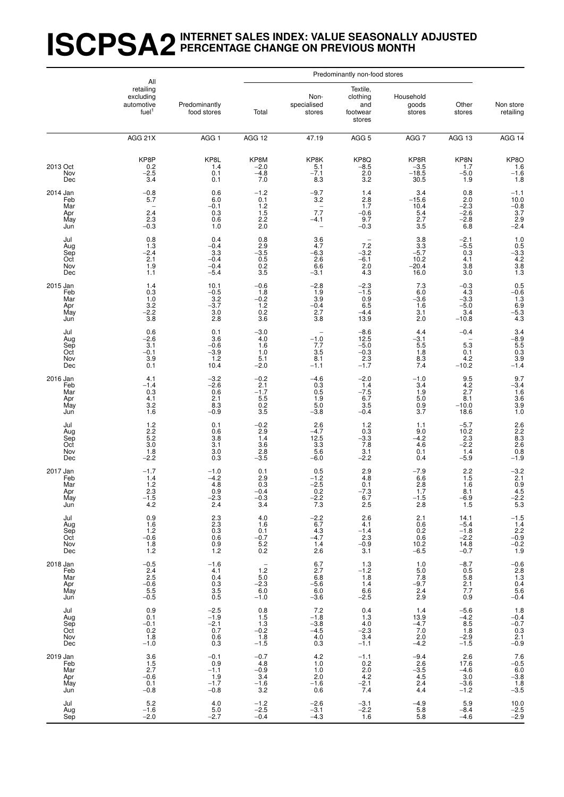# **ISCPSA2INTERNET SALES INDEX: VALUE SEASONALLY ADJUSTED PERCENTAGE CHANGE ON PREVIOUS MONTH**

|                                             | All                                                       |                                                    |                                                                                        |                                                     | Predominantly non-food stores                       |                                                      |                                                                                   |                                                                         |
|---------------------------------------------|-----------------------------------------------------------|----------------------------------------------------|----------------------------------------------------------------------------------------|-----------------------------------------------------|-----------------------------------------------------|------------------------------------------------------|-----------------------------------------------------------------------------------|-------------------------------------------------------------------------|
|                                             | retailing<br>excluding<br>automotive<br>fuel <sup>1</sup> | Predominantly<br>food stores                       | Total                                                                                  | Non-<br>specialised<br>stores                       | Textile,<br>clothing<br>and<br>footwear<br>stores   | Household<br>goods<br>stores                         | Other<br>stores                                                                   | Non store<br>retailing                                                  |
|                                             | AGG 21X                                                   | AGG 1                                              | AGG 12                                                                                 | 47.19                                               | AGG <sub>5</sub>                                    | AGG 7                                                | AGG 13                                                                            | AGG 14                                                                  |
| 2013 Oct<br>Nov<br>Dec                      | KP8P<br>0.2<br>$-2.5$<br>3.4                              | KP <sub>8L</sub><br>1.4<br>0.1<br>0.1              | KP8M<br>-2.0<br>$-4.8$<br>7.0                                                          | KP8K<br>5.1<br>$-7.1$<br>8.3                        | $KP8Q - 8.5$<br>2.0<br>3.2                          | KP8R<br>-3.5<br>$-18.5$<br>30.5                      | KP8N<br>1.7<br>$-5.0$<br>1.9                                                      | $KP8O$<br>1.6<br>-1.6<br>1.8                                            |
| 2014 Jan<br>Feb<br>Mar<br>Apr<br>May<br>Jun | $-0.8$<br>5.7<br>2.4<br>2.3<br>$-0.3$                     | 0.6<br>6.0<br>$-0.1$<br>0.3<br>0.6<br>1.0          | $-1.2$<br>0.1<br>1.2<br>1.5<br>$2.\overline{2}$<br>$2.0$                               | $-9.7$<br>3.2<br>$\qquad \qquad -$<br>7.7<br>$-4.1$ | 1.4<br>$\frac{2.8}{1.7}$<br>$-0.6$<br>9.7<br>$-0.3$ | 3.4<br>$-15.6$<br>10.4<br>5.4<br>2.7<br>3.5          | 0.8<br>$^{2.0}_{-2.3}$<br>$-2.6$<br>$-2.8$<br>6.8                                 | $-1.1$<br>10.0<br>$-0.8$<br>3.7<br>$^{2.9}_{-2.4}$                      |
| Jul<br>Aug<br>Sep<br>Oct<br>Nov<br>Dec      | 0.8<br>1.3<br>$-2.4$<br>2.1<br>1.9<br>1.1                 | 0.4<br>$-0.4$<br>3.3<br>$-0.4$<br>$-0.4$<br>$-5.4$ | $0.8$<br>$2.9$<br>$-3.5$<br>$0.5$<br>$0.2$<br>3.5                                      | 3.6<br>4.7<br>$-6.3$<br>2.6<br>6.6<br>$-3.1$        | 7.2<br>$-3.2$<br>$\frac{-6.1}{2.0}$<br>4.3          | $\frac{3.8}{3.3}$<br>$-5.7$<br>$10.2 - 20.4$<br>16.0 | $-2.1$<br>$-5.5$<br>0.3<br>4.1<br>3.8<br>3.0                                      | $1.0$<br>$0.5$<br>$-3.3$<br>$4.2$<br>$3.8$<br>$1.3$                     |
| 2015 Jan<br>Feb<br>Mar<br>Apr<br>May<br>Jun | 1.4<br>0.3<br>1.0<br>3.2<br>$-2.2$<br>3.8                 | 10.1<br>$-0.5$<br>$\frac{3.2}{-3.7}$<br>3.0<br>2.8 | $-0.6$<br>1.8<br>$-0.2$<br>1.2<br>0.2<br>3.6                                           | $-2.8$<br>1.9<br>3.9<br>$-0.4$<br>2.7<br>3.8        | $-2.3$<br>$-1.5$<br>0.96.5<br>$-4.4$<br>13.9        | 7.3<br>6.0<br>$-3.6$<br>1.6<br>3.1<br>2.0            | $-0.3$<br>4.3<br>$-3.3$<br>$-5.0$<br>3.4<br>$-10.8$                               | $0.5 - 0.6$<br>1.3<br>6.9<br>6.9<br>-5.3<br>4.3                         |
| Jul<br>Aug<br>Sep<br>Oct<br>Nov<br>Dec      | 0.6<br>$-2.6$<br>3.1<br>$-0.1$<br>3.9<br>0.1              | 0.1<br>3.6<br>$-0.6$<br>$-3.9$<br>1.2<br>10.4      | $-3.0$<br>4.0<br>1.6<br>1.0<br>5.1<br>$-2.0$                                           | $-1.0$<br>7.7<br>3.5<br>8.1<br>$-1.1$               | $-8.6$<br>12.5<br>$-5.0$<br>$-0.3$<br>2.3<br>$-1.7$ | 4.4<br>$-3.1$<br>5.5<br>1.8<br>8.3<br>7.4            | $-0.4$<br>5.3<br>0.1<br>4.2<br>$-10.2$                                            | $\begin{array}{r} 3.4 \\ -8.9 \\ 5.5 \\ 0.3 \\ 3.9 \\ -1.4 \end{array}$ |
| 2016 Jan<br>Feb<br>Mar<br>Apr<br>May<br>Jun | 4.1<br>$-1.4$<br>0.3<br>4.1<br>3.2<br>1.6                 | $-3.2$<br>$-2.6$<br>0.6<br>2.1<br>8.3<br>$-0.9$    | $-0.2$<br>2.1<br>$-1.7$<br>5.5<br>0.2<br>3.5                                           | $-4.6$<br>0.3<br>0.5<br>1.9<br>5.0<br>$-3.8$        | $-2.0$<br>1.4<br>$-7.5$<br>6.7<br>3.5<br>$-0.4$     | $-1.0$<br>3.4<br>1.9<br>5.0<br>0.9<br>3.7            | $\begin{array}{c} 9.5 \\ 4.2 \end{array}$<br>2.7<br>8.1<br>$-10.0$<br>18.6        | $9.7 - 3.4$<br>1.6<br>3.6<br>3.9<br>1.0                                 |
| Jul<br>Aug<br>Sep<br>Oct<br>Nov<br>Dec      | 1.2<br>2.2<br>5.2<br>3.0<br>1.8<br>$-2.2$                 | 0.1<br>0.6<br>3.8<br>3.1<br>3.0<br>0.3             | $-0.2$<br>2.9<br>1.4<br>3.6<br>2.8<br>$-3.5$                                           | 2.6<br>$-4.7$<br>12.5<br>3.3<br>5.6<br>$-6.0$       | 1.2<br>0.3<br>$-3.3$<br>7.8<br>3.1<br>$-2.2$        | 1.1<br>9.0<br>$-4.2$<br>4.6<br>0.1<br>0.4            | $-5.7$<br>10.2<br>2.3<br>$-2.2$<br>1.4<br>$-5.9$                                  | 2.6<br>2.2<br>8.3<br>2.6<br>0.8<br>$-1.9$                               |
| 2017 Jan<br>Feb<br>Mar<br>Apr<br>May<br>Jun | $-1.7$<br>1.4<br>$\frac{1.2}{2.3}$<br>$-1.5$<br>4.2       | $-1.0$<br>$-4.2$<br>4.8<br>0.9<br>$-2.3$<br>2.4    | 0.1<br>2.9<br>0.3<br>-0.4<br>$-0.3$<br>3.4                                             | 0.5<br>$-1.2$<br>$-2.5$<br>0.2<br>$-2.2$<br>7.3     | 2.9<br>4.8<br>0.1<br>-7.3<br>6.7<br>2.5             | -7.9<br>6.6<br>$^{2.8}_{1.7}$<br>$-1.5$<br>2.8       | $^{2.2}_{1.5}$<br>1.6<br>8.1<br>$-6.9$<br>1.5                                     | $-3.2$<br>2.1<br>$0.9$<br>4.5<br>$-2.2$<br>5.3                          |
| Jul<br>Aug<br>Sep<br>Oct<br>Nov<br>Dec      | 0.9<br>1.6<br>1.2<br>$-0.6$<br>$\frac{1.8}{1.2}$          | 2.3<br>$^{2.3}_{0.3}$<br>0.6<br>$^{0.9}_{1.2}$     | 4.0<br>1.6<br>0.1<br>$-0.7$<br>$\!\!\!\begin{array}{c} 5.2 \\ 0.2 \end{array}\!\!\!\!$ | $-2.2$<br>6.7<br>4.3<br>$-4.7$<br>1.4<br>2.6        | 2.6<br>4.1<br>$-1.4$<br>$2.3$<br>$-0.9$<br>3.1      | 2.1<br>0.6<br>0.2<br>0.6<br>$10.2 - 6.5$             | 14.1<br>$-5.4$<br>$-1.8$<br>$-2.2$<br>$14.8 - 0.7$                                | $-1.5$<br>$\frac{1.4}{2.2}$<br>$-0.9$<br>$^{-0.2}_{1.9}$                |
| 2018 Jan<br>Feb<br>Mar<br>Apr<br>May<br>Jun | $-0.5$<br>2.4<br>2.5<br>$-0.6$<br>5.5<br>$-0.5$           | $-1.6$<br>4.1<br>0.4<br>0.3<br>3.5<br>0.5          | $\sim$<br>1.2<br>5.0<br>$\substack{-2.3 \\ -6.0}$<br>$-1.0$                            | $6.7$<br>2.7<br>6.8<br>$-5.6$<br>6.0<br>$-3.6$      | 1.3<br>$-1.2$<br>1.8<br>1.4<br>6.6<br>$-2.5$        | 1.0<br>5.0<br>7.8<br>$-9.7$<br>2.4<br>2.9            | $-8.7$<br>0.5<br>5.8<br>$\frac{2.1}{7.7}$<br>0.9                                  | $-0.6$<br>2.8<br>1.3<br>$0.4$<br>5.6<br>$-0.4$                          |
| Jul<br>Aug<br>Sep<br>Oct<br>Nov<br>Dec      | 0.9<br>0.1<br>$-0.1$<br>0.2<br>1.8<br>$-1.0$              | $-2.5$<br>$-1.9$<br>$-2.1$<br>0.7<br>0.6<br>0.3    | 0.8<br>1.5<br>1.3<br>$-0.\overline{2}$<br>1.8<br>$-1.5$                                | 7.2<br>$-1.8$<br>$-3.8$<br>$-4.5$<br>4.0<br>0.3     | 0.4<br>1.3<br>4.0<br>$-2.3$<br>3.4<br>$-1.1$        | 1.4<br>13.9<br>$-4.7$<br>7.0<br>2.0<br>$-4.2$        | $-5.6$<br>$-4.2$<br>$\begin{array}{c} 8.5 \\ 1.8 \end{array}$<br>$-2.9$<br>$-1.5$ | 1.8<br>$-0.4$<br>$^{-0.7}_{0.3}$<br>2.1<br>$-0.9$                       |
| 2019 Jan<br>Feb<br>Mar<br>Apr<br>May<br>Jun | 3.6<br>1.5<br>2.7<br>$-0.6$<br>0.1<br>$-0.8$              | $-0.1$<br>0.9<br>$-1.1$<br>1.9<br>$-1.7$<br>$-0.8$ | $-0.7$<br>4.8<br>$-0.9$<br>3.4<br>$-1.6$<br>3.2                                        | 4.2<br>1.0<br>1.0<br>2.0<br>$-1.6$<br>0.6           | $-1.1$<br>$0.2 \\ 2.0$<br>4.2<br>$\frac{-2.1}{7.4}$ | $-9.4$<br>2.6<br>$-3.5$<br>4.5<br>$^{2.4}_{4.4}$     | $2.6\,$<br>17.6<br>$-4.6$<br>3.0<br>$-3.6$<br>$-1.2$                              | $7.6$<br>$-0.5$<br>$6.0$<br>$-3.8$<br>$\frac{1.8}{-3.5}$                |
| Jul<br>Aug<br>Sep                           | 5.2<br>$-1.6$<br>$-2.0$                                   | 4.0<br>5.0<br>$-2.7$                               | $^{-1.2}_{-2.5}$<br>$-0.4$                                                             | $-2.6$<br>$-3.1$<br>$-4.3$                          | $-3.1$<br>$-2.2$<br>1.6                             | $-4.9$<br>$5.\overline{8}$<br>5.8                    | 5.9<br>$-8.4$<br>$-4.6$                                                           | $10.0 - 2.5$<br>$-2.9$                                                  |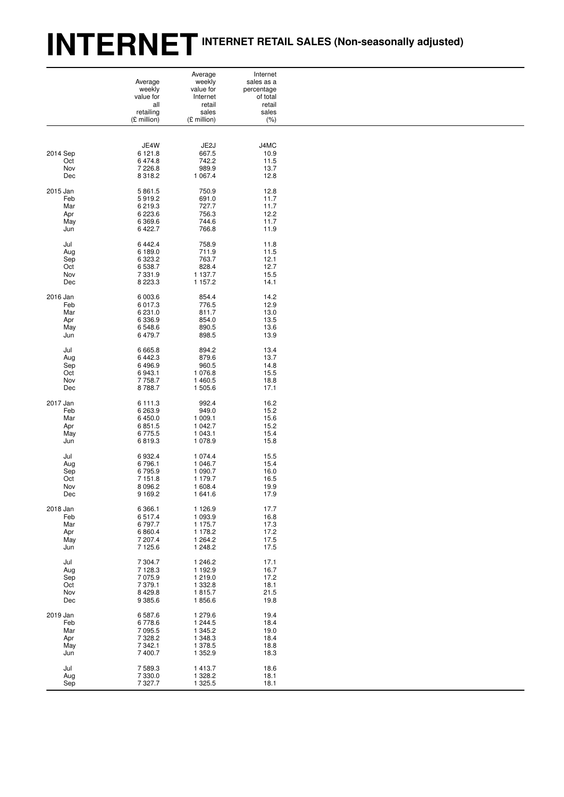# **INTERNETINTERNET RETAIL SALES (Non-seasonally adjusted)**

|          |             | Average     | Internet   |  |
|----------|-------------|-------------|------------|--|
|          | Average     | weekly      | sales as a |  |
|          | weekly      | value for   | percentage |  |
|          | value for   | Internet    | of total   |  |
|          | all         | retail      | retail     |  |
|          | retailing   | sales       | sales      |  |
|          | (£ million) | (£ million) | (% )       |  |
|          |             |             |            |  |
|          |             |             |            |  |
|          | JE4W        | JE2J        | J4MC       |  |
| 2014 Sep | 6 121.8     | 667.5       | 10.9       |  |
| Oct      | 6 474.8     | 742.2       | 11.5       |  |
| Nov      | 7 2 2 6.8   | 989.9       | 13.7       |  |
| Dec      | 8 3 1 8 . 2 | 1 0 6 7.4   | 12.8       |  |
|          |             |             |            |  |
| 2015 Jan | 5 861.5     | 750.9       | 12.8       |  |
| Feb      | 5919.2      | 691.0       | 11.7       |  |
| Mar      | 6 219.3     | 727.7       | 11.7       |  |
| Apr      | 6 2 2 3.6   | 756.3       | 12.2       |  |
| May      | 6 3 6 9.6   | 744.6       | 11.7       |  |
| Jun      | 6 4 22.7    | 766.8       | 11.9       |  |
|          |             |             |            |  |
| Jul      | 6 4 4 2.4   | 758.9       | 11.8       |  |
| Aug      | 6 189.0     | 711.9       | 11.5       |  |
| Sep      | 6 3 2 3.2   | 763.7       | 12.1       |  |
| Oct      | 6 538.7     | 828.4       | 12.7       |  |
| Nov      | 7 3 3 1 . 9 | 1 137.7     | 15.5       |  |
| Dec      | 8 2 2 3 . 3 | 1 157.2     | 14.1       |  |
|          |             |             |            |  |
| 2016 Jan | 6 003.6     | 854.4       | 14.2       |  |
| Feb      | 6 017.3     | 776.5       | 12.9       |  |
| Mar      | 6 231.0     | 811.7       | 13.0       |  |
| Apr      | 6 3 3 6 . 9 | 854.0       | 13.5       |  |
| May      | 6548.6      | 890.5       | 13.6       |  |
| Jun      | 6 479.7     | 898.5       | 13.9       |  |
|          |             |             |            |  |
| Jul      | 6 6 6 5.8   | 894.2       | 13.4       |  |
| Aug      | 6 4 4 2.3   | 879.6       | 13.7       |  |
| Sep      | 6496.9      | 960.5       | 14.8       |  |
| Oct      | 6 943.1     | 1 076.8     | 15.5       |  |
| Nov      | 7 7 58.7    | 1 460.5     | 18.8       |  |
| Dec      | 8788.7      | 1 505.6     | 17.1       |  |
|          |             |             |            |  |
| 2017 Jan | 6 111.3     | 992.4       | 16.2       |  |
| Feb      | 6 263.9     | 949.0       | 15.2       |  |
| Mar      | 6 450.0     | 1 009.1     | 15.6       |  |
| Apr      | 6851.5      | 1 042.7     | 15.2       |  |
| May      | 6775.5      | 1 043.1     | 15.4       |  |
| Jun      | 6819.3      | 1 0 78.9    | 15.8       |  |
|          |             |             |            |  |
| Jul      | 6932.4      | 1 0 7 4 .4  | 15.5       |  |
| Aug      | 6796.1      | 1 046.7     | 15.4       |  |
| Sep      | 6795.9      | 1 090.7     | 16.0       |  |
| Oct      | 7 151.8     | 1 179.7     | 16.5       |  |
| Nov      | 8 0 9 6.2   | 1 608.4     | 19.9       |  |
| Dec      | 9 1 6 9.2   | 1 641.6     | 17.9       |  |
|          |             |             |            |  |
| 2018 Jan | 6 3 6 6.1   | 1 1 2 6 . 9 | 17.7       |  |
| Feb      | 6517.4      | 1 0 9 3.9   | 16.8       |  |
| Mar      | 6797.7      | 1 175.7     | 17.3       |  |
| Apr      | 6 8 6 0.4   | 1 178.2     | 17.2       |  |
| May      | 7 207.4     | 1 2 64.2    | 17.5       |  |
| Jun      | 7 125.6     | 1 248.2     | 17.5       |  |
|          |             |             |            |  |
| Jul      | 7 304.7     | 1 246.2     | 17.1       |  |
| Aug      | 7 1 28.3    | 1 192.9     | 16.7       |  |
| Sep      | 7 0 7 5.9   | 1 219.0     | 17.2       |  |
| Oct      | 7 379.1     | 1 3 3 2.8   | 18.1       |  |
| Nov      | 8 4 29.8    | 1815.7      | 21.5       |  |
| Dec      | 9 3 8 5.6   | 1856.6      | 19.8       |  |
|          |             |             |            |  |
| 2019 Jan | 6587.6      | 1 279.6     | 19.4       |  |
| Feb      | 6778.6      | 1 244.5     | 18.4       |  |
| Mar      | 7 095.5     | 1 345.2     | 19.0       |  |
| Apr      | 7 3 28.2    | 1 348.3     | 18.4       |  |
| May      | 7 342.1     | 1 378.5     | 18.8       |  |
| Jun      | 7 400.7     | 1 3 5 2.9   | 18.3       |  |
|          |             |             |            |  |
| Jul      | 7 589.3     | 1413.7      | 18.6       |  |
| Aug      | 7 330.0     | 1 328.2     | 18.1       |  |
| Sep      | 7 3 2 7.7   | 1 325.5     | 18.1       |  |
|          |             |             |            |  |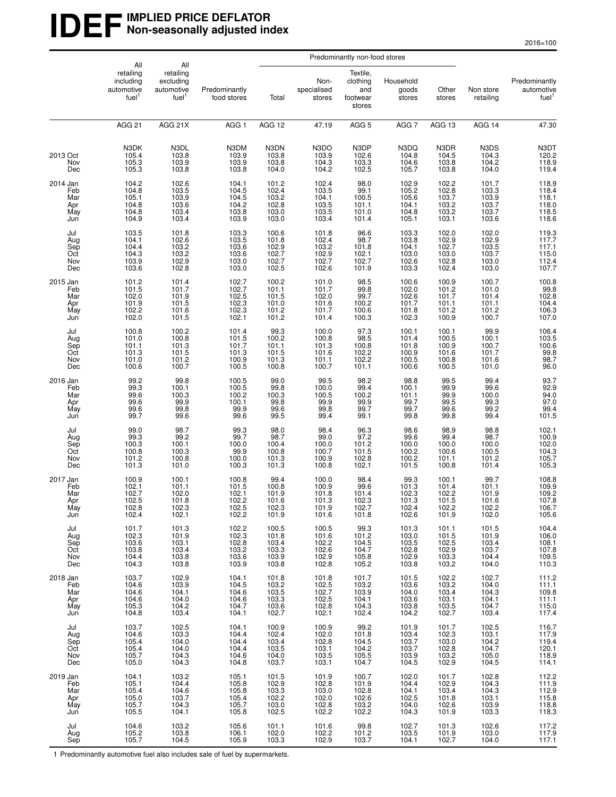### **IDEF** IMPLIED PRICE DEFLATOR **Non-seasonally adjusted index**

|                                             | Predominantly non-food stores                                    |                                                                  |                                                    |                                                         |                                                    |                                                          |                                                    |                                                    |                                                        |                                                        |
|---------------------------------------------|------------------------------------------------------------------|------------------------------------------------------------------|----------------------------------------------------|---------------------------------------------------------|----------------------------------------------------|----------------------------------------------------------|----------------------------------------------------|----------------------------------------------------|--------------------------------------------------------|--------------------------------------------------------|
|                                             | All<br>retailing<br>including<br>automotive<br>fuel <sup>1</sup> | All<br>retailing<br>excluding<br>automotive<br>fuel <sup>1</sup> | Predominantly<br>food stores                       | Total                                                   | Non-<br>specialised<br>stores                      | Textile,<br>clothing<br>and<br>footwear<br>stores        | Household<br>goods<br>stores                       | Other<br>stores                                    | Non store<br>retailing                                 | Predominantly<br>automotive<br>fuel <sup>1</sup>       |
|                                             | <b>AGG 21</b>                                                    | AGG 21X                                                          | AGG <sub>1</sub>                                   | AGG 12                                                  | 47.19                                              | AGG <sub>5</sub>                                         | AGG <sub>7</sub>                                   | AGG 13                                             | AGG 14                                                 | 47.30                                                  |
| 2013 Oct<br>Nov<br>Dec                      | N3DK<br>105.4<br>105.3<br>105.3                                  | N3DL<br>103.8<br>103.9<br>103.8                                  | N3DM<br>103.9<br>103.9<br>103.8                    | N3DN<br>103.8<br>103.8<br>104.0                         | N3DO<br>103.9<br>104.3<br>104.2                    | N3DP<br>102.6<br>103.3<br>102.5                          | N3DQ<br>104.8<br>104.6<br>105.7                    | N3DR<br>104.5<br>103.8<br>103.8                    | N3DS<br>104.3<br>104.2<br>104.0                        | N3DT<br>$120.2$<br>$118.9$<br>$119.4$                  |
| 2014 Jan<br>Feb<br>Mar<br>Apr<br>May<br>Jun | 104.2<br>104.8<br>105.1<br>104.8<br>104.8<br>104.9               | 102.6<br>103.5<br>103.9<br>103.4<br>103.4                        | 104.1<br>104.5<br>104.5<br>104.2<br>103.8<br>103.9 | 101.2<br>102.4<br>103.2<br>102.8<br>103.0<br>103.0      | 102.4<br>103.5<br>104.1<br>103.5<br>103.5<br>103.4 | 98.0<br>99.1<br>100.5<br>101.1<br>101.0<br>101.4         | 102.9<br>105.2<br>105.6<br>104.1<br>104.8<br>105.1 | 102.2<br>102.8<br>103.7<br>103.2<br>103.2<br>103.1 | 101.7<br>103.3<br>103.9<br>103.7<br>103.7<br>103.6     | 118.9<br>118.4<br>118.1<br>118.0<br>118.5<br>118.6     |
| Jul<br>Aug<br>Sep<br>Oct<br>Nov<br>Dec      | 103.5<br>104.1<br>104.4<br>104.3<br>103.9<br>103.6               | 101.8<br>102.6<br>103.2<br>103.2<br>102.9<br>102.8               | 103.3<br>103.5<br>103.6<br>103.6<br>103.0<br>103.0 | 100.6<br>101.8<br>102.9<br>102.7<br>102.7<br>102.5      | 101.8<br>102.4<br>103.2<br>102.9<br>102.7<br>102.6 | 96.6<br>98.7<br>101.8<br>102.1<br>102.7<br>101.9         | 103.3<br>103.8<br>104.1<br>103.0<br>102.6<br>103.3 | 102.0<br>102.9<br>102.7<br>103.0<br>102.8<br>102.4 | 102.0<br>102.9<br>103.5<br>103.7<br>103.0<br>103.0     | 119.3<br>117.7<br>117.1<br>115.0<br>112.4<br>107.7     |
| 2015 Jan<br>Feb<br>Mar<br>Apr<br>May<br>Jun | 101.2<br>101.5<br>102.0<br>101.9<br>102.2<br>102.0               | 101.4<br>101.7<br>101.9<br>$101.5$<br>101.6<br>101.5             | 102.7<br>102.7<br>102.5<br>102.3<br>102.3<br>102.1 | 100.2<br>101.1<br>101.5<br>101.0<br>101.2<br>101.2      | 101.0<br>101.7<br>102.0<br>101.6<br>101.7<br>101.4 | 98.5<br>99.8<br>99.7<br>100.2<br>100.6<br>100.3          | 100.6<br>102.0<br>102.6<br>101.7<br>101.8<br>102.3 | 100.9<br>101.2<br>101.7<br>101.1<br>101.2<br>100.9 | 100.7<br>101.0<br>101.4<br>101.1<br>101.2<br>100.7     | 100.8<br>99.8<br>102.8<br>104.4<br>106.3<br>107.0      |
| Jul<br>Aug<br>Sep<br>Oct<br>Nov<br>Dec      | 100.8<br>101.0<br>101.1<br>101.3<br>101.0<br>100.6               | 100.2<br>100.8<br>$\frac{100.8}{101.3}$<br>101.2<br>100.7        | 101.4<br>101.5<br>101.7<br>101.3<br>100.9<br>100.5 | 99.3<br>100.2<br>$101.1$<br>$101.5$<br>$101.3$<br>100.8 | 100.0<br>100.8<br>101.3<br>101.6<br>101.1<br>100.7 | 97.3<br>98.5<br>100.8<br>102.2<br>102.2<br>101.1         | 100.1<br>101.4<br>101.8<br>100.9<br>100.5<br>100.6 | 100.1<br>100.5<br>100.9<br>101.6<br>100.8<br>100.5 | 99.9<br>100.1<br>100.7<br>101.7<br>101.6<br>101.0      | 106.4<br>103.5<br>100.6<br>99.8<br>98.7<br>96.0        |
| 2016 Jan<br>Feb<br>Mar<br>Apr<br>May<br>Jun | 99.2<br>$\frac{99.3}{99.6}$<br>99.6<br>99.6<br>99.7              | 99.8<br>$100.1$<br>$100.3$<br>99.9<br>99.8<br>99.6               | 100.5<br>100.5<br>100.2<br>100.1<br>99.9<br>99.6   | 99.0<br>$99.8$<br>100.3<br>99.8<br>99.6<br>99.5         | 99.5<br>100.0<br>100.5<br>99.9<br>99.8<br>99.4     | 98.2<br>99.4<br>100.2<br>99.9<br>99.7<br>99.1            | 98.8<br>$100.1$<br>$101.1$<br>99.7<br>99.7<br>99.8 | 99.5<br>99.9<br>99.9<br>99.5<br>99.6<br>99.8       | 99.4<br>$99.6$<br>100.0<br>99.3<br>99.2<br>99.4        | 93.7<br>92.9<br>94.0<br>97.0<br>$\frac{99.4}{101.5}$   |
| Jul<br>Aug<br>Sep<br>Oct<br>Nov<br>Dec      | 99.0<br>99.3<br>100.3<br>100.8<br>101.2<br>101.3                 | 98.7<br>99.2<br>100.1<br>100.3<br>100.8<br>101.0                 | 99.3<br>99.7<br>100.0<br>99.9<br>100.0<br>100.3    | 98.0<br>98.7<br>100.4<br>100.8<br>101.3<br>101.3        | 98.4<br>99.0<br>100.0<br>100.7<br>100.9<br>100.8   | 96.3<br>97.2<br>101.2<br>101.5<br>102.8<br>102.1         | 98.6<br>99.6<br>100.0<br>100.2<br>100.2<br>101.5   | 98.9<br>99.4<br>100.0<br>100.6<br>101.1<br>100.8   | 98.8<br>98.7<br>100.0<br>100.5<br>101.2<br>101.4       | 102.1<br>100.9<br>102.0<br>$104.3$<br>$105.7$<br>105.3 |
| 2017 Jan<br>Feb<br>Mar<br>Apr<br>May<br>Jun | 100.9<br>102.1<br>102.7<br>102.5<br>102.8<br>102.4               | 100.1<br>101.1<br>102.0<br>101.8<br>102.3<br>102.1               | 100.8<br>101.5<br>102.1<br>102.2<br>102.5<br>102.2 | 99.4<br>100.8<br>101.9<br>101.6<br>102.3<br>101.9       | 100.0<br>100.9<br>101.8<br>101.3<br>101.9<br>101.6 | 98.4<br>99.6<br>101.4<br>102.3<br>102.7<br>101.8         | 99.3<br>101.3<br>102.3<br>101.3<br>102.4<br>102.6  | 100.1<br>101.4<br>102.2<br>101.5<br>102.2<br>101.9 | 99.7<br>101.1<br>101.9<br>101.6<br>102.2<br>102.0      | 108.8<br>109.9<br>109.2<br>107.8<br>106.7<br>105.6     |
| Jul<br>Aug<br>Sep<br>Oct<br>Nov<br>Dec      | 101.7<br>102.3<br>103.6<br>103.8<br>104.4<br>104.3               | 101.3<br>$\frac{101.9}{103.1}$<br>103.4<br>103.8<br>103.8        | 102.2<br>102.3<br>102.8<br>103.2<br>103.6<br>103.9 | 100.5<br>101.8<br>103.4<br>103.3<br>103.9<br>103.8      | 100.5<br>101.6<br>102.2<br>102.6<br>102.9<br>102.8 | 99.3<br>101.2<br>104.5<br>104.7<br>105.8<br>105.2        | 101.3<br>103.0<br>103.5<br>102.8<br>102.9<br>103.8 | 101.1<br>101.5<br>102.5<br>102.9<br>103.3<br>103.2 | 101.5<br>$101.9$<br>$103.4$<br>103.7<br>104.4<br>104.0 | 104.4<br>106.0<br>108.1<br>107.8<br>109.5<br>110.3     |
| 2018 Jan<br>Feb<br>Mar<br>Apr<br>May<br>Jun | 103.7<br>104.6<br>104.6<br>104.6<br>105.3<br>104.8               | 102.9<br>103.9<br>104.1<br>104.0<br>104.2<br>103.4               | 104.1<br>104.5<br>104.6<br>104.6<br>104.7<br>104.1 | 101.8<br>103.2<br>103.5<br>103.3<br>103.6<br>102.7      | 101.8<br>102.5<br>102.7<br>102.5<br>102.8<br>102.1 | 101.7<br>103.2<br>103.9<br>$104.1$<br>$104.3$<br>$102.4$ | 101.5<br>103.6<br>104.0<br>103.6<br>103.8<br>104.2 | 102.2<br>103.2<br>103.4<br>103.1<br>103.5<br>102.7 | 102.7<br>104.0<br>104.3<br>104.1<br>104.7<br>103.4     | 111.2<br>111.1<br>109.8<br>111.1<br>115.0<br>117.4     |
| Jul<br>Aug<br>Sep<br>Oct<br>Nov<br>Dec      | 103.7<br>104.6<br>105.4<br>105.4<br>105.7<br>105.0               | 102.5<br>103.3<br>$104.0$<br>$104.0$<br>$104.3$<br>104.3         | 104.1<br>104.4<br>104.4<br>104.4<br>104.6<br>104.8 | 100.9<br>102.4<br>103.4<br>103.5<br>104.0<br>103.7      | 100.9<br>102.0<br>102.8<br>103.1<br>103.5<br>103.1 | 99.2<br>101.8<br>104.5<br>104.2<br>105.5<br>104.7        | 101.9<br>103.4<br>103.7<br>103.7<br>103.9<br>104.5 | 101.7<br>102.3<br>103.0<br>102.8<br>103.2<br>102.9 | 102.5<br>103.1<br>104.2<br>104.7<br>105.0<br>104.5     | 116.7<br>117.9<br>119.4<br>120.1<br>118.9<br>114.1     |
| 2019 Jan<br>Feb<br>Mar<br>Apr<br>May<br>Jun | 104.1<br>105.1<br>105.4<br>105.0<br>105.7<br>105.5               | 103.2<br>104.4<br>104.6<br>103.7<br>104.3<br>104.1               | 105.1<br>105.8<br>105.8<br>105.4<br>105.7<br>105.8 | 101.5<br>102.9<br>103.3<br>102.2<br>103.0<br>102.5      | 101.9<br>102.8<br>103.0<br>102.0<br>102.8<br>102.2 | 100.7<br>101.9<br>102.8<br>102.6<br>103.2<br>102.2       | 102.0<br>104.4<br>104.1<br>102.5<br>104.0<br>104.3 | 101.7<br>102.9<br>103.4<br>101.8<br>102.6<br>101.9 | 102.8<br>104.3<br>104.3<br>103.1<br>103.9<br>103.3     | 112.2<br>111.9<br>112.9<br>115.8<br>118.8<br>118.3     |
| Jul<br>Aug<br>Sep                           | 104.6<br>105.2<br>105.7                                          | 103.2<br>103.8<br>104.5                                          | 105.6<br>106.1<br>105.9                            | 101.1<br>102.0<br>103.3                                 | 101.6<br>102.2<br>102.9                            | 99.8<br>101.2<br>103.7                                   | 102.7<br>103.5<br>104.1                            | 101.3<br>101.9<br>102.7                            | 102.6<br>103.0<br>104.0                                | 117.2<br>117.9<br>117.1                                |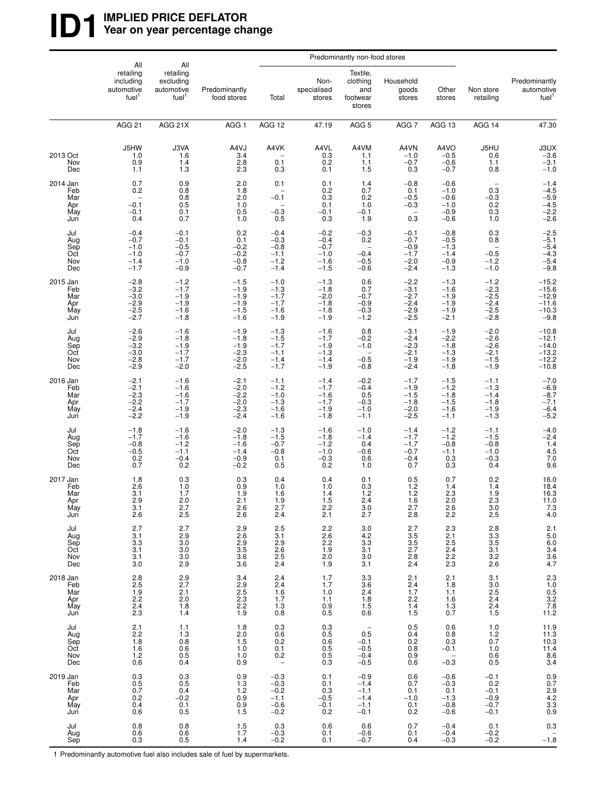# **ID1** WPLIED PRICE DEFLATOR<br>
Year on year percentage ch Year on year percentage change

|                                             | All                                                        | All                                                                      |                                                                     |                                                             |                                                          | Predominantly non-food stores                                           |                                                          |                                                          |                                                                              |                                                                   |
|---------------------------------------------|------------------------------------------------------------|--------------------------------------------------------------------------|---------------------------------------------------------------------|-------------------------------------------------------------|----------------------------------------------------------|-------------------------------------------------------------------------|----------------------------------------------------------|----------------------------------------------------------|------------------------------------------------------------------------------|-------------------------------------------------------------------|
|                                             | retailing<br>including<br>automotive<br>fuel <sup>1</sup>  | retailing<br>excluding<br>automotive<br>fuel <sup>1</sup>                | Predominantly<br>food stores                                        | Total                                                       | Non-<br>specialised<br>stores                            | Textile,<br>clothing<br>and<br>footwear<br>stores                       | Household<br>goods<br>stores                             | Other<br>stores                                          | Non store<br>retailing                                                       | Predominantly<br>automotive<br>fuel <sup>1</sup>                  |
|                                             | <b>AGG 21</b>                                              | AGG 21X                                                                  | AGG <sub>1</sub>                                                    | AGG 12                                                      | 47.19                                                    | AGG <sub>5</sub>                                                        | AGG <sub>7</sub>                                         | AGG 13                                                   | AGG 14                                                                       | 47.30                                                             |
| 2013 Oct<br>Nov<br>Dec                      | J5HW<br>1.0<br>0.9<br>1.1                                  | J3VA<br>1.6<br>1.4<br>1.3                                                | A4VJ<br>3.4<br>2.8<br>2.3                                           | A4VK<br>0.1<br>0.3                                          | A4VL<br>0.3<br>0.2<br>0.1                                | A4VM<br>1.1<br>1.1<br>1.5                                               | A4VN<br>$-1.0$<br>$-0.7$<br>0.3                          | A4VO<br>$-0.5$<br>$-0.6$<br>$-0.7$                       | J5HU<br>0.6<br>1.1<br>0.8                                                    | $30X - 3.6 - 3.1$<br>$-1.0$                                       |
| 2014 Jan<br>Feb<br>Mar<br>Apr<br>May<br>Jun | 0.7<br>0.2<br>$-0.1$<br>$-0.1$<br>0.4                      | 0.9<br>0.8<br>0.8<br>0.5<br>0.1<br>0.7                                   | 2.0<br>1.8<br>2.0<br>1.0<br>0.5<br>1.0                              | 0.1<br>$-0.1$<br>$^{-0.3}_{0.5}$                            | 0.1<br>0.2<br>0.3<br>0.1<br>$-0.1$<br>0.3                | 1.4<br>0.7<br>0.2<br>1.0<br>$-0.1$<br>1.9                               | $-0.8$<br>0.1<br>$-0.5$<br>$-0.3$<br>0.3                 | $-0.6$<br>$-1.0$<br>$-0.6$<br>$-1.0$<br>$-0.9$<br>$-0.6$ | 0.3<br>$-0.3$<br>$0.\overline{2}$<br>0.3<br>1.0                              | $-1.4$<br>$-4.5$<br>$-5.9$<br>$-4.5$<br>$-2.\overline{2}$<br>-2.6 |
| Jul<br>Aug<br>Sep<br>Oct<br>Nov<br>Dec      | $-0.4$<br>$-0.7$<br>$-1.0$<br>$-1.0$<br>$-1.4$<br>$-1.7$   | $-0.1$<br>$-0.1$<br>$-0.5$<br>$-0.7$<br>$-1.0$<br>$-0.9$                 | 0.2<br>0.1<br>$-0.2$<br>$-0.2$<br>$-0.8$<br>$-0.7$                  | $-0.4$<br>$-0.3$<br>$-0.8$<br>$-1.1$<br>$-1.2$<br>$-1.4$    | $-0.2$<br>$-0.4$<br>$-0.7$<br>$-1.0$<br>$-1.6$<br>$-1.5$ | $-0.3$<br>0.2<br>$-0.4$<br>$-0.5$<br>$-0.6$                             | $-0.1$<br>$-0.7$<br>$-0.9$<br>$-1.7$<br>$-2.0$<br>$-2.4$ | $-0.8$<br>$-0.5$<br>$-1.3$<br>$-1.4$<br>$-0.9$<br>$-1.3$ | 0.3<br>0.8<br>$-0.5$<br>$-1.2$<br>$-1.0$                                     | $-2.5$<br>$-5.1$<br>$-5.4$<br>$-4.3$<br>$-5.4$<br>$-9.8$          |
| 2015 Jan<br>Feb<br>Mar<br>Apr<br>May<br>Jun | $-2.8$<br>$-3.2$<br>$-3.0$<br>$-2.9$<br>$-2.5$<br>$-2.7$   | $-1.2$<br>$-1.7$<br>$-1.9$<br>$-1.9$<br>$-1.6$<br>$-1.8$                 | $-1.5$<br>$-1.9$<br>$-1.9$<br>$-1.9$<br>$-1.5$<br>$-1.6$            | $-1.0$<br>$-1.3$<br>$-1.7$<br>$-1.7$<br>$-1.6$<br>$-1.9$    | $-1.3$<br>$-1.8$<br>$-2.0$<br>$-1.8$<br>$-1.8$<br>$-1.9$ | 0.6<br>0.7<br>$-0.7$<br>$-0.9$<br>$-0.3$<br>$-1.2$                      | $-2.2$<br>$-3.1$<br>$-2.7$<br>$-2.4$<br>$-2.9$<br>$-2.5$ | $-1.3$<br>$-1.6$<br>$-1.9$<br>$-1.9$<br>$-1.9$<br>$-2.1$ | $-1.2$<br>$-2.3$<br>$-2.5$<br>$-2.4$<br>$-2.5$<br>$-2.8$                     | $-15.2$<br>$-15.6$<br>$-12.9$<br>$-11.6$<br>$-10.3$<br>$-9.8$     |
| Jul<br>Aug<br>Sep<br>Oct<br>Nov<br>Dec      | $-2.6$<br>$-2.9$<br>$-3.2$<br>$-3.0$<br>$-2.8$<br>$-2.9$   | $-1.6$<br>$-1.8$<br>$-1.9$<br>$-1.7$<br>$-1.7$<br>$-2.0$                 | $-1.9$<br>$-1.8$<br>$-1.9$<br>$-2.\overline{3}$<br>$-2.0$<br>$-2.5$ | $-1.3$<br>$-1.5$<br>$-1.7$<br>$-1.1$<br>$-1.4$<br>$-1.7$    | $-1.6$<br>$-1.7$<br>$-1.9$<br>$-1.3$<br>$-1.4$<br>$-1.9$ | 0.8<br>$-0.2$<br>$-1.0$<br>$-0.5$<br>$-0.8$                             | $-3.1$<br>$-2.4$<br>$-2.3$<br>$-2.1$<br>$-1.9$<br>$-2.4$ | $-1.9$<br>$-2.2$<br>$-1.8$<br>$-1.3$<br>$-1.9$<br>$-1.8$ | $-2.0$<br>$-2.6$<br>$-2.6$<br>$-2.1$<br>$-1.5$<br>$-1.9$                     | $-10.8$<br>$-12.1$<br>$-14.0$<br>$-13.2$<br>$-12.2$<br>$-10.8$    |
| 2016 Jan<br>Feb<br>Mar<br>Apr<br>May<br>Jun | $-2.1$<br>$-2.1$<br>$-2.3$<br>$-2.2$<br>$-2.4$<br>$-2.2$   | $-1.6$<br>$-1.6$<br>$-1.6$<br>$-1.7$<br>$-1.9$<br>$-1.9$                 | $-2.1$<br>$-2.0$<br>$-2.2$<br>$-2.0$<br>$-2.3$<br>$-2.4$            | $-1.1$<br>$-1.2$<br>$-1.0$<br>$-1.3$<br>$-1.6$<br>$-1.6$    | $-1.4$<br>$-1.7$<br>$-1.6$<br>$-1.7$<br>$-1.9$<br>$-1.8$ | $-0.2$<br>$-0.4$<br>0.5<br>$-0.3$<br>$-1.0$<br>$-1.1$                   | $-1.7$<br>$-1.9$<br>$-1.5$<br>$-1.8$<br>$-2.0$<br>$-2.5$ | $-1.5$<br>$-1.2$<br>$-1.8$<br>$-1.5$<br>$-1.6$<br>$-1.1$ | $-1.1$<br>$-1.3$<br>$-1.4$<br>$-1.8$<br>$-1.9 - 1.3$                         | $-7.0$<br>$-6.9$<br>$-8.7$<br>$-7.1$<br>$-6.4$<br>$-5.2$          |
| Jul<br>Aug<br>Sep<br>Oct<br>Nov<br>Dec      | $-1.8$<br>$-1.7$<br>$-0.8$<br>$-0.5$<br>0.2<br>0.7         | $-1.6$<br>$-1.6$<br>$-1.2$<br>$-1.1$<br>$-0.4$<br>0.2                    | $-2.0$<br>$-1.8$<br>$-1.6$<br>$-1.4$<br>$-0.9$<br>$-0.2$            | $-1.3$<br>$-1.5$<br>$-0.7$<br>$-0.8$<br>0.1<br>0.5          | $-1.6$<br>$-1.8$<br>$-1.2$<br>$-1.0$<br>$-0.3$<br>0.2    | $-1.0$<br>$-1.4$<br>0.4<br>$-0.6$<br>0.6<br>1.0                         | $-1.4$<br>$-1.7$<br>$-1.7$<br>$-0.7$<br>$-0.4$<br>0.7    | $-1.2$<br>$-1.2$<br>$-0.8$<br>$-1.1$<br>0.3<br>0.3       | $-1.1$<br>$-1.5$<br>$-0.8$<br>$-1.0$<br>$-0.\overline{3}$<br>0.4             | $-4.0$<br>$-2.4$<br>$1.4$<br>$4.5$<br>$7.0$<br>9.6                |
| 2017 Jan<br>Feb<br>Mar<br>Apr<br>May<br>Jun | 1.8<br>2.6<br>3.1<br>2.9<br>$\frac{3.1}{2.6}$              | 0.3<br>1.0<br>1.7<br>2.0<br>$^{2.7}_{2.5}$                               | 0.3<br>0.9<br>1.9<br>2.1<br>$\frac{2.6}{2.6}$                       | 0.4<br>1.0<br>1.6<br>1.9<br>$^{2.7}_{2.4}$                  | 0.4<br>1.0<br>1.4<br>1.5<br>$^{2.2}_{2.1}$               | 0.1<br>0.3<br>1.2<br>2.4<br>3.0<br>2.7                                  | 0.5<br>$^{1.2}_{1.2}$<br>1.6<br>$\frac{2.7}{2.8}$        | 0.7<br>1.4<br>2.3<br>2.0<br>$^{2.6}_{2.2}$               | 0.2<br>1.4<br>1.9<br>$2.\overline{3}$<br>3.0<br>2.5                          | 16.0<br>18.4<br>16.3<br>11.0<br>7.3<br>4.0                        |
| Jul<br>Aug<br>Sep<br>Oct<br>Nov<br>Dec      | 2.7<br>3.1<br>3.3<br>3.1<br>3.1<br>3.0                     | $2.7$<br>$2.9$<br>$3.0$<br>$\frac{3.0}{3.0}$<br>2.9                      | 2.9<br>2.6<br>2.9<br>3.5<br>3.6<br>3.6                              | $\frac{2.5}{3.1}$<br>2.9<br>$2.6$<br>$2.5$<br>$2.4$         | $2.2$<br>$2.6$<br>$2.2$<br>1.9<br>2.0<br>1.9             | 3.0<br>$4.2\,$<br>$3.3\,$<br>3.1<br>3.0<br>3.1                          | 2.7<br>$\frac{3.5}{3.5}$<br>2.7<br>$^{2.8}_{2.4}$        | $^{2.3}_{2.1}$<br>$2.5\,$<br>$2.4$<br>$2.2$<br>$2.3$     | $\begin{array}{l} 2.8 \\ 3.3 \\ 3.5 \end{array}$<br>3.1<br>$\frac{3.2}{2.6}$ | 2.1<br>5.0<br>6.0<br>3.4<br>3.6<br>4.7                            |
| 2018 Jan<br>Feb<br>Mar<br>Apr<br>May<br>Jun | 2.8<br>$2.\overline{5}$<br>$\frac{1.9}{2.2}$<br>2.4<br>2.3 | $^{2.9}_{2.7}$<br>$^{2.1}_{2.0}$<br>$1.\overline{8}$<br>1.4              | 3.4<br>2.9<br>2.5<br>$2.\overline{3}$<br>2.2<br>1.9                 | $^{2.4}_{2.4}$<br>$1.6$<br>$1.7$<br>1.3<br>0.8              | 1.7<br>1.7<br>1.0<br>1.1<br>0.9<br>0.5                   | 3.3<br>3.6<br>2.4<br>1.8<br>1.5<br>0.6                                  | $^{2.1}_{2.4}$<br>1.7<br>$2.2$<br>1.4<br>1.5             | 2.1<br>1.8<br>1.1<br>1.6<br>$1.\overline{3}$<br>0.7      | 3.1<br>3.0<br>$2.5$<br>$2.4$<br>$2.4$<br>$1.5$                               | 2.3<br>1.0<br>0.5<br>3.2<br>7.8<br>11.2                           |
| Jul<br>Aug<br>Sep<br>Oct<br>Nov<br>Dec      | 2.1<br>$^{2.2}_{1.8}$<br>1.6<br>1.2<br>0.6                 | 1.1<br>$1.3$<br>0.8<br>0.6<br>0.5<br>0.5                                 | 1.8<br>2.0<br>1.5<br>1.0<br>1.0<br>0.9                              | $0.3\,$<br>$0.6$<br>$0.2$<br>$0.1$<br>0.2<br>$\overline{a}$ | 0.3<br>0.5<br>0.6<br>0.5<br>0.5<br>0.3                   | $\overline{\phantom{a}}$<br>0.5<br>$-0.1$<br>$-0.5$<br>$-0.4$<br>$-0.5$ | 0.5<br>$0.4$<br>$0.2$<br>$0.8$<br>0.9<br>0.6             | 0.6<br>0.8<br>0.3<br>$-0.1$<br>$-0.\overline{3}$         | 1.0<br>$1.2$<br>$0.7$<br>1.0<br>0.6<br>0.5                                   | $11.9$<br>$11.3$<br>$10.3$<br>$11.4$<br>$8.6$<br>$3.4$            |
| 2019 Jan<br>Feb<br>Mar<br>Apr<br>May<br>Jun | 0.3<br>0.5<br>0.7<br>0.2<br>0.4<br>0.6                     | $\begin{array}{c} 0.3 \\ 0.5 \end{array}$<br>0.4<br>$-0.2$<br>0.1<br>0.5 | 0.9<br>1.3<br>1.2<br>0.9<br>0.9 1.5                                 | $-0.3$<br>$-0.3$<br>$-0.2$<br>$-1.1$<br>$-0.6$<br>$-0.2$    | 0.1<br>0.1<br>0.3<br>$-0.5$<br>$-0.1$<br>0.2             | $-0.9$<br>$-1.4$<br>$-1.1$<br>$-1.4$<br>$-1.1$<br>$-0.1$                | 0.6<br>0.7<br>0.1<br>$-1.0$<br>$0.1 \\ 0.2$              | $-0.6$<br>$-0.3$<br>0.1<br>$-1.3$<br>$-0.8$<br>$-0.6$    | $-0.1$<br>$0.2 - 0.1$<br>$-0.9$<br>$-0.7$<br>$-0.1$                          | $0.9$<br>$0.7$<br>$2.9$<br>$4.2$<br>$3.3$<br>$0.9$                |
| Jul<br>Aug<br>Sep                           | 0.8<br>0.6<br>0.3                                          | $\begin{array}{c} 0.8 \\ 0.6 \end{array}$<br>0.5                         | $\frac{1.5}{1.7}$<br>1.4                                            | $_{-0.3}^{0.3}$<br>$-0.2$                                   | 0.6<br>0.1<br>0.1                                        | 0.6<br>$-0.6$<br>$-0.7$                                                 | 0.7<br>0.1<br>0.4                                        | $-0.4$<br>$-0.4$<br>$-0.3$                               | 0.1<br>$-0.2$<br>$-0.2$                                                      | 0.3<br>$-1.\overline{8}$                                          |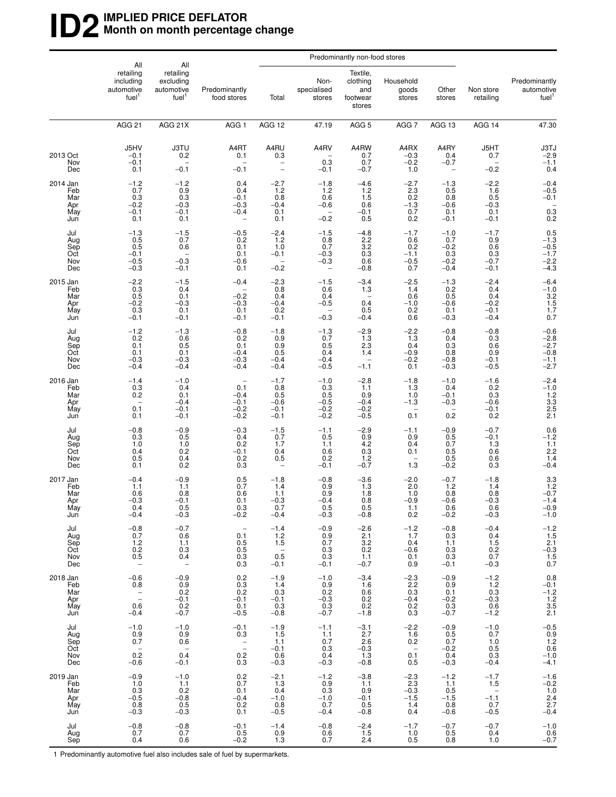# **ID2** IMPLIED PRICE DEFLATOR<br>Month on month percentage **Month on month percentage change**

|                                             |                                                                          | All<br>All                                                     |                                                             |                                                    |                                                                      | Predominantly non-food stores                                            |                                                         |                                                     |                                                                      |                                                                                       |
|---------------------------------------------|--------------------------------------------------------------------------|----------------------------------------------------------------|-------------------------------------------------------------|----------------------------------------------------|----------------------------------------------------------------------|--------------------------------------------------------------------------|---------------------------------------------------------|-----------------------------------------------------|----------------------------------------------------------------------|---------------------------------------------------------------------------------------|
|                                             | retailing<br>including<br>automotive<br>fuel <sup>1</sup>                | retailing<br>excluding<br>automotive<br>fuel <sup>1</sup>      | Predominantly<br>food stores                                | Total                                              | Non-<br>specialised<br>stores                                        | Textile,<br>clothing<br>and<br>footwear<br>stores                        | Household<br>goods<br>stores                            | Other<br>stores                                     | Non store<br>retailing                                               | Predominantly<br>automotive<br>fuel <sup>1</sup>                                      |
|                                             | <b>AGG 21</b>                                                            | AGG 21X                                                        | AGG <sub>1</sub>                                            | AGG 12                                             | 47.19                                                                | AGG <sub>5</sub>                                                         | AGG 7                                                   | AGG 13                                              | AGG 14                                                               | 47.30                                                                                 |
| 2013 Oct<br>Nov<br>Dec                      | J5HV<br>$-0.1$<br>$-0.1$<br>0.1                                          | <b>J3TU</b><br>0.2<br>$-0.1$                                   | A4RT<br>0.1<br>$-0.1$                                       | A4RU<br>0.3<br>$\overline{a}$                      | A4RV<br>0.3<br>$-0.1$                                                | A4RW<br>0.7<br>0.7<br>$-0.7$                                             | A4RX<br>$-0.3$<br>$-0.2$<br>1.0                         | A4RY<br>0.4<br>$-0.7$<br>$\overline{\phantom{0}}$   | J5HT<br>0.7<br>$-0.2$                                                | $J3TJ$<br>$-2.9$<br>$-1.1$<br>0.4                                                     |
| 2014 Jan<br>Feb<br>Mar<br>Apr<br>May<br>Jun | $^{-1.2}_{0.7}$<br>0.3<br>$-0.2$<br>$-0.1$<br>0.1                        | $-1.2$<br>0.9<br>0.3<br>$-0.3$<br>$-0.1$<br>0.1                | 0.4<br>0.4<br>$-0.1$<br>$-0.3$<br>$-0.4$                    | $-2.7$<br>1.2<br>0.8<br>$-0.4$<br>0.1<br>0.1       | $-1.8$<br>1.2<br>0.6<br>$-0.6$<br>$\overline{\phantom{a}}$<br>$-0.2$ | $-4.6$<br>1.2<br>1.5<br>0.6<br>$-0.1$<br>0.5                             | $^{-2.7}_{2.3}$<br>0.2<br>$-1.3$<br>0.7<br>0.2          | $-1.3$<br>0.5<br>0.8<br>$-0.6$<br>0.1<br>$-0.1$     | $-2.2$<br>1.6<br>0.5<br>$-0.3$<br>0.1<br>$-0.1$                      | $-0.4$<br>$-0.5$<br>$-0.1$<br>$\!\!\!\begin{array}{c} 0.3 \\ 0.2 \end{array}\!\!\!\!$ |
| Jul<br>Aug<br>Sep<br>Oct<br>Nov<br>Dec      | $-1.3$<br>0.5<br>0.5<br>$-0.1$<br>$-0.5$<br>$-0.3$                       | $-1.5$<br>0.7<br>0.6<br>$-0.3$<br>$-0.1$                       | $-0.5$<br>0.2<br>0.1<br>0.1<br>$-0.6$<br>0.1                | $-2.4$<br>1.2<br>1.0<br>$-0.1$<br>$-0.2$           | $-1.5$<br>0.8<br>0.7<br>$-0.3$<br>$-0.3$<br>$\qquad \qquad -$        | $-4.8$<br>$2.2\,$<br>$\overline{3}.\overline{2}$<br>0.3<br>0.6<br>$-0.8$ | $-1.7$<br>0.6<br>0.2<br>$-1.1$<br>$-0.5$<br>0.7         | $-1.0$<br>0.7<br>$-0.2$<br>0.3<br>$-0.2$<br>$-0.4$  | $-1.7$<br>0.9<br>0.6<br>0.3<br>$-0.7$<br>$-0.1$                      | $0.5$<br>-1.3<br>-0.5<br>-1.7<br>$-2.2$<br>$-4.3$                                     |
| 2015 Jan<br>Feb<br>Mar<br>Apr<br>May<br>Jun | $-2.2$<br>0.3<br>0.5<br>$-0.2$<br>0.3<br>$-0.1$                          | $-1.5$<br>0.4<br>0.1<br>$-0.3$<br>0.1<br>$-0.1$                | $-0.4$<br>$-0.2$<br>$-0.3$<br>0.1<br>$-0.1$                 | $-2.3$<br>0.8<br>0.4<br>$-0.4$<br>0.2<br>$-0.1$    | $-1.5$<br>0.6<br>0.4<br>$-0.5$<br>$\qquad \qquad -$<br>$-0.3$        | $-3.4$<br>1.3<br>$\overline{\phantom{0}}$<br>0.4<br>0.5<br>$-0.4$        | $-2.5$<br>1.4<br>0.6<br>$-1.0$<br>0.2<br>0.6            | $-1.3$<br>$0.2$<br>$0.5$<br>$-0.6$<br>0.1<br>$-0.3$ | $-2.4$<br>0.4<br>0.4<br>$-0.2$<br>$-0.1$<br>$-0.4$                   | $-6.4$<br>$-1.0$<br>$3.2$<br>$1.5$<br>$1.7$<br>$0.7$                                  |
| Jul<br>Aug<br>Sep<br>Oct<br>Nov<br>Dec      | $-1.2$<br>0.2<br>0.1<br>0.1<br>$-0.3$<br>$-0.4$                          | $-1.3$<br>0.6<br>0.5<br>0.1<br>$-0.3$<br>$-0.4$                | $-0.8$<br>0.2<br>0.1<br>$-0.4$<br>$-0.3$<br>$-0.4$          | $-1.8$<br>0.9<br>0.9<br>0.5<br>$-0.4$<br>$-0.4$    | $-1.3$<br>0.7<br>0.5<br>0.4<br>$-0.4$<br>$-0.5$                      | $-2.9$<br>1.3<br>2.3<br>1.4<br>$\qquad \qquad -$<br>$-1.1$               | $-2.2$<br>1.3<br>0.4<br>$-0.9$<br>$-0.2$<br>0.1         | $-0.8$<br>0.4<br>0.3<br>0.8<br>$-0.8$<br>$-0.3$     | $-0.8$<br>0.3<br>0.6<br>0.9<br>$-0.1$<br>$-0.5$                      | $-0.6$<br>$-2.8$<br>$-2.7$<br>$-0.8$<br>$-1.1$<br>$-2.7$                              |
| 2016 Jan<br>Feb<br>Mar<br>Apr<br>May<br>Jun | $-1.4$<br>0.3<br>0.2<br>$\overline{\phantom{a}}$<br>0.1<br>0.1           | $-1.0$<br>0.4<br>0.1<br>$-0.4$<br>$-0.1$<br>$-0.1$             | 0.1<br>$-0.4$<br>$-0.1$<br>$-0.2$<br>$-0.2$                 | $-1.7$<br>0.8<br>0.5<br>$-0.6$<br>$-0.1$<br>$-0.1$ | $-1.0$<br>0.3<br>0.5<br>$-0.5$<br>$-0.2$<br>$-0.2$                   | $-2.8$<br>1.1<br>0.9<br>$-0.4$<br>$-0.2$<br>$-0.5$                       | $-1.8$<br>1.3<br>1.0<br>$-1.3$<br>0.1                   | $-1.0$<br>0.4<br>$-0.1$<br>$-0.3$<br>0.2            | $-1.6$<br>0.2<br>0.3<br>$-0.6$<br>$-0.1$<br>0.2                      | $-2.4$<br>$-1.0$<br>$1.2$<br>$3.3$<br>$2.5$<br>$2.1$                                  |
| Jul<br>Aug<br>Sep<br>Oct<br>Nov<br>Dec      | $-0.8$<br>0.3<br>1.0<br>0.4<br>0.5<br>0.1                                | $-0.9$<br>0.5<br>1.0<br>0.2<br>0.4<br>0.2                      | $-0.3$<br>0.4<br>0.2<br>$-0.1$<br>0.2<br>0.3                | $-1.5$<br>0.7<br>1.7<br>$0.4 \ 0.5$                | $-1.1$<br>0.5<br>1.1<br>0.6<br>0.2<br>$-0.1$                         | $-2.9$<br>0.9<br>4.2<br>$0.3$<br>$1.2$<br>$-0.7$                         | $-1.1$<br>0.9<br>0.4<br>0.1<br>1.3                      | $-0.9$<br>0.5<br>0.7<br>0.5<br>$0.5 - 0.2$          | $-0.7$<br>$-0.1$<br>1.3<br>0.6<br>0.6<br>0.3                         | $0.6$<br>-1.2<br>1.1<br>2.2<br>1.4<br>1.4<br>$-0.4$                                   |
| 2017 Jan<br>Feb<br>Mar<br>Apr<br>May<br>Jun | $-0.4$<br>1.1<br>0.6<br>$-0.3$<br>0.4<br>$-0.4$                          | $-0.9$<br>1.1<br>0.8<br>$-0.1$<br>0.5<br>$-0.3$                | 0.5<br>0.7<br>0.6<br>0.1<br>0.3<br>$-0.2$                   | $-1.8$<br>1.4<br>1.1<br>$-0.3$<br>0.7<br>$-0.4$    | $-0.8$<br>0.9<br>0.9<br>$-0.4$<br>U.5<br>$-0.3$                      | $-3.6$<br>1.3<br>1.8<br>0.8<br>U.5<br>$-0.8$                             | $^{-2.0}_{2.0}$<br>1.0<br>$-0.9$<br>1.1<br>0.2          | $-0.7$<br>1.2<br>0.8<br>$-0.6$<br>U.G<br>$-0.2$     | $-1.8$<br>1.4<br>0.8<br>$-0.3$<br>U.6<br>$-0.3$                      | $3.3$<br>$1.2$<br>$-0.7$<br>$-1.4$<br>$-0.9$<br>$-1.0$                                |
| Jul<br>Aug<br>Sep<br>Oct<br>Nov<br>Dec      | $-0.8$<br>0.7<br>$1.2$<br>0.2<br>0.5<br>$\overline{\phantom{a}}$         | $-0.7$<br>0.6<br>1.1<br>0.3<br>0.4<br>$\overline{\phantom{0}}$ | $\overline{\phantom{a}}$<br>0.1<br>0.5<br>0.5<br>0.3<br>0.3 | $-1.4$<br>1.2<br>1.5<br>$0.\overline{5}$<br>$-0.1$ | $-0.9$<br>0.9<br>0.7<br>0.3<br>0.3<br>$-0.1$                         | $-2.6$<br>2.1<br>3.2<br>0.2<br>1.1<br>$-0.7$                             | $-1.2$<br>1.7<br>0.4<br>$-0.6$<br>0.1<br>0.9            | $-0.8$<br>0.3<br>1.1<br>0.3<br>0.3<br>$-0.1$        | $-0.4$<br>0.4<br>1.5<br>0.2<br>0.7<br>$-0.3$                         | $-1.2$<br>1.5<br>2.1<br>-0.3<br>1.5<br>1.5<br>0.7                                     |
| 2018 Jan<br>Feb<br>Mar<br>Apr<br>May<br>Jun | $-0.6$<br>0.8<br>$\frac{1}{2}$<br>0.6<br>$-0.4$                          | $-0.9$<br>0.9<br>0.2<br>$-0.1$<br>0.2<br>$-0.7$                | 0.2<br>0.3<br>0.2<br>$-0.1$<br>0.1<br>$-0.5$                | $-1.9$<br>1.4<br>0.3<br>$-0.1$<br>0.3<br>$-0.8$    | $-1.0$<br>0.9<br>0.2<br>$-0.3$<br>0.3<br>$-0.7$                      | $-3.4$<br>1.6<br>0.6<br>0.2<br>0.2<br>$-1.8$                             | $-2.3$<br>2.2<br>0.3<br>$-0.4$<br>0.2<br>0.3            | $-0.9$<br>0.9<br>0.1<br>$-0.2$<br>0.3<br>$-0.7$     | $-1.2$<br>1.2<br>0.3<br>$-0.3$<br>0.6<br>$-1.2$                      | 0.8<br>$-0.1$<br>$-1.2$<br>$1.2$<br>$3.5$<br>2.1                                      |
| Jul<br>Aug<br>Sep<br>Oct<br>Nov<br>Dec      | $-1.0$<br>0.9<br>0.7<br>$\hspace{0.1mm}-\hspace{0.1mm}$<br>0.2<br>$-0.6$ | $-1.0$<br>0.9<br>0.6<br>$\frac{1}{\sqrt{2}}$<br>0.4<br>$-0.1$  | $-0.1$<br>0.3<br>$\bar{\mathbb{I}}$<br>0.2<br>0.3           | $-1.9$<br>1.5<br>1.1<br>$-0.1$<br>0.6<br>$-0.3$    | $-1.1$<br>1.1<br>0.7<br>0.3<br>0.4<br>$-0.3$                         | $-3.1$<br>2.7<br>2.6<br>$-0.3$<br>1.3<br>$-0.8$                          | $-2.2$<br>1.6<br>0.2<br>$\qquad \qquad -$<br>0.1<br>0.5 | $-0.9$<br>0.5<br>0.7<br>$-0.2$<br>0.4<br>$-0.3$     | $-1.0$<br>0.7<br>1.0<br>0.5<br>0.3<br>$-0.4$                         | $-0.5$<br>0.9<br>1.2<br>0.6<br>$-1.0$<br>$-4.1$                                       |
| 2019 Jan<br>Feb<br>Mar<br>Apr<br>May<br>Jun | $-0.9$<br>1.0<br>0.3<br>$-0.5$<br>0.8<br>$-0.3$                          | $-1.0$<br>1.1<br>0.2<br>$-0.8$<br>$\frac{0.5}{-0.3}$           | 0.2<br>0.7<br>0.1<br>$-0.4$<br>0.2<br>0.1                   | $-2.1$<br>1.3<br>0.4<br>$-1.0$<br>$0.8 - 0.5$      | $-1.2$<br>0.9<br>0.3<br>$-1.0$<br>0.7<br>$-0.4$                      | $-3.8$<br>1.1<br>0.9<br>$-0.1$<br>0.5<br>$-0.8$                          | $-2.3$<br>2.3<br>$-0.3$<br>$-1.5$<br>1.4<br>0.4         | $-1.2$<br>1.1<br>0.5<br>$-1.5$<br>0.8<br>$-0.6$     | $-1.7$<br>1.5<br>$\overline{\phantom{a}}$<br>$-1.1$<br>0.7<br>$-0.5$ | $-1.6$<br>$-0.2$<br>$1.0$<br>$2.4$<br>$2.7$<br>$-0.4$                                 |
| Jul<br>Aug<br>Sep                           | $-0.8$<br>0.7<br>0.4                                                     | $-0.8$<br>0.7<br>0.6                                           | $-0.1$<br>0.5<br>$-0.2$                                     | $-1.4$<br>0.9<br>1.3                               | $-0.8$<br>0.6<br>0.7                                                 | $-2.4$<br>1.5<br>2.4                                                     | $-1.7$<br>1.0<br>0.5                                    | $-0.7$<br>0.5<br>0.8                                | $-0.7$<br>0.4<br>1.0                                                 | $-1.0$<br>0.6<br>$-0.7$                                                               |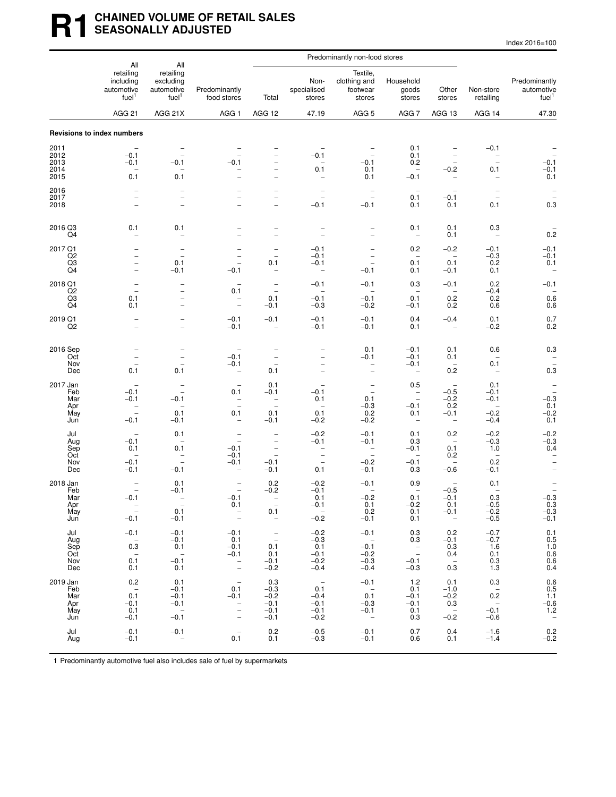# **R1 CHAINED VOLUME OF RETAIL SALES SEASONALLY ADJUSTED**

| Index 2016=100 |
|----------------|
|----------------|

|                                             | All                                                                                               | All                                                                                               |                                                                                                                            |                                                                                                                                  | Predominantly non-food stores                                                   |                                                                                            |                                                                                                   |                                                                                                  |                                                                                      |                                                                          |
|---------------------------------------------|---------------------------------------------------------------------------------------------------|---------------------------------------------------------------------------------------------------|----------------------------------------------------------------------------------------------------------------------------|----------------------------------------------------------------------------------------------------------------------------------|---------------------------------------------------------------------------------|--------------------------------------------------------------------------------------------|---------------------------------------------------------------------------------------------------|--------------------------------------------------------------------------------------------------|--------------------------------------------------------------------------------------|--------------------------------------------------------------------------|
|                                             | retailing<br>including<br>automotive<br>fuel <sup>1</sup>                                         | retailing<br>excluding<br>automotive<br>fuel <sup>1</sup>                                         | Predominantly<br>food stores                                                                                               | Total                                                                                                                            | Non-<br>specialised<br>stores                                                   | Textile,<br>clothing and<br>footwear<br>stores                                             | Household<br>goods<br>stores                                                                      | Other<br>stores                                                                                  | Non-store<br>retailing                                                               | Predominantly<br>automotive<br>fuel <sup>1</sup>                         |
|                                             | <b>AGG 21</b>                                                                                     | AGG 21X                                                                                           | AGG 1                                                                                                                      | AGG 12                                                                                                                           | 47.19                                                                           | AGG <sub>5</sub>                                                                           | AGG 7                                                                                             | AGG 13                                                                                           | AGG 14                                                                               | 47.30                                                                    |
|                                             | Revisions to index numbers                                                                        |                                                                                                   |                                                                                                                            |                                                                                                                                  |                                                                                 |                                                                                            |                                                                                                   |                                                                                                  |                                                                                      |                                                                          |
| 2011<br>2012<br>2013<br>2014<br>2015        | $-0.1$<br>$-0.1$<br>0.1                                                                           | $-0.1$<br>0.1                                                                                     | $-0.1$<br>$\overline{\phantom{0}}$                                                                                         | $\overline{a}$<br>$\overline{\phantom{0}}$                                                                                       | $-0.1$<br>0.1                                                                   | $-0.1$<br>0.1<br>0.1                                                                       | 0.1<br>0.1<br>0.2<br>$\overline{\phantom{m}}$<br>$-0.1$                                           | $\overline{\phantom{0}}$<br>$-0.2$<br>$\overline{\phantom{a}}$                                   | $-0.1$<br>0.1                                                                        | $-0.1$<br>$-0.1$<br>0.1                                                  |
| 2016<br>2017<br>2018                        | $\qquad \qquad -$                                                                                 | $\overline{\phantom{m}}$<br>$\overline{\phantom{a}}$<br>$\overline{a}$                            | $\overline{\phantom{0}}$                                                                                                   | $\overline{\phantom{0}}$<br>$\qquad \qquad -$                                                                                    | $\overline{\phantom{a}}$<br>$-0.1$                                              | $\overline{\phantom{0}}$<br>$-0.1$                                                         | $\overline{\phantom{a}}$<br>0.1<br>0.1                                                            | $\overline{\phantom{a}}$<br>$-0.1$<br>0.1                                                        | $\overline{\phantom{0}}$<br>$\overline{\phantom{0}}$<br>0.1                          | $\qquad \qquad -$<br>0.3                                                 |
| 2016 Q3<br>Q4                               | 0.1                                                                                               | 0.1<br>$\overline{\phantom{0}}$                                                                   | $\overline{\phantom{0}}$<br>$\overline{a}$                                                                                 | $\qquad \qquad -$<br>$\overline{\phantom{0}}$                                                                                    | $\overline{\phantom{a}}$                                                        | $\overline{\phantom{0}}$<br>$\overline{\phantom{0}}$                                       | 0.1<br>$\qquad \qquad -$                                                                          | 0.1<br>0.1                                                                                       | 0.3<br>$\qquad \qquad -$                                                             | 0.2                                                                      |
| 2017 Q1<br>Q <sub>2</sub><br>Q3<br>Q4       | $\overline{\phantom{0}}$<br>$\qquad \qquad -$<br>$\qquad \qquad -$<br>$\qquad \qquad -$           | $\qquad \qquad -$<br>$\qquad \qquad -$<br>0.1<br>$-0.1$                                           | $\overline{\phantom{0}}$<br>$\overline{a}$<br>$\overline{\phantom{0}}$<br>$-0.1$                                           | $\overline{\phantom{m}}$<br>$\qquad \qquad -$<br>0.1<br>$\overline{\phantom{0}}$                                                 | $-0.1$<br>$-0.1$<br>$-0.1$<br>$\overline{\phantom{a}}$                          | $\overline{\phantom{0}}$<br>$\overline{\phantom{0}}$<br>$\overline{\phantom{0}}$<br>$-0.1$ | 0.2<br>$\qquad \qquad -$<br>0.1<br>0.1                                                            | $-0.2$<br>$\overline{\phantom{m}}$<br>0.1<br>$-0.1$                                              | $-0.1$<br>$-0.3$<br>0.2<br>0.1                                                       | $-0.1$<br>$-0.1$<br>0.1                                                  |
| 2018 Q1<br>Q2<br>Q3<br>Q4                   | $\overline{\phantom{0}}$<br>$\overline{\phantom{0}}$<br>0.1<br>0.1                                | $\qquad \qquad -$<br>$\overline{\phantom{m}}$<br>$\overline{\phantom{0}}$                         | $\overline{\phantom{a}}$<br>0.1<br>-<br>$\overline{\phantom{0}}$                                                           | $\overline{\phantom{m}}$<br>$\overline{\phantom{a}}$<br>0.1<br>$-0.1$                                                            | $-0.1$<br>$-0.1$<br>$-0.3$                                                      | $-0.1$<br>$\overline{\phantom{a}}$<br>$-0.1$<br>$-0.2$                                     | 0.3<br>$\overline{\phantom{a}}$<br>0.1<br>$-0.1$                                                  | $-0.1$<br>$\overline{\phantom{a}}$<br>0.2<br>0.2                                                 | 0.2<br>$-0.4$<br>0.2<br>0.6                                                          | $-0.1$<br>0.6<br>0.6                                                     |
| 2019 Q1<br>Q <sub>2</sub>                   | $\overline{\phantom{0}}$                                                                          | $\qquad \qquad -$<br>$\overline{\phantom{0}}$                                                     | $-0.1$<br>$-0.1$                                                                                                           | $-0.1$<br>$\overline{\phantom{0}}$                                                                                               | $-0.1$<br>$-0.1$                                                                | $-0.1$<br>$-0.1$                                                                           | 0.4<br>0.1                                                                                        | $-0.4$<br>$\overline{\phantom{a}}$                                                               | 0.1<br>$-0.2$                                                                        | 0.7<br>0.2                                                               |
| 2016 Sep<br>Oct<br>Nov<br>Dec               | $\overline{\phantom{0}}$<br>$\overline{\phantom{0}}$<br>0.1                                       | $\overline{\phantom{0}}$<br>$\overline{\phantom{0}}$<br>0.1                                       | $\overline{\phantom{a}}$<br>$-0.1$<br>$-0.1$<br>$\overline{\phantom{0}}$                                                   | $\overline{\phantom{0}}$<br>$\qquad \qquad -$<br>0.1                                                                             |                                                                                 | 0.1<br>$-0.1$<br><b>-</b><br>$\overline{\phantom{0}}$                                      | $-0.1$<br>$-0.1$<br>$-0.1$<br>$\overline{\phantom{a}}$                                            | 0.1<br>0.1<br>$\overline{\phantom{m}}$<br>0.2                                                    | 0.6<br>0.1                                                                           | 0.3<br>$\overline{\phantom{a}}$<br>0.3                                   |
| 2017 Jan<br>Feb<br>Mar<br>Apr<br>May<br>Jun | $-0.1$<br>$-0.1$<br>$\qquad \qquad -$<br>$\overline{a}$<br>$-0.1$                                 | $\overline{\phantom{a}}$<br>$\overline{a}$<br>$-0.1$<br>$\overline{\phantom{m}}$<br>0.1<br>$-0.1$ | $\overline{\phantom{a}}$<br>0.1<br>$\overline{\phantom{a}}$<br>$\overline{\phantom{0}}$<br>0.1<br>$\overline{\phantom{0}}$ | 0.1<br>$-0.1$<br>$\overline{\phantom{a}}$<br>$\qquad \qquad -$<br>0.1<br>$-0.1$                                                  | $-0.1$<br>0.1<br>$\overline{\phantom{a}}$<br>0.1<br>$-0.2$                      | $\overline{\phantom{0}}$<br>$\overline{\phantom{0}}$<br>0.1<br>$-0.3$<br>0.2<br>$-0.2$     | 0.5<br>$\qquad \qquad -$<br>$\overline{\phantom{a}}$<br>$-0.1$<br>0.1<br>$\overline{\phantom{a}}$ | $\overline{\phantom{m}}$<br>$-0.5$<br>$-0.2$<br>0.2<br>$-0.1$<br>$\qquad \qquad -$               | 0.1<br>$-0.1$<br>$-0.1$<br>$\overline{\phantom{0}}$<br>$-0.2$<br>$-0.4$              | $\bar{a}$<br>$-0.3$<br>0.1<br>$-0.2$<br>0.1                              |
| Jul<br>Aug<br>Sep<br>Oct<br>Nov<br>Dec      | $\overline{\phantom{m}}$<br>$-0.1$<br>0.1<br>$\overline{\phantom{0}}$<br>$-0.1$<br>$-0.1$         | 0.1<br>$\overline{\phantom{m}}$<br>0.1<br>$\qquad \qquad -$<br>$-0.1$                             | $\overline{\phantom{0}}$<br>$\overline{\phantom{a}}$<br>$-0.1$<br>$-0.1$<br>$-0.1$<br>$\overline{\phantom{0}}$             | $\overline{\phantom{0}}$<br>$\overline{\phantom{m}}$<br>$\overline{\phantom{a}}$<br>$\overline{\phantom{a}}$<br>$-0.1$<br>$-0.1$ | $-0.2$<br>$-0.1$<br>$\overline{\phantom{a}}$<br>$\overline{\phantom{a}}$<br>0.1 | $-0.1$<br>$-0.1$<br>$\bar{a}$<br>$-0.2$<br>$-0.1$                                          | 0.1<br>0.3<br>$-0.1$<br>$\overline{\phantom{a}}$<br>$-0.1$<br>0.3                                 | 0.2<br>$\overline{\phantom{0}}$<br>0.1<br>0.2<br>$\overline{\phantom{a}}$<br>$-0.6$              | $-0.2$<br>$-0.3$<br>1.0<br>$\hspace{0.1mm}-\hspace{0.1mm}$<br>0.2<br>$-0.1$          | $-0.2$<br>$-0.3$<br>0.4<br>$\qquad \qquad -$<br>$\overline{\phantom{0}}$ |
| 2018 Jan<br>Feb<br>Mar<br>Apr<br>May<br>Jun | $\overline{\phantom{0}}$<br>$-0.1$<br>$\overline{\phantom{a}}$<br>$-0.1$                          | 0.1<br>$-0.1$<br>$\qquad \qquad -$<br>0.1<br>$-0.1$                                               | $\overline{\phantom{0}}$<br>$-0.1$<br>0.1<br>$\bar{a}$                                                                     | 0.2<br>$-0.2$<br>$\qquad \qquad -$<br>0.1<br>$\overline{\phantom{a}}$                                                            | $-0.2$<br>$-0.1$<br>0.1<br>$-0.1$<br>$\overline{a}$<br>$-0.2$                   | $-0.1$<br>$-0.2$<br>0.1<br>0.2<br>$-0.1$                                                   | 0.9<br>0.1<br>$-0.2$<br>0.1<br>0.1                                                                | $\overline{\phantom{m}}$<br>$-0.5$<br>$-0.1$<br>0.1<br>$-0.1$<br>$\hspace{0.1mm}-\hspace{0.1mm}$ | 0.1<br>0.3<br>$-0.5$<br>$-0.2$<br>$-0.5$                                             | $-0.3$<br>0.3<br>$-0.3$<br>$-0.1$                                        |
| Jul<br>Aug<br>Sep<br>Oct<br>Nov<br>Dec      | $-0.1$<br>$\hspace{0.1mm}-\hspace{0.1mm}$<br>0.3<br>$\hspace{0.1mm}-\hspace{0.1mm}$<br>0.1<br>0.1 | $-0.1$<br>$-0.1$<br>0.1<br>$\overline{\phantom{a}}$<br>$-0.1$<br>0.1                              | $-0.1$<br>0.1<br>$-0.1$<br>$-0.1$<br>$\bar{z}$                                                                             | $\bar{\mathbb{I}}$<br>0.1<br>0.1<br>$-0.1$<br>$-0.2$                                                                             | $-0.2$<br>$-0.3$<br>0.1<br>$-0.1$<br>$-0.2$<br>$-0.4$                           | $-0.1$<br>$\overline{\phantom{0}}$<br>$-0.1$<br>$-0.2$<br>$-0.3$<br>$-0.4$                 | 0.3<br>0.3<br>$\bar{z}$<br>$-0.1$<br>$-0.3$                                                       | 0.2<br>$-0.1$<br>0.3<br>0.4<br>$\hspace{0.1mm}-\hspace{0.1mm}$<br>0.3                            | $-0.7$<br>$-0.7$<br>1.6<br>0.1<br>0.3<br>$1.3$                                       | $\begin{array}{c} 0.1 \\ 0.5 \\ 1.0 \\ 0.6 \\ 0.6 \\ 0.4 \end{array}$    |
| 2019 Jan<br>Feb<br>Mar<br>Apr<br>May<br>Jun | 0.2<br>$\hspace{0.1mm}-\hspace{0.1mm}$<br>0.1<br>$-0.1$<br>0.1<br>$-0.1$                          | 0.1<br>$-0.1$<br>$-0.1$<br>$-0.1$<br>$\overline{\phantom{a}}$<br>$-0.1$                           | $\overline{\phantom{m}}$<br>0.1<br>$-0.1$<br>$\frac{1}{2}$                                                                 | 0.3<br>$-0.3$<br>$-0.2$<br>$-0.1$<br>$-0.1$<br>$-0.1$                                                                            | $\overline{\phantom{0}}$<br>0.1<br>$-0.4$<br>$-0.1$<br>$-0.1$<br>$-0.2$         | $-0.1$<br>$-$<br>0.1<br>$-0.3$<br>$-0.1$<br>$\overline{\phantom{a}}$                       | 1.2<br>0.1<br>$-0.1$<br>$-0.1$<br>0.1<br>0.3                                                      | 0.1<br>$-1.0$<br>$-0.2$<br>0.3<br>$\hspace{0.1cm} -$<br>$-0.2$                                   | 0.3<br>$\overline{\phantom{0}}$<br>$0.2\,$<br>$\hspace{0.1cm} -$<br>$-0.1$<br>$-0.6$ | $0.6$<br>$0.5$<br>$1.1$<br>$-0.6$<br>1.2<br>$\frac{1}{2}$                |
| Jul<br>Aug                                  | $-0.1$<br>$-0.1$                                                                                  | $-0.1$<br>$\qquad \qquad -$                                                                       | $\overline{\phantom{a}}$<br>0.1                                                                                            | 0.2<br>0.1                                                                                                                       | $-0.5$<br>$-0.3$                                                                | $-0.1$<br>$-0.1$                                                                           | 0.7<br>0.6                                                                                        | 0.4<br>0.1                                                                                       | $-1.6$<br>$-1.4$                                                                     | 0.2<br>$-0.2$                                                            |